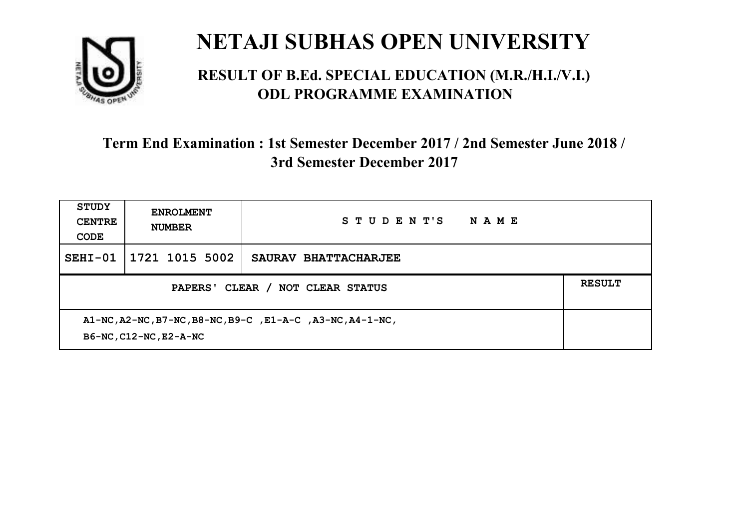

#### **RESULT OF B.Ed. SPECIAL EDUCATION (M.R./H.I./V.I.) ODL PROGRAMME EXAMINATION**

| <b>STUDY</b><br><b>CENTRE</b><br>CODE                                               | <b>ENROLMENT</b><br><b>NUMBER</b> | STUDENT'S<br>NAME    |  |
|-------------------------------------------------------------------------------------|-----------------------------------|----------------------|--|
| $SEHI-01$                                                                           | 1721 1015 5002                    | SAURAV BHATTACHARJEE |  |
| PAPERS' CLEAR /<br><b>NOT CLEAR STATUS</b>                                          |                                   |                      |  |
| A1-NC, A2-NC, B7-NC, B8-NC, B9-C, E1-A-C, A3-NC, A4-1-NC,<br>B6-NC, C12-NC, E2-A-NC |                                   |                      |  |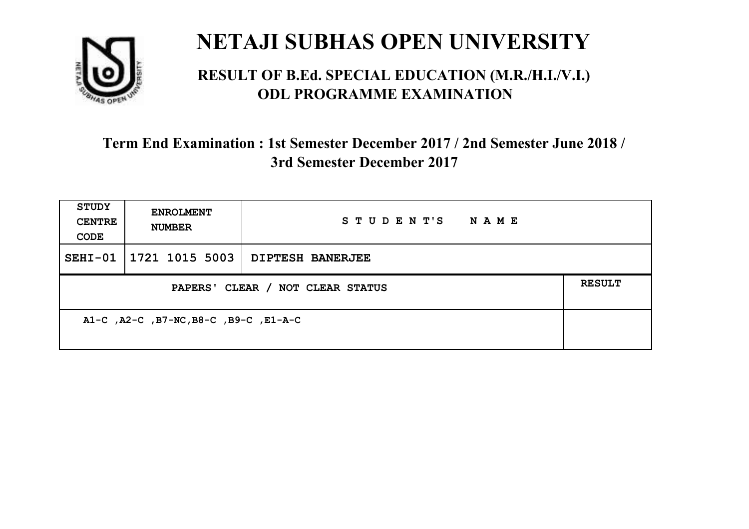

#### **RESULT OF B.Ed. SPECIAL EDUCATION (M.R./H.I./V.I.) ODL PROGRAMME EXAMINATION**

| <b>STUDY</b><br><b>CENTRE</b><br>CODE | <b>ENROLMENT</b><br><b>NUMBER</b> | STUDENT'S NAME          |               |
|---------------------------------------|-----------------------------------|-------------------------|---------------|
|                                       | SEHI-01   1721 1015 5003          | <b>DIPTESH BANERJEE</b> |               |
| PAPERS' CLEAR / NOT CLEAR STATUS      |                                   |                         | <b>RESULT</b> |
| A1-C, A2-C, B7-NC, B8-C, B9-C, E1-A-C |                                   |                         |               |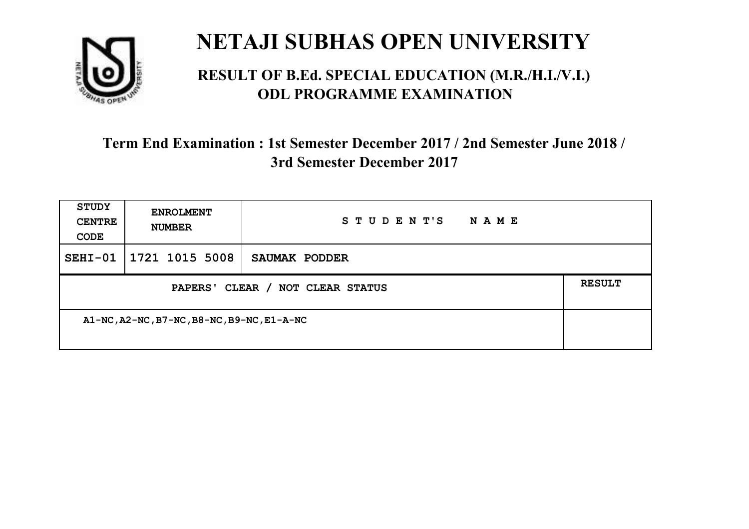

#### **RESULT OF B.Ed. SPECIAL EDUCATION (M.R./H.I./V.I.) ODL PROGRAMME EXAMINATION**

| <b>STUDY</b><br><b>CENTRE</b><br>CODE      | <b>ENROLMENT</b><br><b>NUMBER</b> | STUDENT'S<br>NAME |               |
|--------------------------------------------|-----------------------------------|-------------------|---------------|
| $SEHI-01$                                  | $1721$ 1015 5008                  | SAUMAK PODDER     |               |
| PAPERS' CLEAR / NOT CLEAR STATUS           |                                   |                   | <b>RESULT</b> |
| A1-NC, A2-NC, B7-NC, B8-NC, B9-NC, E1-A-NC |                                   |                   |               |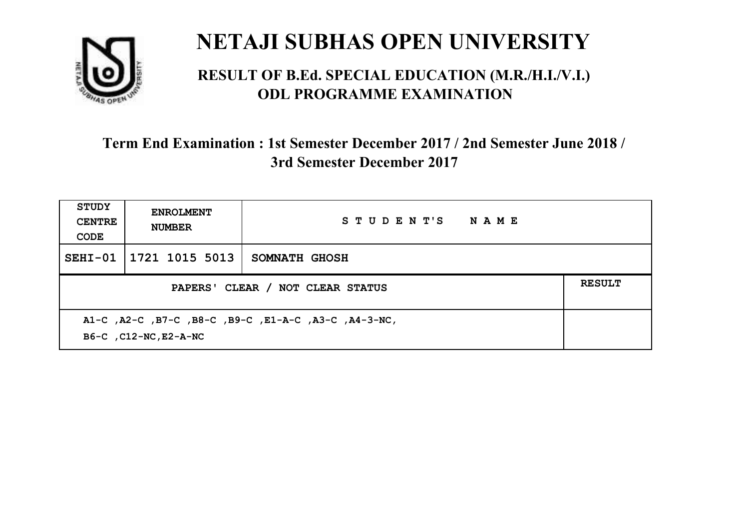

#### **RESULT OF B.Ed. SPECIAL EDUCATION (M.R./H.I./V.I.) ODL PROGRAMME EXAMINATION**

| <b>STUDY</b><br><b>CENTRE</b><br>CODE                                          | <b>ENROLMENT</b><br><b>NUMBER</b>                 | STUDENT'S NAME       |  |  |
|--------------------------------------------------------------------------------|---------------------------------------------------|----------------------|--|--|
| $SEHI-01$                                                                      | 1721 1015 5013                                    | <b>SOMNATH GHOSH</b> |  |  |
|                                                                                | <b>RESULT</b><br>PAPERS' CLEAR / NOT CLEAR STATUS |                      |  |  |
| A1-C, A2-C, B7-C, B8-C, B9-C, E1-A-C, A3-C, A4-3-NC,<br>B6-C , C12-NC, E2-A-NC |                                                   |                      |  |  |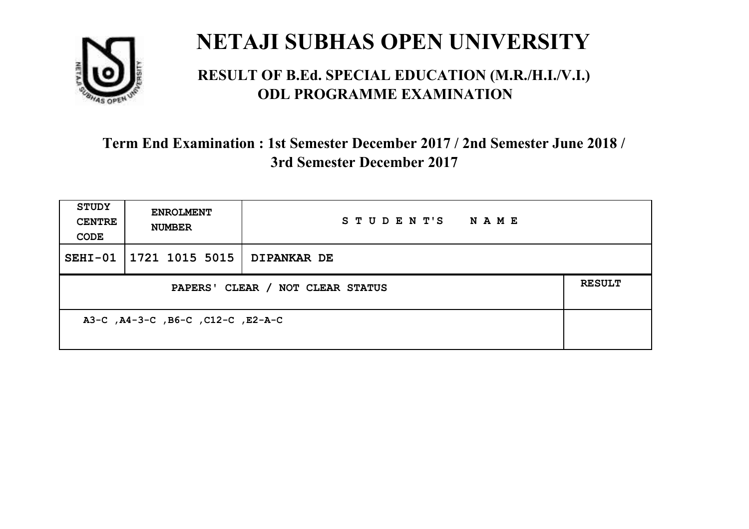

#### **RESULT OF B.Ed. SPECIAL EDUCATION (M.R./H.I./V.I.) ODL PROGRAMME EXAMINATION**

| <b>STUDY</b><br><b>CENTRE</b><br>CODE | <b>ENROLMENT</b><br><b>NUMBER</b> | STUDENT'S<br>N A M E |               |
|---------------------------------------|-----------------------------------|----------------------|---------------|
|                                       | SEHI-01   1721 1015 5015          | <b>DIPANKAR DE</b>   |               |
| PAPERS' CLEAR / NOT CLEAR STATUS      |                                   |                      | <b>RESULT</b> |
| A3-C, A4-3-C, B6-C, C12-C, E2-A-C     |                                   |                      |               |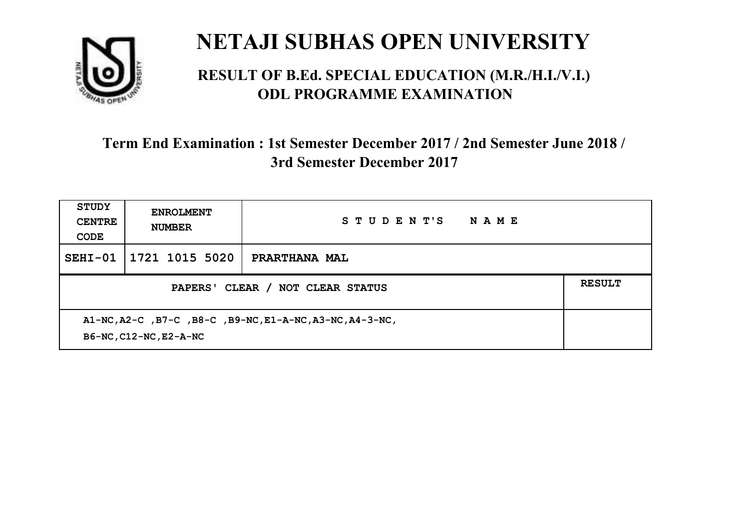

#### **RESULT OF B.Ed. SPECIAL EDUCATION (M.R./H.I./V.I.) ODL PROGRAMME EXAMINATION**

| <b>STUDY</b><br><b>CENTRE</b><br>CODE                                              | <b>ENROLMENT</b><br><b>NUMBER</b> | STUDENT'S<br><b>NAME</b> |               |
|------------------------------------------------------------------------------------|-----------------------------------|--------------------------|---------------|
| $SEHI-01$                                                                          | 1721 1015 5020                    | PRARTHANA MAL            |               |
| PAPERS' CLEAR / NOT CLEAR STATUS                                                   |                                   |                          | <b>RESULT</b> |
| A1-NC, A2-C, B7-C, B8-C, B9-NC, E1-A-NC, A3-NC, A4-3-NC,<br>B6-NC, C12-NC, E2-A-NC |                                   |                          |               |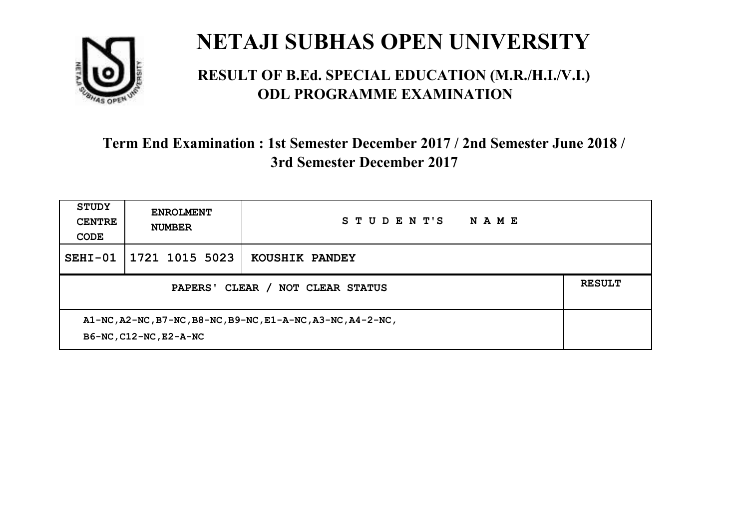

#### **RESULT OF B.Ed. SPECIAL EDUCATION (M.R./H.I./V.I.) ODL PROGRAMME EXAMINATION**

| <b>STUDY</b><br><b>CENTRE</b><br>CODE                                                 | <b>ENROLMENT</b><br><b>NUMBER</b> | STUDENT'S<br>NAME |               |
|---------------------------------------------------------------------------------------|-----------------------------------|-------------------|---------------|
| $SEHI-01$                                                                             | 1721 1015 5023                    | KOUSHIK PANDEY    |               |
| CLEAR /<br><b>NOT CLEAR STATUS</b><br><b>PAPERS'</b>                                  |                                   |                   | <b>RESULT</b> |
| A1-NC, A2-NC, B7-NC, B8-NC, B9-NC, E1-A-NC, A3-NC, A4-2-NC,<br>B6-NC, C12-NC, E2-A-NC |                                   |                   |               |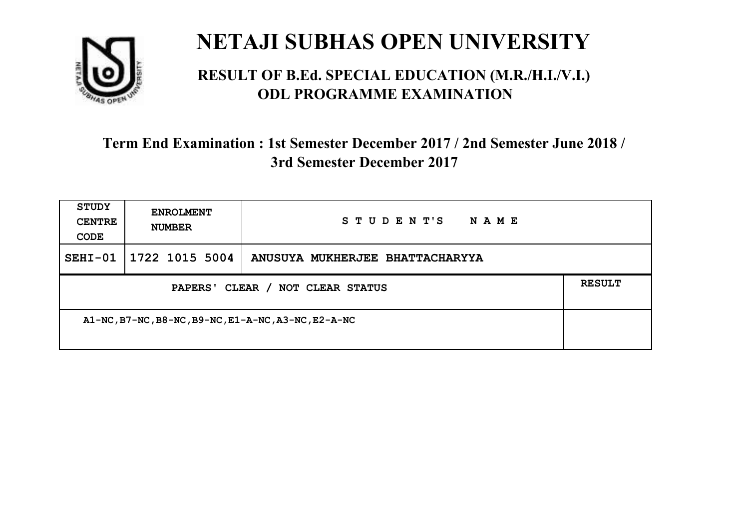

#### **RESULT OF B.Ed. SPECIAL EDUCATION (M.R./H.I./V.I.) ODL PROGRAMME EXAMINATION**

| <b>STUDY</b><br><b>CENTRE</b><br>CODE               | <b>ENROLMENT</b><br><b>NUMBER</b> | STUDENT'S<br>NAME               |               |
|-----------------------------------------------------|-----------------------------------|---------------------------------|---------------|
| $SEHI-01$                                           | $1722$ 1015 5004                  | ANUSUYA MUKHERJEE BHATTACHARYYA |               |
| PAPERS' CLEAR / NOT CLEAR STATUS                    |                                   |                                 | <b>RESULT</b> |
| A1-NC, B7-NC, B8-NC, B9-NC, E1-A-NC, A3-NC, E2-A-NC |                                   |                                 |               |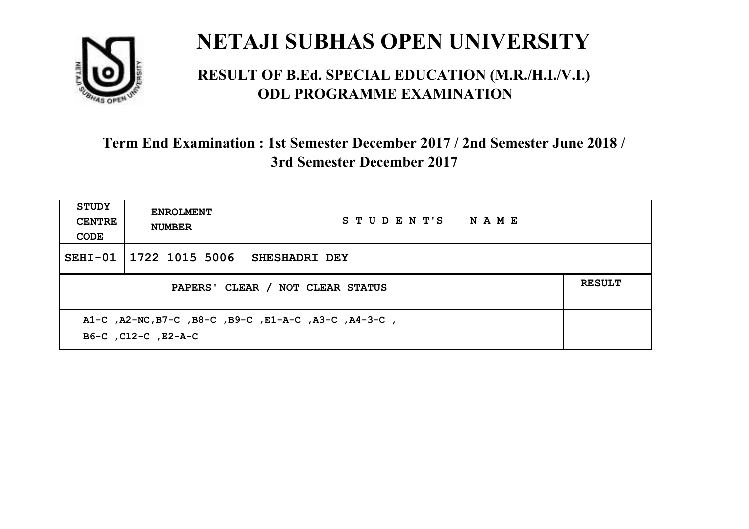

#### **RESULT OF B.Ed. SPECIAL EDUCATION (M.R./H.I./V.I.) ODL PROGRAMME EXAMINATION**

| <b>STUDY</b><br><b>CENTRE</b><br>CODE                                       | <b>ENROLMENT</b><br><b>NUMBER</b> | STUDENT'S NAME |  |
|-----------------------------------------------------------------------------|-----------------------------------|----------------|--|
| $SEHI-01$                                                                   | 1722 1015 5006                    | SHESHADRI DEY  |  |
| PAPERS' CLEAR / NOT CLEAR STATUS                                            |                                   |                |  |
| A1-C, A2-NC, B7-C, B8-C, B9-C, E1-A-C, A3-C, A4-3-C,<br>B6-C, C12-C, E2-A-C |                                   |                |  |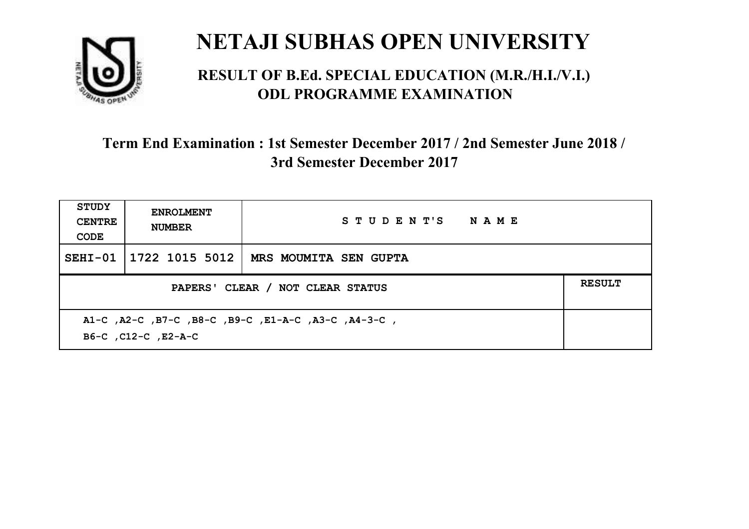

#### **RESULT OF B.Ed. SPECIAL EDUCATION (M.R./H.I./V.I.) ODL PROGRAMME EXAMINATION**

| <b>STUDY</b><br><b>CENTRE</b><br>CODE                                      | <b>ENROLMENT</b><br><b>NUMBER</b>                 | STUDENT'S NAME        |  |  |  |
|----------------------------------------------------------------------------|---------------------------------------------------|-----------------------|--|--|--|
|                                                                            | SEHI-01   1722 1015 5012                          | MRS MOUMITA SEN GUPTA |  |  |  |
|                                                                            | <b>RESULT</b><br>PAPERS' CLEAR / NOT CLEAR STATUS |                       |  |  |  |
| A1-C, A2-C, B7-C, B8-C, B9-C, E1-A-C, A3-C, A4-3-C,<br>B6-C, C12-C, E2-A-C |                                                   |                       |  |  |  |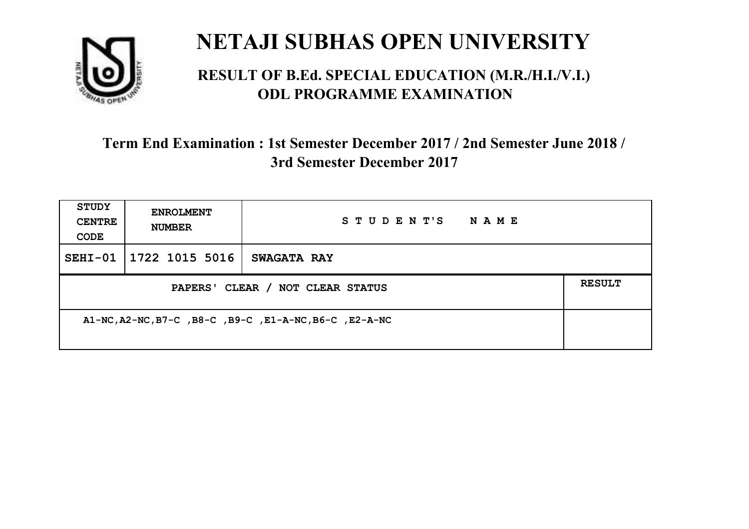

#### **RESULT OF B.Ed. SPECIAL EDUCATION (M.R./H.I./V.I.) ODL PROGRAMME EXAMINATION**

| <b>STUDY</b><br><b>CENTRE</b><br>CODE                  | <b>ENROLMENT</b><br><b>NUMBER</b> | STUDENT'S<br><b>NAME</b> |               |
|--------------------------------------------------------|-----------------------------------|--------------------------|---------------|
|                                                        | SEHI-01 1722 1015 5016            | <b>SWAGATA RAY</b>       |               |
| PAPERS' CLEAR / NOT CLEAR STATUS                       |                                   |                          | <b>RESULT</b> |
| A1-NC, A2-NC, B7-C, B8-C, B9-C, E1-A-NC, B6-C, E2-A-NC |                                   |                          |               |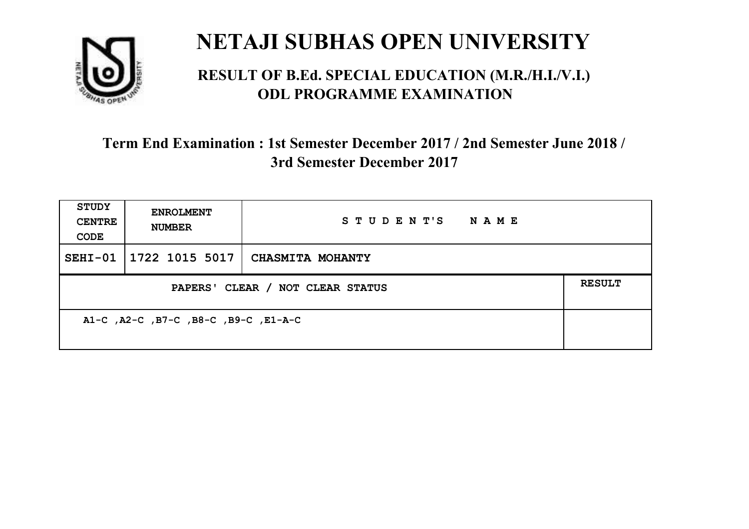

#### **RESULT OF B.Ed. SPECIAL EDUCATION (M.R./H.I./V.I.) ODL PROGRAMME EXAMINATION**

| STUDY<br><b>CENTRE</b><br>CODE       | <b>ENROLMENT</b><br><b>NUMBER</b> | STUDENT'S<br><b>NAME</b> |               |
|--------------------------------------|-----------------------------------|--------------------------|---------------|
|                                      | SEHI-01 1722 1015 5017            | <b>CHASMITA MOHANTY</b>  |               |
| PAPERS' CLEAR / NOT CLEAR STATUS     |                                   |                          | <b>RESULT</b> |
| A1-C, A2-C, B7-C, B8-C, B9-C, E1-A-C |                                   |                          |               |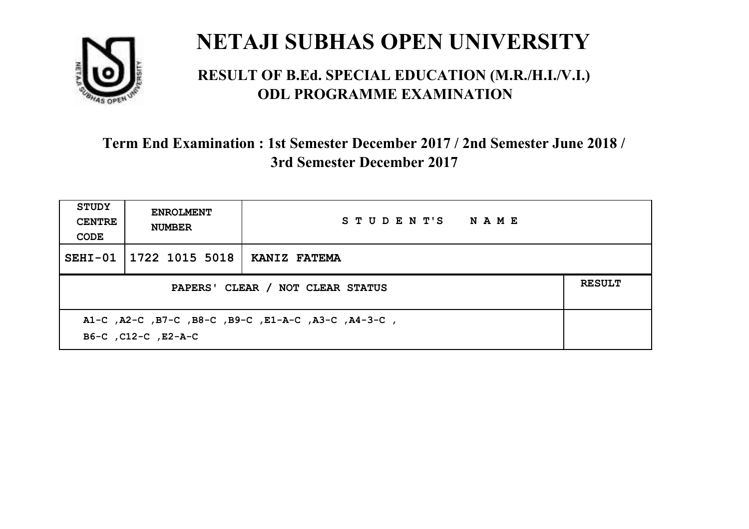

#### **RESULT OF B.Ed. SPECIAL EDUCATION (M.R./H.I./V.I.) ODL PROGRAMME EXAMINATION**

| STUDY<br><b>CENTRE</b><br>CODE | <b>ENROLMENT</b><br><b>NUMBER</b>                                          | STUDENT'S NAME |  |  |  |
|--------------------------------|----------------------------------------------------------------------------|----------------|--|--|--|
| $SEHI-01$                      | 1722 1015 5018                                                             | KANIZ FATEMA   |  |  |  |
|                                | <b>RESULT</b><br>PAPERS' CLEAR / NOT CLEAR STATUS                          |                |  |  |  |
|                                | A1-C, A2-C, B7-C, B8-C, B9-C, E1-A-C, A3-C, A4-3-C,<br>B6-C, C12-C, E2-A-C |                |  |  |  |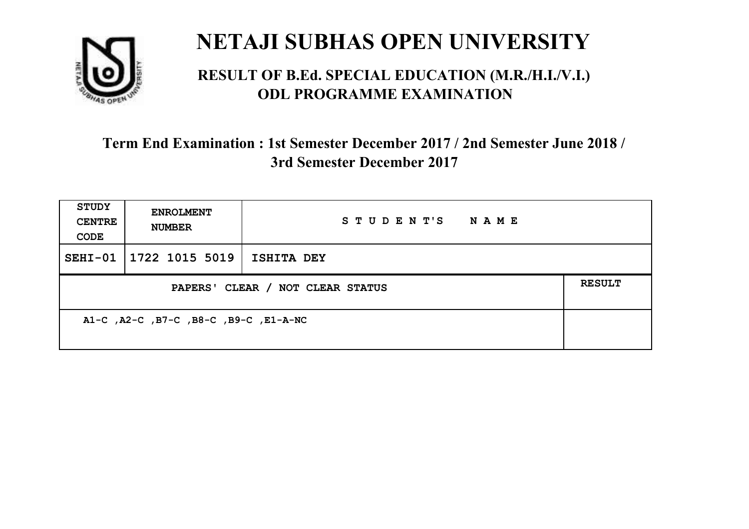

#### **RESULT OF B.Ed. SPECIAL EDUCATION (M.R./H.I./V.I.) ODL PROGRAMME EXAMINATION**

| <b>STUDY</b><br><b>CENTRE</b><br>CODE | <b>ENROLMENT</b><br><b>NUMBER</b> | STUDENT'S<br><b>NAME</b> |  |
|---------------------------------------|-----------------------------------|--------------------------|--|
|                                       | SEHI-01 1722 1015 5019            | <b>ISHITA DEY</b>        |  |
| PAPERS' CLEAR / NOT CLEAR STATUS      |                                   |                          |  |
| A1-C, A2-C, B7-C, B8-C, B9-C, E1-A-NC |                                   |                          |  |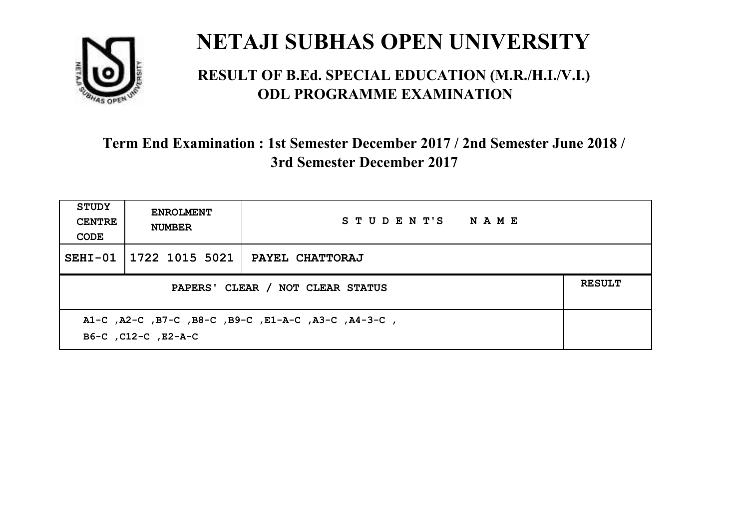

#### **RESULT OF B.Ed. SPECIAL EDUCATION (M.R./H.I./V.I.) ODL PROGRAMME EXAMINATION**

| <b>STUDY</b><br><b>CENTRE</b><br>CODE | <b>ENROLMENT</b><br><b>NUMBER</b>                                          | STUDENT'S NAME         |  |  |  |
|---------------------------------------|----------------------------------------------------------------------------|------------------------|--|--|--|
| $SEHI-01$                             | 1722 1015 5021                                                             | <b>PAYEL CHATTORAJ</b> |  |  |  |
|                                       | <b>RESULT</b><br>PAPERS' CLEAR / NOT CLEAR STATUS                          |                        |  |  |  |
|                                       | A1-C, A2-C, B7-C, B8-C, B9-C, E1-A-C, A3-C, A4-3-C,<br>B6-C, C12-C, E2-A-C |                        |  |  |  |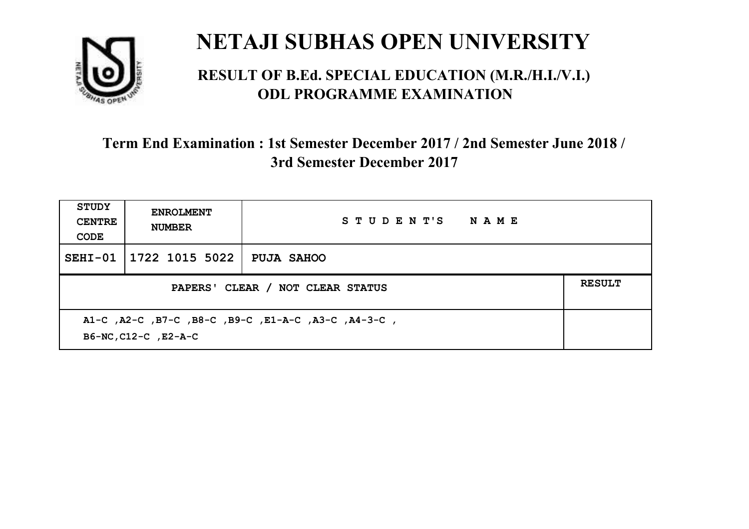

#### **RESULT OF B.Ed. SPECIAL EDUCATION (M.R./H.I./V.I.) ODL PROGRAMME EXAMINATION**

| <b>STUDY</b><br><b>CENTRE</b><br>CODE | <b>ENROLMENT</b><br><b>NUMBER</b>                                           | STUDENT'S NAME    |  |  |  |
|---------------------------------------|-----------------------------------------------------------------------------|-------------------|--|--|--|
| SEHI-01                               | 1722 1015 5022                                                              | <b>PUJA SAHOO</b> |  |  |  |
|                                       | <b>RESULT</b><br>PAPERS' CLEAR / NOT CLEAR STATUS                           |                   |  |  |  |
|                                       | A1-C, A2-C, B7-C, B8-C, B9-C, E1-A-C, A3-C, A4-3-C,<br>B6-NC, C12-C, E2-A-C |                   |  |  |  |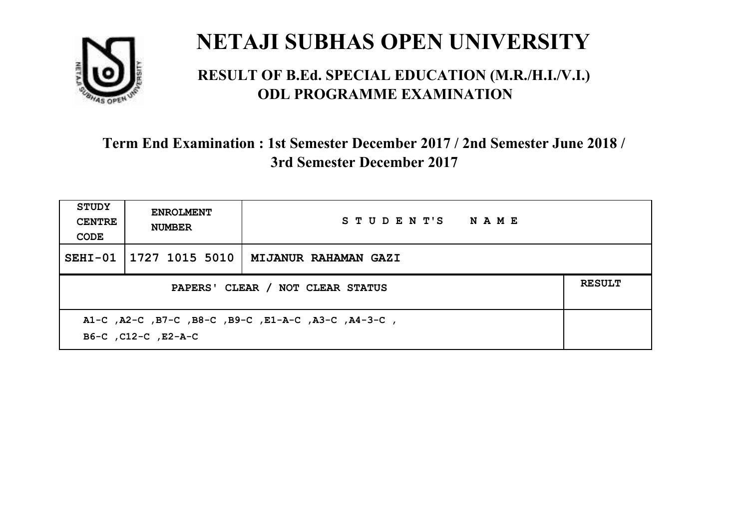

#### **RESULT OF B.Ed. SPECIAL EDUCATION (M.R./H.I./V.I.) ODL PROGRAMME EXAMINATION**

| <b>STUDY</b><br><b>CENTRE</b><br>CODE                                      | <b>ENROLMENT</b><br><b>NUMBER</b>                 | STUDENT'S NAME       |  |  |  |
|----------------------------------------------------------------------------|---------------------------------------------------|----------------------|--|--|--|
|                                                                            | SEHI-01   1727 1015 5010                          | MIJANUR RAHAMAN GAZI |  |  |  |
|                                                                            | <b>RESULT</b><br>PAPERS' CLEAR / NOT CLEAR STATUS |                      |  |  |  |
| A1-C, A2-C, B7-C, B8-C, B9-C, E1-A-C, A3-C, A4-3-C,<br>B6-C, C12-C, E2-A-C |                                                   |                      |  |  |  |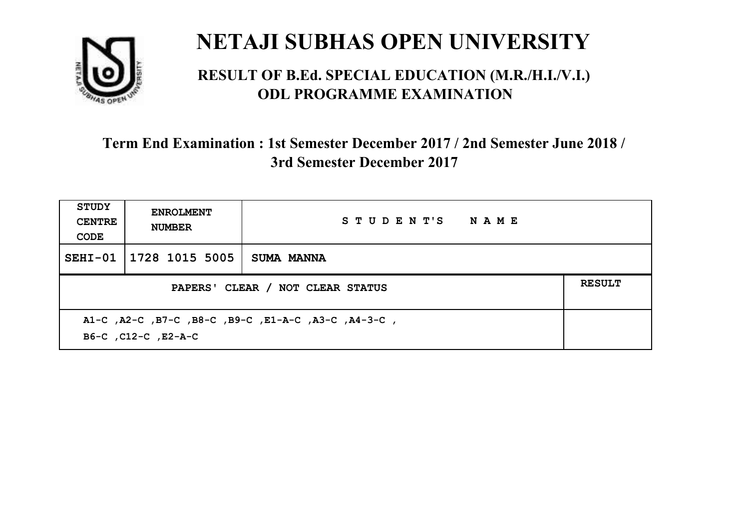

#### **RESULT OF B.Ed. SPECIAL EDUCATION (M.R./H.I./V.I.) ODL PROGRAMME EXAMINATION**

| <b>STUDY</b><br><b>CENTRE</b><br>CODE | <b>ENROLMENT</b><br><b>NUMBER</b>                                          | STUDENT'S NAME |  |  |  |
|---------------------------------------|----------------------------------------------------------------------------|----------------|--|--|--|
| $SEHI-01$                             | 1728 1015 5005                                                             | SUMA MANNA     |  |  |  |
|                                       | <b>RESULT</b><br>PAPERS' CLEAR / NOT CLEAR STATUS                          |                |  |  |  |
|                                       | A1-C, A2-C, B7-C, B8-C, B9-C, E1-A-C, A3-C, A4-3-C,<br>B6-C, C12-C, E2-A-C |                |  |  |  |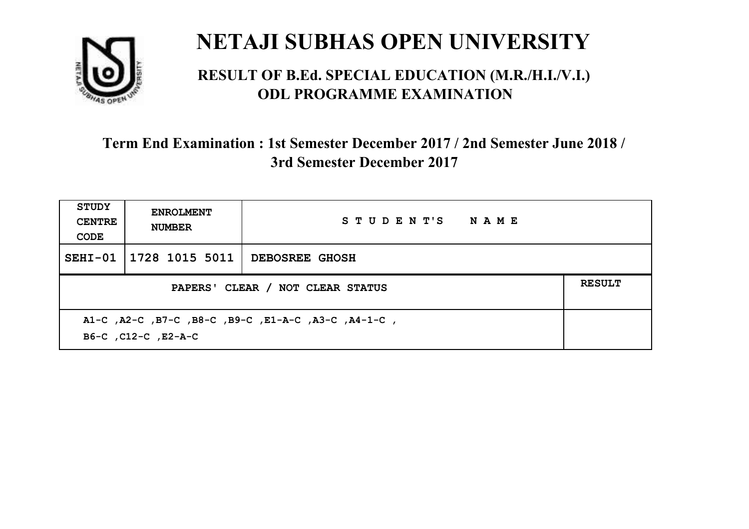

#### **RESULT OF B.Ed. SPECIAL EDUCATION (M.R./H.I./V.I.) ODL PROGRAMME EXAMINATION**

| <b>STUDY</b><br><b>CENTRE</b><br>CODE | <b>ENROLMENT</b><br><b>NUMBER</b>                                          | STUDENT'S NAME        |  |  |  |
|---------------------------------------|----------------------------------------------------------------------------|-----------------------|--|--|--|
| $SEHI-01$                             | 1728 1015 5011                                                             | <b>DEBOSREE GHOSH</b> |  |  |  |
|                                       | <b>RESULT</b><br>PAPERS' CLEAR / NOT CLEAR STATUS                          |                       |  |  |  |
|                                       | A1-C, A2-C, B7-C, B8-C, B9-C, E1-A-C, A3-C, A4-1-C,<br>B6-C, C12-C, E2-A-C |                       |  |  |  |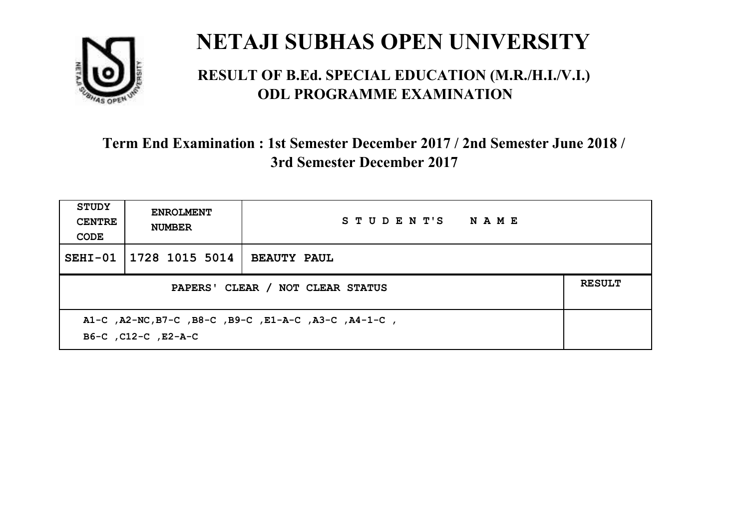

#### **RESULT OF B.Ed. SPECIAL EDUCATION (M.R./H.I./V.I.) ODL PROGRAMME EXAMINATION**

| <b>STUDY</b><br><b>CENTRE</b><br>CODE | <b>ENROLMENT</b><br><b>NUMBER</b>                                           | STUDENT'S NAME     |  |  |  |
|---------------------------------------|-----------------------------------------------------------------------------|--------------------|--|--|--|
| $SEHI-01$                             | 1728 1015 5014                                                              | <b>BEAUTY PAUL</b> |  |  |  |
|                                       | <b>RESULT</b><br>PAPERS' CLEAR / NOT CLEAR STATUS                           |                    |  |  |  |
|                                       | A1-C, A2-NC, B7-C, B8-C, B9-C, E1-A-C, A3-C, A4-1-C,<br>B6-C, C12-C, E2-A-C |                    |  |  |  |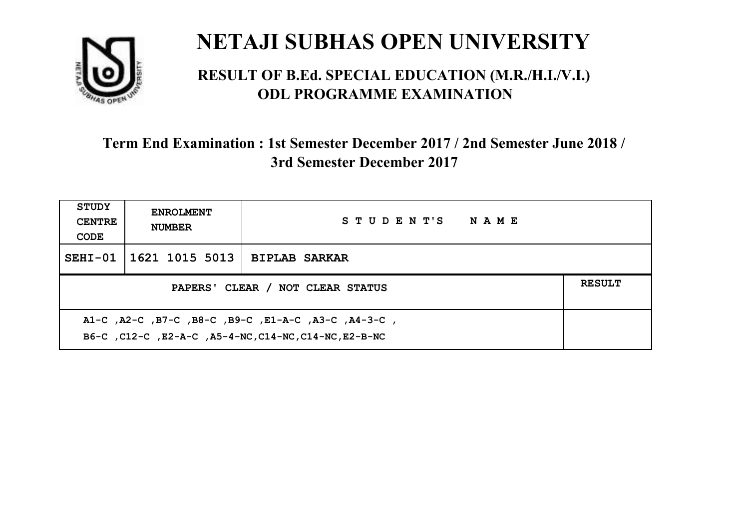

#### **RESULT OF B.Ed. SPECIAL EDUCATION (M.R./H.I./V.I.) ODL PROGRAMME EXAMINATION**

| <b>STUDY</b><br><b>CENTRE</b><br>CODE                                                                        | <b>ENROLMENT</b><br><b>NUMBER</b>                 | STUDENT'S NAME       |  |  |  |
|--------------------------------------------------------------------------------------------------------------|---------------------------------------------------|----------------------|--|--|--|
|                                                                                                              | SEHI-01   1621 1015 5013                          | <b>BIPLAB SARKAR</b> |  |  |  |
|                                                                                                              | <b>RESULT</b><br>PAPERS' CLEAR / NOT CLEAR STATUS |                      |  |  |  |
| A1-C, A2-C, B7-C, B8-C, B9-C, E1-A-C, A3-C, A4-3-C,<br>B6-C, C12-C, E2-A-C, A5-4-NC, C14-NC, C14-NC, E2-B-NC |                                                   |                      |  |  |  |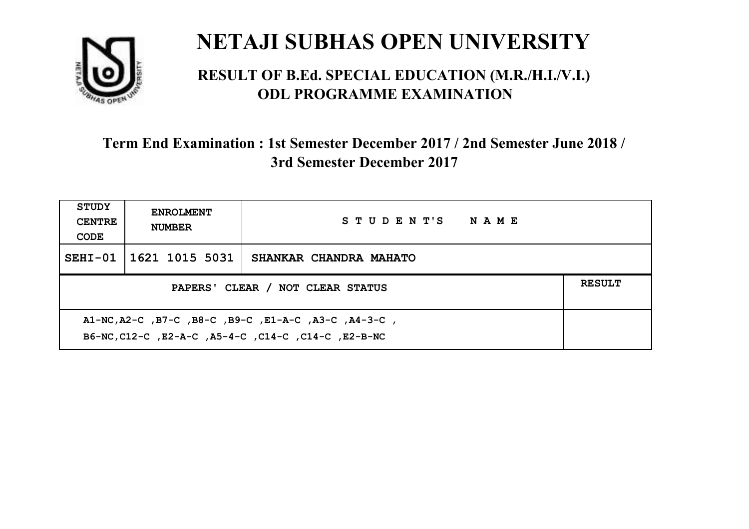

#### **RESULT OF B.Ed. SPECIAL EDUCATION (M.R./H.I./V.I.) ODL PROGRAMME EXAMINATION**

| <b>STUDY</b><br><b>CENTRE</b><br>CODE                                                                | <b>ENROLMENT</b><br><b>NUMBER</b>                 | STUDENT'S NAME         |  |  |  |
|------------------------------------------------------------------------------------------------------|---------------------------------------------------|------------------------|--|--|--|
|                                                                                                      | SEHI-01 1621 1015 5031                            | SHANKAR CHANDRA MAHATO |  |  |  |
|                                                                                                      | <b>RESULT</b><br>PAPERS' CLEAR / NOT CLEAR STATUS |                        |  |  |  |
| A1-NC,A2-C,B7-C,B8-C,B9-C,E1-A-C,A3-C,A4-3-C,<br>B6-NC, C12-C, E2-A-C, A5-4-C, C14-C, C14-C, E2-B-NC |                                                   |                        |  |  |  |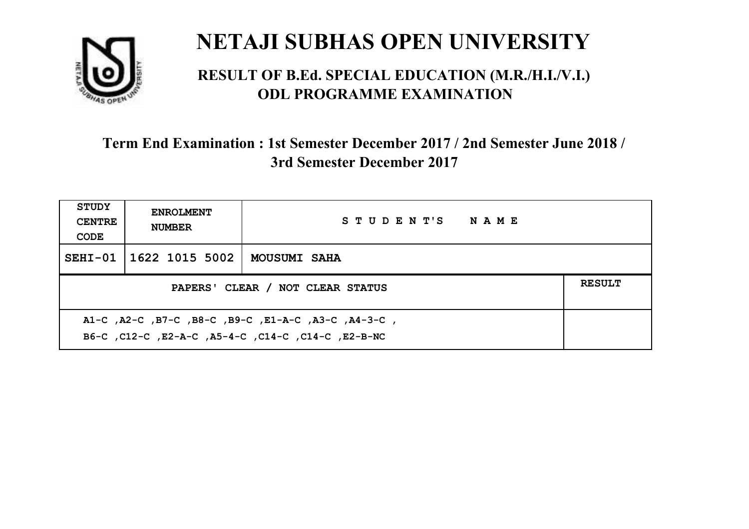

#### **RESULT OF B.Ed. SPECIAL EDUCATION (M.R./H.I./V.I.) ODL PROGRAMME EXAMINATION**

| <b>STUDY</b><br><b>CENTRE</b><br>CODE             | <b>ENROLMENT</b><br><b>NUMBER</b> | STUDENT'S NAME      |  |  |
|---------------------------------------------------|-----------------------------------|---------------------|--|--|
|                                                   | SEHI-01   1622 1015 5002          | <b>MOUSUMI SAHA</b> |  |  |
| <b>RESULT</b><br>PAPERS' CLEAR / NOT CLEAR STATUS |                                   |                     |  |  |
|                                                   |                                   |                     |  |  |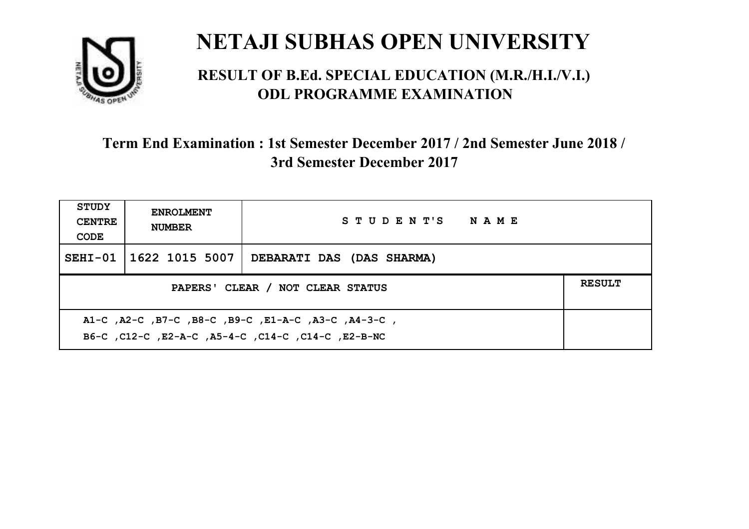

#### **RESULT OF B.Ed. SPECIAL EDUCATION (M.R./H.I./V.I.) ODL PROGRAMME EXAMINATION**

| STUDY<br><b>CENTRE</b><br>CODE                                                                            | <b>ENROLMENT</b><br><b>NUMBER</b>                 | STUDENT'S NAME            |  |  |  |
|-----------------------------------------------------------------------------------------------------------|---------------------------------------------------|---------------------------|--|--|--|
|                                                                                                           | SEHI-01   1622 1015 5007                          | DEBARATI DAS (DAS SHARMA) |  |  |  |
|                                                                                                           | <b>RESULT</b><br>PAPERS' CLEAR / NOT CLEAR STATUS |                           |  |  |  |
| A1-C, A2-C, B7-C, B8-C, B9-C, E1-A-C, A3-C, A4-3-C,<br>B6-C, C12-C, E2-A-C, A5-4-C, C14-C, C14-C, E2-B-NC |                                                   |                           |  |  |  |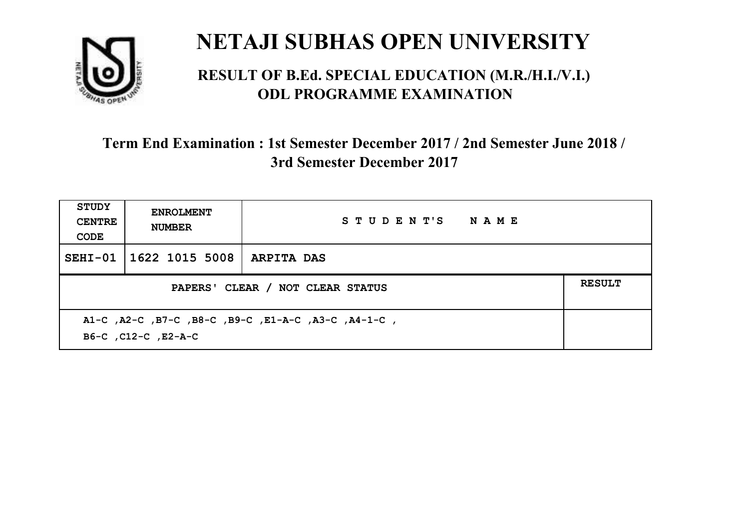

#### **RESULT OF B.Ed. SPECIAL EDUCATION (M.R./H.I./V.I.) ODL PROGRAMME EXAMINATION**

| <b>STUDY</b><br><b>CENTRE</b><br>CODE | <b>ENROLMENT</b><br><b>NUMBER</b>                                          | STUDENT'S NAME |  |  |  |
|---------------------------------------|----------------------------------------------------------------------------|----------------|--|--|--|
| $SEHI-01$                             | 1622 1015 5008   ARPITA DAS                                                |                |  |  |  |
|                                       | <b>RESULT</b><br>PAPERS' CLEAR / NOT CLEAR STATUS                          |                |  |  |  |
|                                       | A1-C, A2-C, B7-C, B8-C, B9-C, E1-A-C, A3-C, A4-1-C,<br>B6-C, C12-C, E2-A-C |                |  |  |  |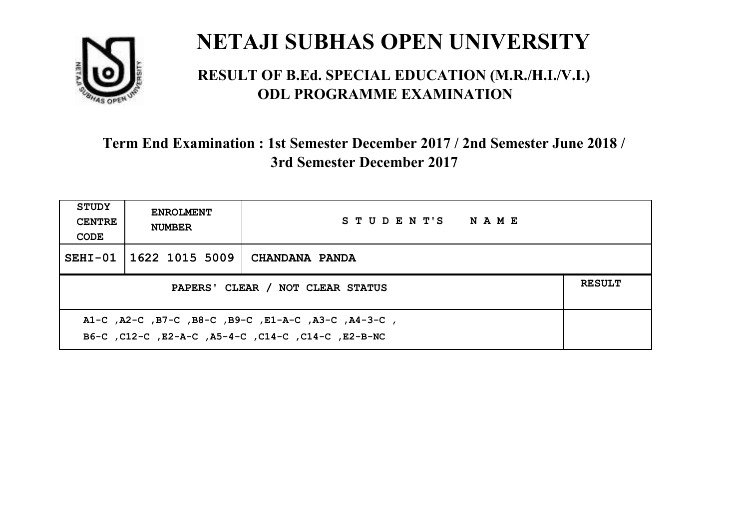

#### **RESULT OF B.Ed. SPECIAL EDUCATION (M.R./H.I./V.I.) ODL PROGRAMME EXAMINATION**

| <b>STUDY</b><br><b>CENTRE</b><br>CODE                                                                     | <b>ENROLMENT</b><br><b>NUMBER</b> | STUDENT'S NAME        |  |  |
|-----------------------------------------------------------------------------------------------------------|-----------------------------------|-----------------------|--|--|
|                                                                                                           | SEHI-01 1622 1015 5009            | <b>CHANDANA PANDA</b> |  |  |
| <b>RESULT</b><br>PAPERS' CLEAR / NOT CLEAR STATUS                                                         |                                   |                       |  |  |
| A1-C, A2-C, B7-C, B8-C, B9-C, E1-A-C, A3-C, A4-3-C,<br>B6-C, C12-C, E2-A-C, A5-4-C, C14-C, C14-C, E2-B-NC |                                   |                       |  |  |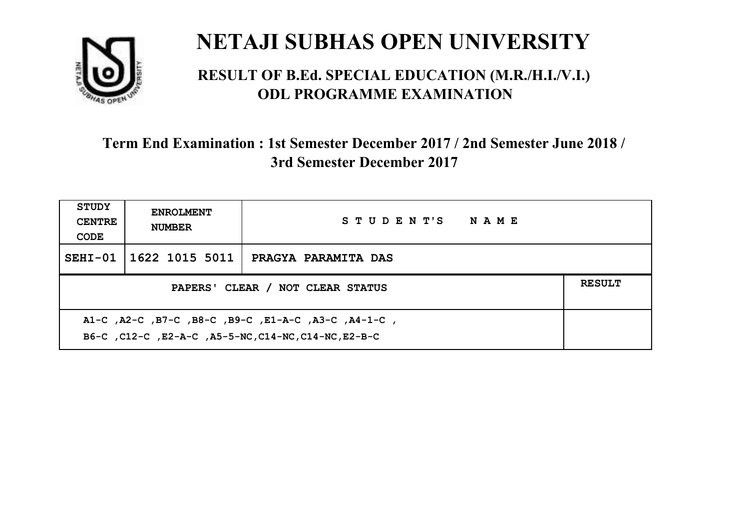

#### **RESULT OF B.Ed. SPECIAL EDUCATION (M.R./H.I./V.I.) ODL PROGRAMME EXAMINATION**

| <b>STUDY</b><br><b>CENTRE</b><br>CODE                                                                       | <b>ENROLMENT</b><br><b>NUMBER</b> | STUDENT'S NAME             |  |  |
|-------------------------------------------------------------------------------------------------------------|-----------------------------------|----------------------------|--|--|
|                                                                                                             | SEHI-01   1622 1015 5011          | <b>PRAGYA PARAMITA DAS</b> |  |  |
| PAPERS' CLEAR / NOT CLEAR STATUS                                                                            |                                   |                            |  |  |
| A1-C, A2-C, B7-C, B8-C, B9-C, E1-A-C, A3-C, A4-1-C,<br>B6-C, C12-C, E2-A-C, A5-5-NC, C14-NC, C14-NC, E2-B-C |                                   |                            |  |  |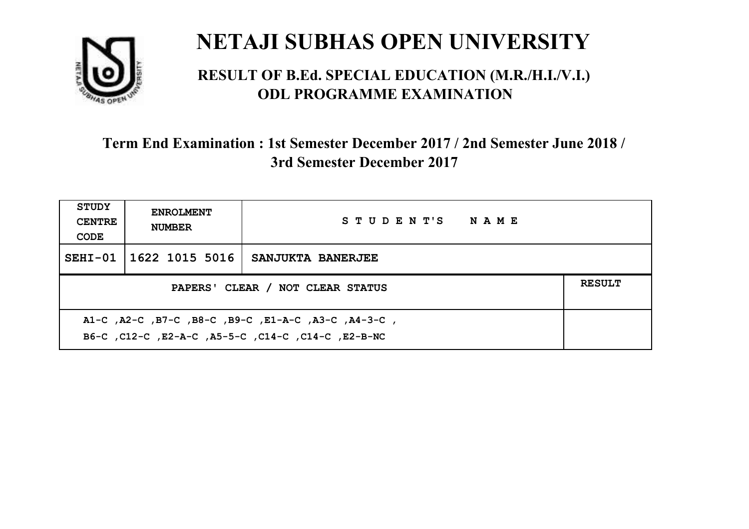

#### **RESULT OF B.Ed. SPECIAL EDUCATION (M.R./H.I./V.I.) ODL PROGRAMME EXAMINATION**

| <b>STUDY</b><br><b>CENTRE</b><br>CODE                                                                     | <b>ENROLMENT</b><br><b>NUMBER</b> | STUDENT'S NAME           |  |  |
|-----------------------------------------------------------------------------------------------------------|-----------------------------------|--------------------------|--|--|
|                                                                                                           | SEHI-01 1622 1015 5016            | <b>SANJUKTA BANERJEE</b> |  |  |
| <b>RESULT</b><br>PAPERS' CLEAR / NOT CLEAR STATUS                                                         |                                   |                          |  |  |
| A1-C, A2-C, B7-C, B8-C, B9-C, E1-A-C, A3-C, A4-3-C,<br>B6-C, C12-C, E2-A-C, A5-5-C, C14-C, C14-C, E2-B-NC |                                   |                          |  |  |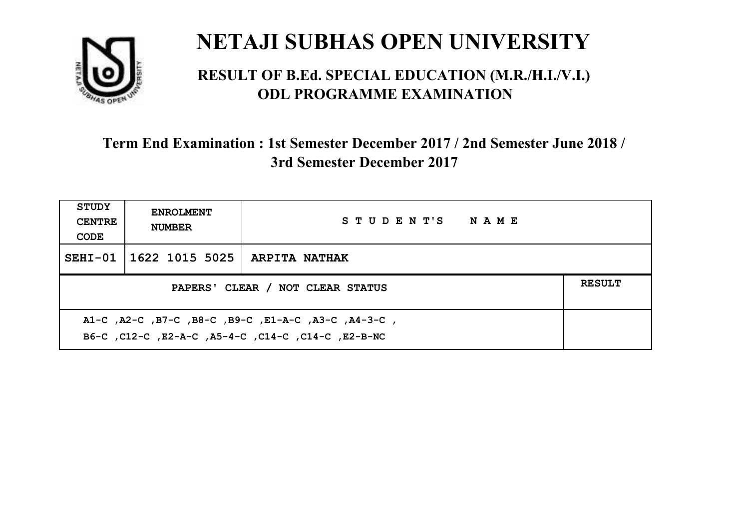

#### **RESULT OF B.Ed. SPECIAL EDUCATION (M.R./H.I./V.I.) ODL PROGRAMME EXAMINATION**

| <b>STUDY</b><br><b>CENTRE</b><br>CODE                                                                     | <b>ENROLMENT</b><br><b>NUMBER</b>                 | STUDENT'S NAME       |  |  |  |
|-----------------------------------------------------------------------------------------------------------|---------------------------------------------------|----------------------|--|--|--|
|                                                                                                           | SEHI-01   1622 1015 5025                          | <b>ARPITA NATHAK</b> |  |  |  |
|                                                                                                           | <b>RESULT</b><br>PAPERS' CLEAR / NOT CLEAR STATUS |                      |  |  |  |
| A1-C, A2-C, B7-C, B8-C, B9-C, E1-A-C, A3-C, A4-3-C,<br>B6-C, C12-C, E2-A-C, A5-4-C, C14-C, C14-C, E2-B-NC |                                                   |                      |  |  |  |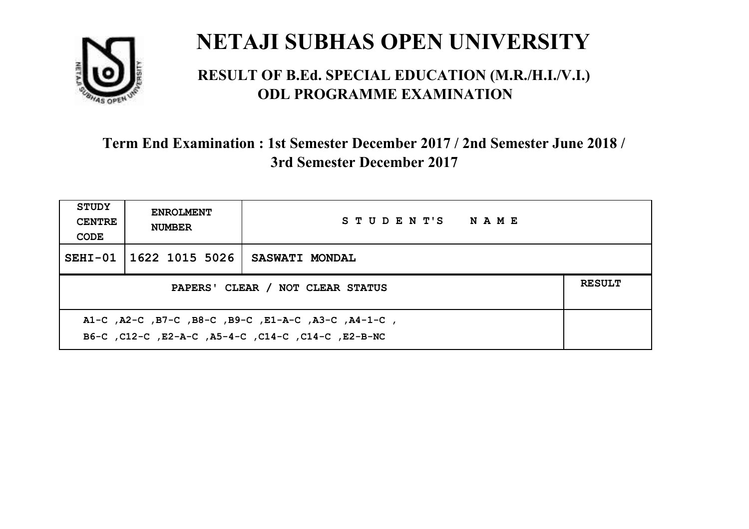

#### **RESULT OF B.Ed. SPECIAL EDUCATION (M.R./H.I./V.I.) ODL PROGRAMME EXAMINATION**

| <b>STUDY</b><br><b>CENTRE</b><br>CODE                                                                     | <b>ENROLMENT</b><br><b>NUMBER</b>                 | STUDENT'S NAME        |  |  |  |
|-----------------------------------------------------------------------------------------------------------|---------------------------------------------------|-----------------------|--|--|--|
|                                                                                                           | SEHI-01   1622 1015 5026                          | <b>SASWATI MONDAL</b> |  |  |  |
|                                                                                                           | <b>RESULT</b><br>PAPERS' CLEAR / NOT CLEAR STATUS |                       |  |  |  |
| A1-C, A2-C, B7-C, B8-C, B9-C, E1-A-C, A3-C, A4-1-C,<br>B6-C, C12-C, E2-A-C, A5-4-C, C14-C, C14-C, E2-B-NC |                                                   |                       |  |  |  |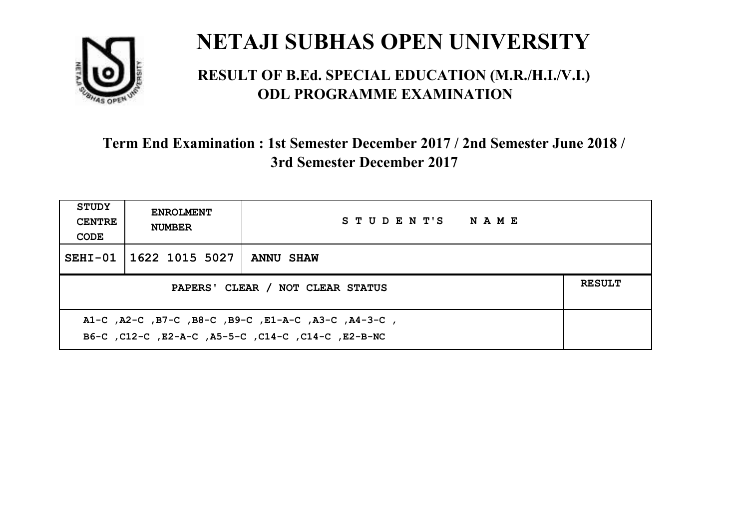

#### **RESULT OF B.Ed. SPECIAL EDUCATION (M.R./H.I./V.I.) ODL PROGRAMME EXAMINATION**

| <b>STUDY</b><br><b>CENTRE</b><br>CODE                                                                     | <b>ENROLMENT</b><br><b>NUMBER</b> | STUDENT'S NAME   |  |  |
|-----------------------------------------------------------------------------------------------------------|-----------------------------------|------------------|--|--|
|                                                                                                           | SEHI-01   1622 1015 5027          | <b>ANNU SHAW</b> |  |  |
| PAPERS' CLEAR / NOT CLEAR STATUS                                                                          |                                   |                  |  |  |
| A1-C, A2-C, B7-C, B8-C, B9-C, E1-A-C, A3-C, A4-3-C,<br>B6-C, C12-C, E2-A-C, A5-5-C, C14-C, C14-C, E2-B-NC |                                   |                  |  |  |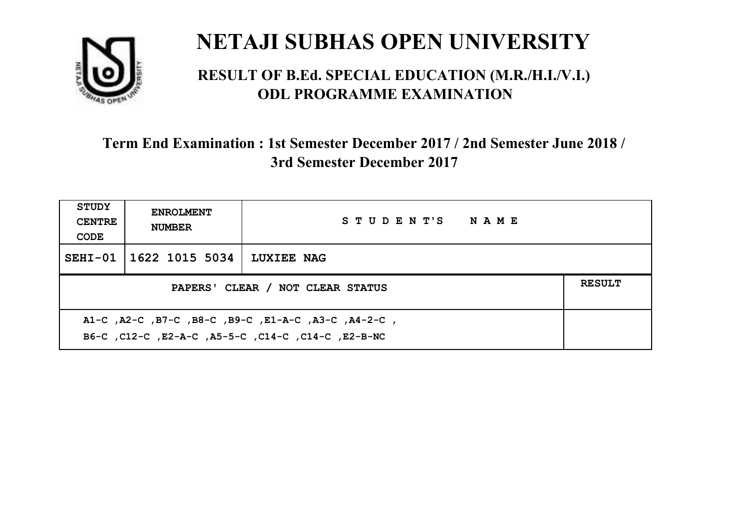

#### **RESULT OF B.Ed. SPECIAL EDUCATION (M.R./H.I./V.I.) ODL PROGRAMME EXAMINATION**

| <b>STUDY</b><br><b>CENTRE</b><br>CODE                                                                     | <b>ENROLMENT</b><br><b>NUMBER</b> | STUDENT'S NAME    |  |  |
|-----------------------------------------------------------------------------------------------------------|-----------------------------------|-------------------|--|--|
|                                                                                                           | SEHI-01   1622 1015 5034          | <b>LUXIEE NAG</b> |  |  |
| <b>RESULT</b><br>PAPERS' CLEAR / NOT CLEAR STATUS                                                         |                                   |                   |  |  |
| A1-C, A2-C, B7-C, B8-C, B9-C, E1-A-C, A3-C, A4-2-C,<br>B6-C, C12-C, E2-A-C, A5-5-C, C14-C, C14-C, E2-B-NC |                                   |                   |  |  |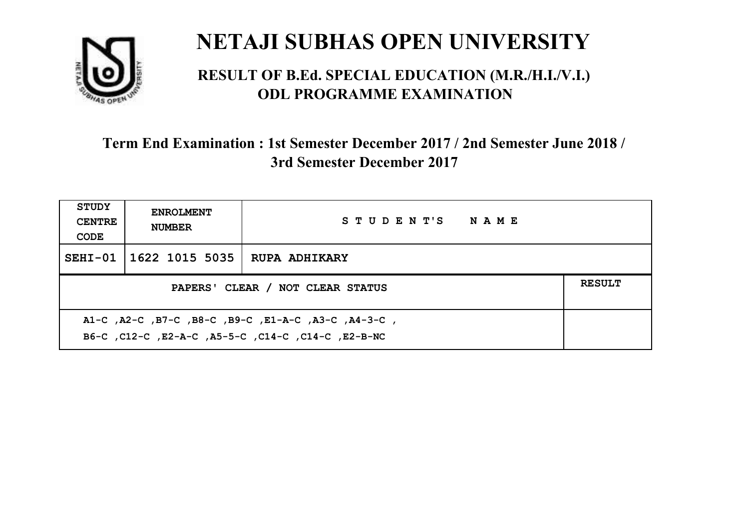

#### **RESULT OF B.Ed. SPECIAL EDUCATION (M.R./H.I./V.I.) ODL PROGRAMME EXAMINATION**

| <b>STUDY</b><br><b>CENTRE</b><br>CODE                                                                     | <b>ENROLMENT</b><br><b>NUMBER</b> | STUDENT'S NAME       |  |  |
|-----------------------------------------------------------------------------------------------------------|-----------------------------------|----------------------|--|--|
|                                                                                                           | SEHI-01   1622 1015 5035          | <b>RUPA ADHIKARY</b> |  |  |
| <b>RESULT</b><br>PAPERS' CLEAR / NOT CLEAR STATUS                                                         |                                   |                      |  |  |
| A1-C, A2-C, B7-C, B8-C, B9-C, E1-A-C, A3-C, A4-3-C,<br>B6-C, C12-C, E2-A-C, A5-5-C, C14-C, C14-C, E2-B-NC |                                   |                      |  |  |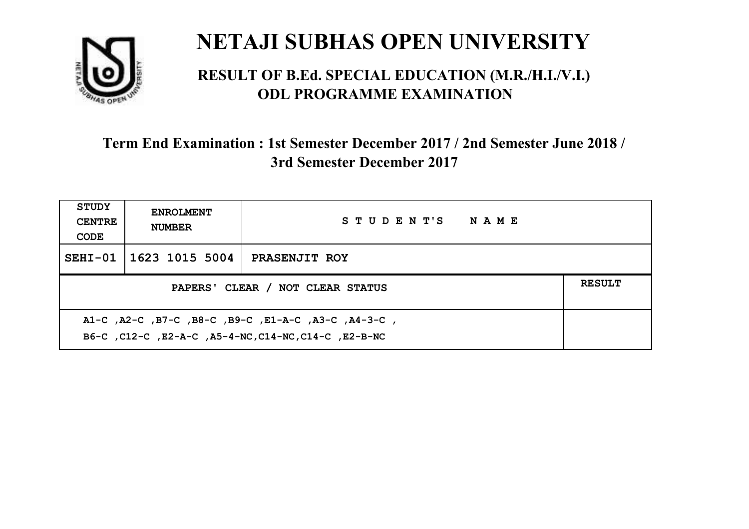

#### **RESULT OF B.Ed. SPECIAL EDUCATION (M.R./H.I./V.I.) ODL PROGRAMME EXAMINATION**

| <b>STUDY</b><br><b>CENTRE</b><br>CODE                                                                       | <b>ENROLMENT</b><br><b>NUMBER</b>                 | STUDENT'S NAME       |  |  |  |
|-------------------------------------------------------------------------------------------------------------|---------------------------------------------------|----------------------|--|--|--|
| $SEHI-01$                                                                                                   | 1623 1015 5004                                    | <b>PRASENJIT ROY</b> |  |  |  |
|                                                                                                             | <b>RESULT</b><br>PAPERS' CLEAR / NOT CLEAR STATUS |                      |  |  |  |
| A1-C, A2-C, B7-C, B8-C, B9-C, E1-A-C, A3-C, A4-3-C,<br>B6-C, C12-C, E2-A-C, A5-4-NC, C14-NC, C14-C, E2-B-NC |                                                   |                      |  |  |  |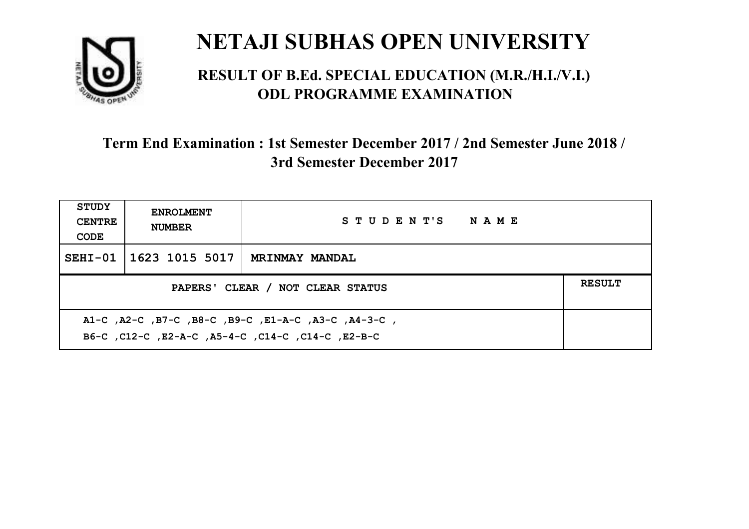

#### **RESULT OF B.Ed. SPECIAL EDUCATION (M.R./H.I./V.I.) ODL PROGRAMME EXAMINATION**

| STUDY<br><b>CENTRE</b><br>CODE                                                                            | <b>ENROLMENT</b><br><b>NUMBER</b> | STUDENT'S NAME        |  |  |
|-----------------------------------------------------------------------------------------------------------|-----------------------------------|-----------------------|--|--|
|                                                                                                           | SEHI-01   1623 1015 5017          | <b>MRINMAY MANDAL</b> |  |  |
| <b>RESULT</b><br>PAPERS' CLEAR / NOT CLEAR STATUS                                                         |                                   |                       |  |  |
| A1-C, A2-C, B7-C, B8-C, B9-C, E1-A-C, A3-C, A4-3-C,<br>B6-C, C12-C, E2-A-C, A5-4-C, C14-C, C14-C, C12-B-C |                                   |                       |  |  |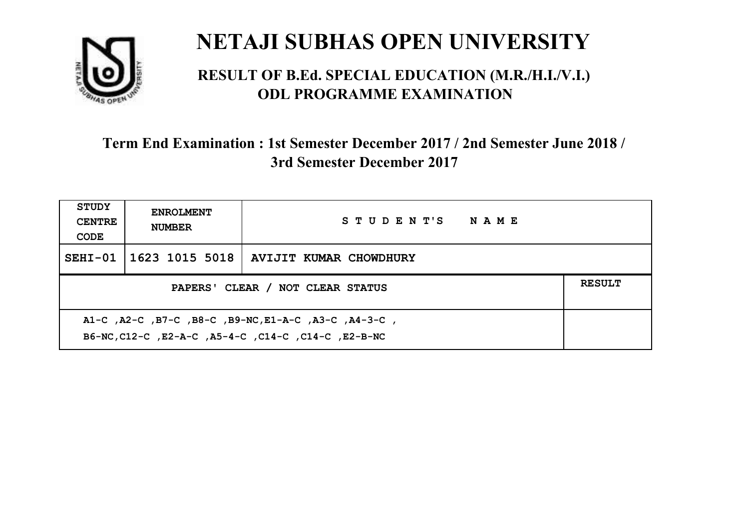

#### **RESULT OF B.Ed. SPECIAL EDUCATION (M.R./H.I./V.I.) ODL PROGRAMME EXAMINATION**

| <b>STUDY</b><br><b>CENTRE</b><br>CODE | <b>ENROLMENT</b><br><b>NUMBER</b>                                                                           | STUDENT'S NAME                          |  |  |  |
|---------------------------------------|-------------------------------------------------------------------------------------------------------------|-----------------------------------------|--|--|--|
| $SEHI-01$                             |                                                                                                             | 1623 1015 5018   AVIJIT KUMAR CHOWDHURY |  |  |  |
|                                       | <b>RESULT</b><br>PAPERS' CLEAR / NOT CLEAR STATUS                                                           |                                         |  |  |  |
|                                       | A1-C, A2-C, B7-C, B8-C, B9-NC, E1-A-C, A3-C, A4-3-C,<br>B6-NC, C12-C, E2-A-C, A5-4-C, C14-C, C14-C, E2-B-NC |                                         |  |  |  |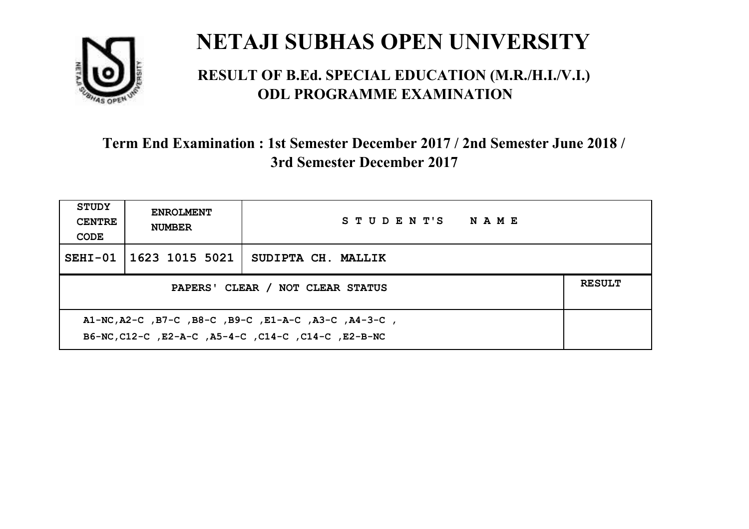

#### **RESULT OF B.Ed. SPECIAL EDUCATION (M.R./H.I./V.I.) ODL PROGRAMME EXAMINATION**

| <b>STUDY</b><br><b>CENTRE</b><br>CODE | <b>ENROLMENT</b><br><b>NUMBER</b>                 | STUDENT'S NAME                                                                                       |  |  |  |
|---------------------------------------|---------------------------------------------------|------------------------------------------------------------------------------------------------------|--|--|--|
|                                       | SEHI-01   1623 1015 5021                          | SUDIPTA CH. MALLIK                                                                                   |  |  |  |
|                                       | <b>RESULT</b><br>PAPERS' CLEAR / NOT CLEAR STATUS |                                                                                                      |  |  |  |
|                                       |                                                   | A1-NC,A2-C,B7-C,B8-C,B9-C,E1-A-C,A3-C,A4-3-C,<br>B6-NC, C12-C, E2-A-C, A5-4-C, C14-C, C14-C, E2-B-NC |  |  |  |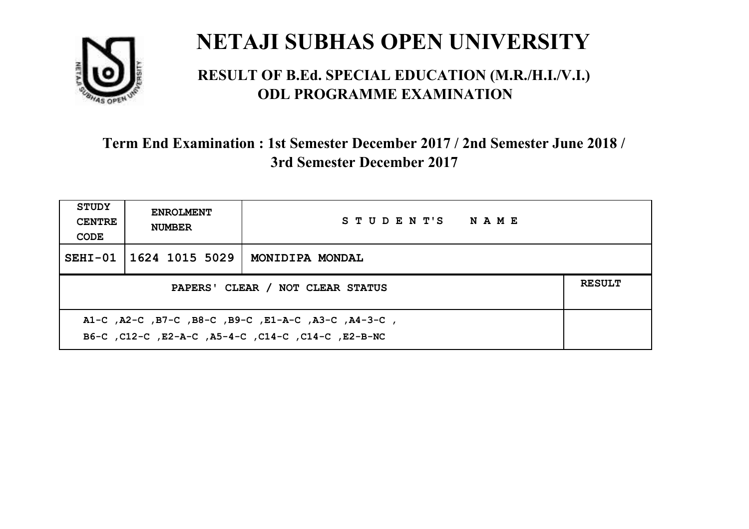

#### **RESULT OF B.Ed. SPECIAL EDUCATION (M.R./H.I./V.I.) ODL PROGRAMME EXAMINATION**

| <b>STUDY</b><br><b>CENTRE</b><br>CODE                                                                     | <b>ENROLMENT</b><br><b>NUMBER</b>                 | STUDENT'S NAME  |  |  |  |
|-----------------------------------------------------------------------------------------------------------|---------------------------------------------------|-----------------|--|--|--|
|                                                                                                           | SEHI-01   1624 1015 5029                          | MONIDIPA MONDAL |  |  |  |
|                                                                                                           | <b>RESULT</b><br>PAPERS' CLEAR / NOT CLEAR STATUS |                 |  |  |  |
| A1-C, A2-C, B7-C, B8-C, B9-C, E1-A-C, A3-C, A4-3-C,<br>B6-C, C12-C, E2-A-C, A5-4-C, C14-C, C14-C, E2-B-NC |                                                   |                 |  |  |  |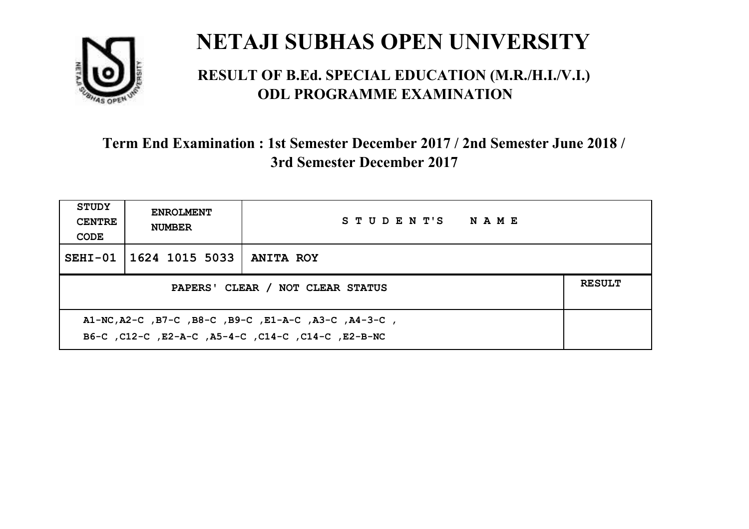

#### **RESULT OF B.Ed. SPECIAL EDUCATION (M.R./H.I./V.I.) ODL PROGRAMME EXAMINATION**

| <b>STUDY</b><br><b>CENTRE</b><br>CODE | <b>ENROLMENT</b><br><b>NUMBER</b>                 | STUDENT'S NAME                                                                                             |  |  |  |
|---------------------------------------|---------------------------------------------------|------------------------------------------------------------------------------------------------------------|--|--|--|
|                                       | SEHI-01   1624 1015 5033                          | <b>ANITA ROY</b>                                                                                           |  |  |  |
|                                       | <b>RESULT</b><br>PAPERS' CLEAR / NOT CLEAR STATUS |                                                                                                            |  |  |  |
|                                       |                                                   | A1-NC, A2-C, B7-C, B8-C, B9-C, E1-A-C, A3-C, A4-3-C,<br>B6-C, C12-C, E2-A-C, A5-4-C, C14-C, C14-C, E2-B-NC |  |  |  |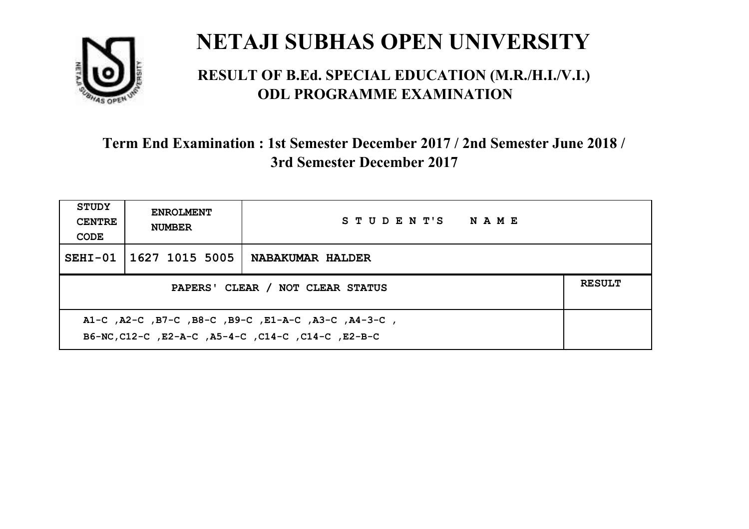

#### **RESULT OF B.Ed. SPECIAL EDUCATION (M.R./H.I./V.I.) ODL PROGRAMME EXAMINATION**

| <b>STUDY</b><br><b>CENTRE</b><br>CODE                                                                     | <b>ENROLMENT</b><br><b>NUMBER</b>                 | STUDENT'S NAME          |  |  |  |
|-----------------------------------------------------------------------------------------------------------|---------------------------------------------------|-------------------------|--|--|--|
|                                                                                                           | SEHI-01 1627 1015 5005                            | <b>NABAKUMAR HALDER</b> |  |  |  |
|                                                                                                           | <b>RESULT</b><br>PAPERS' CLEAR / NOT CLEAR STATUS |                         |  |  |  |
| A1-C, A2-C, B7-C, B8-C, B9-C, E1-A-C, A3-C, A4-3-C,<br>B6-NC, C12-C, E2-A-C, A5-4-C, C14-C, C14-C, E2-B-C |                                                   |                         |  |  |  |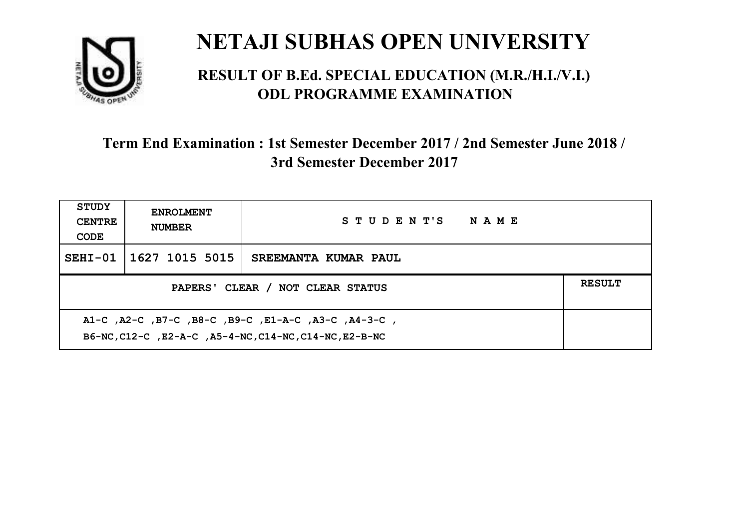

#### **RESULT OF B.Ed. SPECIAL EDUCATION (M.R./H.I./V.I.) ODL PROGRAMME EXAMINATION**

| <b>STUDY</b><br><b>CENTRE</b><br>CODE                                                                           | <b>ENROLMENT</b><br><b>NUMBER</b>                 | STUDENT'S NAME       |  |  |  |
|-----------------------------------------------------------------------------------------------------------------|---------------------------------------------------|----------------------|--|--|--|
| $SEHI-01$                                                                                                       | 1627 1015 5015                                    | SREEMANTA KUMAR PAUL |  |  |  |
|                                                                                                                 | <b>RESULT</b><br>PAPERS' CLEAR / NOT CLEAR STATUS |                      |  |  |  |
| , A1-C, A2-C, B7-C, B8-C, B9-C, E1-A-C, A3-C, A4-3-C,<br>B6-NC, C12-C, E2-A-C, A5-4-NC, C14-NC, C14-NC, E2-B-NC |                                                   |                      |  |  |  |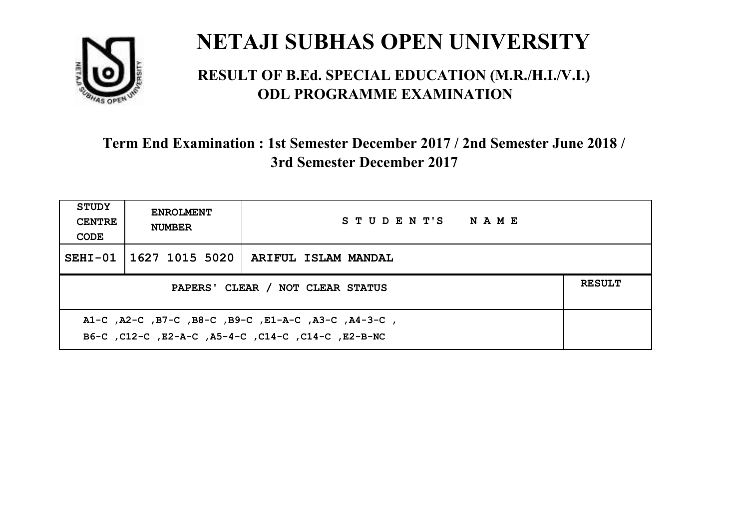

#### **RESULT OF B.Ed. SPECIAL EDUCATION (M.R./H.I./V.I.) ODL PROGRAMME EXAMINATION**

| <b>STUDY</b><br><b>CENTRE</b><br>CODE | <b>ENROLMENT</b><br><b>NUMBER</b>                                                                           | STUDENT'S NAME                                           |  |  |  |
|---------------------------------------|-------------------------------------------------------------------------------------------------------------|----------------------------------------------------------|--|--|--|
|                                       |                                                                                                             | SEHI-01 $\mid$ 1627 1015 5020 $\mid$ ARIFUL ISLAM MANDAL |  |  |  |
|                                       | <b>RESULT</b><br>PAPERS' CLEAR / NOT CLEAR STATUS                                                           |                                                          |  |  |  |
|                                       | , A1-C, A2-C, B7-C, B8-C, B9-C, E1-A-C, A3-C, A4-3-C,<br>B6-C, C12-C, E2-A-C, A5-4-C, C14-C, C14-C, E2-B-NC |                                                          |  |  |  |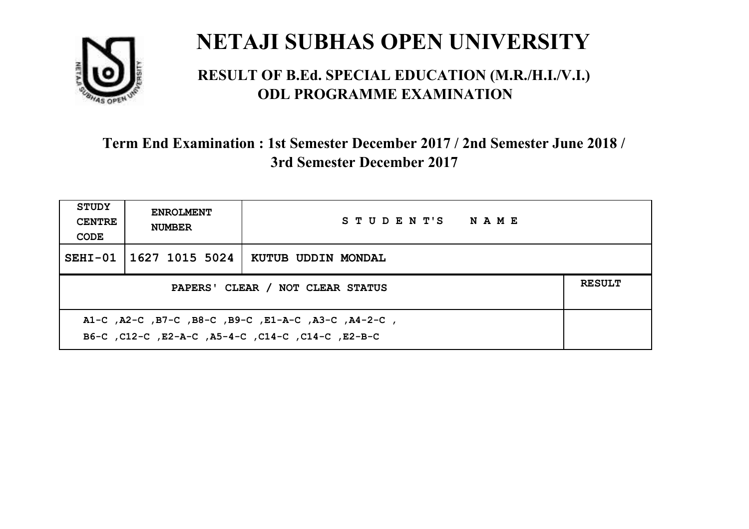

#### **RESULT OF B.Ed. SPECIAL EDUCATION (M.R./H.I./V.I.) ODL PROGRAMME EXAMINATION**

| <b>STUDY</b><br><b>CENTRE</b><br>CODE                                                                     | <b>ENROLMENT</b><br><b>NUMBER</b>                 | STUDENT'S NAME     |  |  |  |
|-----------------------------------------------------------------------------------------------------------|---------------------------------------------------|--------------------|--|--|--|
|                                                                                                           | SEHI-01   1627 1015 5024                          | KUTUB UDDIN MONDAL |  |  |  |
|                                                                                                           | <b>RESULT</b><br>PAPERS' CLEAR / NOT CLEAR STATUS |                    |  |  |  |
| A1-C, A2-C, B7-C, B8-C, B9-C, E1-A-C, A3-C, A4-2-C,<br>B6-C, C12-C, E2-A-C, A5-4-C, C14-C, C14-C, C12-B-C |                                                   |                    |  |  |  |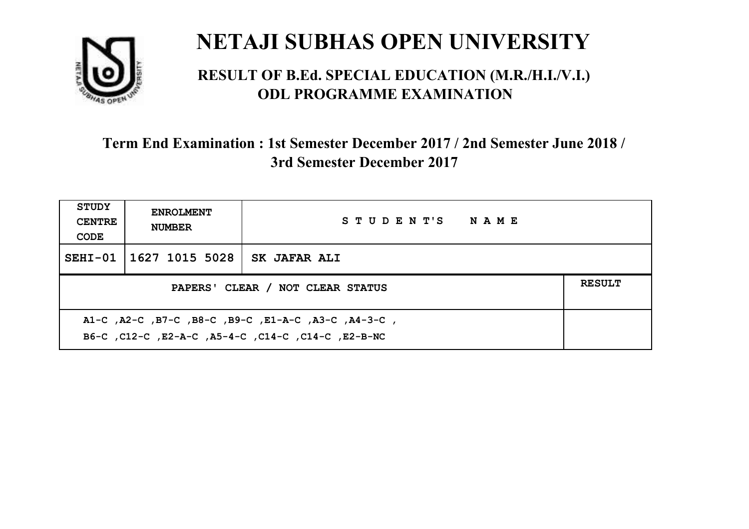

#### **RESULT OF B.Ed. SPECIAL EDUCATION (M.R./H.I./V.I.) ODL PROGRAMME EXAMINATION**

| <b>STUDY</b><br><b>CENTRE</b><br>CODE             | <b>ENROLMENT</b><br><b>NUMBER</b> | STUDENT'S NAME      |  |  |
|---------------------------------------------------|-----------------------------------|---------------------|--|--|
|                                                   | SEHI-01   1627 1015 5028          | <b>SK JAFAR ALI</b> |  |  |
| <b>RESULT</b><br>PAPERS' CLEAR / NOT CLEAR STATUS |                                   |                     |  |  |
|                                                   |                                   |                     |  |  |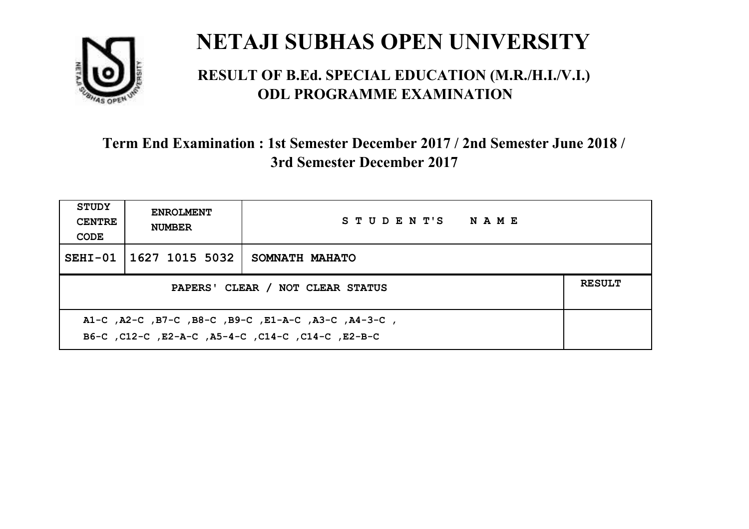

#### **RESULT OF B.Ed. SPECIAL EDUCATION (M.R./H.I./V.I.) ODL PROGRAMME EXAMINATION**

| <b>STUDY</b><br><b>CENTRE</b><br>CODE                                                                    | <b>ENROLMENT</b><br><b>NUMBER</b> | STUDENT'S NAME        |  |  |
|----------------------------------------------------------------------------------------------------------|-----------------------------------|-----------------------|--|--|
|                                                                                                          | SEHI-01   1627 1015 5032          | <b>SOMNATH MAHATO</b> |  |  |
| <b>RESULT</b><br>PAPERS' CLEAR / NOT CLEAR STATUS                                                        |                                   |                       |  |  |
| A1-C, A2-C, B7-C, B8-C, B9-C, E1-A-C, A3-C, A4-3-C,<br>B6-C, C12-C, E2-A-C, A5-4-C, C14-C, C14-C, E2-B-C |                                   |                       |  |  |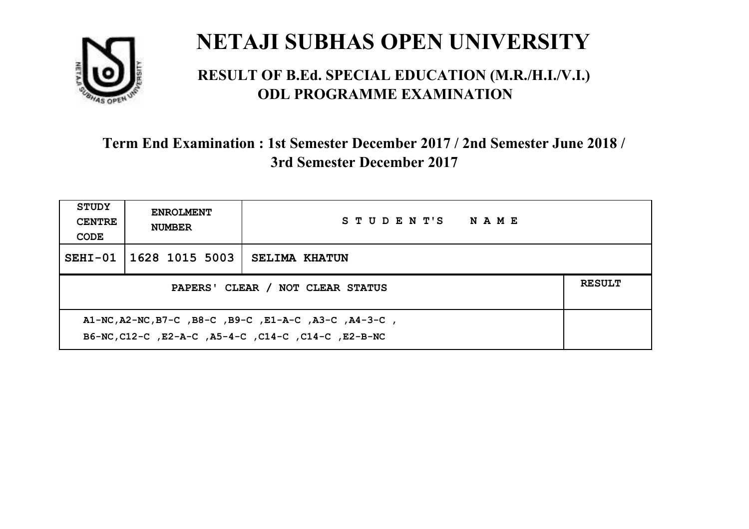

#### **RESULT OF B.Ed. SPECIAL EDUCATION (M.R./H.I./V.I.) ODL PROGRAMME EXAMINATION**

| <b>STUDY</b><br><b>CENTRE</b><br>CODE                                                                        | <b>ENROLMENT</b><br><b>NUMBER</b> | STUDENT'S NAME       |  |
|--------------------------------------------------------------------------------------------------------------|-----------------------------------|----------------------|--|
|                                                                                                              | SEHI-01   1628 1015 5003          | <b>SELIMA KHATUN</b> |  |
| PAPERS' CLEAR / NOT CLEAR STATUS                                                                             |                                   |                      |  |
| A1-NC, A2-NC, B7-C, B8-C, B9-C, E1-A-C, A3-C, A4-3-C,<br>B6-NC, C12-C, E2-A-C, A5-4-C, C14-C, C14-C, E2-B-NC |                                   |                      |  |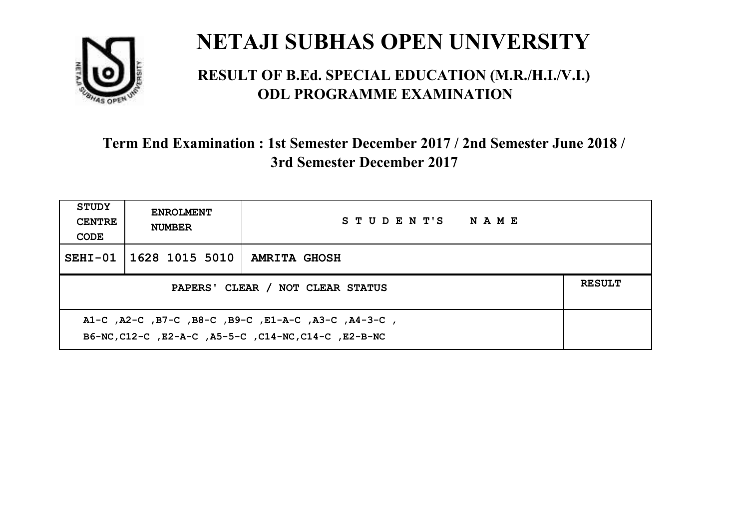

#### **RESULT OF B.Ed. SPECIAL EDUCATION (M.R./H.I./V.I.) ODL PROGRAMME EXAMINATION**

| <b>STUDY</b><br><b>CENTRE</b><br>CODE | <b>ENROLMENT</b><br><b>NUMBER</b>                 | STUDENT'S NAME                                                                                              |  |  |  |
|---------------------------------------|---------------------------------------------------|-------------------------------------------------------------------------------------------------------------|--|--|--|
|                                       | SEHI-01   1628 1015 5010                          | <b>AMRITA GHOSH</b>                                                                                         |  |  |  |
|                                       | <b>RESULT</b><br>PAPERS' CLEAR / NOT CLEAR STATUS |                                                                                                             |  |  |  |
|                                       |                                                   | A1-C, A2-C, B7-C, B8-C, B9-C, E1-A-C, A3-C, A4-3-C,<br>B6-NC, C12-C, E2-A-C, A5-5-C, C14-NC, C14-C, E2-B-NC |  |  |  |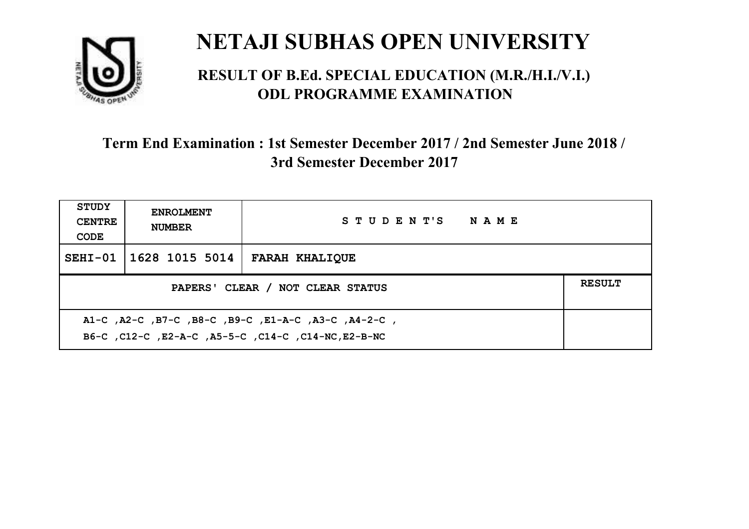

#### **RESULT OF B.Ed. SPECIAL EDUCATION (M.R./H.I./V.I.) ODL PROGRAMME EXAMINATION**

| <b>STUDY</b><br><b>CENTRE</b><br>CODE             | <b>ENROLMENT</b><br><b>NUMBER</b> | STUDENT'S NAME                                      |  |  |
|---------------------------------------------------|-----------------------------------|-----------------------------------------------------|--|--|
|                                                   | SEHI-01   1628 1015 5014          | <b>FARAH KHALIQUE</b>                               |  |  |
| <b>RESULT</b><br>PAPERS' CLEAR / NOT CLEAR STATUS |                                   |                                                     |  |  |
|                                                   |                                   | A1-C, A2-C, B7-C, B8-C, B9-C, E1-A-C, A3-C, A4-2-C, |  |  |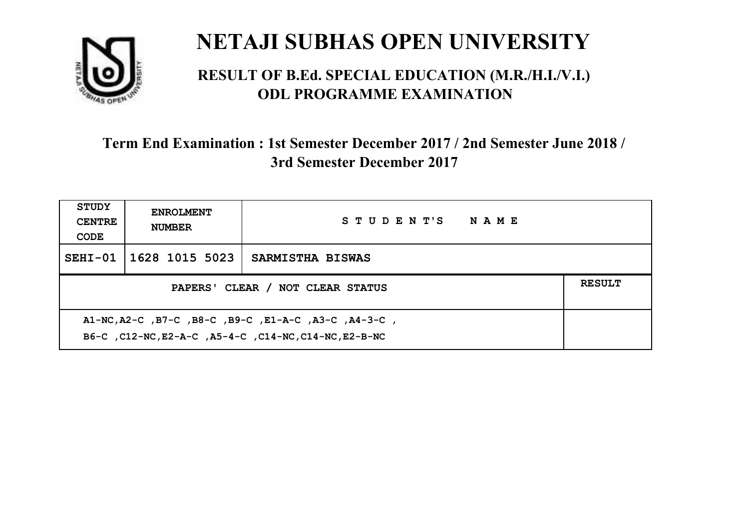

#### **RESULT OF B.Ed. SPECIAL EDUCATION (M.R./H.I./V.I.) ODL PROGRAMME EXAMINATION**

| <b>STUDY</b><br><b>CENTRE</b><br>CODE                                                                  | <b>ENROLMENT</b><br><b>NUMBER</b>                 | STUDENT'S NAME   |  |  |  |
|--------------------------------------------------------------------------------------------------------|---------------------------------------------------|------------------|--|--|--|
| $SEHI-01$                                                                                              | 1628 1015 5023                                    | SARMISTHA BISWAS |  |  |  |
|                                                                                                        | <b>RESULT</b><br>PAPERS' CLEAR / NOT CLEAR STATUS |                  |  |  |  |
| A1-NC,A2-C,B7-C,B8-C,B9-C,E1-A-C,A3-C,A4-3-C,<br>B6-C, C12-NC, E2-A-C, A5-4-C, C14-NC, C14-NC, E2-B-NC |                                                   |                  |  |  |  |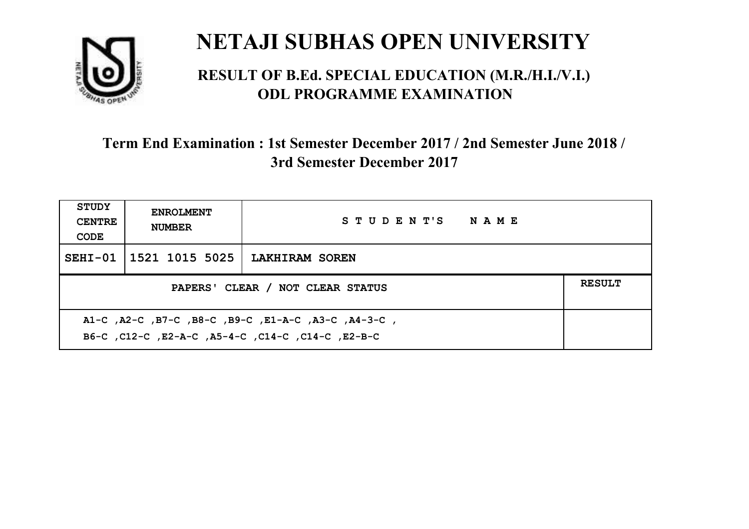

#### **RESULT OF B.Ed. SPECIAL EDUCATION (M.R./H.I./V.I.) ODL PROGRAMME EXAMINATION**

| <b>STUDY</b><br><b>CENTRE</b><br>CODE                                                                    | <b>ENROLMENT</b><br><b>NUMBER</b> | STUDENT'S NAME        |  |
|----------------------------------------------------------------------------------------------------------|-----------------------------------|-----------------------|--|
|                                                                                                          | SEHI-01 1521 1015 5025            | <b>LAKHIRAM SOREN</b> |  |
| <b>RESULT</b><br>PAPERS' CLEAR / NOT CLEAR STATUS                                                        |                                   |                       |  |
| A1-C, A2-C, B7-C, B8-C, B9-C, E1-A-C, A3-C, A4-3-C,<br>B6-C, C12-C, E2-A-C, A5-4-C, C14-C, C14-C, E2-B-C |                                   |                       |  |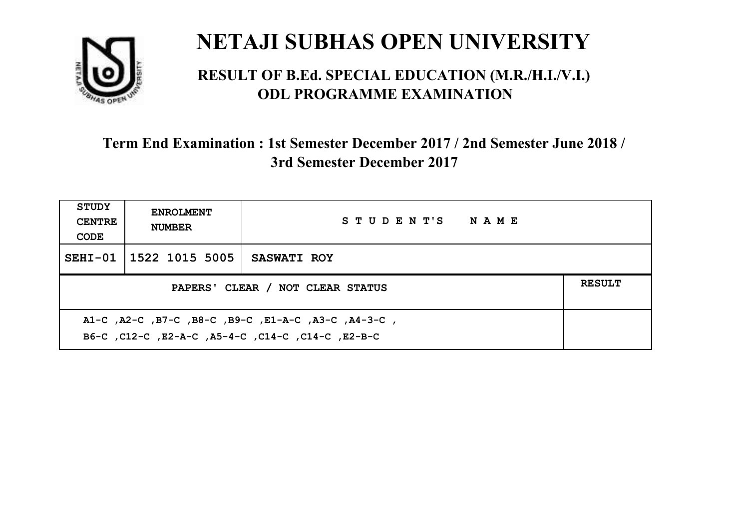

#### **RESULT OF B.Ed. SPECIAL EDUCATION (M.R./H.I./V.I.) ODL PROGRAMME EXAMINATION**

| <b>STUDY</b><br><b>CENTRE</b><br>CODE                                                                      | <b>ENROLMENT</b><br><b>NUMBER</b>                 | STUDENT'S NAME     |  |  |  |
|------------------------------------------------------------------------------------------------------------|---------------------------------------------------|--------------------|--|--|--|
|                                                                                                            | SEHI-01 1522 1015 5005                            | <b>SASWATI ROY</b> |  |  |  |
|                                                                                                            | <b>RESULT</b><br>PAPERS' CLEAR / NOT CLEAR STATUS |                    |  |  |  |
| , A1-C, A2-C, B7-C, B8-C, B9-C, E1-A-C, A3-C, A4-3-C,<br>B6-C, C12-C, E2-A-C, A5-4-C, C14-C, C14-C, E2-B-C |                                                   |                    |  |  |  |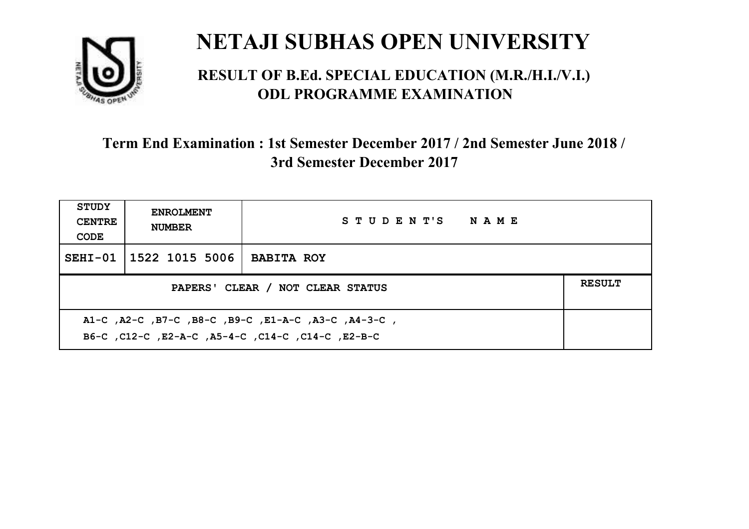

#### **RESULT OF B.Ed. SPECIAL EDUCATION (M.R./H.I./V.I.) ODL PROGRAMME EXAMINATION**

| <b>STUDY</b><br><b>CENTRE</b><br>CODE             | <b>ENROLMENT</b><br><b>NUMBER</b> | STUDENT'S NAME    |  |
|---------------------------------------------------|-----------------------------------|-------------------|--|
|                                                   | SEHI-01 1522 1015 5006            | <b>BABITA ROY</b> |  |
| <b>RESULT</b><br>PAPERS' CLEAR / NOT CLEAR STATUS |                                   |                   |  |
|                                                   |                                   |                   |  |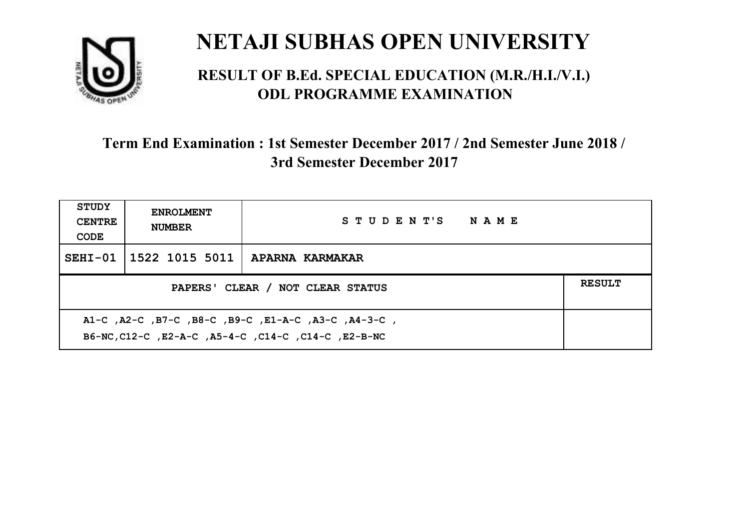

#### **RESULT OF B.Ed. SPECIAL EDUCATION (M.R./H.I./V.I.) ODL PROGRAMME EXAMINATION**

| <b>STUDY</b><br><b>CENTRE</b><br>CODE                                                                      | <b>ENROLMENT</b><br><b>NUMBER</b> | STUDENT'S NAME                                   |  |  |
|------------------------------------------------------------------------------------------------------------|-----------------------------------|--------------------------------------------------|--|--|
|                                                                                                            |                                   | SEHI-01 $\vert$ 1522 1015 5011   APARNA KARMAKAR |  |  |
| <b>RESULT</b><br>PAPERS' CLEAR / NOT CLEAR STATUS                                                          |                                   |                                                  |  |  |
| A1-C, A2-C, B7-C, B8-C, B9-C, E1-A-C, A3-C, A4-3-C,<br>B6-NC, C12-C, E2-A-C, A5-4-C, C14-C, C14-C, E2-B-NC |                                   |                                                  |  |  |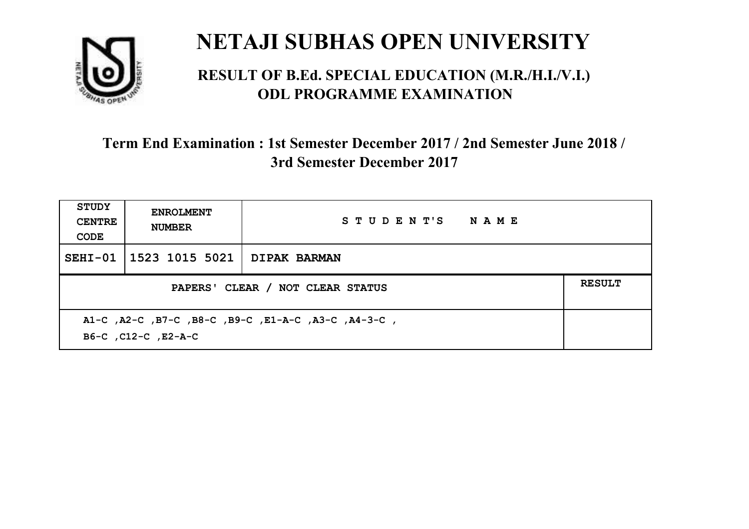

#### **RESULT OF B.Ed. SPECIAL EDUCATION (M.R./H.I./V.I.) ODL PROGRAMME EXAMINATION**

| STUDY<br><b>CENTRE</b><br>CODE | <b>ENROLMENT</b><br><b>NUMBER</b>                                          | STUDENT'S NAME |  |  |  |
|--------------------------------|----------------------------------------------------------------------------|----------------|--|--|--|
|                                | SEHI-01   1523 1015 5021   DIPAK BARMAN                                    |                |  |  |  |
|                                | <b>RESULT</b><br>PAPERS' CLEAR / NOT CLEAR STATUS                          |                |  |  |  |
|                                | A1-C, A2-C, B7-C, B8-C, B9-C, E1-A-C, A3-C, A4-3-C,<br>B6-C, C12-C, E2-A-C |                |  |  |  |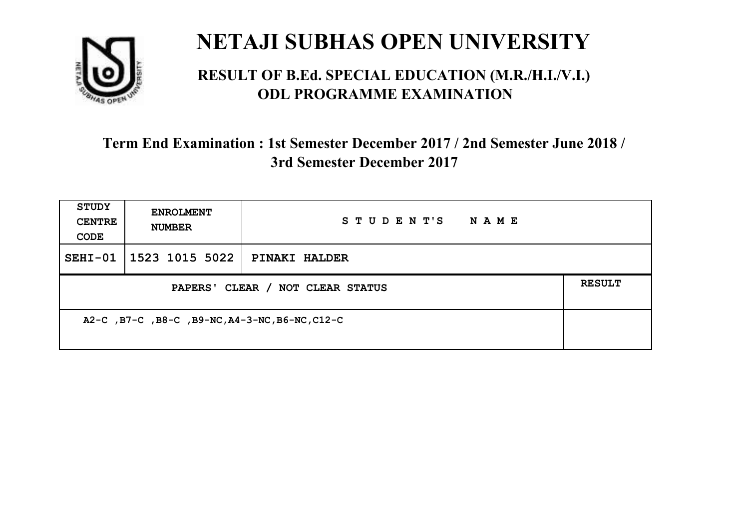

#### **RESULT OF B.Ed. SPECIAL EDUCATION (M.R./H.I./V.I.) ODL PROGRAMME EXAMINATION**

| <b>STUDY</b><br><b>CENTRE</b><br>CODE          | <b>ENROLMENT</b><br><b>NUMBER</b> | STUDENT'S<br>N A M E |               |
|------------------------------------------------|-----------------------------------|----------------------|---------------|
|                                                | SEHI-01   1523 1015 5022          | <b>PINAKI HALDER</b> |               |
| PAPERS' CLEAR / NOT CLEAR STATUS               |                                   |                      | <b>RESULT</b> |
| A2-C, B7-C, B8-C, B9-NC, A4-3-NC, B6-NC, C12-C |                                   |                      |               |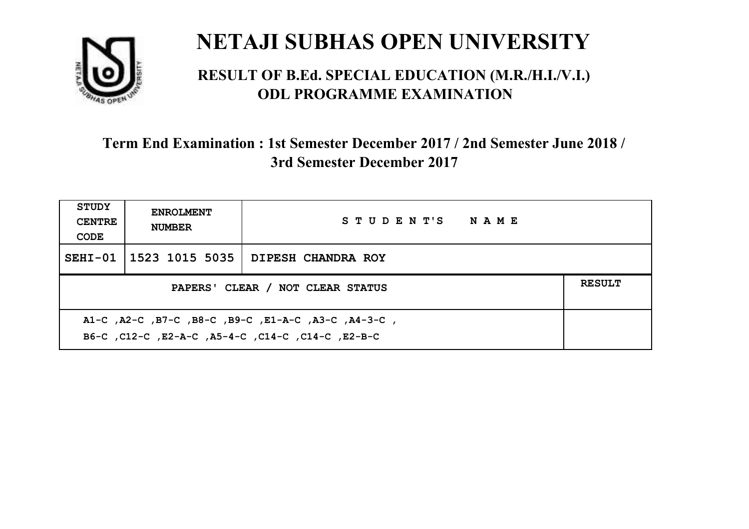

#### **RESULT OF B.Ed. SPECIAL EDUCATION (M.R./H.I./V.I.) ODL PROGRAMME EXAMINATION**

| <b>STUDY</b><br><b>CENTRE</b><br>CODE                                                                     | <b>ENROLMENT</b><br><b>NUMBER</b>                 | STUDENT'S NAME     |  |  |  |
|-----------------------------------------------------------------------------------------------------------|---------------------------------------------------|--------------------|--|--|--|
|                                                                                                           | SEHI-01   1523 1015 5035                          | DIPESH CHANDRA ROY |  |  |  |
|                                                                                                           | <b>RESULT</b><br>PAPERS' CLEAR / NOT CLEAR STATUS |                    |  |  |  |
| A1-C, A2-C, B7-C, B8-C, B9-C, E1-A-C, A3-C, A4-3-C,<br>B6-C, C12-C, E2-A-C, A5-4-C, C14-C, C14-C, C12-B-C |                                                   |                    |  |  |  |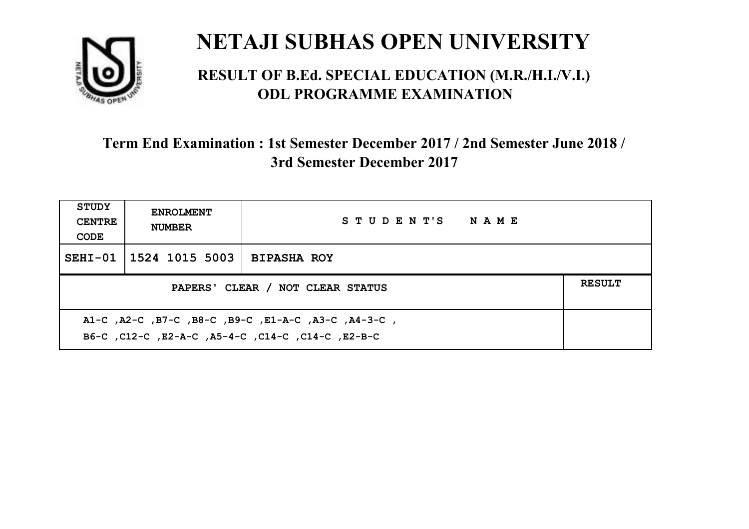

#### **RESULT OF B.Ed. SPECIAL EDUCATION (M.R./H.I./V.I.) ODL PROGRAMME EXAMINATION**

| <b>STUDY</b><br><b>CENTRE</b><br>CODE                                                                    | <b>ENROLMENT</b><br><b>NUMBER</b> | STUDENT'S NAME     |  |  |
|----------------------------------------------------------------------------------------------------------|-----------------------------------|--------------------|--|--|
|                                                                                                          | SEHI-01   1524 1015 5003          | <b>BIPASHA ROY</b> |  |  |
| <b>RESULT</b><br>PAPERS' CLEAR / NOT CLEAR STATUS                                                        |                                   |                    |  |  |
| A1-C, A2-C, B7-C, B8-C, B9-C, E1-A-C, A3-C, A4-3-C,<br>B6-C, C12-C, E2-A-C, A5-4-C, C14-C, C14-C, E2-B-C |                                   |                    |  |  |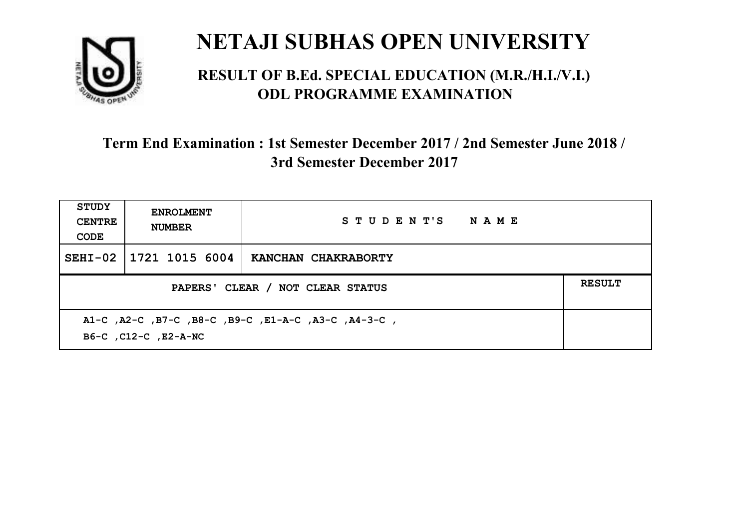

#### **RESULT OF B.Ed. SPECIAL EDUCATION (M.R./H.I./V.I.) ODL PROGRAMME EXAMINATION**

| <b>STUDY</b><br><b>CENTRE</b><br>CODE                                       | <b>ENROLMENT</b><br><b>NUMBER</b>                 | STUDENT'S NAME      |  |  |  |
|-----------------------------------------------------------------------------|---------------------------------------------------|---------------------|--|--|--|
| $SEHI-02$                                                                   | 1721 1015 6004                                    | KANCHAN CHAKRABORTY |  |  |  |
|                                                                             | <b>RESULT</b><br>PAPERS' CLEAR / NOT CLEAR STATUS |                     |  |  |  |
| A1-C, A2-C, B7-C, B8-C, B9-C, E1-A-C, A3-C, A4-3-C,<br>B6-C, C12-C, E2-A-NC |                                                   |                     |  |  |  |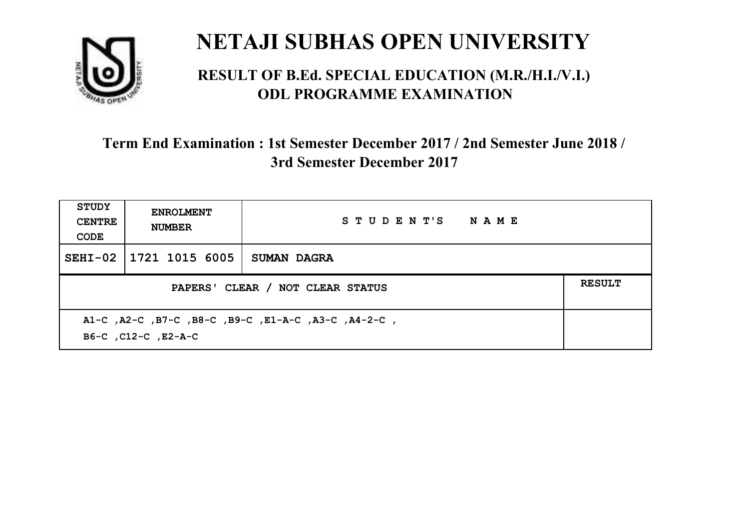

#### **RESULT OF B.Ed. SPECIAL EDUCATION (M.R./H.I./V.I.) ODL PROGRAMME EXAMINATION**

| <b>STUDY</b><br><b>CENTRE</b><br>CODE | <b>ENROLMENT</b><br><b>NUMBER</b>                                          | STUDENT'S NAME     |  |  |  |
|---------------------------------------|----------------------------------------------------------------------------|--------------------|--|--|--|
| $SEHI-02$                             | 1721 1015 6005                                                             | <b>SUMAN DAGRA</b> |  |  |  |
|                                       | <b>RESULT</b><br>PAPERS' CLEAR / NOT CLEAR STATUS                          |                    |  |  |  |
|                                       | A1-C, A2-C, B7-C, B8-C, B9-C, E1-A-C, A3-C, A4-2-C,<br>B6-C, C12-C, E2-A-C |                    |  |  |  |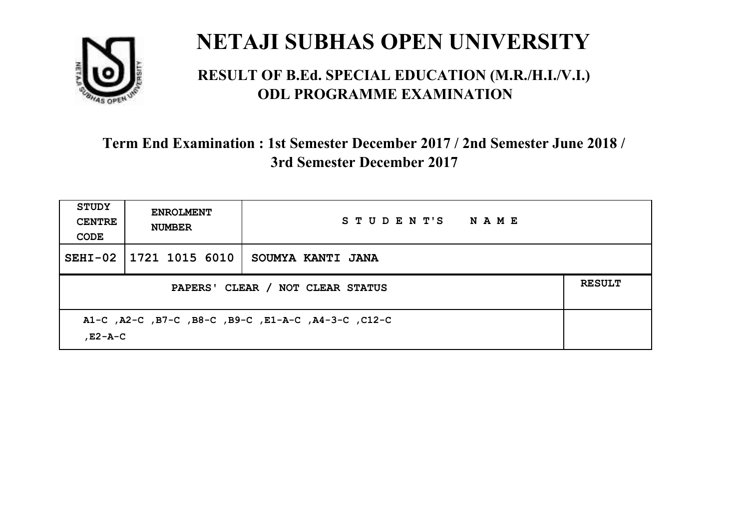

#### **RESULT OF B.Ed. SPECIAL EDUCATION (M.R./H.I./V.I.) ODL PROGRAMME EXAMINATION**

| <b>STUDY</b><br><b>CENTRE</b><br>CODE | <b>ENROLMENT</b><br><b>NUMBER</b>                              | STUDENT'S NAME    |  |  |  |
|---------------------------------------|----------------------------------------------------------------|-------------------|--|--|--|
|                                       | SEHI-02   1721 1015 6010                                       | SOUMYA KANTI JANA |  |  |  |
|                                       | <b>RESULT</b><br>PAPERS' CLEAR / NOT CLEAR STATUS              |                   |  |  |  |
|                                       | A1-C, A2-C, B7-C, B8-C, B9-C, E1-A-C, A4-3-C, C12-C<br>.E2-A-C |                   |  |  |  |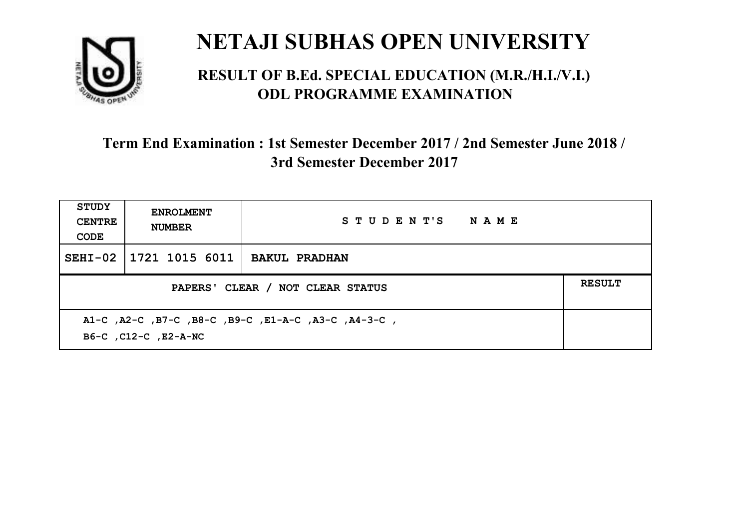

#### **RESULT OF B.Ed. SPECIAL EDUCATION (M.R./H.I./V.I.) ODL PROGRAMME EXAMINATION**

| <b>STUDY</b><br><b>CENTRE</b><br>CODE                                       | <b>ENROLMENT</b><br><b>NUMBER</b> | STUDENT'S NAME       |  |
|-----------------------------------------------------------------------------|-----------------------------------|----------------------|--|
| $SEHI-02$                                                                   | 1721 1015 6011                    | <b>BAKUL PRADHAN</b> |  |
| <b>RESULT</b><br>PAPERS' CLEAR / NOT CLEAR STATUS                           |                                   |                      |  |
| A1-C, A2-C, B7-C, B8-C, B9-C, E1-A-C, A3-C, A4-3-C,<br>B6-C, C12-C, E2-A-NC |                                   |                      |  |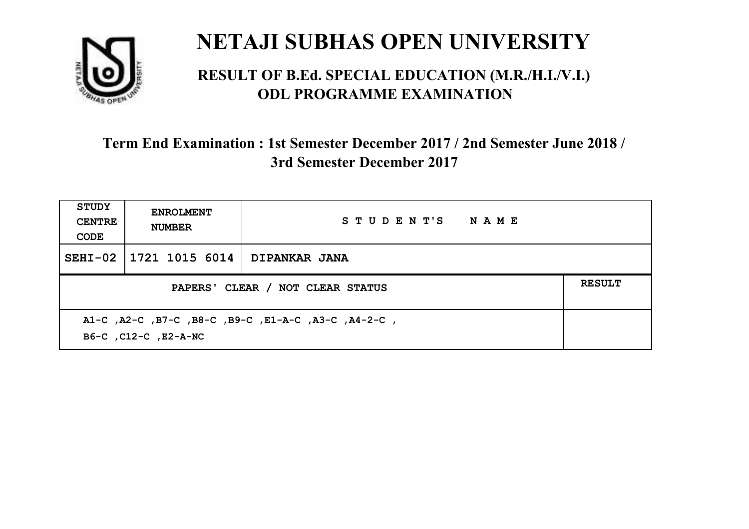

#### **RESULT OF B.Ed. SPECIAL EDUCATION (M.R./H.I./V.I.) ODL PROGRAMME EXAMINATION**

| <b>STUDY</b><br><b>CENTRE</b><br>CODE                                       | <b>ENROLMENT</b><br><b>NUMBER</b> | STUDENT'S NAME |  |
|-----------------------------------------------------------------------------|-----------------------------------|----------------|--|
| $SEHI-02$                                                                   | 1721 1015 6014                    | DIPANKAR JANA  |  |
| <b>RESULT</b><br>PAPERS' CLEAR / NOT CLEAR STATUS                           |                                   |                |  |
| A1-C, A2-C, B7-C, B8-C, B9-C, E1-A-C, A3-C, A4-2-C,<br>B6-C, C12-C, E2-A-NC |                                   |                |  |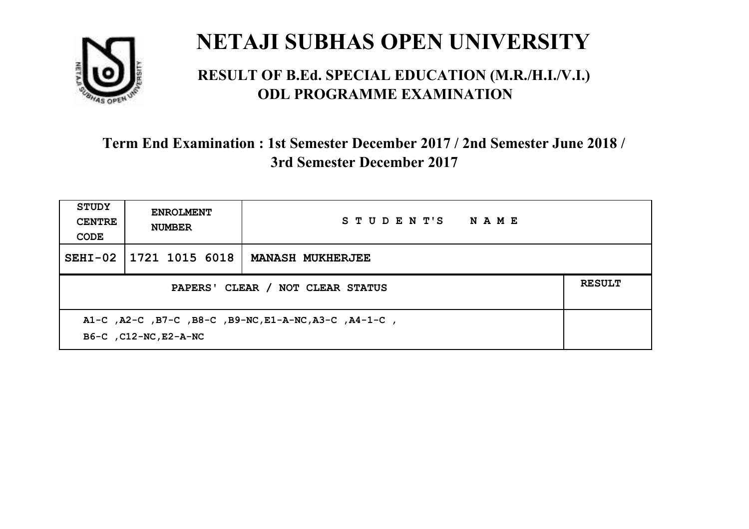

#### **RESULT OF B.Ed. SPECIAL EDUCATION (M.R./H.I./V.I.) ODL PROGRAMME EXAMINATION**

| <b>STUDY</b><br><b>CENTRE</b><br>CODE                                           | <b>ENROLMENT</b><br><b>NUMBER</b>                 | STUDENT'S NAME          |  |  |
|---------------------------------------------------------------------------------|---------------------------------------------------|-------------------------|--|--|
| $SEHI-02$                                                                       | 1721 1015 6018                                    | <b>MANASH MUKHERJEE</b> |  |  |
|                                                                                 | <b>RESULT</b><br>PAPERS' CLEAR / NOT CLEAR STATUS |                         |  |  |
| A1-C, A2-C, B7-C, B8-C, B9-NC, E1-A-NC, A3-C, A4-1-C,<br>B6-C , C12-NC, E2-A-NC |                                                   |                         |  |  |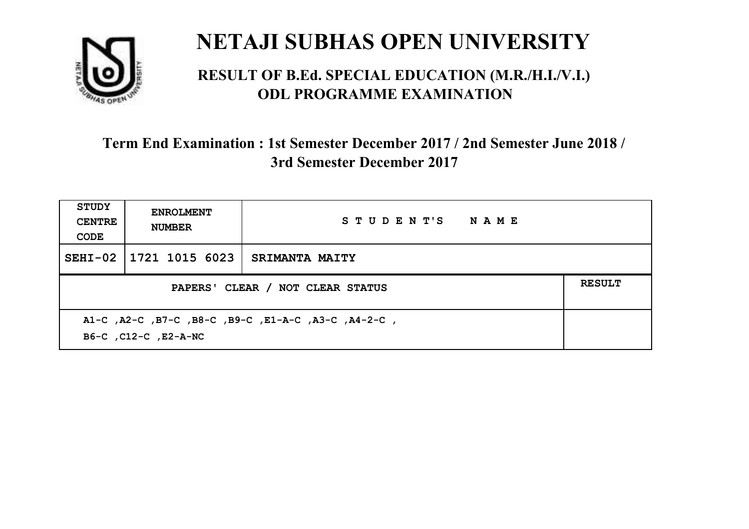

#### **RESULT OF B.Ed. SPECIAL EDUCATION (M.R./H.I./V.I.) ODL PROGRAMME EXAMINATION**

| <b>STUDY</b><br><b>CENTRE</b><br>CODE | <b>ENROLMENT</b><br><b>NUMBER</b>                                           | STUDENT'S NAME        |  |  |  |
|---------------------------------------|-----------------------------------------------------------------------------|-----------------------|--|--|--|
|                                       | SEHI-02 1721 1015 6023                                                      | <b>SRIMANTA MAITY</b> |  |  |  |
|                                       | <b>RESULT</b><br>PAPERS' CLEAR / NOT CLEAR STATUS                           |                       |  |  |  |
|                                       | A1-C, A2-C, B7-C, B8-C, B9-C, E1-A-C, A3-C, A4-2-C,<br>B6-C, C12-C, E2-A-NC |                       |  |  |  |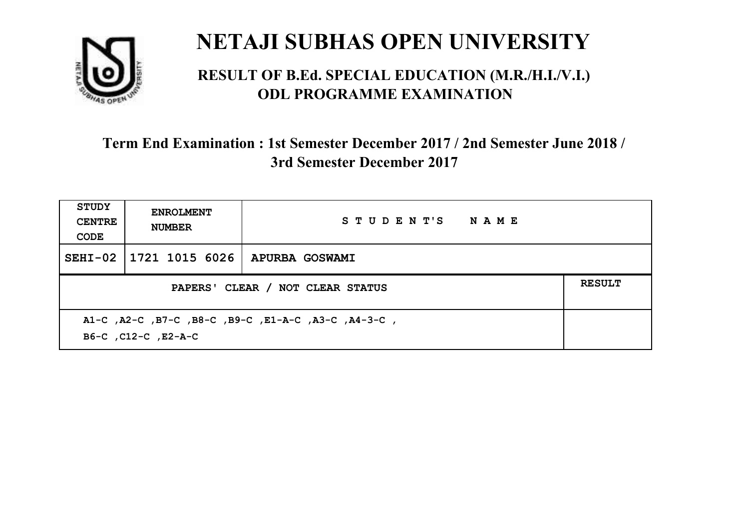

#### **RESULT OF B.Ed. SPECIAL EDUCATION (M.R./H.I./V.I.) ODL PROGRAMME EXAMINATION**

| <b>STUDY</b><br><b>CENTRE</b><br>CODE                                      | <b>ENROLMENT</b><br><b>NUMBER</b>                 | STUDENT'S NAME |  |  |  |
|----------------------------------------------------------------------------|---------------------------------------------------|----------------|--|--|--|
|                                                                            | SEHI-02   1721 1015 6026                          | APURBA GOSWAMI |  |  |  |
|                                                                            | <b>RESULT</b><br>PAPERS' CLEAR / NOT CLEAR STATUS |                |  |  |  |
| A1-C, A2-C, B7-C, B8-C, B9-C, E1-A-C, A3-C, A4-3-C,<br>B6-C, C12-C, E2-A-C |                                                   |                |  |  |  |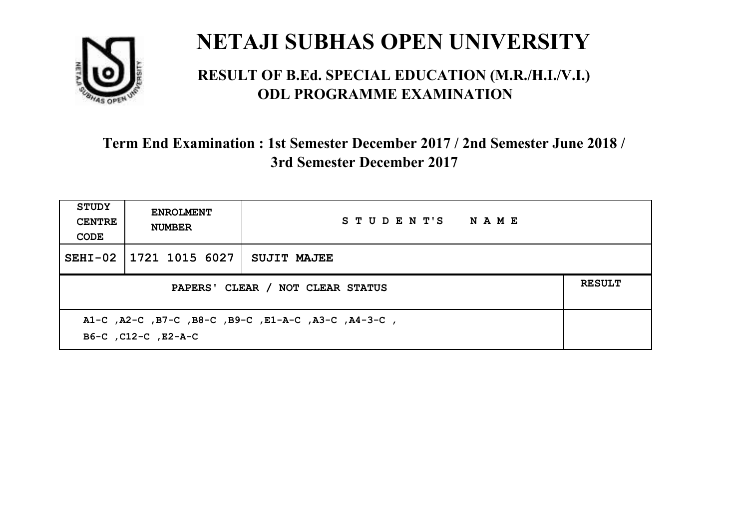

#### **RESULT OF B.Ed. SPECIAL EDUCATION (M.R./H.I./V.I.) ODL PROGRAMME EXAMINATION**

| <b>STUDY</b><br><b>CENTRE</b><br>CODE                                      | <b>ENROLMENT</b><br><b>NUMBER</b>                 | STUDENT'S NAME     |  |  |  |
|----------------------------------------------------------------------------|---------------------------------------------------|--------------------|--|--|--|
| $SEHI-02$                                                                  | 1721 1015 6027                                    | <b>SUJIT MAJEE</b> |  |  |  |
|                                                                            | <b>RESULT</b><br>PAPERS' CLEAR / NOT CLEAR STATUS |                    |  |  |  |
| A1-C, A2-C, B7-C, B8-C, B9-C, E1-A-C, A3-C, A4-3-C,<br>B6-C, C12-C, E2-A-C |                                                   |                    |  |  |  |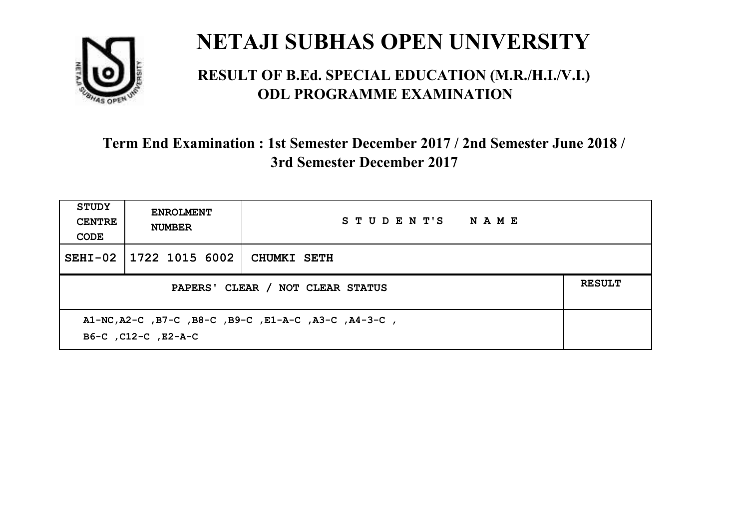

#### **RESULT OF B.Ed. SPECIAL EDUCATION (M.R./H.I./V.I.) ODL PROGRAMME EXAMINATION**

| STUDY<br><b>CENTRE</b><br>CODE | <b>ENROLMENT</b><br><b>NUMBER</b>                                           | STUDENT'S NAME |  |  |  |
|--------------------------------|-----------------------------------------------------------------------------|----------------|--|--|--|
| $SEHI-02$                      | 1722 1015 6002                                                              | CHUMKI SETH    |  |  |  |
|                                | <b>RESULT</b><br>PAPERS' CLEAR / NOT CLEAR STATUS                           |                |  |  |  |
|                                | A1-NC, A2-C, B7-C, B8-C, B9-C, E1-A-C, A3-C, A4-3-C,<br>B6-C, C12-C, E2-A-C |                |  |  |  |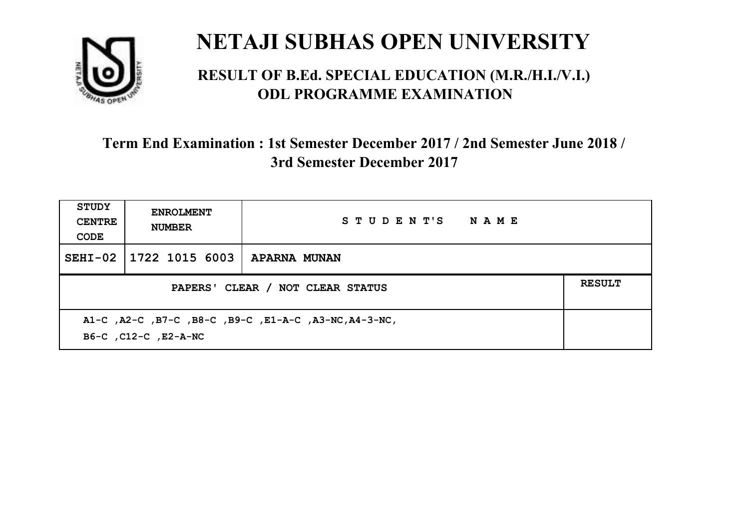

#### **RESULT OF B.Ed. SPECIAL EDUCATION (M.R./H.I./V.I.) ODL PROGRAMME EXAMINATION**

| <b>STUDY</b><br><b>CENTRE</b><br>CODE                                         | <b>ENROLMENT</b><br><b>NUMBER</b>                 | STUDENT'S NAME |  |  |
|-------------------------------------------------------------------------------|---------------------------------------------------|----------------|--|--|
| $SEHI-02$                                                                     | 1722 1015 6003                                    | APARNA MUNAN   |  |  |
|                                                                               | <b>RESULT</b><br>PAPERS' CLEAR / NOT CLEAR STATUS |                |  |  |
| A1-C, A2-C, B7-C, B8-C, B9-C, E1-A-C, A3-NC, A4-3-NC,<br>B6-C, C12-C, E2-A-NC |                                                   |                |  |  |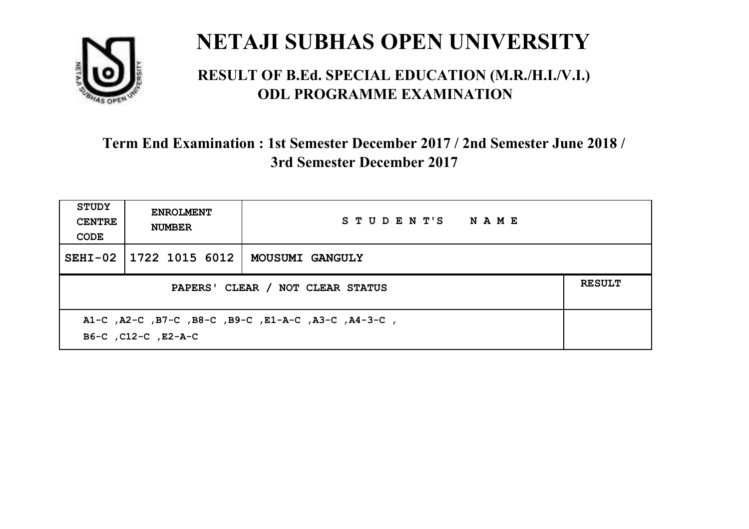

#### **RESULT OF B.Ed. SPECIAL EDUCATION (M.R./H.I./V.I.) ODL PROGRAMME EXAMINATION**

| <b>STUDY</b><br><b>CENTRE</b><br>CODE                                      | <b>ENROLMENT</b><br><b>NUMBER</b>                 | STUDENT'S NAME         |  |  |  |
|----------------------------------------------------------------------------|---------------------------------------------------|------------------------|--|--|--|
|                                                                            | SEHI-02   1722 1015 6012                          | <b>MOUSUMI GANGULY</b> |  |  |  |
|                                                                            | <b>RESULT</b><br>PAPERS' CLEAR / NOT CLEAR STATUS |                        |  |  |  |
| A1-C, A2-C, B7-C, B8-C, B9-C, E1-A-C, A3-C, A4-3-C,<br>B6-C, C12-C, E2-A-C |                                                   |                        |  |  |  |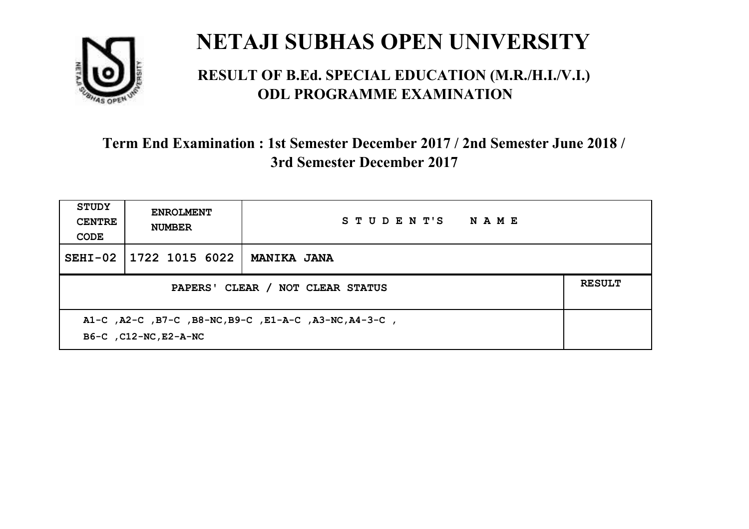

#### **RESULT OF B.Ed. SPECIAL EDUCATION (M.R./H.I./V.I.) ODL PROGRAMME EXAMINATION**

| <b>STUDY</b><br><b>CENTRE</b><br>CODE                                           | <b>ENROLMENT</b><br><b>NUMBER</b> | STUDENT'S<br><b>NAME</b> |  |
|---------------------------------------------------------------------------------|-----------------------------------|--------------------------|--|
| $SEHI-02$                                                                       | 1722 1015 6022                    | <b>MANIKA JANA</b>       |  |
| PAPERS' CLEAR / NOT CLEAR STATUS                                                |                                   |                          |  |
| A1-C, A2-C, B7-C, B8-NC, B9-C, E1-A-C, A3-NC, A4-3-C,<br>B6-C , C12-NC, E2-A-NC |                                   |                          |  |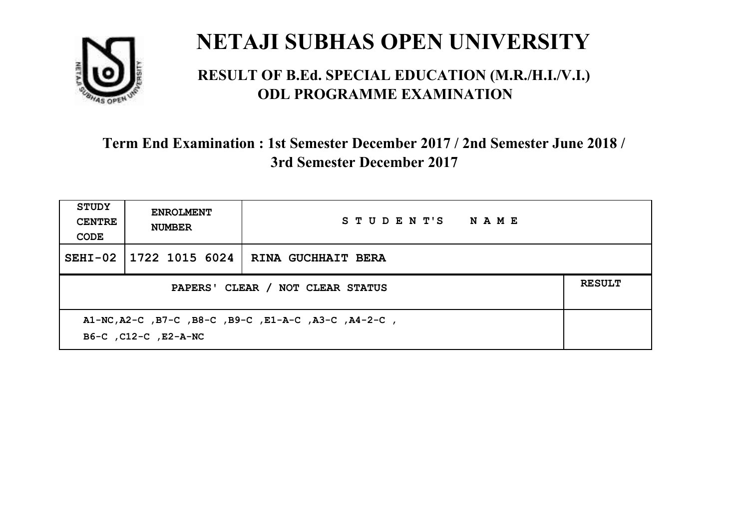

#### **RESULT OF B.Ed. SPECIAL EDUCATION (M.R./H.I./V.I.) ODL PROGRAMME EXAMINATION**

| <b>STUDY</b><br><b>CENTRE</b><br>CODE                                        | <b>ENROLMENT</b><br><b>NUMBER</b>                 | STUDENT'S NAME                      |  |  |  |
|------------------------------------------------------------------------------|---------------------------------------------------|-------------------------------------|--|--|--|
| $SEHI-02$                                                                    |                                                   | 1722 1015 6024   RINA GUCHHAIT BERA |  |  |  |
|                                                                              | <b>RESULT</b><br>PAPERS' CLEAR / NOT CLEAR STATUS |                                     |  |  |  |
| A1-NC, A2-C, B7-C, B8-C, B9-C, E1-A-C, A3-C, A4-2-C,<br>B6-C, C12-C, E2-A-NC |                                                   |                                     |  |  |  |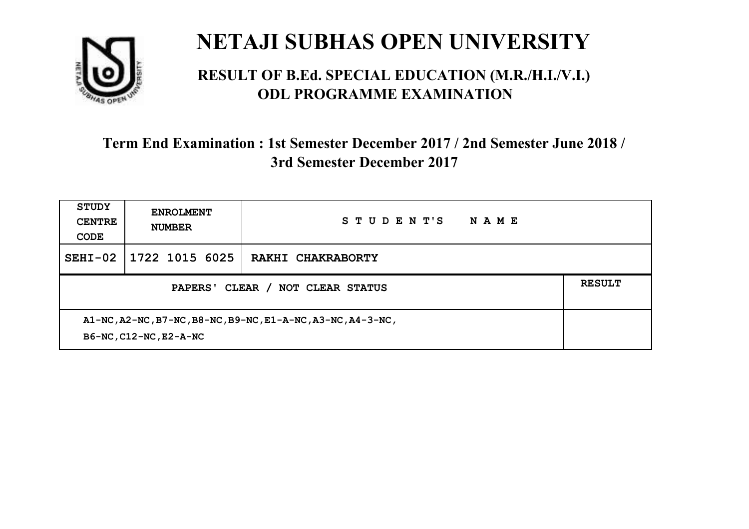

#### **RESULT OF B.Ed. SPECIAL EDUCATION (M.R./H.I./V.I.) ODL PROGRAMME EXAMINATION**

| <b>STUDY</b><br><b>CENTRE</b><br>CODE                                                 | <b>ENROLMENT</b><br><b>NUMBER</b> | STUDENT'S<br>NAME |  |
|---------------------------------------------------------------------------------------|-----------------------------------|-------------------|--|
| $SEHI-02$                                                                             | 1722 1015 6025                    | RAKHI CHAKRABORTY |  |
| PAPERS' CLEAR /<br><b>NOT CLEAR STATUS</b>                                            |                                   |                   |  |
| A1-NC, A2-NC, B7-NC, B8-NC, B9-NC, E1-A-NC, A3-NC, A4-3-NC,<br>B6-NC, C12-NC, E2-A-NC |                                   |                   |  |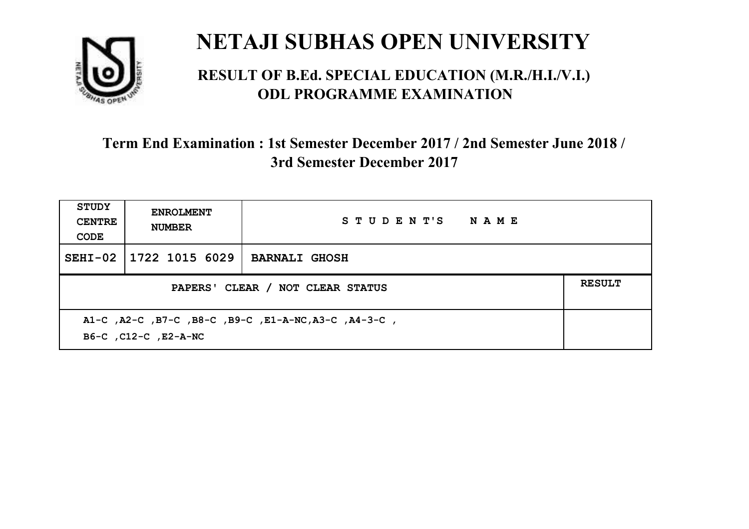

#### **RESULT OF B.Ed. SPECIAL EDUCATION (M.R./H.I./V.I.) ODL PROGRAMME EXAMINATION**

| <b>STUDY</b><br><b>CENTRE</b><br>CODE                                        | <b>ENROLMENT</b><br><b>NUMBER</b> | STUDENT'S NAME       |               |
|------------------------------------------------------------------------------|-----------------------------------|----------------------|---------------|
| $SEHI-02$                                                                    | 1722 1015 6029                    | <b>BARNALI GHOSH</b> |               |
| PAPERS' CLEAR / NOT CLEAR STATUS                                             |                                   |                      | <b>RESULT</b> |
| A1-C, A2-C, B7-C, B8-C, B9-C, E1-A-NC, A3-C, A4-3-C,<br>B6-C, C12-C, E2-A-NC |                                   |                      |               |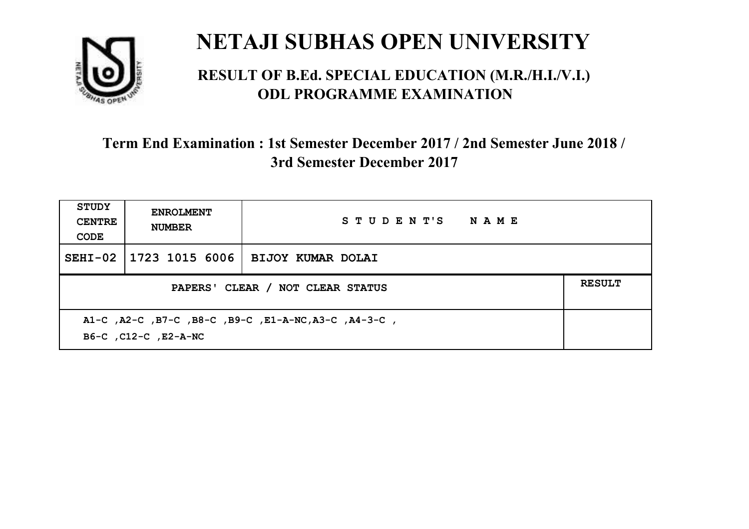

#### **RESULT OF B.Ed. SPECIAL EDUCATION (M.R./H.I./V.I.) ODL PROGRAMME EXAMINATION**

| STUDY<br><b>CENTRE</b><br>CODE                                               | <b>ENROLMENT</b><br><b>NUMBER</b> | STUDENT'S NAME                     |  |
|------------------------------------------------------------------------------|-----------------------------------|------------------------------------|--|
| $SEHI-02$                                                                    |                                   | 1723 1015 6006   BIJOY KUMAR DOLAI |  |
| PAPERS' CLEAR / NOT CLEAR STATUS                                             |                                   |                                    |  |
| A1-C, A2-C, B7-C, B8-C, B9-C, E1-A-NC, A3-C, A4-3-C,<br>B6-C, C12-C, E2-A-NC |                                   |                                    |  |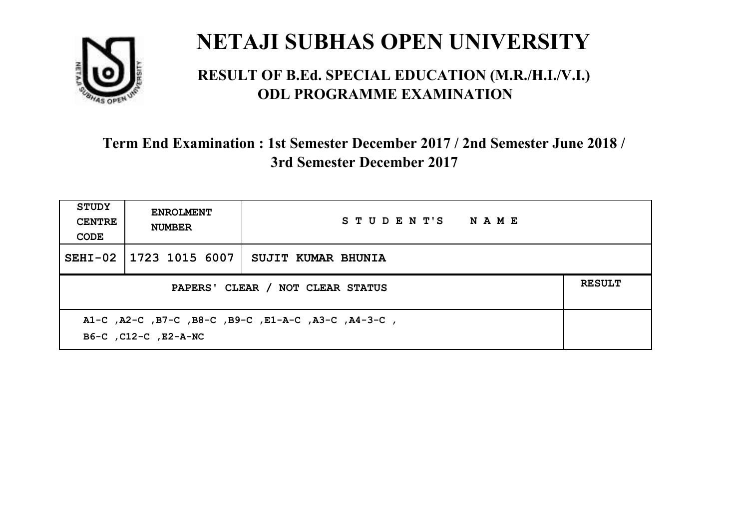

#### **RESULT OF B.Ed. SPECIAL EDUCATION (M.R./H.I./V.I.) ODL PROGRAMME EXAMINATION**

| <b>STUDY</b><br><b>CENTRE</b><br>CODE                                       | <b>ENROLMENT</b><br><b>NUMBER</b> | STUDENT'S NAME     |  |  |
|-----------------------------------------------------------------------------|-----------------------------------|--------------------|--|--|
|                                                                             | SEHI-02   1723 1015 6007          | SUJIT KUMAR BHUNIA |  |  |
| PAPERS' CLEAR / NOT CLEAR STATUS                                            |                                   |                    |  |  |
| A1-C, A2-C, B7-C, B8-C, B9-C, E1-A-C, A3-C, A4-3-C,<br>B6-C, C12-C, E2-A-NC |                                   |                    |  |  |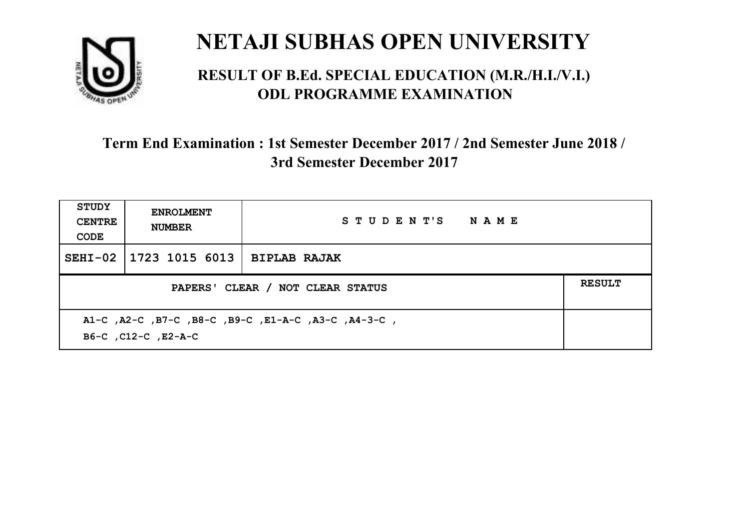

#### **RESULT OF B.Ed. SPECIAL EDUCATION (M.R./H.I./V.I.) ODL PROGRAMME EXAMINATION**

| <b>STUDY</b><br><b>CENTRE</b><br>CODE                                      | <b>ENROLMENT</b><br><b>NUMBER</b> | STUDENT'S NAME |  |
|----------------------------------------------------------------------------|-----------------------------------|----------------|--|
| $SEHI-02$                                                                  | 1723 1015 6013   BIPLAB RAJAK     |                |  |
| <b>RESULT</b><br>PAPERS' CLEAR / NOT CLEAR STATUS                          |                                   |                |  |
| A1-C, A2-C, B7-C, B8-C, B9-C, E1-A-C, A3-C, A4-3-C,<br>B6-C, C12-C, E2-A-C |                                   |                |  |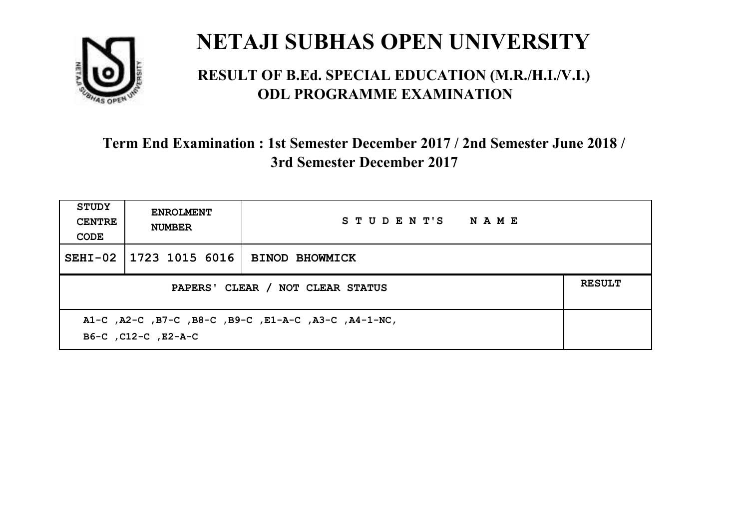

#### **RESULT OF B.Ed. SPECIAL EDUCATION (M.R./H.I./V.I.) ODL PROGRAMME EXAMINATION**

| <b>STUDY</b><br><b>CENTRE</b><br>CODE                                       | <b>ENROLMENT</b><br><b>NUMBER</b> | STUDENT'S NAME        |               |
|-----------------------------------------------------------------------------|-----------------------------------|-----------------------|---------------|
|                                                                             | SEHI-02   1723 1015 6016          | <b>BINOD BHOWMICK</b> |               |
| PAPERS' CLEAR / NOT CLEAR STATUS                                            |                                   |                       | <b>RESULT</b> |
| A1-C, A2-C, B7-C, B8-C, B9-C, E1-A-C, A3-C, A4-1-NC,<br>B6-C, C12-C, E2-A-C |                                   |                       |               |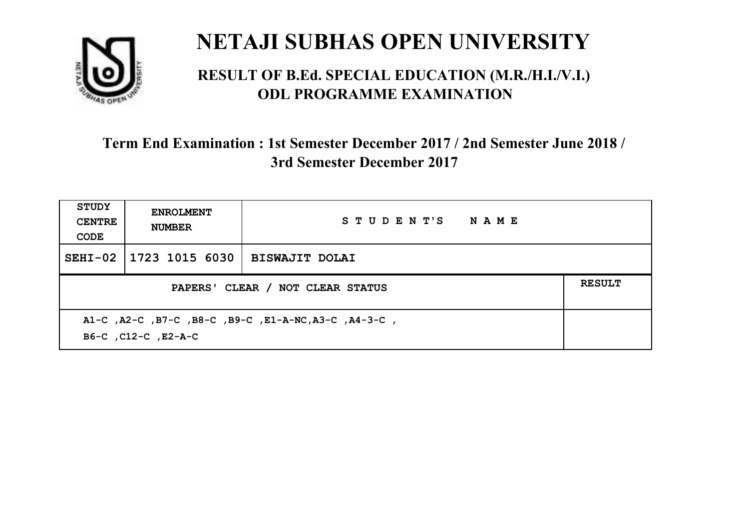

#### **RESULT OF B.Ed. SPECIAL EDUCATION (M.R./H.I./V.I.) ODL PROGRAMME EXAMINATION**

| <b>STUDY</b><br><b>CENTRE</b><br>CODE                                       | <b>ENROLMENT</b><br><b>NUMBER</b> | STUDENT'S NAME        |               |
|-----------------------------------------------------------------------------|-----------------------------------|-----------------------|---------------|
|                                                                             | SEHI-02   1723 1015 6030          | <b>BISWAJIT DOLAI</b> |               |
| PAPERS' CLEAR / NOT CLEAR STATUS                                            |                                   |                       | <b>RESULT</b> |
| A1-C, A2-C, B7-C, B8-C, B9-C, E1-A-NC, A3-C, A4-3-C,<br>B6-C, C12-C, E2-A-C |                                   |                       |               |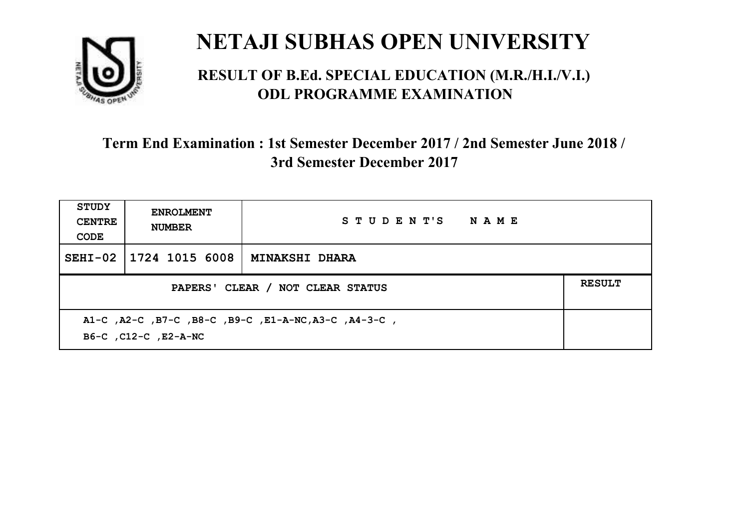

#### **RESULT OF B.Ed. SPECIAL EDUCATION (M.R./H.I./V.I.) ODL PROGRAMME EXAMINATION**

| <b>STUDY</b><br><b>CENTRE</b><br>CODE                                        | <b>ENROLMENT</b><br><b>NUMBER</b> | STUDENT'S NAME        |               |
|------------------------------------------------------------------------------|-----------------------------------|-----------------------|---------------|
| $SEHI-02$                                                                    | 1724 1015 6008                    | <b>MINAKSHI DHARA</b> |               |
| PAPERS' CLEAR / NOT CLEAR STATUS                                             |                                   |                       | <b>RESULT</b> |
| A1-C, A2-C, B7-C, B8-C, B9-C, E1-A-NC, A3-C, A4-3-C,<br>B6-C, C12-C, E2-A-NC |                                   |                       |               |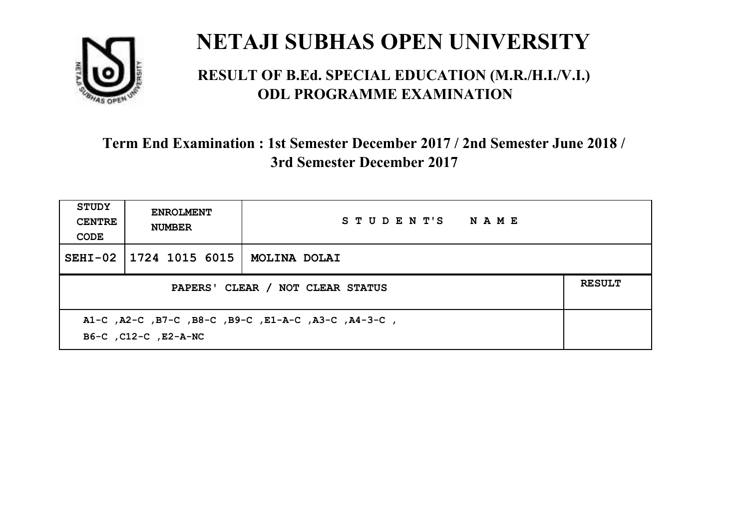

#### **RESULT OF B.Ed. SPECIAL EDUCATION (M.R./H.I./V.I.) ODL PROGRAMME EXAMINATION**

| <b>STUDY</b><br><b>CENTRE</b><br>CODE                                       | <b>ENROLMENT</b><br><b>NUMBER</b> | STUDENT'S NAME |  |  |
|-----------------------------------------------------------------------------|-----------------------------------|----------------|--|--|
| $SEHI-02$                                                                   | 1724 1015 6015                    | MOLINA DOLAI   |  |  |
| <b>RESULT</b><br>PAPERS' CLEAR / NOT CLEAR STATUS                           |                                   |                |  |  |
| A1-C, A2-C, B7-C, B8-C, B9-C, E1-A-C, A3-C, A4-3-C,<br>B6-C, C12-C, E2-A-NC |                                   |                |  |  |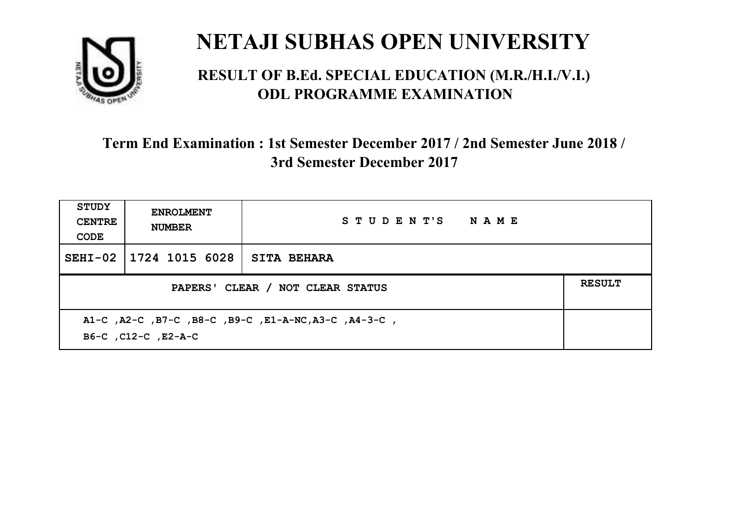

#### **RESULT OF B.Ed. SPECIAL EDUCATION (M.R./H.I./V.I.) ODL PROGRAMME EXAMINATION**

| <b>STUDY</b><br><b>CENTRE</b><br>CODE                                       | <b>ENROLMENT</b><br><b>NUMBER</b> | STUDENT'S NAME     |               |
|-----------------------------------------------------------------------------|-----------------------------------|--------------------|---------------|
| $SEHI-02$                                                                   | 1724 1015 6028                    | <b>SITA BEHARA</b> |               |
| PAPERS' CLEAR / NOT CLEAR STATUS                                            |                                   |                    | <b>RESULT</b> |
| A1-C, A2-C, B7-C, B8-C, B9-C, E1-A-NC, A3-C, A4-3-C,<br>B6-C, C12-C, E2-A-C |                                   |                    |               |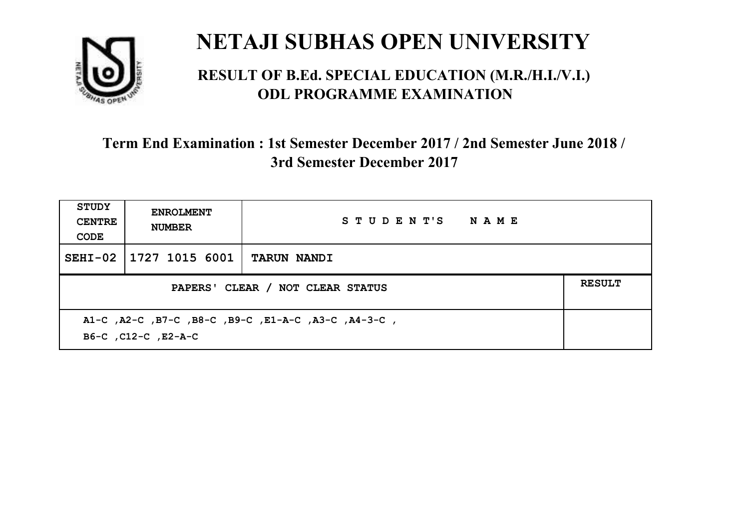

#### **RESULT OF B.Ed. SPECIAL EDUCATION (M.R./H.I./V.I.) ODL PROGRAMME EXAMINATION**

| <b>STUDY</b><br><b>CENTRE</b><br>CODE                                      | <b>ENROLMENT</b><br><b>NUMBER</b> | STUDENT'S NAME     |  |  |
|----------------------------------------------------------------------------|-----------------------------------|--------------------|--|--|
| $SEHI-02$                                                                  | 1727 1015 6001                    | <b>TARUN NANDI</b> |  |  |
| <b>RESULT</b><br>PAPERS' CLEAR / NOT CLEAR STATUS                          |                                   |                    |  |  |
| A1-C, A2-C, B7-C, B8-C, B9-C, E1-A-C, A3-C, A4-3-C,<br>B6-C, C12-C, E2-A-C |                                   |                    |  |  |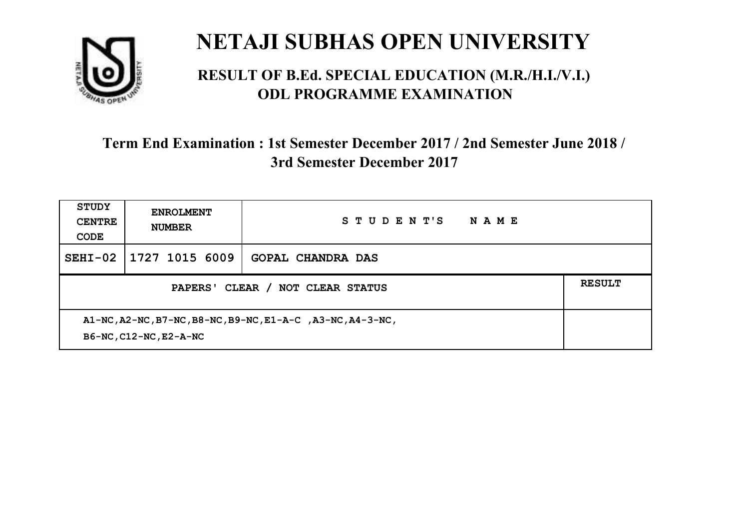

#### **RESULT OF B.Ed. SPECIAL EDUCATION (M.R./H.I./V.I.) ODL PROGRAMME EXAMINATION**

| <b>STUDY</b><br><b>CENTRE</b><br>CODE                                                | <b>ENROLMENT</b><br><b>NUMBER</b> | STUDENT'S<br>NAME        |               |
|--------------------------------------------------------------------------------------|-----------------------------------|--------------------------|---------------|
| $SEHI-02$                                                                            | 1727 1015 6009                    | <b>GOPAL CHANDRA DAS</b> |               |
| CLEAR /<br><b>PAPERS'</b><br><b>NOT CLEAR STATUS</b>                                 |                                   |                          | <b>RESULT</b> |
| A1-NC, A2-NC, B7-NC, B8-NC, B9-NC, E1-A-C, A3-NC, A4-3-NC,<br>B6-NC, C12-NC, E2-A-NC |                                   |                          |               |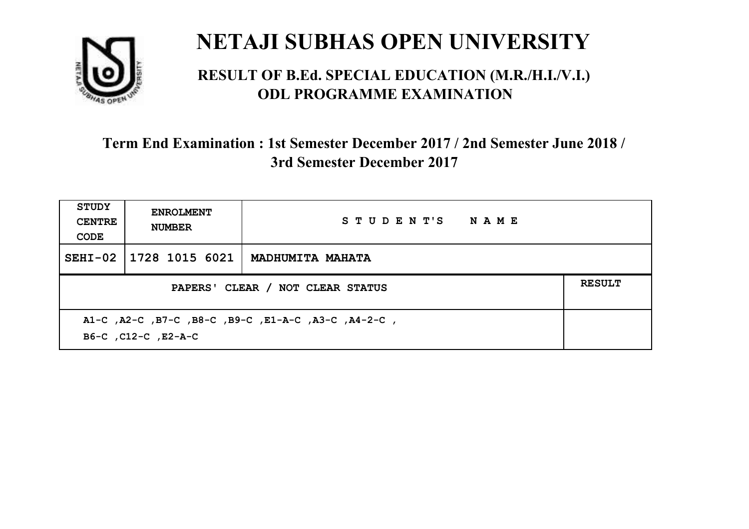

#### **RESULT OF B.Ed. SPECIAL EDUCATION (M.R./H.I./V.I.) ODL PROGRAMME EXAMINATION**

| STUDY<br><b>CENTRE</b><br>CODE                                             | <b>ENROLMENT</b><br><b>NUMBER</b> | STUDENT'S NAME          |               |
|----------------------------------------------------------------------------|-----------------------------------|-------------------------|---------------|
| $SEHI-02$                                                                  | 1728 1015 6021                    | <b>MADHUMITA MAHATA</b> |               |
| PAPERS' CLEAR / NOT CLEAR STATUS                                           |                                   |                         | <b>RESULT</b> |
| A1-C, A2-C, B7-C, B8-C, B9-C, E1-A-C, A3-C, A4-2-C,<br>B6-C, C12-C, E2-A-C |                                   |                         |               |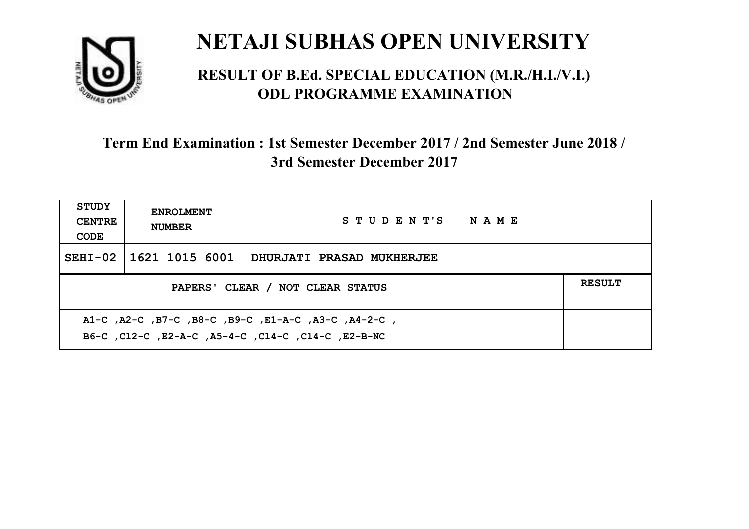

#### **RESULT OF B.Ed. SPECIAL EDUCATION (M.R./H.I./V.I.) ODL PROGRAMME EXAMINATION**

| <b>STUDY</b><br><b>CENTRE</b><br>CODE                                                                     | <b>ENROLMENT</b><br><b>NUMBER</b> | STUDENT'S NAME            |  |  |
|-----------------------------------------------------------------------------------------------------------|-----------------------------------|---------------------------|--|--|
|                                                                                                           | SEHI-02 1621 1015 6001            | DHURJATI PRASAD MUKHERJEE |  |  |
| PAPERS' CLEAR / NOT CLEAR STATUS                                                                          |                                   |                           |  |  |
| A1-C, A2-C, B7-C, B8-C, B9-C, E1-A-C, A3-C, A4-2-C,<br>B6-C, C12-C, E2-A-C, A5-4-C, C14-C, C14-C, E2-B-NC |                                   |                           |  |  |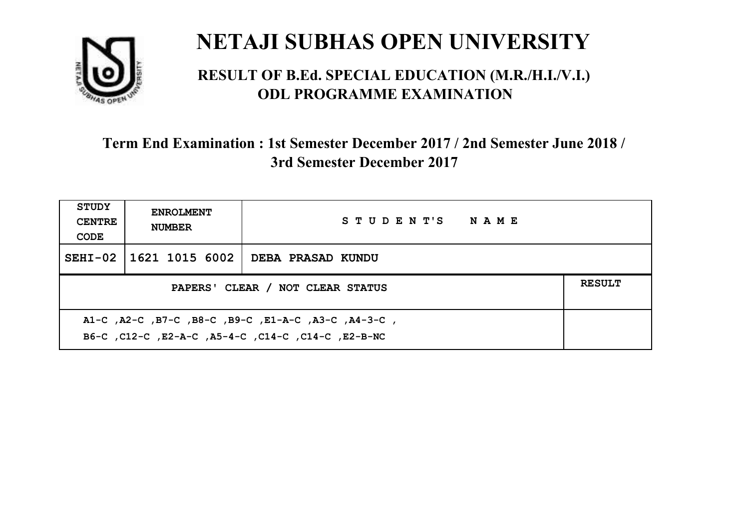

#### **RESULT OF B.Ed. SPECIAL EDUCATION (M.R./H.I./V.I.) ODL PROGRAMME EXAMINATION**

| <b>STUDY</b><br><b>CENTRE</b><br>CODE                                                                       | <b>ENROLMENT</b><br><b>NUMBER</b>                 | STUDENT'S NAME    |  |  |  |
|-------------------------------------------------------------------------------------------------------------|---------------------------------------------------|-------------------|--|--|--|
|                                                                                                             | SEHI-02   1621 1015 6002                          | DEBA PRASAD KUNDU |  |  |  |
|                                                                                                             | <b>RESULT</b><br>PAPERS' CLEAR / NOT CLEAR STATUS |                   |  |  |  |
| , A1-C, A2-C, B7-C, B8-C, B9-C, E1-A-C, A3-C, A4-3-C,<br>B6-C, C12-C, E2-A-C, A5-4-C, C14-C, C14-C, E2-B-NC |                                                   |                   |  |  |  |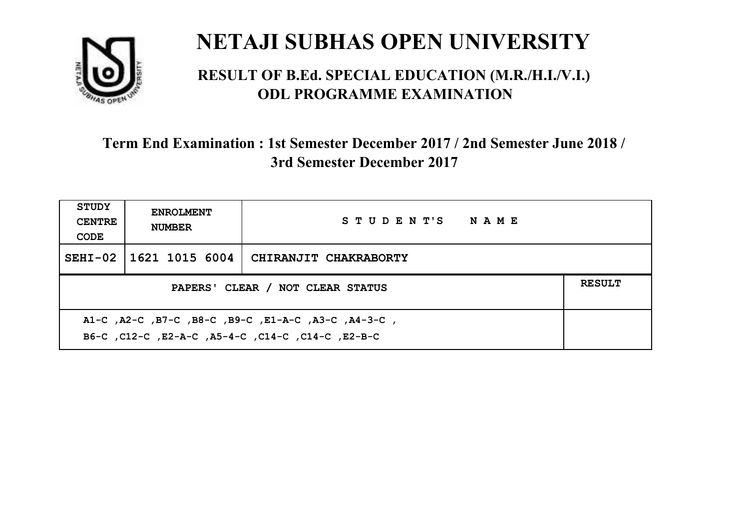

#### **RESULT OF B.Ed. SPECIAL EDUCATION (M.R./H.I./V.I.) ODL PROGRAMME EXAMINATION**

| <b>STUDY</b><br><b>CENTRE</b><br>CODE                                                                     | <b>ENROLMENT</b><br><b>NUMBER</b>                 | STUDENT'S NAME        |  |  |  |
|-----------------------------------------------------------------------------------------------------------|---------------------------------------------------|-----------------------|--|--|--|
|                                                                                                           | SEHI-02 1621 1015 6004                            | CHIRANJIT CHAKRABORTY |  |  |  |
|                                                                                                           | <b>RESULT</b><br>PAPERS' CLEAR / NOT CLEAR STATUS |                       |  |  |  |
| A1-C, A2-C, B7-C, B8-C, B9-C, E1-A-C, A3-C, A4-3-C,<br>B6-C, C12-C, E2-A-C, A5-4-C, C14-C, C14-C, C12-B-C |                                                   |                       |  |  |  |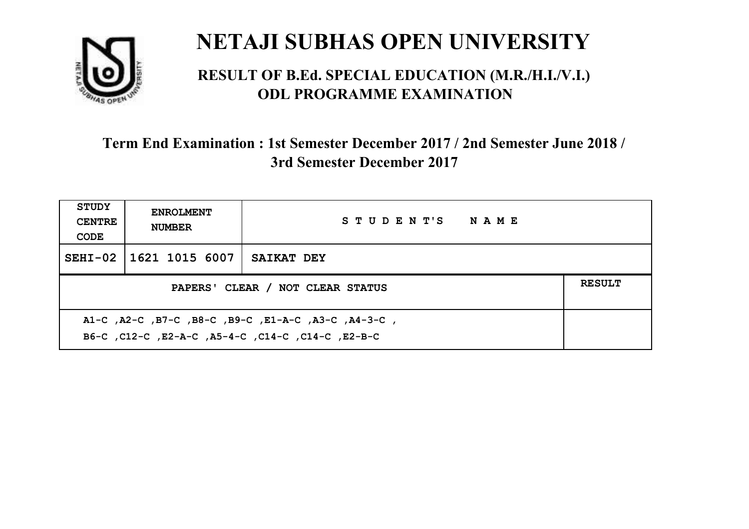

#### **RESULT OF B.Ed. SPECIAL EDUCATION (M.R./H.I./V.I.) ODL PROGRAMME EXAMINATION**

| <b>STUDY</b><br><b>CENTRE</b><br>CODE | <b>ENROLMENT</b><br><b>NUMBER</b>                                                                          | STUDENT'S NAME |  |  |  |
|---------------------------------------|------------------------------------------------------------------------------------------------------------|----------------|--|--|--|
|                                       | SEHI-02 11621 1015 6007                                                                                    | SAIKAT DEY     |  |  |  |
|                                       | <b>RESULT</b><br>PAPERS' CLEAR / NOT CLEAR STATUS                                                          |                |  |  |  |
|                                       | , A1-C, A2-C, B7-C, B8-C, B9-C, E1-A-C, A3-C, A4-3-C,<br>B6-C, C12-C, E2-A-C, A5-4-C, C14-C, C14-C, E2-B-C |                |  |  |  |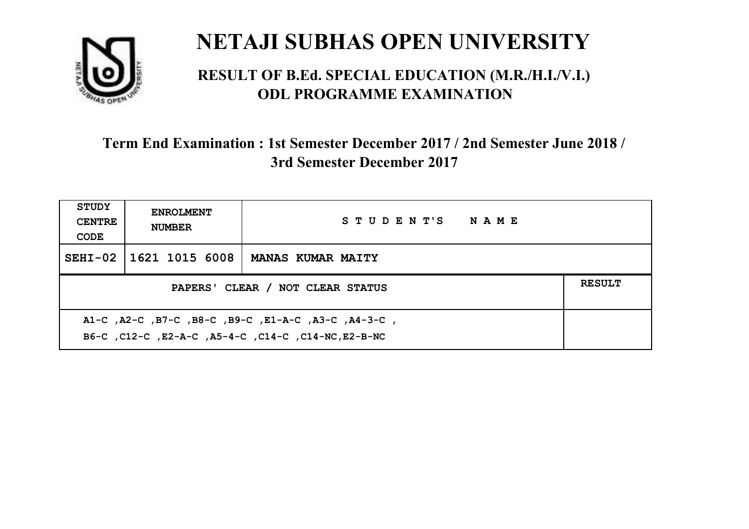

#### **RESULT OF B.Ed. SPECIAL EDUCATION (M.R./H.I./V.I.) ODL PROGRAMME EXAMINATION**

| <b>STUDY</b><br><b>CENTRE</b><br>CODE                                                                      | <b>ENROLMENT</b><br><b>NUMBER</b>                 | STUDENT'S NAME           |  |  |  |
|------------------------------------------------------------------------------------------------------------|---------------------------------------------------|--------------------------|--|--|--|
|                                                                                                            | SEHI-02 1621 1015 6008                            | <b>MANAS KUMAR MAITY</b> |  |  |  |
|                                                                                                            | <b>RESULT</b><br>PAPERS' CLEAR / NOT CLEAR STATUS |                          |  |  |  |
| A1-C, A2-C, B7-C, B8-C, B9-C, E1-A-C, A3-C, A4-3-C,<br>B6-C, C12-C, E2-A-C, A5-4-C, C14-C, C14-NC, E2-B-NC |                                                   |                          |  |  |  |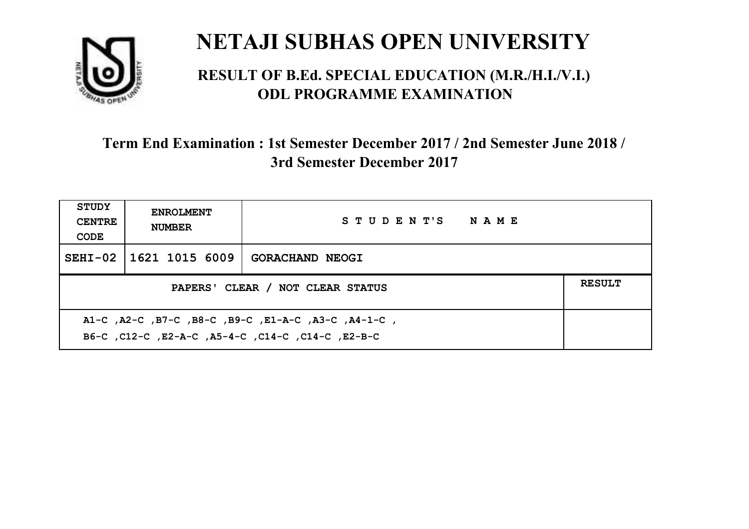

#### **RESULT OF B.Ed. SPECIAL EDUCATION (M.R./H.I./V.I.) ODL PROGRAMME EXAMINATION**

| <b>STUDY</b><br><b>CENTRE</b><br>CODE                                                                     | <b>ENROLMENT</b><br><b>NUMBER</b>                 | STUDENT'S NAME         |  |  |  |
|-----------------------------------------------------------------------------------------------------------|---------------------------------------------------|------------------------|--|--|--|
|                                                                                                           | SEHI-02 11621 1015 6009                           | <b>GORACHAND NEOGI</b> |  |  |  |
|                                                                                                           | <b>RESULT</b><br>PAPERS' CLEAR / NOT CLEAR STATUS |                        |  |  |  |
| A1-C, A2-C, B7-C, B8-C, B9-C, E1-A-C, A3-C, A4-1-C,<br>B6-C, C12-C, E2-A-C, A5-4-C, C14-C, C14-C, C12-B-C |                                                   |                        |  |  |  |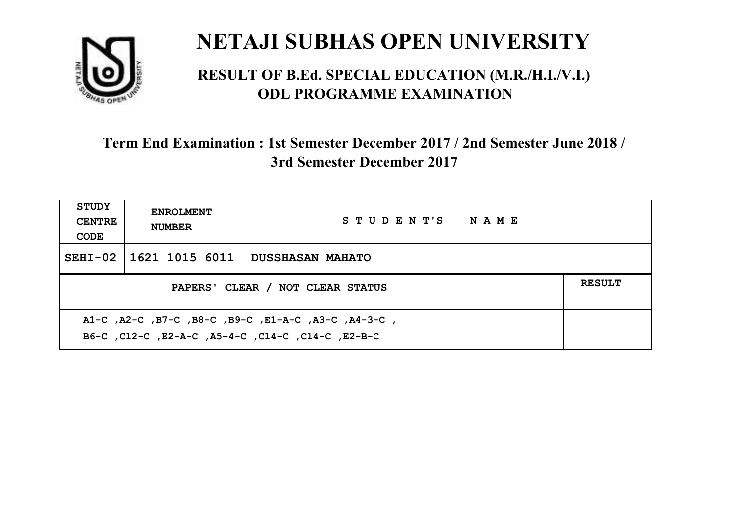

#### **RESULT OF B.Ed. SPECIAL EDUCATION (M.R./H.I./V.I.) ODL PROGRAMME EXAMINATION**

| <b>STUDY</b><br><b>CENTRE</b><br>CODE                                                                    | <b>ENROLMENT</b><br><b>NUMBER</b> | STUDENT'S NAME   |  |  |
|----------------------------------------------------------------------------------------------------------|-----------------------------------|------------------|--|--|
|                                                                                                          | SEHI-02   1621 1015 6011          | DUSSHASAN MAHATO |  |  |
| <b>RESULT</b><br>PAPERS' CLEAR / NOT CLEAR STATUS                                                        |                                   |                  |  |  |
| A1-C, A2-C, B7-C, B8-C, B9-C, E1-A-C, A3-C, A4-3-C,<br>B6-C, C12-C, E2-A-C, A5-4-C, C14-C, C14-C, E2-B-C |                                   |                  |  |  |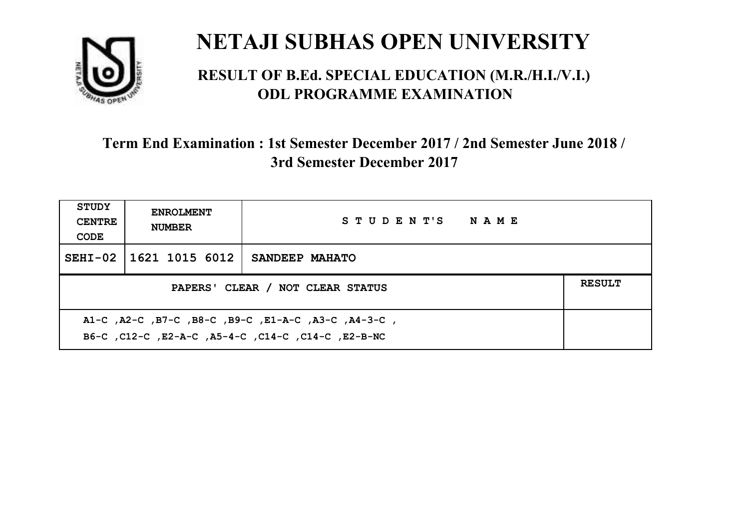

#### **RESULT OF B.Ed. SPECIAL EDUCATION (M.R./H.I./V.I.) ODL PROGRAMME EXAMINATION**

| <b>STUDY</b><br><b>CENTRE</b><br>CODE                                                                     | <b>ENROLMENT</b><br><b>NUMBER</b>                 | STUDENT'S NAME |  |  |  |
|-----------------------------------------------------------------------------------------------------------|---------------------------------------------------|----------------|--|--|--|
|                                                                                                           | SEHI-02 1621 1015 6012                            | SANDEEP MAHATO |  |  |  |
|                                                                                                           | <b>RESULT</b><br>PAPERS' CLEAR / NOT CLEAR STATUS |                |  |  |  |
| A1-C, A2-C, B7-C, B8-C, B9-C, E1-A-C, A3-C, A4-3-C,<br>B6-C, C12-C, E2-A-C, A5-4-C, C14-C, C14-C, E2-B-NC |                                                   |                |  |  |  |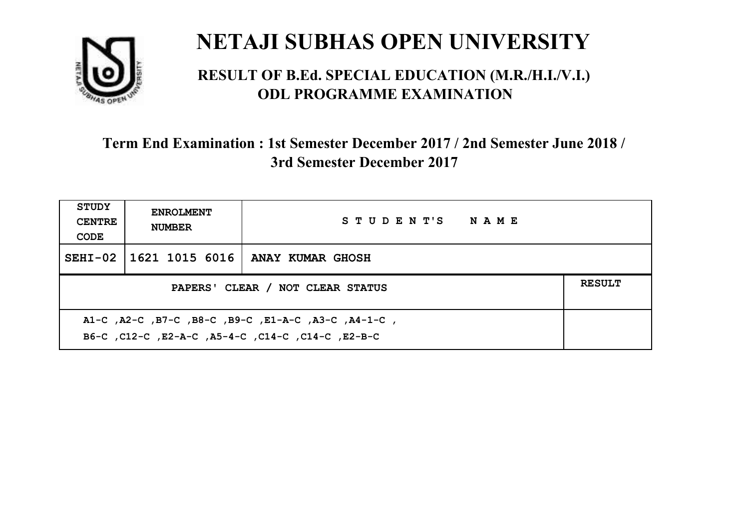

#### **RESULT OF B.Ed. SPECIAL EDUCATION (M.R./H.I./V.I.) ODL PROGRAMME EXAMINATION**

| <b>STUDY</b><br><b>CENTRE</b><br>CODE                                                                    | <b>ENROLMENT</b><br><b>NUMBER</b> | STUDENT'S NAME                              |  |  |
|----------------------------------------------------------------------------------------------------------|-----------------------------------|---------------------------------------------|--|--|
|                                                                                                          |                                   | SEHI-02   1621 1015 6016   ANAY KUMAR GHOSH |  |  |
| <b>RESULT</b><br>PAPERS' CLEAR / NOT CLEAR STATUS                                                        |                                   |                                             |  |  |
| A1-C, A2-C, B7-C, B8-C, B9-C, E1-A-C, A3-C, A4-1-C,<br>B6-C, C12-C, E2-A-C, A5-4-C, C14-C, C14-C, E2-B-C |                                   |                                             |  |  |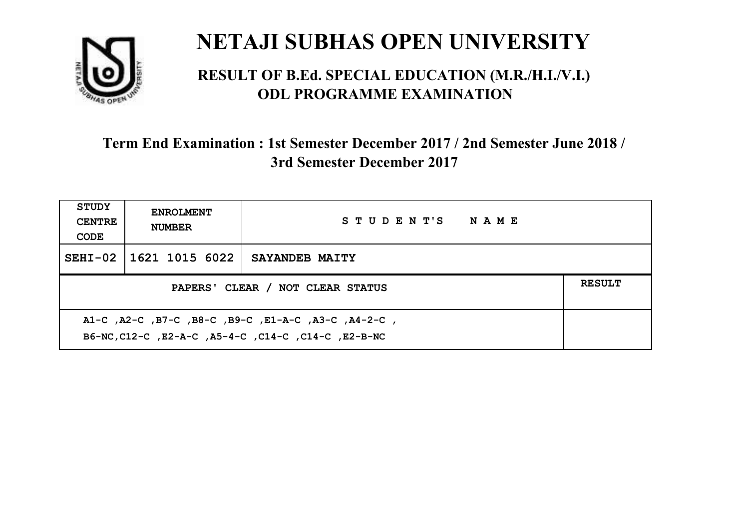

#### **RESULT OF B.Ed. SPECIAL EDUCATION (M.R./H.I./V.I.) ODL PROGRAMME EXAMINATION**

| <b>STUDY</b><br><b>CENTRE</b><br>CODE                                                                      | <b>ENROLMENT</b><br><b>NUMBER</b> | STUDENT'S NAME |  |  |
|------------------------------------------------------------------------------------------------------------|-----------------------------------|----------------|--|--|
|                                                                                                            | SEHI-02 1621 1015 6022            | SAYANDEB MAITY |  |  |
| <b>RESULT</b><br>PAPERS' CLEAR / NOT CLEAR STATUS                                                          |                                   |                |  |  |
| A1-C, A2-C, B7-C, B8-C, B9-C, E1-A-C, A3-C, A4-2-C,<br>B6-NC, C12-C, E2-A-C, A5-4-C, C14-C, C14-C, E2-B-NC |                                   |                |  |  |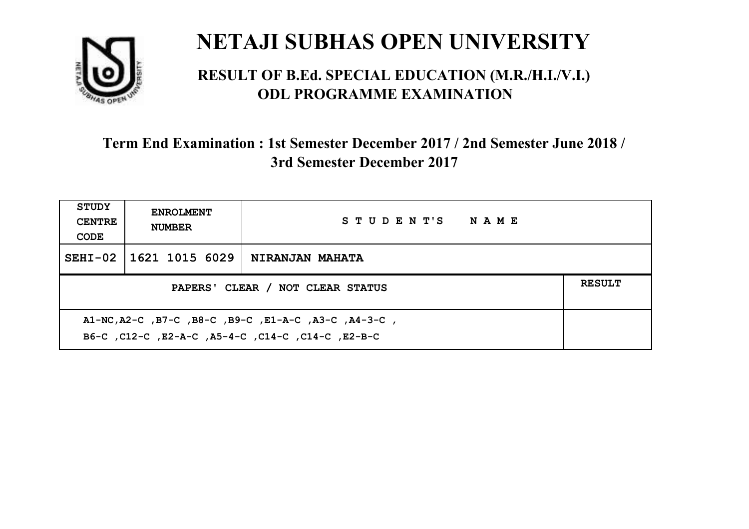

#### **RESULT OF B.Ed. SPECIAL EDUCATION (M.R./H.I./V.I.) ODL PROGRAMME EXAMINATION**

| <b>STUDY</b><br><b>CENTRE</b><br>CODE                                                                      | <b>ENROLMENT</b><br><b>NUMBER</b>                 | STUDENT'S NAME         |  |  |  |
|------------------------------------------------------------------------------------------------------------|---------------------------------------------------|------------------------|--|--|--|
|                                                                                                            | SEHI-02 11621 1015 6029                           | <b>NIRANJAN MAHATA</b> |  |  |  |
|                                                                                                            | <b>RESULT</b><br>PAPERS' CLEAR / NOT CLEAR STATUS |                        |  |  |  |
| A1-NC, A2-C, B7-C, B8-C, B9-C, E1-A-C, A3-C, A4-3-C,<br>B6-C, C12-C, E2-A-C, A5-4-C, C14-C, C14-C, C12-B-C |                                                   |                        |  |  |  |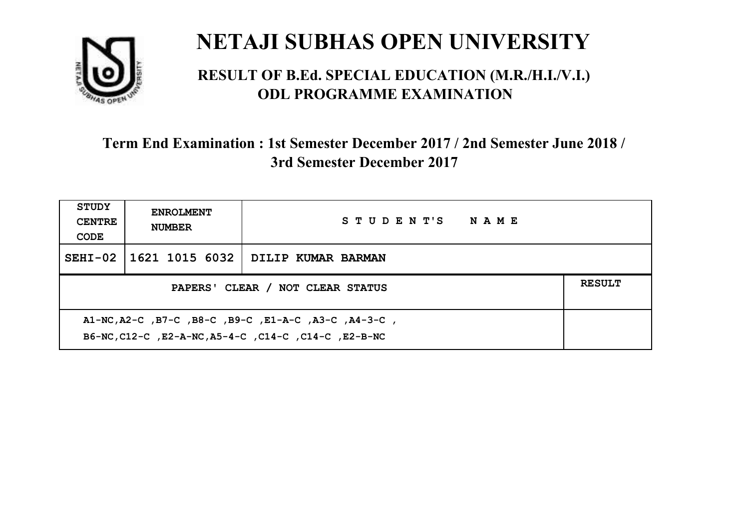

#### **RESULT OF B.Ed. SPECIAL EDUCATION (M.R./H.I./V.I.) ODL PROGRAMME EXAMINATION**

| <b>STUDY</b><br><b>CENTRE</b><br>CODE                                                                        | <b>ENROLMENT</b><br><b>NUMBER</b>                 | STUDENT'S NAME                                          |  |  |  |
|--------------------------------------------------------------------------------------------------------------|---------------------------------------------------|---------------------------------------------------------|--|--|--|
|                                                                                                              |                                                   | SEHI-02 $\mid$ 1621 1015 6032 $\mid$ DILIP KUMAR BARMAN |  |  |  |
|                                                                                                              | <b>RESULT</b><br>PAPERS' CLEAR / NOT CLEAR STATUS |                                                         |  |  |  |
| A1-NC, A2-C, B7-C, B8-C, B9-C, E1-A-C, A3-C, A4-3-C,<br>B6-NC, C12-C, E2-A-NC, A5-4-C, C14-C, C14-C, E2-B-NC |                                                   |                                                         |  |  |  |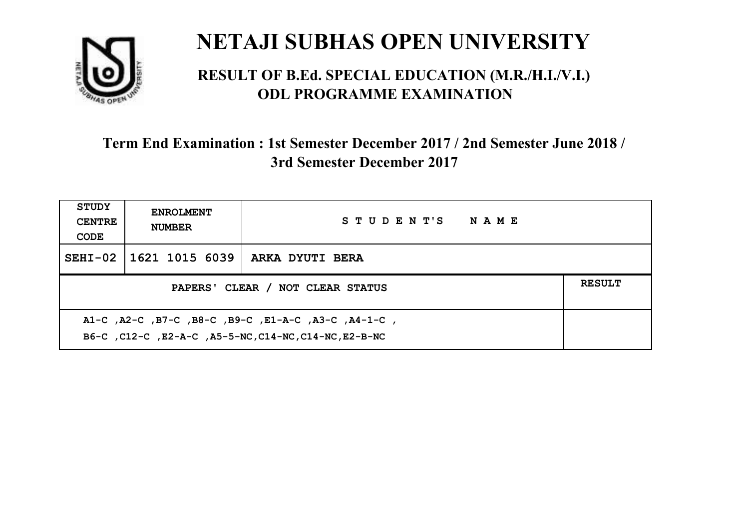

#### **RESULT OF B.Ed. SPECIAL EDUCATION (M.R./H.I./V.I.) ODL PROGRAMME EXAMINATION**

| <b>STUDY</b><br><b>CENTRE</b><br>CODE                                                                        | <b>ENROLMENT</b><br><b>NUMBER</b>                 | STUDENT'S NAME  |  |  |  |
|--------------------------------------------------------------------------------------------------------------|---------------------------------------------------|-----------------|--|--|--|
|                                                                                                              | SEHI-02   1621 1015 6039                          | ARKA DYUTI BERA |  |  |  |
|                                                                                                              | <b>RESULT</b><br>PAPERS' CLEAR / NOT CLEAR STATUS |                 |  |  |  |
| A1-C, A2-C, B7-C, B8-C, B9-C, E1-A-C, A3-C, A4-1-C,<br>B6-C, C12-C, E2-A-C, A5-5-NC, C14-NC, C14-NC, E2-B-NC |                                                   |                 |  |  |  |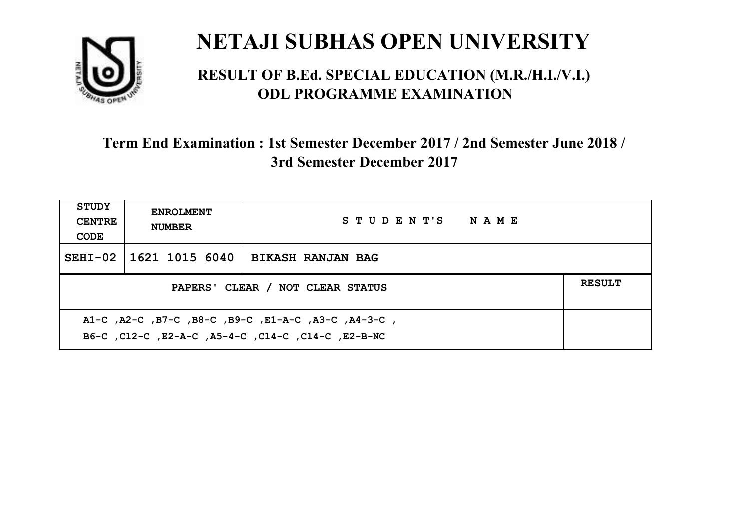

#### **RESULT OF B.Ed. SPECIAL EDUCATION (M.R./H.I./V.I.) ODL PROGRAMME EXAMINATION**

| <b>STUDY</b><br><b>CENTRE</b><br>CODE                                                                     | <b>ENROLMENT</b><br><b>NUMBER</b>                 | STUDENT'S NAME           |  |  |  |
|-----------------------------------------------------------------------------------------------------------|---------------------------------------------------|--------------------------|--|--|--|
|                                                                                                           | SEHI-02   1621 1015 6040                          | <b>BIKASH RANJAN BAG</b> |  |  |  |
|                                                                                                           | <b>RESULT</b><br>PAPERS' CLEAR / NOT CLEAR STATUS |                          |  |  |  |
| A1-C, A2-C, B7-C, B8-C, B9-C, E1-A-C, A3-C, A4-3-C,<br>B6-C, C12-C, E2-A-C, A5-4-C, C14-C, C14-C, E2-B-NC |                                                   |                          |  |  |  |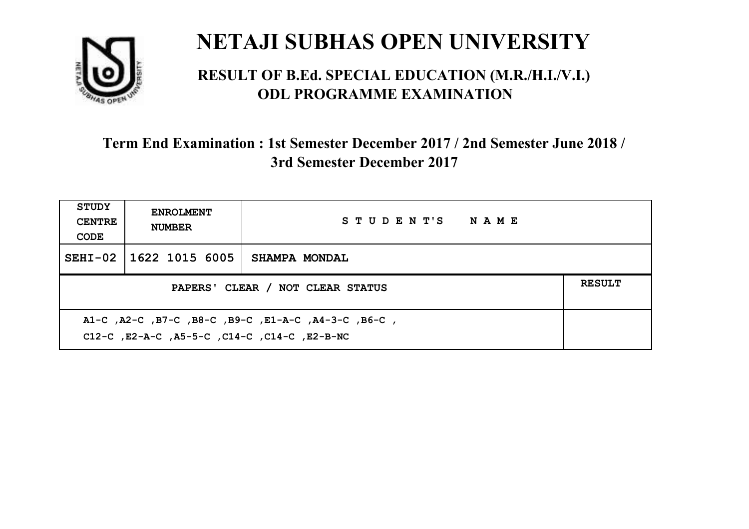

#### **RESULT OF B.Ed. SPECIAL EDUCATION (M.R./H.I./V.I.) ODL PROGRAMME EXAMINATION**

| STUDY<br><b>CENTRE</b><br>CODE                                                                                    | <b>ENROLMENT</b><br><b>NUMBER</b> | STUDENT'S NAME       |  |  |
|-------------------------------------------------------------------------------------------------------------------|-----------------------------------|----------------------|--|--|
|                                                                                                                   | SEHI-02   1622 1015 6005          | <b>SHAMPA MONDAL</b> |  |  |
| <b>RESULT</b><br>PAPERS' CLEAR / NOT CLEAR STATUS                                                                 |                                   |                      |  |  |
| , B6-C, B7-C, B8-C, B9-C, E1-A-C, A4-3-C, B6-C, A1-C, A2-C, B6-C,<br>C12-C, E2-A-C, A5-5-C, C14-C, C14-C, E2-B-NC |                                   |                      |  |  |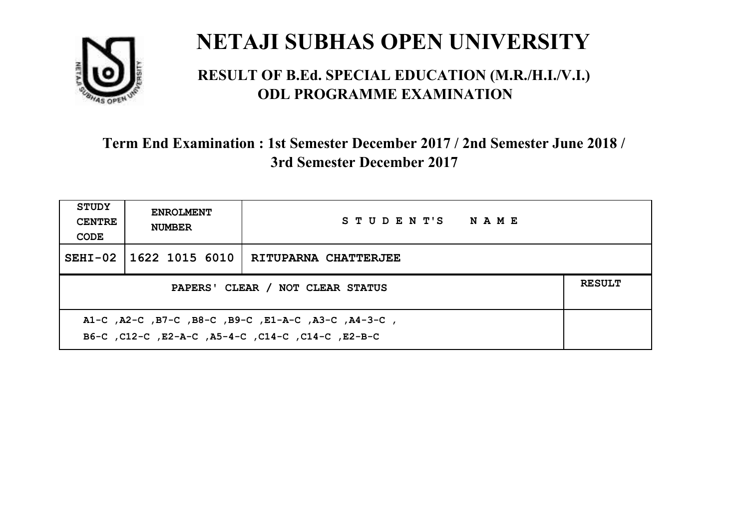

#### **RESULT OF B.Ed. SPECIAL EDUCATION (M.R./H.I./V.I.) ODL PROGRAMME EXAMINATION**

| <b>STUDY</b><br><b>CENTRE</b><br>CODE                                                                     | <b>ENROLMENT</b><br><b>NUMBER</b>                 | STUDENT'S NAME              |  |  |  |
|-----------------------------------------------------------------------------------------------------------|---------------------------------------------------|-----------------------------|--|--|--|
|                                                                                                           | SEHI-02 1622 1015 6010                            | <b>RITUPARNA CHATTERJEE</b> |  |  |  |
|                                                                                                           | <b>RESULT</b><br>PAPERS' CLEAR / NOT CLEAR STATUS |                             |  |  |  |
| A1-C, A2-C, B7-C, B8-C, B9-C, E1-A-C, A3-C, A4-3-C,<br>B6-C, C12-C, E2-A-C, A5-4-C, C14-C, C14-C, C12-B-C |                                                   |                             |  |  |  |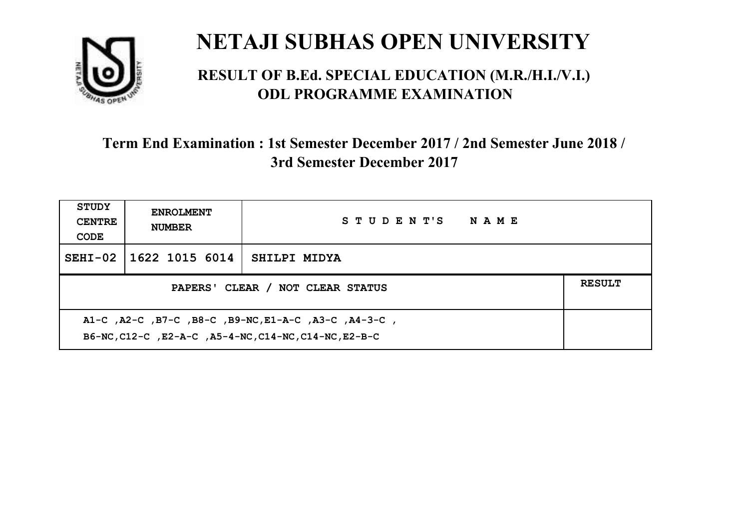

#### **RESULT OF B.Ed. SPECIAL EDUCATION (M.R./H.I./V.I.) ODL PROGRAMME EXAMINATION**

| <b>STUDY</b><br><b>CENTRE</b><br>CODE | <b>ENROLMENT</b><br><b>NUMBER</b>                                                                             | STUDENT'S NAME |  |  |  |
|---------------------------------------|---------------------------------------------------------------------------------------------------------------|----------------|--|--|--|
|                                       | SEHI-02 1622 1015 6014                                                                                        | SHILPI MIDYA   |  |  |  |
|                                       | <b>RESULT</b><br>PAPERS' CLEAR / NOT CLEAR STATUS                                                             |                |  |  |  |
|                                       | A1-C, A2-C, B7-C, B8-C, B9-NC, E1-A-C, A3-C, A4-3-C,<br>B6-NC, C12-C, E2-A-C, A5-4-NC, C14-NC, C14-NC, E2-B-C |                |  |  |  |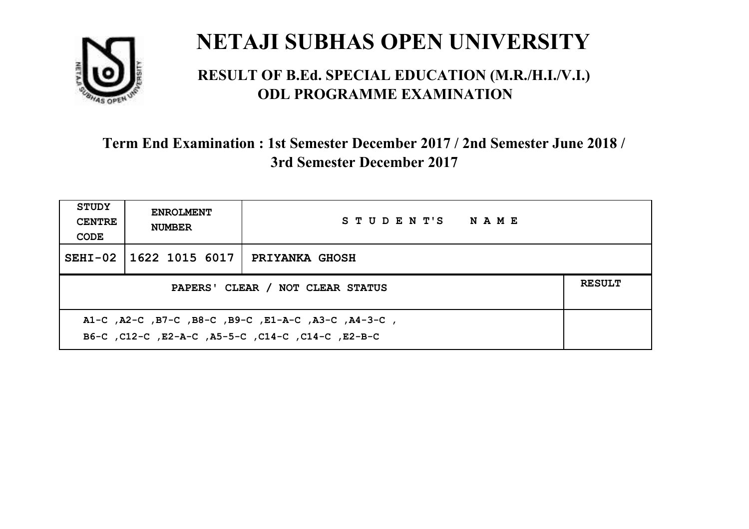

#### **RESULT OF B.Ed. SPECIAL EDUCATION (M.R./H.I./V.I.) ODL PROGRAMME EXAMINATION**

| <b>STUDY</b><br><b>CENTRE</b><br>CODE                                                                    | <b>ENROLMENT</b><br><b>NUMBER</b>                 | STUDENT'S NAME        |  |  |  |
|----------------------------------------------------------------------------------------------------------|---------------------------------------------------|-----------------------|--|--|--|
|                                                                                                          | SEHI-02 1622 1015 6017                            | <b>PRIYANKA GHOSH</b> |  |  |  |
|                                                                                                          | <b>RESULT</b><br>PAPERS' CLEAR / NOT CLEAR STATUS |                       |  |  |  |
| A1-C, A2-C, B7-C, B8-C, B9-C, E1-A-C, A3-C, A4-3-C,<br>B6-C, C12-C, E2-A-C, A5-5-C, C14-C, C14-C, E2-B-C |                                                   |                       |  |  |  |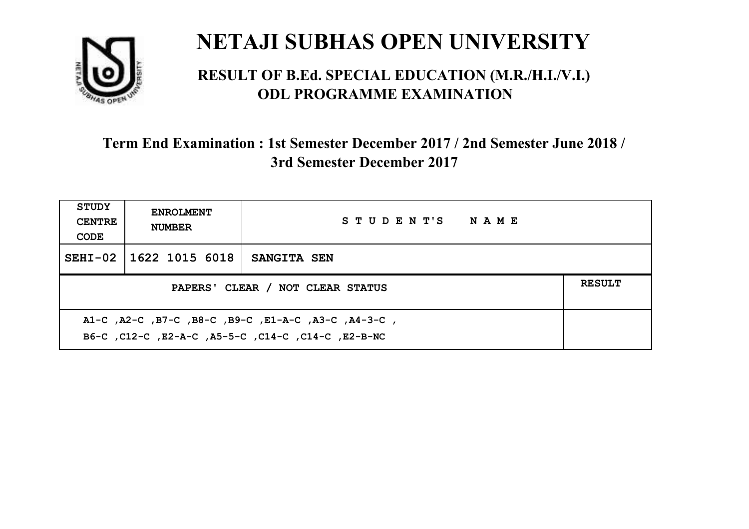

#### **RESULT OF B.Ed. SPECIAL EDUCATION (M.R./H.I./V.I.) ODL PROGRAMME EXAMINATION**

| <b>STUDY</b><br><b>CENTRE</b><br>CODE                                                                     | <b>ENROLMENT</b><br><b>NUMBER</b>                 | STUDENT'S NAME     |  |  |  |
|-----------------------------------------------------------------------------------------------------------|---------------------------------------------------|--------------------|--|--|--|
|                                                                                                           | SEHI-02 1622 1015 6018                            | <b>SANGITA SEN</b> |  |  |  |
|                                                                                                           | <b>RESULT</b><br>PAPERS' CLEAR / NOT CLEAR STATUS |                    |  |  |  |
| A1-C, A2-C, B7-C, B8-C, B9-C, E1-A-C, A3-C, A4-3-C,<br>B6-C, C12-C, E2-A-C, A5-5-C, C14-C, C14-C, E2-B-NC |                                                   |                    |  |  |  |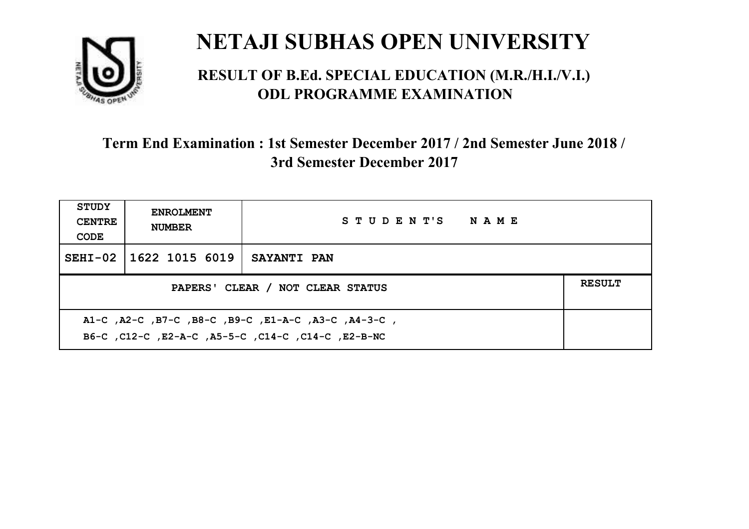

#### **RESULT OF B.Ed. SPECIAL EDUCATION (M.R./H.I./V.I.) ODL PROGRAMME EXAMINATION**

| <b>STUDY</b><br><b>CENTRE</b><br>CODE                                                                     | <b>ENROLMENT</b><br><b>NUMBER</b>                 | STUDENT'S NAME     |  |  |  |
|-----------------------------------------------------------------------------------------------------------|---------------------------------------------------|--------------------|--|--|--|
|                                                                                                           | SEHI-02 1622 1015 6019                            | <b>SAYANTI PAN</b> |  |  |  |
|                                                                                                           | <b>RESULT</b><br>PAPERS' CLEAR / NOT CLEAR STATUS |                    |  |  |  |
| A1-C, A2-C, B7-C, B8-C, B9-C, E1-A-C, A3-C, A4-3-C,<br>B6-C, C12-C, E2-A-C, A5-5-C, C14-C, C14-C, E2-B-NC |                                                   |                    |  |  |  |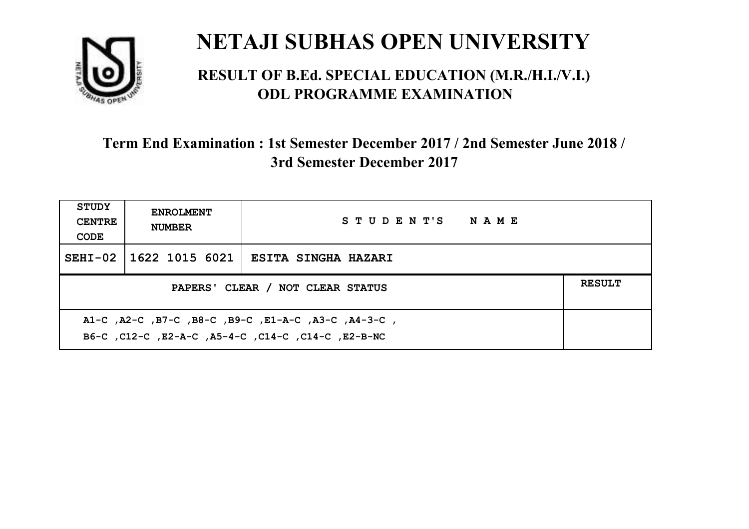

#### **RESULT OF B.Ed. SPECIAL EDUCATION (M.R./H.I./V.I.) ODL PROGRAMME EXAMINATION**

| <b>STUDY</b><br><b>CENTRE</b><br>CODE                                                                     | <b>ENROLMENT</b><br><b>NUMBER</b>                 | STUDENT'S NAME                                 |  |  |  |
|-----------------------------------------------------------------------------------------------------------|---------------------------------------------------|------------------------------------------------|--|--|--|
|                                                                                                           |                                                   | SEHI-02   1622 1015 6021   ESITA SINGHA HAZARI |  |  |  |
|                                                                                                           | <b>RESULT</b><br>PAPERS' CLEAR / NOT CLEAR STATUS |                                                |  |  |  |
| A1-C, A2-C, B7-C, B8-C, B9-C, E1-A-C, A3-C, A4-3-C,<br>B6-C, C12-C, E2-A-C, A5-4-C, C14-C, C14-C, E2-B-NC |                                                   |                                                |  |  |  |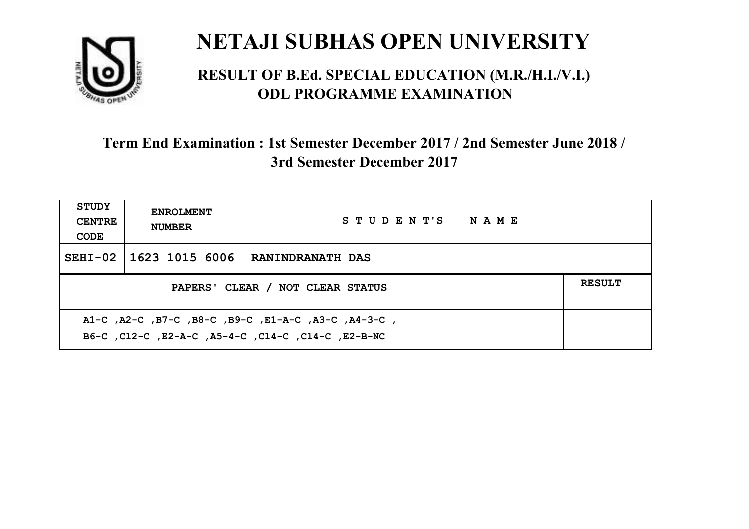

#### **RESULT OF B.Ed. SPECIAL EDUCATION (M.R./H.I./V.I.) ODL PROGRAMME EXAMINATION**

| <b>STUDY</b><br><b>CENTRE</b><br>CODE                                                                     | <b>ENROLMENT</b><br><b>NUMBER</b>                 | STUDENT'S NAME          |  |  |  |
|-----------------------------------------------------------------------------------------------------------|---------------------------------------------------|-------------------------|--|--|--|
|                                                                                                           | SEHI-02 1623 1015 6006                            | <b>RANINDRANATH DAS</b> |  |  |  |
|                                                                                                           | <b>RESULT</b><br>PAPERS' CLEAR / NOT CLEAR STATUS |                         |  |  |  |
| A1-C, A2-C, B7-C, B8-C, B9-C, E1-A-C, A3-C, A4-3-C,<br>B6-C, C12-C, E2-A-C, A5-4-C, C14-C, C14-C, E2-B-NC |                                                   |                         |  |  |  |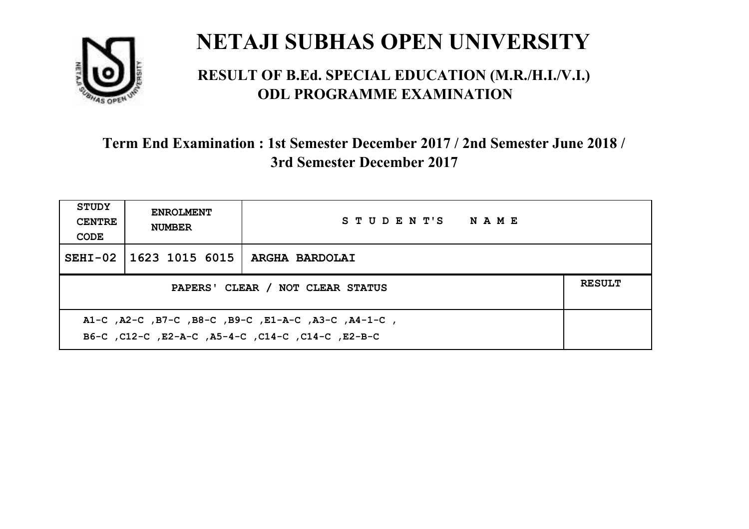

#### **RESULT OF B.Ed. SPECIAL EDUCATION (M.R./H.I./V.I.) ODL PROGRAMME EXAMINATION**

| <b>STUDY</b><br><b>CENTRE</b><br>CODE             | <b>ENROLMENT</b><br><b>NUMBER</b> | STUDENT'S NAME |  |  |
|---------------------------------------------------|-----------------------------------|----------------|--|--|
|                                                   | SEHI-02   1623 1015 6015          | ARGHA BARDOLAI |  |  |
| <b>RESULT</b><br>PAPERS' CLEAR / NOT CLEAR STATUS |                                   |                |  |  |
|                                                   |                                   |                |  |  |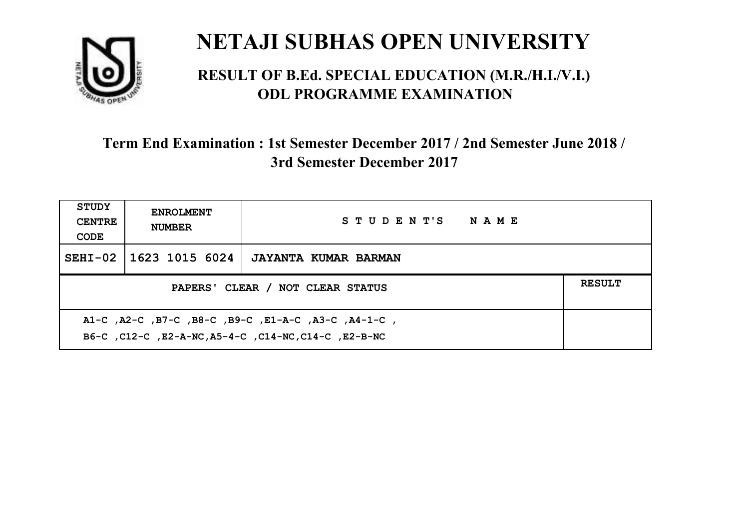

#### **RESULT OF B.Ed. SPECIAL EDUCATION (M.R./H.I./V.I.) ODL PROGRAMME EXAMINATION**

| <b>STUDY</b><br><b>CENTRE</b><br>CODE                                                                       | <b>ENROLMENT</b><br><b>NUMBER</b>                 | STUDENT'S NAME              |  |  |  |
|-------------------------------------------------------------------------------------------------------------|---------------------------------------------------|-----------------------------|--|--|--|
|                                                                                                             | SEHI-02 1623 1015 6024                            | <b>JAYANTA KUMAR BARMAN</b> |  |  |  |
|                                                                                                             | <b>RESULT</b><br>PAPERS' CLEAR / NOT CLEAR STATUS |                             |  |  |  |
| A1-C, A2-C, B7-C, B8-C, B9-C, E1-A-C, A3-C, A4-1-C,<br>B6-C, C12-C, E2-A-NC, A5-4-C, C14-NC, C14-C, E2-B-NC |                                                   |                             |  |  |  |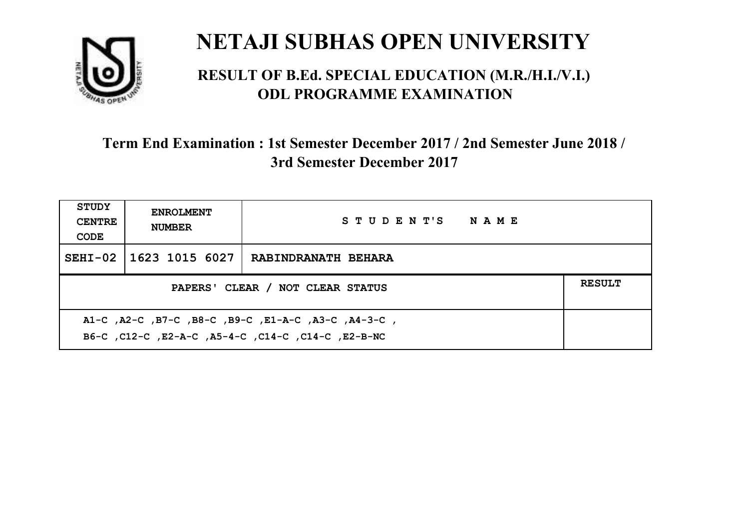

#### **RESULT OF B.Ed. SPECIAL EDUCATION (M.R./H.I./V.I.) ODL PROGRAMME EXAMINATION**

| <b>STUDY</b><br><b>CENTRE</b><br>CODE                                                                     | <b>ENROLMENT</b><br><b>NUMBER</b>                 | STUDENT'S NAME             |  |  |  |
|-----------------------------------------------------------------------------------------------------------|---------------------------------------------------|----------------------------|--|--|--|
|                                                                                                           | SEHI-02 1623 1015 6027                            | <b>RABINDRANATH BEHARA</b> |  |  |  |
|                                                                                                           | <b>RESULT</b><br>PAPERS' CLEAR / NOT CLEAR STATUS |                            |  |  |  |
| A1-C, A2-C, B7-C, B8-C, B9-C, E1-A-C, A3-C, A4-3-C,<br>B6-C, C12-C, E2-A-C, A5-4-C, C14-C, C14-C, E2-B-NC |                                                   |                            |  |  |  |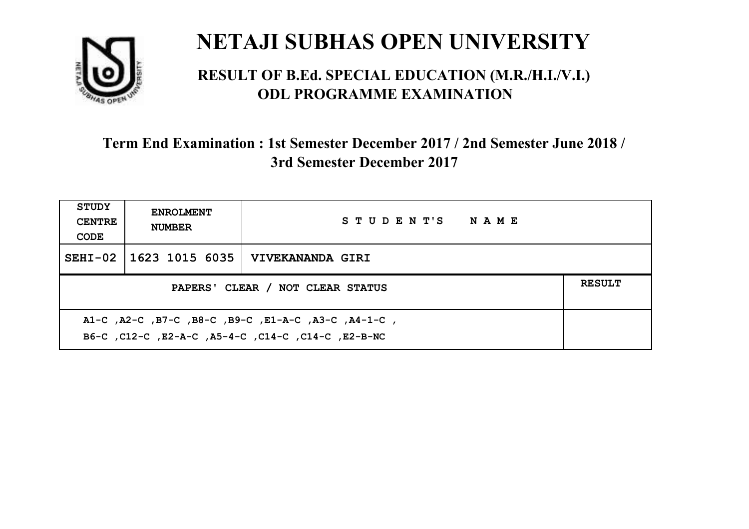

#### **RESULT OF B.Ed. SPECIAL EDUCATION (M.R./H.I./V.I.) ODL PROGRAMME EXAMINATION**

| <b>STUDY</b><br><b>CENTRE</b><br>CODE             | <b>ENROLMENT</b><br><b>NUMBER</b> | STUDENT'S NAME   |  |  |
|---------------------------------------------------|-----------------------------------|------------------|--|--|
|                                                   | SEHI-02   1623 1015 6035          | VIVEKANANDA GIRI |  |  |
| <b>RESULT</b><br>PAPERS' CLEAR / NOT CLEAR STATUS |                                   |                  |  |  |
|                                                   |                                   |                  |  |  |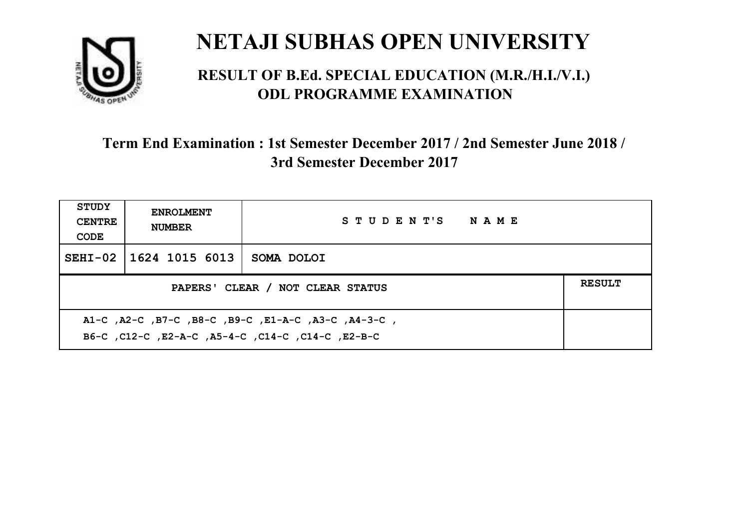

#### **RESULT OF B.Ed. SPECIAL EDUCATION (M.R./H.I./V.I.) ODL PROGRAMME EXAMINATION**

| <b>STUDY</b><br><b>CENTRE</b><br>CODE                                                                    | <b>ENROLMENT</b><br><b>NUMBER</b> | STUDENT'S NAME |  |  |
|----------------------------------------------------------------------------------------------------------|-----------------------------------|----------------|--|--|
|                                                                                                          | SEHI-02 1624 1015 6013            | SOMA DOLOI     |  |  |
| <b>RESULT</b><br>PAPERS' CLEAR / NOT CLEAR STATUS                                                        |                                   |                |  |  |
| A1-C, A2-C, B7-C, B8-C, B9-C, E1-A-C, A3-C, A4-3-C,<br>B6-C, C12-C, E2-A-C, A5-4-C, C14-C, C14-C, E2-B-C |                                   |                |  |  |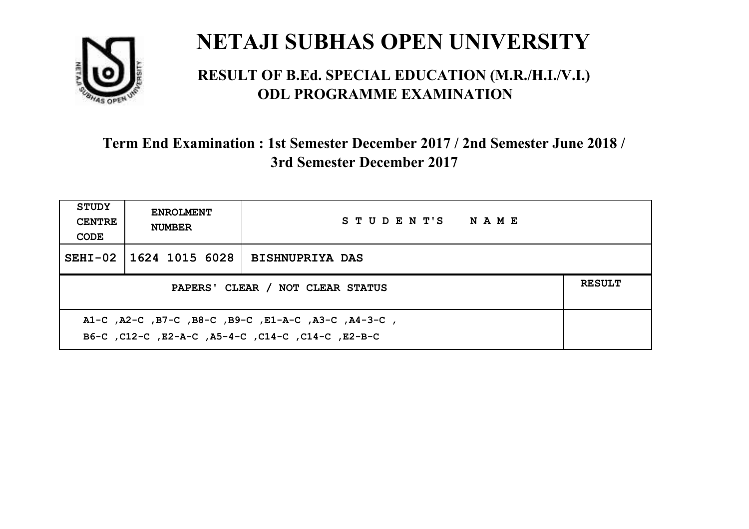

#### **RESULT OF B.Ed. SPECIAL EDUCATION (M.R./H.I./V.I.) ODL PROGRAMME EXAMINATION**

| <b>STUDY</b><br><b>CENTRE</b><br>CODE             | <b>ENROLMENT</b><br><b>NUMBER</b> | STUDENT'S NAME         |  |  |
|---------------------------------------------------|-----------------------------------|------------------------|--|--|
|                                                   | SEHI-02   1624 1015 6028          | <b>BISHNUPRIYA DAS</b> |  |  |
| <b>RESULT</b><br>PAPERS' CLEAR / NOT CLEAR STATUS |                                   |                        |  |  |
|                                                   |                                   |                        |  |  |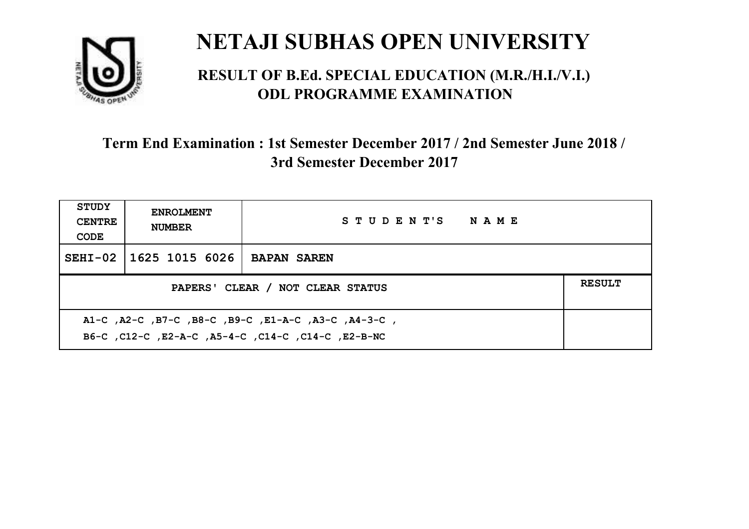

#### **RESULT OF B.Ed. SPECIAL EDUCATION (M.R./H.I./V.I.) ODL PROGRAMME EXAMINATION**

| <b>STUDY</b><br><b>CENTRE</b><br>CODE                                                                     | <b>ENROLMENT</b><br><b>NUMBER</b> | STUDENT'S NAME     |  |  |
|-----------------------------------------------------------------------------------------------------------|-----------------------------------|--------------------|--|--|
|                                                                                                           | SEHI-02 1625 1015 6026            | <b>BAPAN SAREN</b> |  |  |
| <b>RESULT</b><br>PAPERS' CLEAR / NOT CLEAR STATUS                                                         |                                   |                    |  |  |
| A1-C, A2-C, B7-C, B8-C, B9-C, E1-A-C, A3-C, A4-3-C,<br>B6-C, C12-C, E2-A-C, A5-4-C, C14-C, C14-C, E2-B-NC |                                   |                    |  |  |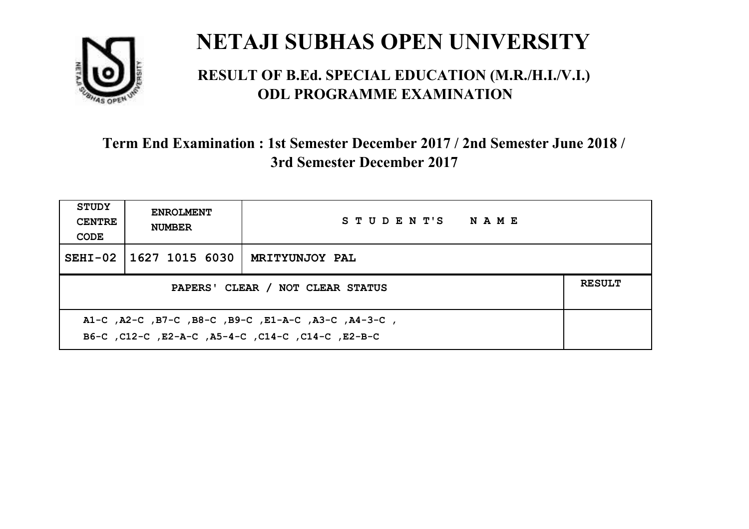

#### **RESULT OF B.Ed. SPECIAL EDUCATION (M.R./H.I./V.I.) ODL PROGRAMME EXAMINATION**

| <b>STUDY</b><br><b>CENTRE</b><br>CODE                                                                     | <b>ENROLMENT</b><br><b>NUMBER</b>                 | STUDENT'S NAME        |  |  |  |
|-----------------------------------------------------------------------------------------------------------|---------------------------------------------------|-----------------------|--|--|--|
|                                                                                                           | SEHI-02   1627 1015 6030                          | <b>MRITYUNJOY PAL</b> |  |  |  |
|                                                                                                           | <b>RESULT</b><br>PAPERS' CLEAR / NOT CLEAR STATUS |                       |  |  |  |
| A1-C, A2-C, B7-C, B8-C, B9-C, E1-A-C, A3-C, A4-3-C,<br>B6-C, C12-C, E2-A-C, A5-4-C, C14-C, C14-C, C12-B-C |                                                   |                       |  |  |  |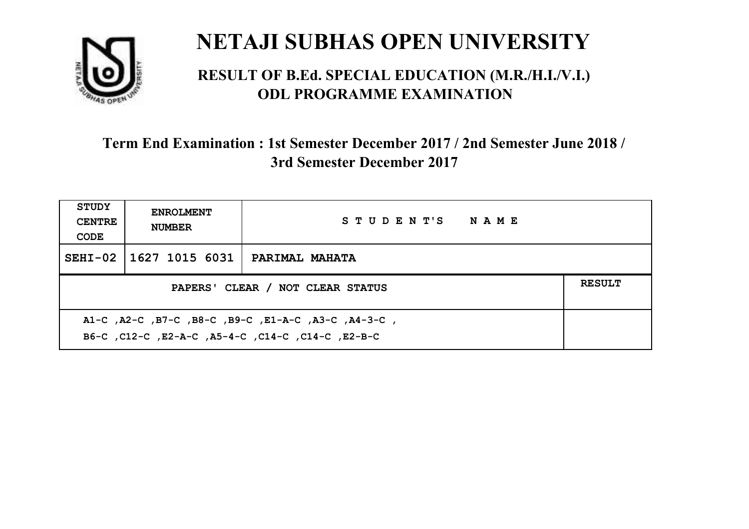

#### **RESULT OF B.Ed. SPECIAL EDUCATION (M.R./H.I./V.I.) ODL PROGRAMME EXAMINATION**

| <b>STUDY</b><br><b>CENTRE</b><br>CODE                                                                     | <b>ENROLMENT</b><br><b>NUMBER</b> | STUDENT'S NAME        |  |  |
|-----------------------------------------------------------------------------------------------------------|-----------------------------------|-----------------------|--|--|
|                                                                                                           | SEHI-02   1627 1015 6031          | <b>PARIMAL MAHATA</b> |  |  |
| <b>RESULT</b><br>PAPERS' CLEAR / NOT CLEAR STATUS                                                         |                                   |                       |  |  |
| A1-C, A2-C, B7-C, B8-C, B9-C, E1-A-C, A3-C, A4-3-C,<br>B6-C, C12-C, E2-A-C, A5-4-C, C14-C, C14-C, C12-B-C |                                   |                       |  |  |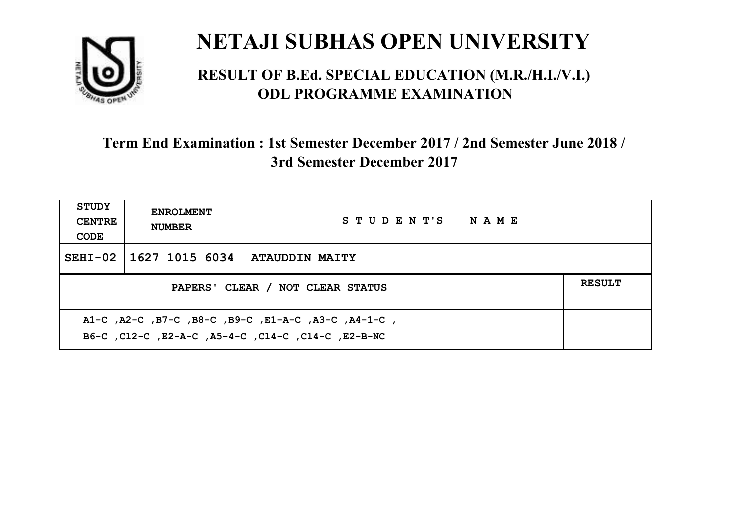

#### **RESULT OF B.Ed. SPECIAL EDUCATION (M.R./H.I./V.I.) ODL PROGRAMME EXAMINATION**

| <b>STUDY</b><br><b>CENTRE</b><br>CODE                                                                     | <b>ENROLMENT</b><br><b>NUMBER</b> | STUDENT'S NAME |  |  |
|-----------------------------------------------------------------------------------------------------------|-----------------------------------|----------------|--|--|
|                                                                                                           | SEHI-02   1627 1015 6034          | ATAUDDIN MAITY |  |  |
| <b>RESULT</b><br>PAPERS' CLEAR / NOT CLEAR STATUS                                                         |                                   |                |  |  |
| A1-C, A2-C, B7-C, B8-C, B9-C, E1-A-C, A3-C, A4-1-C,<br>B6-C, C12-C, E2-A-C, A5-4-C, C14-C, C14-C, E2-B-NC |                                   |                |  |  |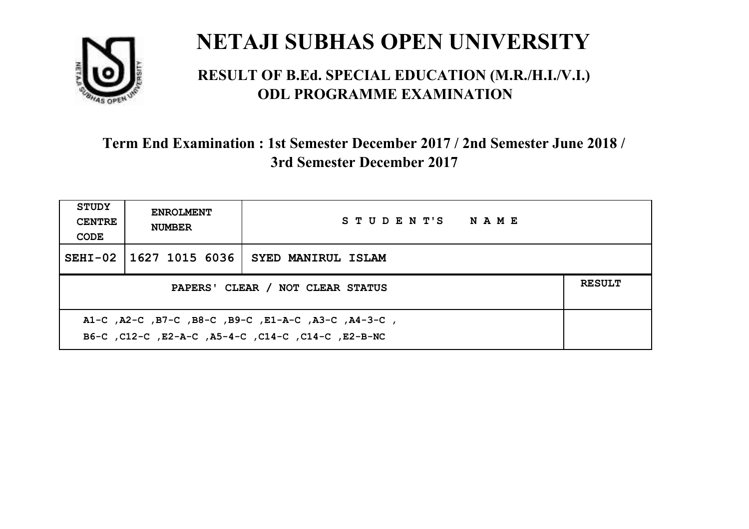

#### **RESULT OF B.Ed. SPECIAL EDUCATION (M.R./H.I./V.I.) ODL PROGRAMME EXAMINATION**

| <b>STUDY</b><br><b>CENTRE</b><br>CODE                                                                     | <b>ENROLMENT</b><br><b>NUMBER</b>                 | STUDENT'S NAME            |  |  |  |
|-----------------------------------------------------------------------------------------------------------|---------------------------------------------------|---------------------------|--|--|--|
|                                                                                                           | SEHI-02 1627 1015 6036                            | <b>SYED MANIRUL ISLAM</b> |  |  |  |
|                                                                                                           | <b>RESULT</b><br>PAPERS' CLEAR / NOT CLEAR STATUS |                           |  |  |  |
| A1-C, A2-C, B7-C, B8-C, B9-C, E1-A-C, A3-C, A4-3-C,<br>B6-C, C12-C, E2-A-C, A5-4-C, C14-C, C14-C, E2-B-NC |                                                   |                           |  |  |  |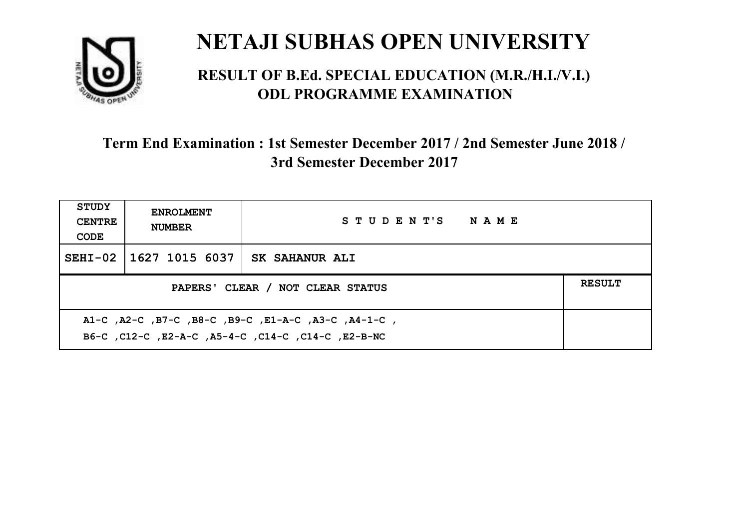

#### **RESULT OF B.Ed. SPECIAL EDUCATION (M.R./H.I./V.I.) ODL PROGRAMME EXAMINATION**

| <b>STUDY</b><br><b>CENTRE</b><br>CODE               | <b>ENROLMENT</b><br><b>NUMBER</b> | STUDENT'S NAME        |  |  |
|-----------------------------------------------------|-----------------------------------|-----------------------|--|--|
|                                                     | SEHI-02   1627 1015 6037          | <b>SK SAHANUR ALI</b> |  |  |
| <b>RESULT</b><br>PAPERS' CLEAR / NOT CLEAR STATUS   |                                   |                       |  |  |
| A1-C, A2-C, B7-C, B8-C, B9-C, E1-A-C, A3-C, A4-1-C, |                                   |                       |  |  |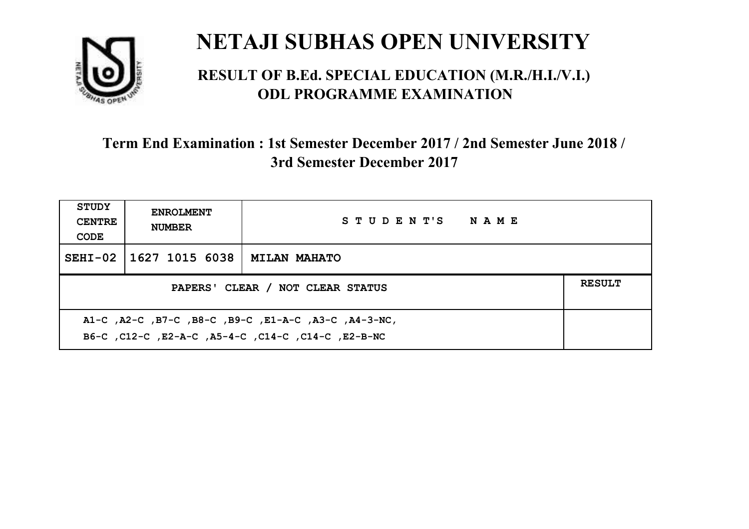

#### **RESULT OF B.Ed. SPECIAL EDUCATION (M.R./H.I./V.I.) ODL PROGRAMME EXAMINATION**

| <b>STUDY</b><br><b>CENTRE</b><br>CODE                | <b>ENROLMENT</b><br><b>NUMBER</b> | STUDENT'S NAME      |  |  |
|------------------------------------------------------|-----------------------------------|---------------------|--|--|
|                                                      | SEHI-02   1627 1015 6038          | <b>MILAN MAHATO</b> |  |  |
| <b>RESULT</b><br>PAPERS' CLEAR / NOT CLEAR STATUS    |                                   |                     |  |  |
| A1-C, A2-C, B7-C, B8-C, B9-C, E1-A-C, A3-C, A4-3-NC, |                                   |                     |  |  |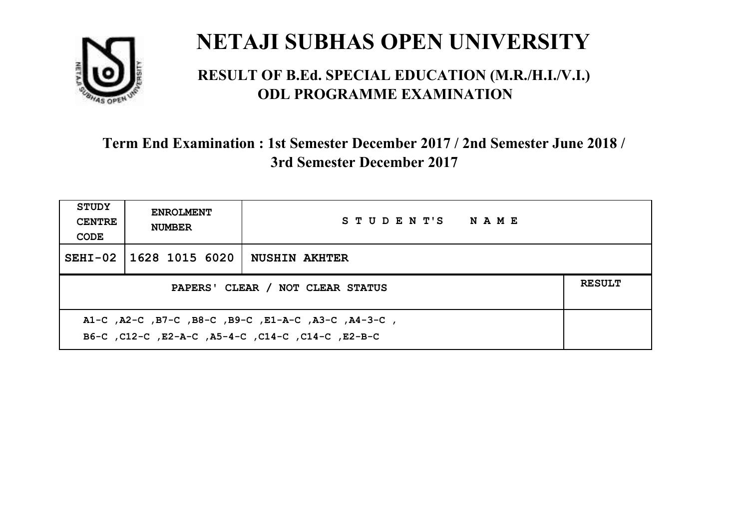

#### **RESULT OF B.Ed. SPECIAL EDUCATION (M.R./H.I./V.I.) ODL PROGRAMME EXAMINATION**

| <b>STUDY</b><br><b>CENTRE</b><br>CODE                                                                     | <b>ENROLMENT</b><br><b>NUMBER</b> | STUDENT'S NAME       |  |  |
|-----------------------------------------------------------------------------------------------------------|-----------------------------------|----------------------|--|--|
|                                                                                                           | SEHI-02   1628 1015 6020          | <b>NUSHIN AKHTER</b> |  |  |
| <b>RESULT</b><br>PAPERS' CLEAR / NOT CLEAR STATUS                                                         |                                   |                      |  |  |
| A1-C, A2-C, B7-C, B8-C, B9-C, E1-A-C, A3-C, A4-3-C,<br>B6-C, C12-C, E2-A-C, A5-4-C, C14-C, C14-C, C12-B-C |                                   |                      |  |  |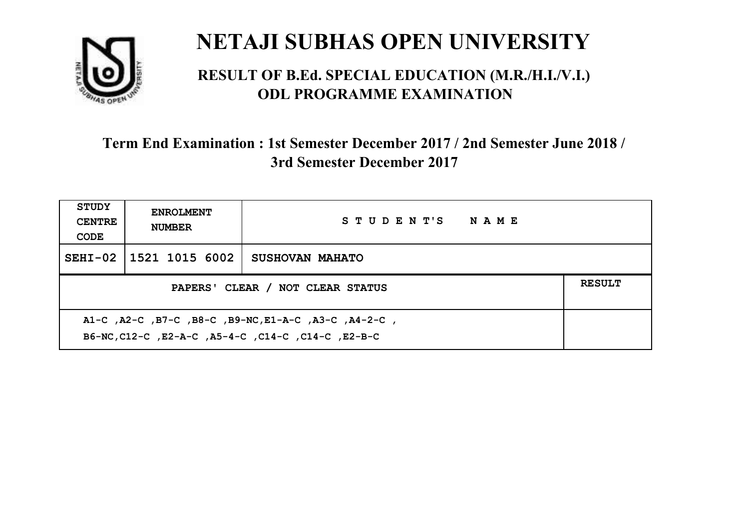

#### **RESULT OF B.Ed. SPECIAL EDUCATION (M.R./H.I./V.I.) ODL PROGRAMME EXAMINATION**

| <b>STUDY</b><br><b>CENTRE</b><br>CODE                                                                      | <b>ENROLMENT</b><br><b>NUMBER</b> | STUDENT'S NAME  |  |  |
|------------------------------------------------------------------------------------------------------------|-----------------------------------|-----------------|--|--|
|                                                                                                            | SEHI-02 1521 1015 6002            | SUSHOVAN MAHATO |  |  |
| PAPERS' CLEAR / NOT CLEAR STATUS                                                                           |                                   |                 |  |  |
| A1-C, A2-C, B7-C, B8-C, B9-NC, E1-A-C, A3-C, A4-2-C,<br>B6-NC, C12-C, E2-A-C, A5-4-C, C14-C, C14-C, E2-B-C |                                   |                 |  |  |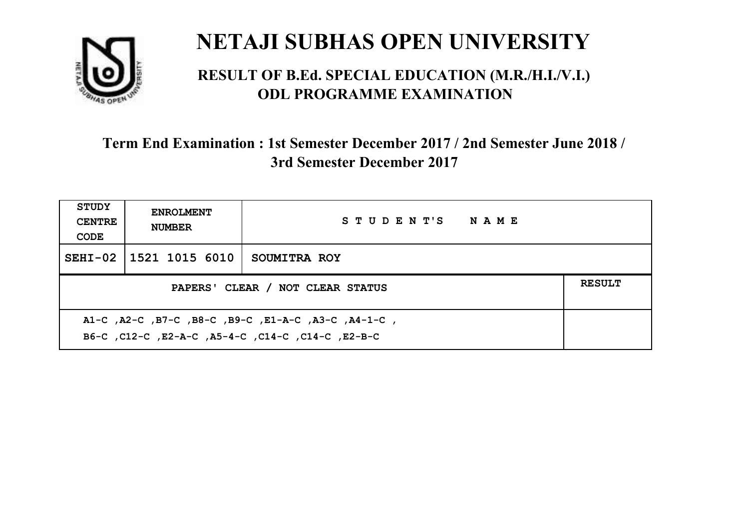

#### **RESULT OF B.Ed. SPECIAL EDUCATION (M.R./H.I./V.I.) ODL PROGRAMME EXAMINATION**

| <b>STUDY</b><br><b>CENTRE</b><br>CODE                                                                    | <b>ENROLMENT</b><br><b>NUMBER</b>                 | STUDENT'S NAME |  |  |  |
|----------------------------------------------------------------------------------------------------------|---------------------------------------------------|----------------|--|--|--|
|                                                                                                          | SEHI-02 1521 1015 6010                            | SOUMITRA ROY   |  |  |  |
|                                                                                                          | <b>RESULT</b><br>PAPERS' CLEAR / NOT CLEAR STATUS |                |  |  |  |
| A1-C, A2-C, B7-C, B8-C, B9-C, E1-A-C, A3-C, A4-1-C,<br>B6-C, C12-C, E2-A-C, A5-4-C, C14-C, C14-C, E2-B-C |                                                   |                |  |  |  |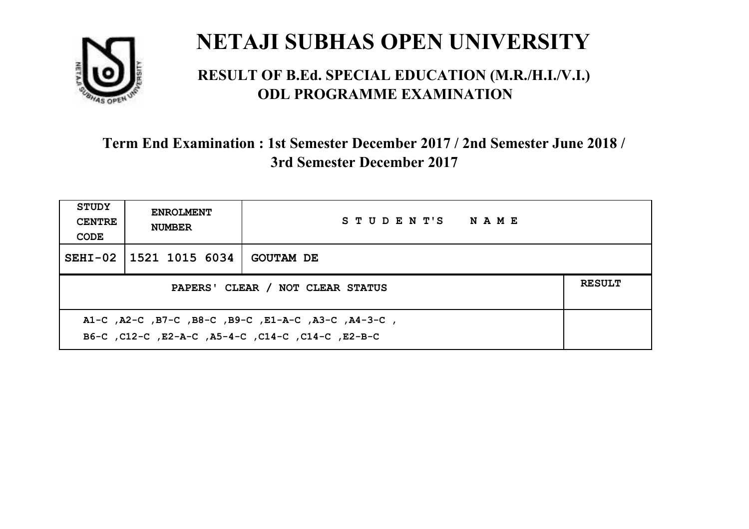

#### **RESULT OF B.Ed. SPECIAL EDUCATION (M.R./H.I./V.I.) ODL PROGRAMME EXAMINATION**

| <b>STUDY</b><br><b>CENTRE</b><br>CODE                                                                    | <b>ENROLMENT</b><br><b>NUMBER</b>                 | STUDENT'S NAME   |  |  |  |
|----------------------------------------------------------------------------------------------------------|---------------------------------------------------|------------------|--|--|--|
|                                                                                                          | SEHI-02 1521 1015 6034                            | <b>GOUTAM DE</b> |  |  |  |
|                                                                                                          | <b>RESULT</b><br>PAPERS' CLEAR / NOT CLEAR STATUS |                  |  |  |  |
| A1-C, A2-C, B7-C, B8-C, B9-C, E1-A-C, A3-C, A4-3-C,<br>B6-C, C12-C, E2-A-C, A5-4-C, C14-C, C14-C, E2-B-C |                                                   |                  |  |  |  |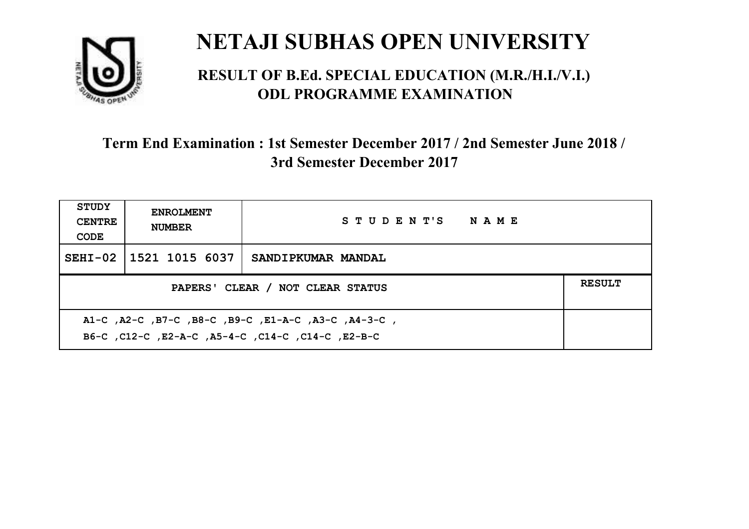

#### **RESULT OF B.Ed. SPECIAL EDUCATION (M.R./H.I./V.I.) ODL PROGRAMME EXAMINATION**

| <b>STUDY</b><br><b>CENTRE</b><br>CODE | <b>ENROLMENT</b><br><b>NUMBER</b>                                                                         | STUDENT'S NAME     |  |  |  |
|---------------------------------------|-----------------------------------------------------------------------------------------------------------|--------------------|--|--|--|
|                                       | SEHI-02 1521 1015 6037                                                                                    | SANDIPKUMAR MANDAL |  |  |  |
|                                       | <b>RESULT</b><br>PAPERS' CLEAR / NOT CLEAR STATUS                                                         |                    |  |  |  |
|                                       | A1-C, A2-C, B7-C, B8-C, B9-C, E1-A-C, A3-C, A4-3-C,<br>B6-C, C12-C, E2-A-C, A5-4-C, C14-C, C14-C, C12-B-C |                    |  |  |  |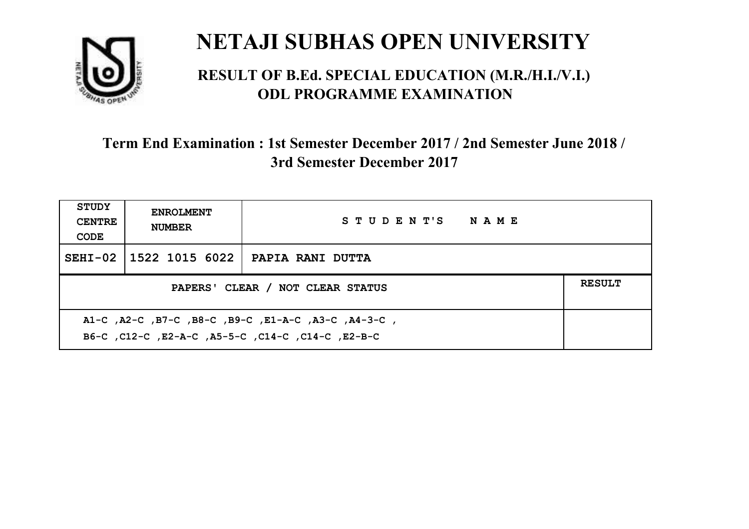

#### **RESULT OF B.Ed. SPECIAL EDUCATION (M.R./H.I./V.I.) ODL PROGRAMME EXAMINATION**

| STUDY<br><b>CENTRE</b><br>CODE | <b>ENROLMENT</b><br><b>NUMBER</b>                                                                         | STUDENT'S NAME   |  |  |  |
|--------------------------------|-----------------------------------------------------------------------------------------------------------|------------------|--|--|--|
|                                | SEHI-02 1522 1015 6022                                                                                    | PAPIA RANI DUTTA |  |  |  |
|                                | <b>RESULT</b><br>PAPERS' CLEAR / NOT CLEAR STATUS                                                         |                  |  |  |  |
|                                | A1-C, A2-C, B7-C, B8-C, B9-C, E1-A-C, A3-C, A4-3-C,<br>B6-C, C12-C, E2-A-C, A5-5-C, C14-C, C14-C, C12-B-C |                  |  |  |  |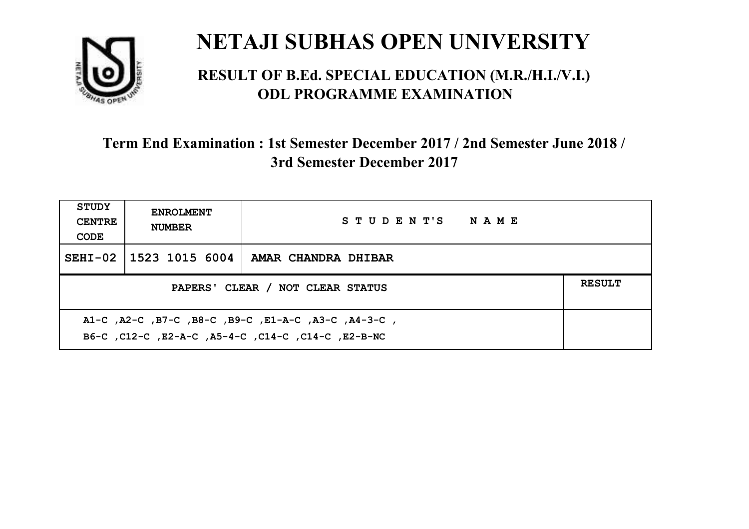

#### **RESULT OF B.Ed. SPECIAL EDUCATION (M.R./H.I./V.I.) ODL PROGRAMME EXAMINATION**

| <b>STUDY</b><br><b>CENTRE</b><br>CODE | <b>ENROLMENT</b><br><b>NUMBER</b>                                                                         | STUDENT'S NAME      |  |  |  |
|---------------------------------------|-----------------------------------------------------------------------------------------------------------|---------------------|--|--|--|
|                                       | SEHI-02 1523 1015 6004                                                                                    | AMAR CHANDRA DHIBAR |  |  |  |
|                                       | <b>RESULT</b><br>PAPERS' CLEAR / NOT CLEAR STATUS                                                         |                     |  |  |  |
|                                       | A1-C, A2-C, B7-C, B8-C, B9-C, E1-A-C, A3-C, A4-3-C,<br>B6-C, C12-C, E2-A-C, A5-4-C, C14-C, C14-C, E2-B-NC |                     |  |  |  |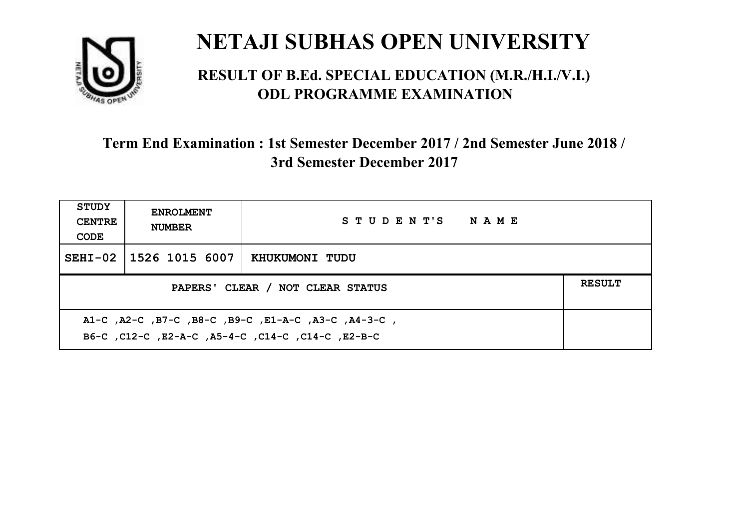

#### **RESULT OF B.Ed. SPECIAL EDUCATION (M.R./H.I./V.I.) ODL PROGRAMME EXAMINATION**

| <b>STUDY</b><br><b>CENTRE</b><br>CODE | <b>ENROLMENT</b><br><b>NUMBER</b>                                                                         | STUDENT'S NAME |  |  |  |
|---------------------------------------|-----------------------------------------------------------------------------------------------------------|----------------|--|--|--|
|                                       | SEHI-02 1526 1015 6007                                                                                    | KHUKUMONI TUDU |  |  |  |
|                                       | <b>RESULT</b><br>PAPERS' CLEAR / NOT CLEAR STATUS                                                         |                |  |  |  |
|                                       | A1-C, A2-C, B7-C, B8-C, B9-C, E1-A-C, A3-C, A4-3-C,<br>B6-C, C12-C, E2-A-C, A5-4-C, C14-C, C14-C, C12-B-C |                |  |  |  |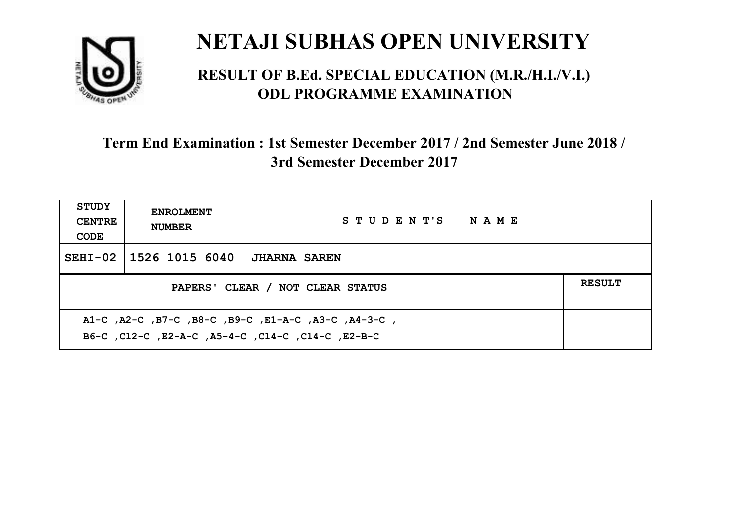

#### **RESULT OF B.Ed. SPECIAL EDUCATION (M.R./H.I./V.I.) ODL PROGRAMME EXAMINATION**

| <b>STUDY</b><br><b>CENTRE</b><br>CODE                                                                    | <b>ENROLMENT</b><br><b>NUMBER</b> | STUDENT'S NAME      |  |  |
|----------------------------------------------------------------------------------------------------------|-----------------------------------|---------------------|--|--|
|                                                                                                          | SEHI-02 1526 1015 6040            | <b>JHARNA SAREN</b> |  |  |
| <b>RESULT</b><br>PAPERS' CLEAR / NOT CLEAR STATUS                                                        |                                   |                     |  |  |
| A1-C, A2-C, B7-C, B8-C, B9-C, E1-A-C, A3-C, A4-3-C,<br>B6-C, C12-C, E2-A-C, A5-4-C, C14-C, C14-C, E2-B-C |                                   |                     |  |  |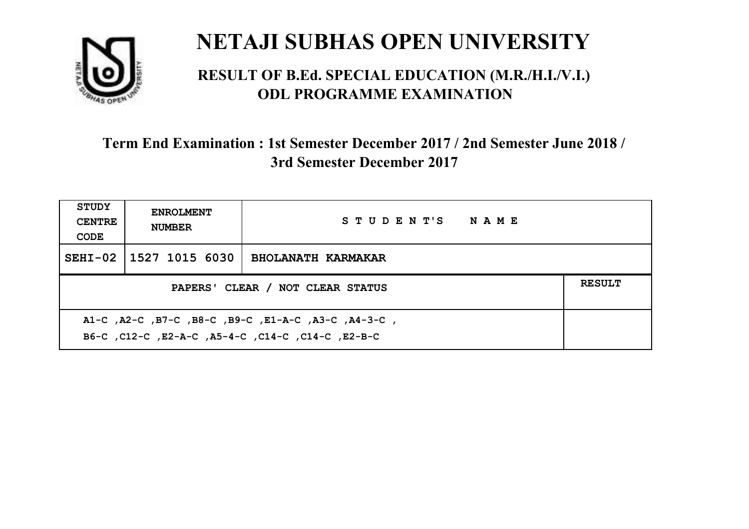

#### **RESULT OF B.Ed. SPECIAL EDUCATION (M.R./H.I./V.I.) ODL PROGRAMME EXAMINATION**

| <b>STUDY</b><br><b>CENTRE</b><br>CODE | <b>ENROLMENT</b><br><b>NUMBER</b>                                                                         | STUDENT'S NAME            |  |  |  |
|---------------------------------------|-----------------------------------------------------------------------------------------------------------|---------------------------|--|--|--|
|                                       | SEHI-02 1527 1015 6030                                                                                    | <b>BHOLANATH KARMAKAR</b> |  |  |  |
|                                       | <b>RESULT</b><br>PAPERS' CLEAR / NOT CLEAR STATUS                                                         |                           |  |  |  |
|                                       | A1-C, A2-C, B7-C, B8-C, B9-C, E1-A-C, A3-C, A4-3-C,<br>B6-C, C12-C, E2-A-C, A5-4-C, C14-C, C14-C, C12-B-C |                           |  |  |  |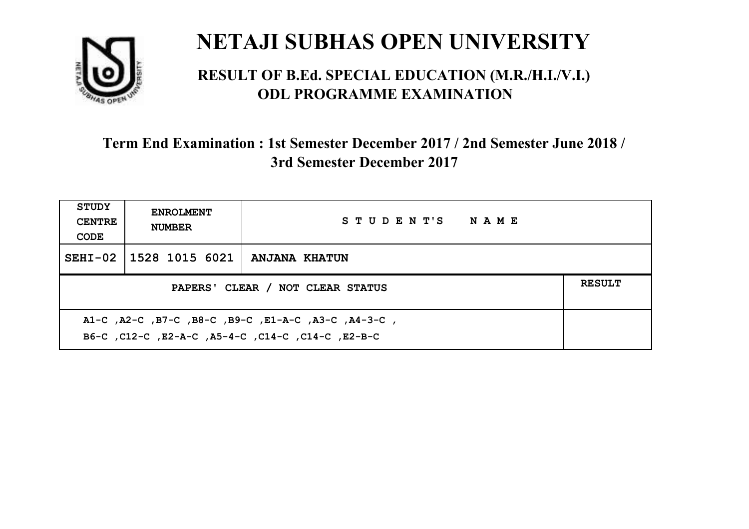

#### **RESULT OF B.Ed. SPECIAL EDUCATION (M.R./H.I./V.I.) ODL PROGRAMME EXAMINATION**

| <b>STUDY</b><br><b>CENTRE</b><br>CODE                                                                    | <b>ENROLMENT</b><br><b>NUMBER</b> | STUDENT'S NAME |  |  |
|----------------------------------------------------------------------------------------------------------|-----------------------------------|----------------|--|--|
|                                                                                                          | SEHI-02   1528 1015 6021          | ANJANA KHATUN  |  |  |
| <b>RESULT</b><br>PAPERS' CLEAR / NOT CLEAR STATUS                                                        |                                   |                |  |  |
| A1-C, A2-C, B7-C, B8-C, B9-C, E1-A-C, A3-C, A4-3-C,<br>B6-C, C12-C, E2-A-C, A5-4-C, C14-C, C14-C, E2-B-C |                                   |                |  |  |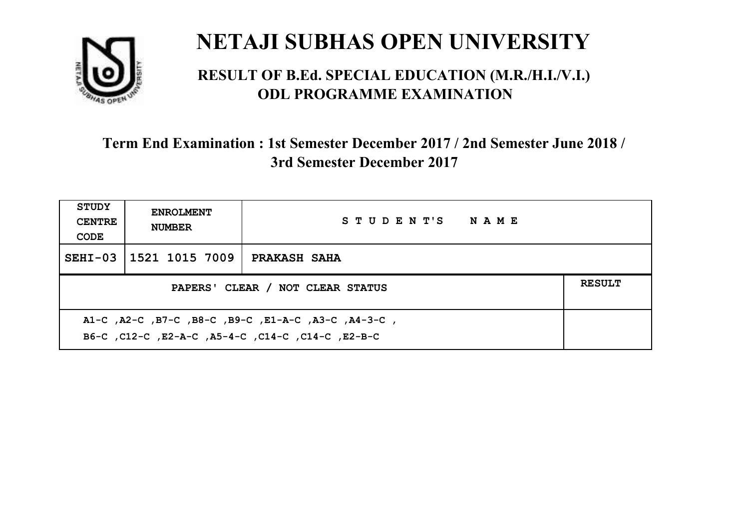

#### **RESULT OF B.Ed. SPECIAL EDUCATION (M.R./H.I./V.I.) ODL PROGRAMME EXAMINATION**

| <b>STUDY</b><br><b>CENTRE</b><br>CODE | <b>ENROLMENT</b><br><b>NUMBER</b>                                                                         | STUDENT'S NAME |  |  |  |
|---------------------------------------|-----------------------------------------------------------------------------------------------------------|----------------|--|--|--|
|                                       | SEHI-03 1521 1015 7009                                                                                    | PRAKASH SAHA   |  |  |  |
|                                       | <b>RESULT</b><br>PAPERS' CLEAR / NOT CLEAR STATUS                                                         |                |  |  |  |
|                                       | A1-C, A2-C, B7-C, B8-C, B9-C, E1-A-C, A3-C, A4-3-C,<br>B6-C, C12-C, E2-A-C, A5-4-C, C14-C, C14-C, C12-B-C |                |  |  |  |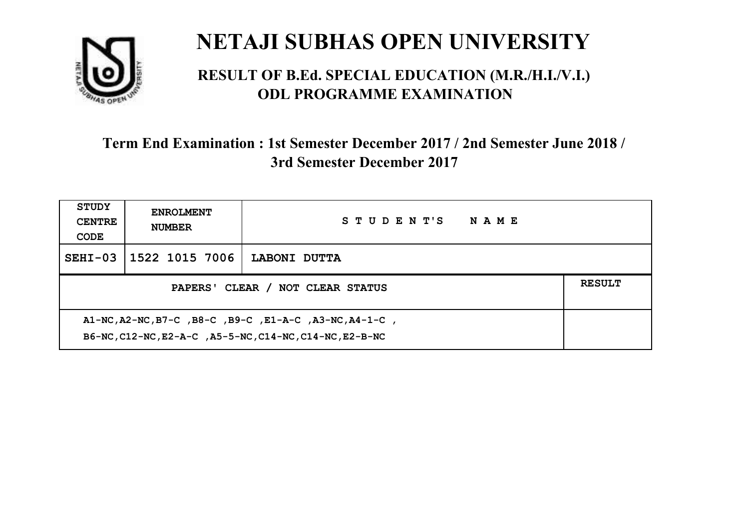

#### **RESULT OF B.Ed. SPECIAL EDUCATION (M.R./H.I./V.I.) ODL PROGRAMME EXAMINATION**

| <b>STUDY</b><br><b>CENTRE</b><br>CODE                                                                             | <b>ENROLMENT</b><br><b>NUMBER</b> | STUDENT'S<br><b>NAME</b> |  |  |
|-------------------------------------------------------------------------------------------------------------------|-----------------------------------|--------------------------|--|--|
| $SEHI-03$                                                                                                         | 1522 1015 7006                    | LABONI DUTTA             |  |  |
| <b>RESULT</b><br>PAPERS' CLEAR / NOT CLEAR STATUS                                                                 |                                   |                          |  |  |
| A1-NC, A2-NC, B7-C, B8-C, B9-C, E1-A-C, A3-NC, A4-1-C,<br>B6-NC, C12-NC, E2-A-C, A5-5-NC, C14-NC, C14-NC, E2-B-NC |                                   |                          |  |  |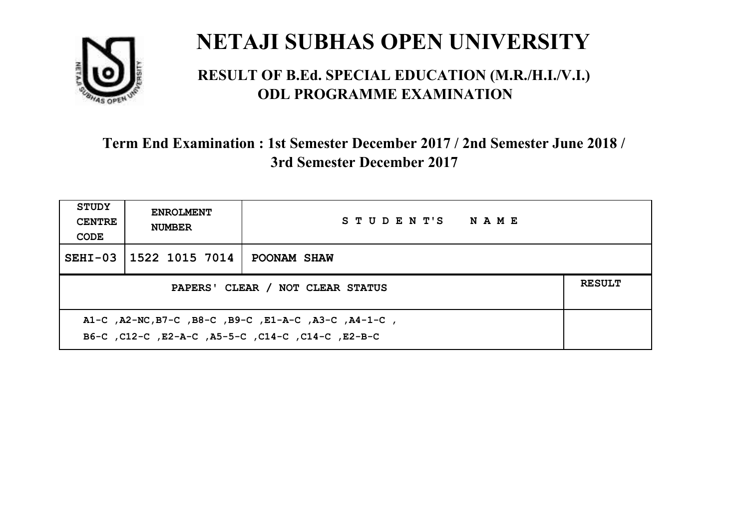

#### **RESULT OF B.Ed. SPECIAL EDUCATION (M.R./H.I./V.I.) ODL PROGRAMME EXAMINATION**

| <b>STUDY</b><br><b>CENTRE</b><br>CODE             | <b>ENROLMENT</b><br><b>NUMBER</b> | STUDENT'S NAME |  |  |
|---------------------------------------------------|-----------------------------------|----------------|--|--|
|                                                   | SEHI-03 1522 1015 7014            | POONAM SHAW    |  |  |
| <b>RESULT</b><br>PAPERS' CLEAR / NOT CLEAR STATUS |                                   |                |  |  |
|                                                   |                                   |                |  |  |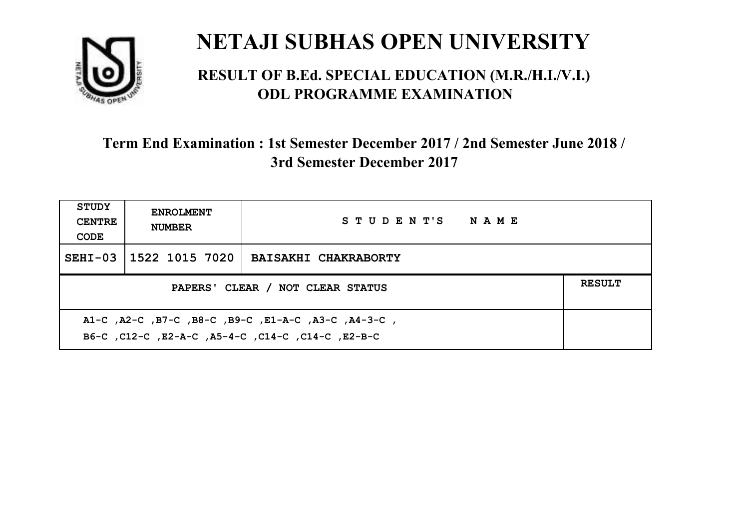

#### **RESULT OF B.Ed. SPECIAL EDUCATION (M.R./H.I./V.I.) ODL PROGRAMME EXAMINATION**

| <b>STUDY</b><br><b>CENTRE</b><br>CODE | <b>ENROLMENT</b><br><b>NUMBER</b>                                                                        | STUDENT'S NAME              |  |  |  |
|---------------------------------------|----------------------------------------------------------------------------------------------------------|-----------------------------|--|--|--|
|                                       | SEHI-03 1522 1015 7020                                                                                   | <b>BAISAKHI CHAKRABORTY</b> |  |  |  |
|                                       | <b>RESULT</b><br>PAPERS' CLEAR / NOT CLEAR STATUS                                                        |                             |  |  |  |
|                                       | A1-C, A2-C, B7-C, B8-C, B9-C, E1-A-C, A3-C, A4-3-C,<br>B6-C, C12-C, E2-A-C, A5-4-C, C14-C, C14-C, E2-B-C |                             |  |  |  |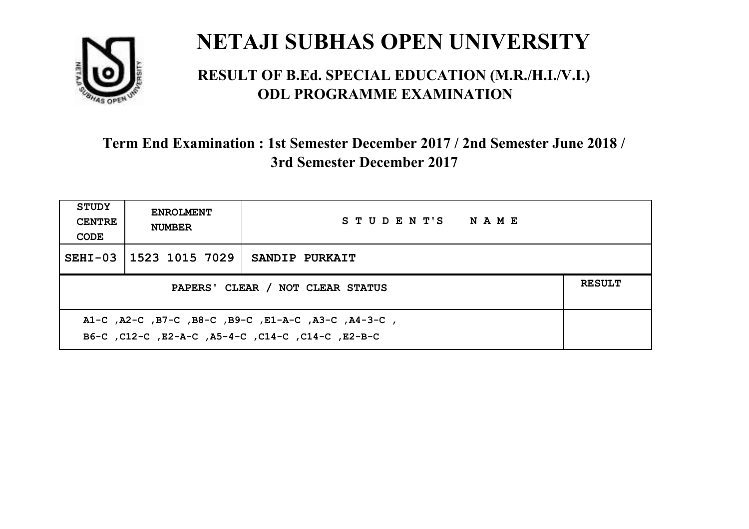

#### **RESULT OF B.Ed. SPECIAL EDUCATION (M.R./H.I./V.I.) ODL PROGRAMME EXAMINATION**

| <b>STUDY</b><br><b>CENTRE</b><br>CODE | <b>ENROLMENT</b><br><b>NUMBER</b>                                                                         | STUDENT'S NAME |  |  |  |
|---------------------------------------|-----------------------------------------------------------------------------------------------------------|----------------|--|--|--|
|                                       | SEHI-03 1523 1015 7029                                                                                    | SANDIP PURKAIT |  |  |  |
|                                       | <b>RESULT</b><br>PAPERS' CLEAR / NOT CLEAR STATUS                                                         |                |  |  |  |
|                                       | A1-C, A2-C, B7-C, B8-C, B9-C, E1-A-C, A3-C, A4-3-C,<br>B6-C, C12-C, E2-A-C, A5-4-C, C14-C, C14-C, C12-B-C |                |  |  |  |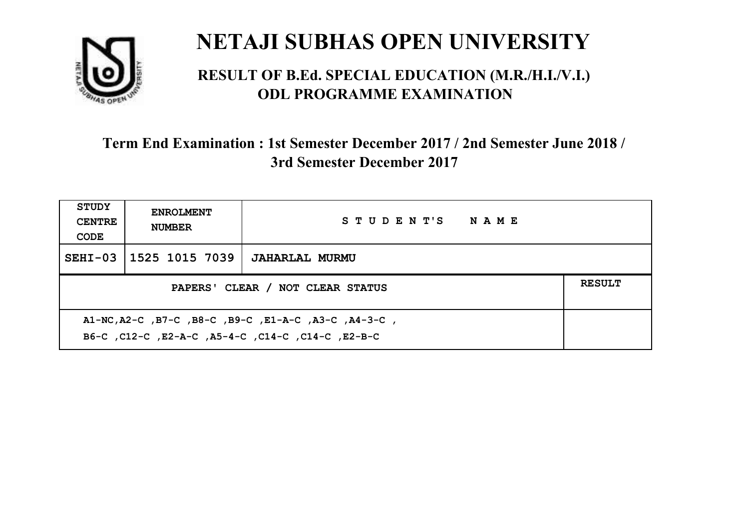

#### **RESULT OF B.Ed. SPECIAL EDUCATION (M.R./H.I./V.I.) ODL PROGRAMME EXAMINATION**

| <b>STUDY</b><br><b>CENTRE</b><br>CODE                                                                     | <b>ENROLMENT</b><br><b>NUMBER</b> | STUDENT'S NAME        |  |  |
|-----------------------------------------------------------------------------------------------------------|-----------------------------------|-----------------------|--|--|
|                                                                                                           | SEHI-03 1525 1015 7039            | <b>JAHARLAL MURMU</b> |  |  |
| PAPERS' CLEAR / NOT CLEAR STATUS                                                                          |                                   |                       |  |  |
| A1-NC, A2-C, B7-C, B8-C, B9-C, E1-A-C, A3-C, A4-3-C,<br>B6-C, C12-C, E2-A-C, A5-4-C, C14-C, C14-C, E2-B-C |                                   |                       |  |  |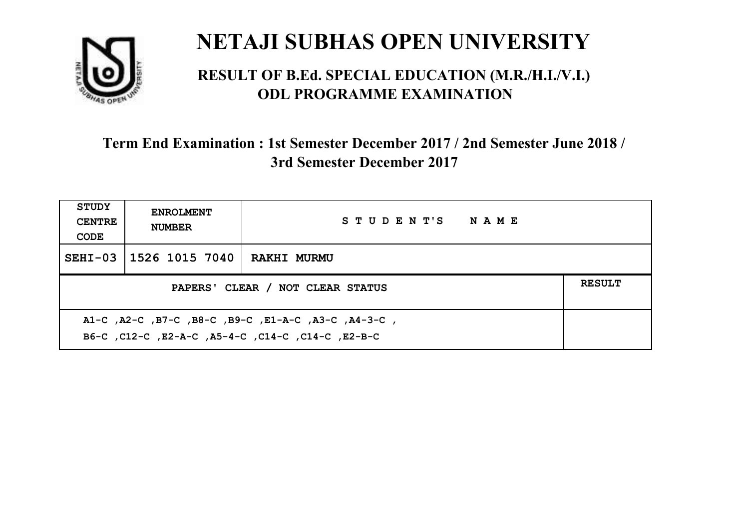

#### **RESULT OF B.Ed. SPECIAL EDUCATION (M.R./H.I./V.I.) ODL PROGRAMME EXAMINATION**

| <b>STUDY</b><br><b>CENTRE</b><br>CODE                                                                    | <b>ENROLMENT</b><br><b>NUMBER</b> | STUDENT'S NAME     |  |  |
|----------------------------------------------------------------------------------------------------------|-----------------------------------|--------------------|--|--|
|                                                                                                          | SEHI-03   1526 1015 7040          | <b>RAKHI MURMU</b> |  |  |
| PAPERS' CLEAR / NOT CLEAR STATUS                                                                         |                                   |                    |  |  |
| A1-C, A2-C, B7-C, B8-C, B9-C, E1-A-C, A3-C, A4-3-C,<br>B6-C, C12-C, E2-A-C, A5-4-C, C14-C, C14-C, E2-B-C |                                   |                    |  |  |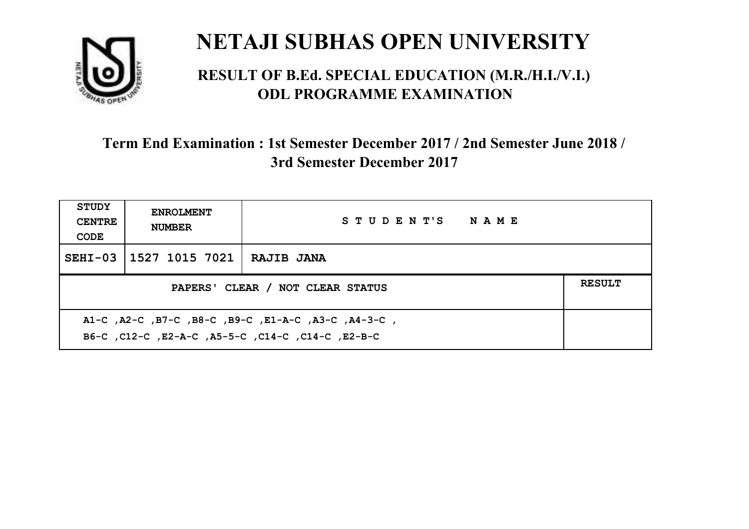

#### **RESULT OF B.Ed. SPECIAL EDUCATION (M.R./H.I./V.I.) ODL PROGRAMME EXAMINATION**

| <b>STUDY</b><br><b>CENTRE</b><br>CODE                                                                    | <b>ENROLMENT</b><br><b>NUMBER</b> | STUDENT'S NAME    |  |  |
|----------------------------------------------------------------------------------------------------------|-----------------------------------|-------------------|--|--|
|                                                                                                          | SEHI-03 1527 1015 7021            | <b>RAJIB JANA</b> |  |  |
| PAPERS' CLEAR / NOT CLEAR STATUS                                                                         |                                   |                   |  |  |
| A1-C, A2-C, B7-C, B8-C, B9-C, E1-A-C, A3-C, A4-3-C,<br>B6-C, C12-C, E2-A-C, A5-5-C, C14-C, C14-C, E2-B-C |                                   |                   |  |  |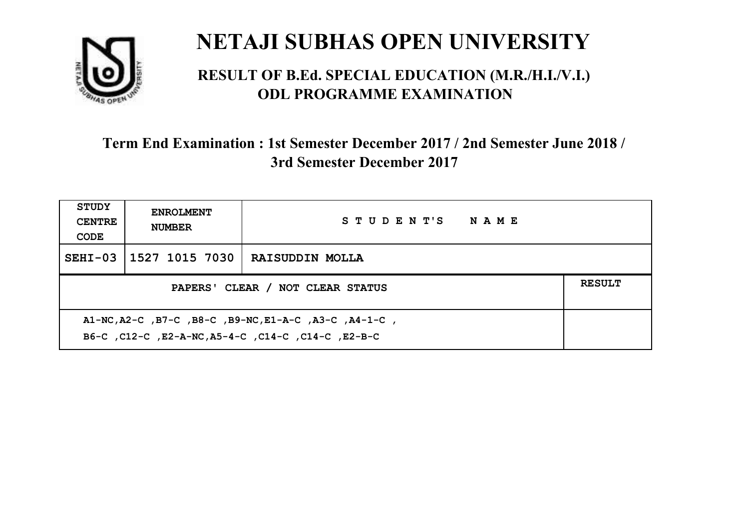

#### **RESULT OF B.Ed. SPECIAL EDUCATION (M.R./H.I./V.I.) ODL PROGRAMME EXAMINATION**

| <b>STUDY</b><br><b>CENTRE</b><br>CODE                                                                       | <b>ENROLMENT</b><br><b>NUMBER</b> | STUDENT'S NAME  |  |  |
|-------------------------------------------------------------------------------------------------------------|-----------------------------------|-----------------|--|--|
|                                                                                                             | SEHI-03 1527 1015 7030            | RAISUDDIN MOLLA |  |  |
| PAPERS' CLEAR / NOT CLEAR STATUS                                                                            |                                   |                 |  |  |
| A1-NC, A2-C, B7-C, B8-C, B9-NC, E1-A-C, A3-C, A4-1-C,<br>B6-C, C12-C, E2-A-NC, A5-4-C, C14-C, C14-C, E2-B-C |                                   |                 |  |  |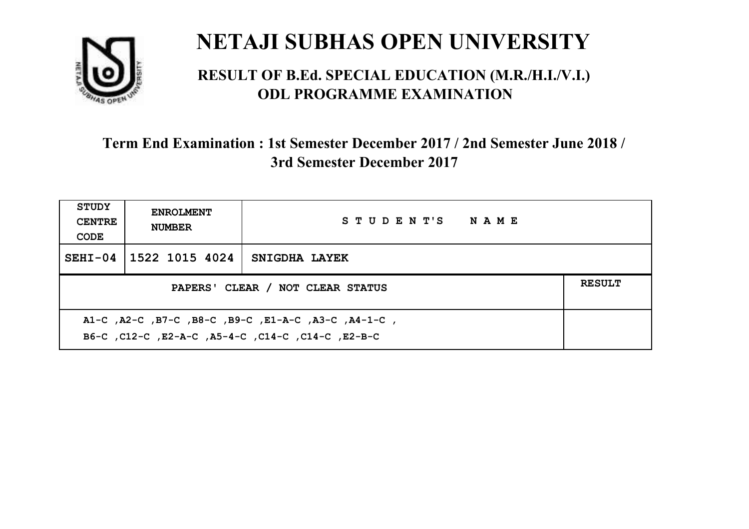

#### **RESULT OF B.Ed. SPECIAL EDUCATION (M.R./H.I./V.I.) ODL PROGRAMME EXAMINATION**

| <b>STUDY</b><br><b>CENTRE</b><br>CODE | <b>ENROLMENT</b><br><b>NUMBER</b>                                                                         | STUDENT'S NAME |  |  |  |
|---------------------------------------|-----------------------------------------------------------------------------------------------------------|----------------|--|--|--|
|                                       | SEHI-04 1522 1015 4024                                                                                    | SNIGDHA LAYEK  |  |  |  |
|                                       | <b>RESULT</b><br>PAPERS' CLEAR / NOT CLEAR STATUS                                                         |                |  |  |  |
|                                       | A1-C, A2-C, B7-C, B8-C, B9-C, E1-A-C, A3-C, A4-1-C,<br>B6-C, C12-C, E2-A-C, A5-4-C, C14-C, C14-C, C12-B-C |                |  |  |  |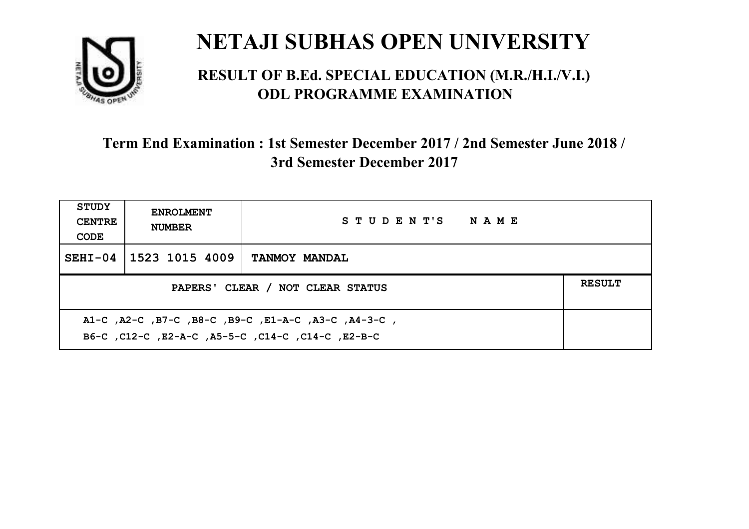

#### **RESULT OF B.Ed. SPECIAL EDUCATION (M.R./H.I./V.I.) ODL PROGRAMME EXAMINATION**

| STUDY<br><b>CENTRE</b><br>CODE | <b>ENROLMENT</b><br><b>NUMBER</b>                                                                         | STUDENT'S NAME       |  |  |  |
|--------------------------------|-----------------------------------------------------------------------------------------------------------|----------------------|--|--|--|
|                                | SEHI-04 1523 1015 4009                                                                                    | <b>TANMOY MANDAL</b> |  |  |  |
|                                | <b>RESULT</b><br>PAPERS' CLEAR / NOT CLEAR STATUS                                                         |                      |  |  |  |
|                                | A1-C, A2-C, B7-C, B8-C, B9-C, E1-A-C, A3-C, A4-3-C,<br>B6-C, C12-C, E2-A-C, A5-5-C, C14-C, C14-C, C12-B-C |                      |  |  |  |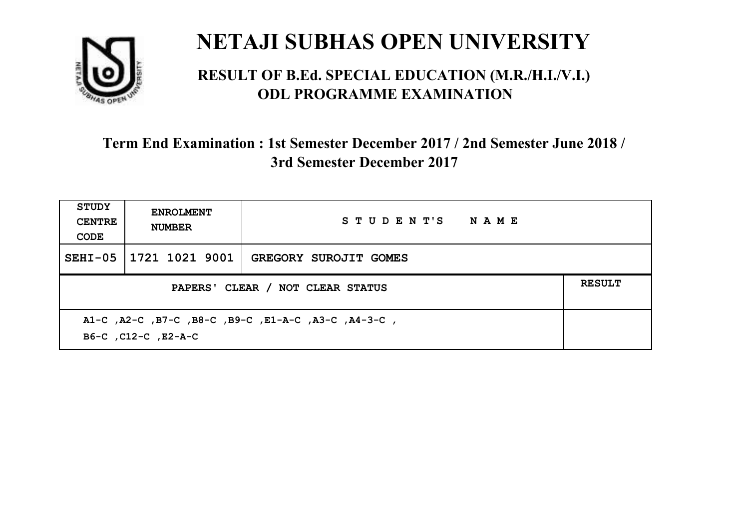

#### **RESULT OF B.Ed. SPECIAL EDUCATION (M.R./H.I./V.I.) ODL PROGRAMME EXAMINATION**

| <b>STUDY</b><br><b>CENTRE</b><br>CODE | <b>ENROLMENT</b><br><b>NUMBER</b>                                          | STUDENT'S NAME               |  |  |  |
|---------------------------------------|----------------------------------------------------------------------------|------------------------------|--|--|--|
| $SEHI-05$                             | 1721 1021 9001                                                             | <b>GREGORY SUROJIT GOMES</b> |  |  |  |
|                                       | <b>RESULT</b><br>PAPERS' CLEAR / NOT CLEAR STATUS                          |                              |  |  |  |
|                                       | A1-C, A2-C, B7-C, B8-C, B9-C, E1-A-C, A3-C, A4-3-C,<br>B6-C, C12-C, E2-A-C |                              |  |  |  |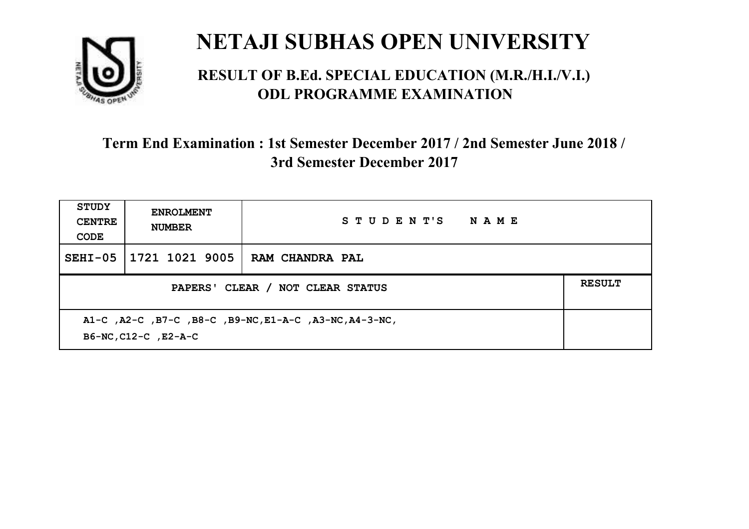

#### **RESULT OF B.Ed. SPECIAL EDUCATION (M.R./H.I./V.I.) ODL PROGRAMME EXAMINATION**

| <b>STUDY</b><br><b>CENTRE</b><br>CODE | <b>ENROLMENT</b><br><b>NUMBER</b>                                              | STUDENT'S<br><b>NAME</b> |  |  |  |
|---------------------------------------|--------------------------------------------------------------------------------|--------------------------|--|--|--|
| $SEHI-05$                             | 1721 1021 9005                                                                 | RAM CHANDRA PAL          |  |  |  |
|                                       | <b>RESULT</b><br>PAPERS' CLEAR / NOT CLEAR STATUS                              |                          |  |  |  |
|                                       | A1-C, A2-C, B7-C, B8-C, B9-NC, E1-A-C, A3-NC, A4-3-NC,<br>B6-NC, C12-C, E2-A-C |                          |  |  |  |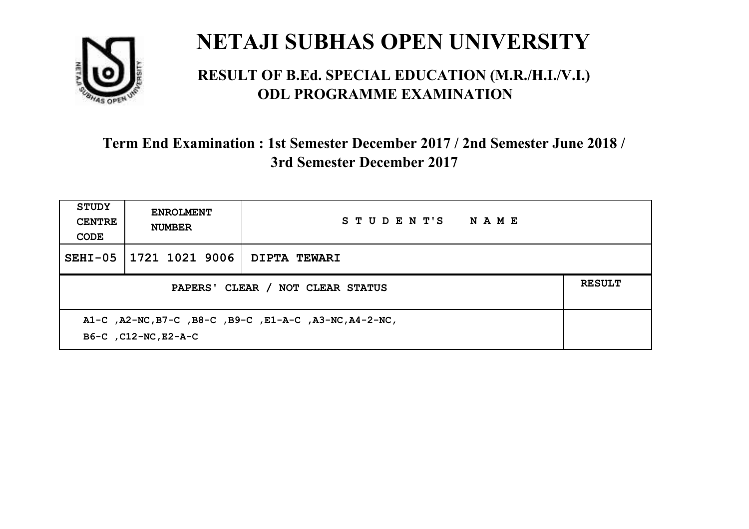

#### **RESULT OF B.Ed. SPECIAL EDUCATION (M.R./H.I./V.I.) ODL PROGRAMME EXAMINATION**

| <b>STUDY</b><br><b>CENTRE</b><br>CODE | <b>ENROLMENT</b><br><b>NUMBER</b>                                              | STUDENT'S<br><b>NAME</b> |  |  |  |
|---------------------------------------|--------------------------------------------------------------------------------|--------------------------|--|--|--|
| $SEHI-05$                             | 1721 1021 9006                                                                 | DIPTA TEWARI             |  |  |  |
|                                       | <b>RESULT</b><br>PAPERS' CLEAR / NOT CLEAR STATUS                              |                          |  |  |  |
|                                       | A1-C, A2-NC, B7-C, B8-C, B9-C, E1-A-C, A3-NC, A4-2-NC,<br>B6-C, C12-NC, E2-A-C |                          |  |  |  |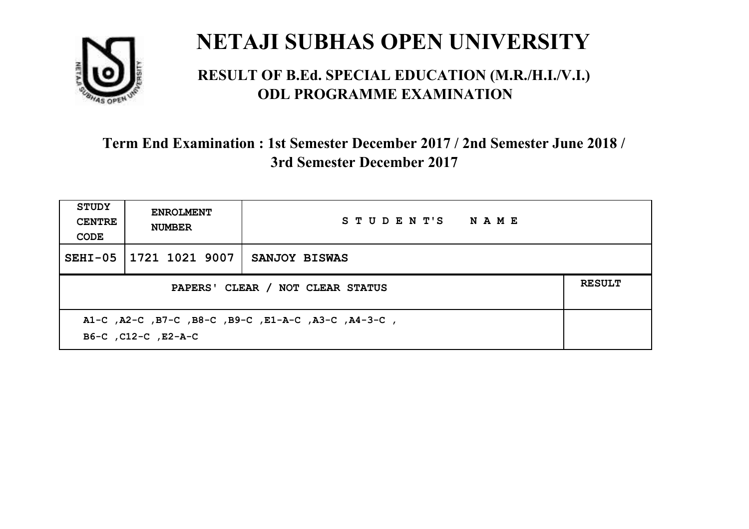

#### **RESULT OF B.Ed. SPECIAL EDUCATION (M.R./H.I./V.I.) ODL PROGRAMME EXAMINATION**

| STUDY<br><b>CENTRE</b><br>CODE                                             | <b>ENROLMENT</b><br><b>NUMBER</b> | STUDENT'S NAME       |  |  |
|----------------------------------------------------------------------------|-----------------------------------|----------------------|--|--|
| $SEHI-05$                                                                  | 1721 1021 9007                    | <b>SANJOY BISWAS</b> |  |  |
| <b>RESULT</b><br>PAPERS' CLEAR / NOT CLEAR STATUS                          |                                   |                      |  |  |
| A1-C, A2-C, B7-C, B8-C, B9-C, E1-A-C, A3-C, A4-3-C,<br>B6-C, C12-C, E2-A-C |                                   |                      |  |  |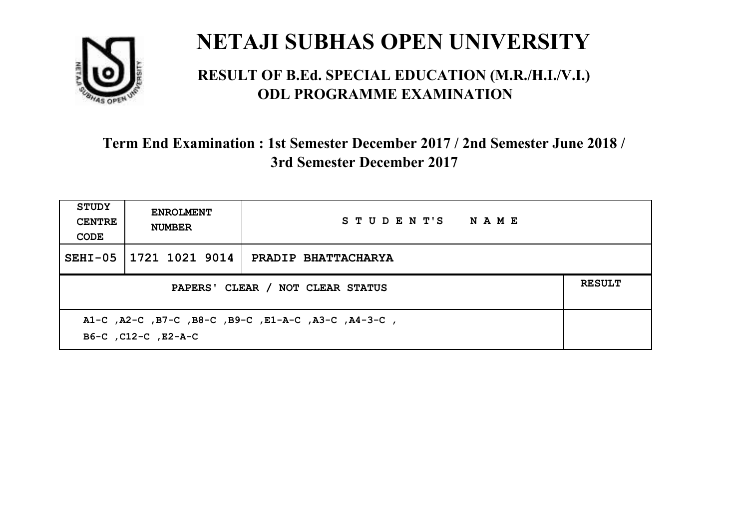

#### **RESULT OF B.Ed. SPECIAL EDUCATION (M.R./H.I./V.I.) ODL PROGRAMME EXAMINATION**

| <b>STUDY</b><br><b>CENTRE</b><br>CODE                                      | <b>ENROLMENT</b><br><b>NUMBER</b> | STUDENT'S NAME             |  |
|----------------------------------------------------------------------------|-----------------------------------|----------------------------|--|
| $SEHI-05$                                                                  | 1721 1021 9014                    | <b>PRADIP BHATTACHARYA</b> |  |
| PAPERS' CLEAR / NOT CLEAR STATUS                                           |                                   |                            |  |
| A1-C, A2-C, B7-C, B8-C, B9-C, E1-A-C, A3-C, A4-3-C,<br>B6-C, C12-C, E2-A-C |                                   |                            |  |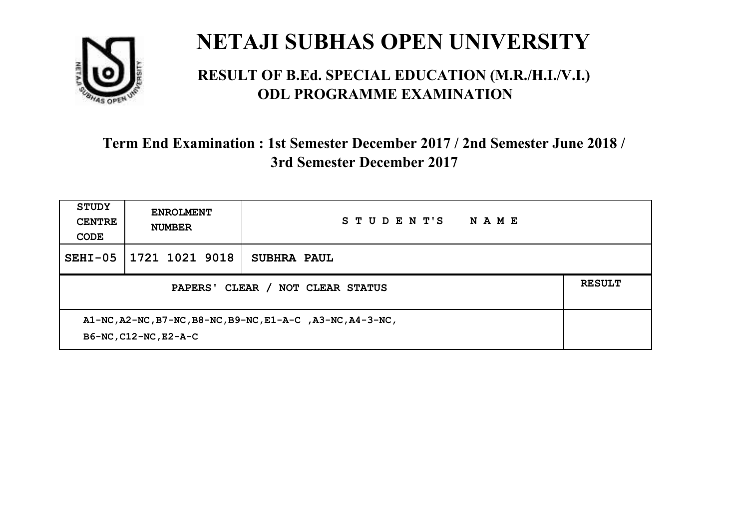

#### **RESULT OF B.Ed. SPECIAL EDUCATION (M.R./H.I./V.I.) ODL PROGRAMME EXAMINATION**

| <b>STUDY</b><br><b>CENTRE</b><br>CODE                                               | <b>ENROLMENT</b><br><b>NUMBER</b> | STUDENT'S<br>NAME  |  |
|-------------------------------------------------------------------------------------|-----------------------------------|--------------------|--|
| $SEHI-05$                                                                           | 1721 1021 9018                    | <b>SUBHRA PAUL</b> |  |
| PAPERS' CLEAR / NOT CLEAR STATUS                                                    |                                   |                    |  |
| A1-NC, A2-NC, B7-NC, B8-NC, B9-NC, E1-A-C, A3-NC, A4-3-NC,<br>B6-NC, C12-NC, E2-A-C |                                   |                    |  |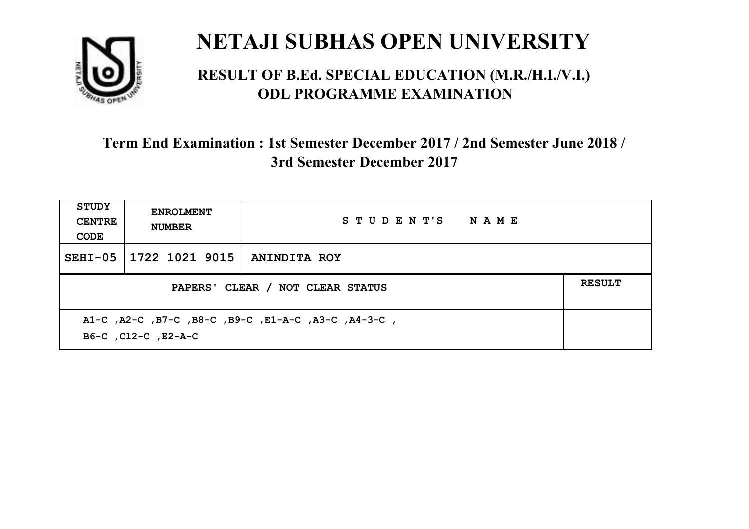

#### **RESULT OF B.Ed. SPECIAL EDUCATION (M.R./H.I./V.I.) ODL PROGRAMME EXAMINATION**

| <b>STUDY</b><br><b>CENTRE</b><br>CODE             | <b>ENROLMENT</b><br><b>NUMBER</b>                                          | STUDENT'S NAME      |  |  |  |
|---------------------------------------------------|----------------------------------------------------------------------------|---------------------|--|--|--|
| SEHI-05                                           | 1722 1021 9015                                                             | <b>ANINDITA ROY</b> |  |  |  |
| <b>RESULT</b><br>PAPERS' CLEAR / NOT CLEAR STATUS |                                                                            |                     |  |  |  |
|                                                   | A1-C, A2-C, B7-C, B8-C, B9-C, E1-A-C, A3-C, A4-3-C,<br>B6-C, C12-C, E2-A-C |                     |  |  |  |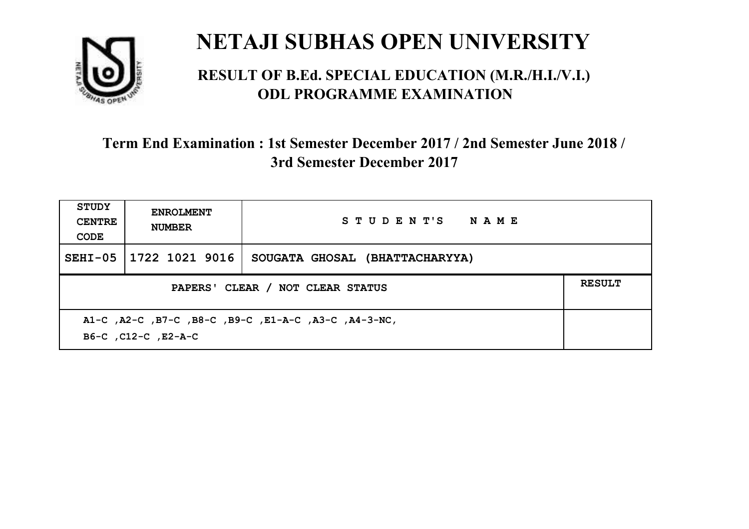

#### **RESULT OF B.Ed. SPECIAL EDUCATION (M.R./H.I./V.I.) ODL PROGRAMME EXAMINATION**

| STUDY<br><b>CENTRE</b><br>CODE                                              | <b>ENROLMENT</b><br><b>NUMBER</b> | STUDENT'S NAME                 |               |
|-----------------------------------------------------------------------------|-----------------------------------|--------------------------------|---------------|
| $SEHI-05$                                                                   | 1722 1021 9016                    | SOUGATA GHOSAL (BHATTACHARYYA) |               |
| PAPERS' CLEAR / NOT CLEAR STATUS                                            |                                   |                                | <b>RESULT</b> |
| A1-C, A2-C, B7-C, B8-C, B9-C, E1-A-C, A3-C, A4-3-NC,<br>B6-C, C12-C, E2-A-C |                                   |                                |               |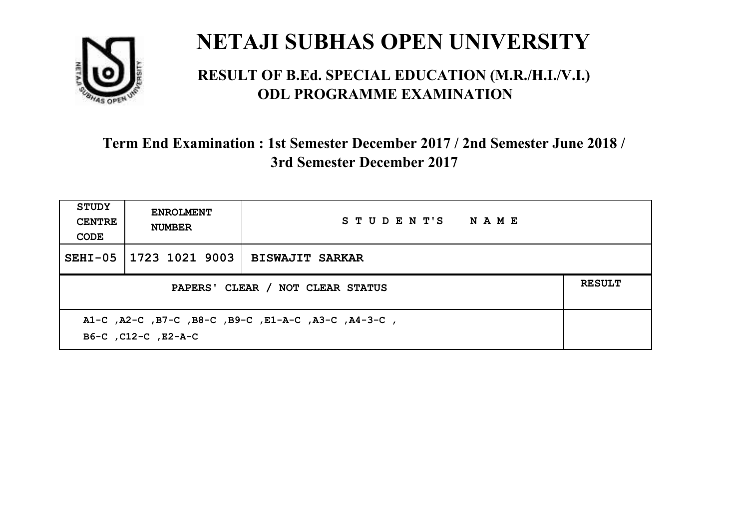

#### **RESULT OF B.Ed. SPECIAL EDUCATION (M.R./H.I./V.I.) ODL PROGRAMME EXAMINATION**

| <b>STUDY</b><br><b>CENTRE</b><br>CODE                                      | <b>ENROLMENT</b><br><b>NUMBER</b> | STUDENT'S NAME         |               |
|----------------------------------------------------------------------------|-----------------------------------|------------------------|---------------|
| $SEHI-05$                                                                  | 1723 1021 9003                    | <b>BISWAJIT SARKAR</b> |               |
| PAPERS' CLEAR / NOT CLEAR STATUS                                           |                                   |                        | <b>RESULT</b> |
| A1-C, A2-C, B7-C, B8-C, B9-C, E1-A-C, A3-C, A4-3-C,<br>B6-C, C12-C, E2-A-C |                                   |                        |               |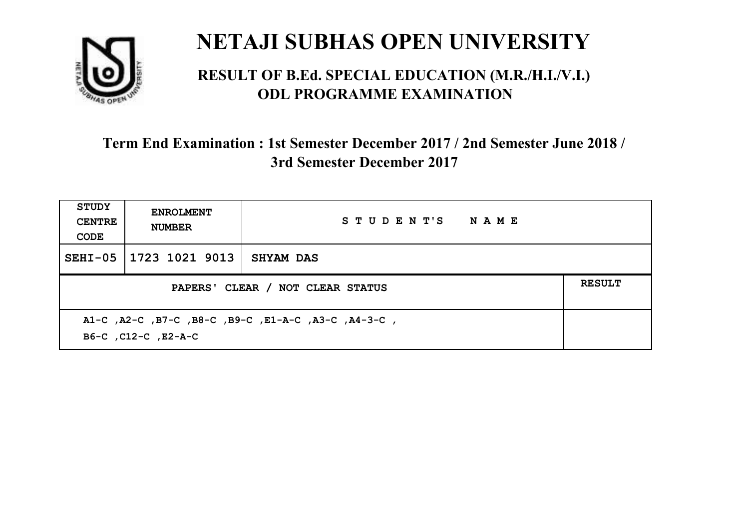

#### **RESULT OF B.Ed. SPECIAL EDUCATION (M.R./H.I./V.I.) ODL PROGRAMME EXAMINATION**

| <b>STUDY</b><br><b>CENTRE</b><br>CODE                                      | <b>ENROLMENT</b><br><b>NUMBER</b> | STUDENT'S NAME   |  |
|----------------------------------------------------------------------------|-----------------------------------|------------------|--|
| $SEHI-05$                                                                  | 1723 1021 9013                    | <b>SHYAM DAS</b> |  |
| PAPERS' CLEAR / NOT CLEAR STATUS                                           |                                   |                  |  |
| A1-C, A2-C, B7-C, B8-C, B9-C, E1-A-C, A3-C, A4-3-C,<br>B6-C, C12-C, E2-A-C |                                   |                  |  |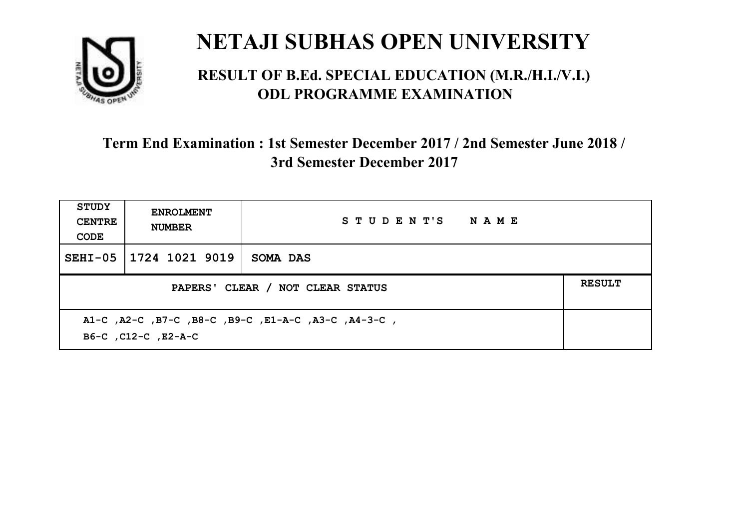

#### **RESULT OF B.Ed. SPECIAL EDUCATION (M.R./H.I./V.I.) ODL PROGRAMME EXAMINATION**

| <b>STUDY</b><br><b>CENTRE</b><br>CODE                                      | <b>ENROLMENT</b><br><b>NUMBER</b> | STUDENT'S NAME |  |
|----------------------------------------------------------------------------|-----------------------------------|----------------|--|
| $SEHI-05$                                                                  | 1724 1021 9019                    | SOMA DAS       |  |
| PAPERS' CLEAR / NOT CLEAR STATUS                                           |                                   |                |  |
| A1-C, A2-C, B7-C, B8-C, B9-C, E1-A-C, A3-C, A4-3-C,<br>B6-C, C12-C, E2-A-C |                                   |                |  |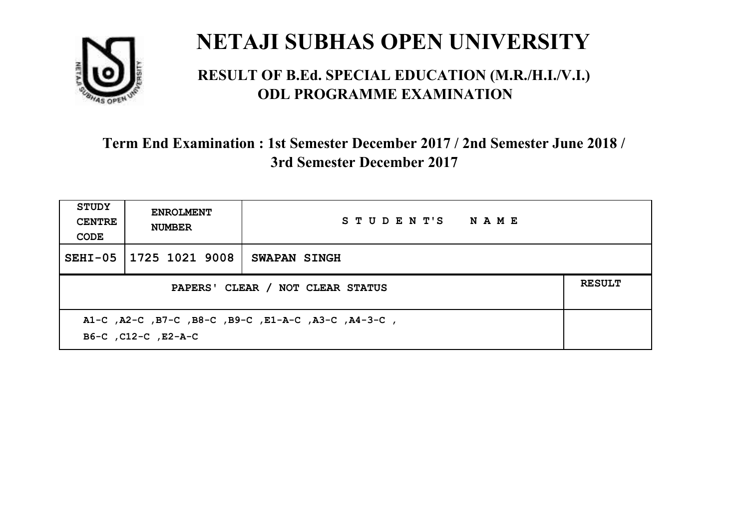

#### **RESULT OF B.Ed. SPECIAL EDUCATION (M.R./H.I./V.I.) ODL PROGRAMME EXAMINATION**

| <b>STUDY</b><br><b>CENTRE</b><br>CODE | <b>ENROLMENT</b><br><b>NUMBER</b>                                          | STUDENT'S NAME      |  |  |  |
|---------------------------------------|----------------------------------------------------------------------------|---------------------|--|--|--|
| $SEHI-05$                             | 1725 1021 9008                                                             | <b>SWAPAN SINGH</b> |  |  |  |
|                                       | <b>RESULT</b><br>PAPERS' CLEAR / NOT CLEAR STATUS                          |                     |  |  |  |
|                                       | A1-C, A2-C, B7-C, B8-C, B9-C, E1-A-C, A3-C, A4-3-C,<br>B6-C, C12-C, E2-A-C |                     |  |  |  |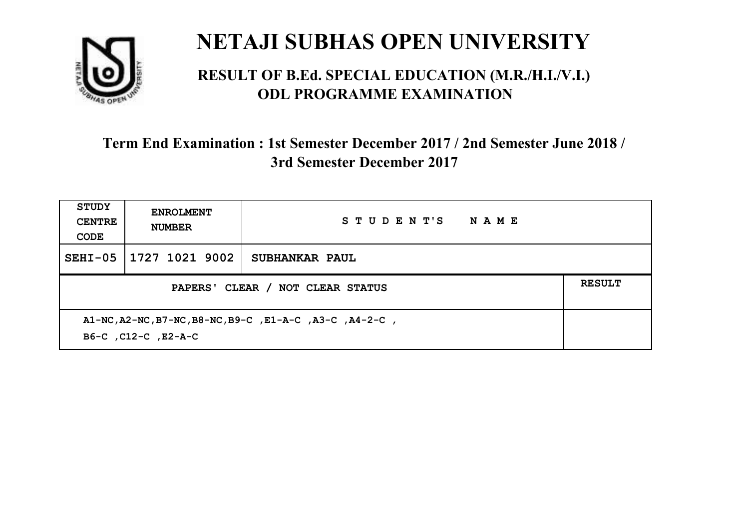

#### **RESULT OF B.Ed. SPECIAL EDUCATION (M.R./H.I./V.I.) ODL PROGRAMME EXAMINATION**

| <b>STUDY</b><br><b>CENTRE</b><br>CODE                                          | <b>ENROLMENT</b><br><b>NUMBER</b> | STUDENT'S<br><b>NAME</b> |               |
|--------------------------------------------------------------------------------|-----------------------------------|--------------------------|---------------|
| $SEHI-05$                                                                      | 1727 1021 9002                    | SUBHANKAR PAUL           |               |
| PAPERS' CLEAR / NOT CLEAR STATUS                                               |                                   |                          | <b>RESULT</b> |
| A1-NC, A2-NC, B7-NC, B8-NC, B9-C, E1-A-C, A3-C, A4-2-C,<br>B6-C, C12-C, E2-A-C |                                   |                          |               |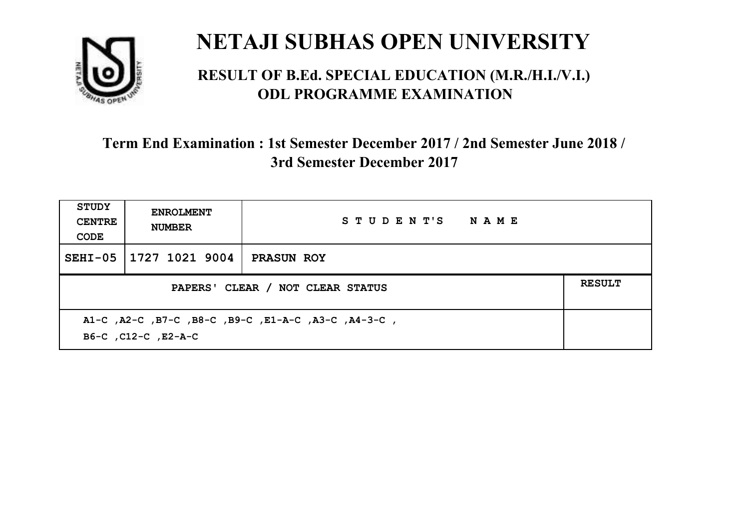

#### **RESULT OF B.Ed. SPECIAL EDUCATION (M.R./H.I./V.I.) ODL PROGRAMME EXAMINATION**

| <b>STUDY</b><br><b>CENTRE</b><br>CODE                                      | <b>ENROLMENT</b><br><b>NUMBER</b> | STUDENT'S NAME    |  |  |
|----------------------------------------------------------------------------|-----------------------------------|-------------------|--|--|
| $SEHI-05$                                                                  | 1727 1021 9004                    | <b>PRASUN ROY</b> |  |  |
| <b>RESULT</b><br>PAPERS' CLEAR / NOT CLEAR STATUS                          |                                   |                   |  |  |
| A1-C, A2-C, B7-C, B8-C, B9-C, E1-A-C, A3-C, A4-3-C,<br>B6-C, C12-C, E2-A-C |                                   |                   |  |  |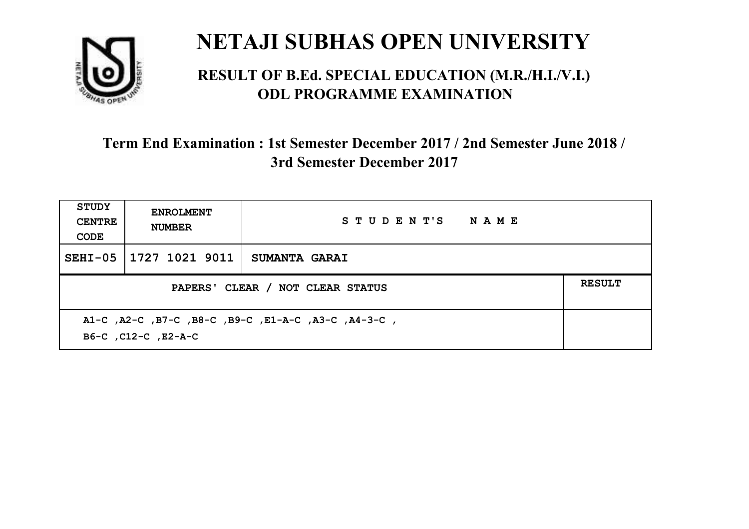

#### **RESULT OF B.Ed. SPECIAL EDUCATION (M.R./H.I./V.I.) ODL PROGRAMME EXAMINATION**

| <b>STUDY</b><br><b>CENTRE</b><br>CODE                                      | <b>ENROLMENT</b><br><b>NUMBER</b> | STUDENT'S NAME       |  |
|----------------------------------------------------------------------------|-----------------------------------|----------------------|--|
| $SEHI-05$                                                                  | 1727 1021 9011                    | <b>SUMANTA GARAI</b> |  |
| PAPERS' CLEAR / NOT CLEAR STATUS                                           |                                   |                      |  |
| A1-C, A2-C, B7-C, B8-C, B9-C, E1-A-C, A3-C, A4-3-C,<br>B6-C, C12-C, E2-A-C |                                   |                      |  |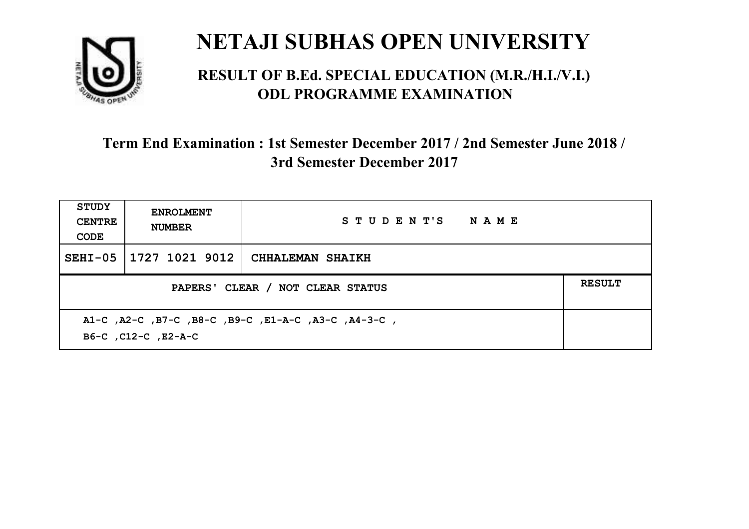

#### **RESULT OF B.Ed. SPECIAL EDUCATION (M.R./H.I./V.I.) ODL PROGRAMME EXAMINATION**

| <b>STUDY</b><br><b>CENTRE</b><br>CODE                                      | <b>ENROLMENT</b><br><b>NUMBER</b>                 | STUDENT'S NAME          |  |  |  |
|----------------------------------------------------------------------------|---------------------------------------------------|-------------------------|--|--|--|
| $SEHI-05$                                                                  | 1727 1021 9012                                    | <b>CHHALEMAN SHAIKH</b> |  |  |  |
|                                                                            | <b>RESULT</b><br>PAPERS' CLEAR / NOT CLEAR STATUS |                         |  |  |  |
| A1-C, A2-C, B7-C, B8-C, B9-C, E1-A-C, A3-C, A4-3-C,<br>B6-C, C12-C, E2-A-C |                                                   |                         |  |  |  |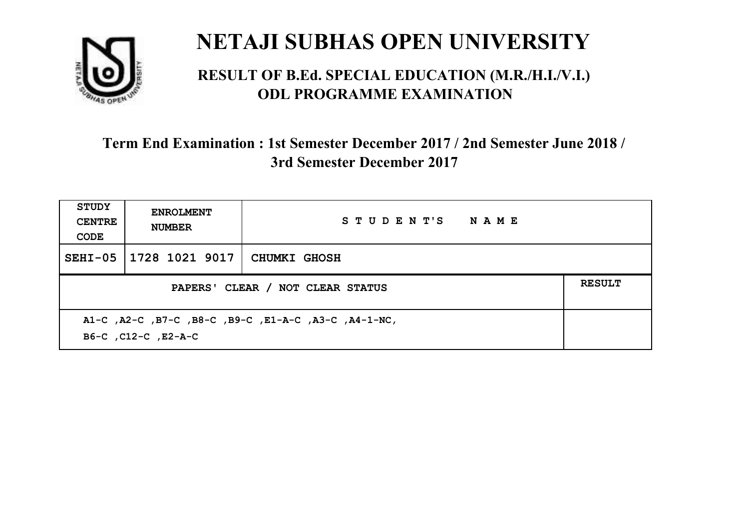

#### **RESULT OF B.Ed. SPECIAL EDUCATION (M.R./H.I./V.I.) ODL PROGRAMME EXAMINATION**

| <b>STUDY</b><br><b>CENTRE</b><br>CODE                                       | <b>ENROLMENT</b><br><b>NUMBER</b>                 | STUDENT'S NAME      |  |  |  |
|-----------------------------------------------------------------------------|---------------------------------------------------|---------------------|--|--|--|
|                                                                             | SEHI-05   1728 1021 9017                          | <b>CHUMKI GHOSH</b> |  |  |  |
|                                                                             | <b>RESULT</b><br>PAPERS' CLEAR / NOT CLEAR STATUS |                     |  |  |  |
| A1-C, A2-C, B7-C, B8-C, B9-C, E1-A-C, A3-C, A4-1-NC,<br>B6-C, C12-C, E2-A-C |                                                   |                     |  |  |  |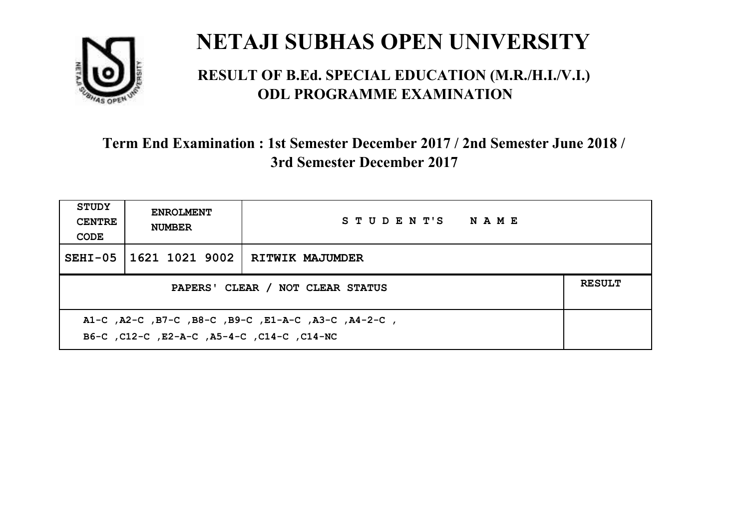

#### **RESULT OF B.Ed. SPECIAL EDUCATION (M.R./H.I./V.I.) ODL PROGRAMME EXAMINATION**

| <b>STUDY</b><br><b>CENTRE</b><br>CODE                                                             | <b>ENROLMENT</b><br><b>NUMBER</b> | STUDENT'S NAME  |  |
|---------------------------------------------------------------------------------------------------|-----------------------------------|-----------------|--|
|                                                                                                   | SEHI-05 1621 1021 9002            | RITWIK MAJUMDER |  |
| PAPERS' CLEAR / NOT CLEAR STATUS                                                                  |                                   |                 |  |
| A1-C, A2-C, B7-C, B8-C, B9-C, E1-A-C, A3-C, A4-2-C,<br>B6-C, C12-C, E2-A-C, A5-4-C, C14-C, C14-NC |                                   |                 |  |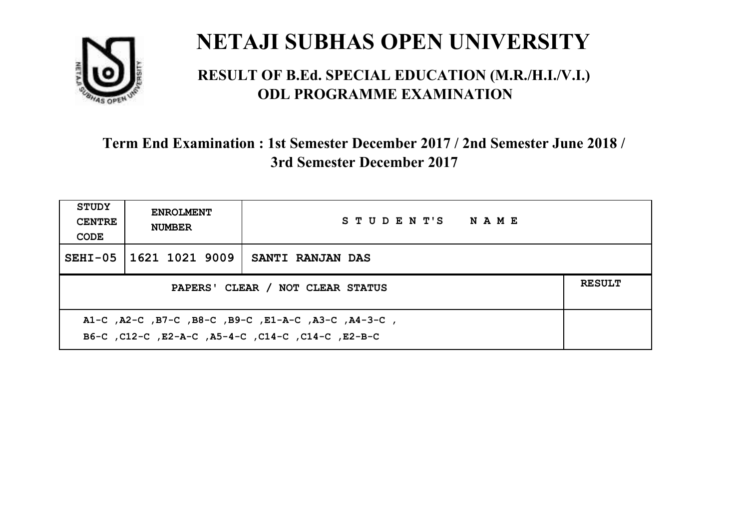

#### **RESULT OF B.Ed. SPECIAL EDUCATION (M.R./H.I./V.I.) ODL PROGRAMME EXAMINATION**

| STUDY<br><b>CENTRE</b><br>CODE                                                                            | <b>ENROLMENT</b><br><b>NUMBER</b>                 | STUDENT'S NAME   |  |  |  |
|-----------------------------------------------------------------------------------------------------------|---------------------------------------------------|------------------|--|--|--|
| $SEHI-05$                                                                                                 | 1621 1021 9009                                    | SANTI RANJAN DAS |  |  |  |
|                                                                                                           | <b>RESULT</b><br>PAPERS' CLEAR / NOT CLEAR STATUS |                  |  |  |  |
| A1-C, A2-C, B7-C, B8-C, B9-C, E1-A-C, A3-C, A4-3-C,<br>B6-C, C12-C, E2-A-C, A5-4-C, C14-C, C14-C, C12-B-C |                                                   |                  |  |  |  |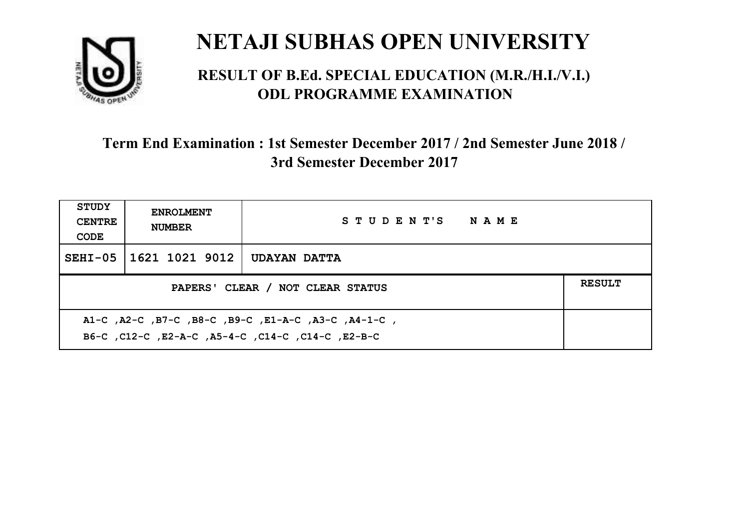

#### **RESULT OF B.Ed. SPECIAL EDUCATION (M.R./H.I./V.I.) ODL PROGRAMME EXAMINATION**

| <b>STUDY</b><br><b>CENTRE</b><br>CODE                                                                    | <b>ENROLMENT</b><br><b>NUMBER</b>                 | STUDENT'S NAME      |  |  |  |
|----------------------------------------------------------------------------------------------------------|---------------------------------------------------|---------------------|--|--|--|
| $SEHI-05$                                                                                                | 1621 1021 9012                                    | <b>UDAYAN DATTA</b> |  |  |  |
|                                                                                                          | <b>RESULT</b><br>PAPERS' CLEAR / NOT CLEAR STATUS |                     |  |  |  |
| A1-C, A2-C, B7-C, B8-C, B9-C, E1-A-C, A3-C, A4-1-C,<br>B6-C, C12-C, E2-A-C, A5-4-C, C14-C, C14-C, E2-B-C |                                                   |                     |  |  |  |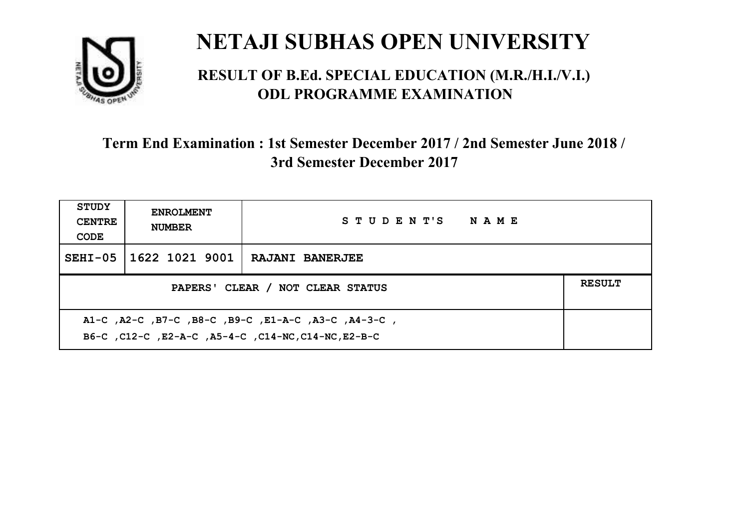

#### **RESULT OF B.Ed. SPECIAL EDUCATION (M.R./H.I./V.I.) ODL PROGRAMME EXAMINATION**

| <b>STUDY</b><br><b>CENTRE</b><br>CODE                                                                      | <b>ENROLMENT</b><br><b>NUMBER</b>                 | STUDENT'S NAME         |  |  |  |
|------------------------------------------------------------------------------------------------------------|---------------------------------------------------|------------------------|--|--|--|
| $SEHI-05$                                                                                                  | 1622 1021 9001                                    | <b>RAJANI BANERJEE</b> |  |  |  |
|                                                                                                            | <b>RESULT</b><br>PAPERS' CLEAR / NOT CLEAR STATUS |                        |  |  |  |
| A1-C, A2-C, B7-C, B8-C, B9-C, E1-A-C, A3-C, A4-3-C,<br>B6-C, C12-C, E2-A-C, A5-4-C, C14-NC, C14-NC, E2-B-C |                                                   |                        |  |  |  |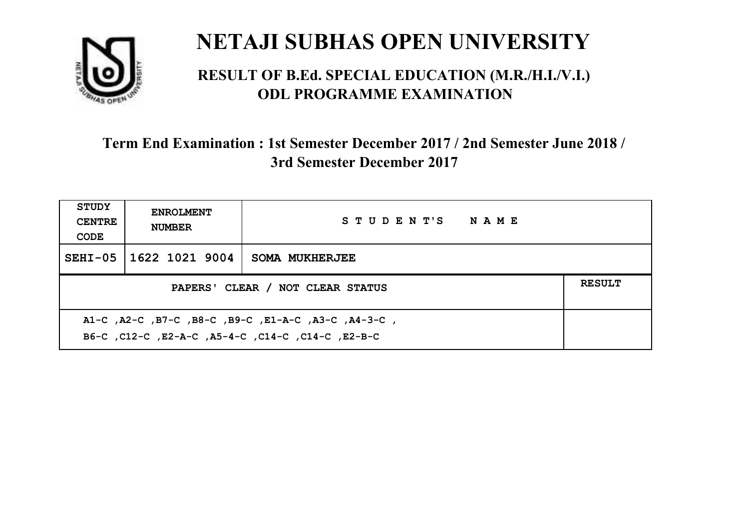

#### **RESULT OF B.Ed. SPECIAL EDUCATION (M.R./H.I./V.I.) ODL PROGRAMME EXAMINATION**

| <b>STUDY</b><br><b>CENTRE</b><br>CODE                                                                    | <b>ENROLMENT</b><br><b>NUMBER</b>                 | STUDENT'S NAME |  |  |
|----------------------------------------------------------------------------------------------------------|---------------------------------------------------|----------------|--|--|
|                                                                                                          | SEHI-05 11622 1021 9004                           | SOMA MUKHERJEE |  |  |
|                                                                                                          | <b>RESULT</b><br>PAPERS' CLEAR / NOT CLEAR STATUS |                |  |  |
| A1-C, A2-C, B7-C, B8-C, B9-C, E1-A-C, A3-C, A4-3-C,<br>B6-C, C12-C, E2-A-C, A5-4-C, C14-C, C14-C, E2-B-C |                                                   |                |  |  |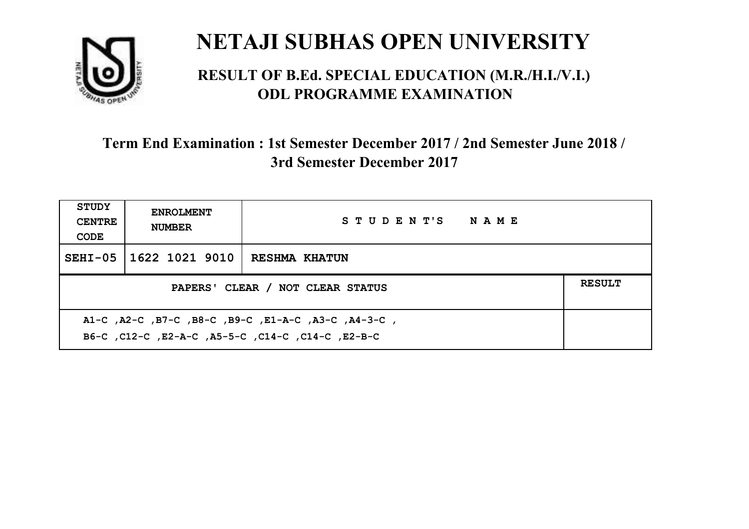

#### **RESULT OF B.Ed. SPECIAL EDUCATION (M.R./H.I./V.I.) ODL PROGRAMME EXAMINATION**

| <b>STUDY</b><br><b>CENTRE</b><br>CODE                                                                     | <b>ENROLMENT</b><br><b>NUMBER</b>                 | STUDENT'S NAME       |  |  |  |
|-----------------------------------------------------------------------------------------------------------|---------------------------------------------------|----------------------|--|--|--|
| $SEHI-05$                                                                                                 | 1622 1021 9010                                    | <b>RESHMA KHATUN</b> |  |  |  |
|                                                                                                           | <b>RESULT</b><br>PAPERS' CLEAR / NOT CLEAR STATUS |                      |  |  |  |
| A1-C, A2-C, B7-C, B8-C, B9-C, E1-A-C, A3-C, A4-3-C,<br>B6-C, C12-C, E2-A-C, A5-5-C, C14-C, C14-C, C12-B-C |                                                   |                      |  |  |  |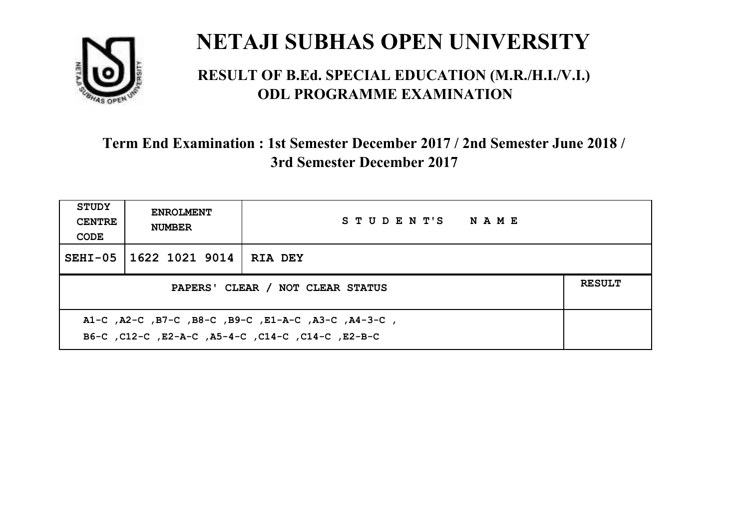

#### **RESULT OF B.Ed. SPECIAL EDUCATION (M.R./H.I./V.I.) ODL PROGRAMME EXAMINATION**

| <b>STUDY</b><br><b>CENTRE</b><br>CODE                                                                    | <b>ENROLMENT</b><br><b>NUMBER</b>                 | STUDENT'S NAME |  |  |  |
|----------------------------------------------------------------------------------------------------------|---------------------------------------------------|----------------|--|--|--|
| $SEHI-05$                                                                                                | 1622 1021 9014                                    | <b>RIA DEY</b> |  |  |  |
|                                                                                                          | <b>RESULT</b><br>PAPERS' CLEAR / NOT CLEAR STATUS |                |  |  |  |
| A1-C, A2-C, B7-C, B8-C, B9-C, E1-A-C, A3-C, A4-3-C,<br>B6-C, C12-C, E2-A-C, A5-4-C, C14-C, C14-C, E2-B-C |                                                   |                |  |  |  |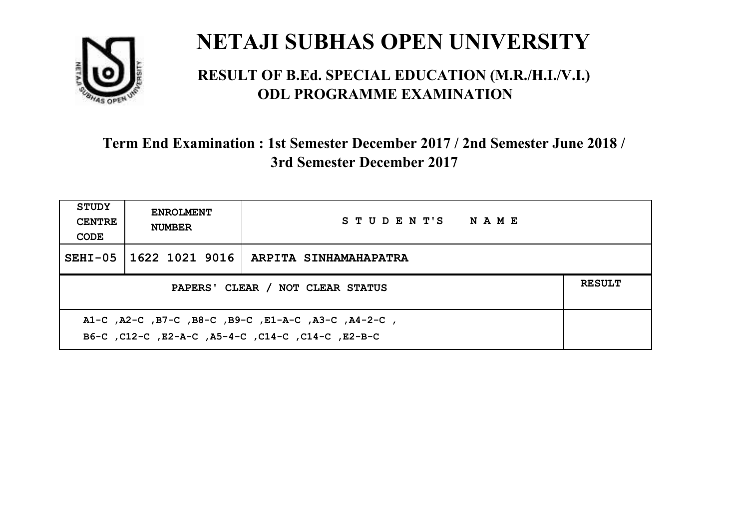

#### **RESULT OF B.Ed. SPECIAL EDUCATION (M.R./H.I./V.I.) ODL PROGRAMME EXAMINATION**

| <b>STUDY</b><br><b>CENTRE</b><br>CODE                                                                    | <b>ENROLMENT</b><br><b>NUMBER</b>                 | STUDENT'S NAME                         |  |  |  |
|----------------------------------------------------------------------------------------------------------|---------------------------------------------------|----------------------------------------|--|--|--|
| $SEHI-05$                                                                                                |                                                   | 1622 1021 9016   ARPITA SINHAMAHAPATRA |  |  |  |
|                                                                                                          | <b>RESULT</b><br>PAPERS' CLEAR / NOT CLEAR STATUS |                                        |  |  |  |
| A1-C, A2-C, B7-C, B8-C, B9-C, E1-A-C, A3-C, A4-2-C,<br>B6-C, C12-C, E2-A-C, A5-4-C, C14-C, C14-C, E2-B-C |                                                   |                                        |  |  |  |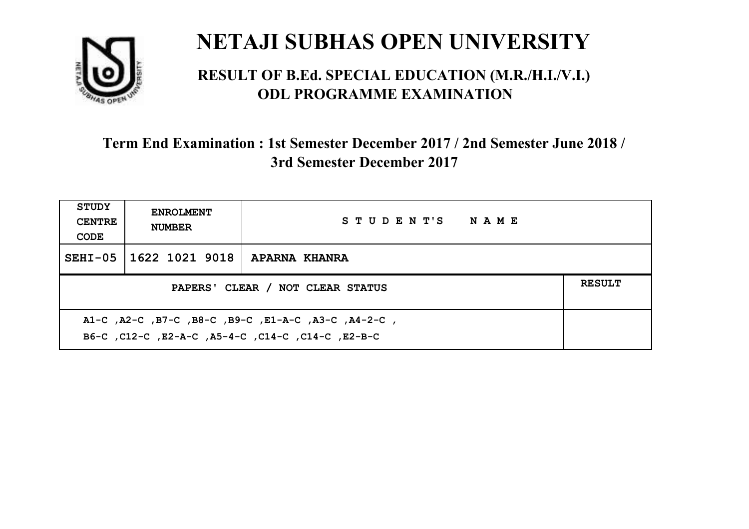

#### **RESULT OF B.Ed. SPECIAL EDUCATION (M.R./H.I./V.I.) ODL PROGRAMME EXAMINATION**

| <b>STUDY</b><br><b>CENTRE</b><br>CODE                                                                    | <b>ENROLMENT</b><br><b>NUMBER</b>                 | STUDENT'S NAME |  |  |  |
|----------------------------------------------------------------------------------------------------------|---------------------------------------------------|----------------|--|--|--|
|                                                                                                          | SEHI-05   1622 1021 9018                          | APARNA KHANRA  |  |  |  |
|                                                                                                          | <b>RESULT</b><br>PAPERS' CLEAR / NOT CLEAR STATUS |                |  |  |  |
| A1-C, A2-C, B7-C, B8-C, B9-C, E1-A-C, A3-C, A4-2-C,<br>B6-C, C12-C, E2-A-C, A5-4-C, C14-C, C14-C, E2-B-C |                                                   |                |  |  |  |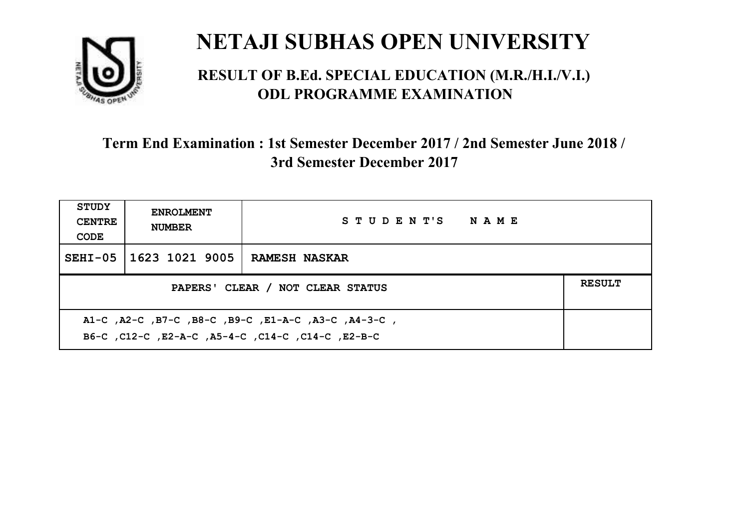

#### **RESULT OF B.Ed. SPECIAL EDUCATION (M.R./H.I./V.I.) ODL PROGRAMME EXAMINATION**

| <b>STUDY</b><br><b>CENTRE</b><br>CODE                                                                     | <b>ENROLMENT</b><br><b>NUMBER</b>                 | STUDENT'S NAME       |  |  |  |
|-----------------------------------------------------------------------------------------------------------|---------------------------------------------------|----------------------|--|--|--|
| $SEHI-05$                                                                                                 | 1623 1021 9005                                    | <b>RAMESH NASKAR</b> |  |  |  |
|                                                                                                           | <b>RESULT</b><br>PAPERS' CLEAR / NOT CLEAR STATUS |                      |  |  |  |
| A1-C, A2-C, B7-C, B8-C, B9-C, E1-A-C, A3-C, A4-3-C,<br>B6-C, C12-C, E2-A-C, A5-4-C, C14-C, C14-C, C12-B-C |                                                   |                      |  |  |  |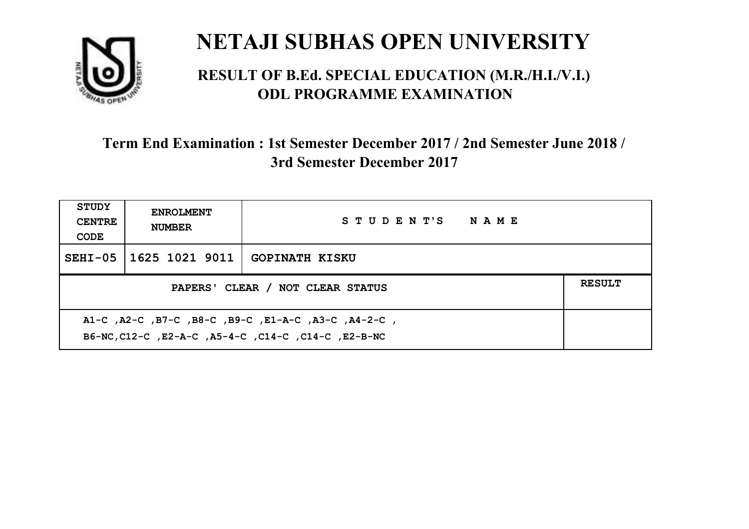

#### **RESULT OF B.Ed. SPECIAL EDUCATION (M.R./H.I./V.I.) ODL PROGRAMME EXAMINATION**

| <b>STUDY</b><br><b>CENTRE</b><br>CODE                                                                      | <b>ENROLMENT</b><br><b>NUMBER</b> | STUDENT'S NAME        |  |  |
|------------------------------------------------------------------------------------------------------------|-----------------------------------|-----------------------|--|--|
| $SEHI-05$                                                                                                  | 1625 1021 9011                    | <b>GOPINATH KISKU</b> |  |  |
| <b>RESULT</b><br>PAPERS' CLEAR / NOT CLEAR STATUS                                                          |                                   |                       |  |  |
| A1-C, A2-C, B7-C, B8-C, B9-C, E1-A-C, A3-C, A4-2-C,<br>B6-NC, C12-C, E2-A-C, A5-4-C, C14-C, C14-C, E2-B-NC |                                   |                       |  |  |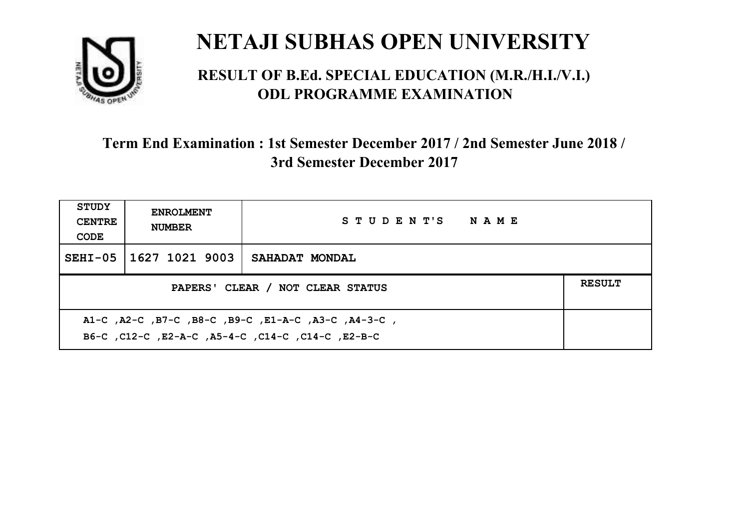

#### **RESULT OF B.Ed. SPECIAL EDUCATION (M.R./H.I./V.I.) ODL PROGRAMME EXAMINATION**

| <b>STUDY</b><br><b>CENTRE</b><br>CODE                                                                    | <b>ENROLMENT</b><br><b>NUMBER</b>                 | STUDENT'S NAME        |  |  |  |
|----------------------------------------------------------------------------------------------------------|---------------------------------------------------|-----------------------|--|--|--|
|                                                                                                          | SEHI-05 1627 1021 9003                            | <b>SAHADAT MONDAL</b> |  |  |  |
|                                                                                                          | <b>RESULT</b><br>PAPERS' CLEAR / NOT CLEAR STATUS |                       |  |  |  |
| A1-C, A2-C, B7-C, B8-C, B9-C, E1-A-C, A3-C, A4-3-C,<br>B6-C, C12-C, E2-A-C, A5-4-C, C14-C, C14-C, E2-B-C |                                                   |                       |  |  |  |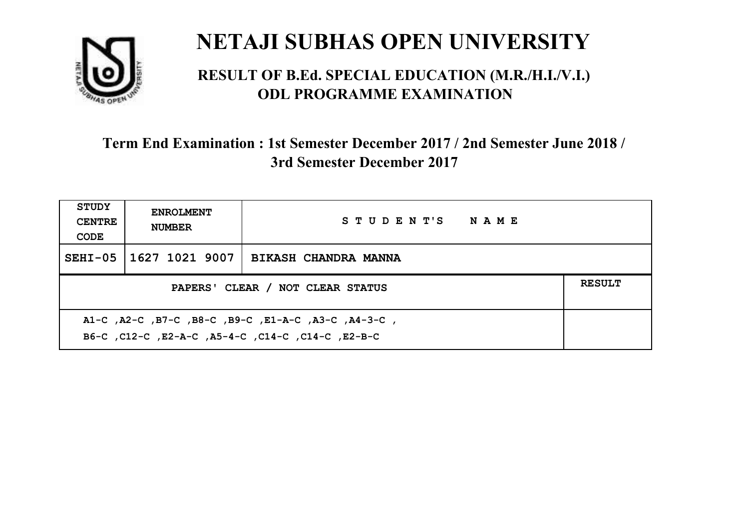

#### **RESULT OF B.Ed. SPECIAL EDUCATION (M.R./H.I./V.I.) ODL PROGRAMME EXAMINATION**

| <b>STUDY</b><br><b>CENTRE</b><br>CODE                                                                     | <b>ENROLMENT</b><br><b>NUMBER</b>                 | STUDENT'S NAME       |  |  |  |
|-----------------------------------------------------------------------------------------------------------|---------------------------------------------------|----------------------|--|--|--|
| $SEHI-05$                                                                                                 | 1627 1021 9007                                    | BIKASH CHANDRA MANNA |  |  |  |
|                                                                                                           | <b>RESULT</b><br>PAPERS' CLEAR / NOT CLEAR STATUS |                      |  |  |  |
| A1-C, A2-C, B7-C, B8-C, B9-C, E1-A-C, A3-C, A4-3-C,<br>B6-C, C12-C, E2-A-C, A5-4-C, C14-C, C14-C, C12-B-C |                                                   |                      |  |  |  |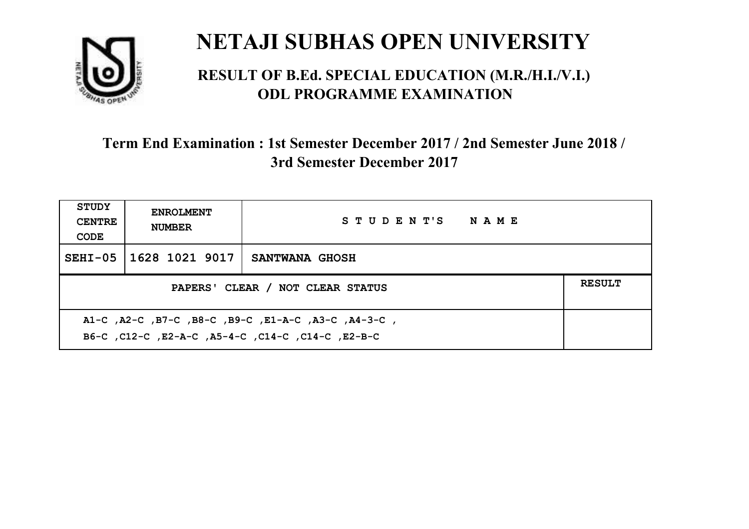

#### **RESULT OF B.Ed. SPECIAL EDUCATION (M.R./H.I./V.I.) ODL PROGRAMME EXAMINATION**

| <b>STUDY</b><br><b>CENTRE</b><br>CODE                                                                    | <b>ENROLMENT</b><br><b>NUMBER</b>                 | STUDENT'S NAME |  |  |  |
|----------------------------------------------------------------------------------------------------------|---------------------------------------------------|----------------|--|--|--|
|                                                                                                          | SEHI-05 11628 1021 9017                           | SANTWANA GHOSH |  |  |  |
|                                                                                                          | <b>RESULT</b><br>PAPERS' CLEAR / NOT CLEAR STATUS |                |  |  |  |
| A1-C, A2-C, B7-C, B8-C, B9-C, E1-A-C, A3-C, A4-3-C,<br>B6-C, C12-C, E2-A-C, A5-4-C, C14-C, C14-C, E2-B-C |                                                   |                |  |  |  |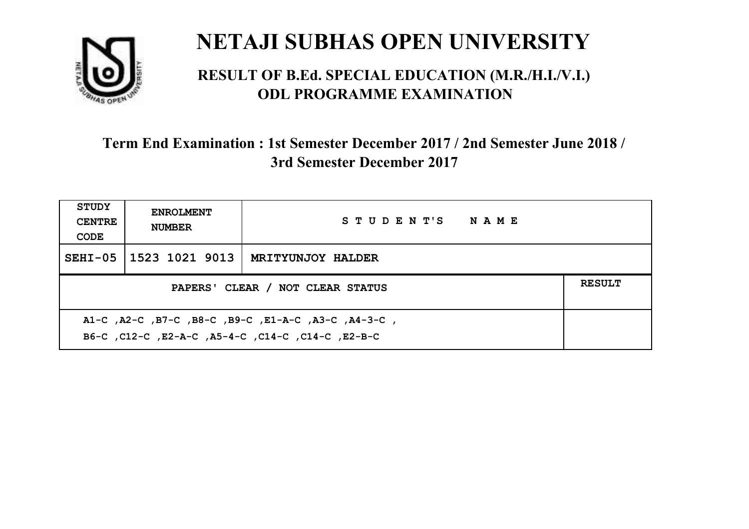

#### **RESULT OF B.Ed. SPECIAL EDUCATION (M.R./H.I./V.I.) ODL PROGRAMME EXAMINATION**

| <b>STUDY</b><br><b>CENTRE</b><br>CODE                                                                    | <b>ENROLMENT</b><br><b>NUMBER</b>                 | STUDENT'S NAME           |  |  |  |
|----------------------------------------------------------------------------------------------------------|---------------------------------------------------|--------------------------|--|--|--|
|                                                                                                          | SEHI-05 1523 1021 9013                            | <b>MRITYUNJOY HALDER</b> |  |  |  |
|                                                                                                          | <b>RESULT</b><br>PAPERS' CLEAR / NOT CLEAR STATUS |                          |  |  |  |
| A1-C, A2-C, B7-C, B8-C, B9-C, E1-A-C, A3-C, A4-3-C,<br>B6-C, C12-C, E2-A-C, A5-4-C, C14-C, C14-C, E2-B-C |                                                   |                          |  |  |  |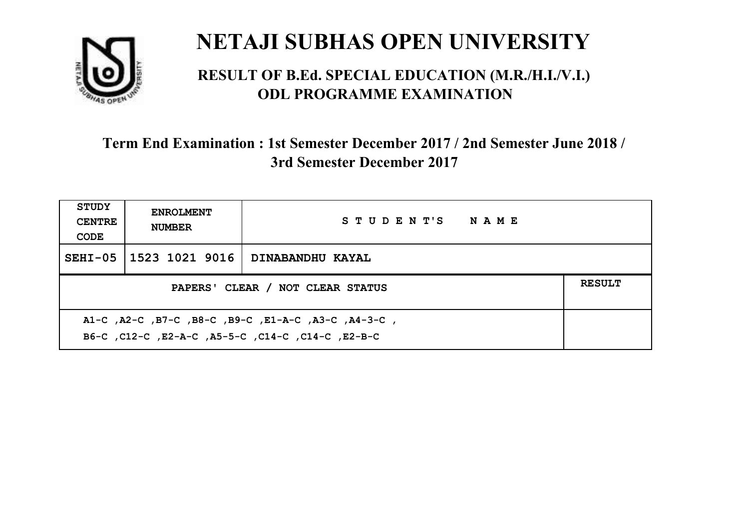

#### **RESULT OF B.Ed. SPECIAL EDUCATION (M.R./H.I./V.I.) ODL PROGRAMME EXAMINATION**

| <b>STUDY</b><br><b>CENTRE</b><br>CODE                                                                     | <b>ENROLMENT</b><br><b>NUMBER</b>                 | STUDENT'S NAME   |  |  |  |
|-----------------------------------------------------------------------------------------------------------|---------------------------------------------------|------------------|--|--|--|
|                                                                                                           | SEHI-05 1523 1021 9016                            | DINABANDHU KAYAL |  |  |  |
|                                                                                                           | <b>RESULT</b><br>PAPERS' CLEAR / NOT CLEAR STATUS |                  |  |  |  |
| A1-C, A2-C, B7-C, B8-C, B9-C, E1-A-C, A3-C, A4-3-C,<br>B6-C, C12-C, E2-A-C, A5-5-C, C14-C, C14-C, C12-B-C |                                                   |                  |  |  |  |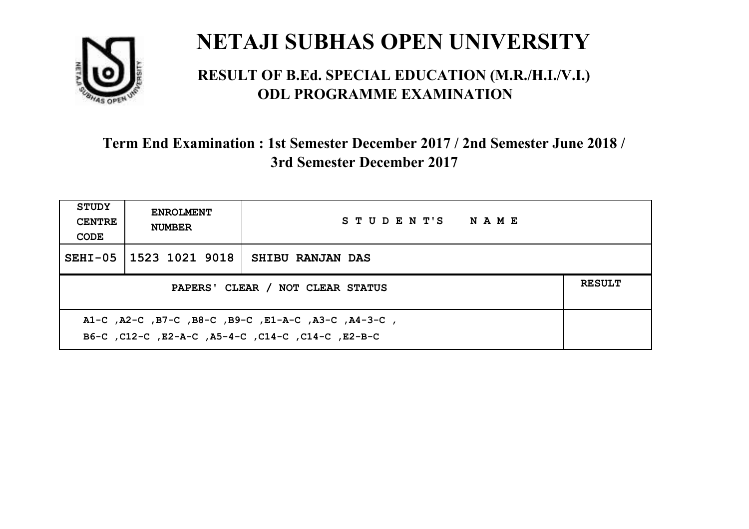

#### **RESULT OF B.Ed. SPECIAL EDUCATION (M.R./H.I./V.I.) ODL PROGRAMME EXAMINATION**

| <b>STUDY</b><br><b>CENTRE</b><br>CODE | <b>ENROLMENT</b><br><b>NUMBER</b>                                                                         | STUDENT'S NAME   |  |  |  |
|---------------------------------------|-----------------------------------------------------------------------------------------------------------|------------------|--|--|--|
|                                       | SEHI-05   1523 1021 9018                                                                                  | SHIBU RANJAN DAS |  |  |  |
|                                       | <b>RESULT</b><br>PAPERS' CLEAR / NOT CLEAR STATUS                                                         |                  |  |  |  |
|                                       | A1-C, A2-C, B7-C, B8-C, B9-C, E1-A-C, A3-C, A4-3-C,<br>B6-C, C12-C, E2-A-C, A5-4-C, C14-C, C14-C, C12-B-C |                  |  |  |  |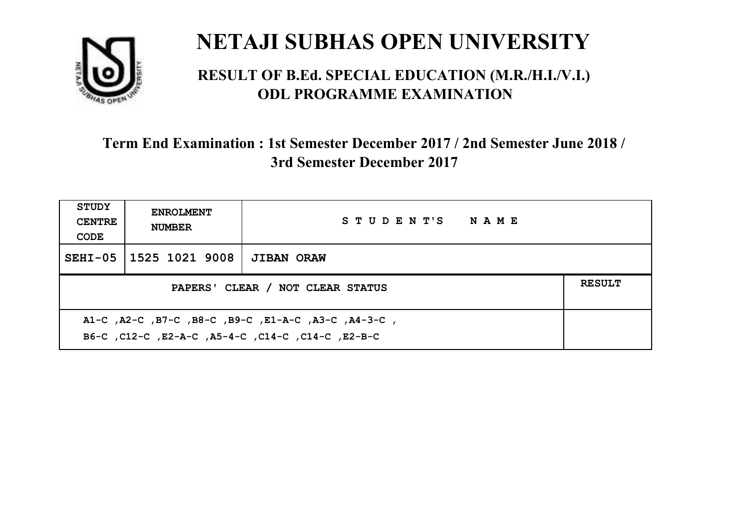

#### **RESULT OF B.Ed. SPECIAL EDUCATION (M.R./H.I./V.I.) ODL PROGRAMME EXAMINATION**

| <b>STUDY</b><br><b>CENTRE</b><br>CODE                                                                    | <b>ENROLMENT</b><br><b>NUMBER</b>                 | STUDENT'S NAME    |  |  |
|----------------------------------------------------------------------------------------------------------|---------------------------------------------------|-------------------|--|--|
|                                                                                                          | SEHI-05 1525 1021 9008                            | <b>JIBAN ORAW</b> |  |  |
|                                                                                                          | <b>RESULT</b><br>PAPERS' CLEAR / NOT CLEAR STATUS |                   |  |  |
| A1-C, A2-C, B7-C, B8-C, B9-C, E1-A-C, A3-C, A4-3-C,<br>B6-C, C12-C, E2-A-C, A5-4-C, C14-C, C14-C, E2-B-C |                                                   |                   |  |  |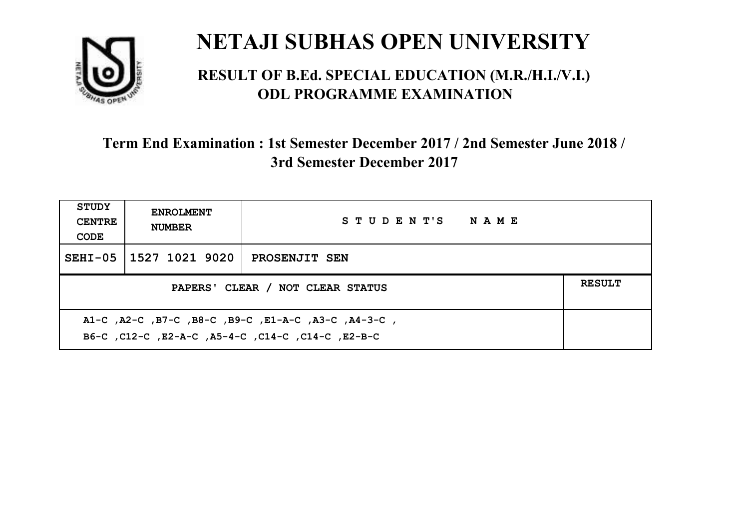

#### **RESULT OF B.Ed. SPECIAL EDUCATION (M.R./H.I./V.I.) ODL PROGRAMME EXAMINATION**

| <b>STUDY</b><br><b>CENTRE</b><br>CODE | <b>ENROLMENT</b><br><b>NUMBER</b>                                                                         | STUDENT'S NAME |  |  |  |
|---------------------------------------|-----------------------------------------------------------------------------------------------------------|----------------|--|--|--|
|                                       | SEHI-05 1527 1021 9020                                                                                    | PROSENJIT SEN  |  |  |  |
|                                       | <b>RESULT</b><br>PAPERS' CLEAR / NOT CLEAR STATUS                                                         |                |  |  |  |
|                                       | A1-C, A2-C, B7-C, B8-C, B9-C, E1-A-C, A3-C, A4-3-C,<br>B6-C, C12-C, E2-A-C, A5-4-C, C14-C, C14-C, C12-B-C |                |  |  |  |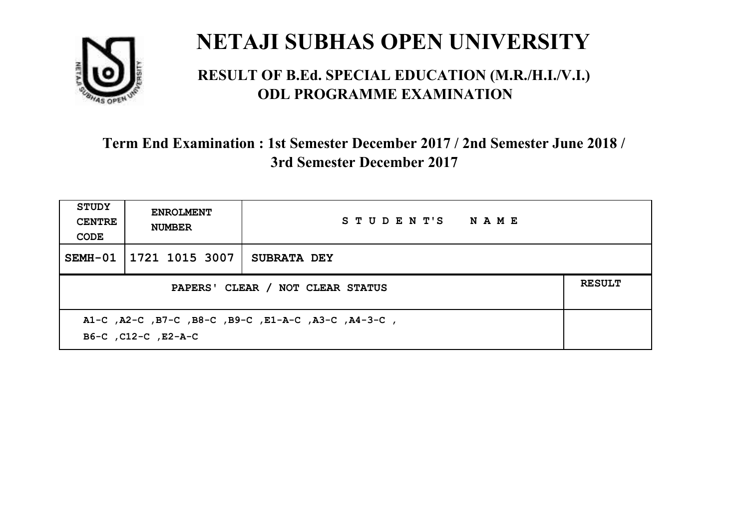

#### **RESULT OF B.Ed. SPECIAL EDUCATION (M.R./H.I./V.I.) ODL PROGRAMME EXAMINATION**

| <b>STUDY</b><br><b>CENTRE</b><br>CODE | <b>ENROLMENT</b><br><b>NUMBER</b>                                          | STUDENT'S NAME     |  |  |  |
|---------------------------------------|----------------------------------------------------------------------------|--------------------|--|--|--|
| SEMH-01                               | 1721 1015 3007                                                             | <b>SUBRATA DEY</b> |  |  |  |
|                                       | <b>RESULT</b><br>PAPERS' CLEAR / NOT CLEAR STATUS                          |                    |  |  |  |
|                                       | A1-C, A2-C, B7-C, B8-C, B9-C, E1-A-C, A3-C, A4-3-C,<br>B6-C, C12-C, E2-A-C |                    |  |  |  |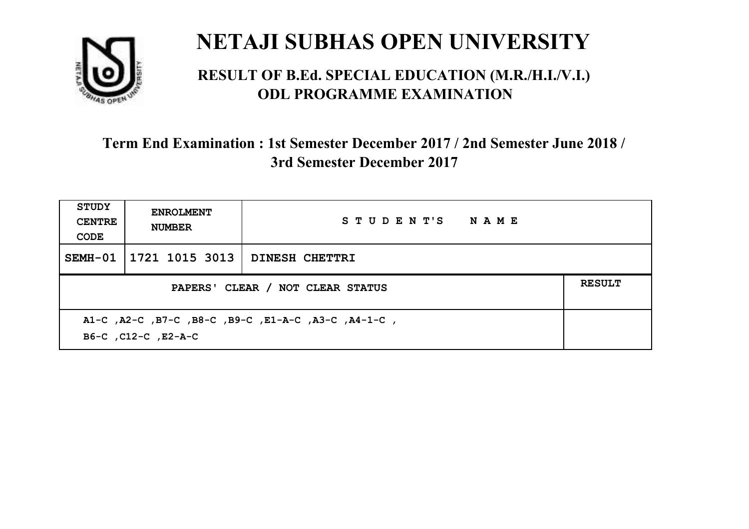

#### **RESULT OF B.Ed. SPECIAL EDUCATION (M.R./H.I./V.I.) ODL PROGRAMME EXAMINATION**

| <b>STUDY</b><br><b>CENTRE</b><br>CODE | <b>ENROLMENT</b><br><b>NUMBER</b>                                          | STUDENT'S NAME |  |  |  |
|---------------------------------------|----------------------------------------------------------------------------|----------------|--|--|--|
| SEMH-01                               | 1721 1015 3013                                                             | DINESH CHETTRI |  |  |  |
|                                       | <b>RESULT</b><br>PAPERS' CLEAR / NOT CLEAR STATUS                          |                |  |  |  |
|                                       | A1-C, A2-C, B7-C, B8-C, B9-C, E1-A-C, A3-C, A4-1-C,<br>B6-C, C12-C, E2-A-C |                |  |  |  |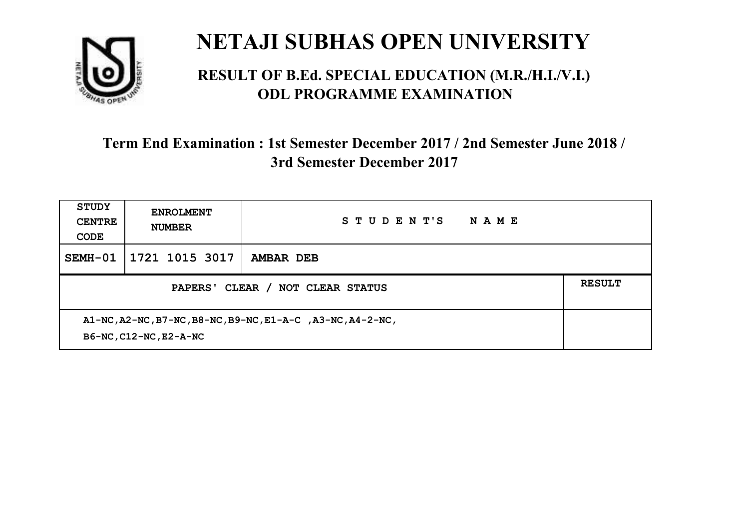

#### **RESULT OF B.Ed. SPECIAL EDUCATION (M.R./H.I./V.I.) ODL PROGRAMME EXAMINATION**

| <b>STUDY</b><br><b>CENTRE</b><br>CODE                                                | <b>ENROLMENT</b><br><b>NUMBER</b> | STUDENT'S<br>NAME |  |
|--------------------------------------------------------------------------------------|-----------------------------------|-------------------|--|
| SEMH-01                                                                              | 1721 1015 3017                    | <b>AMBAR DEB</b>  |  |
| <b>RESULT</b><br>PAPERS' CLEAR / NOT CLEAR STATUS                                    |                                   |                   |  |
| A1-NC, A2-NC, B7-NC, B8-NC, B9-NC, E1-A-C, A3-NC, A4-2-NC,<br>B6-NC, C12-NC, E2-A-NC |                                   |                   |  |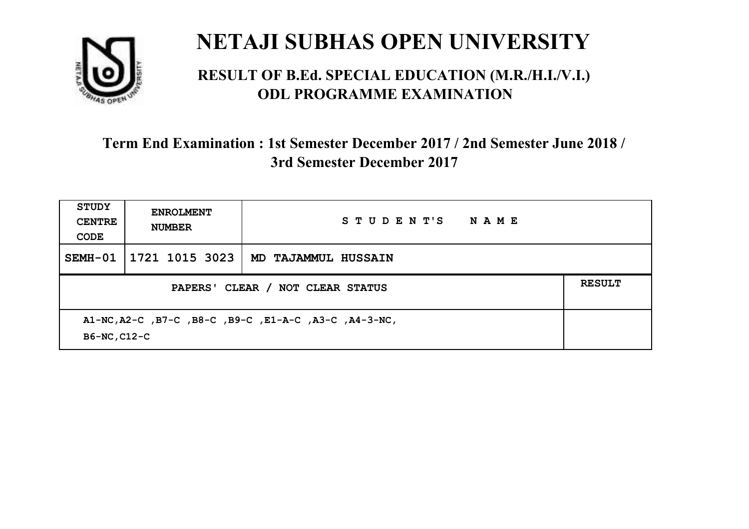

#### **RESULT OF B.Ed. SPECIAL EDUCATION (M.R./H.I./V.I.) ODL PROGRAMME EXAMINATION**

| <b>STUDY</b><br><b>CENTRE</b><br>CODE                                 | <b>ENROLMENT</b><br><b>NUMBER</b> | STUDENT'S<br><b>NAME</b>   |  |
|-----------------------------------------------------------------------|-----------------------------------|----------------------------|--|
|                                                                       | SEMH-01   1721 1015 3023          | <b>MD TAJAMMUL HUSSAIN</b> |  |
| PAPERS' CLEAR / NOT CLEAR STATUS                                      |                                   |                            |  |
| A1-NC, A2-C, B7-C, B8-C, B9-C, E1-A-C, A3-C, A4-3-NC,<br>B6-NC, C12-C |                                   |                            |  |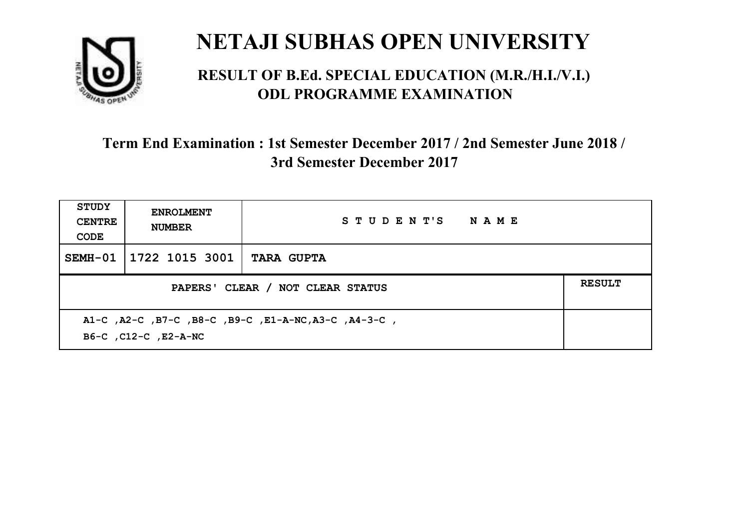

#### **RESULT OF B.Ed. SPECIAL EDUCATION (M.R./H.I./V.I.) ODL PROGRAMME EXAMINATION**

| STUDY<br><b>CENTRE</b><br>CODE                                               | <b>ENROLMENT</b><br><b>NUMBER</b> | STUDENT'S NAME    |               |
|------------------------------------------------------------------------------|-----------------------------------|-------------------|---------------|
| SEMH-01                                                                      | 1722 1015 3001                    | <b>TARA GUPTA</b> |               |
| PAPERS' CLEAR / NOT CLEAR STATUS                                             |                                   |                   | <b>RESULT</b> |
| A1-C, A2-C, B7-C, B8-C, B9-C, E1-A-NC, A3-C, A4-3-C,<br>B6-C, C12-C, E2-A-NC |                                   |                   |               |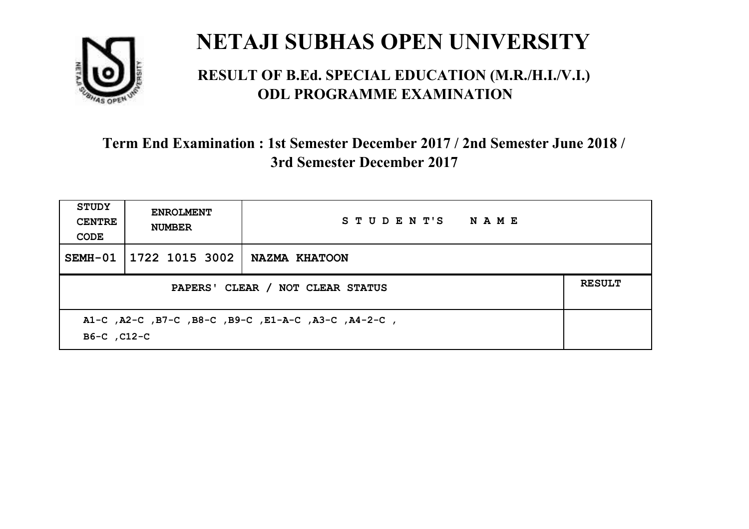

#### **RESULT OF B.Ed. SPECIAL EDUCATION (M.R./H.I./V.I.) ODL PROGRAMME EXAMINATION**

| <b>STUDY</b><br><b>CENTRE</b><br>CODE                              | <b>ENROLMENT</b><br><b>NUMBER</b> | STUDENT'S NAME |               |
|--------------------------------------------------------------------|-----------------------------------|----------------|---------------|
|                                                                    | SEMH-01   1722 1015 3002          | NAZMA KHATOON  |               |
| PAPERS' CLEAR / NOT CLEAR STATUS                                   |                                   |                | <b>RESULT</b> |
| A1-C, A2-C, B7-C, B8-C, B9-C, E1-A-C, A3-C, A4-2-C,<br>B6-C, C12-C |                                   |                |               |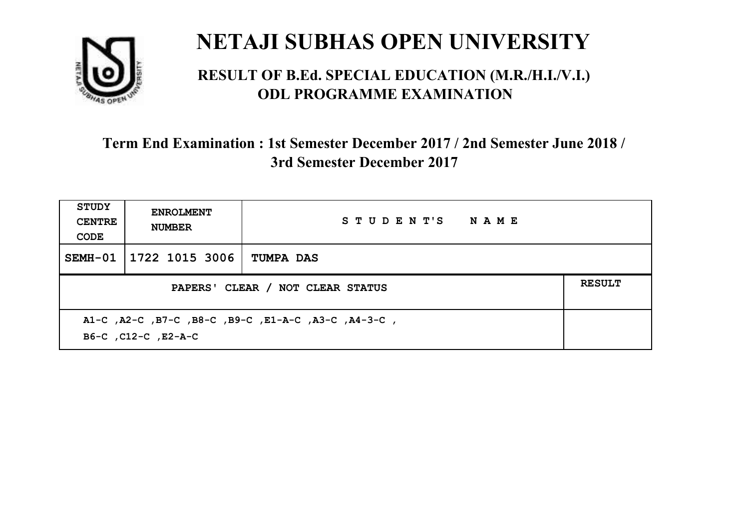

#### **RESULT OF B.Ed. SPECIAL EDUCATION (M.R./H.I./V.I.) ODL PROGRAMME EXAMINATION**

| <b>STUDY</b><br><b>CENTRE</b><br>CODE                                      | <b>ENROLMENT</b><br><b>NUMBER</b> | STUDENT'S NAME   |               |
|----------------------------------------------------------------------------|-----------------------------------|------------------|---------------|
| SEMH-01                                                                    | 1722 1015 3006                    | <b>TUMPA DAS</b> |               |
| PAPERS' CLEAR / NOT CLEAR STATUS                                           |                                   |                  | <b>RESULT</b> |
| A1-C, A2-C, B7-C, B8-C, B9-C, E1-A-C, A3-C, A4-3-C,<br>B6-C, C12-C, E2-A-C |                                   |                  |               |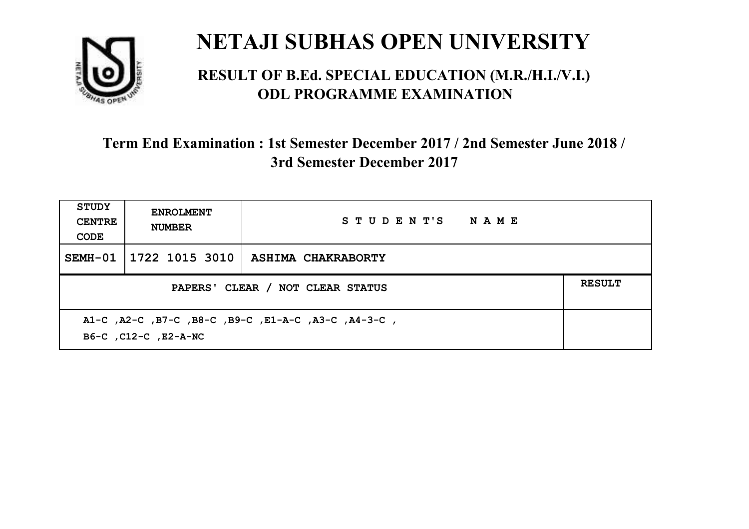

#### **RESULT OF B.Ed. SPECIAL EDUCATION (M.R./H.I./V.I.) ODL PROGRAMME EXAMINATION**

| <b>STUDY</b><br><b>CENTRE</b><br>CODE                                       | <b>ENROLMENT</b><br><b>NUMBER</b> | STUDENT'S NAME            |               |
|-----------------------------------------------------------------------------|-----------------------------------|---------------------------|---------------|
| SEMH-01                                                                     | 1722 1015 3010                    | <b>ASHIMA CHAKRABORTY</b> |               |
| PAPERS' CLEAR / NOT CLEAR STATUS                                            |                                   |                           | <b>RESULT</b> |
| A1-C, A2-C, B7-C, B8-C, B9-C, E1-A-C, A3-C, A4-3-C,<br>B6-C, C12-C, E2-A-NC |                                   |                           |               |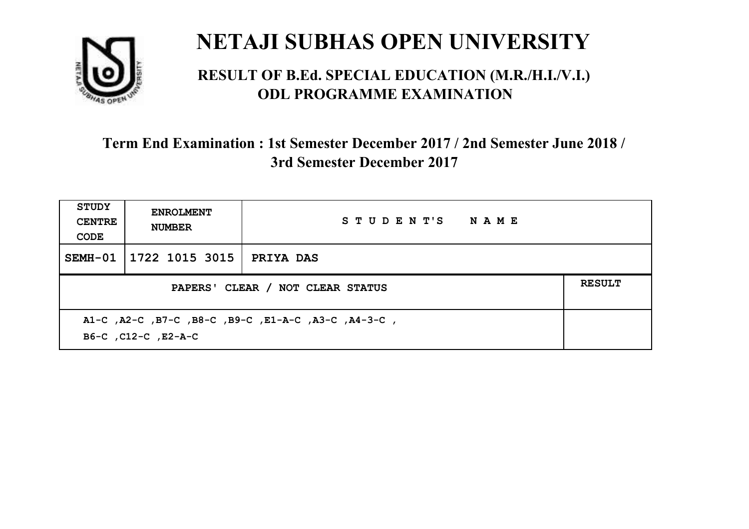

#### **RESULT OF B.Ed. SPECIAL EDUCATION (M.R./H.I./V.I.) ODL PROGRAMME EXAMINATION**

| <b>STUDY</b><br><b>CENTRE</b><br>CODE                                      | <b>ENROLMENT</b><br><b>NUMBER</b> | STUDENT'S NAME   |               |
|----------------------------------------------------------------------------|-----------------------------------|------------------|---------------|
| SEMH-01                                                                    | 1722 1015 3015                    | <b>PRIYA DAS</b> |               |
| PAPERS' CLEAR / NOT CLEAR STATUS                                           |                                   |                  | <b>RESULT</b> |
| A1-C, A2-C, B7-C, B8-C, B9-C, E1-A-C, A3-C, A4-3-C,<br>B6-C, C12-C, E2-A-C |                                   |                  |               |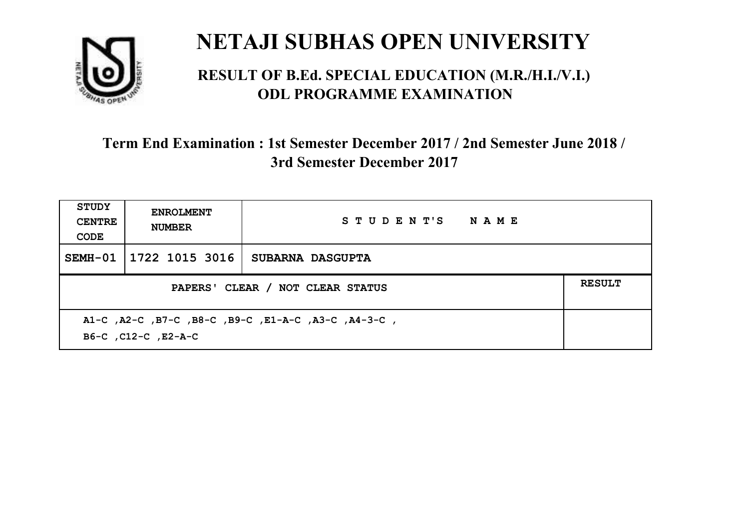

#### **RESULT OF B.Ed. SPECIAL EDUCATION (M.R./H.I./V.I.) ODL PROGRAMME EXAMINATION**

| <b>STUDY</b><br><b>CENTRE</b><br>CODE                                      | <b>ENROLMENT</b><br><b>NUMBER</b> | STUDENT'S NAME          |               |
|----------------------------------------------------------------------------|-----------------------------------|-------------------------|---------------|
| SEMH-01                                                                    | 1722 1015 3016                    | <b>SUBARNA DASGUPTA</b> |               |
| PAPERS' CLEAR / NOT CLEAR STATUS                                           |                                   |                         | <b>RESULT</b> |
| A1-C, A2-C, B7-C, B8-C, B9-C, E1-A-C, A3-C, A4-3-C,<br>B6-C, C12-C, E2-A-C |                                   |                         |               |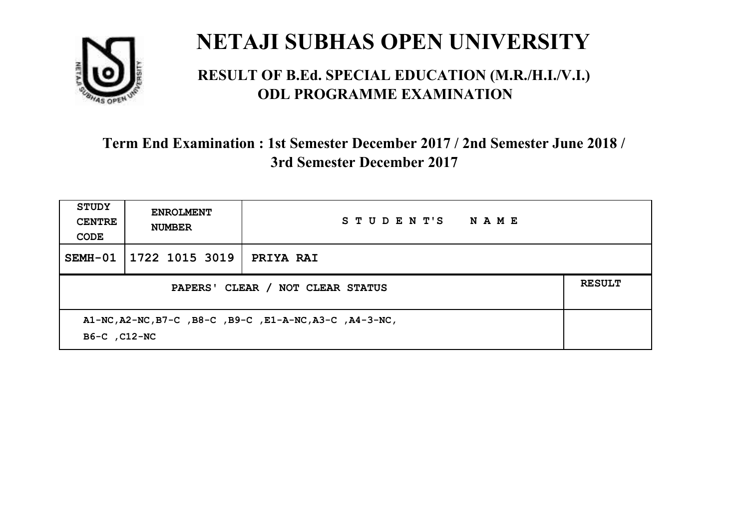

#### **RESULT OF B.Ed. SPECIAL EDUCATION (M.R./H.I./V.I.) ODL PROGRAMME EXAMINATION**

| <b>STUDY</b><br><b>CENTRE</b><br>CODE                                    | <b>ENROLMENT</b><br><b>NUMBER</b> | STUDENT'S<br><b>NAME</b> |               |
|--------------------------------------------------------------------------|-----------------------------------|--------------------------|---------------|
|                                                                          | SEMH-01 1722 1015 3019            | <b>PRIYA RAI</b>         |               |
| PAPERS' CLEAR / NOT CLEAR STATUS                                         |                                   |                          | <b>RESULT</b> |
| A1-NC, A2-NC, B7-C, B8-C, B9-C, E1-A-NC, A3-C, A4-3-NC,<br>B6-C , C12-NC |                                   |                          |               |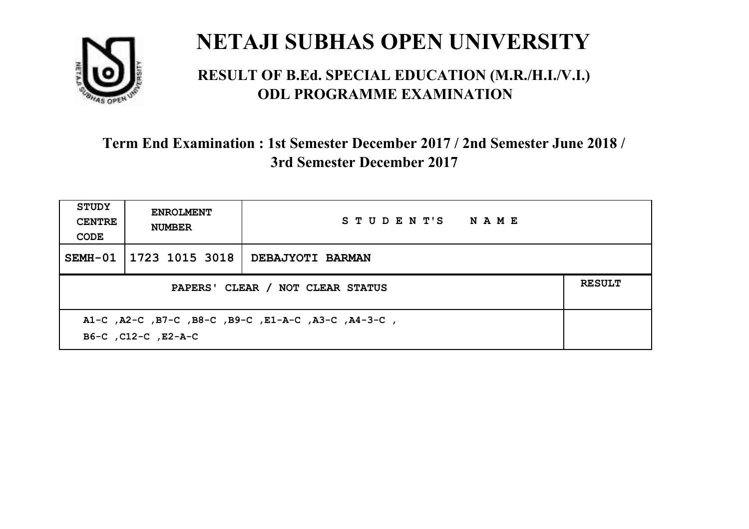

#### **RESULT OF B.Ed. SPECIAL EDUCATION (M.R./H.I./V.I.) ODL PROGRAMME EXAMINATION**

| <b>STUDY</b><br><b>CENTRE</b><br>CODE                                      | <b>ENROLMENT</b><br><b>NUMBER</b> | STUDENT'S NAME          |               |
|----------------------------------------------------------------------------|-----------------------------------|-------------------------|---------------|
| SEMH-01                                                                    | 1723 1015 3018                    | <b>DEBAJYOTI BARMAN</b> |               |
| PAPERS' CLEAR / NOT CLEAR STATUS                                           |                                   |                         | <b>RESULT</b> |
| A1-C, A2-C, B7-C, B8-C, B9-C, E1-A-C, A3-C, A4-3-C,<br>B6-C, C12-C, E2-A-C |                                   |                         |               |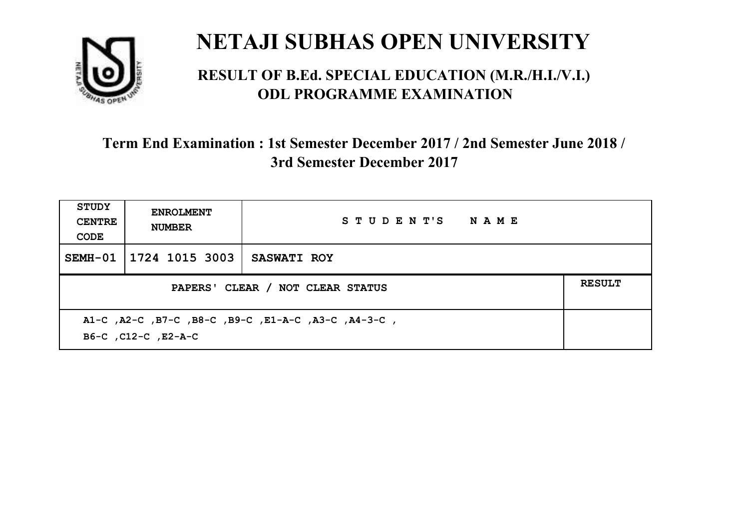

#### **RESULT OF B.Ed. SPECIAL EDUCATION (M.R./H.I./V.I.) ODL PROGRAMME EXAMINATION**

| <b>STUDY</b><br><b>CENTRE</b><br>CODE                                      | <b>ENROLMENT</b><br><b>NUMBER</b> | STUDENT'S NAME     |               |
|----------------------------------------------------------------------------|-----------------------------------|--------------------|---------------|
| SEMH-01                                                                    | 1724 1015 3003                    | <b>SASWATI ROY</b> |               |
| PAPERS' CLEAR / NOT CLEAR STATUS                                           |                                   |                    | <b>RESULT</b> |
| A1-C, A2-C, B7-C, B8-C, B9-C, E1-A-C, A3-C, A4-3-C,<br>B6-C, C12-C, E2-A-C |                                   |                    |               |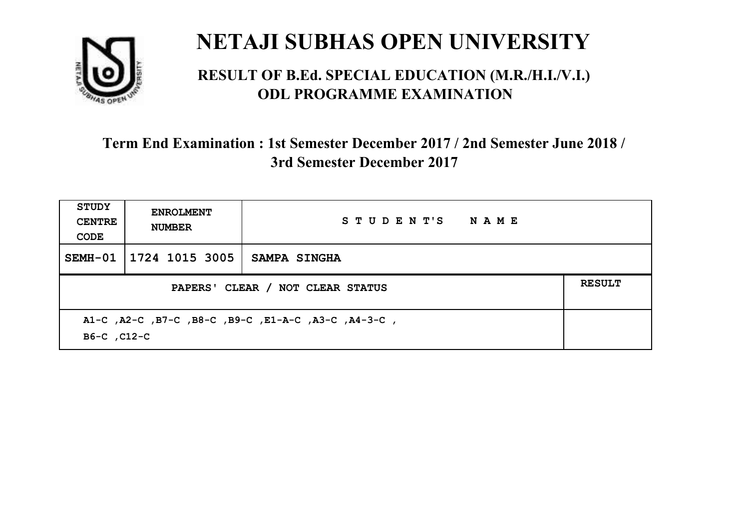

#### **RESULT OF B.Ed. SPECIAL EDUCATION (M.R./H.I./V.I.) ODL PROGRAMME EXAMINATION**

| <b>STUDY</b><br><b>CENTRE</b><br>CODE                              | <b>ENROLMENT</b><br><b>NUMBER</b> | STUDENT'S NAME      |               |
|--------------------------------------------------------------------|-----------------------------------|---------------------|---------------|
|                                                                    | SEMH-01   1724 1015 3005          | <b>SAMPA SINGHA</b> |               |
| PAPERS' CLEAR / NOT CLEAR STATUS                                   |                                   |                     | <b>RESULT</b> |
| A1-C, A2-C, B7-C, B8-C, B9-C, E1-A-C, A3-C, A4-3-C,<br>B6-C, C12-C |                                   |                     |               |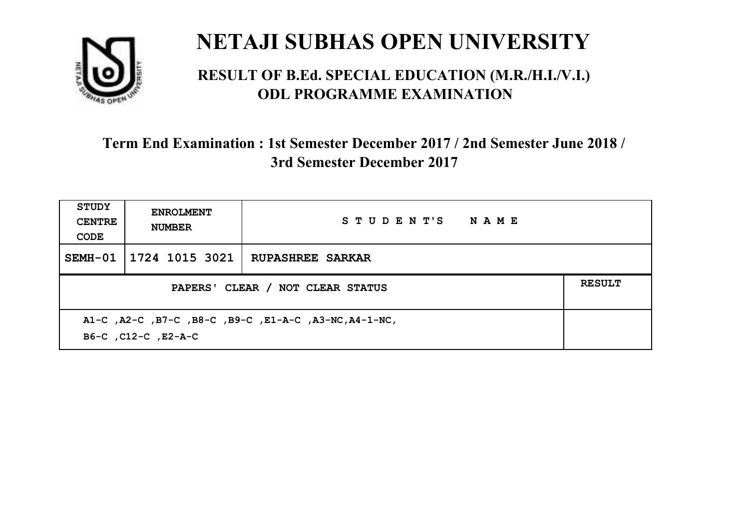

#### **RESULT OF B.Ed. SPECIAL EDUCATION (M.R./H.I./V.I.) ODL PROGRAMME EXAMINATION**

| <b>STUDY</b><br><b>CENTRE</b><br>CODE                                        | <b>ENROLMENT</b><br><b>NUMBER</b> | STUDENT'S NAME          |               |
|------------------------------------------------------------------------------|-----------------------------------|-------------------------|---------------|
| SEMH-01                                                                      | 1724 1015 3021                    | <b>RUPASHREE SARKAR</b> |               |
| PAPERS' CLEAR / NOT CLEAR STATUS                                             |                                   |                         | <b>RESULT</b> |
| A1-C, A2-C, B7-C, B8-C, B9-C, E1-A-C, A3-NC, A4-1-NC,<br>B6-C, C12-C, E2-A-C |                                   |                         |               |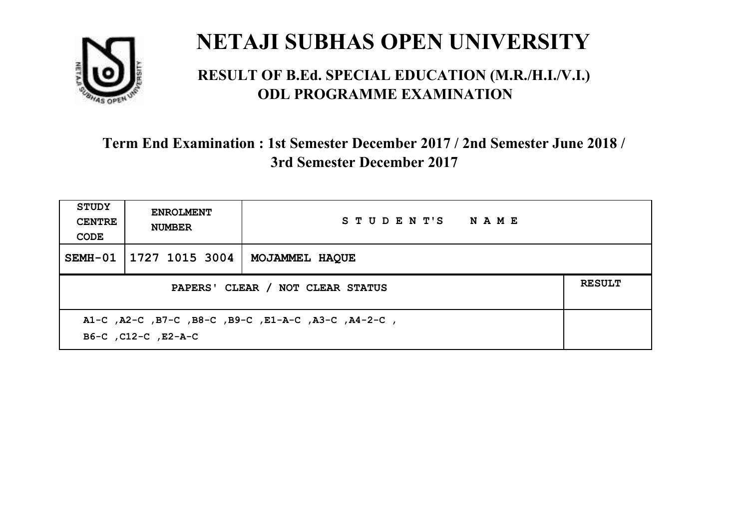

#### **RESULT OF B.Ed. SPECIAL EDUCATION (M.R./H.I./V.I.) ODL PROGRAMME EXAMINATION**

| STUDY<br><b>CENTRE</b><br>CODE                                             | <b>ENROLMENT</b><br><b>NUMBER</b>                 | STUDENT'S NAME |  |  |  |
|----------------------------------------------------------------------------|---------------------------------------------------|----------------|--|--|--|
| SEMH-01                                                                    | 1727 1015 3004                                    | MOJAMMEL HAQUE |  |  |  |
|                                                                            | <b>RESULT</b><br>PAPERS' CLEAR / NOT CLEAR STATUS |                |  |  |  |
| A1-C, A2-C, B7-C, B8-C, B9-C, E1-A-C, A3-C, A4-2-C,<br>B6-C, C12-C, E2-A-C |                                                   |                |  |  |  |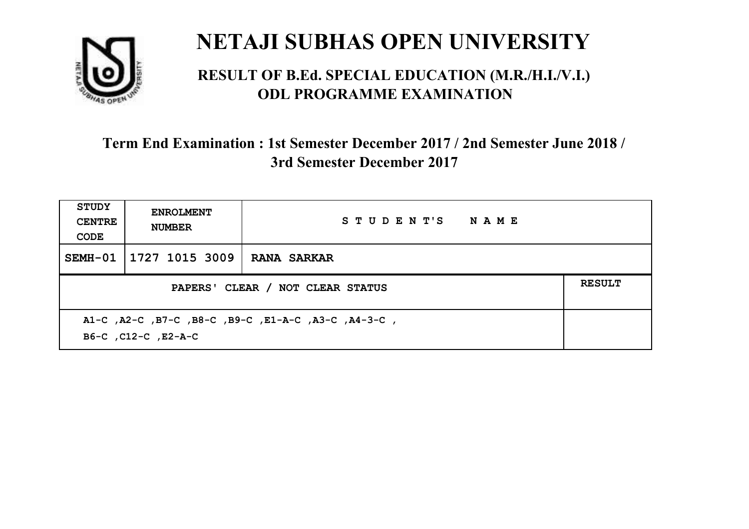

#### **RESULT OF B.Ed. SPECIAL EDUCATION (M.R./H.I./V.I.) ODL PROGRAMME EXAMINATION**

| <b>STUDY</b><br><b>CENTRE</b><br>CODE                                      | <b>ENROLMENT</b><br><b>NUMBER</b>                 | STUDENT'S NAME     |  |  |  |
|----------------------------------------------------------------------------|---------------------------------------------------|--------------------|--|--|--|
| SEMH-01                                                                    | 1727 1015 3009                                    | <b>RANA SARKAR</b> |  |  |  |
|                                                                            | <b>RESULT</b><br>PAPERS' CLEAR / NOT CLEAR STATUS |                    |  |  |  |
| A1-C, A2-C, B7-C, B8-C, B9-C, E1-A-C, A3-C, A4-3-C,<br>B6-C, C12-C, E2-A-C |                                                   |                    |  |  |  |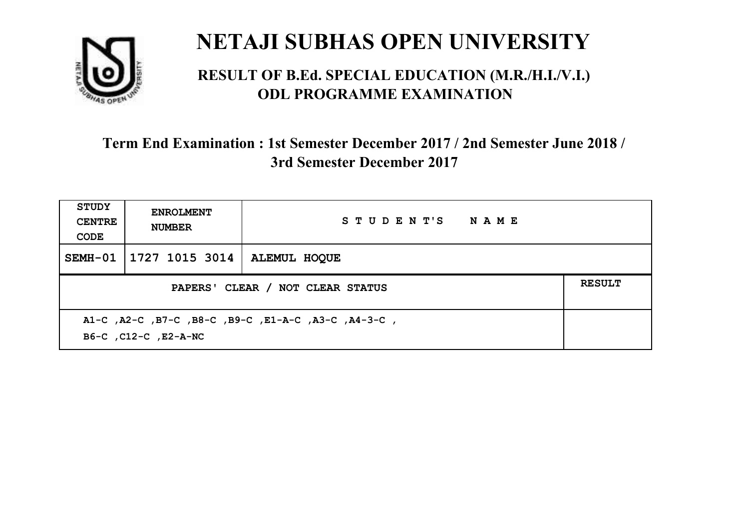

#### **RESULT OF B.Ed. SPECIAL EDUCATION (M.R./H.I./V.I.) ODL PROGRAMME EXAMINATION**

| <b>STUDY</b><br><b>CENTRE</b><br>CODE                                       | <b>ENROLMENT</b><br><b>NUMBER</b>                 | STUDENT'S NAME      |  |  |  |
|-----------------------------------------------------------------------------|---------------------------------------------------|---------------------|--|--|--|
| $SEMH-01$                                                                   | 1727 1015 3014                                    | <b>ALEMUL HOOUE</b> |  |  |  |
|                                                                             | <b>RESULT</b><br>PAPERS' CLEAR / NOT CLEAR STATUS |                     |  |  |  |
| A1-C, A2-C, B7-C, B8-C, B9-C, E1-A-C, A3-C, A4-3-C,<br>B6-C, C12-C, E2-A-NC |                                                   |                     |  |  |  |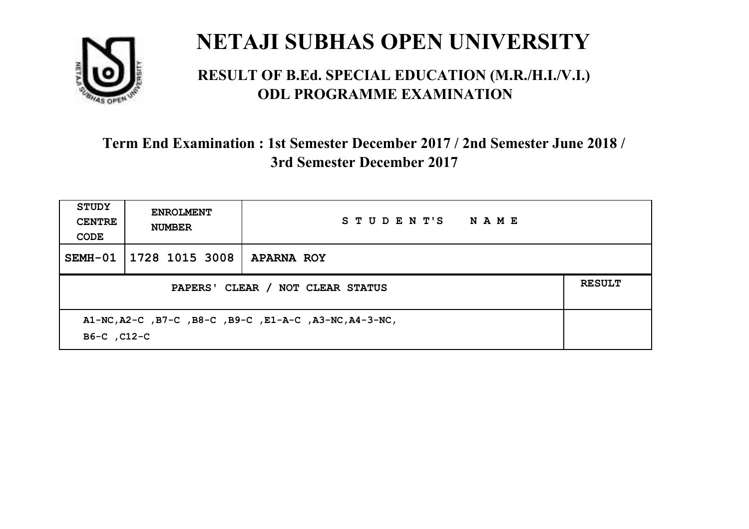

#### **RESULT OF B.Ed. SPECIAL EDUCATION (M.R./H.I./V.I.) ODL PROGRAMME EXAMINATION**

| <b>STUDY</b><br><b>CENTRE</b><br>CODE                                 | <b>ENROLMENT</b><br><b>NUMBER</b>                 | STUDENT'S NAME    |  |  |  |
|-----------------------------------------------------------------------|---------------------------------------------------|-------------------|--|--|--|
|                                                                       | SEMH-01   1728 1015 3008                          | <b>APARNA ROY</b> |  |  |  |
|                                                                       | <b>RESULT</b><br>PAPERS' CLEAR / NOT CLEAR STATUS |                   |  |  |  |
| A1-NC, A2-C, B7-C, B8-C, B9-C, E1-A-C, A3-NC, A4-3-NC,<br>B6-C, C12-C |                                                   |                   |  |  |  |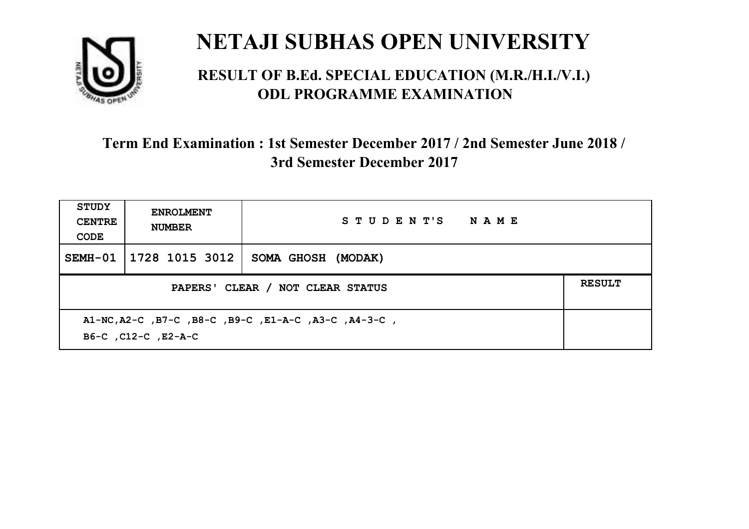

#### **RESULT OF B.Ed. SPECIAL EDUCATION (M.R./H.I./V.I.) ODL PROGRAMME EXAMINATION**

| STUDY<br><b>CENTRE</b><br>CODE                                              | <b>ENROLMENT</b><br><b>NUMBER</b>                 | STUDENT'S NAME     |  |  |  |
|-----------------------------------------------------------------------------|---------------------------------------------------|--------------------|--|--|--|
| SEMH-01                                                                     | 1728 1015 3012                                    | SOMA GHOSH (MODAK) |  |  |  |
|                                                                             | <b>RESULT</b><br>PAPERS' CLEAR / NOT CLEAR STATUS |                    |  |  |  |
| A1-NC, A2-C, B7-C, B8-C, B9-C, E1-A-C, A3-C, A4-3-C,<br>B6-C, C12-C, E2-A-C |                                                   |                    |  |  |  |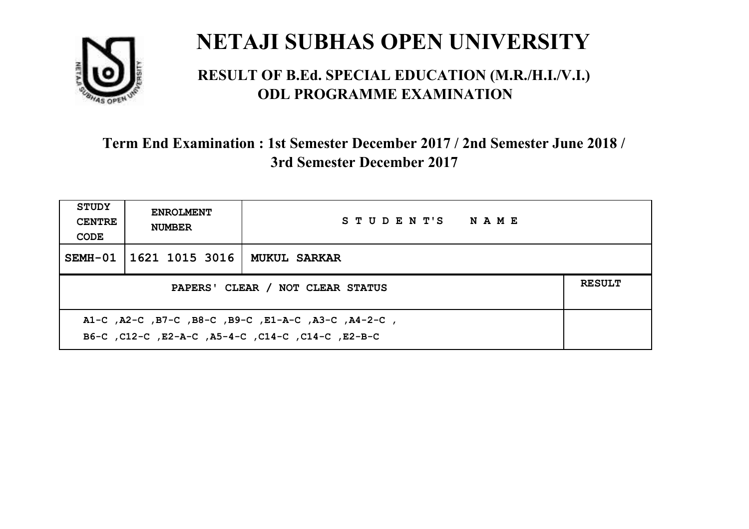

#### **RESULT OF B.Ed. SPECIAL EDUCATION (M.R./H.I./V.I.) ODL PROGRAMME EXAMINATION**

| <b>STUDY</b><br><b>CENTRE</b><br>CODE                                                                    | <b>ENROLMENT</b><br><b>NUMBER</b> | STUDENT'S NAME      |  |  |
|----------------------------------------------------------------------------------------------------------|-----------------------------------|---------------------|--|--|
|                                                                                                          | SEMH-01   1621 1015 3016          | <b>MUKUL SARKAR</b> |  |  |
| <b>RESULT</b><br>PAPERS' CLEAR / NOT CLEAR STATUS                                                        |                                   |                     |  |  |
| A1-C, A2-C, B7-C, B8-C, B9-C, E1-A-C, A3-C, A4-2-C,<br>B6-C, C12-C, E2-A-C, A5-4-C, C14-C, C14-C, E2-B-C |                                   |                     |  |  |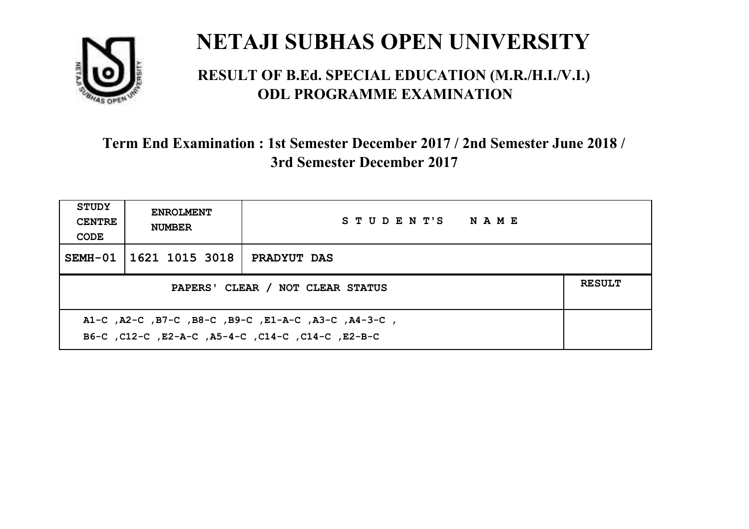

#### **RESULT OF B.Ed. SPECIAL EDUCATION (M.R./H.I./V.I.) ODL PROGRAMME EXAMINATION**

| <b>STUDY</b><br><b>CENTRE</b><br>CODE                                                                    | <b>ENROLMENT</b><br><b>NUMBER</b>                 | STUDENT'S NAME     |  |  |  |
|----------------------------------------------------------------------------------------------------------|---------------------------------------------------|--------------------|--|--|--|
|                                                                                                          | SEMH-01   1621 1015 3018                          | <b>PRADYUT DAS</b> |  |  |  |
|                                                                                                          | <b>RESULT</b><br>PAPERS' CLEAR / NOT CLEAR STATUS |                    |  |  |  |
| A1-C, A2-C, B7-C, B8-C, B9-C, E1-A-C, A3-C, A4-3-C,<br>B6-C, C12-C, E2-A-C, A5-4-C, C14-C, C14-C, E2-B-C |                                                   |                    |  |  |  |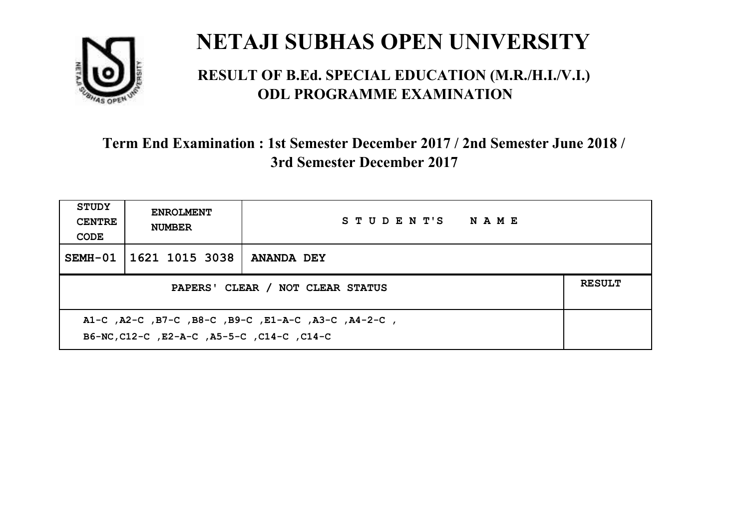

#### **RESULT OF B.Ed. SPECIAL EDUCATION (M.R./H.I./V.I.) ODL PROGRAMME EXAMINATION**

| <b>STUDY</b><br><b>CENTRE</b><br>CODE                                                             | <b>ENROLMENT</b><br><b>NUMBER</b> | STUDENT'S NAME    |  |  |
|---------------------------------------------------------------------------------------------------|-----------------------------------|-------------------|--|--|
|                                                                                                   | SEMH-01   1621 1015 3038          | <b>ANANDA DEY</b> |  |  |
| PAPERS' CLEAR / NOT CLEAR STATUS                                                                  |                                   |                   |  |  |
| A1-C, A2-C, B7-C, B8-C, B9-C, E1-A-C, A3-C, A4-2-C,<br>B6-NC, C12-C, E2-A-C, A5-5-C, C14-C, C14-C |                                   |                   |  |  |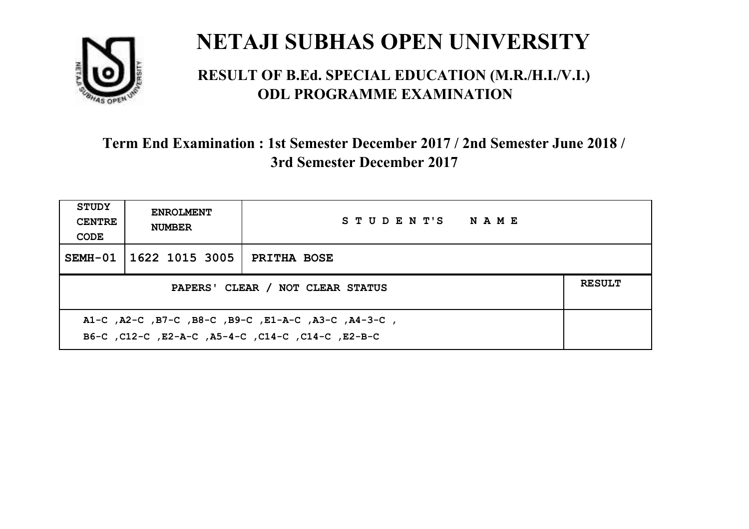

#### **RESULT OF B.Ed. SPECIAL EDUCATION (M.R./H.I./V.I.) ODL PROGRAMME EXAMINATION**

| <b>STUDY</b><br><b>CENTRE</b><br>CODE                                                                    | <b>ENROLMENT</b><br><b>NUMBER</b> | STUDENT'S NAME     |  |  |
|----------------------------------------------------------------------------------------------------------|-----------------------------------|--------------------|--|--|
|                                                                                                          | SEMH-01 1622 1015 3005            | <b>PRITHA BOSE</b> |  |  |
| <b>RESULT</b><br>PAPERS' CLEAR / NOT CLEAR STATUS                                                        |                                   |                    |  |  |
| A1-C, A2-C, B7-C, B8-C, B9-C, E1-A-C, A3-C, A4-3-C,<br>B6-C, C12-C, E2-A-C, A5-4-C, C14-C, C14-C, E2-B-C |                                   |                    |  |  |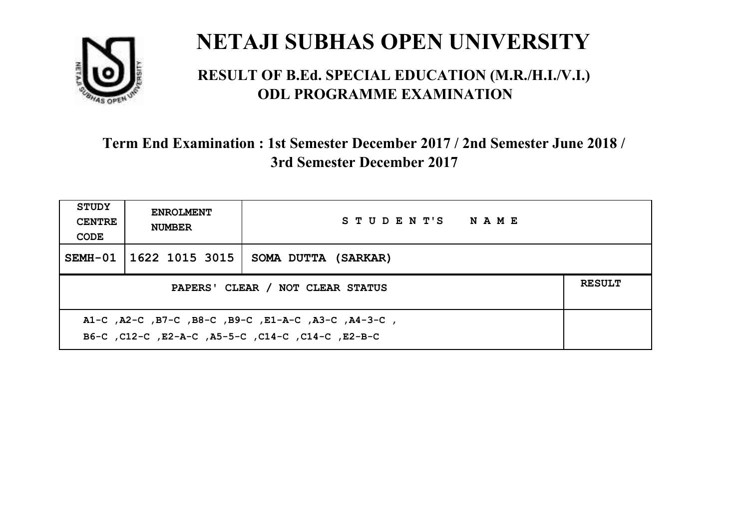

#### **RESULT OF B.Ed. SPECIAL EDUCATION (M.R./H.I./V.I.) ODL PROGRAMME EXAMINATION**

| <b>STUDY</b><br><b>CENTRE</b><br>CODE                                                                     | <b>ENROLMENT</b><br><b>NUMBER</b>                 | STUDENT'S NAME      |  |  |  |
|-----------------------------------------------------------------------------------------------------------|---------------------------------------------------|---------------------|--|--|--|
|                                                                                                           | SEMH-01   1622 1015 3015                          | SOMA DUTTA (SARKAR) |  |  |  |
|                                                                                                           | <b>RESULT</b><br>PAPERS' CLEAR / NOT CLEAR STATUS |                     |  |  |  |
| A1-C, A2-C, B7-C, B8-C, B9-C, E1-A-C, A3-C, A4-3-C,<br>B6-C, C12-C, E2-A-C, A5-5-C, C14-C, C14-C, C12-B-C |                                                   |                     |  |  |  |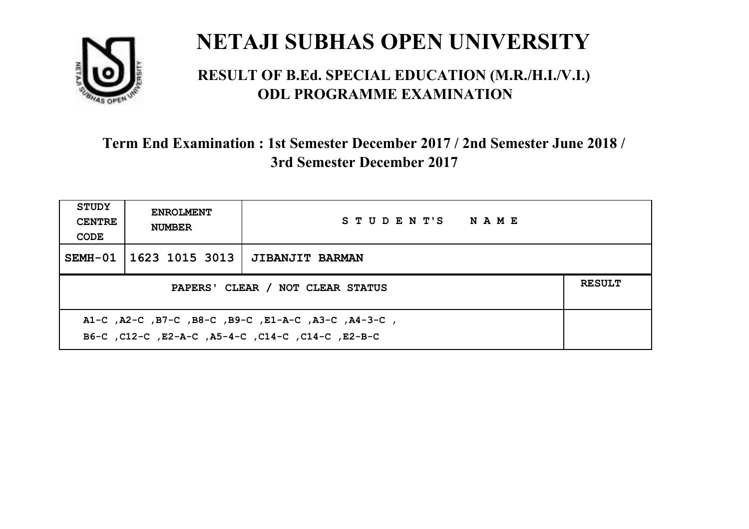

#### **RESULT OF B.Ed. SPECIAL EDUCATION (M.R./H.I./V.I.) ODL PROGRAMME EXAMINATION**

| <b>STUDY</b><br><b>CENTRE</b><br>CODE                                                                    | <b>ENROLMENT</b><br><b>NUMBER</b> | STUDENT'S NAME         |  |  |
|----------------------------------------------------------------------------------------------------------|-----------------------------------|------------------------|--|--|
|                                                                                                          | SEMH-01   1623 1015 3013          | <b>JIBANJIT BARMAN</b> |  |  |
| <b>RESULT</b><br>PAPERS' CLEAR / NOT CLEAR STATUS                                                        |                                   |                        |  |  |
| A1-C, A2-C, B7-C, B8-C, B9-C, E1-A-C, A3-C, A4-3-C,<br>B6-C, C12-C, E2-A-C, A5-4-C, C14-C, C14-C, E2-B-C |                                   |                        |  |  |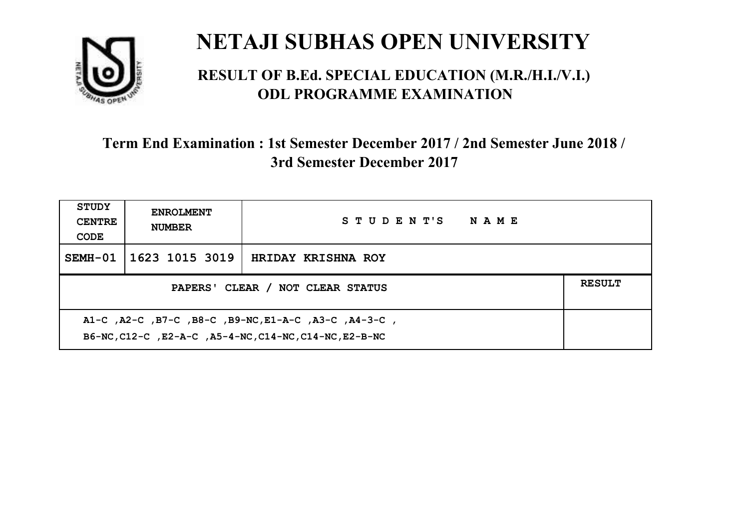

#### **RESULT OF B.Ed. SPECIAL EDUCATION (M.R./H.I./V.I.) ODL PROGRAMME EXAMINATION**

| <b>STUDY</b><br><b>CENTRE</b><br>CODE                                                                          | <b>ENROLMENT</b><br><b>NUMBER</b>                 | STUDENT'S NAME     |  |  |  |
|----------------------------------------------------------------------------------------------------------------|---------------------------------------------------|--------------------|--|--|--|
| SEMH-01                                                                                                        | 1623 1015 3019                                    | HRIDAY KRISHNA ROY |  |  |  |
|                                                                                                                | <b>RESULT</b><br>PAPERS' CLEAR / NOT CLEAR STATUS |                    |  |  |  |
| A1-C, A2-C, B7-C, B8-C, B9-NC, E1-A-C, A3-C, A4-3-C,<br>B6-NC, C12-C, E2-A-C, A5-4-NC, C14-NC, C14-NC, E2-B-NC |                                                   |                    |  |  |  |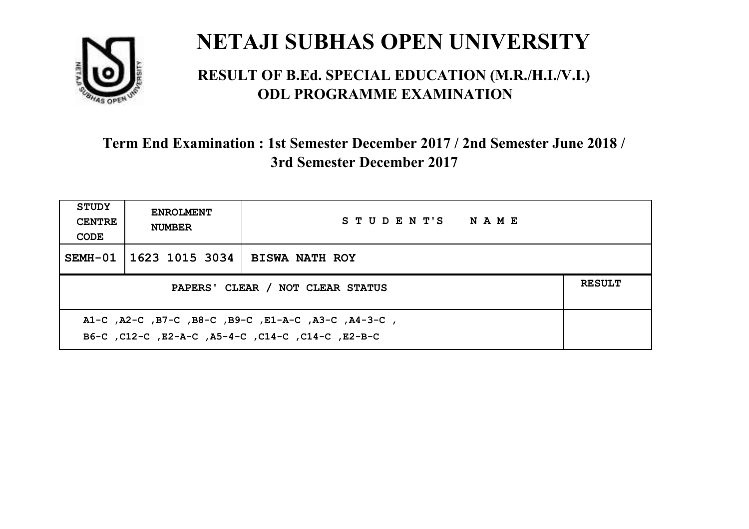

#### **RESULT OF B.Ed. SPECIAL EDUCATION (M.R./H.I./V.I.) ODL PROGRAMME EXAMINATION**

| STUDY<br><b>CENTRE</b><br>CODE                                                                            | <b>ENROLMENT</b><br><b>NUMBER</b>                 | STUDENT'S NAME        |  |  |  |
|-----------------------------------------------------------------------------------------------------------|---------------------------------------------------|-----------------------|--|--|--|
| $SEMH-01$                                                                                                 | 1623 1015 3034                                    | <b>BISWA NATH ROY</b> |  |  |  |
|                                                                                                           | <b>RESULT</b><br>PAPERS' CLEAR / NOT CLEAR STATUS |                       |  |  |  |
| A1-C, A2-C, B7-C, B8-C, B9-C, E1-A-C, A3-C, A4-3-C,<br>B6-C, C12-C, E2-A-C, A5-4-C, C14-C, C14-C, C12-B-C |                                                   |                       |  |  |  |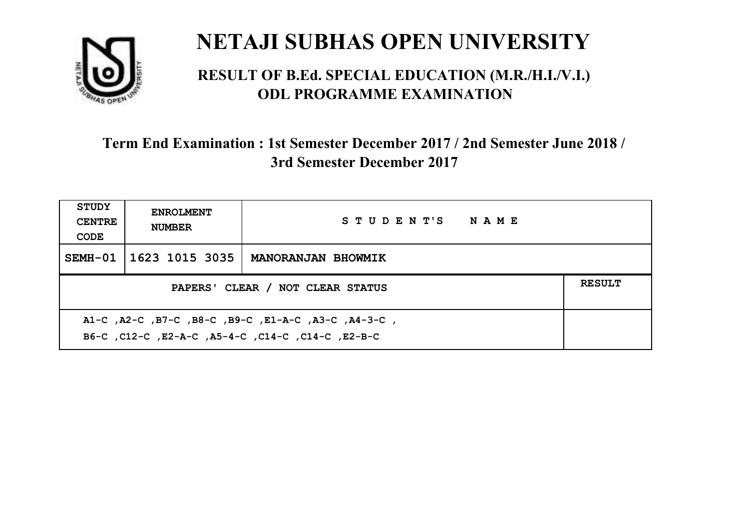

#### **RESULT OF B.Ed. SPECIAL EDUCATION (M.R./H.I./V.I.) ODL PROGRAMME EXAMINATION**

| STUDY<br><b>CENTRE</b><br>CODE                                                                            | <b>ENROLMENT</b><br><b>NUMBER</b>                 | STUDENT'S NAME            |  |  |  |
|-----------------------------------------------------------------------------------------------------------|---------------------------------------------------|---------------------------|--|--|--|
| SEMH-01                                                                                                   | 1623 1015 3035                                    | <b>MANORANJAN BHOWMIK</b> |  |  |  |
|                                                                                                           | <b>RESULT</b><br>PAPERS' CLEAR / NOT CLEAR STATUS |                           |  |  |  |
| A1-C, A2-C, B7-C, B8-C, B9-C, E1-A-C, A3-C, A4-3-C,<br>B6-C, C12-C, E2-A-C, A5-4-C, C14-C, C14-C, C12-B-C |                                                   |                           |  |  |  |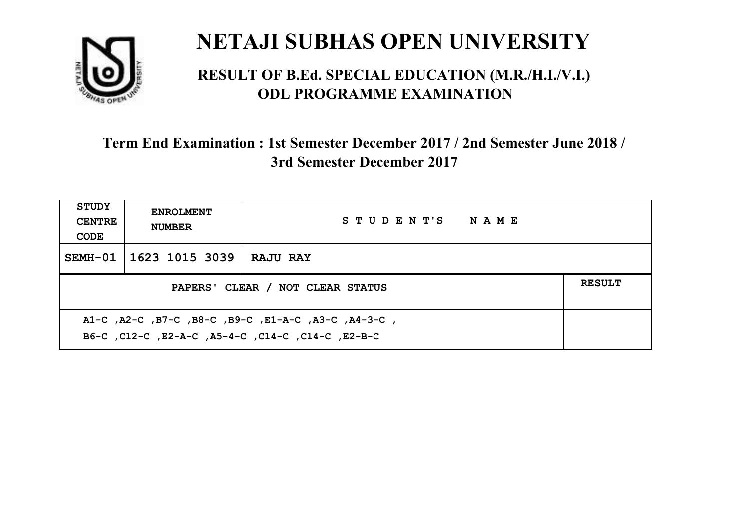

#### **RESULT OF B.Ed. SPECIAL EDUCATION (M.R./H.I./V.I.) ODL PROGRAMME EXAMINATION**

| <b>STUDY</b><br><b>CENTRE</b><br>CODE             | <b>ENROLMENT</b><br><b>NUMBER</b> | STUDENT'S NAME  |  |
|---------------------------------------------------|-----------------------------------|-----------------|--|
|                                                   | SEMH-01   1623 1015 3039          | <b>RAJU RAY</b> |  |
| <b>RESULT</b><br>PAPERS' CLEAR / NOT CLEAR STATUS |                                   |                 |  |
|                                                   |                                   |                 |  |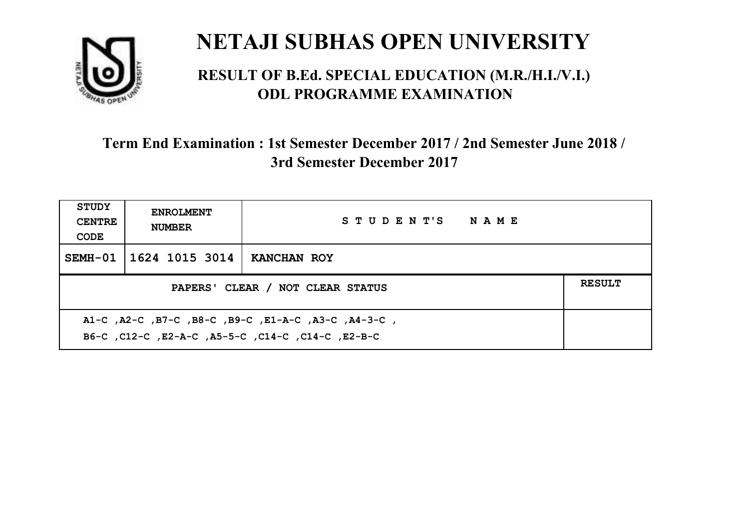

#### **RESULT OF B.Ed. SPECIAL EDUCATION (M.R./H.I./V.I.) ODL PROGRAMME EXAMINATION**

| <b>STUDY</b><br><b>CENTRE</b><br>CODE                                                                    | <b>ENROLMENT</b><br><b>NUMBER</b>                 | STUDENT'S NAME |  |  |
|----------------------------------------------------------------------------------------------------------|---------------------------------------------------|----------------|--|--|
|                                                                                                          | SEMH-01 1624 1015 3014                            | KANCHAN ROY    |  |  |
|                                                                                                          | <b>RESULT</b><br>PAPERS' CLEAR / NOT CLEAR STATUS |                |  |  |
| A1-C, A2-C, B7-C, B8-C, B9-C, E1-A-C, A3-C, A4-3-C,<br>B6-C, C12-C, E2-A-C, A5-5-C, C14-C, C14-C, E2-B-C |                                                   |                |  |  |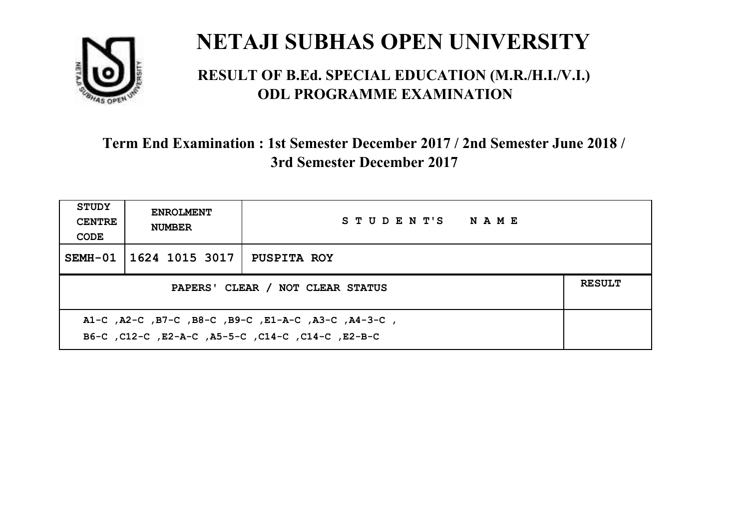

#### **RESULT OF B.Ed. SPECIAL EDUCATION (M.R./H.I./V.I.) ODL PROGRAMME EXAMINATION**

| <b>STUDY</b><br><b>CENTRE</b><br>CODE                                                                     | <b>ENROLMENT</b><br><b>NUMBER</b>                 | STUDENT'S NAME     |  |  |  |
|-----------------------------------------------------------------------------------------------------------|---------------------------------------------------|--------------------|--|--|--|
|                                                                                                           | SEMH-01   1624 1015 3017                          | <b>PUSPITA ROY</b> |  |  |  |
|                                                                                                           | <b>RESULT</b><br>PAPERS' CLEAR / NOT CLEAR STATUS |                    |  |  |  |
| A1-C, A2-C, B7-C, B8-C, B9-C, E1-A-C, A3-C, A4-3-C,<br>B6-C, C12-C, E2-A-C, A5-5-C, C14-C, C14-C, C12-B-C |                                                   |                    |  |  |  |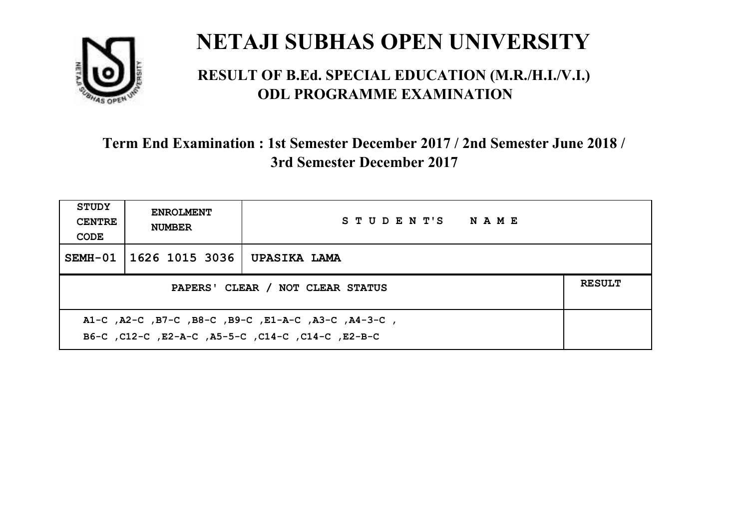

#### **RESULT OF B.Ed. SPECIAL EDUCATION (M.R./H.I./V.I.) ODL PROGRAMME EXAMINATION**

| <b>STUDY</b><br><b>CENTRE</b><br>CODE                                                                       | <b>ENROLMENT</b><br><b>NUMBER</b>                 | STUDENT'S NAME |  |  |  |
|-------------------------------------------------------------------------------------------------------------|---------------------------------------------------|----------------|--|--|--|
| SEMH-01                                                                                                     | 1626 1015 3036                                    | UPASIKA LAMA   |  |  |  |
|                                                                                                             | <b>RESULT</b><br>PAPERS' CLEAR / NOT CLEAR STATUS |                |  |  |  |
| , A1-C, A2-C, B7-C, B8-C, B9-C, E1-A-C, A3-C, A4-3-C,<br>B6-C, C12-C, E2-A-C, A5-5-C, C14-C, C14-C, C12-B-C |                                                   |                |  |  |  |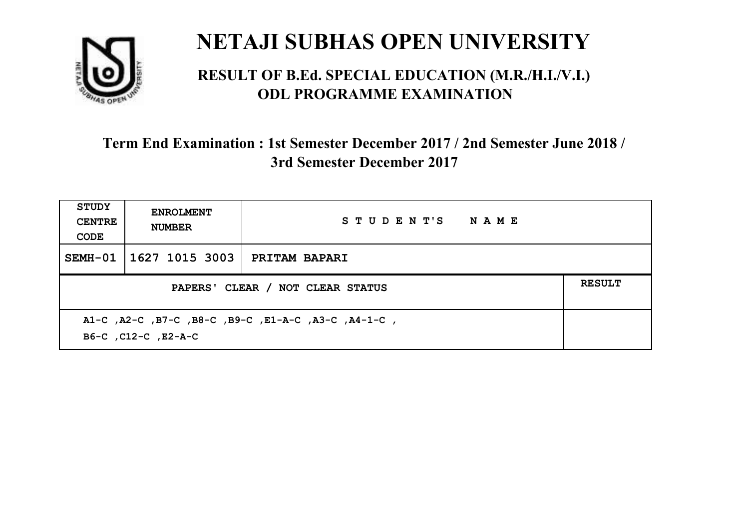

#### **RESULT OF B.Ed. SPECIAL EDUCATION (M.R./H.I./V.I.) ODL PROGRAMME EXAMINATION**

| <b>STUDY</b><br><b>CENTRE</b><br>CODE                                      | <b>ENROLMENT</b><br><b>NUMBER</b>                 | STUDENT'S NAME       |  |  |
|----------------------------------------------------------------------------|---------------------------------------------------|----------------------|--|--|
| SEMH-01                                                                    | 1627 1015 3003                                    | <b>PRITAM BAPARI</b> |  |  |
|                                                                            | <b>RESULT</b><br>PAPERS' CLEAR / NOT CLEAR STATUS |                      |  |  |
| A1-C, A2-C, B7-C, B8-C, B9-C, E1-A-C, A3-C, A4-1-C,<br>B6-C, C12-C, E2-A-C |                                                   |                      |  |  |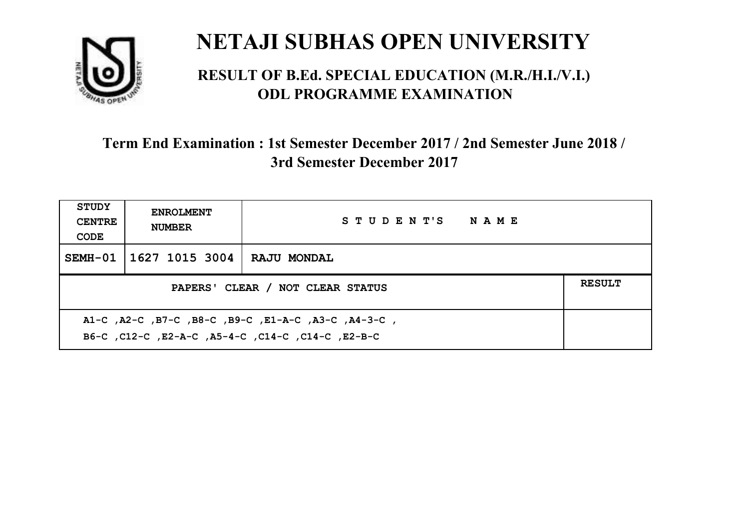

#### **RESULT OF B.Ed. SPECIAL EDUCATION (M.R./H.I./V.I.) ODL PROGRAMME EXAMINATION**

| <b>STUDY</b><br><b>CENTRE</b><br>CODE             | <b>ENROLMENT</b><br><b>NUMBER</b> | STUDENT'S NAME     |  |
|---------------------------------------------------|-----------------------------------|--------------------|--|
|                                                   | SEMH-01   1627 1015 3004          | <b>RAJU MONDAL</b> |  |
| <b>RESULT</b><br>PAPERS' CLEAR / NOT CLEAR STATUS |                                   |                    |  |
|                                                   |                                   |                    |  |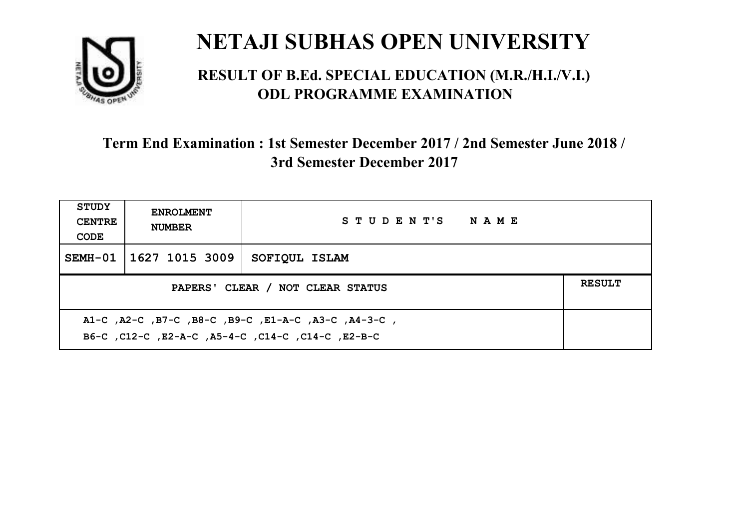

#### **RESULT OF B.Ed. SPECIAL EDUCATION (M.R./H.I./V.I.) ODL PROGRAMME EXAMINATION**

| <b>STUDY</b><br><b>CENTRE</b><br>CODE                                                                     | <b>ENROLMENT</b><br><b>NUMBER</b>                 | STUDENT'S NAME |  |  |  |
|-----------------------------------------------------------------------------------------------------------|---------------------------------------------------|----------------|--|--|--|
|                                                                                                           | SEMH-01   1627 1015 3009                          | SOFIQUL ISLAM  |  |  |  |
|                                                                                                           | <b>RESULT</b><br>PAPERS' CLEAR / NOT CLEAR STATUS |                |  |  |  |
| A1-C, A2-C, B7-C, B8-C, B9-C, E1-A-C, A3-C, A4-3-C,<br>B6-C, C12-C, E2-A-C, A5-4-C, C14-C, C14-C, C12-B-C |                                                   |                |  |  |  |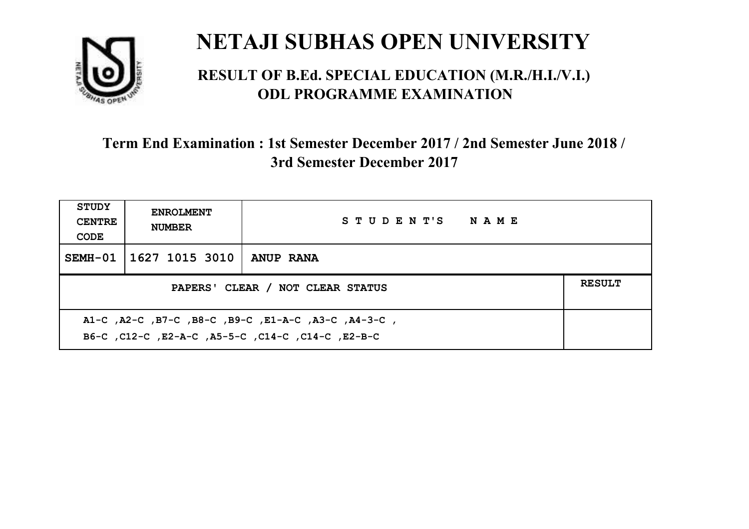

#### **RESULT OF B.Ed. SPECIAL EDUCATION (M.R./H.I./V.I.) ODL PROGRAMME EXAMINATION**

| <b>STUDY</b><br><b>CENTRE</b><br>CODE                                                                    | <b>ENROLMENT</b><br><b>NUMBER</b> | STUDENT'S NAME   |  |
|----------------------------------------------------------------------------------------------------------|-----------------------------------|------------------|--|
|                                                                                                          | SEMH-01   1627 1015 3010          | <b>ANUP RANA</b> |  |
| <b>RESULT</b><br>PAPERS' CLEAR / NOT CLEAR STATUS                                                        |                                   |                  |  |
| A1-C, A2-C, B7-C, B8-C, B9-C, E1-A-C, A3-C, A4-3-C,<br>B6-C, C12-C, E2-A-C, A5-5-C, C14-C, C14-C, E2-B-C |                                   |                  |  |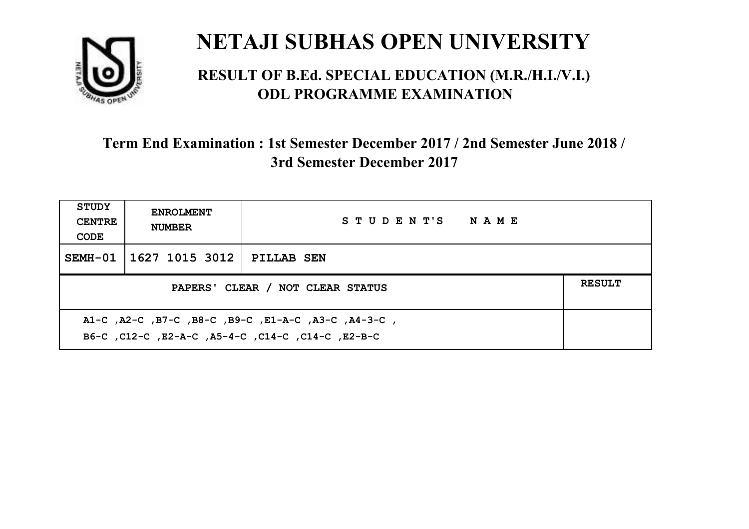

#### **RESULT OF B.Ed. SPECIAL EDUCATION (M.R./H.I./V.I.) ODL PROGRAMME EXAMINATION**

| <b>STUDY</b><br><b>CENTRE</b><br>CODE                                                                    | <b>ENROLMENT</b><br><b>NUMBER</b>                 | STUDENT'S NAME    |  |  |
|----------------------------------------------------------------------------------------------------------|---------------------------------------------------|-------------------|--|--|
|                                                                                                          | SEMH-01   1627 1015 3012                          | <b>PILLAB SEN</b> |  |  |
|                                                                                                          | <b>RESULT</b><br>PAPERS' CLEAR / NOT CLEAR STATUS |                   |  |  |
| A1-C, A2-C, B7-C, B8-C, B9-C, E1-A-C, A3-C, A4-3-C,<br>B6-C, C12-C, E2-A-C, A5-4-C, C14-C, C14-C, E2-B-C |                                                   |                   |  |  |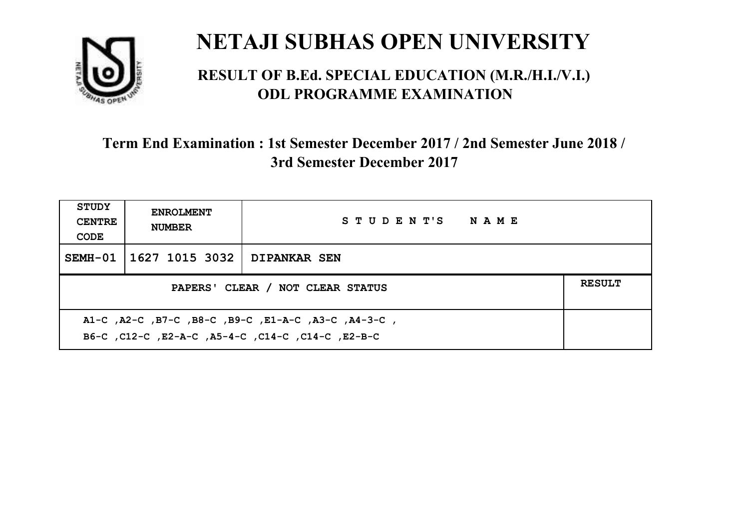

#### **RESULT OF B.Ed. SPECIAL EDUCATION (M.R./H.I./V.I.) ODL PROGRAMME EXAMINATION**

| <b>STUDY</b><br><b>CENTRE</b><br>CODE                                                                    | <b>ENROLMENT</b><br><b>NUMBER</b>                 | STUDENT'S NAME      |  |  |  |
|----------------------------------------------------------------------------------------------------------|---------------------------------------------------|---------------------|--|--|--|
|                                                                                                          | SEMH-01   1627 1015 3032                          | <b>DIPANKAR SEN</b> |  |  |  |
|                                                                                                          | <b>RESULT</b><br>PAPERS' CLEAR / NOT CLEAR STATUS |                     |  |  |  |
| A1-C, A2-C, B7-C, B8-C, B9-C, E1-A-C, A3-C, A4-3-C,<br>B6-C, C12-C, E2-A-C, A5-4-C, C14-C, C14-C, E2-B-C |                                                   |                     |  |  |  |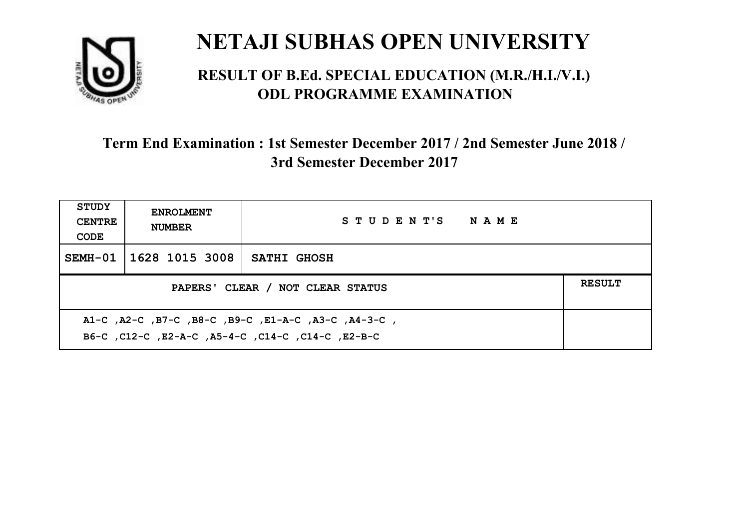

#### **RESULT OF B.Ed. SPECIAL EDUCATION (M.R./H.I./V.I.) ODL PROGRAMME EXAMINATION**

| <b>STUDY</b><br><b>CENTRE</b><br>CODE                                                                    | <b>ENROLMENT</b><br><b>NUMBER</b>                 | STUDENT'S NAME     |  |  |  |
|----------------------------------------------------------------------------------------------------------|---------------------------------------------------|--------------------|--|--|--|
|                                                                                                          | SEMH-01   1628 1015 3008                          | <b>SATHI GHOSH</b> |  |  |  |
|                                                                                                          | <b>RESULT</b><br>PAPERS' CLEAR / NOT CLEAR STATUS |                    |  |  |  |
| A1-C, A2-C, B7-C, B8-C, B9-C, E1-A-C, A3-C, A4-3-C,<br>B6-C, C12-C, E2-A-C, A5-4-C, C14-C, C14-C, E2-B-C |                                                   |                    |  |  |  |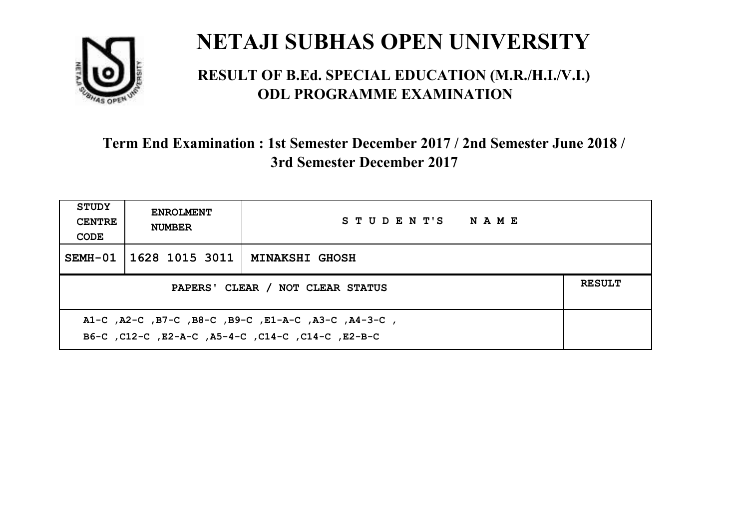

#### **RESULT OF B.Ed. SPECIAL EDUCATION (M.R./H.I./V.I.) ODL PROGRAMME EXAMINATION**

| <b>STUDY</b><br><b>CENTRE</b><br>CODE                                                                    | <b>ENROLMENT</b><br><b>NUMBER</b> | STUDENT'S NAME        |  |  |
|----------------------------------------------------------------------------------------------------------|-----------------------------------|-----------------------|--|--|
|                                                                                                          | SEMH-01   1628 1015 3011          | <b>MINAKSHI GHOSH</b> |  |  |
| PAPERS' CLEAR / NOT CLEAR STATUS                                                                         |                                   |                       |  |  |
| A1-C, A2-C, B7-C, B8-C, B9-C, E1-A-C, A3-C, A4-3-C,<br>B6-C, C12-C, E2-A-C, A5-4-C, C14-C, C14-C, E2-B-C |                                   |                       |  |  |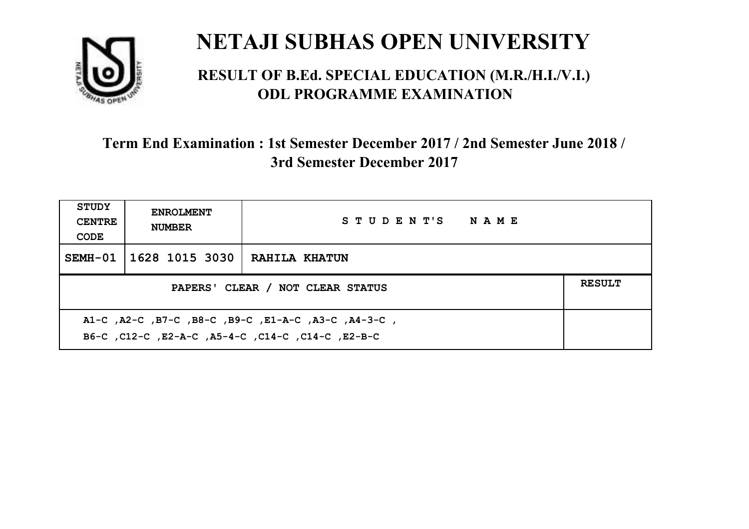

#### **RESULT OF B.Ed. SPECIAL EDUCATION (M.R./H.I./V.I.) ODL PROGRAMME EXAMINATION**

| <b>STUDY</b><br><b>CENTRE</b><br>CODE                                                                     | <b>ENROLMENT</b><br><b>NUMBER</b>                 | STUDENT'S NAME       |  |  |  |
|-----------------------------------------------------------------------------------------------------------|---------------------------------------------------|----------------------|--|--|--|
| $SEMH-01$                                                                                                 | 1628 1015 3030                                    | <b>RAHILA KHATUN</b> |  |  |  |
|                                                                                                           | <b>RESULT</b><br>PAPERS' CLEAR / NOT CLEAR STATUS |                      |  |  |  |
| A1-C, A2-C, B7-C, B8-C, B9-C, E1-A-C, A3-C, A4-3-C,<br>B6-C, C12-C, E2-A-C, A5-4-C, C14-C, C14-C, C12-B-C |                                                   |                      |  |  |  |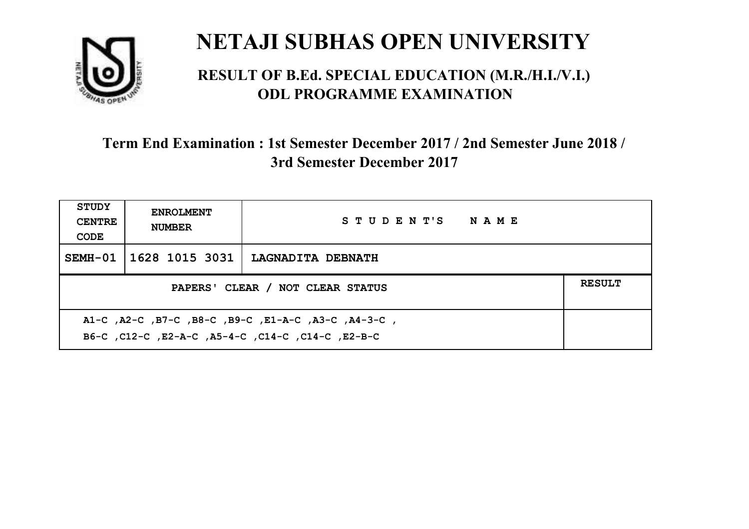

#### **RESULT OF B.Ed. SPECIAL EDUCATION (M.R./H.I./V.I.) ODL PROGRAMME EXAMINATION**

| <b>STUDY</b><br><b>CENTRE</b><br>CODE                                                                    | <b>ENROLMENT</b><br><b>NUMBER</b> | STUDENT'S NAME           |  |  |
|----------------------------------------------------------------------------------------------------------|-----------------------------------|--------------------------|--|--|
|                                                                                                          | SEMH-01   1628 1015 3031          | <b>LAGNADITA DEBNATH</b> |  |  |
| <b>RESULT</b><br>PAPERS' CLEAR / NOT CLEAR STATUS                                                        |                                   |                          |  |  |
| A1-C, A2-C, B7-C, B8-C, B9-C, E1-A-C, A3-C, A4-3-C,<br>B6-C, C12-C, E2-A-C, A5-4-C, C14-C, C14-C, E2-B-C |                                   |                          |  |  |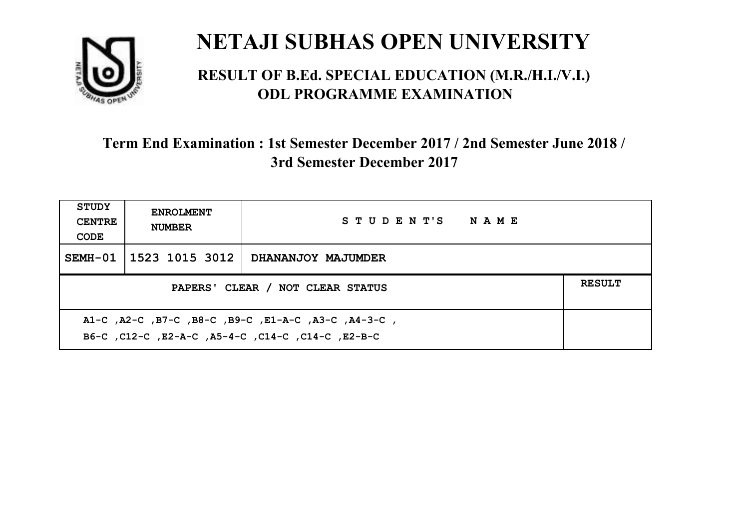

#### **RESULT OF B.Ed. SPECIAL EDUCATION (M.R./H.I./V.I.) ODL PROGRAMME EXAMINATION**

| STUDY<br><b>CENTRE</b><br>CODE                                                                            | <b>ENROLMENT</b><br><b>NUMBER</b>                 | STUDENT'S NAME     |  |  |  |
|-----------------------------------------------------------------------------------------------------------|---------------------------------------------------|--------------------|--|--|--|
|                                                                                                           | SEMH-01 1523 1015 3012                            | DHANANJOY MAJUMDER |  |  |  |
|                                                                                                           | <b>RESULT</b><br>PAPERS' CLEAR / NOT CLEAR STATUS |                    |  |  |  |
| A1-C, A2-C, B7-C, B8-C, B9-C, E1-A-C, A3-C, A4-3-C,<br>B6-C, C12-C, E2-A-C, A5-4-C, C14-C, C14-C, C12-B-C |                                                   |                    |  |  |  |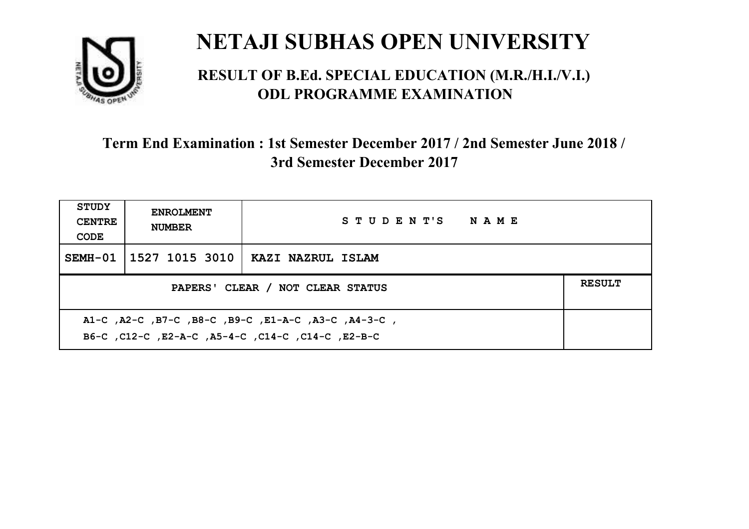

#### **RESULT OF B.Ed. SPECIAL EDUCATION (M.R./H.I./V.I.) ODL PROGRAMME EXAMINATION**

| <b>STUDY</b><br><b>CENTRE</b><br>CODE                                                                     | <b>ENROLMENT</b><br><b>NUMBER</b>                 | STUDENT'S NAME    |  |  |  |
|-----------------------------------------------------------------------------------------------------------|---------------------------------------------------|-------------------|--|--|--|
|                                                                                                           | SEMH-01 1527 1015 3010 1                          | KAZI NAZRUL ISLAM |  |  |  |
|                                                                                                           | <b>RESULT</b><br>PAPERS' CLEAR / NOT CLEAR STATUS |                   |  |  |  |
| A1-C, A2-C, B7-C, B8-C, B9-C, E1-A-C, A3-C, A4-3-C,<br>B6-C, C12-C, E2-A-C, A5-4-C, C14-C, C14-C, C12-B-C |                                                   |                   |  |  |  |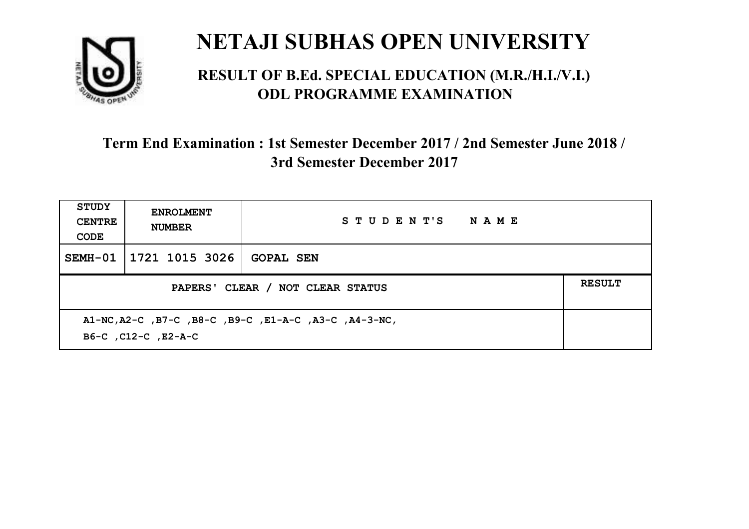

#### **RESULT OF B.Ed. SPECIAL EDUCATION (M.R./H.I./V.I.) ODL PROGRAMME EXAMINATION**

| <b>STUDY</b><br><b>CENTRE</b><br>CODE | <b>ENROLMENT</b><br><b>NUMBER</b>                                            | STUDENT'S NAME   |  |  |  |
|---------------------------------------|------------------------------------------------------------------------------|------------------|--|--|--|
| SEMH-01                               | 1721 1015 3026                                                               | <b>GOPAL SEN</b> |  |  |  |
|                                       | <b>RESULT</b><br>PAPERS' CLEAR / NOT CLEAR STATUS                            |                  |  |  |  |
|                                       | A1-NC, A2-C, B7-C, B8-C, B9-C, E1-A-C, A3-C, A4-3-NC,<br>B6-C, C12-C, E2-A-C |                  |  |  |  |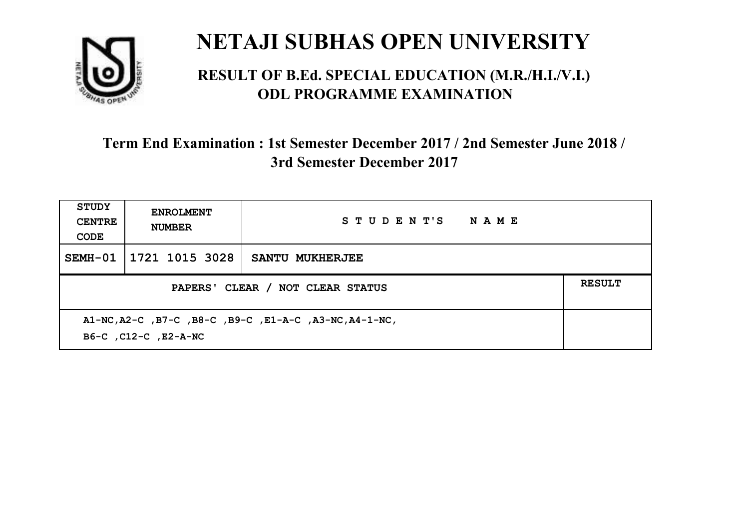

#### **RESULT OF B.Ed. SPECIAL EDUCATION (M.R./H.I./V.I.) ODL PROGRAMME EXAMINATION**

| STUDY<br><b>CENTRE</b><br>CODE                                                 | <b>ENROLMENT</b><br><b>NUMBER</b> | STUDENT'S NAME         |  |  |
|--------------------------------------------------------------------------------|-----------------------------------|------------------------|--|--|
| SEMH-01                                                                        | 1721 1015 3028                    | <b>SANTU MUKHERJEE</b> |  |  |
| <b>RESULT</b><br>PAPERS' CLEAR / NOT CLEAR STATUS                              |                                   |                        |  |  |
| A1-NC, A2-C, B7-C, B8-C, B9-C, E1-A-C, A3-NC, A4-1-NC,<br>B6-C, C12-C, E2-A-NC |                                   |                        |  |  |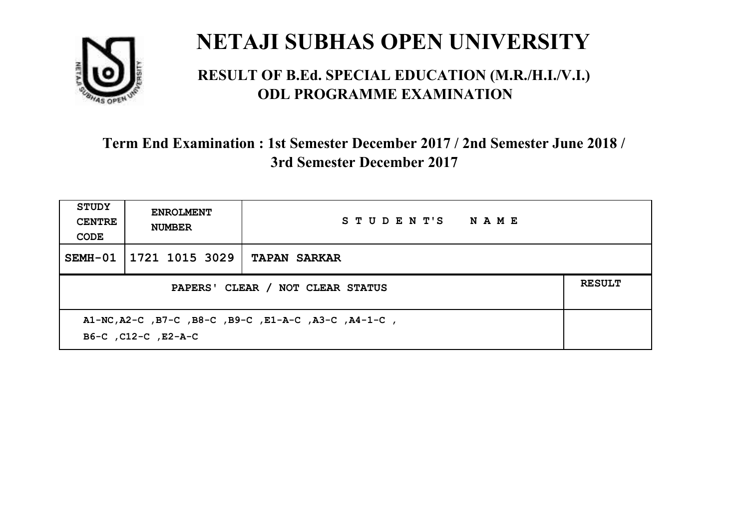

#### **RESULT OF B.Ed. SPECIAL EDUCATION (M.R./H.I./V.I.) ODL PROGRAMME EXAMINATION**

| STUDY<br><b>CENTRE</b><br>CODE | <b>ENROLMENT</b><br><b>NUMBER</b>                                           | STUDENT'S NAME      |  |  |  |
|--------------------------------|-----------------------------------------------------------------------------|---------------------|--|--|--|
| SEMH-01                        | 1721 1015 3029                                                              | <b>TAPAN SARKAR</b> |  |  |  |
|                                | <b>RESULT</b><br>PAPERS' CLEAR / NOT CLEAR STATUS                           |                     |  |  |  |
|                                | A1-NC, A2-C, B7-C, B8-C, B9-C, E1-A-C, A3-C, A4-1-C,<br>B6-C, C12-C, E2-A-C |                     |  |  |  |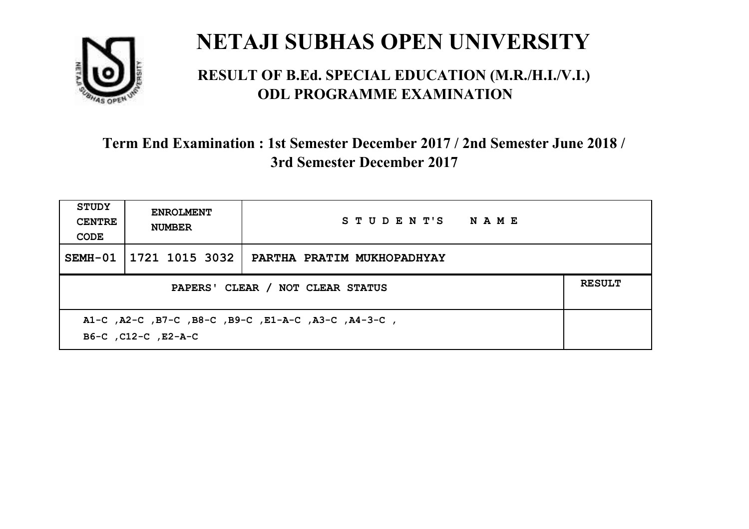

#### **RESULT OF B.Ed. SPECIAL EDUCATION (M.R./H.I./V.I.) ODL PROGRAMME EXAMINATION**

| <b>STUDY</b><br><b>CENTRE</b><br>CODE                                      | <b>ENROLMENT</b><br><b>NUMBER</b>                 | STUDENT'S NAME             |  |  |  |
|----------------------------------------------------------------------------|---------------------------------------------------|----------------------------|--|--|--|
| SEMH-01                                                                    | 1721 1015 3032                                    | PARTHA PRATIM MUKHOPADHYAY |  |  |  |
|                                                                            | <b>RESULT</b><br>PAPERS' CLEAR / NOT CLEAR STATUS |                            |  |  |  |
| A1-C, A2-C, B7-C, B8-C, B9-C, E1-A-C, A3-C, A4-3-C,<br>B6-C, C12-C, E2-A-C |                                                   |                            |  |  |  |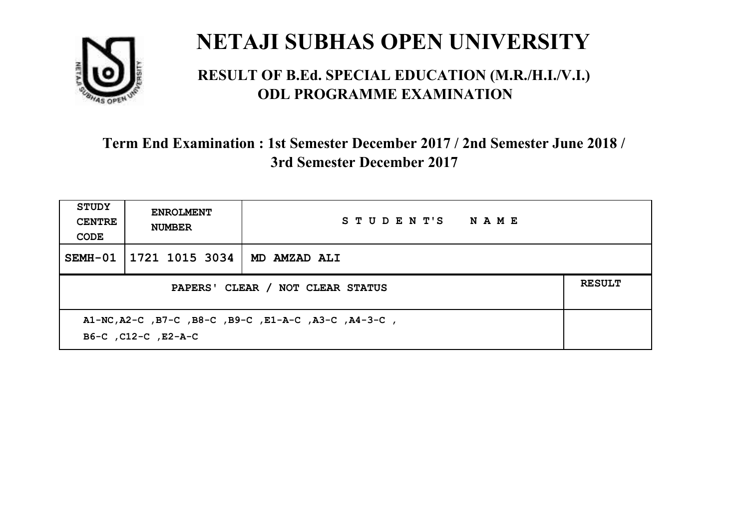

#### **RESULT OF B.Ed. SPECIAL EDUCATION (M.R./H.I./V.I.) ODL PROGRAMME EXAMINATION**

| <b>STUDY</b><br><b>CENTRE</b><br>CODE                                       | <b>ENROLMENT</b><br><b>NUMBER</b>                 | STUDENT'S NAME |  |  |  |
|-----------------------------------------------------------------------------|---------------------------------------------------|----------------|--|--|--|
| SEMH-01                                                                     | 1721 1015 3034                                    | MD AMZAD ALI   |  |  |  |
|                                                                             | <b>RESULT</b><br>PAPERS' CLEAR / NOT CLEAR STATUS |                |  |  |  |
| A1-NC, A2-C, B7-C, B8-C, B9-C, E1-A-C, A3-C, A4-3-C,<br>B6-C, C12-C, E2-A-C |                                                   |                |  |  |  |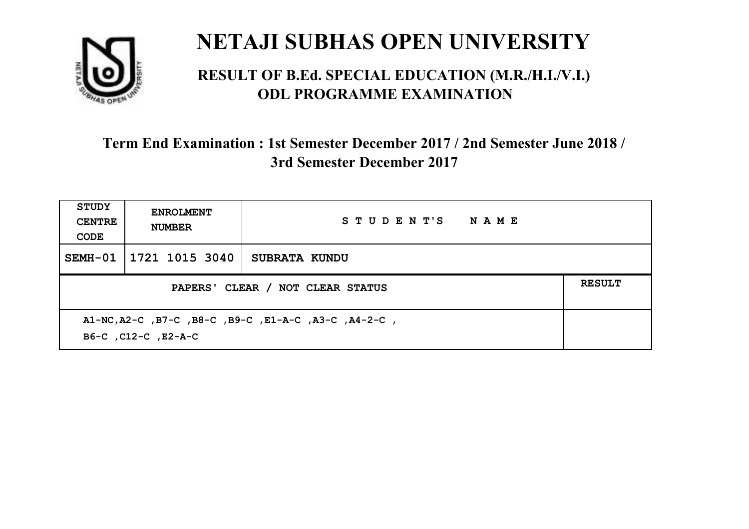

#### **RESULT OF B.Ed. SPECIAL EDUCATION (M.R./H.I./V.I.) ODL PROGRAMME EXAMINATION**

| <b>STUDY</b><br><b>CENTRE</b><br>CODE                                       | <b>ENROLMENT</b><br><b>NUMBER</b> | STUDENT'S NAME       |  |  |
|-----------------------------------------------------------------------------|-----------------------------------|----------------------|--|--|
| SEMH-01                                                                     | 1721 1015 3040                    | <b>SUBRATA KUNDU</b> |  |  |
| <b>RESULT</b><br>PAPERS' CLEAR / NOT CLEAR STATUS                           |                                   |                      |  |  |
| A1-NC, A2-C, B7-C, B8-C, B9-C, E1-A-C, A3-C, A4-2-C,<br>B6-C, C12-C, E2-A-C |                                   |                      |  |  |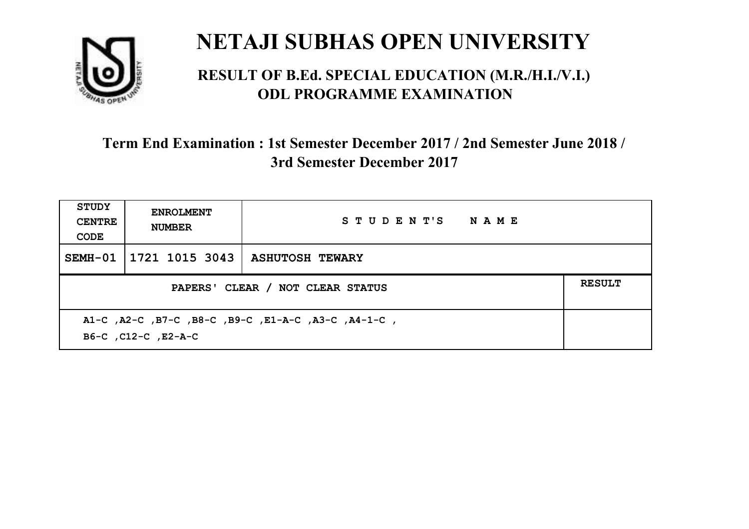

#### **RESULT OF B.Ed. SPECIAL EDUCATION (M.R./H.I./V.I.) ODL PROGRAMME EXAMINATION**

| <b>STUDY</b><br><b>CENTRE</b><br>CODE                                      | <b>ENROLMENT</b><br><b>NUMBER</b> | STUDENT'S NAME         |  |
|----------------------------------------------------------------------------|-----------------------------------|------------------------|--|
| SEMH-01                                                                    | 1721 1015 3043                    | <b>ASHUTOSH TEWARY</b> |  |
| <b>RESULT</b><br>PAPERS' CLEAR / NOT CLEAR STATUS                          |                                   |                        |  |
| A1-C, A2-C, B7-C, B8-C, B9-C, E1-A-C, A3-C, A4-1-C,<br>B6-C, C12-C, E2-A-C |                                   |                        |  |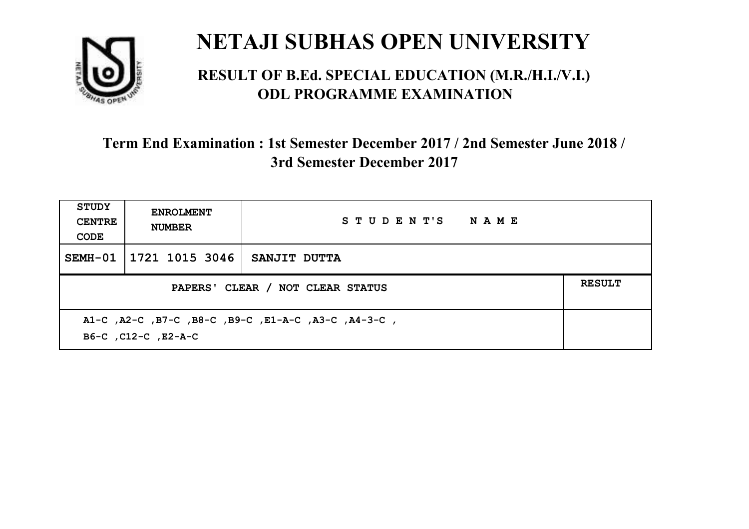

#### **RESULT OF B.Ed. SPECIAL EDUCATION (M.R./H.I./V.I.) ODL PROGRAMME EXAMINATION**

| <b>STUDY</b><br><b>CENTRE</b><br>CODE                                      | <b>ENROLMENT</b><br><b>NUMBER</b>                 | STUDENT'S NAME |  |  |  |
|----------------------------------------------------------------------------|---------------------------------------------------|----------------|--|--|--|
| SEMH-01                                                                    | 1721 1015 3046                                    | SANJIT DUTTA   |  |  |  |
|                                                                            | <b>RESULT</b><br>PAPERS' CLEAR / NOT CLEAR STATUS |                |  |  |  |
| A1-C, A2-C, B7-C, B8-C, B9-C, E1-A-C, A3-C, A4-3-C,<br>B6-C, C12-C, E2-A-C |                                                   |                |  |  |  |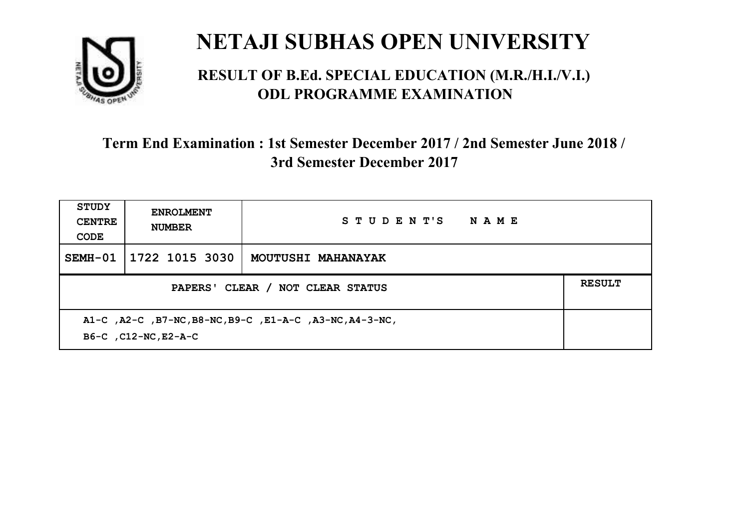

#### **RESULT OF B.Ed. SPECIAL EDUCATION (M.R./H.I./V.I.) ODL PROGRAMME EXAMINATION**

| STUDY<br><b>CENTRE</b><br>CODE                                                  | <b>ENROLMENT</b><br><b>NUMBER</b> | STUDENT'S<br><b>NAME</b> |  |  |
|---------------------------------------------------------------------------------|-----------------------------------|--------------------------|--|--|
| $SEMH-01$                                                                       | 1722 1015 3030                    | MOUTUSHI MAHANAYAK       |  |  |
| <b>RESULT</b><br>PAPERS' CLEAR /<br>NOT CLEAR STATUS                            |                                   |                          |  |  |
| A1-C, A2-C, B7-NC, B8-NC, B9-C, E1-A-C, A3-NC, A4-3-NC,<br>B6-C, C12-NC, E2-A-C |                                   |                          |  |  |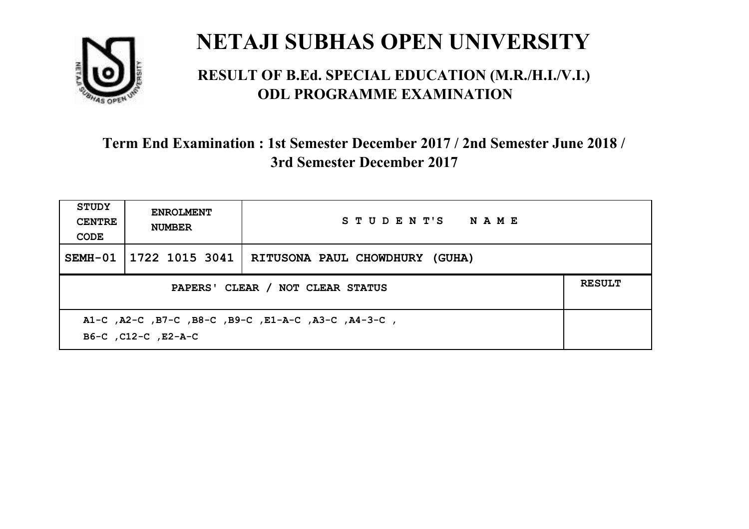

#### **RESULT OF B.Ed. SPECIAL EDUCATION (M.R./H.I./V.I.) ODL PROGRAMME EXAMINATION**

| STUDY<br><b>CENTRE</b><br>CODE                                             | <b>ENROLMENT</b><br><b>NUMBER</b> | STUDENT'S NAME                                     |  |
|----------------------------------------------------------------------------|-----------------------------------|----------------------------------------------------|--|
| SEMH-01                                                                    |                                   | 1722 1015 3041   RITUSONA PAUL CHOWDHURY<br>(GUHA) |  |
| PAPERS' CLEAR / NOT CLEAR STATUS                                           |                                   |                                                    |  |
| A1-C, A2-C, B7-C, B8-C, B9-C, E1-A-C, A3-C, A4-3-C,<br>B6-C, C12-C, E2-A-C |                                   |                                                    |  |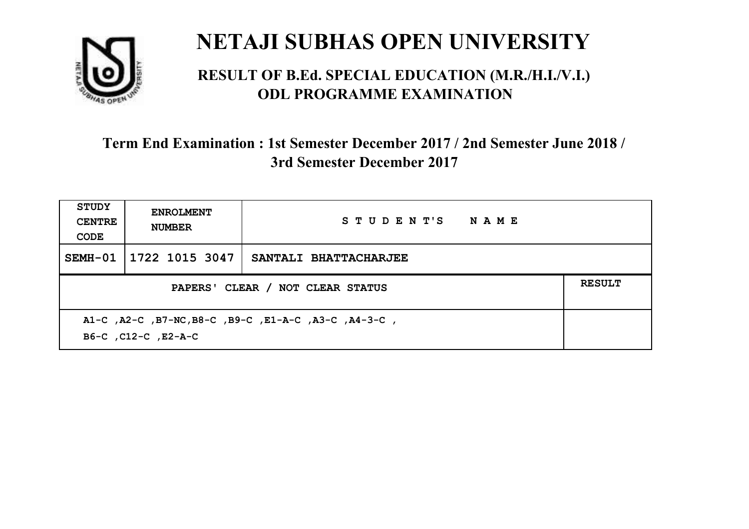

#### **RESULT OF B.Ed. SPECIAL EDUCATION (M.R./H.I./V.I.) ODL PROGRAMME EXAMINATION**

| <b>STUDY</b><br><b>CENTRE</b><br>CODE                                       | <b>ENROLMENT</b><br><b>NUMBER</b> | STUDENT'S NAME        |  |  |
|-----------------------------------------------------------------------------|-----------------------------------|-----------------------|--|--|
| SEMH-01                                                                     | 1722 1015 3047                    | SANTALI BHATTACHARJEE |  |  |
| <b>RESULT</b><br>PAPERS' CLEAR / NOT CLEAR STATUS                           |                                   |                       |  |  |
| A1-C, A2-C, B7-NC, B8-C, B9-C, E1-A-C, A3-C, A4-3-C,<br>B6-C, C12-C, E2-A-C |                                   |                       |  |  |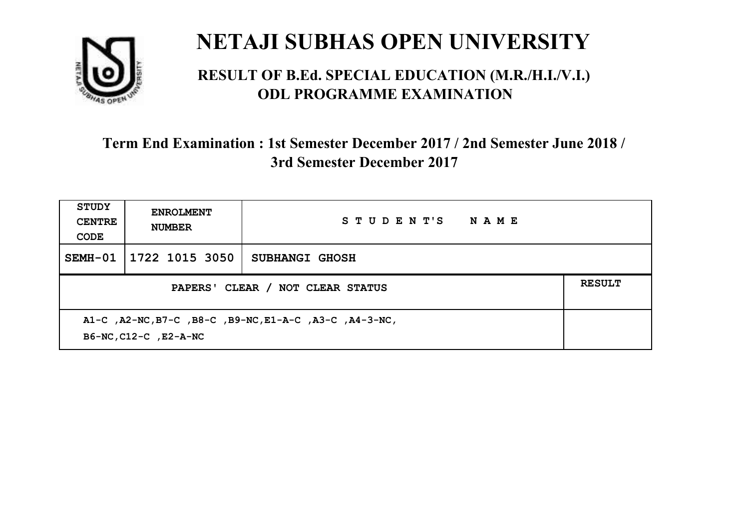

#### **RESULT OF B.Ed. SPECIAL EDUCATION (M.R./H.I./V.I.) ODL PROGRAMME EXAMINATION**

| <b>STUDY</b><br><b>CENTRE</b><br>CODE                                           | <b>ENROLMENT</b><br><b>NUMBER</b> | STUDENT'S<br><b>NAME</b> |  |
|---------------------------------------------------------------------------------|-----------------------------------|--------------------------|--|
| SEMH-01                                                                         | 1722 1015 3050                    | SUBHANGI GHOSH           |  |
| PAPERS' CLEAR / NOT CLEAR STATUS                                                |                                   |                          |  |
| A1-C, A2-NC, B7-C, B8-C, B9-NC, E1-A-C, A3-C, A4-3-NC,<br>B6-NC, C12-C, E2-A-NC |                                   |                          |  |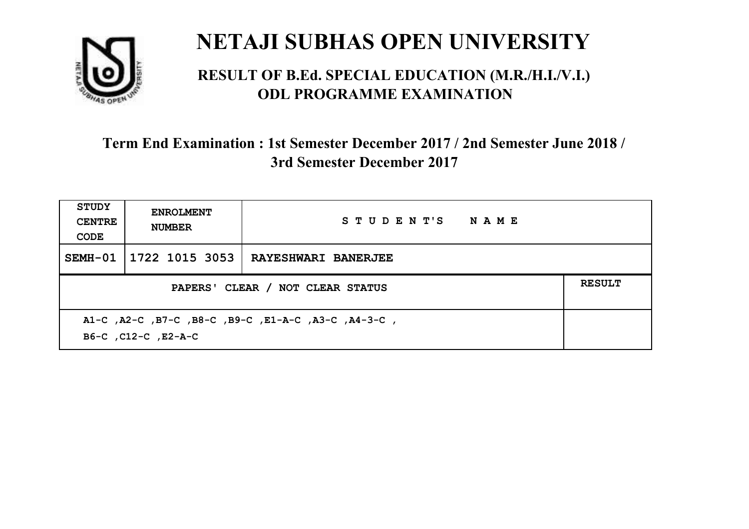

#### **RESULT OF B.Ed. SPECIAL EDUCATION (M.R./H.I./V.I.) ODL PROGRAMME EXAMINATION**

| <b>STUDY</b><br><b>CENTRE</b><br>CODE                                      | <b>ENROLMENT</b><br><b>NUMBER</b> | STUDENT'S NAME             |  |
|----------------------------------------------------------------------------|-----------------------------------|----------------------------|--|
| SEMH-01                                                                    | 1722 1015 3053                    | <b>RAYESHWARI BANERJEE</b> |  |
| PAPERS' CLEAR / NOT CLEAR STATUS                                           |                                   |                            |  |
| A1-C, A2-C, B7-C, B8-C, B9-C, E1-A-C, A3-C, A4-3-C,<br>B6-C, C12-C, E2-A-C |                                   |                            |  |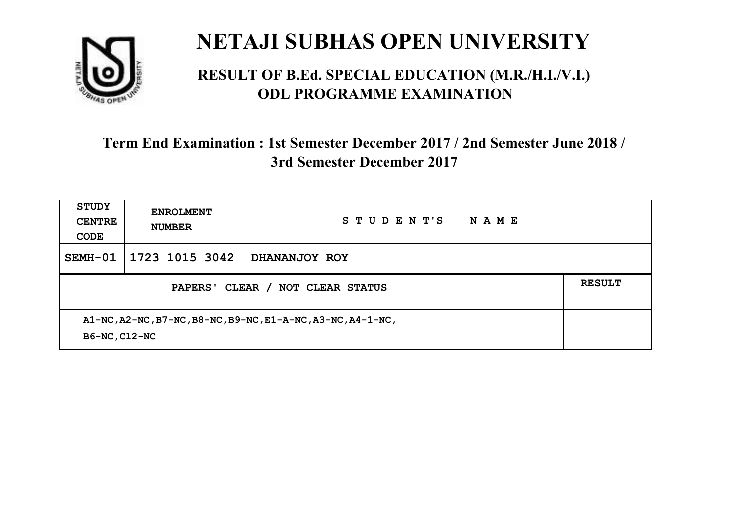

#### **RESULT OF B.Ed. SPECIAL EDUCATION (M.R./H.I./V.I.) ODL PROGRAMME EXAMINATION**

| <b>STUDY</b><br><b>CENTRE</b><br>CODE                                        | <b>ENROLMENT</b><br><b>NUMBER</b> | STUDENT'S<br>NAME |  |
|------------------------------------------------------------------------------|-----------------------------------|-------------------|--|
| SEMH-01                                                                      | 1723 1015 3042                    | DHANANJOY ROY     |  |
| PAPERS' CLEAR /<br><b>NOT CLEAR STATUS</b>                                   |                                   |                   |  |
| A1-NC, A2-NC, B7-NC, B8-NC, B9-NC, E1-A-NC, A3-NC, A4-1-NC,<br>B6-NC, C12-NC |                                   |                   |  |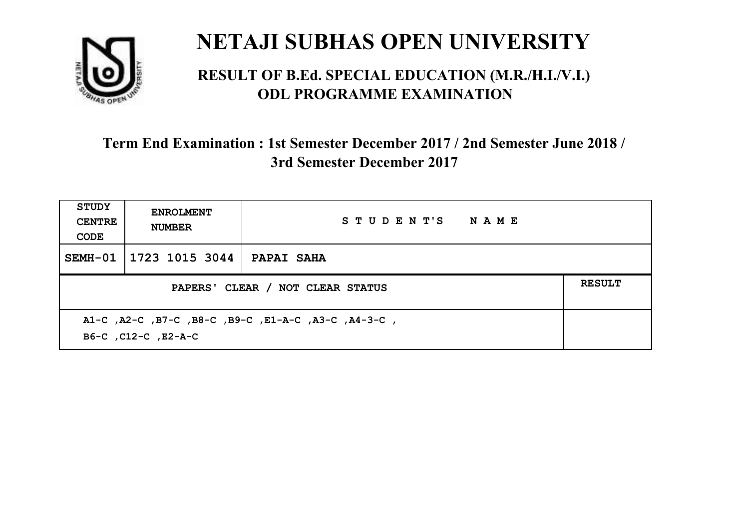

#### **RESULT OF B.Ed. SPECIAL EDUCATION (M.R./H.I./V.I.) ODL PROGRAMME EXAMINATION**

| <b>STUDY</b><br><b>CENTRE</b><br>CODE | <b>ENROLMENT</b><br><b>NUMBER</b>                                          | STUDENT'S NAME    |  |  |  |
|---------------------------------------|----------------------------------------------------------------------------|-------------------|--|--|--|
| SEMH-01                               | 1723 1015 3044                                                             | <b>PAPAI SAHA</b> |  |  |  |
|                                       | <b>RESULT</b><br>PAPERS' CLEAR / NOT CLEAR STATUS                          |                   |  |  |  |
|                                       | A1-C, A2-C, B7-C, B8-C, B9-C, E1-A-C, A3-C, A4-3-C,<br>B6-C, C12-C, E2-A-C |                   |  |  |  |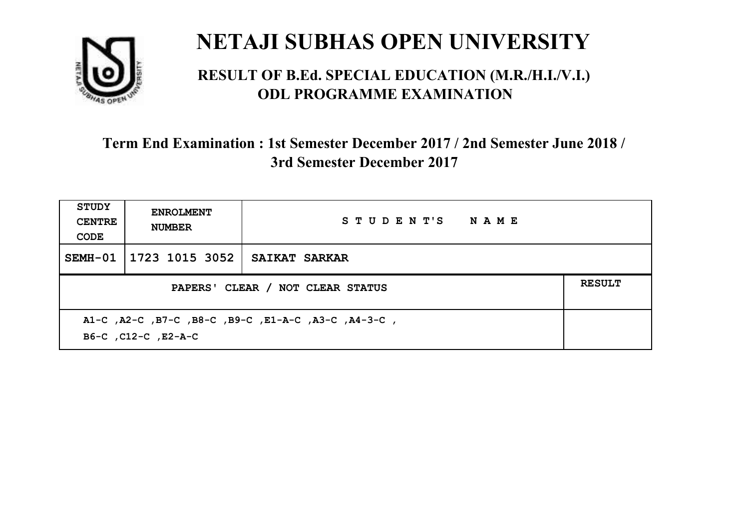

#### **RESULT OF B.Ed. SPECIAL EDUCATION (M.R./H.I./V.I.) ODL PROGRAMME EXAMINATION**

| <b>STUDY</b><br><b>CENTRE</b><br>CODE                                      | <b>ENROLMENT</b><br><b>NUMBER</b> | STUDENT'S NAME       |  |  |
|----------------------------------------------------------------------------|-----------------------------------|----------------------|--|--|
| SEMH-01                                                                    | 1723 1015 3052                    | <b>SAIKAT SARKAR</b> |  |  |
| <b>RESULT</b><br>PAPERS' CLEAR / NOT CLEAR STATUS                          |                                   |                      |  |  |
| A1-C, A2-C, B7-C, B8-C, B9-C, E1-A-C, A3-C, A4-3-C,<br>B6-C, C12-C, E2-A-C |                                   |                      |  |  |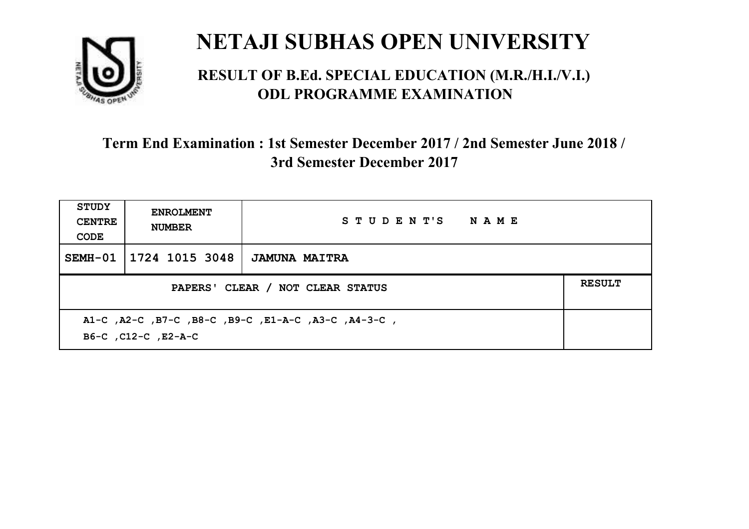

#### **RESULT OF B.Ed. SPECIAL EDUCATION (M.R./H.I./V.I.) ODL PROGRAMME EXAMINATION**

| <b>STUDY</b><br><b>CENTRE</b><br>CODE                                      | <b>ENROLMENT</b><br><b>NUMBER</b> | STUDENT'S NAME       |  |
|----------------------------------------------------------------------------|-----------------------------------|----------------------|--|
| SEMH-01                                                                    | 1724 1015 3048                    | <b>JAMUNA MAITRA</b> |  |
| <b>RESULT</b><br>PAPERS' CLEAR / NOT CLEAR STATUS                          |                                   |                      |  |
| A1-C, A2-C, B7-C, B8-C, B9-C, E1-A-C, A3-C, A4-3-C,<br>B6-C, C12-C, E2-A-C |                                   |                      |  |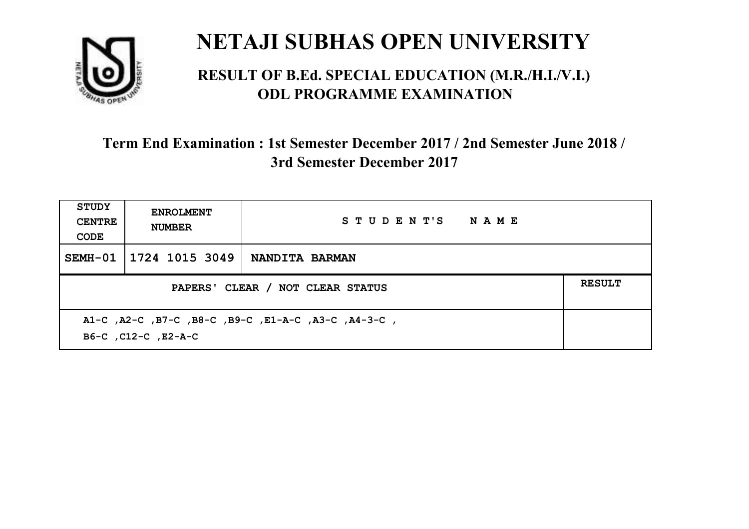

#### **RESULT OF B.Ed. SPECIAL EDUCATION (M.R./H.I./V.I.) ODL PROGRAMME EXAMINATION**

| STUDY<br><b>CENTRE</b><br>CODE                                             | <b>ENROLMENT</b><br><b>NUMBER</b> | STUDENT'S NAME        |  |
|----------------------------------------------------------------------------|-----------------------------------|-----------------------|--|
| SEMH-01                                                                    | 1724 1015 3049                    | <b>NANDITA BARMAN</b> |  |
| <b>RESULT</b><br>PAPERS' CLEAR / NOT CLEAR STATUS                          |                                   |                       |  |
| A1-C, A2-C, B7-C, B8-C, B9-C, E1-A-C, A3-C, A4-3-C,<br>B6-C, C12-C, E2-A-C |                                   |                       |  |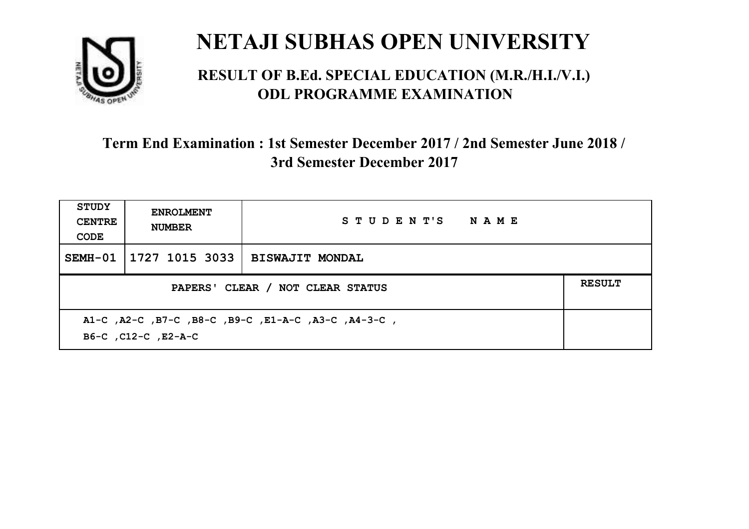

#### **RESULT OF B.Ed. SPECIAL EDUCATION (M.R./H.I./V.I.) ODL PROGRAMME EXAMINATION**

| STUDY<br><b>CENTRE</b><br>CODE                                             | <b>ENROLMENT</b><br><b>NUMBER</b>                 | STUDENT'S NAME         |  |  |
|----------------------------------------------------------------------------|---------------------------------------------------|------------------------|--|--|
| SEMH-01                                                                    | 1727 1015 3033                                    | <b>BISWAJIT MONDAL</b> |  |  |
|                                                                            | <b>RESULT</b><br>PAPERS' CLEAR / NOT CLEAR STATUS |                        |  |  |
| A1-C, A2-C, B7-C, B8-C, B9-C, E1-A-C, A3-C, A4-3-C,<br>B6-C, C12-C, E2-A-C |                                                   |                        |  |  |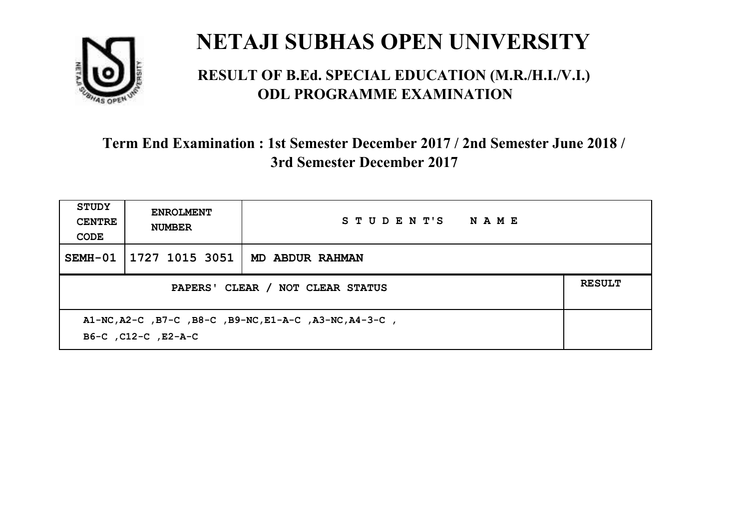

#### **RESULT OF B.Ed. SPECIAL EDUCATION (M.R./H.I./V.I.) ODL PROGRAMME EXAMINATION**

| <b>STUDY</b><br><b>CENTRE</b><br>CODE                                         | <b>ENROLMENT</b><br><b>NUMBER</b> | STUDENT'S NAME  |  |
|-------------------------------------------------------------------------------|-----------------------------------|-----------------|--|
| SEMH-01                                                                       | 1727 1015 3051                    | MD ABDUR RAHMAN |  |
| <b>RESULT</b><br>PAPERS' CLEAR / NOT CLEAR STATUS                             |                                   |                 |  |
| A1-NC, A2-C, B7-C, B8-C, B9-NC, E1-A-C, A3-NC, A4-3-C,<br>B6-C, C12-C, E2-A-C |                                   |                 |  |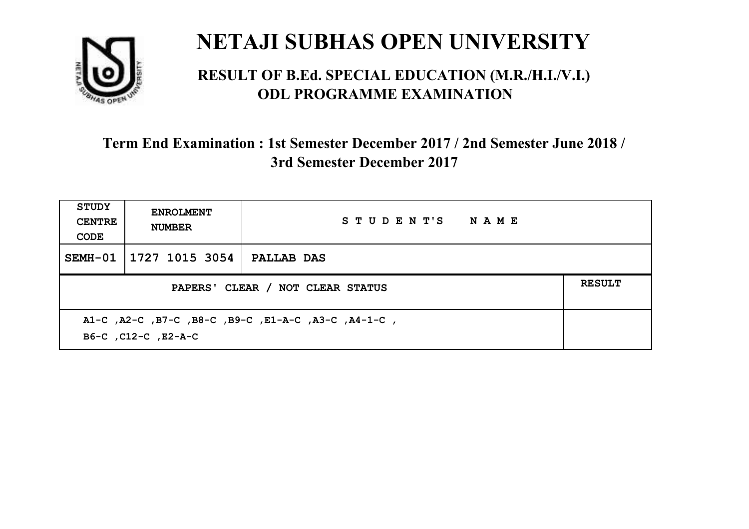

#### **RESULT OF B.Ed. SPECIAL EDUCATION (M.R./H.I./V.I.) ODL PROGRAMME EXAMINATION**

| <b>STUDY</b><br><b>CENTRE</b><br>CODE | <b>ENROLMENT</b><br><b>NUMBER</b>                 | STUDENT'S NAME                                      |  |  |
|---------------------------------------|---------------------------------------------------|-----------------------------------------------------|--|--|
| SEMH-01                               | 1727 1015 3054                                    | <b>PALLAB DAS</b>                                   |  |  |
|                                       | <b>RESULT</b><br>PAPERS' CLEAR / NOT CLEAR STATUS |                                                     |  |  |
|                                       | B6-C, C12-C, E2-A-C                               | A1-C, A2-C, B7-C, B8-C, B9-C, E1-A-C, A3-C, A4-1-C, |  |  |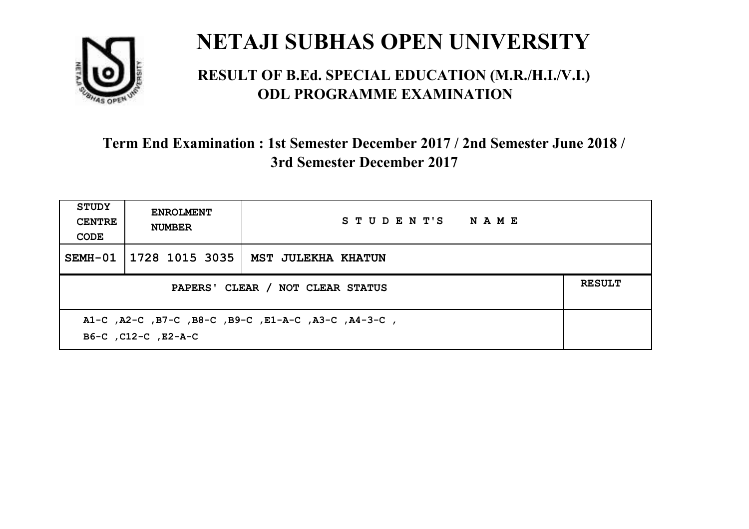

#### **RESULT OF B.Ed. SPECIAL EDUCATION (M.R./H.I./V.I.) ODL PROGRAMME EXAMINATION**

| <b>STUDY</b><br><b>CENTRE</b><br>CODE             | <b>ENROLMENT</b><br><b>NUMBER</b> | STUDENT'S NAME                                      |  |  |
|---------------------------------------------------|-----------------------------------|-----------------------------------------------------|--|--|
| SEMH-01                                           | 1728 1015 3035                    | MST JULEKHA KHATUN                                  |  |  |
| <b>RESULT</b><br>PAPERS' CLEAR / NOT CLEAR STATUS |                                   |                                                     |  |  |
|                                                   | B6-C, C12-C, E2-A-C               | A1-C, A2-C, B7-C, B8-C, B9-C, E1-A-C, A3-C, A4-3-C, |  |  |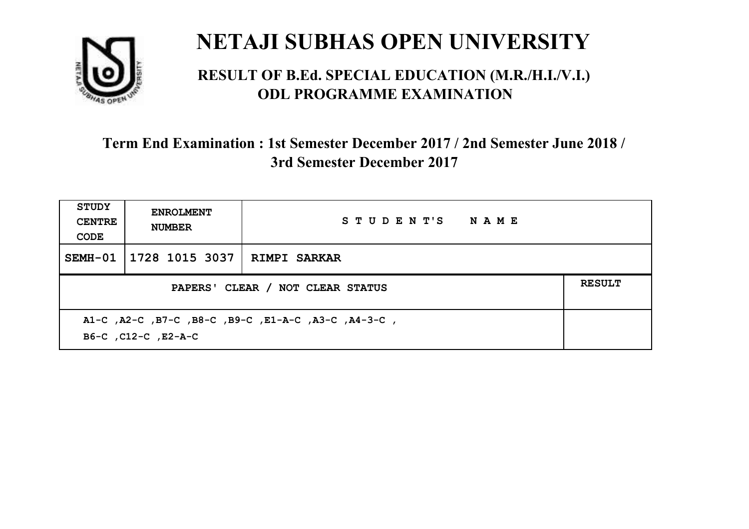

#### **RESULT OF B.Ed. SPECIAL EDUCATION (M.R./H.I./V.I.) ODL PROGRAMME EXAMINATION**

| <b>STUDY</b><br><b>CENTRE</b><br>CODE                                      | <b>ENROLMENT</b><br><b>NUMBER</b>                 | STUDENT'S NAME |  |  |
|----------------------------------------------------------------------------|---------------------------------------------------|----------------|--|--|
| SEMH-01                                                                    | 1728 1015 3037   RIMPI SARKAR                     |                |  |  |
|                                                                            | <b>RESULT</b><br>PAPERS' CLEAR / NOT CLEAR STATUS |                |  |  |
| A1-C, A2-C, B7-C, B8-C, B9-C, E1-A-C, A3-C, A4-3-C,<br>B6-C, C12-C, E2-A-C |                                                   |                |  |  |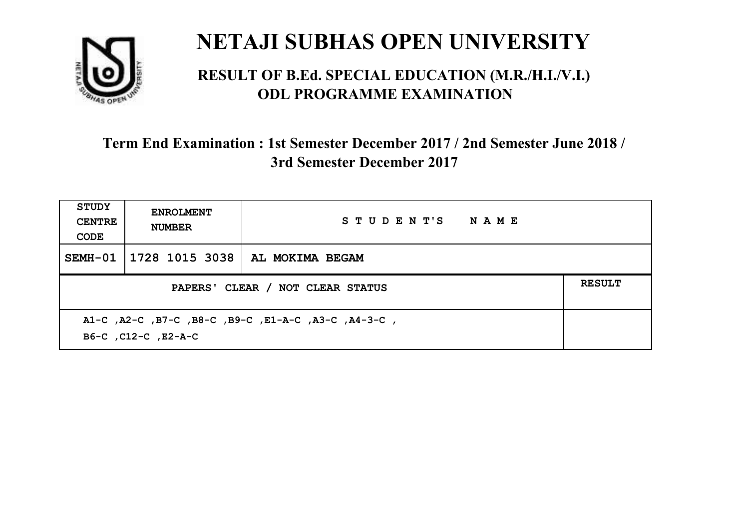

#### **RESULT OF B.Ed. SPECIAL EDUCATION (M.R./H.I./V.I.) ODL PROGRAMME EXAMINATION**

| STUDY<br><b>CENTRE</b><br>CODE                                             | <b>ENROLMENT</b><br><b>NUMBER</b>                 | STUDENT'S NAME                   |  |  |
|----------------------------------------------------------------------------|---------------------------------------------------|----------------------------------|--|--|
| SEMH-01                                                                    |                                                   | 1728 1015 3038   AL MOKIMA BEGAM |  |  |
|                                                                            | <b>RESULT</b><br>PAPERS' CLEAR / NOT CLEAR STATUS |                                  |  |  |
| A1-C, A2-C, B7-C, B8-C, B9-C, E1-A-C, A3-C, A4-3-C,<br>B6-C, C12-C, E2-A-C |                                                   |                                  |  |  |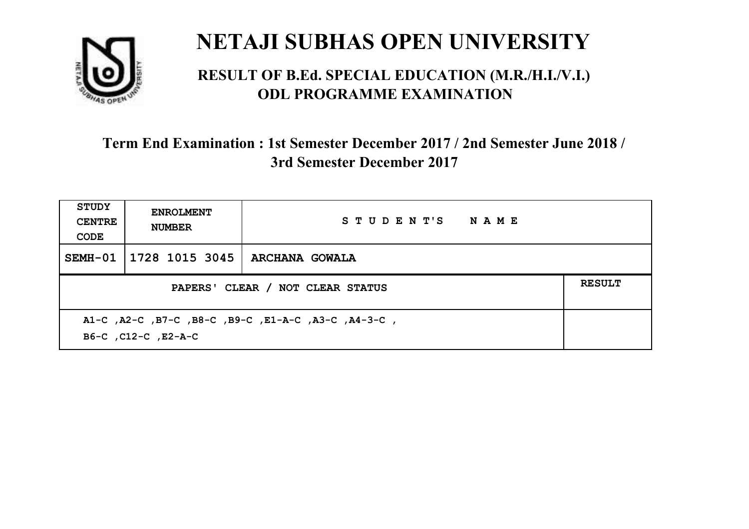

#### **RESULT OF B.Ed. SPECIAL EDUCATION (M.R./H.I./V.I.) ODL PROGRAMME EXAMINATION**

| <b>STUDY</b><br><b>CENTRE</b><br>CODE                                      | <b>ENROLMENT</b><br><b>NUMBER</b>                 | STUDENT'S NAME        |  |  |
|----------------------------------------------------------------------------|---------------------------------------------------|-----------------------|--|--|
| SEMH-01                                                                    | 1728 1015 3045                                    | <b>ARCHANA GOWALA</b> |  |  |
|                                                                            | <b>RESULT</b><br>PAPERS' CLEAR / NOT CLEAR STATUS |                       |  |  |
| A1-C, A2-C, B7-C, B8-C, B9-C, E1-A-C, A3-C, A4-3-C,<br>B6-C, C12-C, E2-A-C |                                                   |                       |  |  |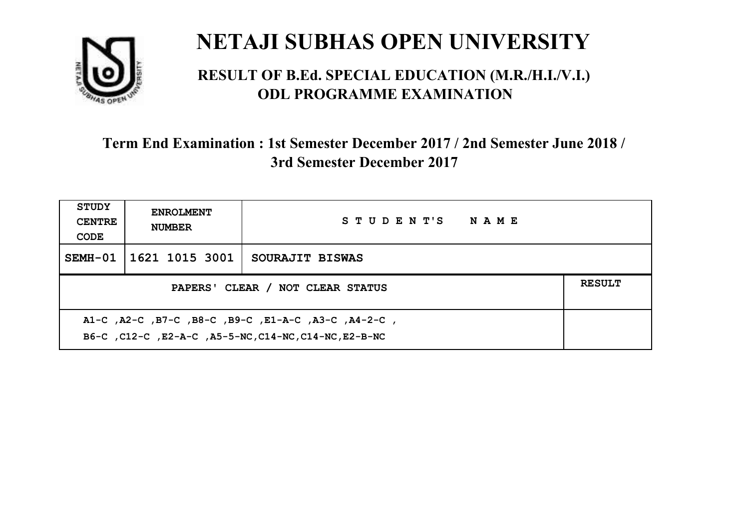

#### **RESULT OF B.Ed. SPECIAL EDUCATION (M.R./H.I./V.I.) ODL PROGRAMME EXAMINATION**

| <b>STUDY</b><br><b>CENTRE</b><br>CODE                                                                        | <b>ENROLMENT</b><br><b>NUMBER</b> | STUDENT'S NAME  |  |
|--------------------------------------------------------------------------------------------------------------|-----------------------------------|-----------------|--|
| $SEMH-01$                                                                                                    | 1621 1015 3001                    | SOURAJIT BISWAS |  |
| <b>RESULT</b><br>PAPERS' CLEAR / NOT CLEAR STATUS                                                            |                                   |                 |  |
| A1-C, A2-C, B7-C, B8-C, B9-C, E1-A-C, A3-C, A4-2-C,<br>B6-C, C12-C, E2-A-C, A5-5-NC, C14-NC, C14-NC, E2-B-NC |                                   |                 |  |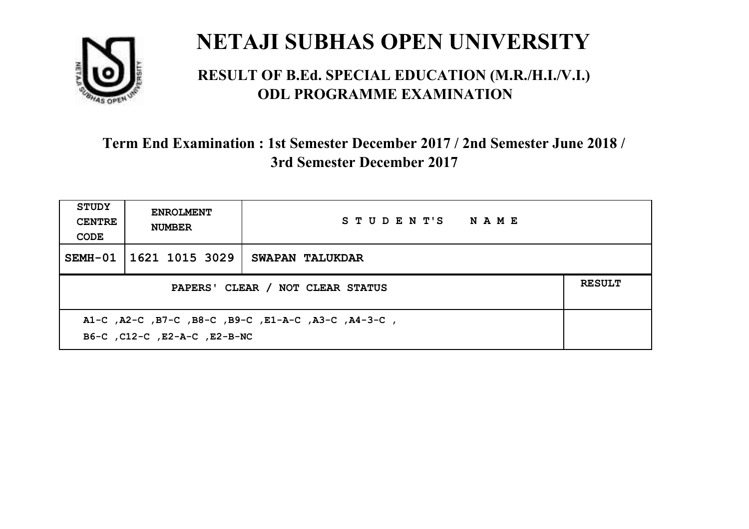

#### **RESULT OF B.Ed. SPECIAL EDUCATION (M.R./H.I./V.I.) ODL PROGRAMME EXAMINATION**

| <b>STUDY</b><br><b>CENTRE</b><br>CODE                                               | <b>ENROLMENT</b><br><b>NUMBER</b>                 | STUDENT'S NAME  |  |  |
|-------------------------------------------------------------------------------------|---------------------------------------------------|-----------------|--|--|
| $SEMH-01$                                                                           | 1621 1015 3029                                    | SWAPAN TALUKDAR |  |  |
|                                                                                     | <b>RESULT</b><br>PAPERS' CLEAR / NOT CLEAR STATUS |                 |  |  |
| A1-C, A2-C, B7-C, B8-C, B9-C, E1-A-C, A3-C, A4-3-C,<br>B6-C, C12-C, E2-A-C, E2-B-NC |                                                   |                 |  |  |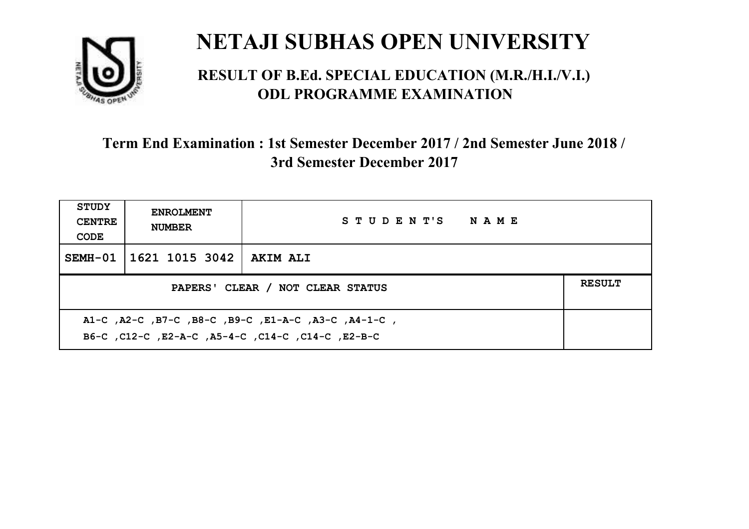

#### **RESULT OF B.Ed. SPECIAL EDUCATION (M.R./H.I./V.I.) ODL PROGRAMME EXAMINATION**

| <b>STUDY</b><br><b>CENTRE</b><br>CODE                                                                    | <b>ENROLMENT</b><br><b>NUMBER</b> | STUDENT'S NAME  |  |
|----------------------------------------------------------------------------------------------------------|-----------------------------------|-----------------|--|
|                                                                                                          | SEMH-01   1621 1015 3042          | <b>AKIM ALI</b> |  |
| <b>RESULT</b><br>PAPERS' CLEAR / NOT CLEAR STATUS                                                        |                                   |                 |  |
| A1-C, A2-C, B7-C, B8-C, B9-C, E1-A-C, A3-C, A4-1-C,<br>B6-C, C12-C, E2-A-C, A5-4-C, C14-C, C14-C, E2-B-C |                                   |                 |  |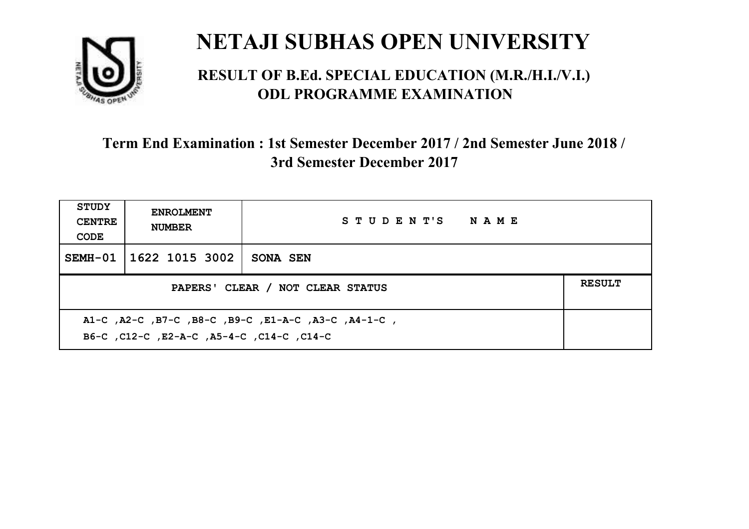

#### **RESULT OF B.Ed. SPECIAL EDUCATION (M.R./H.I./V.I.) ODL PROGRAMME EXAMINATION**

| STUDY<br><b>CENTRE</b><br>CODE   | <b>ENROLMENT</b><br><b>NUMBER</b> | STUDENT'S NAME |  |
|----------------------------------|-----------------------------------|----------------|--|
| SEMH-01                          | 1622 1015 3002                    | SONA SEN       |  |
| PAPERS' CLEAR / NOT CLEAR STATUS |                                   |                |  |
|                                  |                                   |                |  |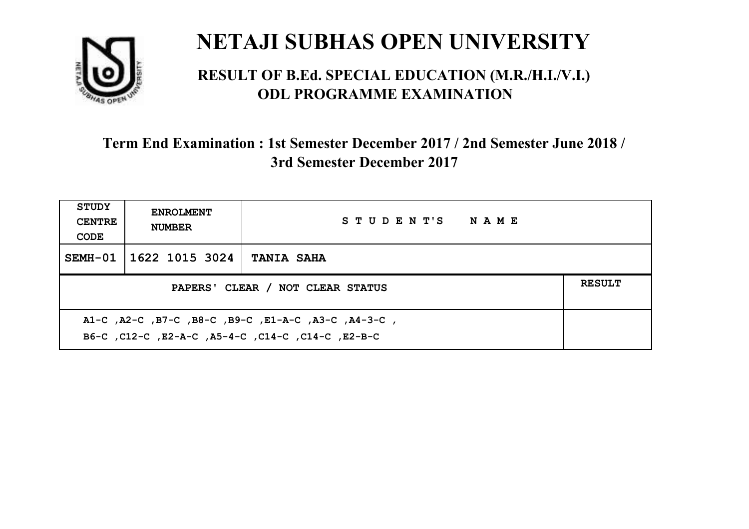

#### **RESULT OF B.Ed. SPECIAL EDUCATION (M.R./H.I./V.I.) ODL PROGRAMME EXAMINATION**

| <b>STUDY</b><br><b>CENTRE</b><br>CODE                                                                    | <b>ENROLMENT</b><br><b>NUMBER</b> | STUDENT'S NAME    |  |
|----------------------------------------------------------------------------------------------------------|-----------------------------------|-------------------|--|
|                                                                                                          | SEMH-01 1622 1015 3024            | <b>TANIA SAHA</b> |  |
| PAPERS' CLEAR / NOT CLEAR STATUS                                                                         |                                   |                   |  |
| A1-C, A2-C, B7-C, B8-C, B9-C, E1-A-C, A3-C, A4-3-C,<br>B6-C, C12-C, E2-A-C, A5-4-C, C14-C, C14-C, E2-B-C |                                   |                   |  |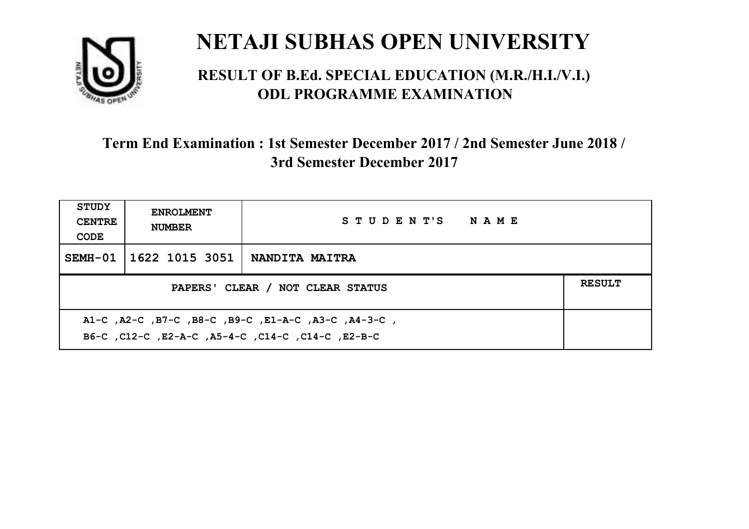

#### **RESULT OF B.Ed. SPECIAL EDUCATION (M.R./H.I./V.I.) ODL PROGRAMME EXAMINATION**

| <b>STUDY</b><br><b>CENTRE</b><br>CODE                                                                    | <b>ENROLMENT</b><br><b>NUMBER</b>                 | STUDENT'S NAME        |  |  |  |
|----------------------------------------------------------------------------------------------------------|---------------------------------------------------|-----------------------|--|--|--|
|                                                                                                          | SEMH-01   1622 1015 3051                          | <b>NANDITA MAITRA</b> |  |  |  |
|                                                                                                          | <b>RESULT</b><br>PAPERS' CLEAR / NOT CLEAR STATUS |                       |  |  |  |
| A1-C, A2-C, B7-C, B8-C, B9-C, E1-A-C, A3-C, A4-3-C,<br>B6-C, C12-C, E2-A-C, A5-4-C, C14-C, C14-C, E2-B-C |                                                   |                       |  |  |  |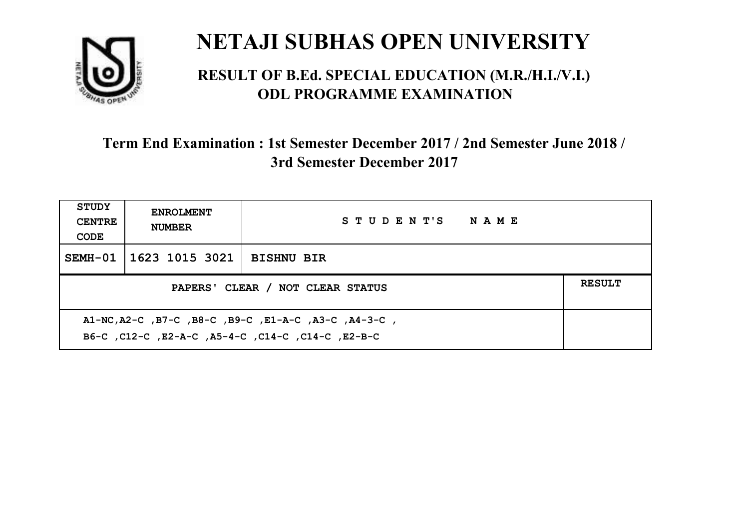

#### **RESULT OF B.Ed. SPECIAL EDUCATION (M.R./H.I./V.I.) ODL PROGRAMME EXAMINATION**

| <b>STUDY</b><br><b>CENTRE</b><br>CODE | <b>ENROLMENT</b><br><b>NUMBER</b>                                                                          | STUDENT'S NAME    |  |  |  |
|---------------------------------------|------------------------------------------------------------------------------------------------------------|-------------------|--|--|--|
|                                       | SEMH-01   1623 1015 3021                                                                                   | <b>BISHNU BIR</b> |  |  |  |
|                                       | <b>RESULT</b><br>PAPERS' CLEAR / NOT CLEAR STATUS                                                          |                   |  |  |  |
|                                       | A1-NC, A2-C, B7-C, B8-C, B9-C, E1-A-C, A3-C, A4-3-C,<br>B6-C, C12-C, E2-A-C, A5-4-C, C14-C, C14-C, C12-B-C |                   |  |  |  |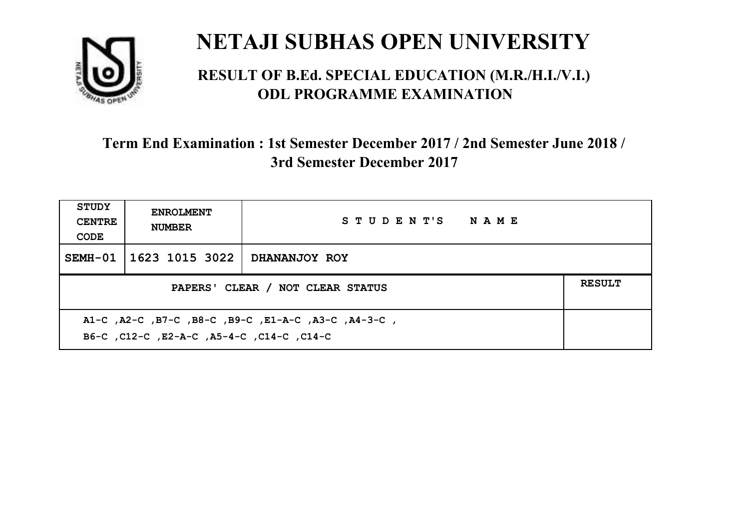

#### **RESULT OF B.Ed. SPECIAL EDUCATION (M.R./H.I./V.I.) ODL PROGRAMME EXAMINATION**

| <b>STUDY</b><br><b>CENTRE</b><br>CODE                                                            | <b>ENROLMENT</b><br><b>NUMBER</b>                 | STUDENT'S NAME       |  |  |  |
|--------------------------------------------------------------------------------------------------|---------------------------------------------------|----------------------|--|--|--|
|                                                                                                  | SEMH-01 1623 1015 3022                            | <b>DHANANJOY ROY</b> |  |  |  |
|                                                                                                  | <b>RESULT</b><br>PAPERS' CLEAR / NOT CLEAR STATUS |                      |  |  |  |
| A1-C, A2-C, B7-C, B8-C, B9-C, E1-A-C, A3-C, A4-3-C,<br>B6-C, C12-C, E2-A-C, A5-4-C, C14-C, C14-C |                                                   |                      |  |  |  |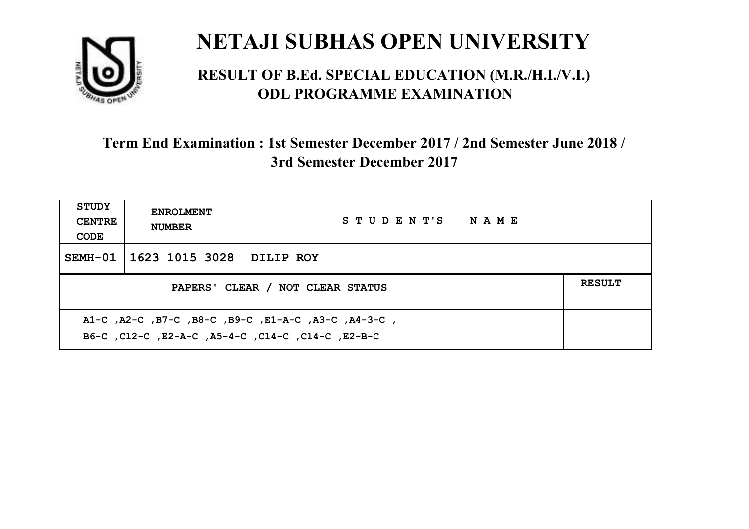

#### **RESULT OF B.Ed. SPECIAL EDUCATION (M.R./H.I./V.I.) ODL PROGRAMME EXAMINATION**

| <b>STUDY</b><br><b>CENTRE</b><br>CODE                                                                    | <b>ENROLMENT</b><br><b>NUMBER</b>                 | STUDENT'S NAME |  |  |  |
|----------------------------------------------------------------------------------------------------------|---------------------------------------------------|----------------|--|--|--|
|                                                                                                          | SEMH-01   1623 1015 3028                          | DILIP ROY      |  |  |  |
|                                                                                                          | <b>RESULT</b><br>PAPERS' CLEAR / NOT CLEAR STATUS |                |  |  |  |
| A1-C, A2-C, B7-C, B8-C, B9-C, E1-A-C, A3-C, A4-3-C,<br>B6-C, C12-C, E2-A-C, A5-4-C, C14-C, C14-C, E2-B-C |                                                   |                |  |  |  |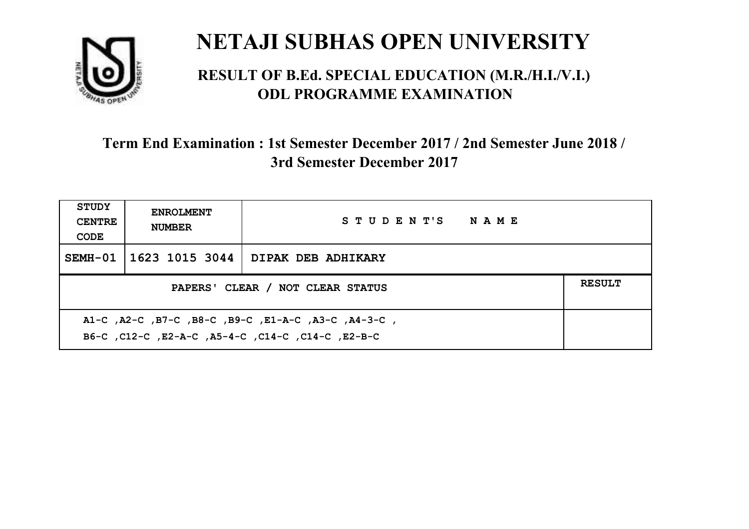

#### **RESULT OF B.Ed. SPECIAL EDUCATION (M.R./H.I./V.I.) ODL PROGRAMME EXAMINATION**

| <b>STUDY</b><br><b>CENTRE</b><br>CODE | <b>ENROLMENT</b><br><b>NUMBER</b>                                                                         | STUDENT'S NAME     |  |  |  |
|---------------------------------------|-----------------------------------------------------------------------------------------------------------|--------------------|--|--|--|
|                                       | SEMH-01   1623 1015 3044                                                                                  | DIPAK DEB ADHIKARY |  |  |  |
|                                       | <b>RESULT</b><br>PAPERS' CLEAR / NOT CLEAR STATUS                                                         |                    |  |  |  |
|                                       | A1-C, A2-C, B7-C, B8-C, B9-C, E1-A-C, A3-C, A4-3-C,<br>B6-C, C12-C, E2-A-C, A5-4-C, C14-C, C14-C, C12-B-C |                    |  |  |  |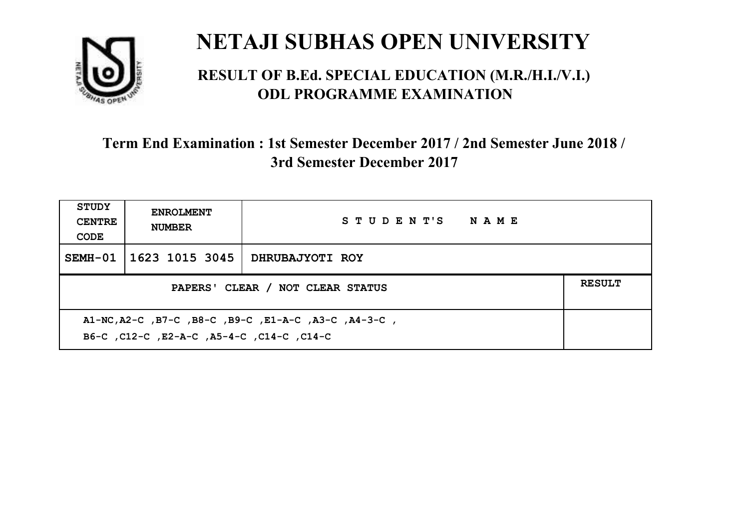

#### **RESULT OF B.Ed. SPECIAL EDUCATION (M.R./H.I./V.I.) ODL PROGRAMME EXAMINATION**

| <b>STUDY</b><br><b>CENTRE</b><br>CODE                                                              | <b>ENROLMENT</b><br><b>NUMBER</b>                 | STUDENT'S NAME  |  |  |  |
|----------------------------------------------------------------------------------------------------|---------------------------------------------------|-----------------|--|--|--|
|                                                                                                    | SEMH-01 1623 1015 3045                            | DHRUBAJYOTI ROY |  |  |  |
|                                                                                                    | <b>RESULT</b><br>PAPERS' CLEAR / NOT CLEAR STATUS |                 |  |  |  |
| A1-NC, A2-C, B7-C, B8-C, B9-C, E1-A-C, A3-C, A4-3-C,<br>C14-C, C12-C, E2-A-C, A5-4-C, C14-C, C14-C |                                                   |                 |  |  |  |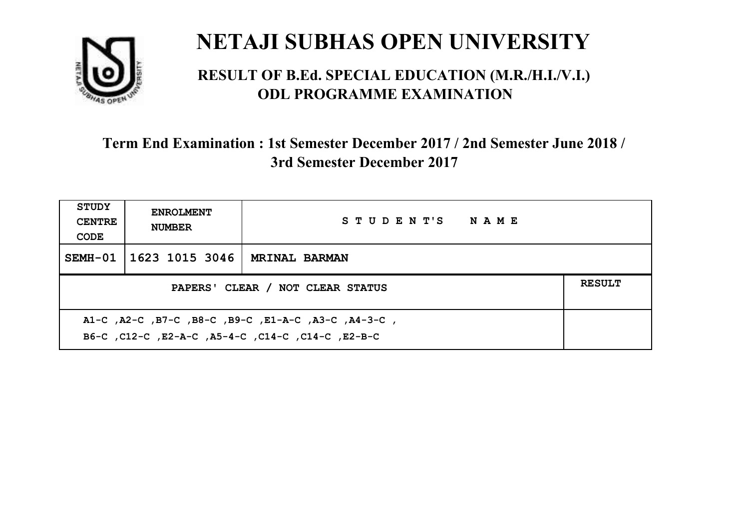

#### **RESULT OF B.Ed. SPECIAL EDUCATION (M.R./H.I./V.I.) ODL PROGRAMME EXAMINATION**

| <b>STUDY</b><br><b>CENTRE</b><br>CODE | <b>ENROLMENT</b><br><b>NUMBER</b>                                                                         | STUDENT'S NAME       |  |  |  |
|---------------------------------------|-----------------------------------------------------------------------------------------------------------|----------------------|--|--|--|
|                                       | SEMH-01   1623 1015 3046                                                                                  | <b>MRINAL BARMAN</b> |  |  |  |
|                                       | <b>RESULT</b><br>PAPERS' CLEAR / NOT CLEAR STATUS                                                         |                      |  |  |  |
|                                       | A1-C, A2-C, B7-C, B8-C, B9-C, E1-A-C, A3-C, A4-3-C,<br>B6-C, C12-C, E2-A-C, A5-4-C, C14-C, C14-C, C12-B-C |                      |  |  |  |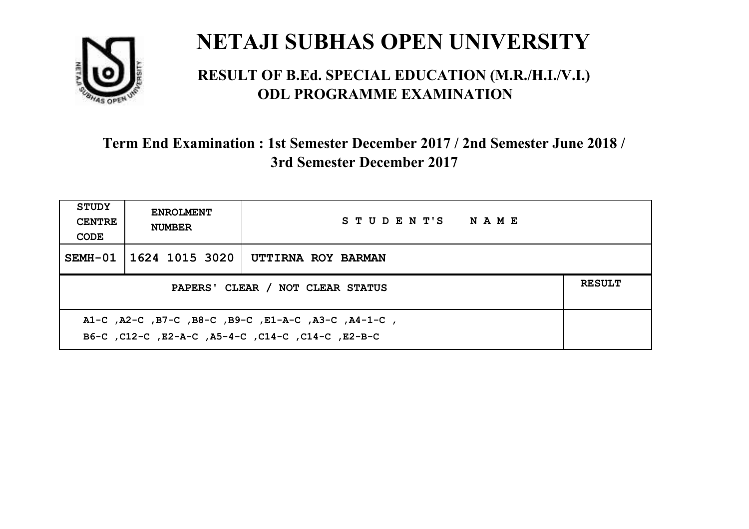

#### **RESULT OF B.Ed. SPECIAL EDUCATION (M.R./H.I./V.I.) ODL PROGRAMME EXAMINATION**

| STUDY<br><b>CENTRE</b><br>CODE | <b>ENROLMENT</b><br><b>NUMBER</b>                                                                         | STUDENT'S NAME     |  |  |  |
|--------------------------------|-----------------------------------------------------------------------------------------------------------|--------------------|--|--|--|
|                                | SEMH-01   1624 1015 3020                                                                                  | UTTIRNA ROY BARMAN |  |  |  |
|                                | <b>RESULT</b><br>PAPERS' CLEAR / NOT CLEAR STATUS                                                         |                    |  |  |  |
|                                | A1-C, A2-C, B7-C, B8-C, B9-C, E1-A-C, A3-C, A4-1-C,<br>B6-C, C12-C, E2-A-C, A5-4-C, C14-C, C14-C, C12-B-C |                    |  |  |  |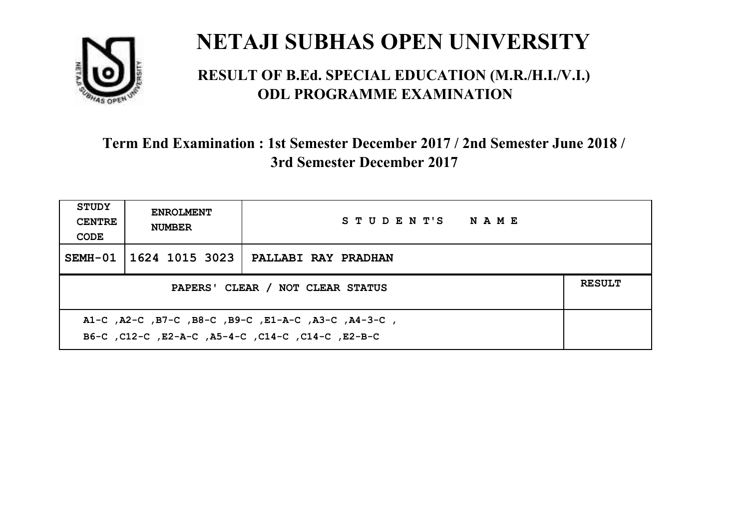

#### **RESULT OF B.Ed. SPECIAL EDUCATION (M.R./H.I./V.I.) ODL PROGRAMME EXAMINATION**

| <b>STUDY</b><br><b>CENTRE</b><br>CODE | <b>ENROLMENT</b><br><b>NUMBER</b>                                                                         | STUDENT'S NAME             |  |  |  |
|---------------------------------------|-----------------------------------------------------------------------------------------------------------|----------------------------|--|--|--|
|                                       | SEMH-01   1624 1015 3023                                                                                  | <b>PALLABI RAY PRADHAN</b> |  |  |  |
|                                       | <b>RESULT</b><br>PAPERS' CLEAR / NOT CLEAR STATUS                                                         |                            |  |  |  |
|                                       | A1-C, A2-C, B7-C, B8-C, B9-C, E1-A-C, A3-C, A4-3-C,<br>B6-C, C12-C, E2-A-C, A5-4-C, C14-C, C14-C, C12-B-C |                            |  |  |  |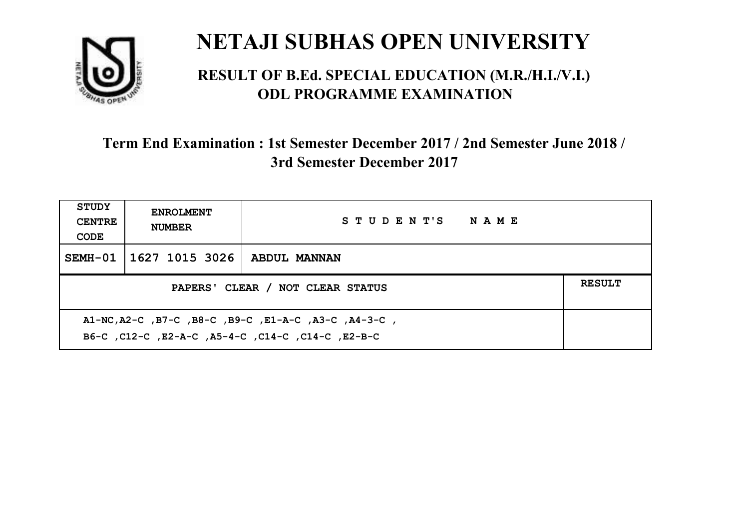

#### **RESULT OF B.Ed. SPECIAL EDUCATION (M.R./H.I./V.I.) ODL PROGRAMME EXAMINATION**

| <b>STUDY</b><br><b>CENTRE</b><br>CODE                                                                     | <b>ENROLMENT</b><br><b>NUMBER</b>                 | STUDENT'S NAME |  |  |  |
|-----------------------------------------------------------------------------------------------------------|---------------------------------------------------|----------------|--|--|--|
|                                                                                                           | SEMH-01   1627 1015 3026                          | ABDUL MANNAN   |  |  |  |
|                                                                                                           | <b>RESULT</b><br>PAPERS' CLEAR / NOT CLEAR STATUS |                |  |  |  |
| A1-NC, A2-C, B7-C, B8-C, B9-C, E1-A-C, A3-C, A4-3-C,<br>B6-C, C12-C, E2-A-C, A5-4-C, C14-C, C14-C, E2-B-C |                                                   |                |  |  |  |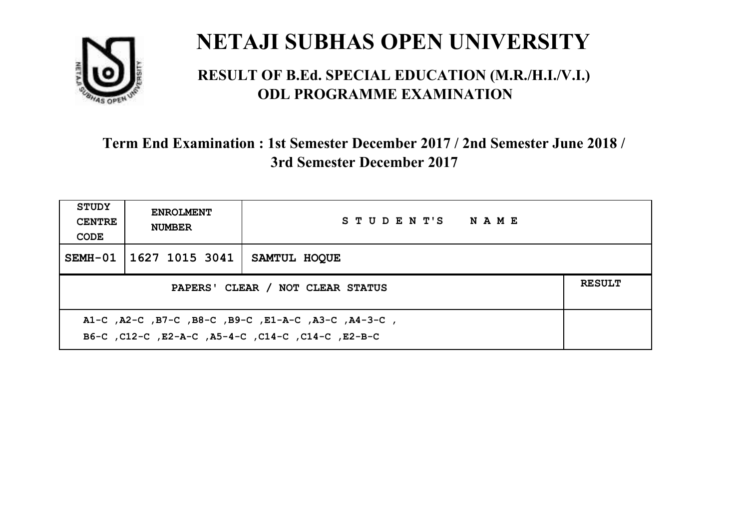

#### **RESULT OF B.Ed. SPECIAL EDUCATION (M.R./H.I./V.I.) ODL PROGRAMME EXAMINATION**

| <b>STUDY</b><br><b>CENTRE</b><br>CODE | <b>ENROLMENT</b><br><b>NUMBER</b>                                                                        | STUDENT'S NAME |  |  |  |
|---------------------------------------|----------------------------------------------------------------------------------------------------------|----------------|--|--|--|
|                                       | SEMH-01   1627 1015 3041                                                                                 | SAMTUL HOOUE   |  |  |  |
|                                       | <b>RESULT</b><br>PAPERS' CLEAR / NOT CLEAR STATUS                                                        |                |  |  |  |
|                                       | A1-C, A2-C, B7-C, B8-C, B9-C, E1-A-C, A3-C, A4-3-C,<br>B6-C, C12-C, E2-A-C, A5-4-C, C14-C, C14-C, E2-B-C |                |  |  |  |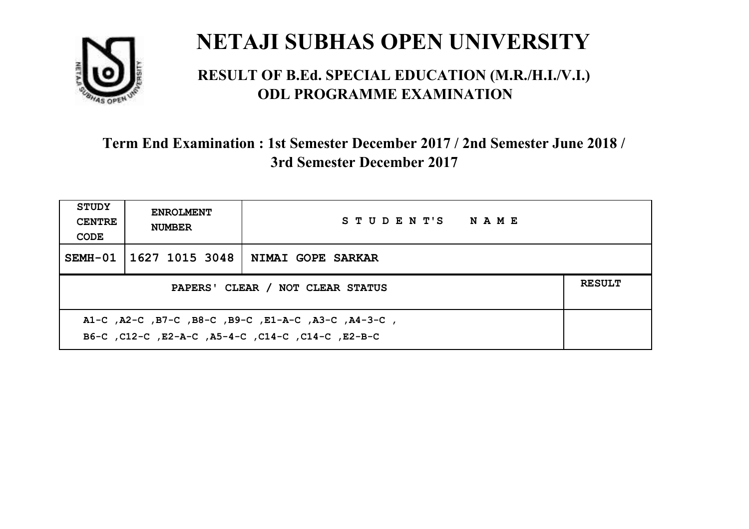

#### **RESULT OF B.Ed. SPECIAL EDUCATION (M.R./H.I./V.I.) ODL PROGRAMME EXAMINATION**

| <b>STUDY</b><br><b>CENTRE</b><br>CODE | <b>ENROLMENT</b><br><b>NUMBER</b>                                                                        | STUDENT'S NAME    |  |  |  |
|---------------------------------------|----------------------------------------------------------------------------------------------------------|-------------------|--|--|--|
|                                       | SEMH-01   1627 1015 3048                                                                                 | NIMAI GOPE SARKAR |  |  |  |
|                                       | <b>RESULT</b><br>PAPERS' CLEAR / NOT CLEAR STATUS                                                        |                   |  |  |  |
|                                       | A1-C, A2-C, B7-C, B8-C, B9-C, E1-A-C, A3-C, A4-3-C,<br>B6-C, C12-C, E2-A-C, A5-4-C, C14-C, C14-C, E2-B-C |                   |  |  |  |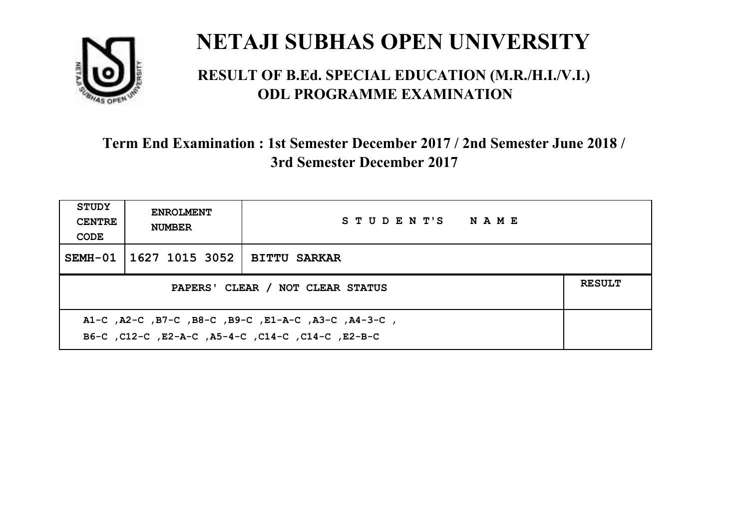

#### **RESULT OF B.Ed. SPECIAL EDUCATION (M.R./H.I./V.I.) ODL PROGRAMME EXAMINATION**

| STUDY<br><b>CENTRE</b><br>CODE                                                                            | <b>ENROLMENT</b><br><b>NUMBER</b>                 | STUDENT'S NAME      |  |  |  |
|-----------------------------------------------------------------------------------------------------------|---------------------------------------------------|---------------------|--|--|--|
|                                                                                                           | SEMH-01   1627 1015 3052                          | <b>BITTU SARKAR</b> |  |  |  |
|                                                                                                           | <b>RESULT</b><br>PAPERS' CLEAR / NOT CLEAR STATUS |                     |  |  |  |
| A1-C, A2-C, B7-C, B8-C, B9-C, E1-A-C, A3-C, A4-3-C,<br>B6-C, C12-C, E2-A-C, A5-4-C, C14-C, C14-C, C12-B-C |                                                   |                     |  |  |  |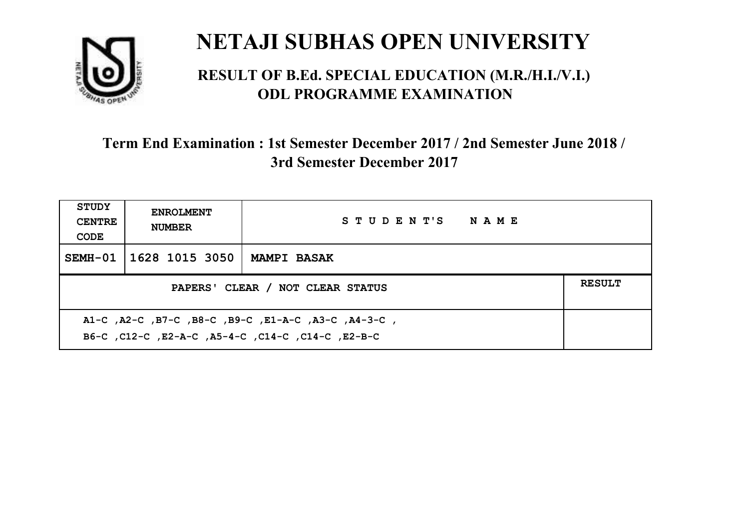

#### **RESULT OF B.Ed. SPECIAL EDUCATION (M.R./H.I./V.I.) ODL PROGRAMME EXAMINATION**

| STUDY<br><b>CENTRE</b><br>CODE | <b>ENROLMENT</b><br><b>NUMBER</b>                                                                         | STUDENT'S NAME     |  |  |  |
|--------------------------------|-----------------------------------------------------------------------------------------------------------|--------------------|--|--|--|
| SEMH-01                        | 1628 1015 3050                                                                                            | <b>MAMPI BASAK</b> |  |  |  |
|                                | <b>RESULT</b><br>PAPERS' CLEAR / NOT CLEAR STATUS                                                         |                    |  |  |  |
|                                | A1-C, A2-C, B7-C, B8-C, B9-C, E1-A-C, A3-C, A4-3-C,<br>B6-C, C12-C, E2-A-C, A5-4-C, C14-C, C14-C, C12-B-C |                    |  |  |  |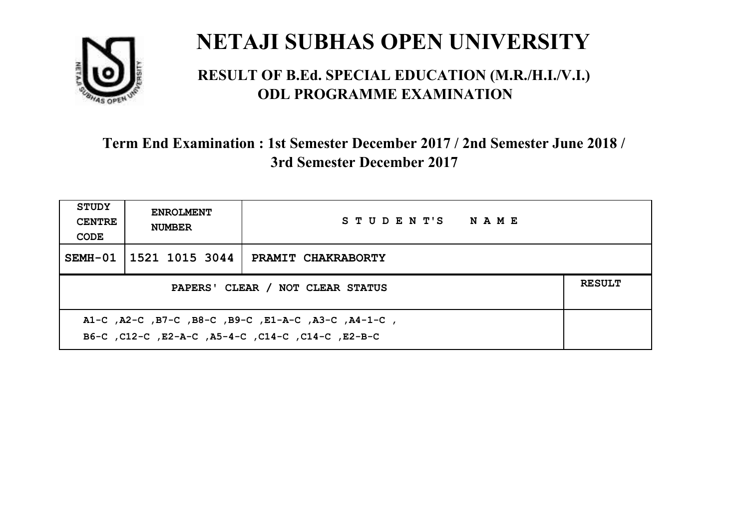

#### **RESULT OF B.Ed. SPECIAL EDUCATION (M.R./H.I./V.I.) ODL PROGRAMME EXAMINATION**

| <b>STUDY</b><br><b>CENTRE</b><br>CODE                                                                     | <b>ENROLMENT</b><br><b>NUMBER</b>                 | STUDENT'S NAME            |  |  |  |
|-----------------------------------------------------------------------------------------------------------|---------------------------------------------------|---------------------------|--|--|--|
|                                                                                                           | SEMH-01 1521 1015 3044                            | <b>PRAMIT CHAKRABORTY</b> |  |  |  |
|                                                                                                           | <b>RESULT</b><br>PAPERS' CLEAR / NOT CLEAR STATUS |                           |  |  |  |
| A1-C, A2-C, B7-C, B8-C, B9-C, E1-A-C, A3-C, A4-1-C,<br>B6-C, C12-C, E2-A-C, A5-4-C, C14-C, C14-C, C12-B-C |                                                   |                           |  |  |  |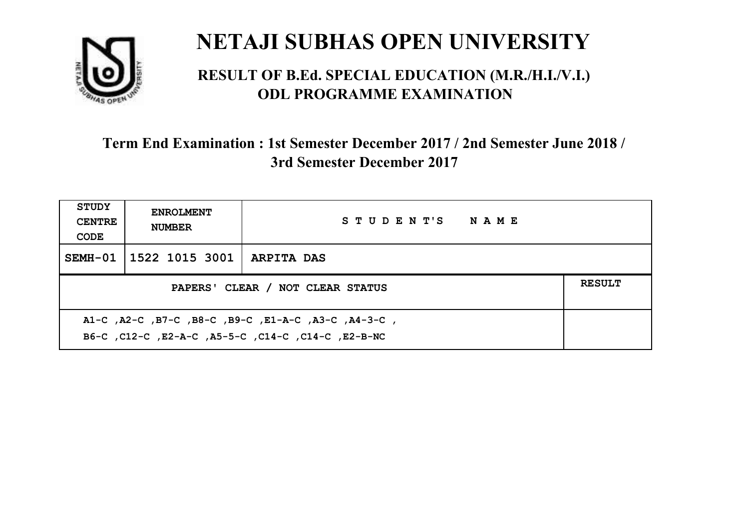

#### **RESULT OF B.Ed. SPECIAL EDUCATION (M.R./H.I./V.I.) ODL PROGRAMME EXAMINATION**

| <b>STUDY</b><br><b>CENTRE</b><br>CODE                                                                     | <b>ENROLMENT</b><br><b>NUMBER</b>     | STUDENT'S NAME |  |  |
|-----------------------------------------------------------------------------------------------------------|---------------------------------------|----------------|--|--|
|                                                                                                           | SEMH-01   1522 1015 3001   ARPITA DAS |                |  |  |
| <b>RESULT</b><br>PAPERS' CLEAR / NOT CLEAR STATUS                                                         |                                       |                |  |  |
| A1-C, A2-C, B7-C, B8-C, B9-C, E1-A-C, A3-C, A4-3-C,<br>B6-C, C12-C, E2-A-C, A5-5-C, C14-C, C14-C, E2-B-NC |                                       |                |  |  |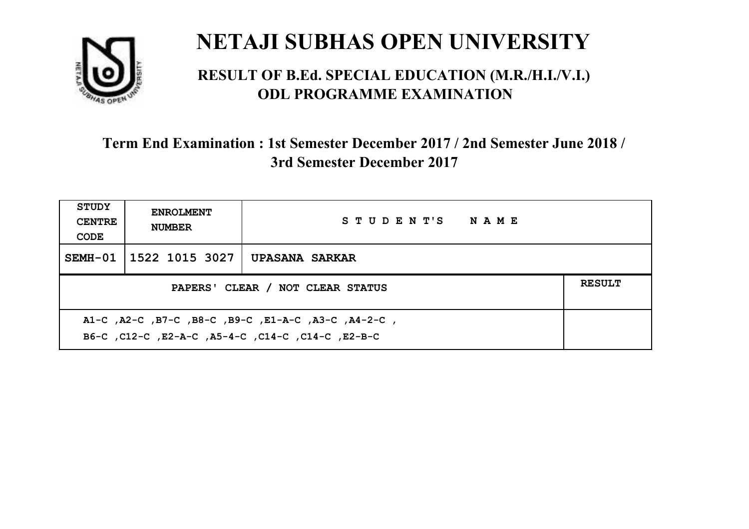

#### **RESULT OF B.Ed. SPECIAL EDUCATION (M.R./H.I./V.I.) ODL PROGRAMME EXAMINATION**

| <b>STUDY</b><br><b>CENTRE</b><br>CODE                                                                    | <b>ENROLMENT</b><br><b>NUMBER</b> | STUDENT'S NAME |  |  |
|----------------------------------------------------------------------------------------------------------|-----------------------------------|----------------|--|--|
|                                                                                                          | SEMH-01   1522 1015 3027          | UPASANA SARKAR |  |  |
| <b>RESULT</b><br>PAPERS' CLEAR / NOT CLEAR STATUS                                                        |                                   |                |  |  |
| A1-C, A2-C, B7-C, B8-C, B9-C, E1-A-C, A3-C, A4-2-C,<br>B6-C, C12-C, E2-A-C, A5-4-C, C14-C, C14-C, E2-B-C |                                   |                |  |  |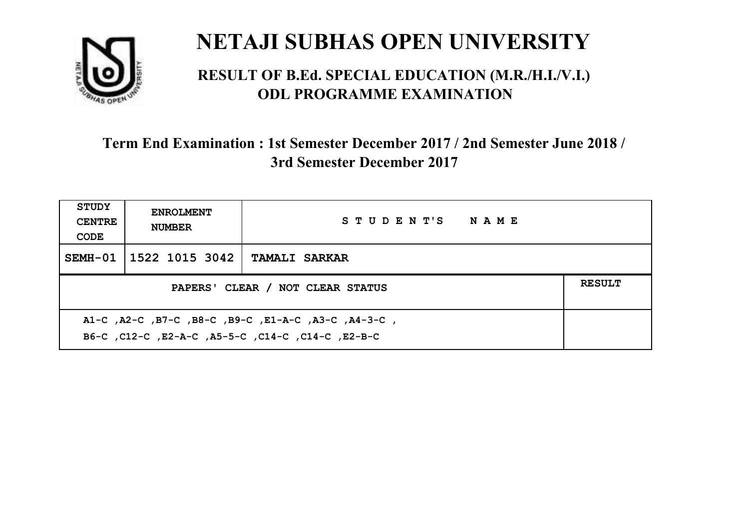

#### **RESULT OF B.Ed. SPECIAL EDUCATION (M.R./H.I./V.I.) ODL PROGRAMME EXAMINATION**

| <b>STUDY</b><br><b>CENTRE</b><br>CODE                                                                       | <b>ENROLMENT</b><br><b>NUMBER</b>                 | STUDENT'S NAME       |  |  |  |
|-------------------------------------------------------------------------------------------------------------|---------------------------------------------------|----------------------|--|--|--|
|                                                                                                             | SEMH-01 1522 1015 3042                            | <b>TAMALI SARKAR</b> |  |  |  |
|                                                                                                             | <b>RESULT</b><br>PAPERS' CLEAR / NOT CLEAR STATUS |                      |  |  |  |
| , A1-C, A2-C, B7-C, B8-C, B9-C, E1-A-C, A3-C, A4-3-C,<br>B6-C, C12-C, E2-A-C, A5-5-C, C14-C, C14-C, C12-B-C |                                                   |                      |  |  |  |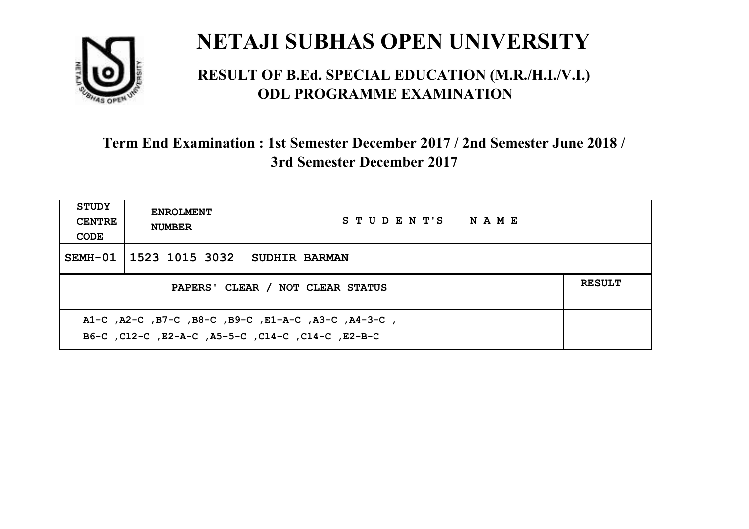

#### **RESULT OF B.Ed. SPECIAL EDUCATION (M.R./H.I./V.I.) ODL PROGRAMME EXAMINATION**

| STUDY<br><b>CENTRE</b><br>CODE                                                                           | <b>ENROLMENT</b><br><b>NUMBER</b> | STUDENT'S NAME       |  |  |
|----------------------------------------------------------------------------------------------------------|-----------------------------------|----------------------|--|--|
|                                                                                                          | SEMH-01   1523 1015 3032          | <b>SUDHIR BARMAN</b> |  |  |
| PAPERS' CLEAR / NOT CLEAR STATUS                                                                         |                                   |                      |  |  |
| A1-C, A2-C, B7-C, B8-C, B9-C, E1-A-C, A3-C, A4-3-C,<br>B6-C, C12-C, E2-A-C, A5-5-C, C14-C, C14-C, E2-B-C |                                   |                      |  |  |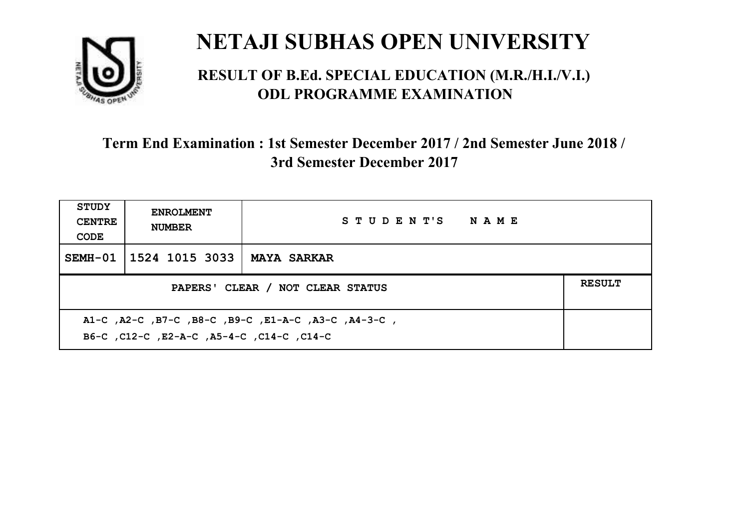

#### **RESULT OF B.Ed. SPECIAL EDUCATION (M.R./H.I./V.I.) ODL PROGRAMME EXAMINATION**

| STUDY<br><b>CENTRE</b><br>CODE                                                                   | <b>ENROLMENT</b><br><b>NUMBER</b>                 | STUDENT'S NAME |  |  |  |
|--------------------------------------------------------------------------------------------------|---------------------------------------------------|----------------|--|--|--|
|                                                                                                  | SEMH-01   1524 1015 3033                          | MAYA SARKAR    |  |  |  |
|                                                                                                  | <b>RESULT</b><br>PAPERS' CLEAR / NOT CLEAR STATUS |                |  |  |  |
| A1-C, A2-C, B7-C, B8-C, B9-C, E1-A-C, A3-C, A4-3-C,<br>B6-C, C12-C, E2-A-C, A5-4-C, C14-C, C14-C |                                                   |                |  |  |  |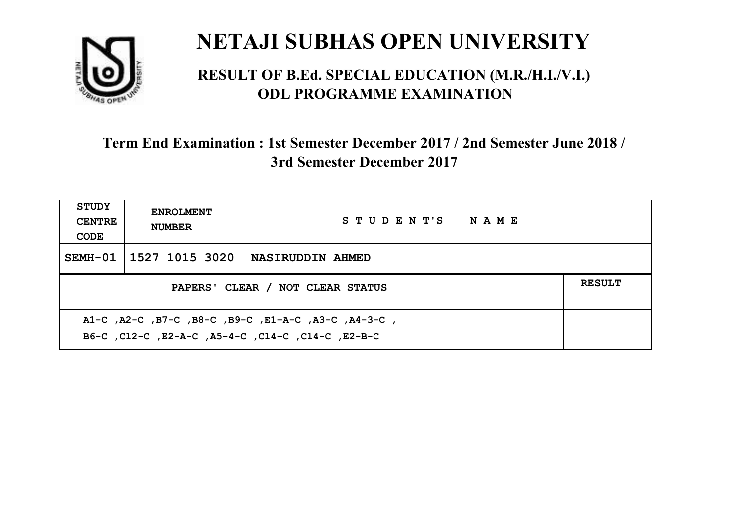

#### **RESULT OF B.Ed. SPECIAL EDUCATION (M.R./H.I./V.I.) ODL PROGRAMME EXAMINATION**

| <b>STUDY</b><br><b>CENTRE</b><br>CODE                                                                    | <b>ENROLMENT</b><br><b>NUMBER</b> | STUDENT'S NAME   |  |  |
|----------------------------------------------------------------------------------------------------------|-----------------------------------|------------------|--|--|
|                                                                                                          | SEMH-01   1527 1015 3020          | NASIRUDDIN AHMED |  |  |
| <b>RESULT</b><br>PAPERS' CLEAR / NOT CLEAR STATUS                                                        |                                   |                  |  |  |
| A1-C, A2-C, B7-C, B8-C, B9-C, E1-A-C, A3-C, A4-3-C,<br>B6-C, C12-C, E2-A-C, A5-4-C, C14-C, C14-C, E2-B-C |                                   |                  |  |  |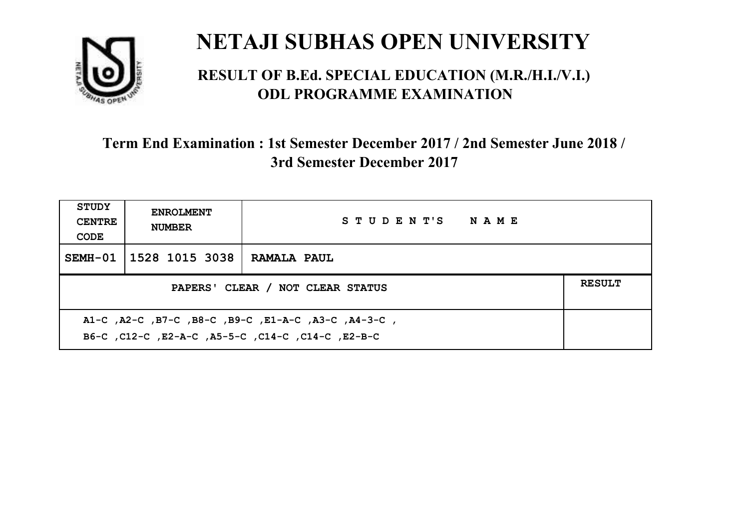

#### **RESULT OF B.Ed. SPECIAL EDUCATION (M.R./H.I./V.I.) ODL PROGRAMME EXAMINATION**

| <b>STUDY</b><br><b>CENTRE</b><br>CODE                                                                    | <b>ENROLMENT</b><br><b>NUMBER</b>                 | STUDENT'S NAME     |  |  |  |
|----------------------------------------------------------------------------------------------------------|---------------------------------------------------|--------------------|--|--|--|
|                                                                                                          | SEMH-01   1528 1015 3038                          | <b>RAMALA PAUL</b> |  |  |  |
|                                                                                                          | <b>RESULT</b><br>PAPERS' CLEAR / NOT CLEAR STATUS |                    |  |  |  |
| A1-C, A2-C, B7-C, B8-C, B9-C, E1-A-C, A3-C, A4-3-C,<br>B6-C, C12-C, E2-A-C, A5-5-C, C14-C, C14-C, E2-B-C |                                                   |                    |  |  |  |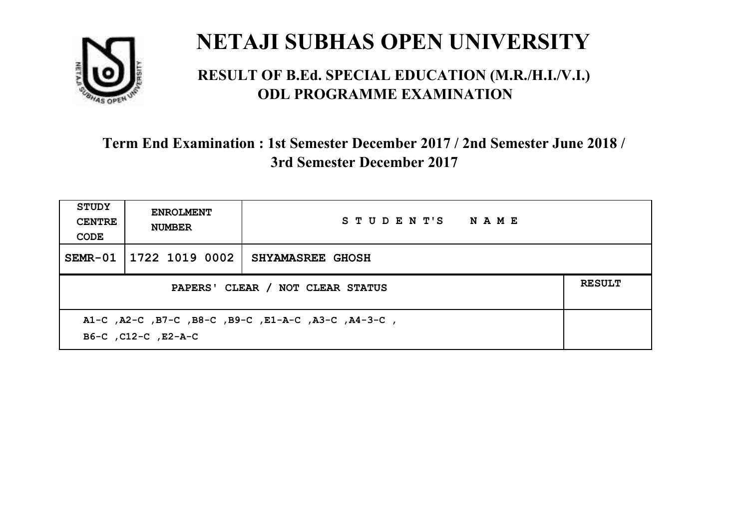

#### **RESULT OF B.Ed. SPECIAL EDUCATION (M.R./H.I./V.I.) ODL PROGRAMME EXAMINATION**

| <b>STUDY</b><br><b>CENTRE</b><br>CODE                                      | <b>ENROLMENT</b><br><b>NUMBER</b> | STUDENT'S NAME          |  |  |
|----------------------------------------------------------------------------|-----------------------------------|-------------------------|--|--|
| SEMR-01                                                                    | 1722 1019 0002                    | <b>SHYAMASREE GHOSH</b> |  |  |
| <b>RESULT</b><br>PAPERS' CLEAR / NOT CLEAR STATUS                          |                                   |                         |  |  |
| A1-C, A2-C, B7-C, B8-C, B9-C, E1-A-C, A3-C, A4-3-C,<br>B6-C, C12-C, E2-A-C |                                   |                         |  |  |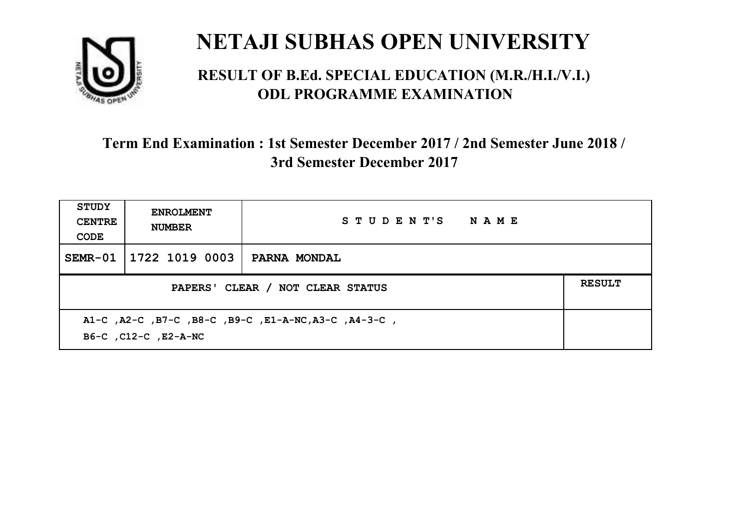

#### **RESULT OF B.Ed. SPECIAL EDUCATION (M.R./H.I./V.I.) ODL PROGRAMME EXAMINATION**

| <b>STUDY</b><br><b>CENTRE</b><br>CODE | <b>ENROLMENT</b><br><b>NUMBER</b>                                            | STUDENT'S NAME |  |  |  |
|---------------------------------------|------------------------------------------------------------------------------|----------------|--|--|--|
| SEMR-01                               | 1722 1019 0003                                                               | PARNA MONDAL   |  |  |  |
|                                       | <b>RESULT</b><br>PAPERS' CLEAR / NOT CLEAR STATUS                            |                |  |  |  |
|                                       | A1-C, A2-C, B7-C, B8-C, B9-C, E1-A-NC, A3-C, A4-3-C,<br>B6-C, C12-C, E2-A-NC |                |  |  |  |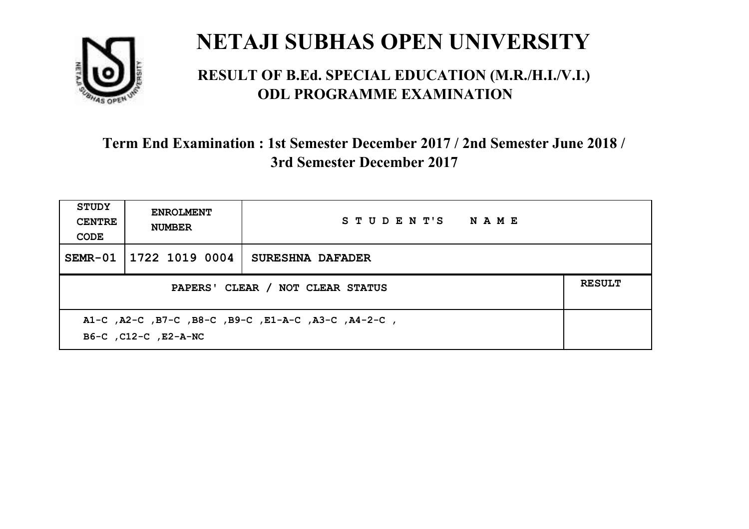

#### **RESULT OF B.Ed. SPECIAL EDUCATION (M.R./H.I./V.I.) ODL PROGRAMME EXAMINATION**

| <b>STUDY</b><br><b>CENTRE</b><br>CODE                                       | <b>ENROLMENT</b><br><b>NUMBER</b> | STUDENT'S NAME   |  |
|-----------------------------------------------------------------------------|-----------------------------------|------------------|--|
|                                                                             | SEMR-01 1722 1019 0004            | SURESHNA DAFADER |  |
| PAPERS' CLEAR / NOT CLEAR STATUS                                            |                                   |                  |  |
| A1-C, A2-C, B7-C, B8-C, B9-C, E1-A-C, A3-C, A4-2-C,<br>B6-C, C12-C, E2-A-NC |                                   |                  |  |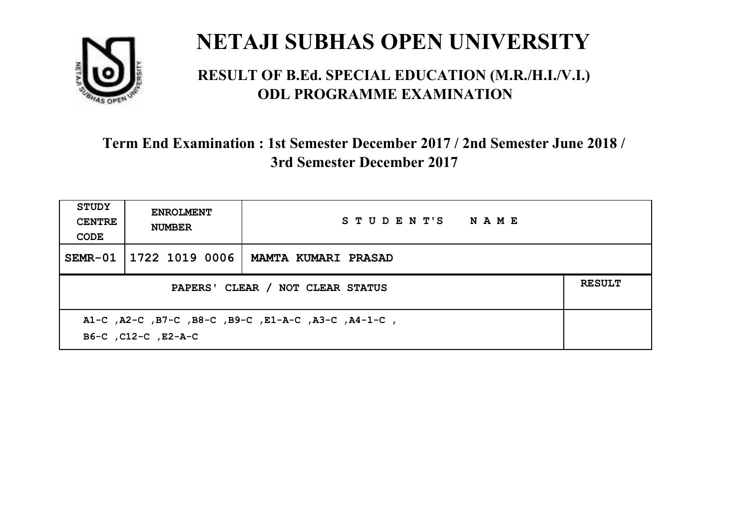

#### **RESULT OF B.Ed. SPECIAL EDUCATION (M.R./H.I./V.I.) ODL PROGRAMME EXAMINATION**

| <b>STUDY</b><br><b>CENTRE</b><br>CODE                                      | <b>ENROLMENT</b><br><b>NUMBER</b> | STUDENT'S NAME      |  |
|----------------------------------------------------------------------------|-----------------------------------|---------------------|--|
|                                                                            | SEMR-01 1722 1019 0006            | MAMTA KUMARI PRASAD |  |
| <b>RESULT</b><br>PAPERS' CLEAR / NOT CLEAR STATUS                          |                                   |                     |  |
| A1-C, A2-C, B7-C, B8-C, B9-C, E1-A-C, A3-C, A4-1-C,<br>B6-C, C12-C, E2-A-C |                                   |                     |  |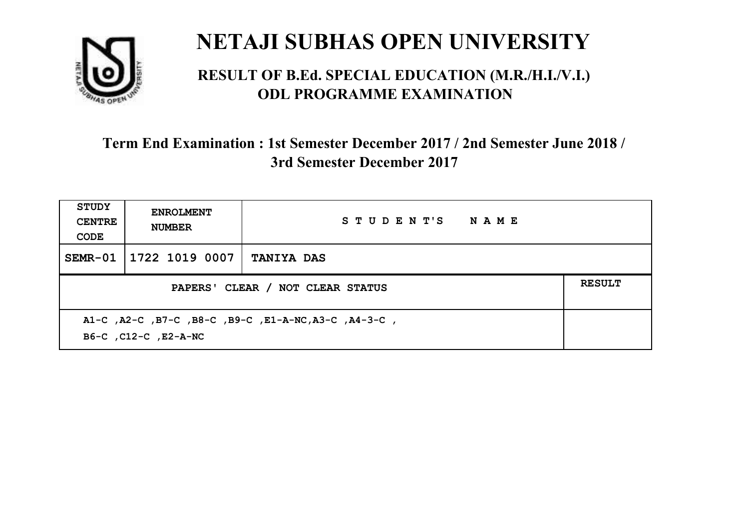

#### **RESULT OF B.Ed. SPECIAL EDUCATION (M.R./H.I./V.I.) ODL PROGRAMME EXAMINATION**

| <b>STUDY</b><br><b>CENTRE</b><br>CODE                                        | <b>ENROLMENT</b><br><b>NUMBER</b> | STUDENT'S NAME    |  |
|------------------------------------------------------------------------------|-----------------------------------|-------------------|--|
| SEMR-01                                                                      | 1722 1019 0007                    | <b>TANIYA DAS</b> |  |
| <b>RESULT</b><br>PAPERS' CLEAR / NOT CLEAR STATUS                            |                                   |                   |  |
| A1-C, A2-C, B7-C, B8-C, B9-C, E1-A-NC, A3-C, A4-3-C,<br>B6-C, C12-C, E2-A-NC |                                   |                   |  |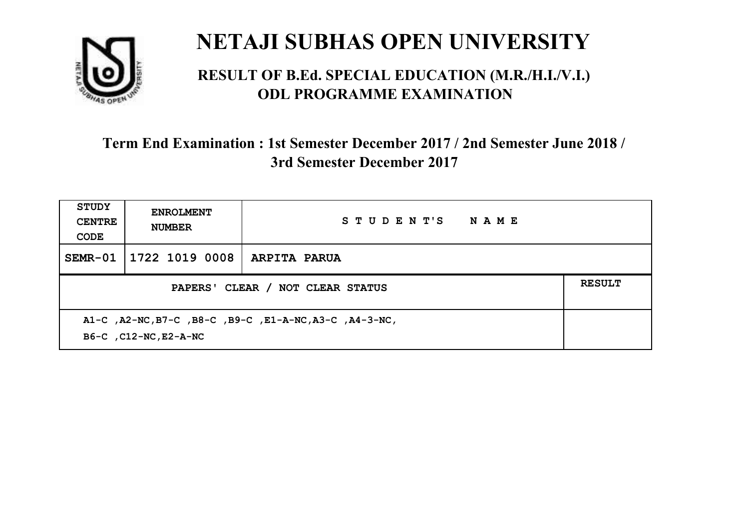

#### **RESULT OF B.Ed. SPECIAL EDUCATION (M.R./H.I./V.I.) ODL PROGRAMME EXAMINATION**

| <b>STUDY</b><br><b>CENTRE</b><br>CODE                                            | <b>ENROLMENT</b><br><b>NUMBER</b> | STUDENT'S<br><b>NAME</b> |  |
|----------------------------------------------------------------------------------|-----------------------------------|--------------------------|--|
| $SEMR-01$                                                                        | 1722 1019 0008                    | <b>ARPITA PARUA</b>      |  |
| <b>RESULT</b><br>PAPERS' CLEAR / NOT CLEAR STATUS                                |                                   |                          |  |
| A1-C, A2-NC, B7-C, B8-C, B9-C, E1-A-NC, A3-C, A4-3-NC,<br>B6-C , C12-NC, E2-A-NC |                                   |                          |  |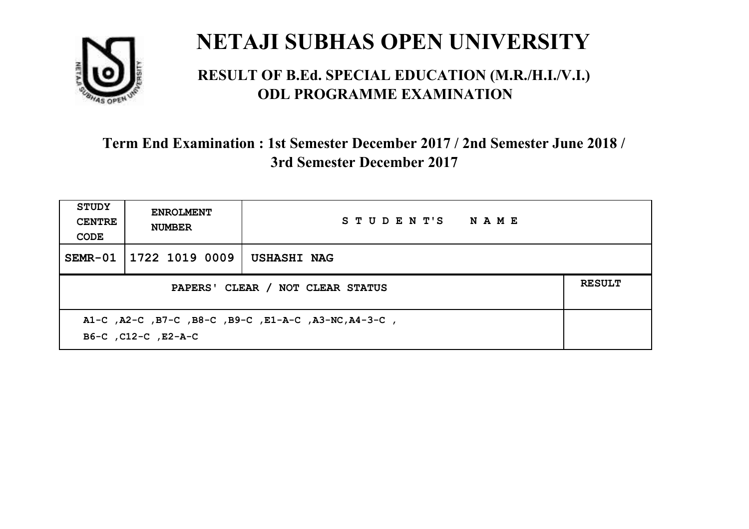

#### **RESULT OF B.Ed. SPECIAL EDUCATION (M.R./H.I./V.I.) ODL PROGRAMME EXAMINATION**

| <b>STUDY</b><br><b>CENTRE</b><br>CODE                                       | <b>ENROLMENT</b><br><b>NUMBER</b>                 | STUDENT'S NAME |  |  |  |
|-----------------------------------------------------------------------------|---------------------------------------------------|----------------|--|--|--|
| SEMR-01                                                                     | 1722 1019 0009                                    | USHASHI NAG    |  |  |  |
|                                                                             | <b>RESULT</b><br>PAPERS' CLEAR / NOT CLEAR STATUS |                |  |  |  |
| A1-C, A2-C, B7-C, B8-C, B9-C, E1-A-C, A3-NC, A4-3-C,<br>B6-C, C12-C, E2-A-C |                                                   |                |  |  |  |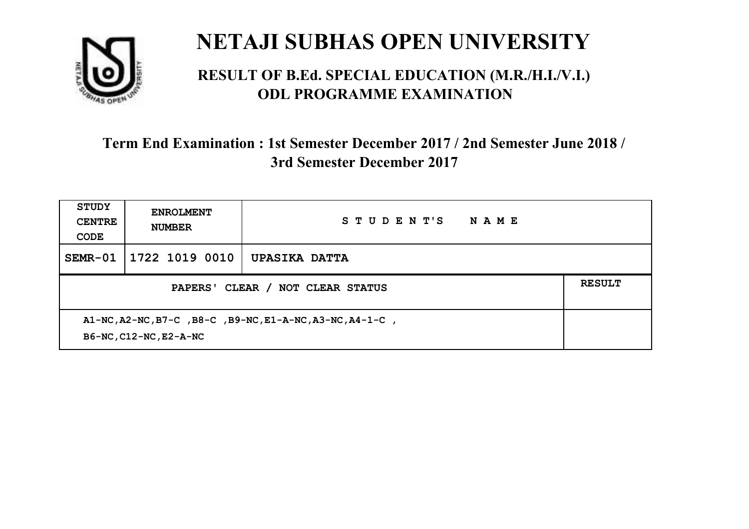

#### **RESULT OF B.Ed. SPECIAL EDUCATION (M.R./H.I./V.I.) ODL PROGRAMME EXAMINATION**

| STUDY<br><b>CENTRE</b><br>CODE                                                                             | <b>ENROLMENT</b><br><b>NUMBER</b> | STUDENT'S<br>NAME    |  |
|------------------------------------------------------------------------------------------------------------|-----------------------------------|----------------------|--|
| $SEMR-01$                                                                                                  | 1722 1019 0010                    | <b>UPASIKA DATTA</b> |  |
| PAPERS' CLEAR /<br><b>NOT CLEAR STATUS</b>                                                                 |                                   |                      |  |
| $A1-NC$ , $A2-NC$ , $B7-C$ , $B8-C$ , $B9-NC$ , $E1-A-NC$ , $A3-NC$ , $A4-1-C$ ,<br>B6-NC, C12-NC, E2-A-NC |                                   |                      |  |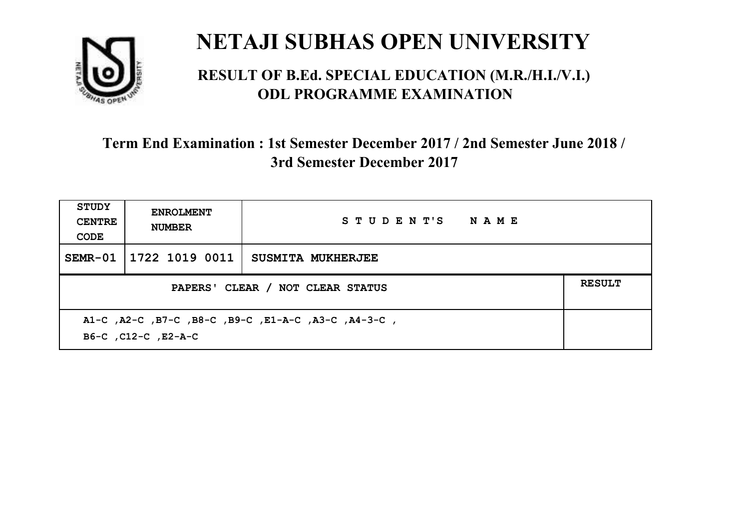

#### **RESULT OF B.Ed. SPECIAL EDUCATION (M.R./H.I./V.I.) ODL PROGRAMME EXAMINATION**

| <b>STUDY</b><br><b>CENTRE</b><br>CODE                                      | <b>ENROLMENT</b><br><b>NUMBER</b> | STUDENT'S NAME    |  |  |
|----------------------------------------------------------------------------|-----------------------------------|-------------------|--|--|
|                                                                            | SEMR-01   1722 1019 0011          | SUSMITA MUKHERJEE |  |  |
| <b>RESULT</b><br>PAPERS' CLEAR / NOT CLEAR STATUS                          |                                   |                   |  |  |
| A1-C, A2-C, B7-C, B8-C, B9-C, E1-A-C, A3-C, A4-3-C,<br>B6-C, C12-C, E2-A-C |                                   |                   |  |  |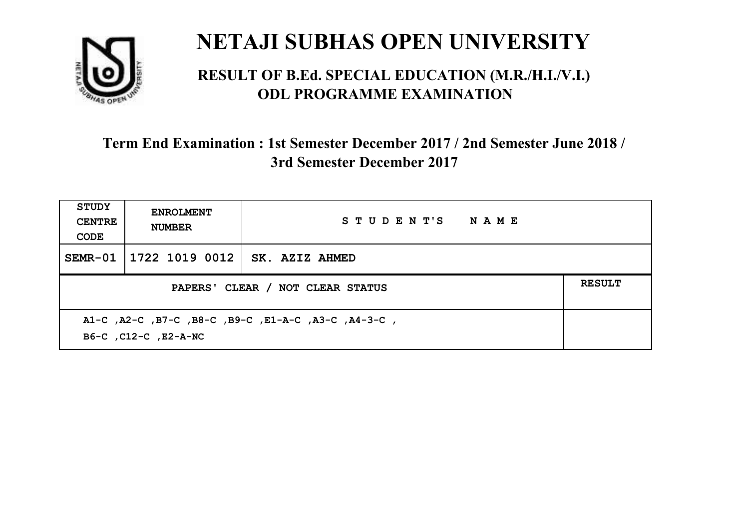

#### **RESULT OF B.Ed. SPECIAL EDUCATION (M.R./H.I./V.I.) ODL PROGRAMME EXAMINATION**

| <b>STUDY</b><br><b>CENTRE</b><br>CODE                                       | <b>ENROLMENT</b><br><b>NUMBER</b> | STUDENT'S NAME        |  |
|-----------------------------------------------------------------------------|-----------------------------------|-----------------------|--|
|                                                                             | SEMR-01   1722 1019 0012          | <b>SK. AZIZ AHMED</b> |  |
| PAPERS' CLEAR / NOT CLEAR STATUS                                            |                                   |                       |  |
| A1-C, A2-C, B7-C, B8-C, B9-C, E1-A-C, A3-C, A4-3-C,<br>B6-C, C12-C, E2-A-NC |                                   |                       |  |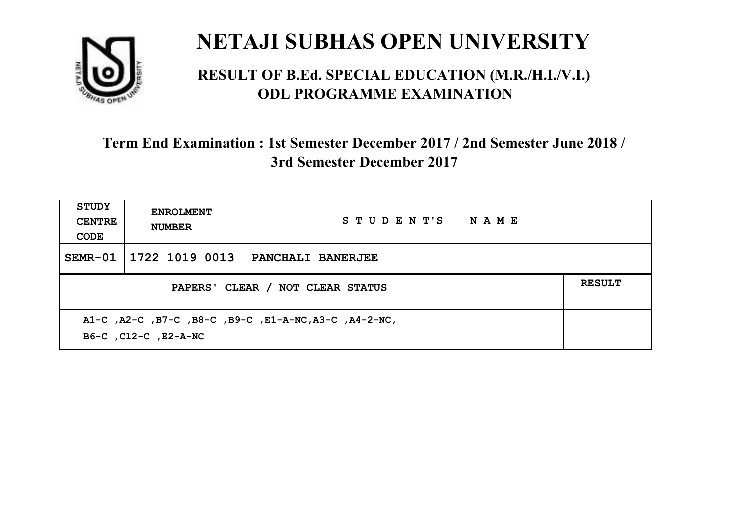

#### **RESULT OF B.Ed. SPECIAL EDUCATION (M.R./H.I./V.I.) ODL PROGRAMME EXAMINATION**

| <b>STUDY</b><br><b>CENTRE</b><br>CODE                                         | <b>ENROLMENT</b><br><b>NUMBER</b> | STUDENT'S NAME    |  |
|-------------------------------------------------------------------------------|-----------------------------------|-------------------|--|
| SEMR-01                                                                       | 1722 1019 0013                    | PANCHALI BANERJEE |  |
| PAPERS' CLEAR / NOT CLEAR STATUS                                              |                                   |                   |  |
| A1-C, A2-C, B7-C, B8-C, B9-C, E1-A-NC, A3-C, A4-2-NC,<br>B6-C, C12-C, E2-A-NC |                                   |                   |  |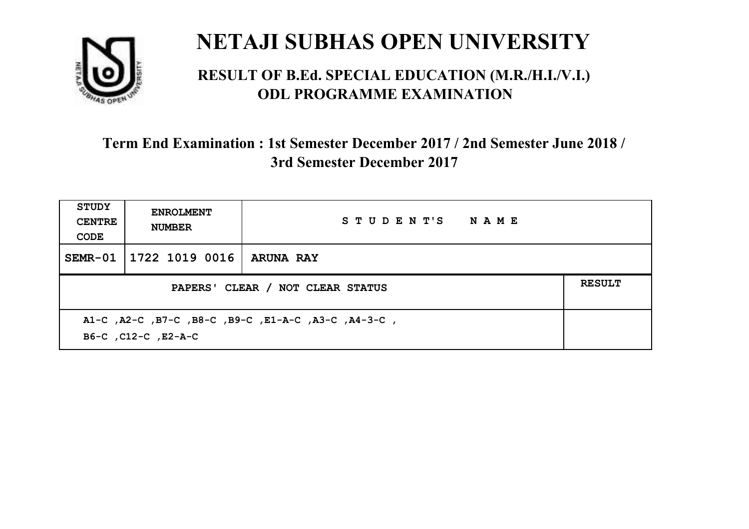

#### **RESULT OF B.Ed. SPECIAL EDUCATION (M.R./H.I./V.I.) ODL PROGRAMME EXAMINATION**

| <b>STUDY</b><br><b>CENTRE</b><br>CODE                                      | <b>ENROLMENT</b><br><b>NUMBER</b> | STUDENT'S NAME   |  |
|----------------------------------------------------------------------------|-----------------------------------|------------------|--|
| SEMR-01                                                                    | 1722 1019 0016                    | <b>ARUNA RAY</b> |  |
| <b>RESULT</b><br>PAPERS' CLEAR / NOT CLEAR STATUS                          |                                   |                  |  |
| A1-C, A2-C, B7-C, B8-C, B9-C, E1-A-C, A3-C, A4-3-C,<br>B6-C, C12-C, E2-A-C |                                   |                  |  |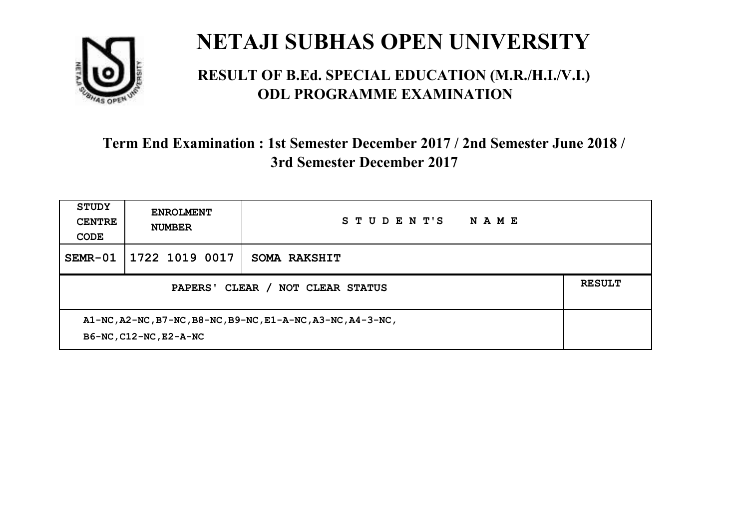

#### **RESULT OF B.Ed. SPECIAL EDUCATION (M.R./H.I./V.I.) ODL PROGRAMME EXAMINATION**

| <b>STUDY</b><br><b>CENTRE</b><br>CODE                                                 | <b>ENROLMENT</b><br><b>NUMBER</b> | STUDENT'S<br>NAME   |  |
|---------------------------------------------------------------------------------------|-----------------------------------|---------------------|--|
| SEMR-01                                                                               | 1722 1019 0017                    | <b>SOMA RAKSHIT</b> |  |
| CLEAR /<br>NOT CLEAR STATUS<br>PAPERS'                                                |                                   |                     |  |
| A1-NC, A2-NC, B7-NC, B8-NC, B9-NC, E1-A-NC, A3-NC, A4-3-NC,<br>B6-NC, C12-NC, E2-A-NC |                                   |                     |  |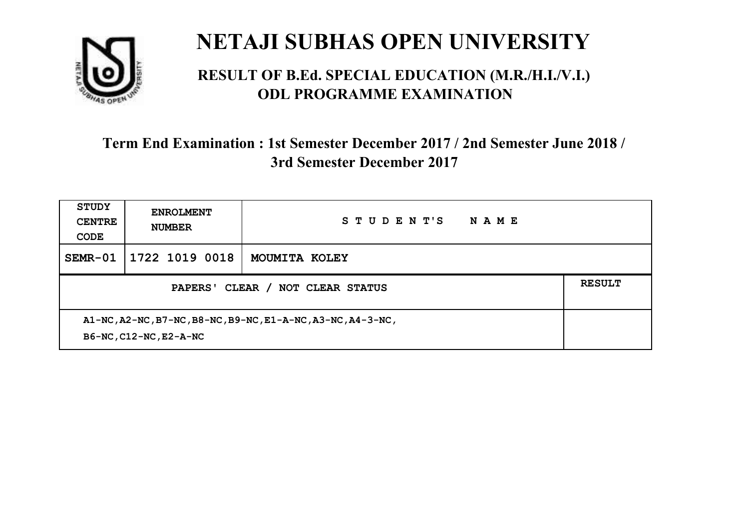

#### **RESULT OF B.Ed. SPECIAL EDUCATION (M.R./H.I./V.I.) ODL PROGRAMME EXAMINATION**

| <b>STUDY</b><br><b>CENTRE</b><br>CODE                                                 | <b>ENROLMENT</b><br><b>NUMBER</b> | STUDENT'S<br>NAME |  |
|---------------------------------------------------------------------------------------|-----------------------------------|-------------------|--|
| $SEMR-01$                                                                             | 1722 1019 0018                    | MOUMITA KOLEY     |  |
|                                                                                       | <b>RESULT</b>                     |                   |  |
| A1-NC, A2-NC, B7-NC, B8-NC, B9-NC, E1-A-NC, A3-NC, A4-3-NC,<br>B6-NC, C12-NC, E2-A-NC |                                   |                   |  |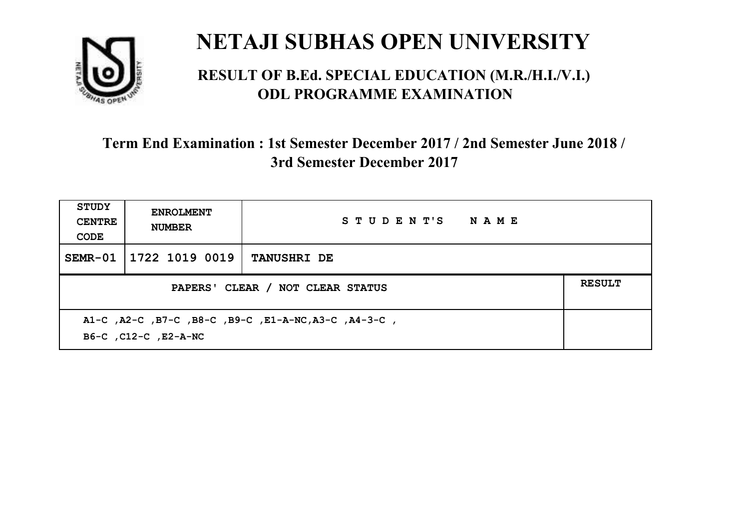

#### **RESULT OF B.Ed. SPECIAL EDUCATION (M.R./H.I./V.I.) ODL PROGRAMME EXAMINATION**

| <b>STUDY</b><br><b>CENTRE</b><br>CODE | <b>ENROLMENT</b><br><b>NUMBER</b>                                            | STUDENT'S NAME     |  |  |  |
|---------------------------------------|------------------------------------------------------------------------------|--------------------|--|--|--|
| SEMR-01                               | 1722 1019 0019                                                               | <b>TANUSHRI DE</b> |  |  |  |
|                                       | <b>RESULT</b><br>PAPERS' CLEAR / NOT CLEAR STATUS                            |                    |  |  |  |
|                                       | A1-C, A2-C, B7-C, B8-C, B9-C, E1-A-NC, A3-C, A4-3-C,<br>B6-C, C12-C, E2-A-NC |                    |  |  |  |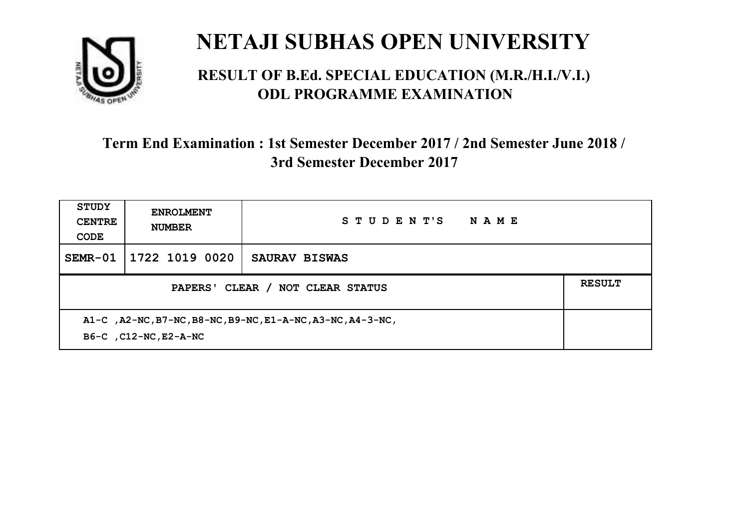

#### **RESULT OF B.Ed. SPECIAL EDUCATION (M.R./H.I./V.I.) ODL PROGRAMME EXAMINATION**

| <b>STUDY</b><br><b>CENTRE</b><br>CODE                                                | <b>ENROLMENT</b><br><b>NUMBER</b> | STUDENT'S<br><b>NAME</b> |  |  |
|--------------------------------------------------------------------------------------|-----------------------------------|--------------------------|--|--|
| $SEMR-01$                                                                            | 1722 1019 0020                    | SAURAV BISWAS            |  |  |
| PAPERS' CLEAR / NOT CLEAR STATUS                                                     |                                   |                          |  |  |
| A1-C, A2-NC, B7-NC, B8-NC, B9-NC, E1-A-NC, A3-NC, A4-3-NC,<br>B6-C , C12-NC, E2-A-NC |                                   |                          |  |  |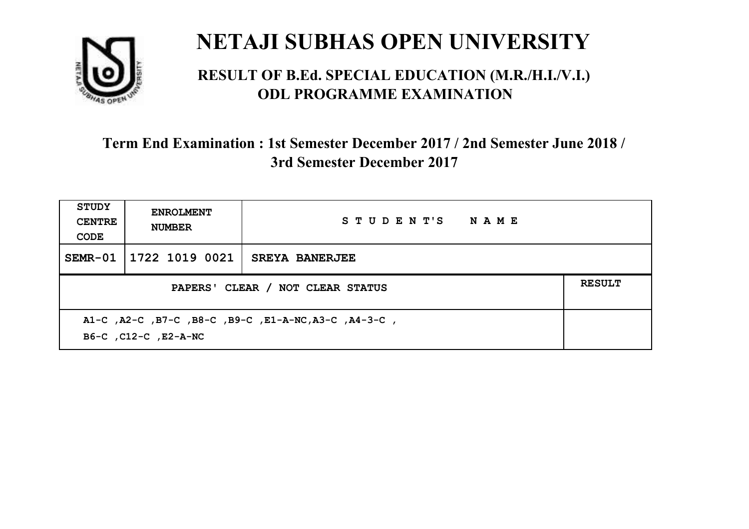

#### **RESULT OF B.Ed. SPECIAL EDUCATION (M.R./H.I./V.I.) ODL PROGRAMME EXAMINATION**

| <b>STUDY</b><br><b>CENTRE</b><br>CODE                                        | <b>ENROLMENT</b><br><b>NUMBER</b> | STUDENT'S NAME        |  |  |
|------------------------------------------------------------------------------|-----------------------------------|-----------------------|--|--|
| SEMR-01                                                                      | 1722 1019 0021                    | <b>SREYA BANERJEE</b> |  |  |
| PAPERS' CLEAR / NOT CLEAR STATUS                                             |                                   |                       |  |  |
| A1-C, A2-C, B7-C, B8-C, B9-C, E1-A-NC, A3-C, A4-3-C,<br>B6-C, C12-C, E2-A-NC |                                   |                       |  |  |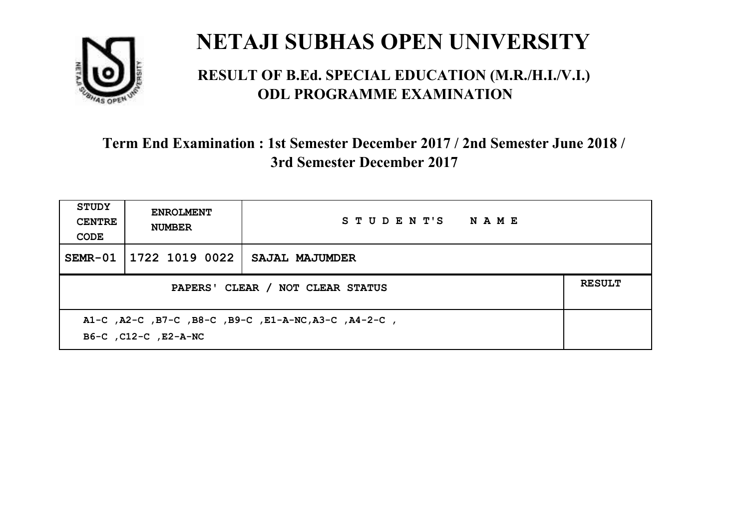

#### **RESULT OF B.Ed. SPECIAL EDUCATION (M.R./H.I./V.I.) ODL PROGRAMME EXAMINATION**

| <b>STUDY</b><br><b>CENTRE</b><br>CODE             | <b>ENROLMENT</b><br><b>NUMBER</b>                                            | STUDENT'S NAME |  |  |  |
|---------------------------------------------------|------------------------------------------------------------------------------|----------------|--|--|--|
|                                                   | SEMR-01   1722 1019 0022                                                     | SAJAL MAJUMDER |  |  |  |
| <b>RESULT</b><br>PAPERS' CLEAR / NOT CLEAR STATUS |                                                                              |                |  |  |  |
|                                                   | A1-C, A2-C, B7-C, B8-C, B9-C, E1-A-NC, A3-C, A4-2-C,<br>B6-C, C12-C, E2-A-NC |                |  |  |  |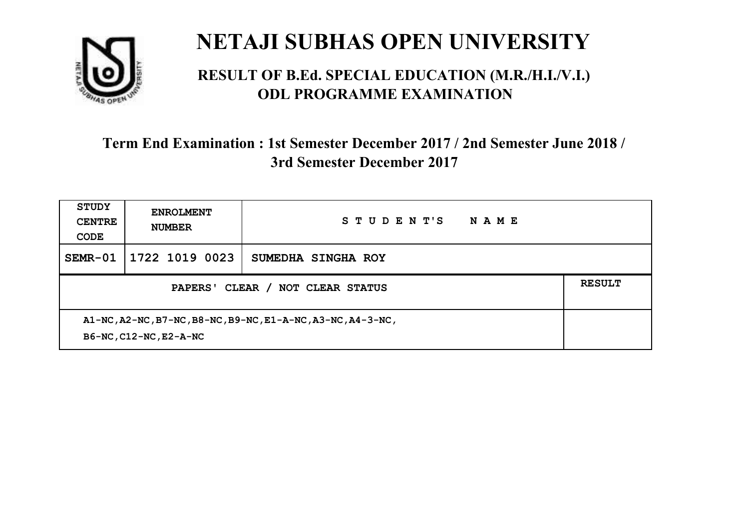

#### **RESULT OF B.Ed. SPECIAL EDUCATION (M.R./H.I./V.I.) ODL PROGRAMME EXAMINATION**

| <b>STUDY</b><br><b>CENTRE</b><br>CODE                                                 | <b>ENROLMENT</b><br><b>NUMBER</b> | STUDENT'S<br>NAME  |  |  |
|---------------------------------------------------------------------------------------|-----------------------------------|--------------------|--|--|
| $SEMR-01$                                                                             | 1722 1019 0023                    | SUMEDHA SINGHA ROY |  |  |
| PAPERS' CLEAR /<br><b>NOT CLEAR STATUS</b>                                            |                                   |                    |  |  |
| A1-NC, A2-NC, B7-NC, B8-NC, B9-NC, E1-A-NC, A3-NC, A4-3-NC,<br>B6-NC, C12-NC, E2-A-NC |                                   |                    |  |  |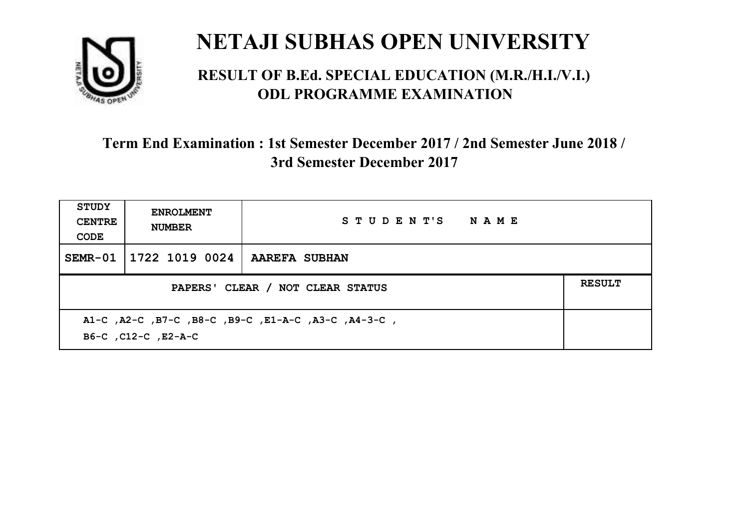

#### **RESULT OF B.Ed. SPECIAL EDUCATION (M.R./H.I./V.I.) ODL PROGRAMME EXAMINATION**

| <b>STUDY</b><br><b>CENTRE</b><br>CODE                                      | <b>ENROLMENT</b><br><b>NUMBER</b>                 | STUDENT'S NAME |  |  |  |
|----------------------------------------------------------------------------|---------------------------------------------------|----------------|--|--|--|
| SEMR-01                                                                    | 1722 1019 0024                                    | AAREFA SUBHAN  |  |  |  |
|                                                                            | <b>RESULT</b><br>PAPERS' CLEAR / NOT CLEAR STATUS |                |  |  |  |
| A1-C, A2-C, B7-C, B8-C, B9-C, E1-A-C, A3-C, A4-3-C,<br>B6-C, C12-C, E2-A-C |                                                   |                |  |  |  |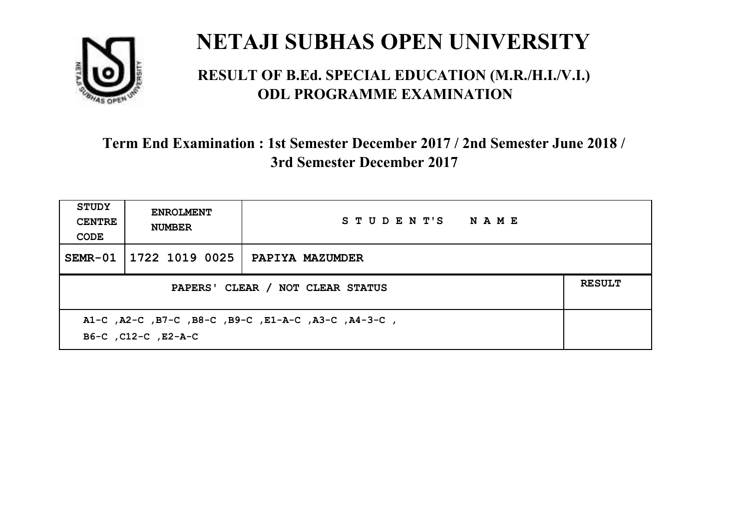

#### **RESULT OF B.Ed. SPECIAL EDUCATION (M.R./H.I./V.I.) ODL PROGRAMME EXAMINATION**

| <b>STUDY</b><br><b>CENTRE</b><br>CODE | <b>ENROLMENT</b><br><b>NUMBER</b>                                          | STUDENT'S NAME  |  |  |  |
|---------------------------------------|----------------------------------------------------------------------------|-----------------|--|--|--|
|                                       | SEMR-01   1722 1019 0025                                                   | PAPIYA MAZUMDER |  |  |  |
|                                       | <b>RESULT</b><br>PAPERS' CLEAR / NOT CLEAR STATUS                          |                 |  |  |  |
|                                       | A1-C, A2-C, B7-C, B8-C, B9-C, E1-A-C, A3-C, A4-3-C,<br>B6-C, C12-C, E2-A-C |                 |  |  |  |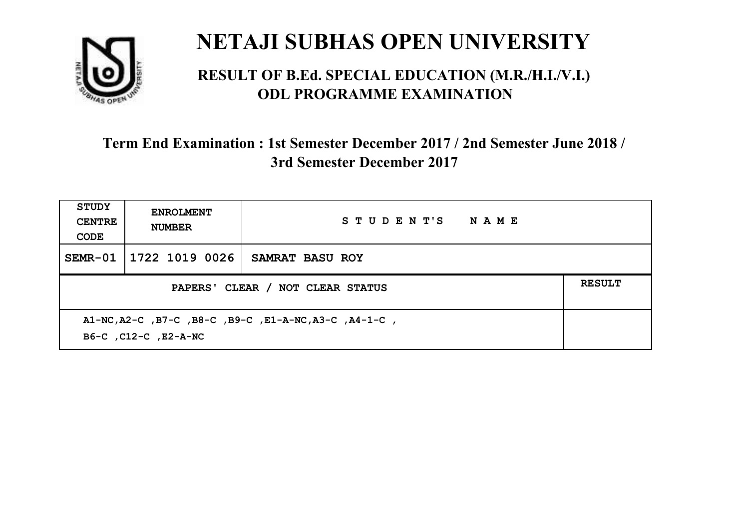

#### **RESULT OF B.Ed. SPECIAL EDUCATION (M.R./H.I./V.I.) ODL PROGRAMME EXAMINATION**

| <b>STUDY</b><br><b>CENTRE</b><br>CODE                                         | <b>ENROLMENT</b><br><b>NUMBER</b> | STUDENT'S NAME         |  |  |
|-------------------------------------------------------------------------------|-----------------------------------|------------------------|--|--|
| SEMR-01                                                                       | 1722 1019 0026                    | <b>SAMRAT BASU ROY</b> |  |  |
| <b>RESULT</b><br>PAPERS' CLEAR / NOT CLEAR STATUS                             |                                   |                        |  |  |
| A1-NC, A2-C, B7-C, B8-C, B9-C, E1-A-NC, A3-C, A4-1-C,<br>B6-C, C12-C, E2-A-NC |                                   |                        |  |  |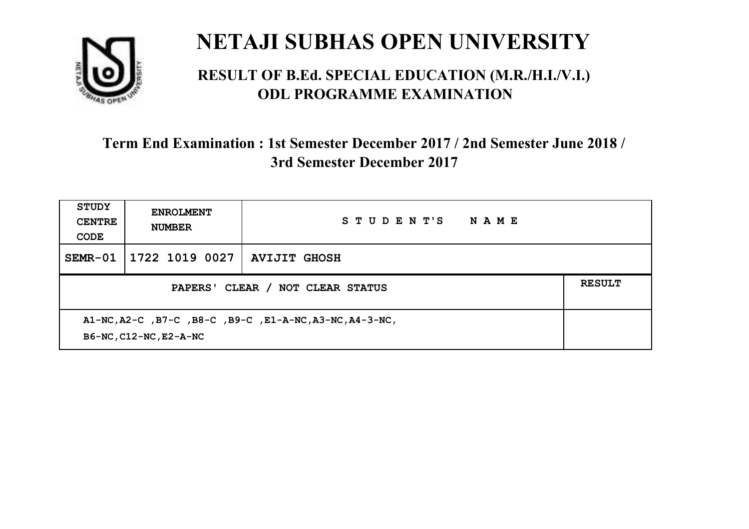

#### **RESULT OF B.Ed. SPECIAL EDUCATION (M.R./H.I./V.I.) ODL PROGRAMME EXAMINATION**

| <b>STUDY</b><br><b>CENTRE</b><br>CODE             | <b>ENROLMENT</b><br><b>NUMBER</b>                                                 | STUDENT'S<br><b>NAME</b> |  |  |  |
|---------------------------------------------------|-----------------------------------------------------------------------------------|--------------------------|--|--|--|
| $SEMR-01$                                         | 1722 1019 0027                                                                    | <b>AVIJIT GHOSH</b>      |  |  |  |
| <b>RESULT</b><br>PAPERS' CLEAR / NOT CLEAR STATUS |                                                                                   |                          |  |  |  |
|                                                   | A1-NC, A2-C, B7-C, B8-C, B9-C, E1-A-NC, A3-NC, A4-3-NC,<br>B6-NC, C12-NC, E2-A-NC |                          |  |  |  |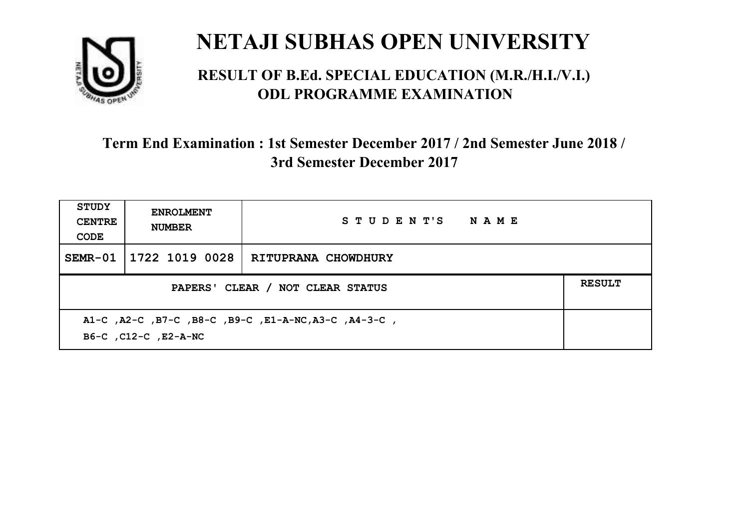

#### **RESULT OF B.Ed. SPECIAL EDUCATION (M.R./H.I./V.I.) ODL PROGRAMME EXAMINATION**

| <b>STUDY</b><br><b>CENTRE</b><br>CODE                                        | <b>ENROLMENT</b><br><b>NUMBER</b>                 | STUDENT'S NAME      |  |  |  |
|------------------------------------------------------------------------------|---------------------------------------------------|---------------------|--|--|--|
| $SEMR-01$                                                                    | 1722 1019 0028                                    | RITUPRANA CHOWDHURY |  |  |  |
|                                                                              | <b>RESULT</b><br>PAPERS' CLEAR / NOT CLEAR STATUS |                     |  |  |  |
| A1-C, A2-C, B7-C, B8-C, B9-C, E1-A-NC, A3-C, A4-3-C,<br>B6-C, C12-C, E2-A-NC |                                                   |                     |  |  |  |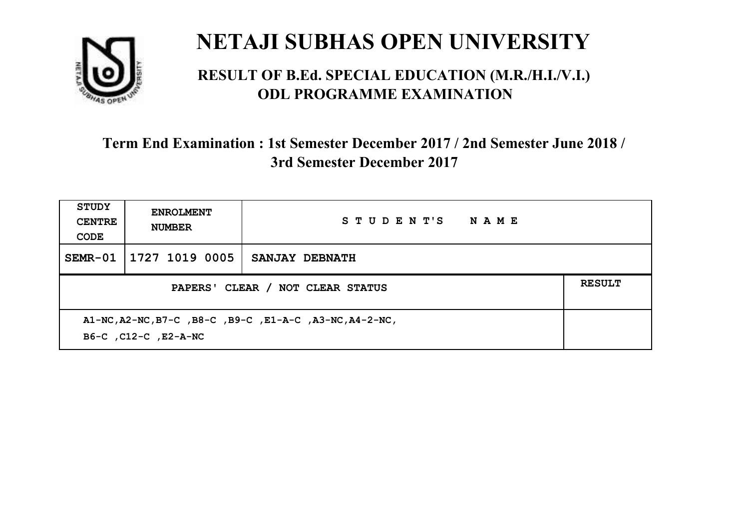

#### **RESULT OF B.Ed. SPECIAL EDUCATION (M.R./H.I./V.I.) ODL PROGRAMME EXAMINATION**

| <b>STUDY</b><br><b>CENTRE</b><br>CODE                                           | <b>ENROLMENT</b><br><b>NUMBER</b> | STUDENT'S<br><b>NAME</b> |  |  |
|---------------------------------------------------------------------------------|-----------------------------------|--------------------------|--|--|
| $SEMR-01$                                                                       | 1727 1019 0005                    | SANJAY DEBNATH           |  |  |
| PAPERS' CLEAR / NOT CLEAR STATUS                                                |                                   |                          |  |  |
| A1-NC, A2-NC, B7-C, B8-C, B9-C, E1-A-C, A3-NC, A4-2-NC,<br>B6-C, C12-C, E2-A-NC |                                   |                          |  |  |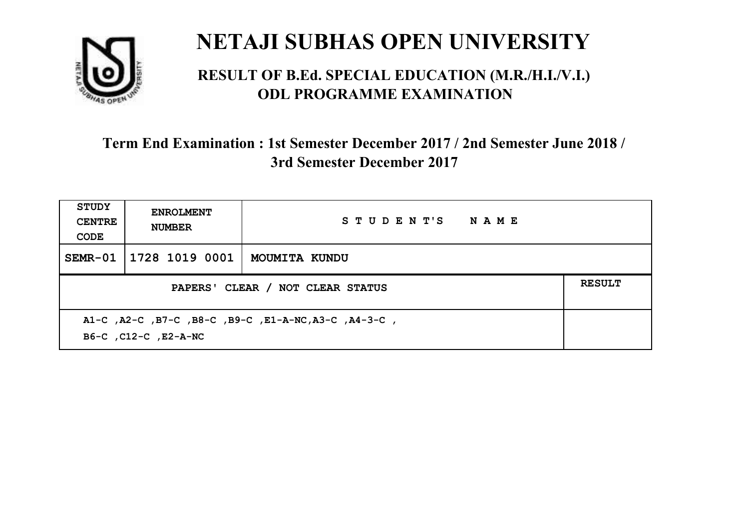

#### **RESULT OF B.Ed. SPECIAL EDUCATION (M.R./H.I./V.I.) ODL PROGRAMME EXAMINATION**

| <b>STUDY</b><br><b>CENTRE</b><br>CODE                                        | <b>ENROLMENT</b><br><b>NUMBER</b> | STUDENT'S NAME |  |  |
|------------------------------------------------------------------------------|-----------------------------------|----------------|--|--|
|                                                                              | SEMR-01   1728 1019 0001          | MOUMITA KUNDU  |  |  |
| <b>RESULT</b><br>PAPERS' CLEAR / NOT CLEAR STATUS                            |                                   |                |  |  |
| A1-C, A2-C, B7-C, B8-C, B9-C, E1-A-NC, A3-C, A4-3-C,<br>B6-C, C12-C, E2-A-NC |                                   |                |  |  |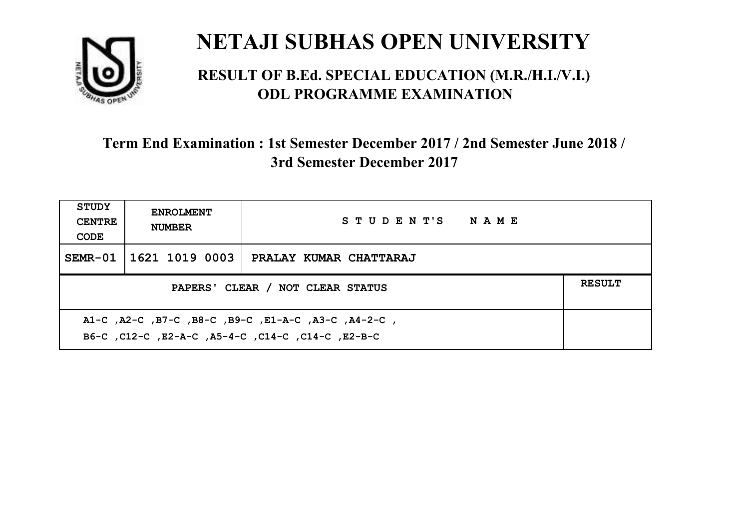

#### **RESULT OF B.Ed. SPECIAL EDUCATION (M.R./H.I./V.I.) ODL PROGRAMME EXAMINATION**

| STUDY<br><b>CENTRE</b><br>CODE                                                                            | <b>ENROLMENT</b><br><b>NUMBER</b>                 | STUDENT'S NAME         |  |  |  |
|-----------------------------------------------------------------------------------------------------------|---------------------------------------------------|------------------------|--|--|--|
|                                                                                                           | SEMR-01   1621 1019 0003                          | PRALAY KUMAR CHATTARAJ |  |  |  |
|                                                                                                           | <b>RESULT</b><br>PAPERS' CLEAR / NOT CLEAR STATUS |                        |  |  |  |
| A1-C, A2-C, B7-C, B8-C, B9-C, E1-A-C, A3-C, A4-2-C,<br>B6-C, C12-C, E2-A-C, A5-4-C, C14-C, C14-C, C12-B-C |                                                   |                        |  |  |  |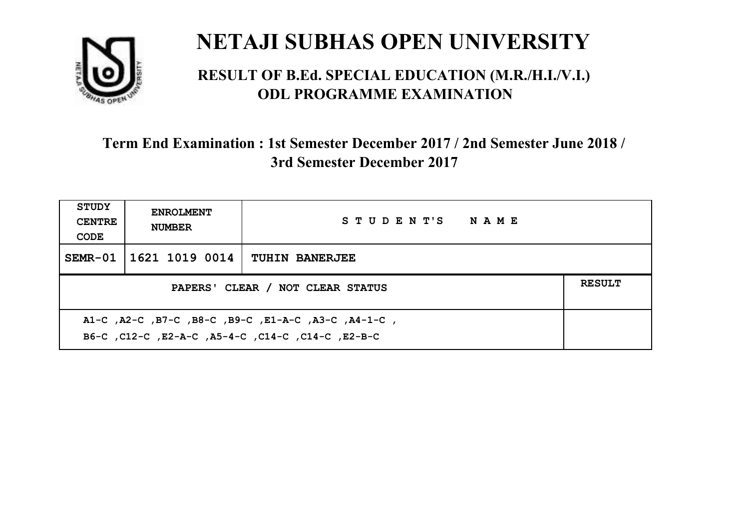

#### **RESULT OF B.Ed. SPECIAL EDUCATION (M.R./H.I./V.I.) ODL PROGRAMME EXAMINATION**

| <b>STUDY</b><br><b>CENTRE</b><br>CODE                                                                     | <b>ENROLMENT</b><br><b>NUMBER</b>                 | STUDENT'S NAME        |  |  |  |
|-----------------------------------------------------------------------------------------------------------|---------------------------------------------------|-----------------------|--|--|--|
|                                                                                                           | SEMR-01 1621 1019 0014                            | <b>TUHIN BANERJEE</b> |  |  |  |
|                                                                                                           | <b>RESULT</b><br>PAPERS' CLEAR / NOT CLEAR STATUS |                       |  |  |  |
| A1-C, A2-C, B7-C, B8-C, B9-C, E1-A-C, A3-C, A4-1-C,<br>B6-C, C12-C, E2-A-C, A5-4-C, C14-C, C14-C, C12-B-C |                                                   |                       |  |  |  |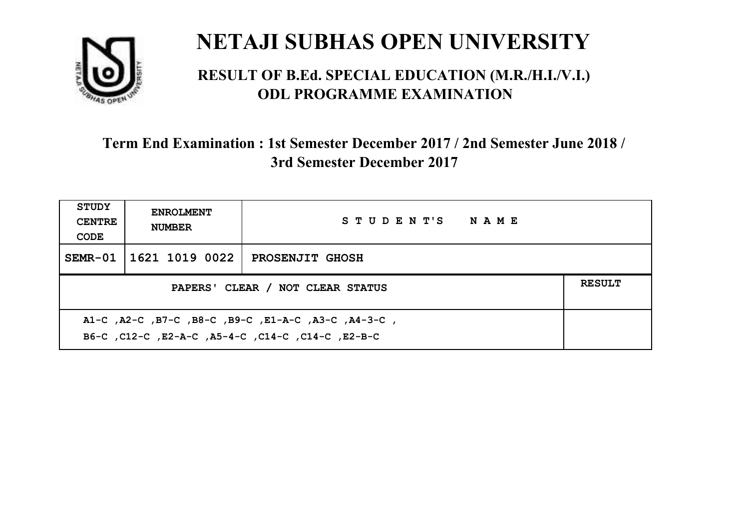

#### **RESULT OF B.Ed. SPECIAL EDUCATION (M.R./H.I./V.I.) ODL PROGRAMME EXAMINATION**

| <b>STUDY</b><br><b>CENTRE</b><br>CODE                                                                    | <b>ENROLMENT</b><br><b>NUMBER</b> | STUDENT'S NAME         |  |  |
|----------------------------------------------------------------------------------------------------------|-----------------------------------|------------------------|--|--|
|                                                                                                          | SEMR-01   1621 1019 0022          | <b>PROSENJIT GHOSH</b> |  |  |
| <b>RESULT</b><br>PAPERS' CLEAR / NOT CLEAR STATUS                                                        |                                   |                        |  |  |
| A1-C, A2-C, B7-C, B8-C, B9-C, E1-A-C, A3-C, A4-3-C,<br>B6-C, C12-C, E2-A-C, A5-4-C, C14-C, C14-C, E2-B-C |                                   |                        |  |  |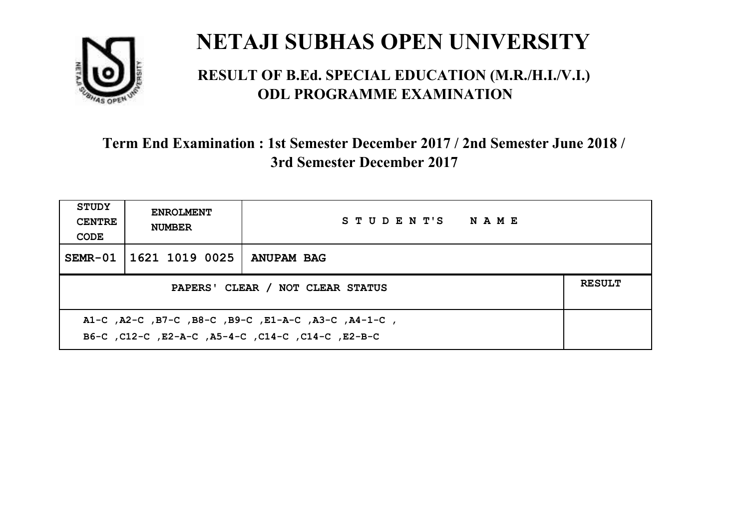

#### **RESULT OF B.Ed. SPECIAL EDUCATION (M.R./H.I./V.I.) ODL PROGRAMME EXAMINATION**

| <b>STUDY</b><br><b>CENTRE</b><br>CODE                                                                    | <b>ENROLMENT</b><br><b>NUMBER</b>                 | STUDENT'S NAME |  |  |  |
|----------------------------------------------------------------------------------------------------------|---------------------------------------------------|----------------|--|--|--|
|                                                                                                          | SEMR-01   1621 1019 0025                          | ANUPAM BAG     |  |  |  |
|                                                                                                          | <b>RESULT</b><br>PAPERS' CLEAR / NOT CLEAR STATUS |                |  |  |  |
| A1-C, A2-C, B7-C, B8-C, B9-C, E1-A-C, A3-C, A4-1-C,<br>B6-C, C12-C, E2-A-C, A5-4-C, C14-C, C14-C, E2-B-C |                                                   |                |  |  |  |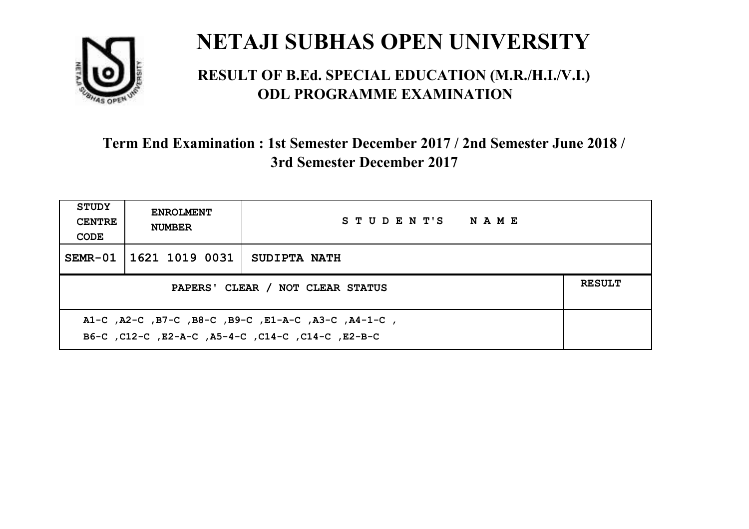

#### **RESULT OF B.Ed. SPECIAL EDUCATION (M.R./H.I./V.I.) ODL PROGRAMME EXAMINATION**

| <b>STUDY</b><br><b>CENTRE</b><br>CODE                                                                    | <b>ENROLMENT</b><br><b>NUMBER</b>                 | STUDENT'S NAME      |  |  |  |
|----------------------------------------------------------------------------------------------------------|---------------------------------------------------|---------------------|--|--|--|
|                                                                                                          | SEMR-01   1621 1019 0031                          | <b>SUDIPTA NATH</b> |  |  |  |
|                                                                                                          | <b>RESULT</b><br>PAPERS' CLEAR / NOT CLEAR STATUS |                     |  |  |  |
| A1-C, A2-C, B7-C, B8-C, B9-C, E1-A-C, A3-C, A4-1-C,<br>B6-C, C12-C, E2-A-C, A5-4-C, C14-C, C14-C, E2-B-C |                                                   |                     |  |  |  |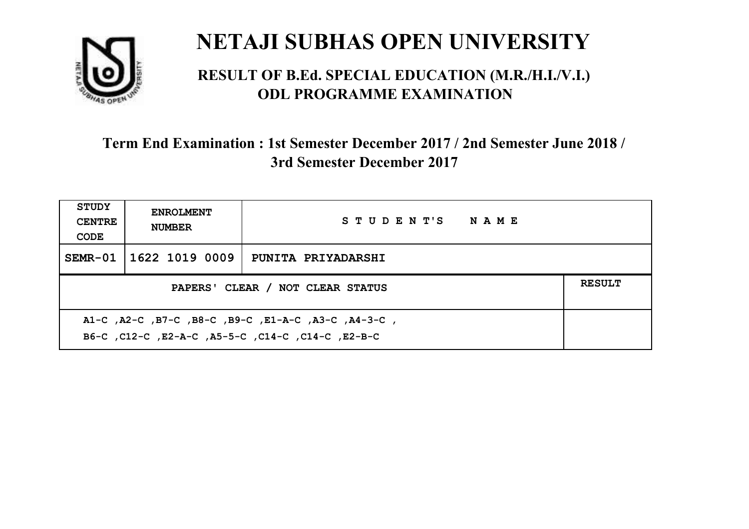

#### **RESULT OF B.Ed. SPECIAL EDUCATION (M.R./H.I./V.I.) ODL PROGRAMME EXAMINATION**

| <b>STUDY</b><br><b>CENTRE</b><br>CODE                                                                     | <b>ENROLMENT</b><br><b>NUMBER</b>                 | STUDENT'S NAME     |  |  |  |
|-----------------------------------------------------------------------------------------------------------|---------------------------------------------------|--------------------|--|--|--|
|                                                                                                           | SEMR-01   1622 1019 0009                          | PUNITA PRIYADARSHI |  |  |  |
|                                                                                                           | <b>RESULT</b><br>PAPERS' CLEAR / NOT CLEAR STATUS |                    |  |  |  |
| A1-C, A2-C, B7-C, B8-C, B9-C, E1-A-C, A3-C, A4-3-C,<br>B6-C, C12-C, E2-A-C, A5-5-C, C14-C, C14-C, C12-B-C |                                                   |                    |  |  |  |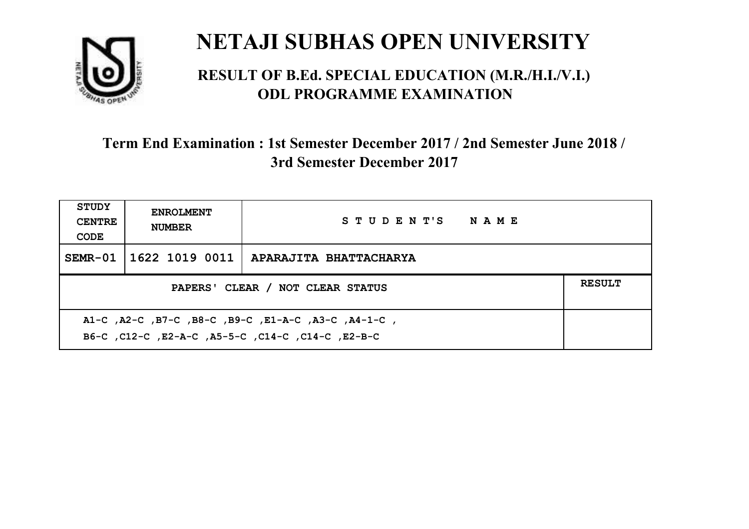

#### **RESULT OF B.Ed. SPECIAL EDUCATION (M.R./H.I./V.I.) ODL PROGRAMME EXAMINATION**

| <b>STUDY</b><br><b>CENTRE</b><br>CODE                                                                     | <b>ENROLMENT</b><br><b>NUMBER</b> | STUDENT'S NAME         |  |  |
|-----------------------------------------------------------------------------------------------------------|-----------------------------------|------------------------|--|--|
|                                                                                                           | SEMR-01   1622 1019 0011          | APARAJITA BHATTACHARYA |  |  |
| <b>RESULT</b><br>PAPERS' CLEAR / NOT CLEAR STATUS                                                         |                                   |                        |  |  |
| A1-C, A2-C, B7-C, B8-C, B9-C, E1-A-C, A3-C, A4-1-C,<br>B6-C, C12-C, E2-A-C, A5-5-C, C14-C, C14-C, C12-B-C |                                   |                        |  |  |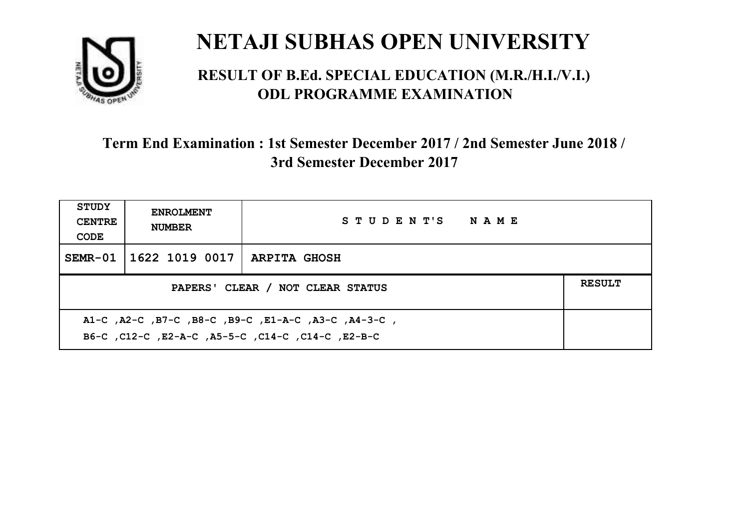

#### **RESULT OF B.Ed. SPECIAL EDUCATION (M.R./H.I./V.I.) ODL PROGRAMME EXAMINATION**

| <b>STUDY</b><br><b>CENTRE</b><br>CODE                                                                    | <b>ENROLMENT</b><br><b>NUMBER</b>                 | STUDENT'S NAME |  |  |  |
|----------------------------------------------------------------------------------------------------------|---------------------------------------------------|----------------|--|--|--|
|                                                                                                          | SEMR-01   1622 1019 0017   ARPITA GHOSH           |                |  |  |  |
|                                                                                                          | <b>RESULT</b><br>PAPERS' CLEAR / NOT CLEAR STATUS |                |  |  |  |
| A1-C, A2-C, B7-C, B8-C, B9-C, E1-A-C, A3-C, A4-3-C,<br>B6-C, C12-C, E2-A-C, A5-5-C, C14-C, C14-C, E2-B-C |                                                   |                |  |  |  |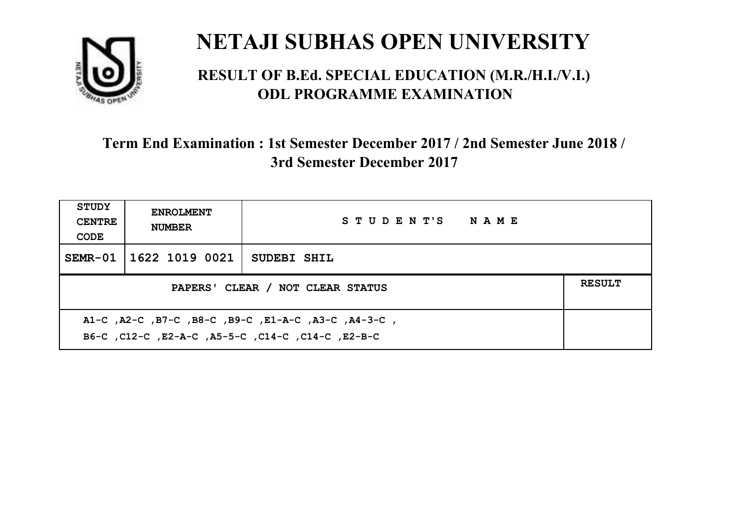

#### **RESULT OF B.Ed. SPECIAL EDUCATION (M.R./H.I./V.I.) ODL PROGRAMME EXAMINATION**

| <b>STUDY</b><br><b>CENTRE</b><br>CODE                                                                    | <b>ENROLMENT</b><br><b>NUMBER</b> | STUDENT'S NAME |  |  |
|----------------------------------------------------------------------------------------------------------|-----------------------------------|----------------|--|--|
|                                                                                                          | SEMR-01   1622 1019 0021          | SUDEBI SHIL    |  |  |
| <b>RESULT</b><br>PAPERS' CLEAR / NOT CLEAR STATUS                                                        |                                   |                |  |  |
| A1-C, A2-C, B7-C, B8-C, B9-C, E1-A-C, A3-C, A4-3-C,<br>B6-C, C12-C, E2-A-C, A5-5-C, C14-C, C14-C, E2-B-C |                                   |                |  |  |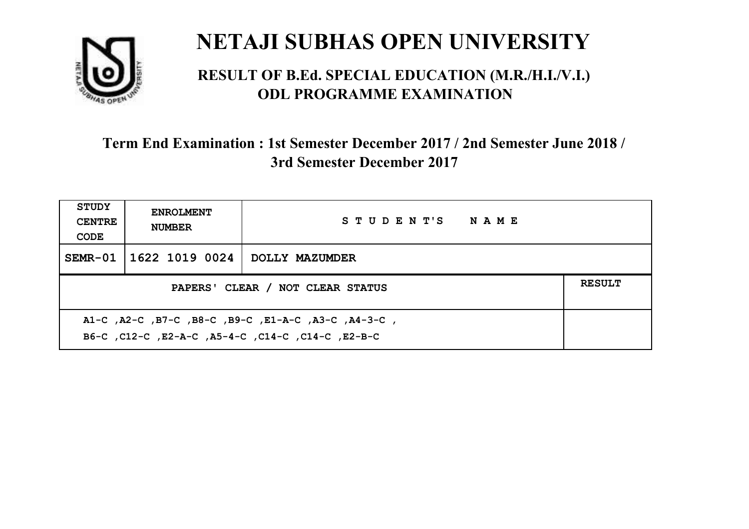

#### **RESULT OF B.Ed. SPECIAL EDUCATION (M.R./H.I./V.I.) ODL PROGRAMME EXAMINATION**

| <b>STUDY</b><br><b>CENTRE</b><br>CODE             | <b>ENROLMENT</b><br><b>NUMBER</b> | STUDENT'S NAME |  |
|---------------------------------------------------|-----------------------------------|----------------|--|
|                                                   | SEMR-01   1622 1019 0024          | DOLLY MAZUMDER |  |
| <b>RESULT</b><br>PAPERS' CLEAR / NOT CLEAR STATUS |                                   |                |  |
|                                                   |                                   |                |  |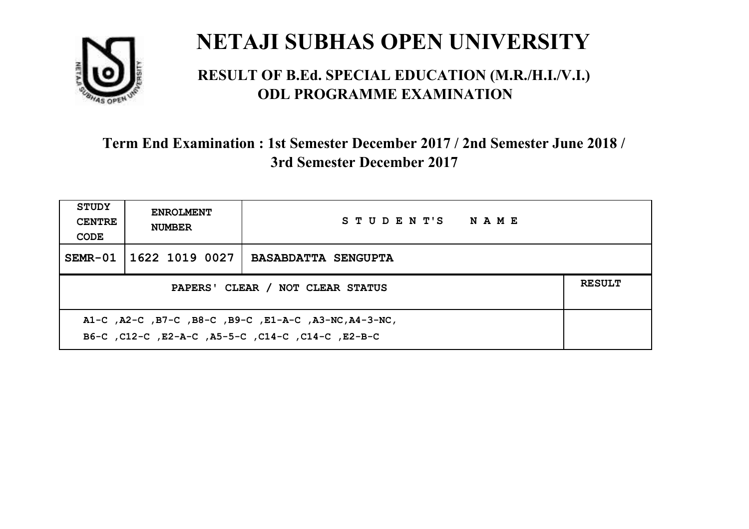

#### **RESULT OF B.Ed. SPECIAL EDUCATION (M.R./H.I./V.I.) ODL PROGRAMME EXAMINATION**

| <b>STUDY</b><br><b>CENTRE</b><br>CODE                                                                       | <b>ENROLMENT</b><br><b>NUMBER</b>                 | STUDENT'S NAME             |  |  |  |
|-------------------------------------------------------------------------------------------------------------|---------------------------------------------------|----------------------------|--|--|--|
|                                                                                                             | SEMR-01 1622 1019 0027                            | <b>BASABDATTA SENGUPTA</b> |  |  |  |
|                                                                                                             | <b>RESULT</b><br>PAPERS' CLEAR / NOT CLEAR STATUS |                            |  |  |  |
| A1-C, A2-C, B7-C, B8-C, B9-C, E1-A-C, A3-NC, A4-3-NC,<br>B6-C, C12-C, E2-A-C, A5-5-C, C14-C, C14-C, C12-B-C |                                                   |                            |  |  |  |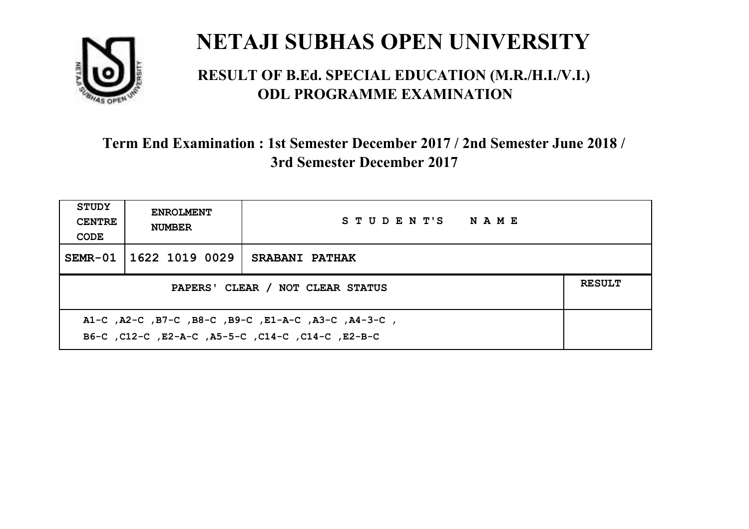

#### **RESULT OF B.Ed. SPECIAL EDUCATION (M.R./H.I./V.I.) ODL PROGRAMME EXAMINATION**

| <b>STUDY</b><br><b>CENTRE</b><br>CODE                                                                    | <b>ENROLMENT</b><br><b>NUMBER</b>                 | STUDENT'S NAME        |  |  |  |
|----------------------------------------------------------------------------------------------------------|---------------------------------------------------|-----------------------|--|--|--|
|                                                                                                          | SEMR-01 1622 1019 0029                            | <b>SRABANI PATHAK</b> |  |  |  |
|                                                                                                          | <b>RESULT</b><br>PAPERS' CLEAR / NOT CLEAR STATUS |                       |  |  |  |
| A1-C, A2-C, B7-C, B8-C, B9-C, E1-A-C, A3-C, A4-3-C,<br>B6-C, C12-C, E2-A-C, A5-5-C, C14-C, C14-C, E2-B-C |                                                   |                       |  |  |  |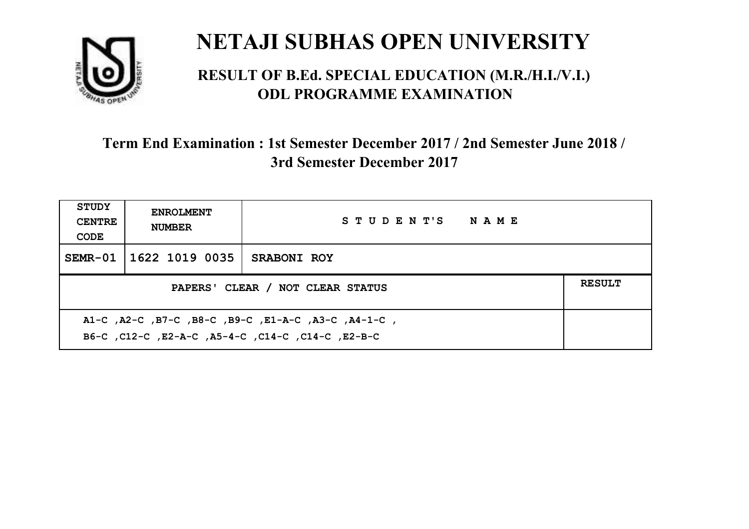

#### **RESULT OF B.Ed. SPECIAL EDUCATION (M.R./H.I./V.I.) ODL PROGRAMME EXAMINATION**

| <b>STUDY</b><br><b>CENTRE</b><br>CODE                                                                    | <b>ENROLMENT</b><br><b>NUMBER</b>                 | STUDENT'S NAME |  |  |
|----------------------------------------------------------------------------------------------------------|---------------------------------------------------|----------------|--|--|
|                                                                                                          | SEMR-01 1622 1019 0035                            | SRABONI ROY    |  |  |
|                                                                                                          | <b>RESULT</b><br>PAPERS' CLEAR / NOT CLEAR STATUS |                |  |  |
| A1-C, A2-C, B7-C, B8-C, B9-C, E1-A-C, A3-C, A4-1-C,<br>B6-C, C12-C, E2-A-C, A5-4-C, C14-C, C14-C, E2-B-C |                                                   |                |  |  |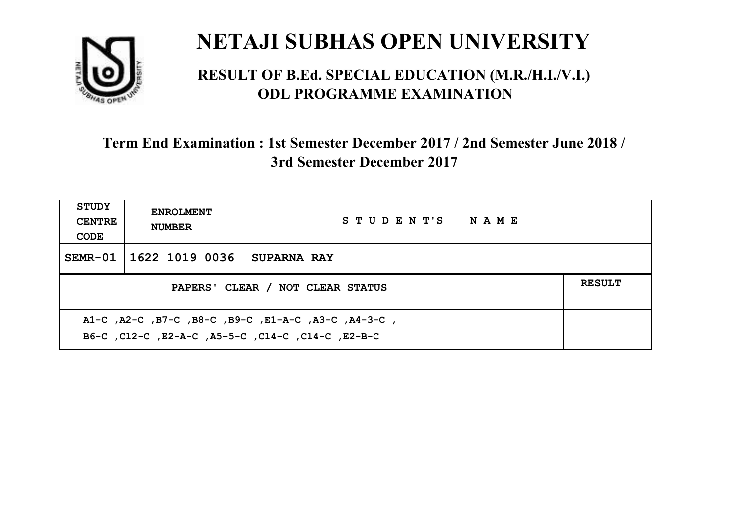

#### **RESULT OF B.Ed. SPECIAL EDUCATION (M.R./H.I./V.I.) ODL PROGRAMME EXAMINATION**

| <b>STUDY</b><br><b>CENTRE</b><br>CODE             | <b>ENROLMENT</b><br><b>NUMBER</b> | STUDENT'S NAME     |  |  |
|---------------------------------------------------|-----------------------------------|--------------------|--|--|
|                                                   | SEMR-01 1622 1019 0036            | <b>SUPARNA RAY</b> |  |  |
| <b>RESULT</b><br>PAPERS' CLEAR / NOT CLEAR STATUS |                                   |                    |  |  |
|                                                   |                                   |                    |  |  |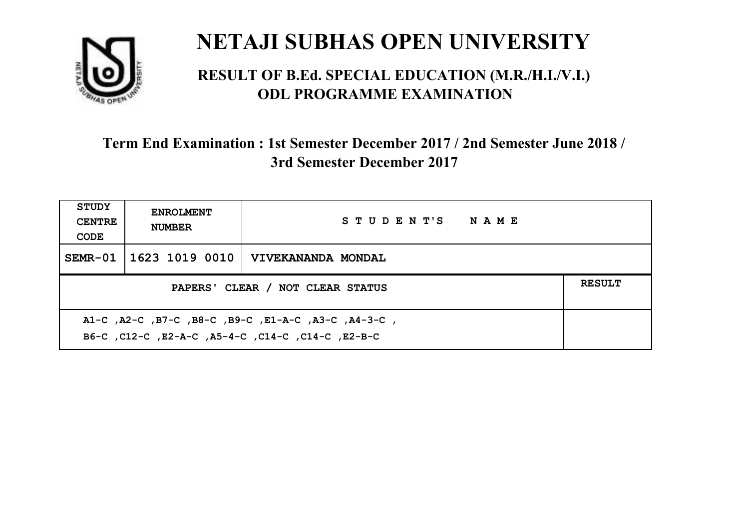

#### **RESULT OF B.Ed. SPECIAL EDUCATION (M.R./H.I./V.I.) ODL PROGRAMME EXAMINATION**

| <b>STUDY</b><br><b>CENTRE</b><br>CODE                                                                     | <b>ENROLMENT</b><br><b>NUMBER</b>                 | STUDENT'S NAME            |  |  |  |
|-----------------------------------------------------------------------------------------------------------|---------------------------------------------------|---------------------------|--|--|--|
|                                                                                                           | SEMR-01   1623 1019 0010                          | <b>VIVEKANANDA MONDAL</b> |  |  |  |
|                                                                                                           | <b>RESULT</b><br>PAPERS' CLEAR / NOT CLEAR STATUS |                           |  |  |  |
| A1-C, A2-C, B7-C, B8-C, B9-C, E1-A-C, A3-C, A4-3-C,<br>B6-C, C12-C, E2-A-C, A5-4-C, C14-C, C14-C, C12-B-C |                                                   |                           |  |  |  |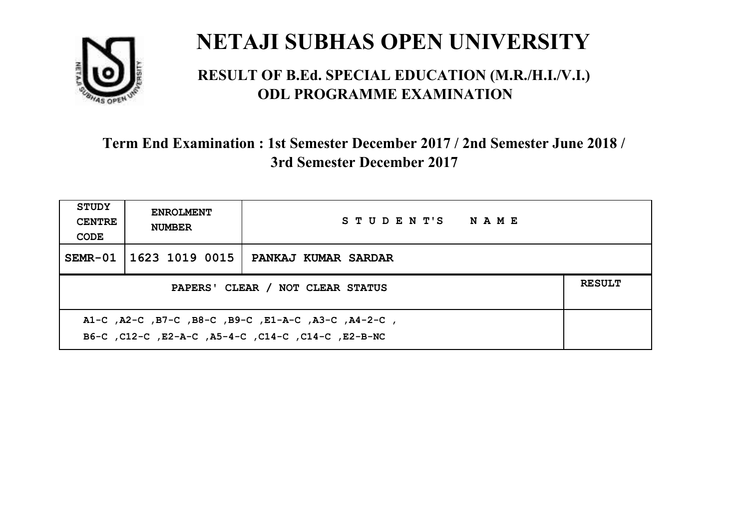

#### **RESULT OF B.Ed. SPECIAL EDUCATION (M.R./H.I./V.I.) ODL PROGRAMME EXAMINATION**

| <b>STUDY</b><br><b>CENTRE</b><br>CODE                                                                     | <b>ENROLMENT</b><br><b>NUMBER</b>                 | STUDENT'S NAME      |  |  |  |
|-----------------------------------------------------------------------------------------------------------|---------------------------------------------------|---------------------|--|--|--|
| $SEMR-01$                                                                                                 | 1623 1019 0015                                    | PANKAJ KUMAR SARDAR |  |  |  |
|                                                                                                           | <b>RESULT</b><br>PAPERS' CLEAR / NOT CLEAR STATUS |                     |  |  |  |
| A1-C, A2-C, B7-C, B8-C, B9-C, E1-A-C, A3-C, A4-2-C,<br>B6-C, C12-C, E2-A-C, A5-4-C, C14-C, C14-C, E2-B-NC |                                                   |                     |  |  |  |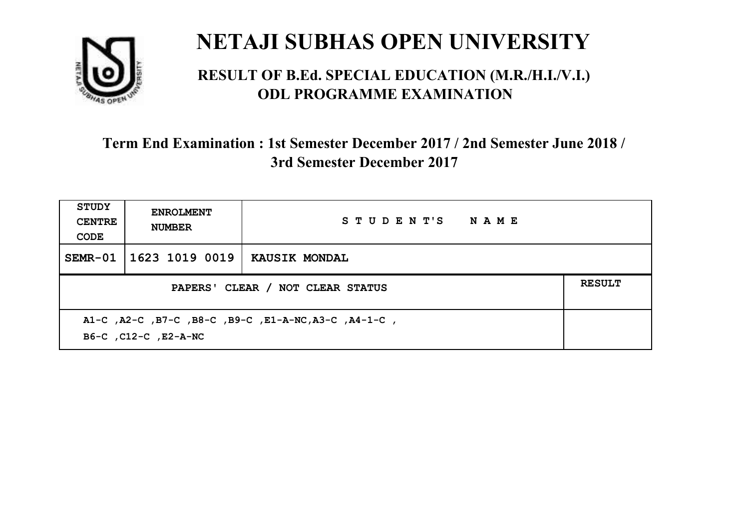

#### **RESULT OF B.Ed. SPECIAL EDUCATION (M.R./H.I./V.I.) ODL PROGRAMME EXAMINATION**

| STUDY<br><b>CENTRE</b><br>CODE                                               | <b>ENROLMENT</b><br><b>NUMBER</b>                 | STUDENT'S NAME       |  |  |
|------------------------------------------------------------------------------|---------------------------------------------------|----------------------|--|--|
| $SEMR-01$                                                                    | 1623 1019 0019                                    | <b>KAUSIK MONDAL</b> |  |  |
|                                                                              | <b>RESULT</b><br>PAPERS' CLEAR / NOT CLEAR STATUS |                      |  |  |
| A1-C, A2-C, B7-C, B8-C, B9-C, E1-A-NC, A3-C, A4-1-C,<br>B6-C, C12-C, E2-A-NC |                                                   |                      |  |  |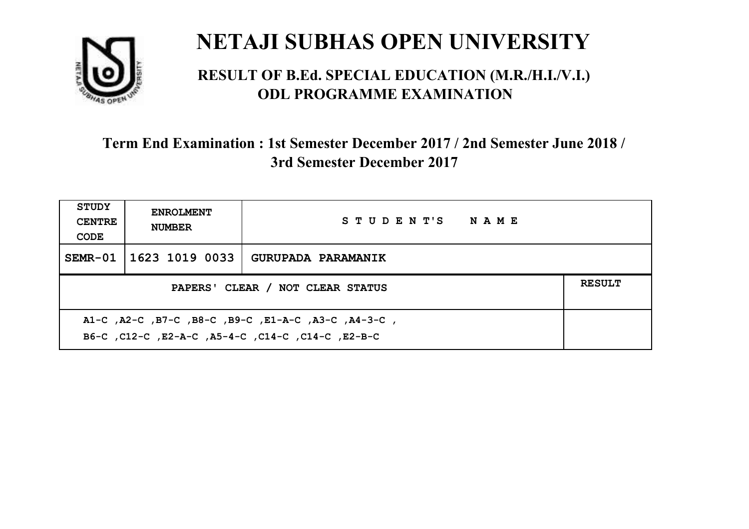

#### **RESULT OF B.Ed. SPECIAL EDUCATION (M.R./H.I./V.I.) ODL PROGRAMME EXAMINATION**

| <b>STUDY</b><br><b>CENTRE</b><br>CODE                                                                     | <b>ENROLMENT</b><br><b>NUMBER</b>                 | STUDENT'S NAME            |  |  |  |
|-----------------------------------------------------------------------------------------------------------|---------------------------------------------------|---------------------------|--|--|--|
|                                                                                                           | SEMR-01 1623 1019 0033                            | <b>GURUPADA PARAMANIK</b> |  |  |  |
|                                                                                                           | <b>RESULT</b><br>PAPERS' CLEAR / NOT CLEAR STATUS |                           |  |  |  |
| A1-C, A2-C, B7-C, B8-C, B9-C, E1-A-C, A3-C, A4-3-C,<br>B6-C, C12-C, E2-A-C, A5-4-C, C14-C, C14-C, C12-B-C |                                                   |                           |  |  |  |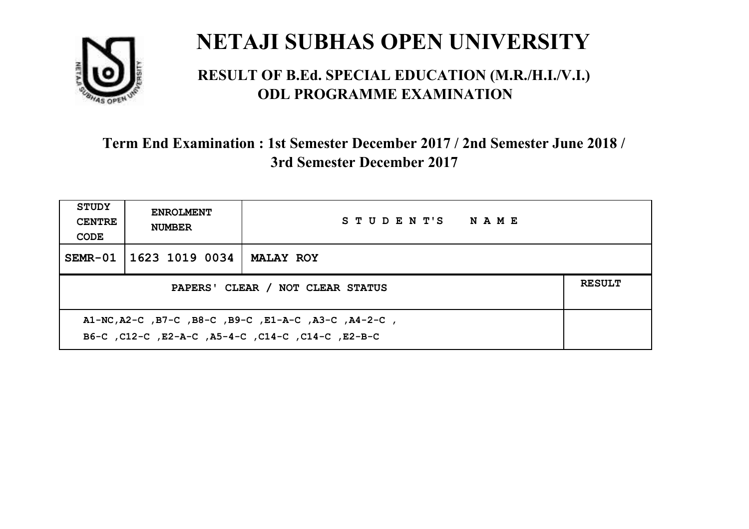

#### **RESULT OF B.Ed. SPECIAL EDUCATION (M.R./H.I./V.I.) ODL PROGRAMME EXAMINATION**

| <b>STUDY</b><br><b>CENTRE</b><br>CODE                                                                     | <b>ENROLMENT</b><br><b>NUMBER</b> | STUDENT'S NAME   |  |
|-----------------------------------------------------------------------------------------------------------|-----------------------------------|------------------|--|
|                                                                                                           | SEMR-01 1623 1019 0034            | <b>MALAY ROY</b> |  |
| <b>RESULT</b><br>PAPERS' CLEAR / NOT CLEAR STATUS                                                         |                                   |                  |  |
| A1-NC, A2-C, B7-C, B8-C, B9-C, E1-A-C, A3-C, A4-2-C,<br>B6-C, C12-C, E2-A-C, A5-4-C, C14-C, C14-C, E2-B-C |                                   |                  |  |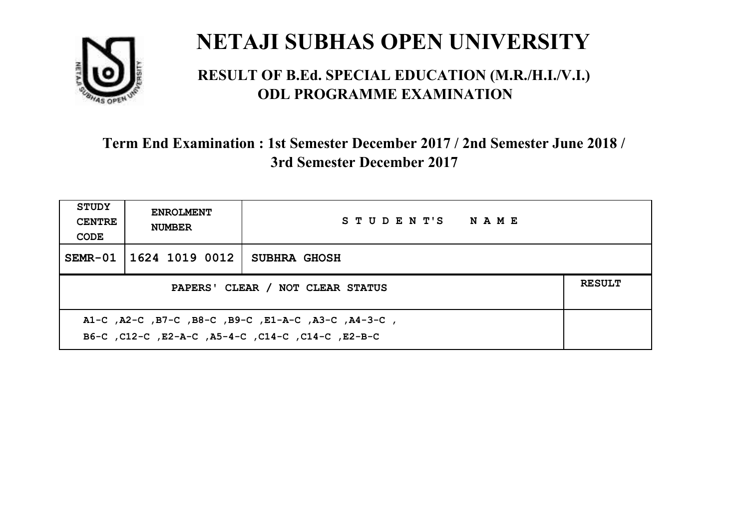

#### **RESULT OF B.Ed. SPECIAL EDUCATION (M.R./H.I./V.I.) ODL PROGRAMME EXAMINATION**

| <b>STUDY</b><br><b>CENTRE</b><br>CODE             | <b>ENROLMENT</b><br><b>NUMBER</b> | STUDENT'S NAME      |  |  |
|---------------------------------------------------|-----------------------------------|---------------------|--|--|
|                                                   | SEMR-01   1624 1019 0012          | <b>SUBHRA GHOSH</b> |  |  |
| <b>RESULT</b><br>PAPERS' CLEAR / NOT CLEAR STATUS |                                   |                     |  |  |
|                                                   |                                   |                     |  |  |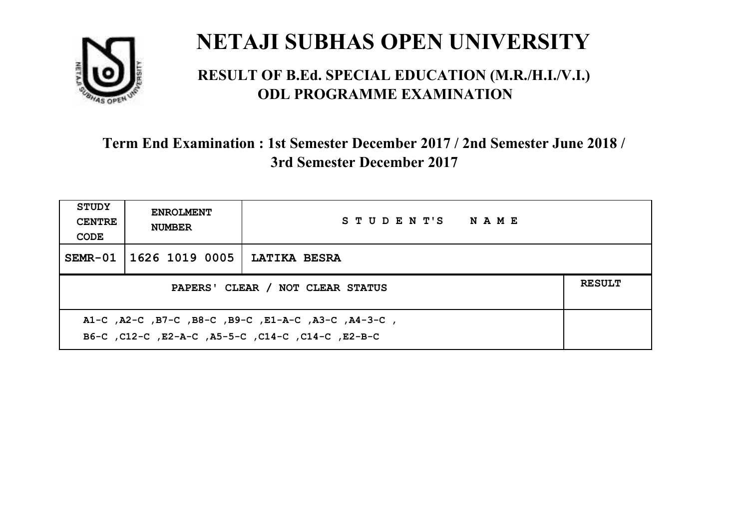

#### **RESULT OF B.Ed. SPECIAL EDUCATION (M.R./H.I./V.I.) ODL PROGRAMME EXAMINATION**

| <b>STUDY</b><br><b>CENTRE</b><br>CODE             | <b>ENROLMENT</b><br><b>NUMBER</b> | STUDENT'S NAME      |  |  |
|---------------------------------------------------|-----------------------------------|---------------------|--|--|
|                                                   | SEMR-01   1626 1019 0005          | <b>LATIKA BESRA</b> |  |  |
| <b>RESULT</b><br>PAPERS' CLEAR / NOT CLEAR STATUS |                                   |                     |  |  |
|                                                   |                                   |                     |  |  |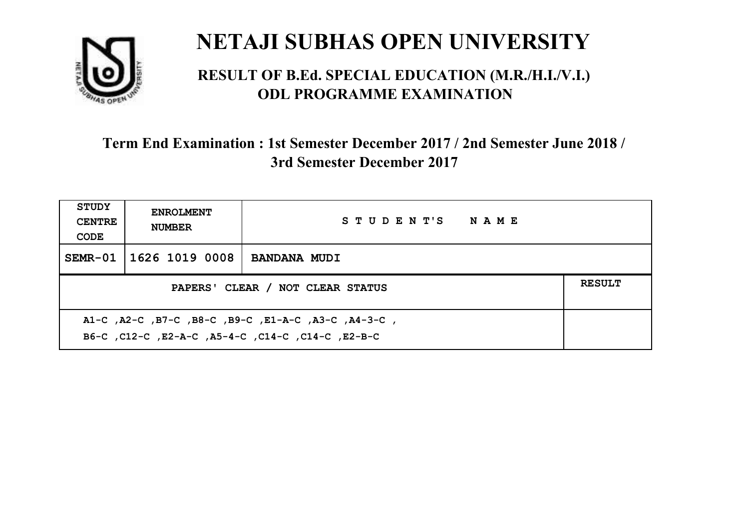

#### **RESULT OF B.Ed. SPECIAL EDUCATION (M.R./H.I./V.I.) ODL PROGRAMME EXAMINATION**

| <b>STUDY</b><br><b>CENTRE</b><br>CODE                                                                      | <b>ENROLMENT</b><br><b>NUMBER</b>                 | STUDENT'S NAME      |  |  |  |
|------------------------------------------------------------------------------------------------------------|---------------------------------------------------|---------------------|--|--|--|
| $SEMR-01$                                                                                                  | 1626 1019 0008                                    | <b>BANDANA MUDI</b> |  |  |  |
|                                                                                                            | <b>RESULT</b><br>PAPERS' CLEAR / NOT CLEAR STATUS |                     |  |  |  |
| , A1-C, A2-C, B7-C, B8-C, B9-C, E1-A-C, A3-C, A4-3-C,<br>B6-C, C12-C, E2-A-C, A5-4-C, C14-C, C14-C, E2-B-C |                                                   |                     |  |  |  |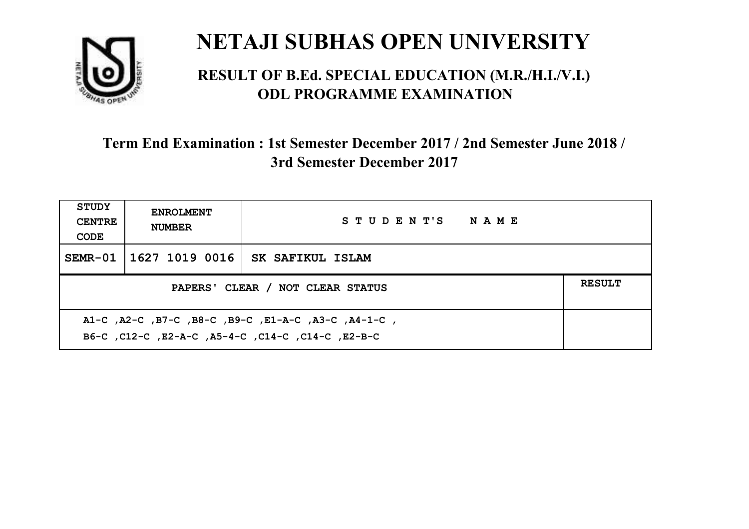

#### **RESULT OF B.Ed. SPECIAL EDUCATION (M.R./H.I./V.I.) ODL PROGRAMME EXAMINATION**

| <b>STUDY</b><br><b>CENTRE</b><br>CODE                                                                     | <b>ENROLMENT</b><br><b>NUMBER</b>                 | STUDENT'S NAME   |  |  |  |
|-----------------------------------------------------------------------------------------------------------|---------------------------------------------------|------------------|--|--|--|
|                                                                                                           | SEMR-01   1627 1019 0016                          | SK SAFIKUL ISLAM |  |  |  |
|                                                                                                           | <b>RESULT</b><br>PAPERS' CLEAR / NOT CLEAR STATUS |                  |  |  |  |
| A1-C, A2-C, B7-C, B8-C, B9-C, E1-A-C, A3-C, A4-1-C,<br>B6-C, C12-C, E2-A-C, A5-4-C, C14-C, C14-C, C12-B-C |                                                   |                  |  |  |  |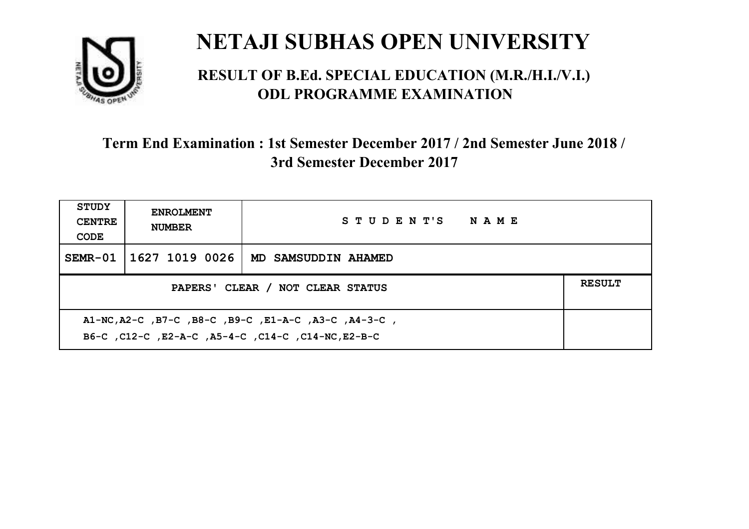

#### **RESULT OF B.Ed. SPECIAL EDUCATION (M.R./H.I./V.I.) ODL PROGRAMME EXAMINATION**

| <b>STUDY</b><br><b>CENTRE</b><br>CODE                                                                      | <b>ENROLMENT</b><br><b>NUMBER</b>                 | STUDENT'S NAME      |  |  |  |
|------------------------------------------------------------------------------------------------------------|---------------------------------------------------|---------------------|--|--|--|
| $SEMR-01$                                                                                                  | 1627 1019 0026                                    | MD SAMSUDDIN AHAMED |  |  |  |
|                                                                                                            | <b>RESULT</b><br>PAPERS' CLEAR / NOT CLEAR STATUS |                     |  |  |  |
| A1-NC, A2-C, B7-C, B8-C, B9-C, E1-A-C, A3-C, A4-3-C,<br>B6-C, C12-C, E2-A-C, A5-4-C, C14-C, C14-NC, E2-B-C |                                                   |                     |  |  |  |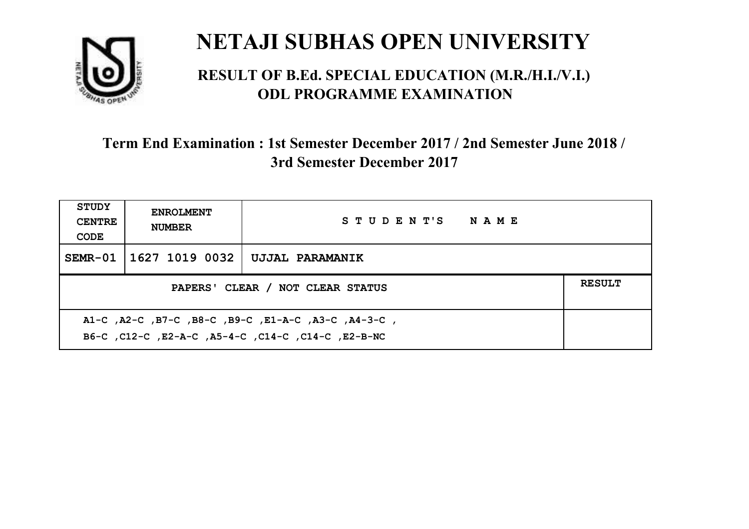

#### **RESULT OF B.Ed. SPECIAL EDUCATION (M.R./H.I./V.I.) ODL PROGRAMME EXAMINATION**

| <b>STUDY</b><br><b>CENTRE</b><br>CODE                                                                     | <b>ENROLMENT</b><br><b>NUMBER</b>                 | STUDENT'S NAME  |  |  |  |
|-----------------------------------------------------------------------------------------------------------|---------------------------------------------------|-----------------|--|--|--|
|                                                                                                           | SEMR-01   1627 1019 0032                          | UJJAL PARAMANIK |  |  |  |
|                                                                                                           | <b>RESULT</b><br>PAPERS' CLEAR / NOT CLEAR STATUS |                 |  |  |  |
| A1-C, A2-C, B7-C, B8-C, B9-C, E1-A-C, A3-C, A4-3-C,<br>B6-C, C12-C, E2-A-C, A5-4-C, C14-C, C14-C, E2-B-NC |                                                   |                 |  |  |  |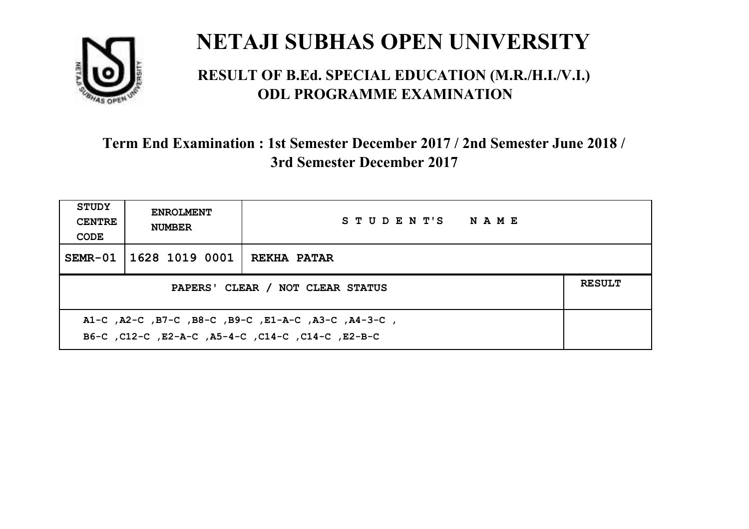

#### **RESULT OF B.Ed. SPECIAL EDUCATION (M.R./H.I./V.I.) ODL PROGRAMME EXAMINATION**

| <b>STUDY</b><br><b>CENTRE</b><br>CODE             | <b>ENROLMENT</b><br><b>NUMBER</b> | STUDENT'S NAME     |  |  |
|---------------------------------------------------|-----------------------------------|--------------------|--|--|
|                                                   | SEMR-01   1628 1019 0001          | <b>REKHA PATAR</b> |  |  |
| <b>RESULT</b><br>PAPERS' CLEAR / NOT CLEAR STATUS |                                   |                    |  |  |
|                                                   |                                   |                    |  |  |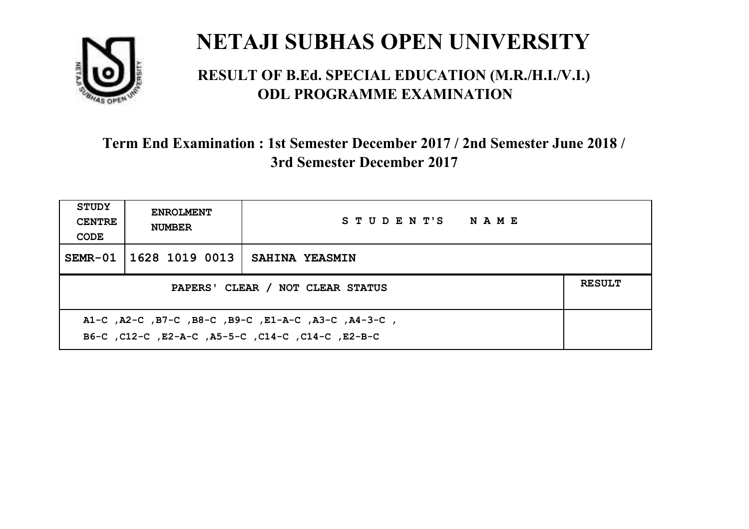

#### **RESULT OF B.Ed. SPECIAL EDUCATION (M.R./H.I./V.I.) ODL PROGRAMME EXAMINATION**

| STUDY<br><b>CENTRE</b><br>CODE                                                                            | <b>ENROLMENT</b><br><b>NUMBER</b>                 | STUDENT'S NAME        |  |  |  |
|-----------------------------------------------------------------------------------------------------------|---------------------------------------------------|-----------------------|--|--|--|
|                                                                                                           | SEMR-01   1628 1019 0013                          | <b>SAHINA YEASMIN</b> |  |  |  |
|                                                                                                           | <b>RESULT</b><br>PAPERS' CLEAR / NOT CLEAR STATUS |                       |  |  |  |
| A1-C, A2-C, B7-C, B8-C, B9-C, E1-A-C, A3-C, A4-3-C,<br>B6-C, C12-C, E2-A-C, A5-5-C, C14-C, C14-C, C12-B-C |                                                   |                       |  |  |  |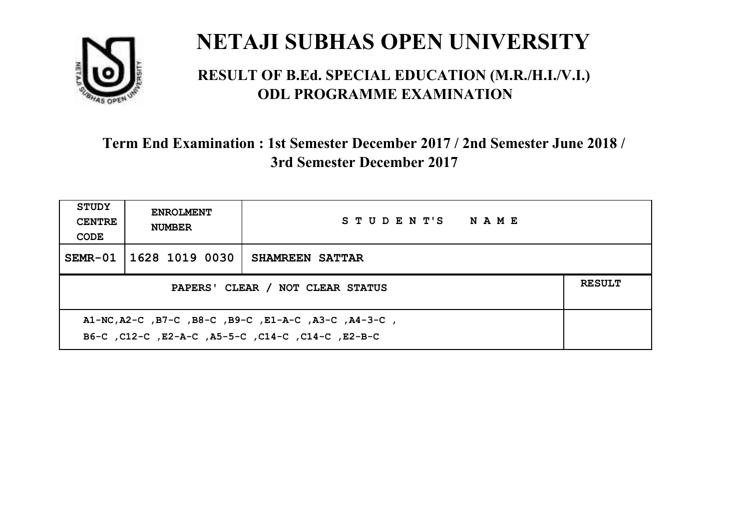

#### **RESULT OF B.Ed. SPECIAL EDUCATION (M.R./H.I./V.I.) ODL PROGRAMME EXAMINATION**

| <b>STUDY</b><br><b>CENTRE</b><br>CODE                                                                     | <b>ENROLMENT</b><br><b>NUMBER</b> | STUDENT'S NAME         |  |  |
|-----------------------------------------------------------------------------------------------------------|-----------------------------------|------------------------|--|--|
|                                                                                                           | SEMR-01 1628 1019 0030            | <b>SHAMREEN SATTAR</b> |  |  |
| <b>RESULT</b><br>PAPERS' CLEAR / NOT CLEAR STATUS                                                         |                                   |                        |  |  |
| A1-NC, A2-C, B7-C, B8-C, B9-C, E1-A-C, A3-C, A4-3-C,<br>B6-C, C12-C, E2-A-C, A5-5-C, C14-C, C14-C, E2-B-C |                                   |                        |  |  |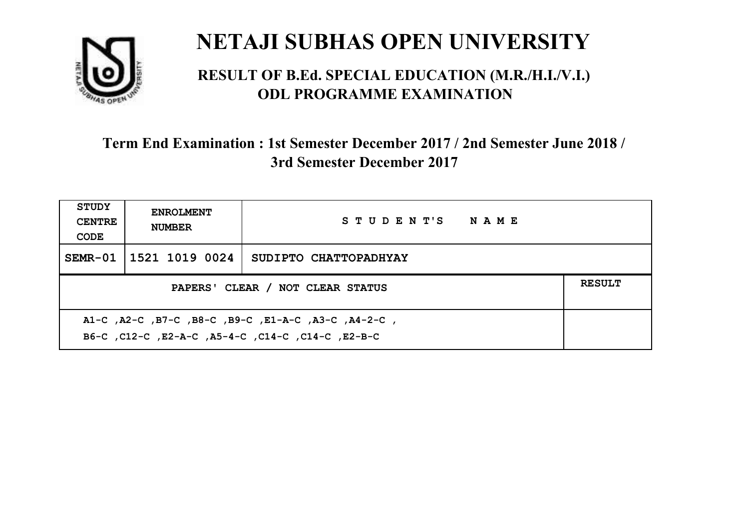

#### **RESULT OF B.Ed. SPECIAL EDUCATION (M.R./H.I./V.I.) ODL PROGRAMME EXAMINATION**

| STUDY<br><b>CENTRE</b><br>CODE | <b>ENROLMENT</b><br><b>NUMBER</b>                                                                         | STUDENT'S NAME        |  |  |  |
|--------------------------------|-----------------------------------------------------------------------------------------------------------|-----------------------|--|--|--|
|                                | SEMR-01 1521 1019 0024                                                                                    | SUDIPTO CHATTOPADHYAY |  |  |  |
|                                | <b>RESULT</b><br>PAPERS' CLEAR / NOT CLEAR STATUS                                                         |                       |  |  |  |
|                                | A1-C, A2-C, B7-C, B8-C, B9-C, E1-A-C, A3-C, A4-2-C,<br>B6-C, C12-C, E2-A-C, A5-4-C, C14-C, C14-C, C12-B-C |                       |  |  |  |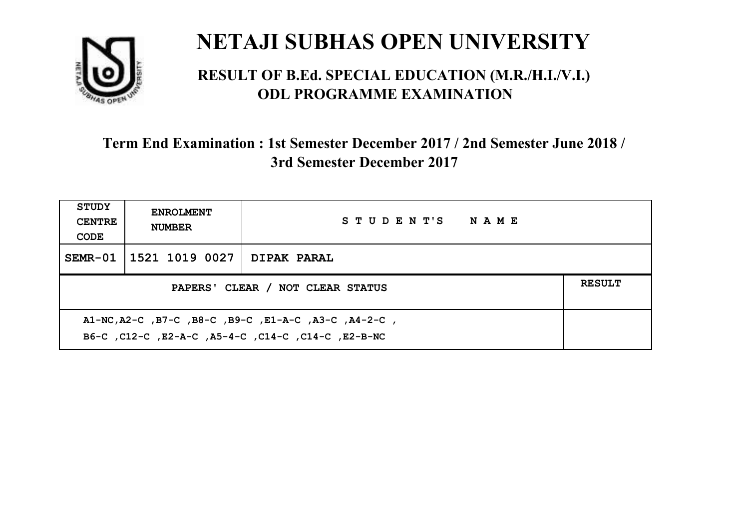

#### **RESULT OF B.Ed. SPECIAL EDUCATION (M.R./H.I./V.I.) ODL PROGRAMME EXAMINATION**

| <b>STUDY</b><br><b>CENTRE</b><br>CODE             | <b>ENROLMENT</b><br><b>NUMBER</b> | STUDENT'S NAME     |  |  |
|---------------------------------------------------|-----------------------------------|--------------------|--|--|
|                                                   | SEMR-01   1521 1019 0027          | <b>DIPAK PARAL</b> |  |  |
| <b>RESULT</b><br>PAPERS' CLEAR / NOT CLEAR STATUS |                                   |                    |  |  |
|                                                   |                                   |                    |  |  |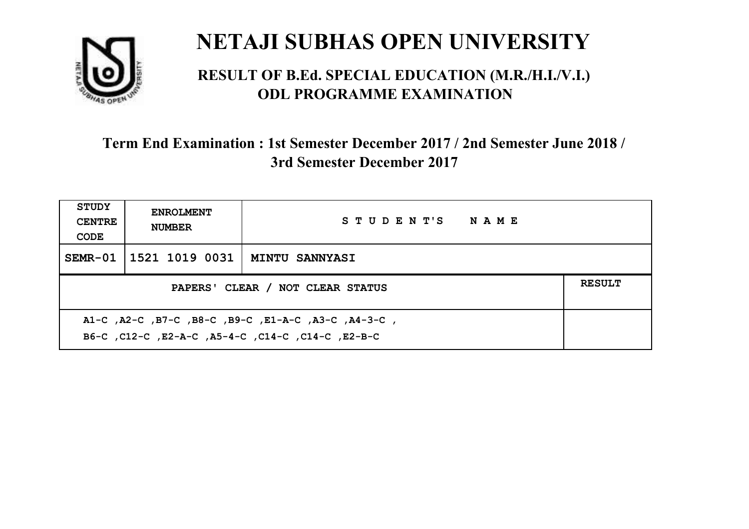

#### **RESULT OF B.Ed. SPECIAL EDUCATION (M.R./H.I./V.I.) ODL PROGRAMME EXAMINATION**

| <b>STUDY</b><br><b>CENTRE</b><br>CODE                                                                    | <b>ENROLMENT</b><br><b>NUMBER</b>         | STUDENT'S NAME |  |  |
|----------------------------------------------------------------------------------------------------------|-------------------------------------------|----------------|--|--|
|                                                                                                          | SEMR-01   1521 1019 0031   MINTU SANNYASI |                |  |  |
| <b>RESULT</b><br>PAPERS' CLEAR / NOT CLEAR STATUS                                                        |                                           |                |  |  |
| A1-C, A2-C, B7-C, B8-C, B9-C, E1-A-C, A3-C, A4-3-C,<br>B6-C, C12-C, E2-A-C, A5-4-C, C14-C, C14-C, E2-B-C |                                           |                |  |  |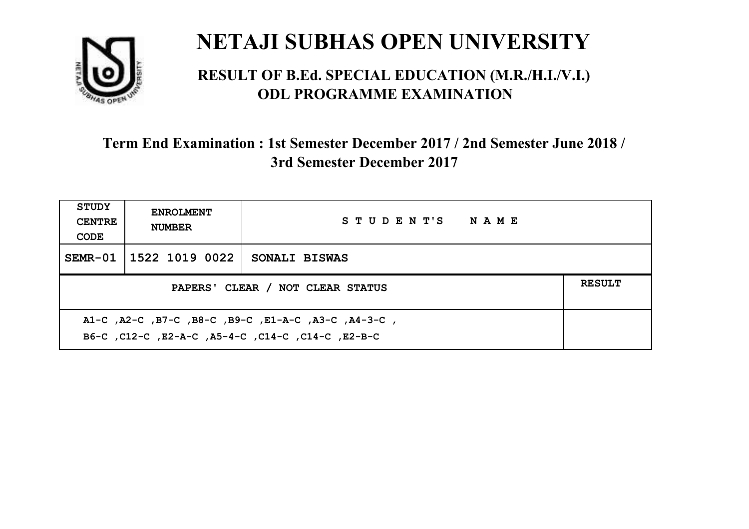

#### **RESULT OF B.Ed. SPECIAL EDUCATION (M.R./H.I./V.I.) ODL PROGRAMME EXAMINATION**

| <b>STUDY</b><br><b>CENTRE</b><br>CODE | <b>ENROLMENT</b><br><b>NUMBER</b>                                                                         | STUDENT'S NAME |  |  |  |
|---------------------------------------|-----------------------------------------------------------------------------------------------------------|----------------|--|--|--|
|                                       | SEMR-01   1522 1019 0022                                                                                  | SONALI BISWAS  |  |  |  |
|                                       | <b>RESULT</b><br>PAPERS' CLEAR / NOT CLEAR STATUS                                                         |                |  |  |  |
|                                       | A1-C, A2-C, B7-C, B8-C, B9-C, E1-A-C, A3-C, A4-3-C,<br>B6-C, C12-C, E2-A-C, A5-4-C, C14-C, C14-C, C12-B-C |                |  |  |  |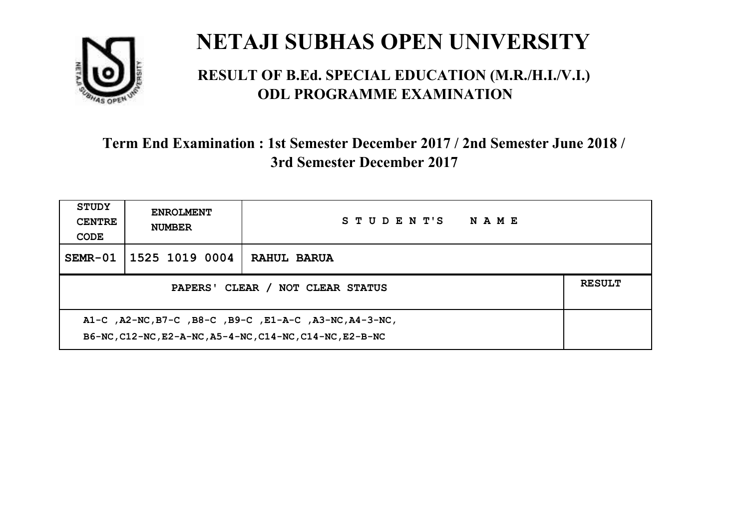

#### **RESULT OF B.Ed. SPECIAL EDUCATION (M.R./H.I./V.I.) ODL PROGRAMME EXAMINATION**

| <b>STUDY</b><br><b>CENTRE</b><br>CODE                                                                              | <b>ENROLMENT</b><br><b>NUMBER</b>                 | STUDENT'S<br><b>NAME</b> |  |  |  |
|--------------------------------------------------------------------------------------------------------------------|---------------------------------------------------|--------------------------|--|--|--|
| $SEMR-01$                                                                                                          | 1525 1019 0004                                    | RAHUL BARUA              |  |  |  |
|                                                                                                                    | <b>RESULT</b><br>PAPERS' CLEAR / NOT CLEAR STATUS |                          |  |  |  |
| A1-C, A2-NC, B7-C, B8-C, B9-C, E1-A-C, A3-NC, A4-3-NC,<br>B6-NC, C12-NC, E2-A-NC, A5-4-NC, C14-NC, C14-NC, E2-B-NC |                                                   |                          |  |  |  |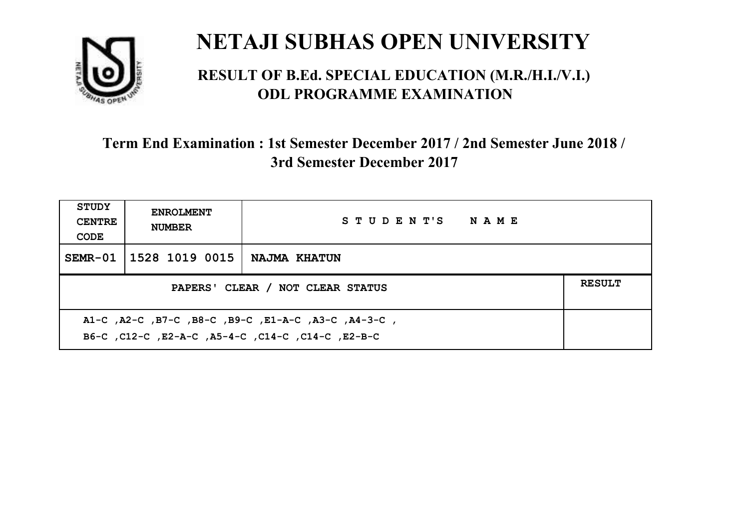

#### **RESULT OF B.Ed. SPECIAL EDUCATION (M.R./H.I./V.I.) ODL PROGRAMME EXAMINATION**

| <b>STUDY</b><br><b>CENTRE</b><br>CODE                                                                    | <b>ENROLMENT</b><br><b>NUMBER</b>                 | STUDENT'S NAME |  |  |  |
|----------------------------------------------------------------------------------------------------------|---------------------------------------------------|----------------|--|--|--|
|                                                                                                          | SEMR-01 1528 1019 0015                            | NAJMA KHATUN   |  |  |  |
|                                                                                                          | <b>RESULT</b><br>PAPERS' CLEAR / NOT CLEAR STATUS |                |  |  |  |
| A1-C, A2-C, B7-C, B8-C, B9-C, E1-A-C, A3-C, A4-3-C,<br>B6-C, C12-C, E2-A-C, A5-4-C, C14-C, C14-C, E2-B-C |                                                   |                |  |  |  |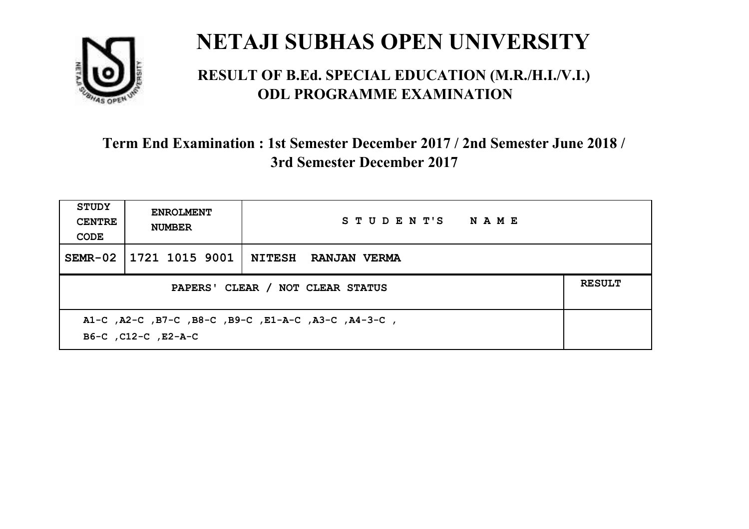

#### **RESULT OF B.Ed. SPECIAL EDUCATION (M.R./H.I./V.I.) ODL PROGRAMME EXAMINATION**

| <b>STUDY</b><br><b>CENTRE</b><br>CODE | <b>ENROLMENT</b><br><b>NUMBER</b>                                          | STUDENT'S NAME      |  |  |  |
|---------------------------------------|----------------------------------------------------------------------------|---------------------|--|--|--|
|                                       | SEMR-02   1721 1015 9001                                                   | NITESH RANJAN VERMA |  |  |  |
|                                       | <b>RESULT</b><br>PAPERS' CLEAR / NOT CLEAR STATUS                          |                     |  |  |  |
|                                       | A1-C, A2-C, B7-C, B8-C, B9-C, E1-A-C, A3-C, A4-3-C,<br>B6-C, C12-C, E2-A-C |                     |  |  |  |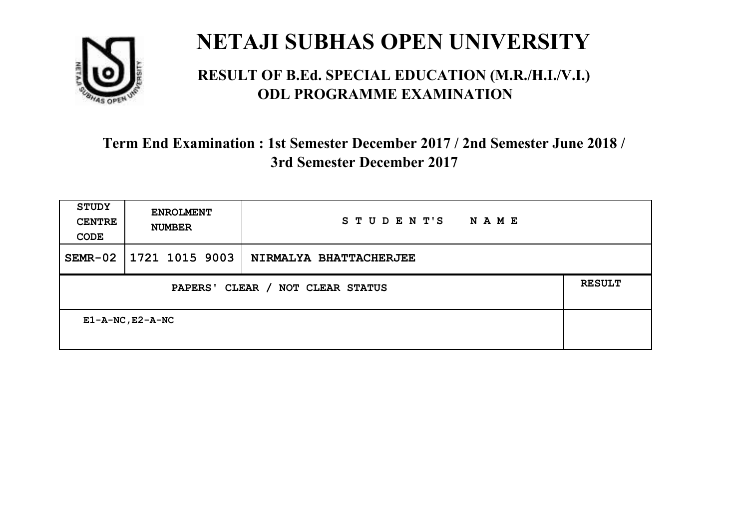

#### **RESULT OF B.Ed. SPECIAL EDUCATION (M.R./H.I./V.I.) ODL PROGRAMME EXAMINATION**

| <b>STUDY</b><br><b>CENTRE</b><br>CODE | <b>ENROLMENT</b><br><b>NUMBER</b>                           | STUDENT'S<br>NAME      |  |  |  |
|---------------------------------------|-------------------------------------------------------------|------------------------|--|--|--|
| $SEMR-02$                             | 1721 1015 9003                                              | NIRMALYA BHATTACHERJEE |  |  |  |
|                                       | <b>RESULT</b><br>CLEAR / NOT CLEAR STATUS<br><b>PAPERS'</b> |                        |  |  |  |
| $E1 - A - NC$ , $E2 - A - NC$         |                                                             |                        |  |  |  |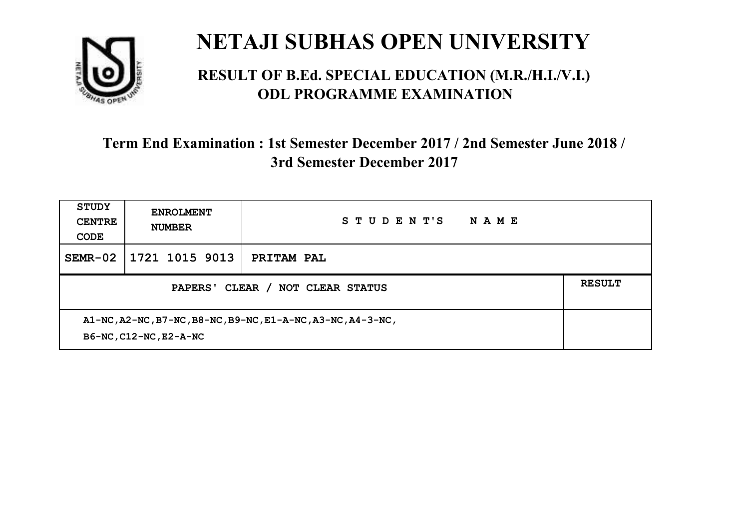

#### **RESULT OF B.Ed. SPECIAL EDUCATION (M.R./H.I./V.I.) ODL PROGRAMME EXAMINATION**

| <b>STUDY</b><br><b>CENTRE</b><br>CODE                                                 | <b>ENROLMENT</b><br><b>NUMBER</b> | STUDENT'S<br>NAME |  |
|---------------------------------------------------------------------------------------|-----------------------------------|-------------------|--|
| $SEMR-02$                                                                             | 1721 1015 9013                    | PRITAM PAL        |  |
| CLEAR /<br><b>PAPERS'</b><br>NOT CLEAR STATUS                                         |                                   |                   |  |
| A1-NC, A2-NC, B7-NC, B8-NC, B9-NC, E1-A-NC, A3-NC, A4-3-NC,<br>B6-NC, C12-NC, E2-A-NC |                                   |                   |  |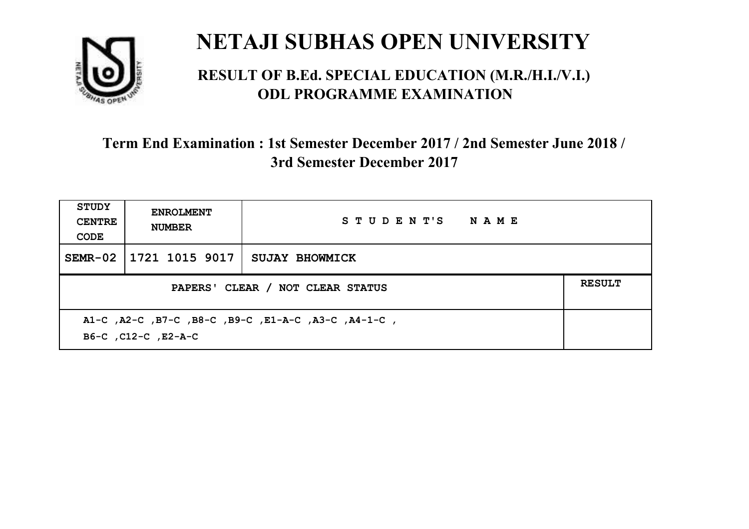

#### **RESULT OF B.Ed. SPECIAL EDUCATION (M.R./H.I./V.I.) ODL PROGRAMME EXAMINATION**

| <b>STUDY</b><br><b>CENTRE</b><br>CODE                                      | <b>ENROLMENT</b><br><b>NUMBER</b> | STUDENT'S NAME        |  |  |
|----------------------------------------------------------------------------|-----------------------------------|-----------------------|--|--|
|                                                                            | SEMR-02   1721 1015 9017          | <b>SUJAY BHOWMICK</b> |  |  |
| <b>RESULT</b><br>PAPERS' CLEAR / NOT CLEAR STATUS                          |                                   |                       |  |  |
| A1-C, A2-C, B7-C, B8-C, B9-C, E1-A-C, A3-C, A4-1-C,<br>B6-C, C12-C, E2-A-C |                                   |                       |  |  |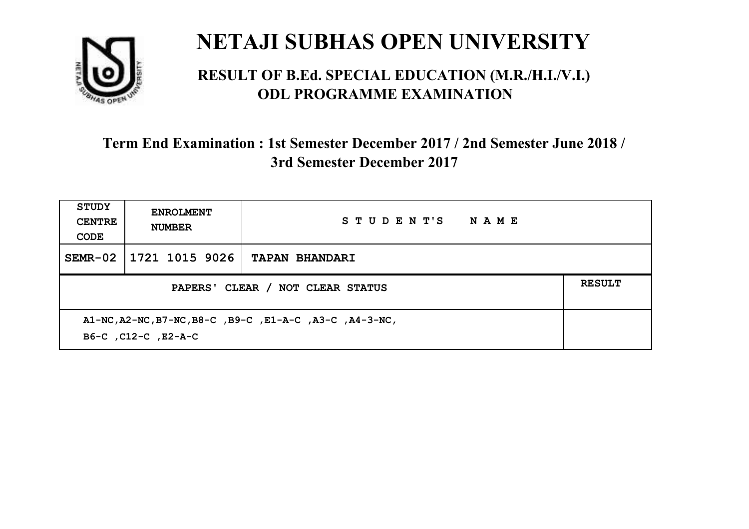

#### **RESULT OF B.Ed. SPECIAL EDUCATION (M.R./H.I./V.I.) ODL PROGRAMME EXAMINATION**

| <b>STUDY</b><br><b>CENTRE</b><br>CODE                                          | <b>ENROLMENT</b><br><b>NUMBER</b> | STUDENT'S<br><b>NAME</b> |  |
|--------------------------------------------------------------------------------|-----------------------------------|--------------------------|--|
| $SEMR-02$                                                                      | 1721 1015 9026                    | <b>TAPAN BHANDARI</b>    |  |
| <b>RESULT</b><br>PAPERS' CLEAR / NOT CLEAR STATUS                              |                                   |                          |  |
| A1-NC, A2-NC, B7-NC, B8-C, B9-C, E1-A-C, A3-C, A4-3-NC,<br>B6-C, C12-C, E2-A-C |                                   |                          |  |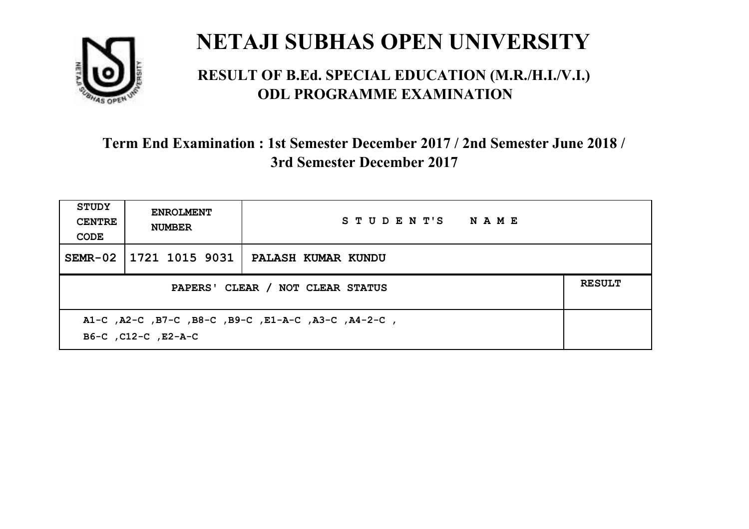

#### **RESULT OF B.Ed. SPECIAL EDUCATION (M.R./H.I./V.I.) ODL PROGRAMME EXAMINATION**

| <b>STUDY</b><br><b>CENTRE</b><br>CODE | <b>ENROLMENT</b><br><b>NUMBER</b>                                          | STUDENT'S NAME     |  |  |  |
|---------------------------------------|----------------------------------------------------------------------------|--------------------|--|--|--|
| $SEMR-02$                             | 1721 1015 9031                                                             | PALASH KUMAR KUNDU |  |  |  |
|                                       | <b>RESULT</b><br>PAPERS' CLEAR / NOT CLEAR STATUS                          |                    |  |  |  |
|                                       | A1-C, A2-C, B7-C, B8-C, B9-C, E1-A-C, A3-C, A4-2-C,<br>B6-C, C12-C, E2-A-C |                    |  |  |  |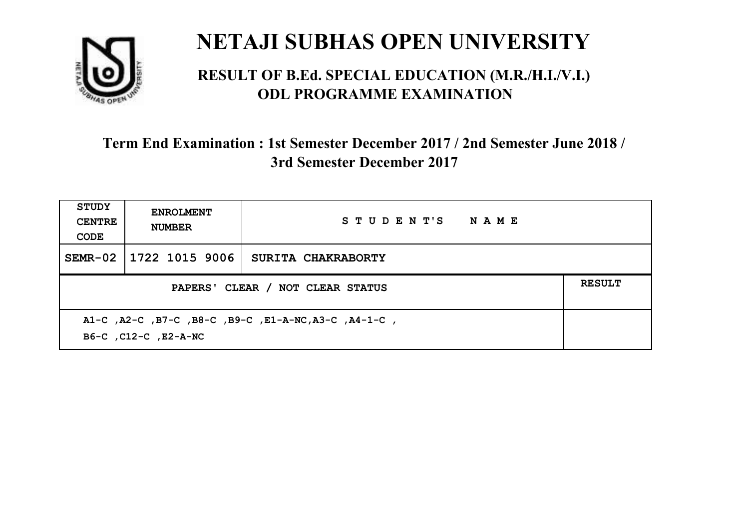

#### **RESULT OF B.Ed. SPECIAL EDUCATION (M.R./H.I./V.I.) ODL PROGRAMME EXAMINATION**

| <b>STUDY</b><br><b>CENTRE</b><br>CODE                                        | <b>ENROLMENT</b><br><b>NUMBER</b> | STUDENT'S NAME     |  |  |
|------------------------------------------------------------------------------|-----------------------------------|--------------------|--|--|
| $SEMR-02$                                                                    | 1722 1015 9006                    | SURITA CHAKRABORTY |  |  |
| <b>RESULT</b><br>PAPERS' CLEAR / NOT CLEAR STATUS                            |                                   |                    |  |  |
| A1-C, A2-C, B7-C, B8-C, B9-C, E1-A-NC, A3-C, A4-1-C,<br>B6-C, C12-C, E2-A-NC |                                   |                    |  |  |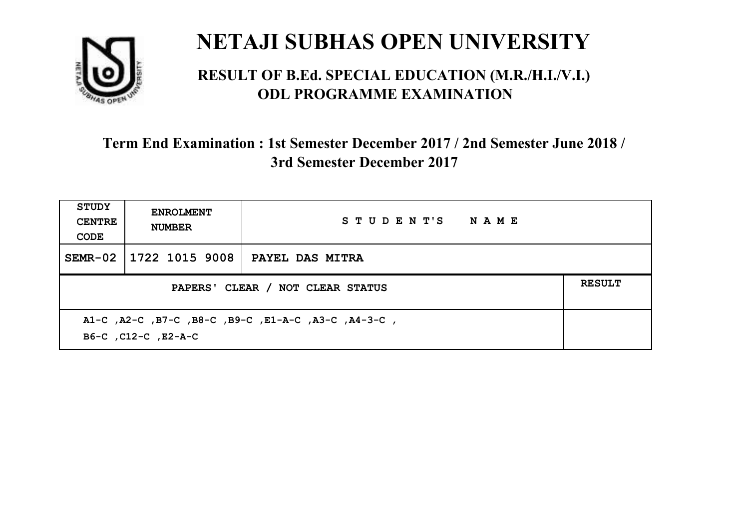

#### **RESULT OF B.Ed. SPECIAL EDUCATION (M.R./H.I./V.I.) ODL PROGRAMME EXAMINATION**

| STUDY<br><b>CENTRE</b><br>CODE                                             | <b>ENROLMENT</b><br><b>NUMBER</b> | STUDENT'S NAME         |  |  |
|----------------------------------------------------------------------------|-----------------------------------|------------------------|--|--|
| $SEMR-02$                                                                  | 1722 1015 9008                    | <b>PAYEL DAS MITRA</b> |  |  |
| <b>RESULT</b><br>PAPERS' CLEAR / NOT CLEAR STATUS                          |                                   |                        |  |  |
| A1-C, A2-C, B7-C, B8-C, B9-C, E1-A-C, A3-C, A4-3-C,<br>B6-C, C12-C, E2-A-C |                                   |                        |  |  |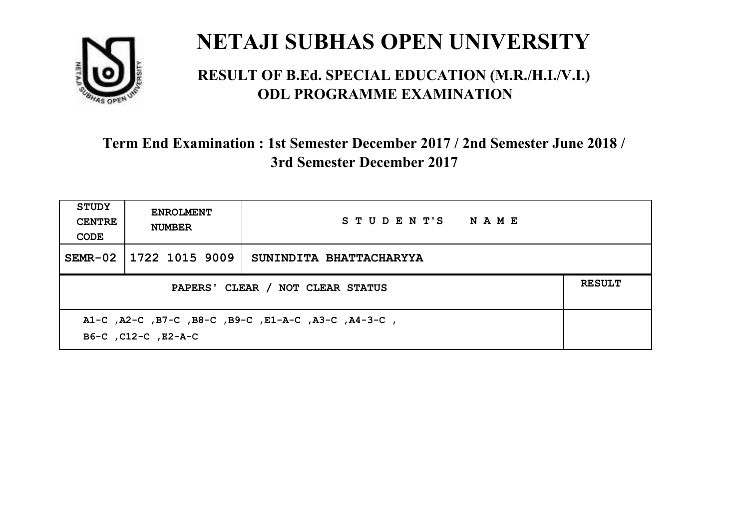

#### **RESULT OF B.Ed. SPECIAL EDUCATION (M.R./H.I./V.I.) ODL PROGRAMME EXAMINATION**

| <b>STUDY</b><br><b>CENTRE</b><br>CODE                                      | <b>ENROLMENT</b><br><b>NUMBER</b> | STUDENT'S NAME          |  |
|----------------------------------------------------------------------------|-----------------------------------|-------------------------|--|
| $SEMR-02$                                                                  | 1722 1015 9009                    | SUNINDITA BHATTACHARYYA |  |
| <b>RESULT</b><br>PAPERS' CLEAR / NOT CLEAR STATUS                          |                                   |                         |  |
| A1-C, A2-C, B7-C, B8-C, B9-C, E1-A-C, A3-C, A4-3-C,<br>B6-C, C12-C, E2-A-C |                                   |                         |  |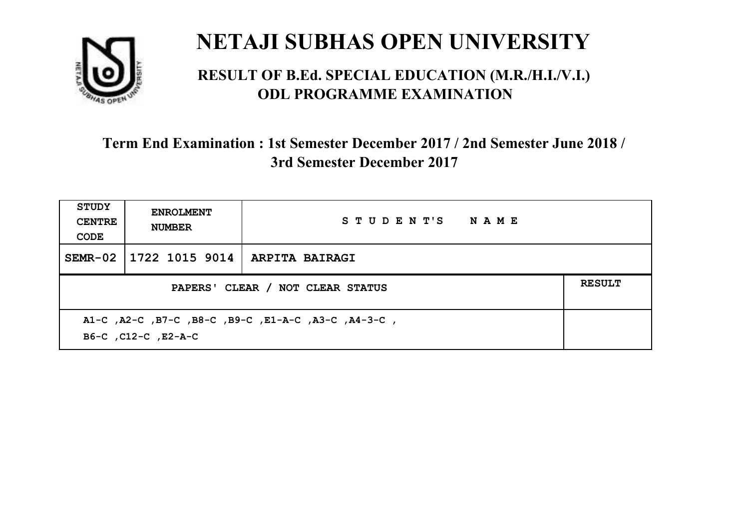

#### **RESULT OF B.Ed. SPECIAL EDUCATION (M.R./H.I./V.I.) ODL PROGRAMME EXAMINATION**

| <b>STUDY</b><br><b>CENTRE</b><br>CODE | <b>ENROLMENT</b><br><b>NUMBER</b>                                          | STUDENT'S NAME |  |  |  |
|---------------------------------------|----------------------------------------------------------------------------|----------------|--|--|--|
| SEMR-02                               | 1722 1015 9014   ARPITA BAIRAGI                                            |                |  |  |  |
|                                       | <b>RESULT</b><br>PAPERS' CLEAR / NOT CLEAR STATUS                          |                |  |  |  |
|                                       | A1-C, A2-C, B7-C, B8-C, B9-C, E1-A-C, A3-C, A4-3-C,<br>B6-C, C12-C, E2-A-C |                |  |  |  |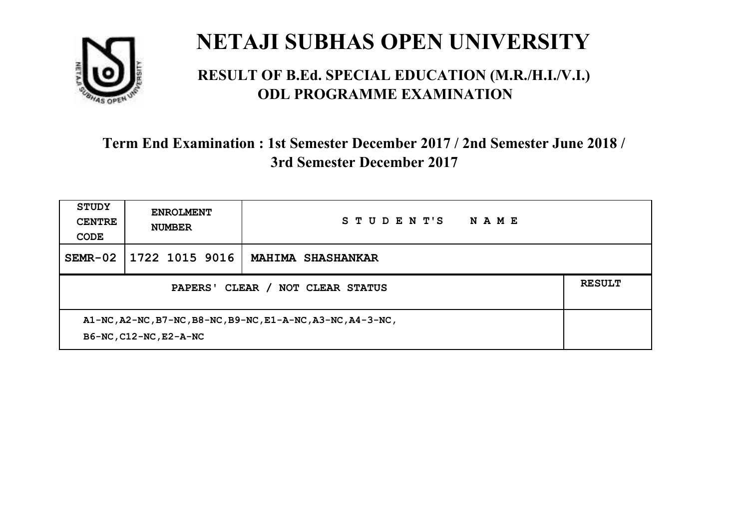

#### **RESULT OF B.Ed. SPECIAL EDUCATION (M.R./H.I./V.I.) ODL PROGRAMME EXAMINATION**

| <b>STUDY</b><br><b>CENTRE</b><br>CODE                                                 | <b>ENROLMENT</b><br><b>NUMBER</b> | STUDENT'S<br>NAME        |  |
|---------------------------------------------------------------------------------------|-----------------------------------|--------------------------|--|
| $SEMR-02$                                                                             | 1722 1015 9016                    | <b>MAHIMA SHASHANKAR</b> |  |
| CLEAR /<br>PAPERS'<br><b>NOT CLEAR STATUS</b>                                         |                                   |                          |  |
| A1-NC, A2-NC, B7-NC, B8-NC, B9-NC, E1-A-NC, A3-NC, A4-3-NC,<br>B6-NC, C12-NC, E2-A-NC |                                   |                          |  |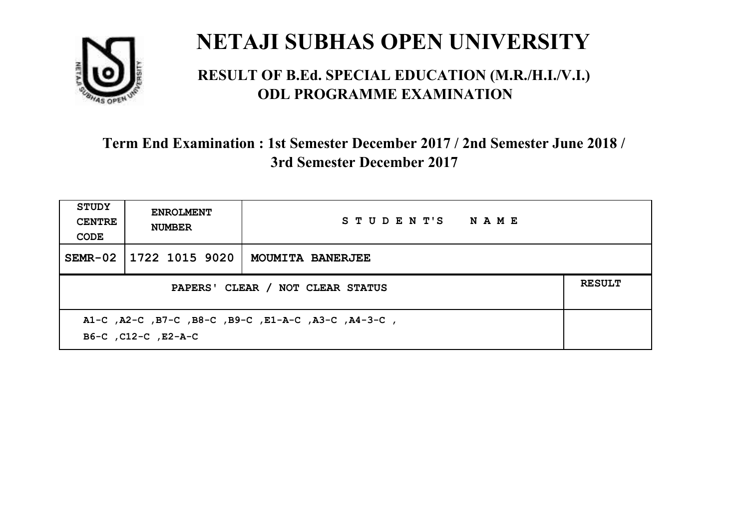

#### **RESULT OF B.Ed. SPECIAL EDUCATION (M.R./H.I./V.I.) ODL PROGRAMME EXAMINATION**

| <b>STUDY</b><br><b>CENTRE</b><br>CODE                                      | <b>ENROLMENT</b><br><b>NUMBER</b>                 | STUDENT'S NAME   |  |  |
|----------------------------------------------------------------------------|---------------------------------------------------|------------------|--|--|
| $SEMR-02$                                                                  | 1722 1015 9020                                    | MOUMITA BANERJEE |  |  |
|                                                                            | <b>RESULT</b><br>PAPERS' CLEAR / NOT CLEAR STATUS |                  |  |  |
| A1-C, A2-C, B7-C, B8-C, B9-C, E1-A-C, A3-C, A4-3-C,<br>B6-C, C12-C, E2-A-C |                                                   |                  |  |  |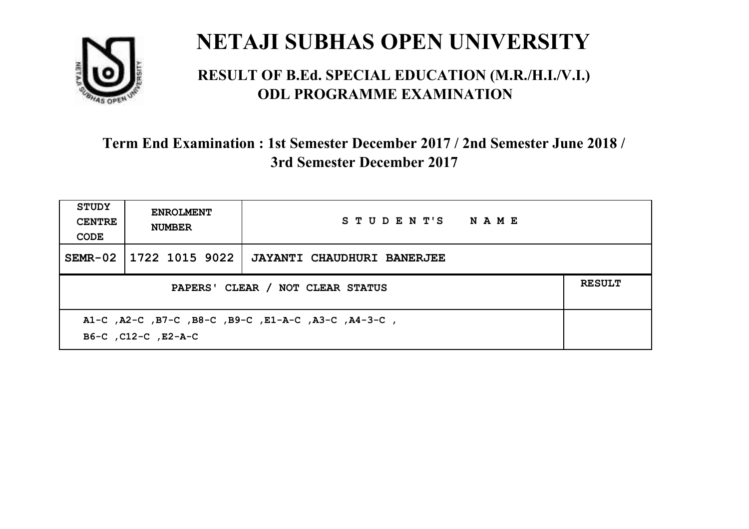

#### **RESULT OF B.Ed. SPECIAL EDUCATION (M.R./H.I./V.I.) ODL PROGRAMME EXAMINATION**

| <b>STUDY</b><br><b>CENTRE</b><br>CODE                                      | <b>ENROLMENT</b><br><b>NUMBER</b> | STUDENT'S NAME             |  |  |
|----------------------------------------------------------------------------|-----------------------------------|----------------------------|--|--|
|                                                                            | SEMR-02 1722 1015 9022            | JAYANTI CHAUDHURI BANERJEE |  |  |
| <b>RESULT</b><br>PAPERS' CLEAR / NOT CLEAR STATUS                          |                                   |                            |  |  |
| A1-C, A2-C, B7-C, B8-C, B9-C, E1-A-C, A3-C, A4-3-C,<br>B6-C, C12-C, E2-A-C |                                   |                            |  |  |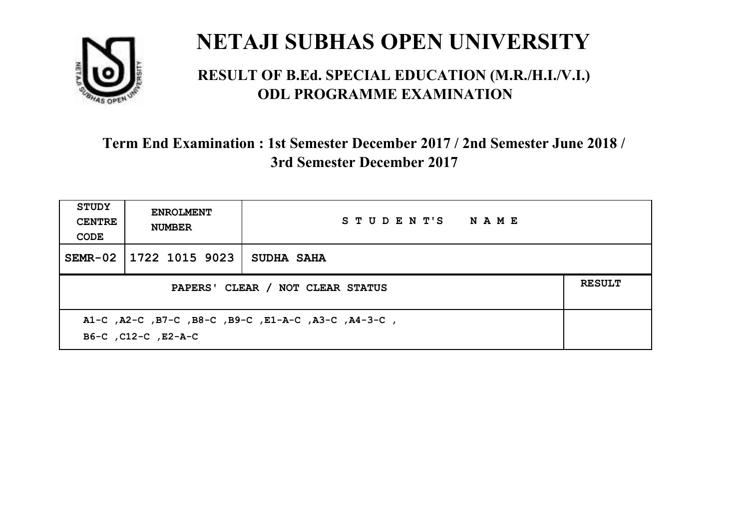

#### **RESULT OF B.Ed. SPECIAL EDUCATION (M.R./H.I./V.I.) ODL PROGRAMME EXAMINATION**

| <b>STUDY</b><br><b>CENTRE</b><br>CODE                                      | <b>ENROLMENT</b><br><b>NUMBER</b>                 | STUDENT'S NAME    |  |  |  |
|----------------------------------------------------------------------------|---------------------------------------------------|-------------------|--|--|--|
| SEMR-02                                                                    | 1722 1015 9023                                    | <b>SUDHA SAHA</b> |  |  |  |
|                                                                            | <b>RESULT</b><br>PAPERS' CLEAR / NOT CLEAR STATUS |                   |  |  |  |
| A1-C, A2-C, B7-C, B8-C, B9-C, E1-A-C, A3-C, A4-3-C,<br>B6-C, C12-C, E2-A-C |                                                   |                   |  |  |  |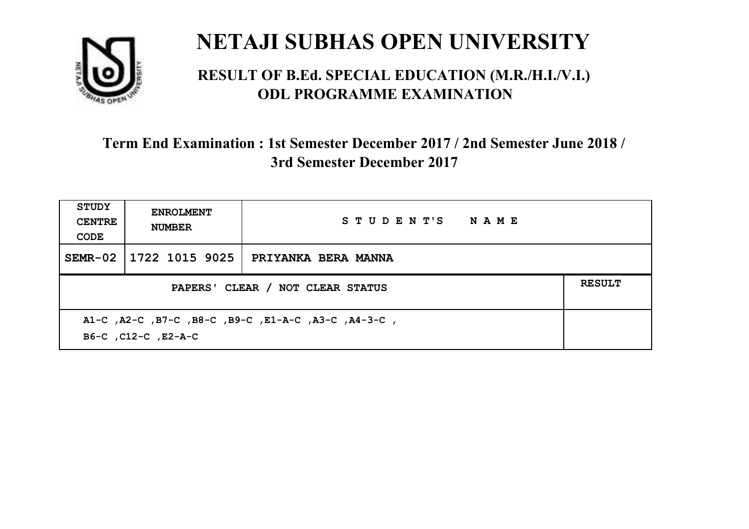

#### **RESULT OF B.Ed. SPECIAL EDUCATION (M.R./H.I./V.I.) ODL PROGRAMME EXAMINATION**

| <b>STUDY</b><br><b>CENTRE</b><br>CODE                                      | <b>ENROLMENT</b><br><b>NUMBER</b> | STUDENT'S NAME      |  |
|----------------------------------------------------------------------------|-----------------------------------|---------------------|--|
|                                                                            | SEMR-02   1722 1015 9025          | PRIYANKA BERA MANNA |  |
| PAPERS' CLEAR / NOT CLEAR STATUS                                           |                                   |                     |  |
| A1-C, A2-C, B7-C, B8-C, B9-C, E1-A-C, A3-C, A4-3-C,<br>B6-C, C12-C, E2-A-C |                                   |                     |  |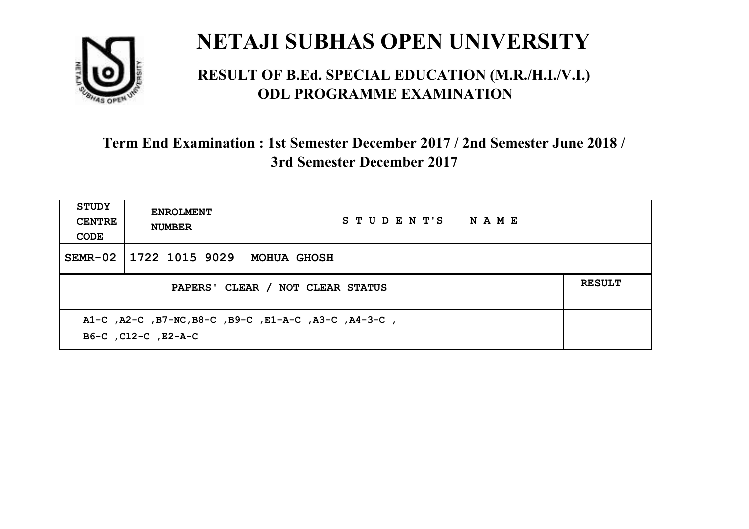

#### **RESULT OF B.Ed. SPECIAL EDUCATION (M.R./H.I./V.I.) ODL PROGRAMME EXAMINATION**

| <b>STUDY</b><br><b>CENTRE</b><br>CODE | <b>ENROLMENT</b><br><b>NUMBER</b>                                           | STUDENT'S NAME     |  |  |  |
|---------------------------------------|-----------------------------------------------------------------------------|--------------------|--|--|--|
|                                       | SEMR-02 1722 1015 9029                                                      | <b>MOHUA GHOSH</b> |  |  |  |
|                                       | <b>RESULT</b><br>PAPERS' CLEAR / NOT CLEAR STATUS                           |                    |  |  |  |
|                                       | A1-C, A2-C, B7-NC, B8-C, B9-C, E1-A-C, A3-C, A4-3-C,<br>B6-C, C12-C, E2-A-C |                    |  |  |  |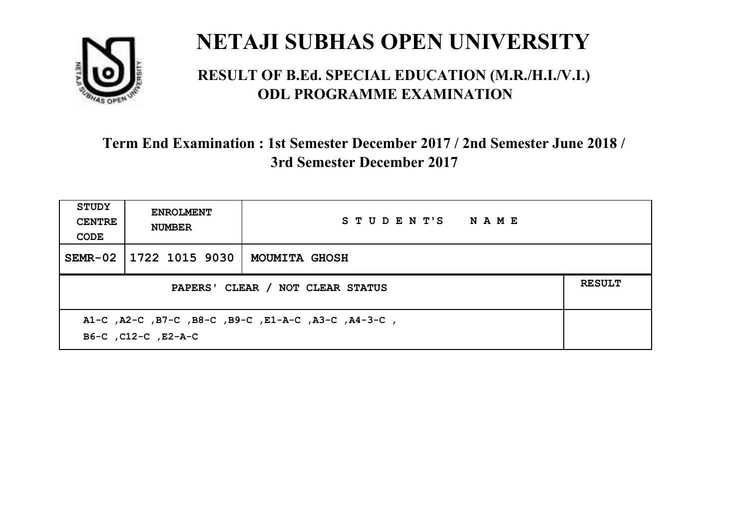

#### **RESULT OF B.Ed. SPECIAL EDUCATION (M.R./H.I./V.I.) ODL PROGRAMME EXAMINATION**

| <b>STUDY</b><br><b>CENTRE</b><br>CODE                                      | <b>ENROLMENT</b><br><b>NUMBER</b> | STUDENT'S NAME       |  |  |
|----------------------------------------------------------------------------|-----------------------------------|----------------------|--|--|
|                                                                            | SEMR-02   1722 1015 9030          | <b>MOUMITA GHOSH</b> |  |  |
| PAPERS' CLEAR / NOT CLEAR STATUS                                           |                                   |                      |  |  |
| A1-C, A2-C, B7-C, B8-C, B9-C, E1-A-C, A3-C, A4-3-C,<br>B6-C, C12-C, E2-A-C |                                   |                      |  |  |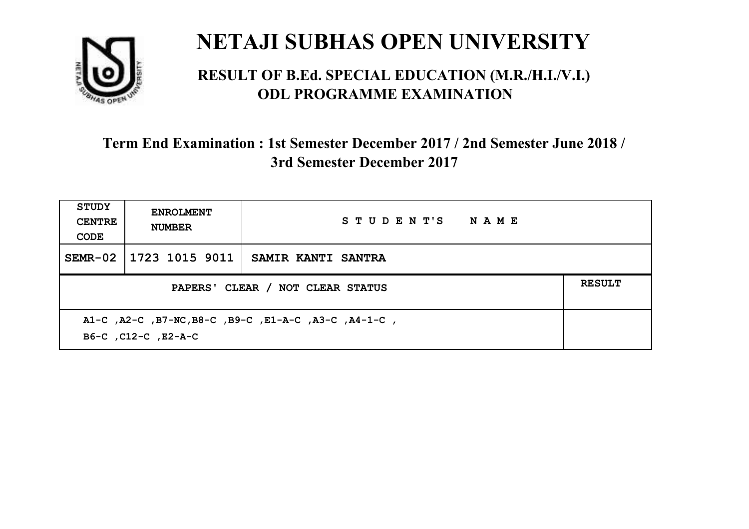

#### **RESULT OF B.Ed. SPECIAL EDUCATION (M.R./H.I./V.I.) ODL PROGRAMME EXAMINATION**

| <b>STUDY</b><br><b>CENTRE</b><br>CODE                                       | <b>ENROLMENT</b><br><b>NUMBER</b> | STUDENT'S NAME            |  |
|-----------------------------------------------------------------------------|-----------------------------------|---------------------------|--|
| $SEMR-02$                                                                   | 1723 1015 9011                    | <b>SAMIR KANTI SANTRA</b> |  |
| PAPERS' CLEAR / NOT CLEAR STATUS                                            |                                   |                           |  |
| A1-C, A2-C, B7-NC, B8-C, B9-C, E1-A-C, A3-C, A4-1-C,<br>B6-C, C12-C, E2-A-C |                                   |                           |  |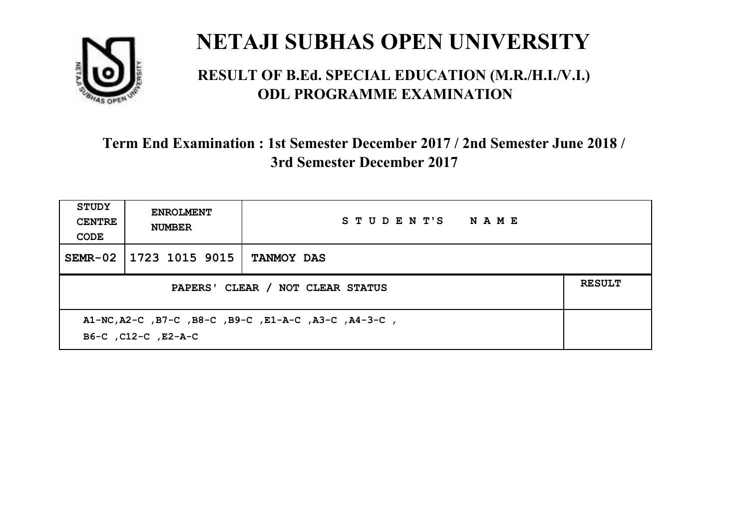

#### **RESULT OF B.Ed. SPECIAL EDUCATION (M.R./H.I./V.I.) ODL PROGRAMME EXAMINATION**

| <b>STUDY</b><br><b>CENTRE</b><br>CODE                                       | <b>ENROLMENT</b><br><b>NUMBER</b> | STUDENT'S NAME    |  |
|-----------------------------------------------------------------------------|-----------------------------------|-------------------|--|
|                                                                             | SEMR-02   1723 1015 9015          | <b>TANMOY DAS</b> |  |
| <b>RESULT</b><br>PAPERS' CLEAR / NOT CLEAR STATUS                           |                                   |                   |  |
| A1-NC, A2-C, B7-C, B8-C, B9-C, E1-A-C, A3-C, A4-3-C,<br>B6-C, C12-C, E2-A-C |                                   |                   |  |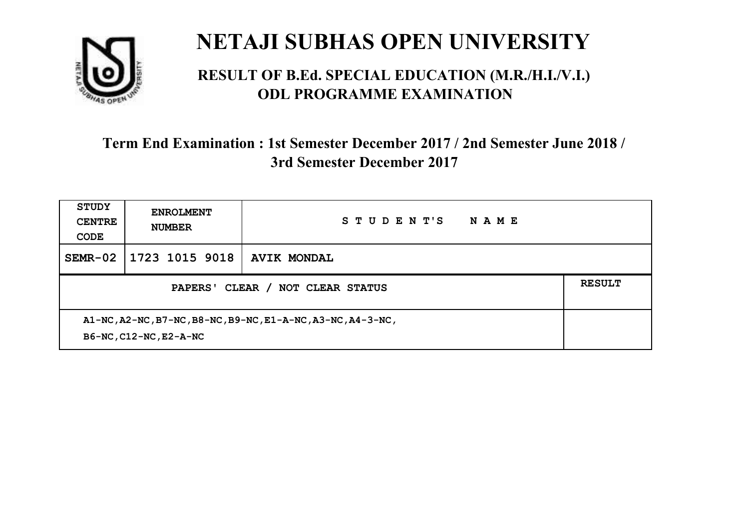

#### **RESULT OF B.Ed. SPECIAL EDUCATION (M.R./H.I./V.I.) ODL PROGRAMME EXAMINATION**

| <b>STUDY</b><br><b>CENTRE</b><br>CODE                                                 | <b>ENROLMENT</b><br><b>NUMBER</b> | STUDENT'S<br>NAME  |               |
|---------------------------------------------------------------------------------------|-----------------------------------|--------------------|---------------|
| $SEMR-02$                                                                             | 1723 1015 9018                    | <b>AVIK MONDAL</b> |               |
| CLEAR /<br>NOT CLEAR STATUS<br>PAPERS'                                                |                                   |                    | <b>RESULT</b> |
| A1-NC, A2-NC, B7-NC, B8-NC, B9-NC, E1-A-NC, A3-NC, A4-3-NC,<br>B6-NC, C12-NC, E2-A-NC |                                   |                    |               |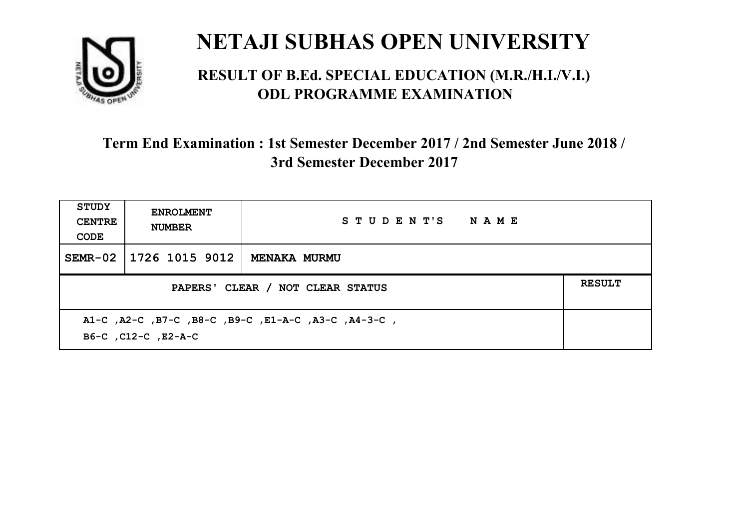

#### **RESULT OF B.Ed. SPECIAL EDUCATION (M.R./H.I./V.I.) ODL PROGRAMME EXAMINATION**

| STUDY<br><b>CENTRE</b><br>CODE                                             | <b>ENROLMENT</b><br><b>NUMBER</b>                 | STUDENT'S NAME |  |  |  |
|----------------------------------------------------------------------------|---------------------------------------------------|----------------|--|--|--|
| SEMR-02                                                                    | 1726 1015 9012                                    | MENAKA MURMU   |  |  |  |
|                                                                            | <b>RESULT</b><br>PAPERS' CLEAR / NOT CLEAR STATUS |                |  |  |  |
| A1-C, A2-C, B7-C, B8-C, B9-C, E1-A-C, A3-C, A4-3-C,<br>B6-C, C12-C, E2-A-C |                                                   |                |  |  |  |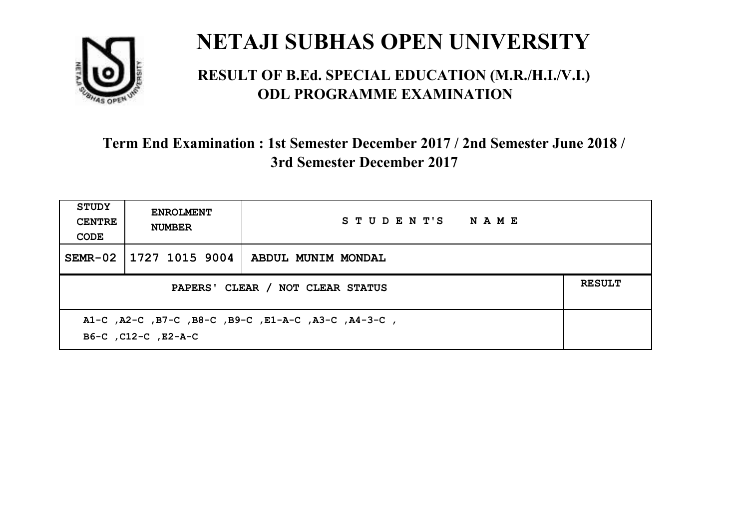

#### **RESULT OF B.Ed. SPECIAL EDUCATION (M.R./H.I./V.I.) ODL PROGRAMME EXAMINATION**

| <b>STUDY</b><br><b>CENTRE</b><br>CODE                                      | <b>ENROLMENT</b><br><b>NUMBER</b> | STUDENT'S NAME     |  |  |
|----------------------------------------------------------------------------|-----------------------------------|--------------------|--|--|
|                                                                            | SEMR-02   1727 1015 9004          | ABDUL MUNIM MONDAL |  |  |
| PAPERS' CLEAR / NOT CLEAR STATUS                                           |                                   |                    |  |  |
| A1-C, A2-C, B7-C, B8-C, B9-C, E1-A-C, A3-C, A4-3-C,<br>B6-C, C12-C, E2-A-C |                                   |                    |  |  |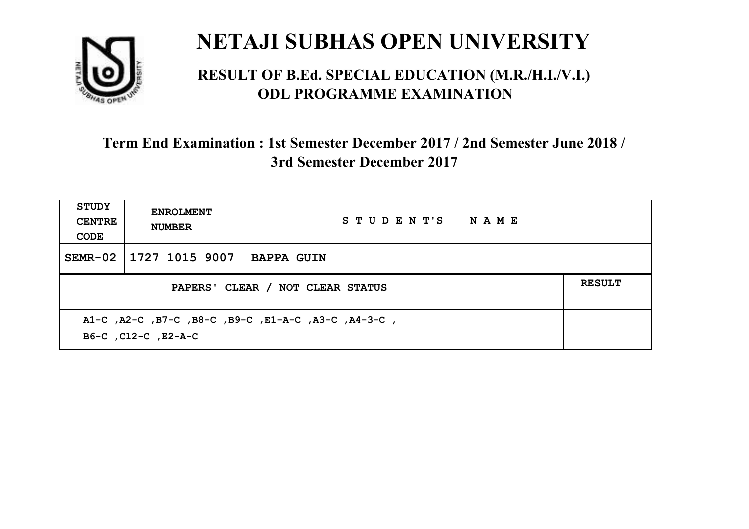

#### **RESULT OF B.Ed. SPECIAL EDUCATION (M.R./H.I./V.I.) ODL PROGRAMME EXAMINATION**

| <b>STUDY</b><br><b>CENTRE</b><br>CODE                                      | <b>ENROLMENT</b><br><b>NUMBER</b> | STUDENT'S NAME    |  |
|----------------------------------------------------------------------------|-----------------------------------|-------------------|--|
| SEMR-02                                                                    | 1727 1015 9007                    | <b>BAPPA GUIN</b> |  |
| <b>RESULT</b><br>PAPERS' CLEAR / NOT CLEAR STATUS                          |                                   |                   |  |
| A1-C, A2-C, B7-C, B8-C, B9-C, E1-A-C, A3-C, A4-3-C,<br>B6-C, C12-C, E2-A-C |                                   |                   |  |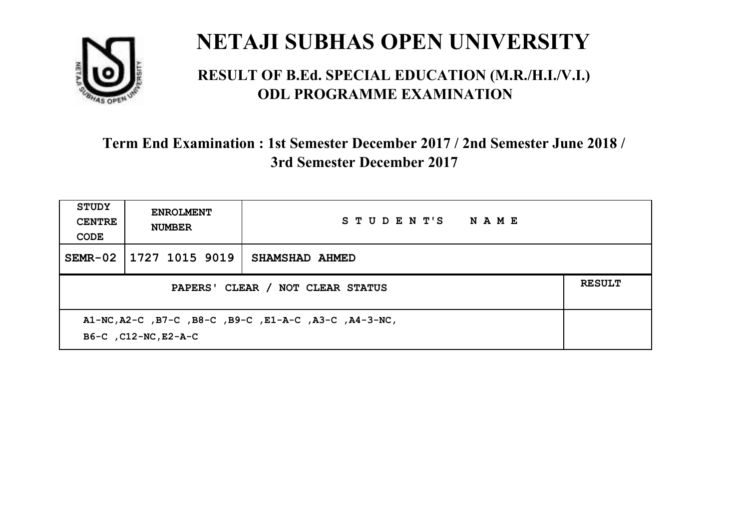

#### **RESULT OF B.Ed. SPECIAL EDUCATION (M.R./H.I./V.I.) ODL PROGRAMME EXAMINATION**

| <b>STUDY</b><br><b>CENTRE</b><br>CODE                                         | <b>ENROLMENT</b><br><b>NUMBER</b> | STUDENT'S NAME |               |
|-------------------------------------------------------------------------------|-----------------------------------|----------------|---------------|
| SEMR-02                                                                       | 1727 1015 9019                    | SHAMSHAD AHMED |               |
| PAPERS' CLEAR / NOT CLEAR STATUS                                              |                                   |                | <b>RESULT</b> |
| A1-NC, A2-C, B7-C, B8-C, B9-C, E1-A-C, A3-C, A4-3-NC,<br>B6-C, C12-NC, E2-A-C |                                   |                |               |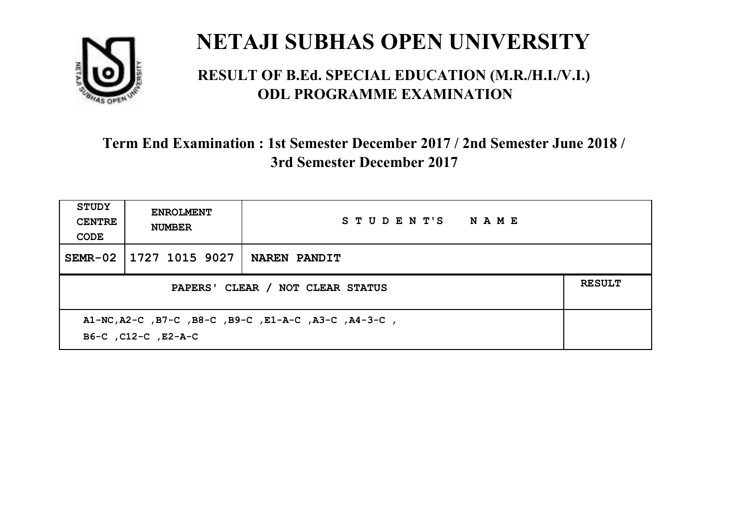

#### **RESULT OF B.Ed. SPECIAL EDUCATION (M.R./H.I./V.I.) ODL PROGRAMME EXAMINATION**

| <b>STUDY</b><br><b>CENTRE</b><br>CODE                                       | <b>ENROLMENT</b><br><b>NUMBER</b> | STUDENT'S NAME      |  |
|-----------------------------------------------------------------------------|-----------------------------------|---------------------|--|
| SEMR-02                                                                     | 1727 1015 9027                    | <b>NAREN PANDIT</b> |  |
| PAPERS' CLEAR / NOT CLEAR STATUS                                            |                                   |                     |  |
| A1-NC, A2-C, B7-C, B8-C, B9-C, E1-A-C, A3-C, A4-3-C,<br>B6-C, C12-C, E2-A-C |                                   |                     |  |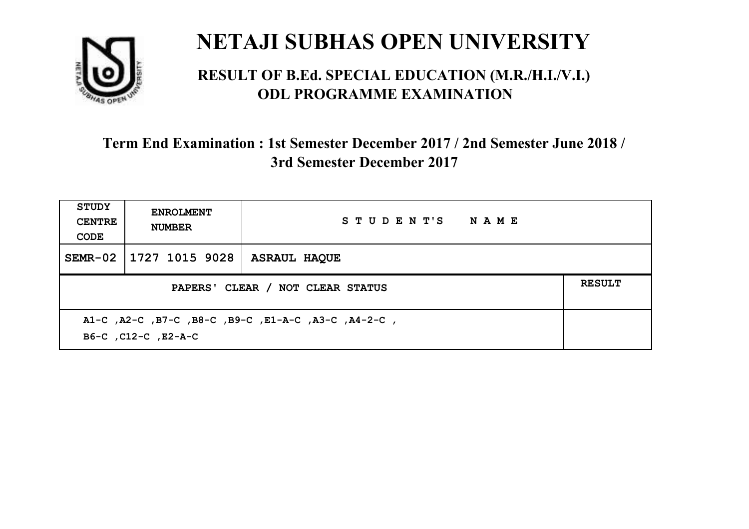

#### **RESULT OF B.Ed. SPECIAL EDUCATION (M.R./H.I./V.I.) ODL PROGRAMME EXAMINATION**

| <b>STUDY</b><br><b>CENTRE</b><br>CODE | <b>ENROLMENT</b><br><b>NUMBER</b>                                          | STUDENT'S NAME      |  |  |  |
|---------------------------------------|----------------------------------------------------------------------------|---------------------|--|--|--|
|                                       | SEMR-02   1727 1015 9028                                                   | <b>ASRAUL HAQUE</b> |  |  |  |
|                                       | <b>RESULT</b><br>PAPERS' CLEAR / NOT CLEAR STATUS                          |                     |  |  |  |
|                                       | A1-C, A2-C, B7-C, B8-C, B9-C, E1-A-C, A3-C, A4-2-C,<br>B6-C, C12-C, E2-A-C |                     |  |  |  |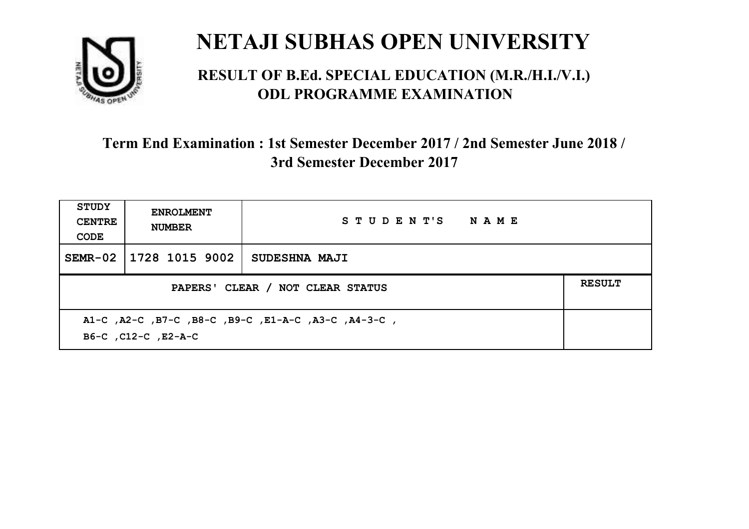

#### **RESULT OF B.Ed. SPECIAL EDUCATION (M.R./H.I./V.I.) ODL PROGRAMME EXAMINATION**

| <b>STUDY</b><br><b>CENTRE</b><br>CODE | <b>ENROLMENT</b><br><b>NUMBER</b>                                          | STUDENT'S NAME       |  |  |  |
|---------------------------------------|----------------------------------------------------------------------------|----------------------|--|--|--|
|                                       | SEMR-02 1728 1015 9002                                                     | <b>SUDESHNA MAJI</b> |  |  |  |
|                                       | <b>RESULT</b><br>PAPERS' CLEAR / NOT CLEAR STATUS                          |                      |  |  |  |
|                                       | A1-C, A2-C, B7-C, B8-C, B9-C, E1-A-C, A3-C, A4-3-C,<br>B6-C, C12-C, E2-A-C |                      |  |  |  |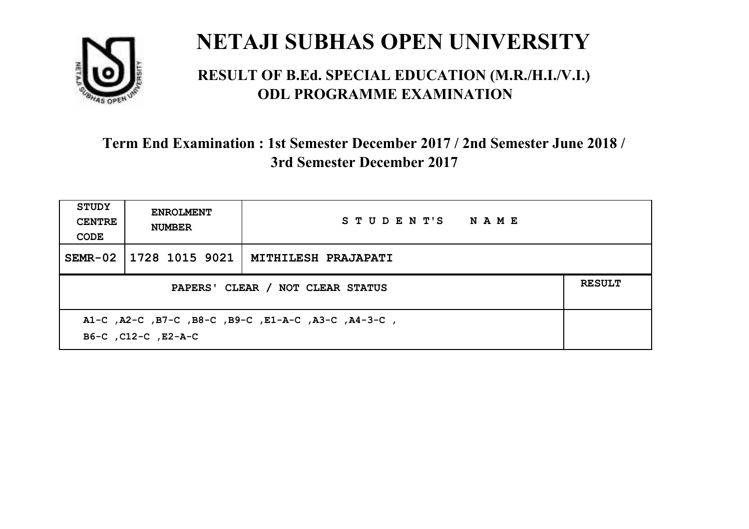

#### **RESULT OF B.Ed. SPECIAL EDUCATION (M.R./H.I./V.I.) ODL PROGRAMME EXAMINATION**

| <b>STUDY</b><br><b>CENTRE</b><br>CODE                                      | <b>ENROLMENT</b><br><b>NUMBER</b>                 | STUDENT'S NAME      |  |  |  |
|----------------------------------------------------------------------------|---------------------------------------------------|---------------------|--|--|--|
|                                                                            | SEMR-02   1728 1015 9021                          | MITHILESH PRAJAPATI |  |  |  |
|                                                                            | <b>RESULT</b><br>PAPERS' CLEAR / NOT CLEAR STATUS |                     |  |  |  |
| A1-C, A2-C, B7-C, B8-C, B9-C, E1-A-C, A3-C, A4-3-C,<br>B6-C, C12-C, E2-A-C |                                                   |                     |  |  |  |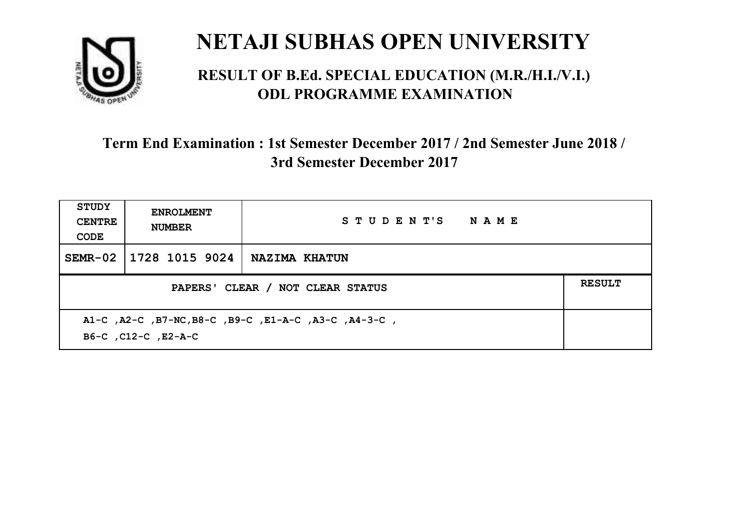

#### **RESULT OF B.Ed. SPECIAL EDUCATION (M.R./H.I./V.I.) ODL PROGRAMME EXAMINATION**

| <b>STUDY</b><br><b>CENTRE</b><br>CODE | <b>ENROLMENT</b><br><b>NUMBER</b>                                           | STUDENT'S NAME       |  |  |  |
|---------------------------------------|-----------------------------------------------------------------------------|----------------------|--|--|--|
| $SEMR-02$                             | 1728 1015 9024                                                              | <b>NAZIMA KHATUN</b> |  |  |  |
|                                       | <b>RESULT</b><br>PAPERS' CLEAR / NOT CLEAR STATUS                           |                      |  |  |  |
|                                       | A1-C, A2-C, B7-NC, B8-C, B9-C, E1-A-C, A3-C, A4-3-C,<br>B6-C, C12-C, E2-A-C |                      |  |  |  |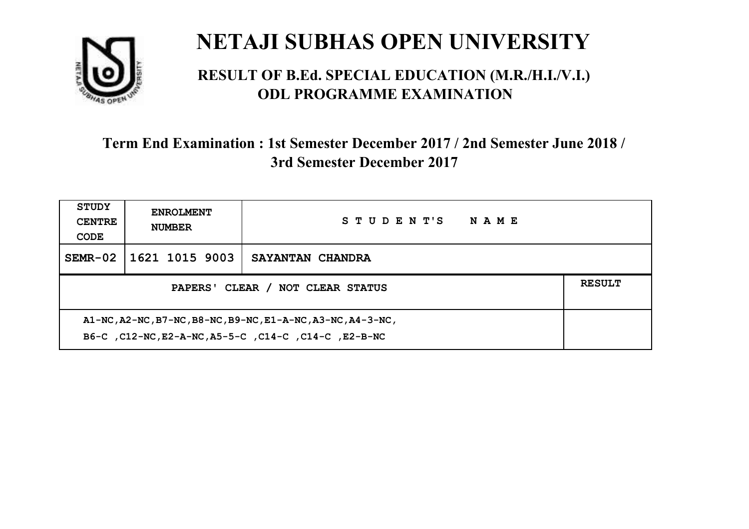

#### **RESULT OF B.Ed. SPECIAL EDUCATION (M.R./H.I./V.I.) ODL PROGRAMME EXAMINATION**

| <b>STUDY</b><br><b>CENTRE</b><br>CODE                                                                               | <b>ENROLMENT</b><br><b>NUMBER</b> | STUDENT'S<br><b>NAME</b> |  |
|---------------------------------------------------------------------------------------------------------------------|-----------------------------------|--------------------------|--|
| $SEMR-02$                                                                                                           | 1621 1015 9003                    | SAYANTAN CHANDRA         |  |
| <b>RESULT</b><br>PAPERS' CLEAR / NOT CLEAR STATUS                                                                   |                                   |                          |  |
| A1-NC, A2-NC, B7-NC, B8-NC, B9-NC, E1-A-NC, A3-NC, A4-3-NC,<br>B6-C, C12-NC, E2-A-NC, A5-5-C, C14-C, C14-C, E2-B-NC |                                   |                          |  |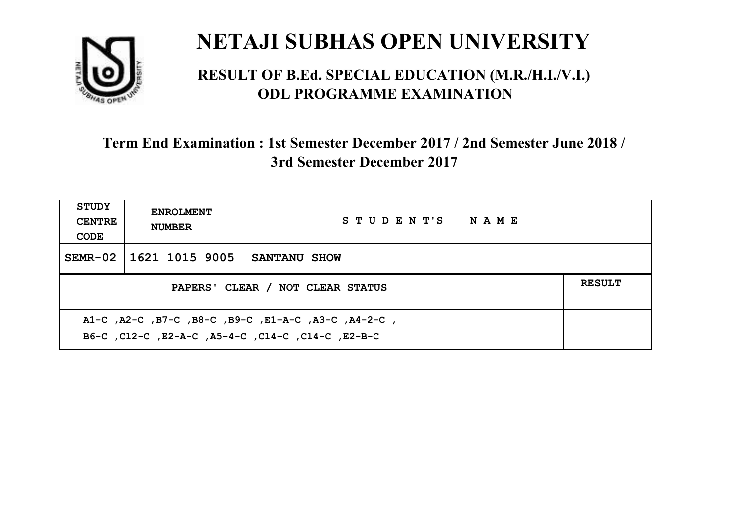

#### **RESULT OF B.Ed. SPECIAL EDUCATION (M.R./H.I./V.I.) ODL PROGRAMME EXAMINATION**

| STUDY<br><b>CENTRE</b><br>CODE | <b>ENROLMENT</b><br><b>NUMBER</b>                                                                         | STUDENT'S NAME |  |  |  |
|--------------------------------|-----------------------------------------------------------------------------------------------------------|----------------|--|--|--|
|                                | SEMR-02 1621 1015 9005                                                                                    | SANTANU SHOW   |  |  |  |
|                                | <b>RESULT</b><br>PAPERS' CLEAR / NOT CLEAR STATUS                                                         |                |  |  |  |
|                                | A1-C, A2-C, B7-C, B8-C, B9-C, E1-A-C, A3-C, A4-2-C,<br>B6-C, C12-C, E2-A-C, A5-4-C, C14-C, C14-C, C12-B-C |                |  |  |  |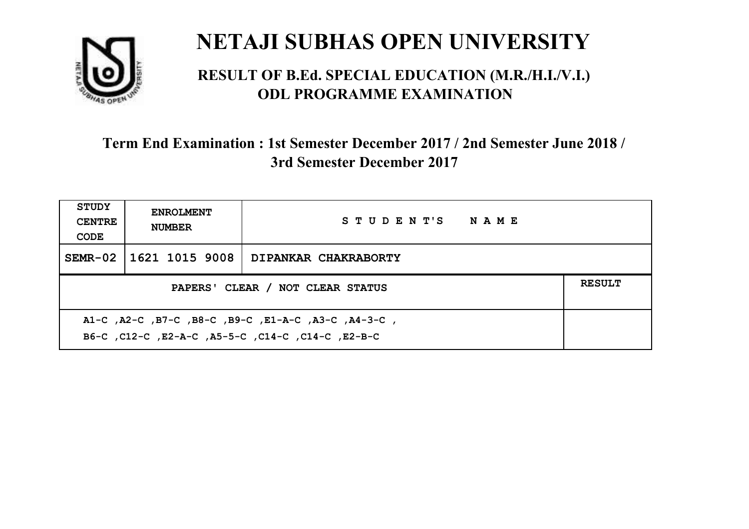

#### **RESULT OF B.Ed. SPECIAL EDUCATION (M.R./H.I./V.I.) ODL PROGRAMME EXAMINATION**

| <b>STUDY</b><br><b>CENTRE</b><br>CODE                                                                    | <b>ENROLMENT</b><br><b>NUMBER</b>                 | STUDENT'S NAME              |  |  |  |
|----------------------------------------------------------------------------------------------------------|---------------------------------------------------|-----------------------------|--|--|--|
|                                                                                                          | SEMR-02   1621 1015 9008                          | <b>DIPANKAR CHAKRABORTY</b> |  |  |  |
|                                                                                                          | <b>RESULT</b><br>PAPERS' CLEAR / NOT CLEAR STATUS |                             |  |  |  |
| A1-C, A2-C, B7-C, B8-C, B9-C, E1-A-C, A3-C, A4-3-C,<br>B6-C, C12-C, E2-A-C, A5-5-C, C14-C, C14-C, E2-B-C |                                                   |                             |  |  |  |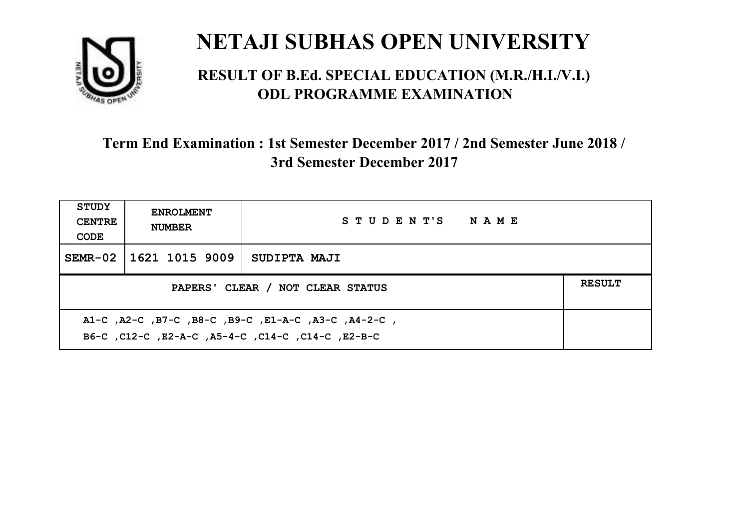

#### **RESULT OF B.Ed. SPECIAL EDUCATION (M.R./H.I./V.I.) ODL PROGRAMME EXAMINATION**

| <b>STUDY</b><br><b>CENTRE</b><br>CODE | <b>ENROLMENT</b><br><b>NUMBER</b>                                                                         | STUDENT'S NAME |  |  |  |
|---------------------------------------|-----------------------------------------------------------------------------------------------------------|----------------|--|--|--|
|                                       | SEMR-02   1621 1015 9009                                                                                  | SUDIPTA MAJI   |  |  |  |
|                                       | <b>RESULT</b><br>PAPERS' CLEAR / NOT CLEAR STATUS                                                         |                |  |  |  |
|                                       | A1-C, A2-C, B7-C, B8-C, B9-C, E1-A-C, A3-C, A4-2-C,<br>B6-C, C12-C, E2-A-C, A5-4-C, C14-C, C14-C, C12-B-C |                |  |  |  |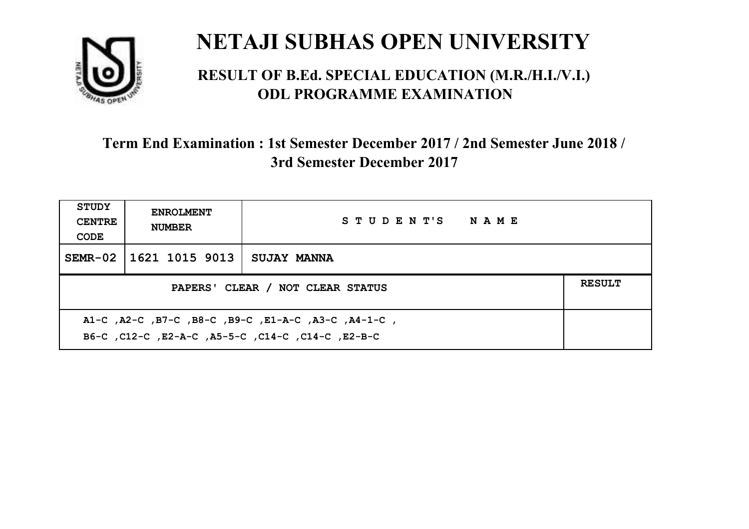

#### **RESULT OF B.Ed. SPECIAL EDUCATION (M.R./H.I./V.I.) ODL PROGRAMME EXAMINATION**

| <b>STUDY</b><br><b>CENTRE</b><br>CODE             | <b>ENROLMENT</b><br><b>NUMBER</b> | STUDENT'S NAME     |  |
|---------------------------------------------------|-----------------------------------|--------------------|--|
|                                                   | SEMR-02   1621 1015 9013          | <b>SUJAY MANNA</b> |  |
| <b>RESULT</b><br>PAPERS' CLEAR / NOT CLEAR STATUS |                                   |                    |  |
|                                                   |                                   |                    |  |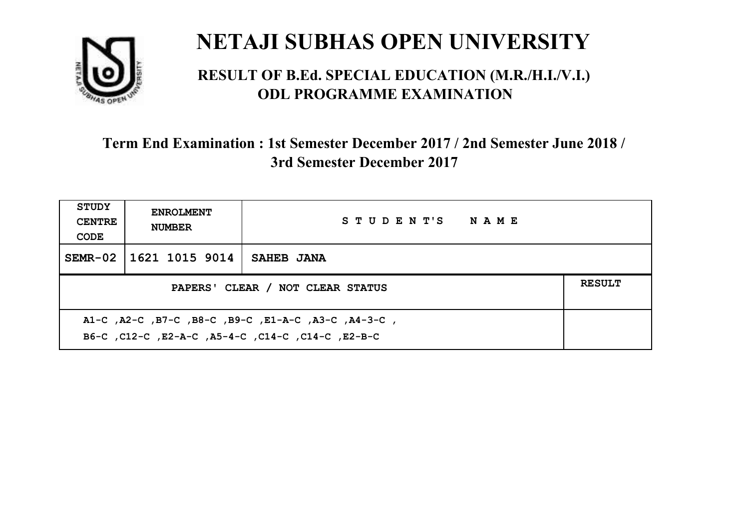

#### **RESULT OF B.Ed. SPECIAL EDUCATION (M.R./H.I./V.I.) ODL PROGRAMME EXAMINATION**

| <b>STUDY</b><br><b>CENTRE</b><br>CODE | <b>ENROLMENT</b><br><b>NUMBER</b>                                                                        | STUDENT'S NAME |  |  |  |
|---------------------------------------|----------------------------------------------------------------------------------------------------------|----------------|--|--|--|
|                                       | SEMR-02   1621 1015 9014                                                                                 | SAHEB JANA     |  |  |  |
|                                       | <b>RESULT</b><br>PAPERS' CLEAR / NOT CLEAR STATUS                                                        |                |  |  |  |
|                                       | A1-C, A2-C, B7-C, B8-C, B9-C, E1-A-C, A3-C, A4-3-C,<br>B6-C, C12-C, E2-A-C, A5-4-C, C14-C, C14-C, E2-B-C |                |  |  |  |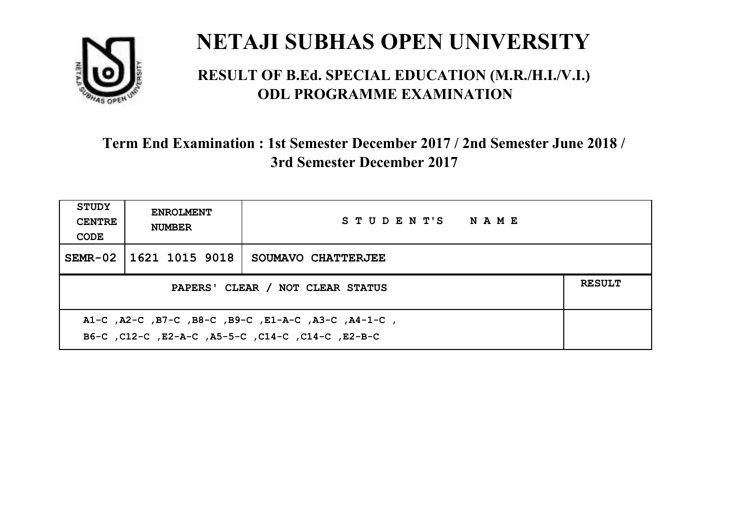

#### **RESULT OF B.Ed. SPECIAL EDUCATION (M.R./H.I./V.I.) ODL PROGRAMME EXAMINATION**

| <b>STUDY</b><br><b>CENTRE</b><br>CODE                                                                     | <b>ENROLMENT</b><br><b>NUMBER</b>                 | STUDENT'S NAME     |  |  |  |
|-----------------------------------------------------------------------------------------------------------|---------------------------------------------------|--------------------|--|--|--|
|                                                                                                           | SEMR-02 1621 1015 9018                            | SOUMAVO CHATTERJEE |  |  |  |
|                                                                                                           | <b>RESULT</b><br>PAPERS' CLEAR / NOT CLEAR STATUS |                    |  |  |  |
| A1-C, A2-C, B7-C, B8-C, B9-C, E1-A-C, A3-C, A4-1-C,<br>B6-C, C12-C, E2-A-C, A5-5-C, C14-C, C14-C, C12-B-C |                                                   |                    |  |  |  |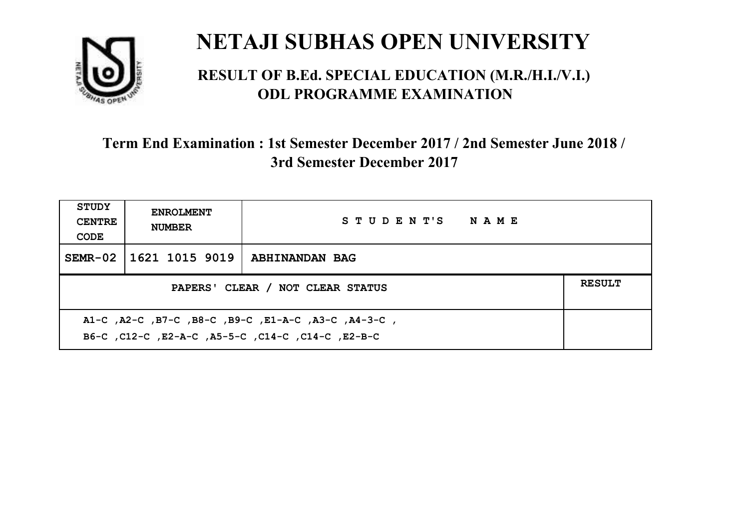

#### **RESULT OF B.Ed. SPECIAL EDUCATION (M.R./H.I./V.I.) ODL PROGRAMME EXAMINATION**

| STUDY<br><b>CENTRE</b><br>CODE                                                                            | <b>ENROLMENT</b><br><b>NUMBER</b>                 | STUDENT'S NAME        |  |  |  |
|-----------------------------------------------------------------------------------------------------------|---------------------------------------------------|-----------------------|--|--|--|
|                                                                                                           | SEMR-02   1621 1015 9019                          | <b>ABHINANDAN BAG</b> |  |  |  |
|                                                                                                           | <b>RESULT</b><br>PAPERS' CLEAR / NOT CLEAR STATUS |                       |  |  |  |
| A1-C, A2-C, B7-C, B8-C, B9-C, E1-A-C, A3-C, A4-3-C,<br>B6-C, C12-C, E2-A-C, A5-5-C, C14-C, C14-C, C12-B-C |                                                   |                       |  |  |  |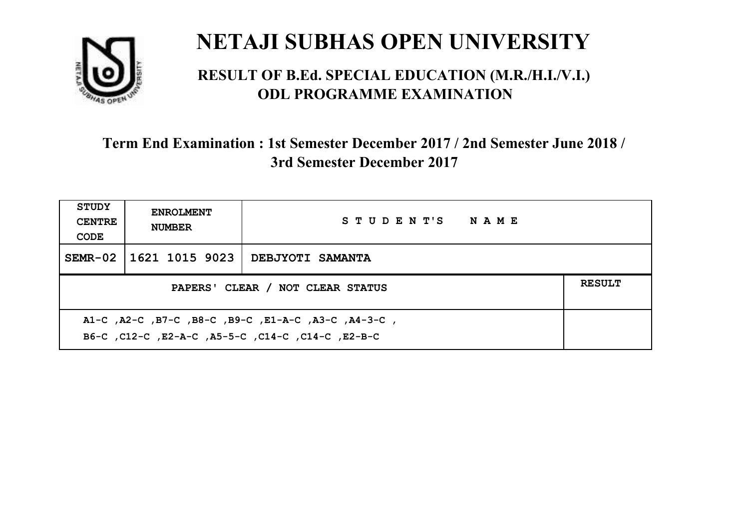

#### **RESULT OF B.Ed. SPECIAL EDUCATION (M.R./H.I./V.I.) ODL PROGRAMME EXAMINATION**

| <b>STUDY</b><br><b>CENTRE</b><br>CODE                                                                     | <b>ENROLMENT</b><br><b>NUMBER</b>                 | STUDENT'S NAME          |  |  |  |
|-----------------------------------------------------------------------------------------------------------|---------------------------------------------------|-------------------------|--|--|--|
|                                                                                                           | SEMR-02   1621 1015 9023                          | <b>DEBJYOTI SAMANTA</b> |  |  |  |
|                                                                                                           | <b>RESULT</b><br>PAPERS' CLEAR / NOT CLEAR STATUS |                         |  |  |  |
| A1-C, A2-C, B7-C, B8-C, B9-C, E1-A-C, A3-C, A4-3-C,<br>B6-C, C12-C, E2-A-C, A5-5-C, C14-C, C14-C, C12-B-C |                                                   |                         |  |  |  |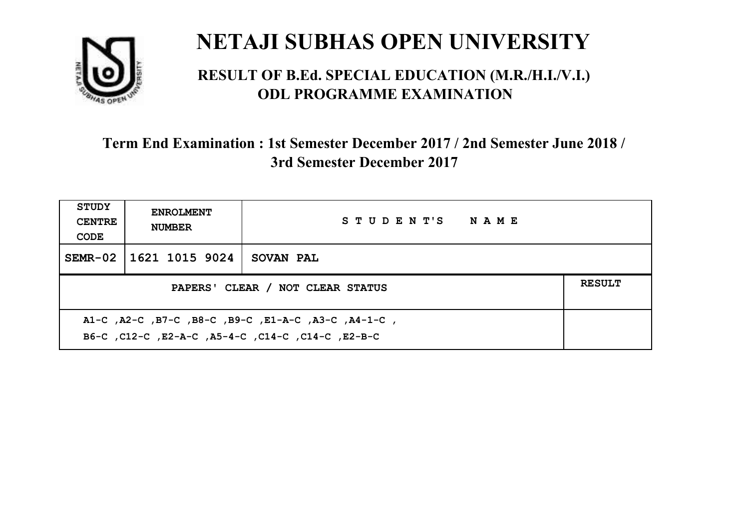

#### **RESULT OF B.Ed. SPECIAL EDUCATION (M.R./H.I./V.I.) ODL PROGRAMME EXAMINATION**

| <b>STUDY</b><br><b>CENTRE</b><br>CODE                                                                     | <b>ENROLMENT</b><br><b>NUMBER</b>                 | STUDENT'S NAME |  |  |  |
|-----------------------------------------------------------------------------------------------------------|---------------------------------------------------|----------------|--|--|--|
|                                                                                                           | SEMR-02 1621 1015 9024                            | SOVAN PAL      |  |  |  |
|                                                                                                           | <b>RESULT</b><br>PAPERS' CLEAR / NOT CLEAR STATUS |                |  |  |  |
| A1-C, A2-C, B7-C, B8-C, B9-C, E1-A-C, A3-C, A4-1-C,<br>B6-C, C12-C, E2-A-C, A5-4-C, C14-C, C14-C, C12-B-C |                                                   |                |  |  |  |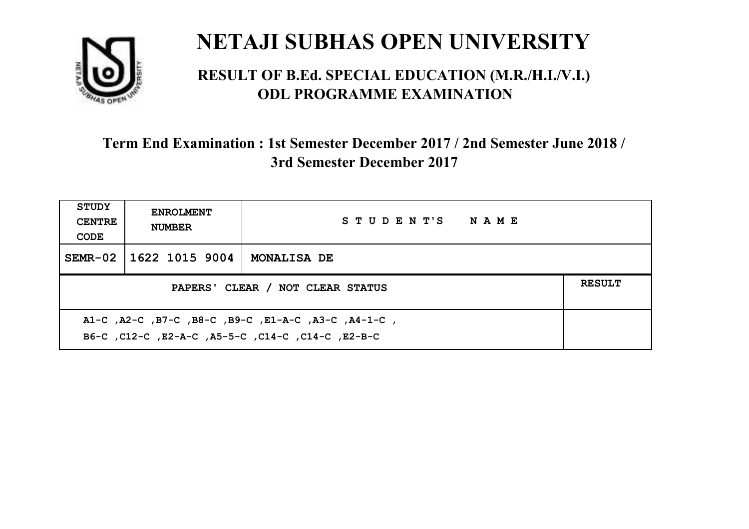

#### **RESULT OF B.Ed. SPECIAL EDUCATION (M.R./H.I./V.I.) ODL PROGRAMME EXAMINATION**

| <b>STUDY</b><br><b>CENTRE</b><br>CODE             | <b>ENROLMENT</b><br><b>NUMBER</b> | STUDENT'S NAME     |  |
|---------------------------------------------------|-----------------------------------|--------------------|--|
|                                                   | SEMR-02 11622 1015 9004           | <b>MONALISA DE</b> |  |
| <b>RESULT</b><br>PAPERS' CLEAR / NOT CLEAR STATUS |                                   |                    |  |
|                                                   |                                   |                    |  |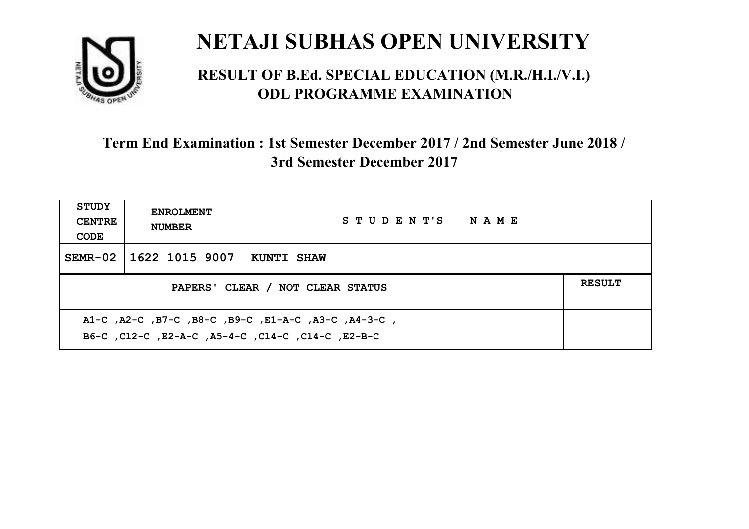

#### **RESULT OF B.Ed. SPECIAL EDUCATION (M.R./H.I./V.I.) ODL PROGRAMME EXAMINATION**

| <b>STUDY</b><br><b>CENTRE</b><br>CODE                                                                    | <b>ENROLMENT</b><br><b>NUMBER</b>                 | STUDENT'S NAME    |  |  |  |
|----------------------------------------------------------------------------------------------------------|---------------------------------------------------|-------------------|--|--|--|
| $SEMR-02$                                                                                                | 1622 1015 9007                                    | <b>KUNTI SHAW</b> |  |  |  |
|                                                                                                          | <b>RESULT</b><br>PAPERS' CLEAR / NOT CLEAR STATUS |                   |  |  |  |
| A1-C, A2-C, B7-C, B8-C, B9-C, E1-A-C, A3-C, A4-3-C,<br>B6-C, C12-C, E2-A-C, A5-4-C, C14-C, C14-C, E2-B-C |                                                   |                   |  |  |  |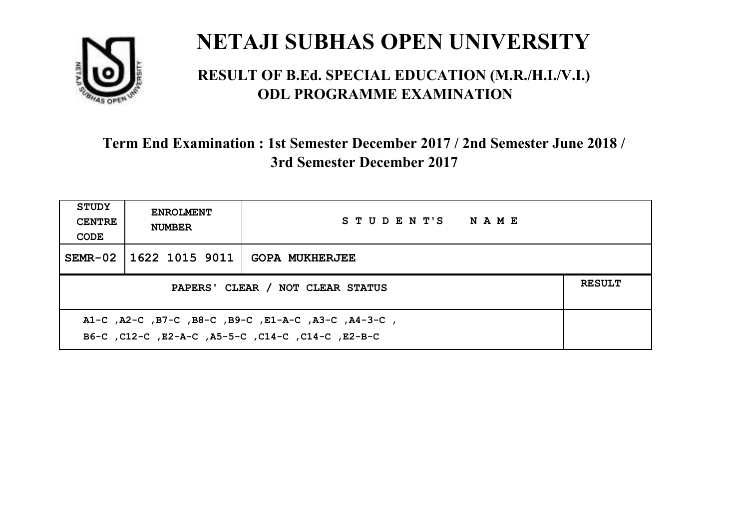

#### **RESULT OF B.Ed. SPECIAL EDUCATION (M.R./H.I./V.I.) ODL PROGRAMME EXAMINATION**

| <b>STUDY</b><br><b>CENTRE</b><br>CODE                                                                    | <b>ENROLMENT</b><br><b>NUMBER</b> | STUDENT'S NAME        |  |
|----------------------------------------------------------------------------------------------------------|-----------------------------------|-----------------------|--|
|                                                                                                          | SEMR-02   1622 1015 9011          | <b>GOPA MUKHERJEE</b> |  |
| PAPERS' CLEAR / NOT CLEAR STATUS                                                                         |                                   |                       |  |
| A1-C, A2-C, B7-C, B8-C, B9-C, E1-A-C, A3-C, A4-3-C,<br>B6-C, C12-C, E2-A-C, A5-5-C, C14-C, C14-C, E2-B-C |                                   |                       |  |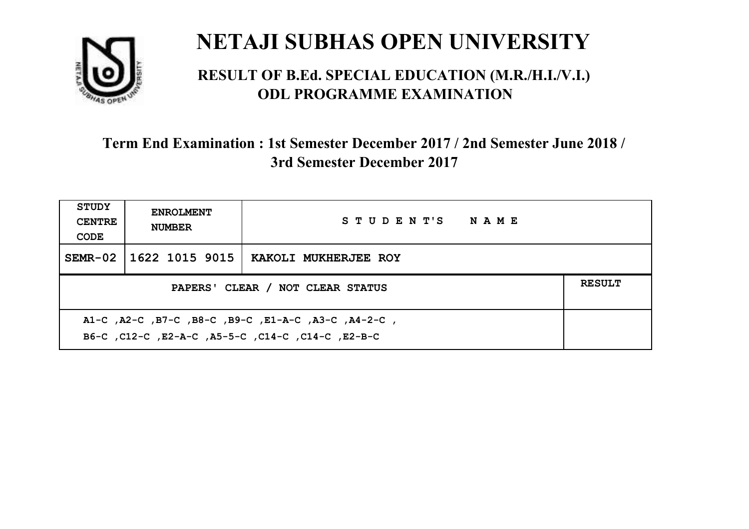

#### **RESULT OF B.Ed. SPECIAL EDUCATION (M.R./H.I./V.I.) ODL PROGRAMME EXAMINATION**

| <b>STUDY</b><br><b>CENTRE</b><br>CODE                                                                    | <b>ENROLMENT</b><br><b>NUMBER</b>                 | STUDENT'S NAME       |  |  |  |
|----------------------------------------------------------------------------------------------------------|---------------------------------------------------|----------------------|--|--|--|
|                                                                                                          | SEMR-02   1622 1015 9015                          | KAKOLI MUKHERJEE ROY |  |  |  |
|                                                                                                          | <b>RESULT</b><br>PAPERS' CLEAR / NOT CLEAR STATUS |                      |  |  |  |
| A1-C, A2-C, B7-C, B8-C, B9-C, E1-A-C, A3-C, A4-2-C,<br>B6-C, C12-C, E2-A-C, A5-5-C, C14-C, C14-C, E2-B-C |                                                   |                      |  |  |  |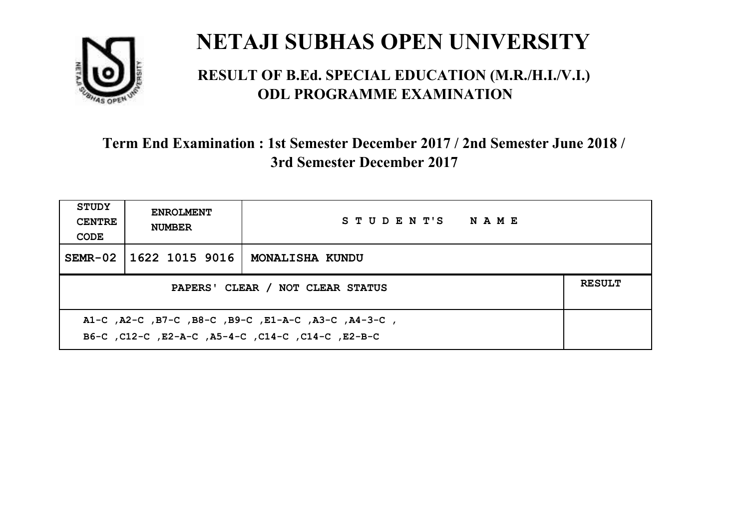

#### **RESULT OF B.Ed. SPECIAL EDUCATION (M.R./H.I./V.I.) ODL PROGRAMME EXAMINATION**

| <b>STUDY</b><br><b>CENTRE</b><br>CODE                                                                     | <b>ENROLMENT</b><br><b>NUMBER</b>                 | STUDENT'S NAME  |  |  |  |
|-----------------------------------------------------------------------------------------------------------|---------------------------------------------------|-----------------|--|--|--|
|                                                                                                           | SEMR-02   1622 1015 9016                          | MONALISHA KUNDU |  |  |  |
|                                                                                                           | <b>RESULT</b><br>PAPERS' CLEAR / NOT CLEAR STATUS |                 |  |  |  |
| A1-C, A2-C, B7-C, B8-C, B9-C, E1-A-C, A3-C, A4-3-C,<br>B6-C, C12-C, E2-A-C, A5-4-C, C14-C, C14-C, C12-B-C |                                                   |                 |  |  |  |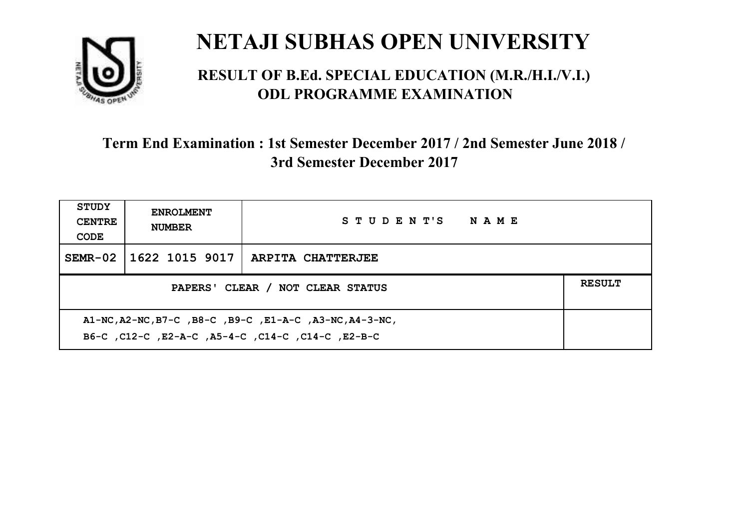

#### **RESULT OF B.Ed. SPECIAL EDUCATION (M.R./H.I./V.I.) ODL PROGRAMME EXAMINATION**

| <b>STUDY</b><br><b>CENTRE</b><br>CODE                                                                        | <b>ENROLMENT</b><br><b>NUMBER</b>                 | STUDENT'S NAME           |  |  |  |
|--------------------------------------------------------------------------------------------------------------|---------------------------------------------------|--------------------------|--|--|--|
|                                                                                                              | SEMR-02   1622 1015 9017                          | <b>ARPITA CHATTERJEE</b> |  |  |  |
|                                                                                                              | <b>RESULT</b><br>PAPERS' CLEAR / NOT CLEAR STATUS |                          |  |  |  |
| A1-NC, A2-NC, B7-C, B8-C, B9-C, E1-A-C, A3-NC, A4-3-NC,<br>B6-C, C12-C, E2-A-C, A5-4-C, C14-C, C14-C, E2-B-C |                                                   |                          |  |  |  |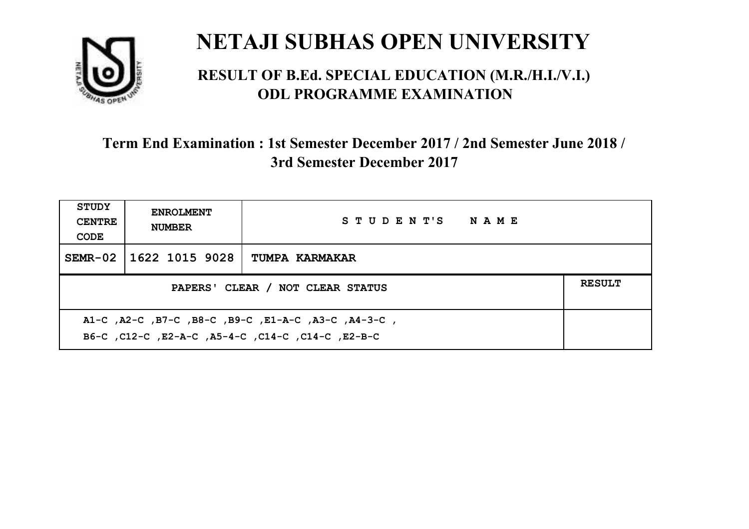

#### **RESULT OF B.Ed. SPECIAL EDUCATION (M.R./H.I./V.I.) ODL PROGRAMME EXAMINATION**

| <b>STUDY</b><br><b>CENTRE</b><br>CODE                                                                    | <b>ENROLMENT</b><br><b>NUMBER</b>                 | STUDENT'S NAME |  |  |  |
|----------------------------------------------------------------------------------------------------------|---------------------------------------------------|----------------|--|--|--|
| $SEMR-02$                                                                                                | 1622 1015 9028                                    | TUMPA KARMAKAR |  |  |  |
|                                                                                                          | <b>RESULT</b><br>PAPERS' CLEAR / NOT CLEAR STATUS |                |  |  |  |
| A1-C, A2-C, B7-C, B8-C, B9-C, E1-A-C, A3-C, A4-3-C,<br>B6-C, C12-C, E2-A-C, A5-4-C, C14-C, C14-C, E2-B-C |                                                   |                |  |  |  |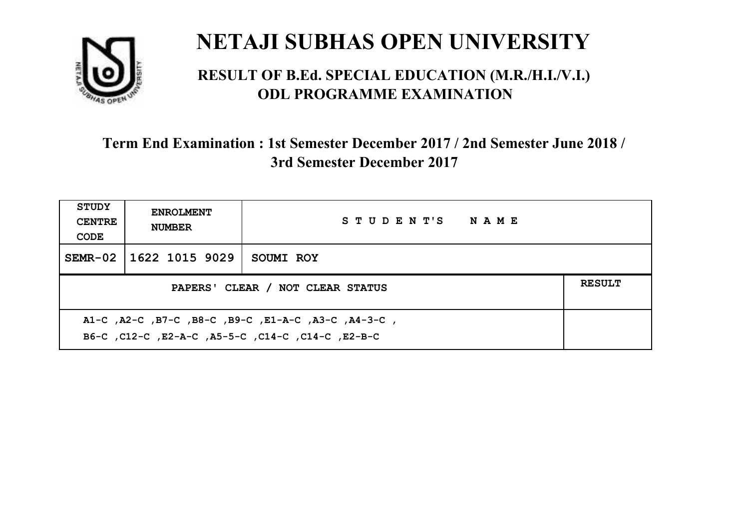

#### **RESULT OF B.Ed. SPECIAL EDUCATION (M.R./H.I./V.I.) ODL PROGRAMME EXAMINATION**

| <b>STUDY</b><br><b>CENTRE</b><br>CODE                                                                     | <b>ENROLMENT</b><br><b>NUMBER</b>                 | STUDENT'S NAME |  |  |  |
|-----------------------------------------------------------------------------------------------------------|---------------------------------------------------|----------------|--|--|--|
|                                                                                                           | SEMR-02 1622 1015 9029                            | SOUMI ROY      |  |  |  |
|                                                                                                           | <b>RESULT</b><br>PAPERS' CLEAR / NOT CLEAR STATUS |                |  |  |  |
| A1-C, A2-C, B7-C, B8-C, B9-C, E1-A-C, A3-C, A4-3-C,<br>B6-C, C12-C, E2-A-C, A5-5-C, C14-C, C14-C, C12-B-C |                                                   |                |  |  |  |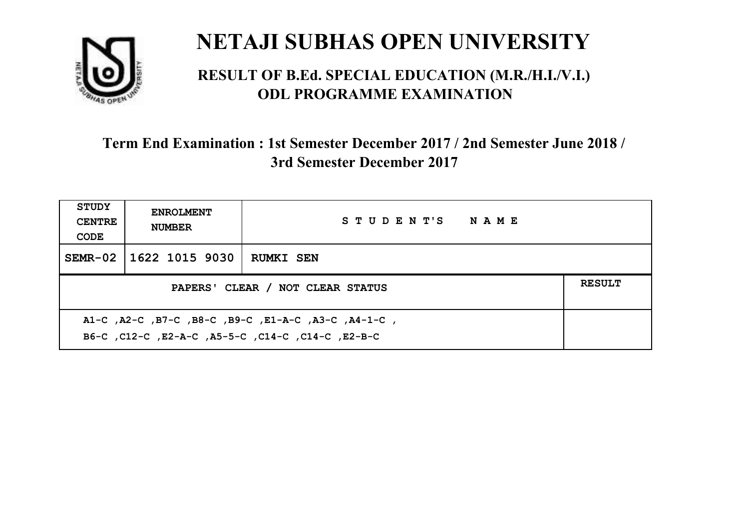

#### **RESULT OF B.Ed. SPECIAL EDUCATION (M.R./H.I./V.I.) ODL PROGRAMME EXAMINATION**

| <b>STUDY</b><br><b>CENTRE</b><br>CODE             | <b>ENROLMENT</b><br><b>NUMBER</b> | STUDENT'S NAME   |  |
|---------------------------------------------------|-----------------------------------|------------------|--|
|                                                   | SEMR-02   1622 1015 9030          | <b>RUMKI SEN</b> |  |
| <b>RESULT</b><br>PAPERS' CLEAR / NOT CLEAR STATUS |                                   |                  |  |
|                                                   |                                   |                  |  |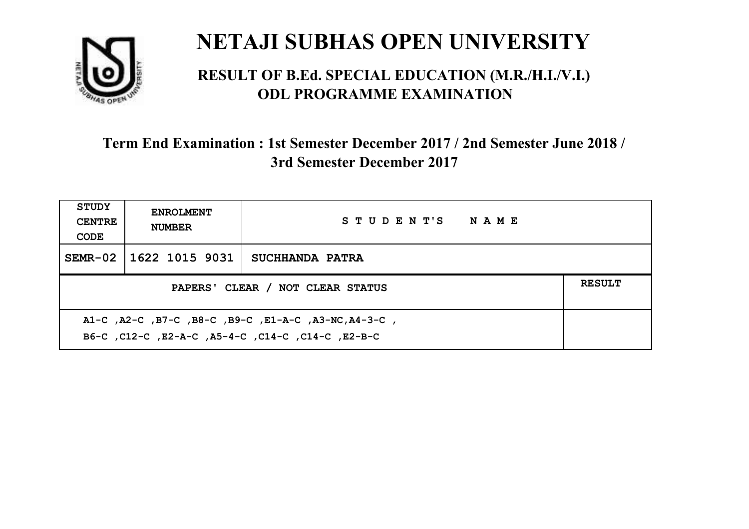

#### **RESULT OF B.Ed. SPECIAL EDUCATION (M.R./H.I./V.I.) ODL PROGRAMME EXAMINATION**

| <b>STUDY</b><br><b>CENTRE</b><br>CODE                                                                      | <b>ENROLMENT</b><br><b>NUMBER</b>                 | STUDENT'S NAME  |  |  |  |
|------------------------------------------------------------------------------------------------------------|---------------------------------------------------|-----------------|--|--|--|
|                                                                                                            | SEMR-02 1622 1015 9031                            | SUCHHANDA PATRA |  |  |  |
|                                                                                                            | <b>RESULT</b><br>PAPERS' CLEAR / NOT CLEAR STATUS |                 |  |  |  |
| A1-C, A2-C, B7-C, B8-C, B9-C, E1-A-C, A3-NC, A4-3-C,<br>B6-C, C12-C, E2-A-C, A5-4-C, C14-C, C14-C, C12-B-C |                                                   |                 |  |  |  |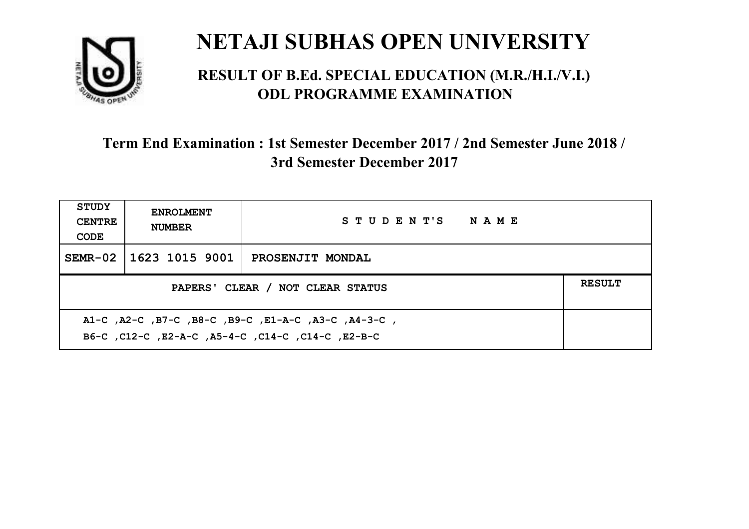

#### **RESULT OF B.Ed. SPECIAL EDUCATION (M.R./H.I./V.I.) ODL PROGRAMME EXAMINATION**

| <b>STUDY</b><br><b>CENTRE</b><br>CODE             | <b>ENROLMENT</b><br><b>NUMBER</b> | STUDENT'S NAME          |  |  |
|---------------------------------------------------|-----------------------------------|-------------------------|--|--|
|                                                   | SEMR-02   1623 1015 9001          | <b>PROSENJIT MONDAL</b> |  |  |
| <b>RESULT</b><br>PAPERS' CLEAR / NOT CLEAR STATUS |                                   |                         |  |  |
|                                                   |                                   |                         |  |  |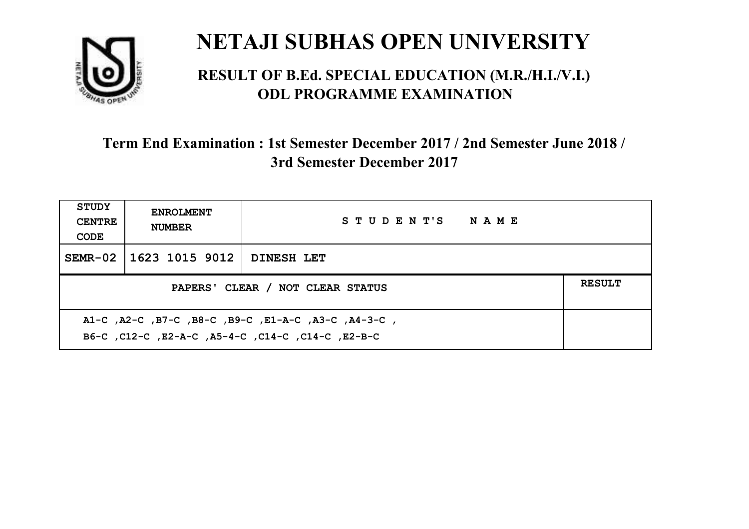

#### **RESULT OF B.Ed. SPECIAL EDUCATION (M.R./H.I./V.I.) ODL PROGRAMME EXAMINATION**

| <b>STUDY</b><br><b>CENTRE</b><br>CODE                                                                    | <b>ENROLMENT</b><br><b>NUMBER</b> | STUDENT'S NAME |  |  |
|----------------------------------------------------------------------------------------------------------|-----------------------------------|----------------|--|--|
|                                                                                                          | SEMR-02   1623 1015 9012          | DINESH LET     |  |  |
| PAPERS' CLEAR / NOT CLEAR STATUS                                                                         |                                   |                |  |  |
| A1-C, A2-C, B7-C, B8-C, B9-C, E1-A-C, A3-C, A4-3-C,<br>B6-C, C12-C, E2-A-C, A5-4-C, C14-C, C14-C, E2-B-C |                                   |                |  |  |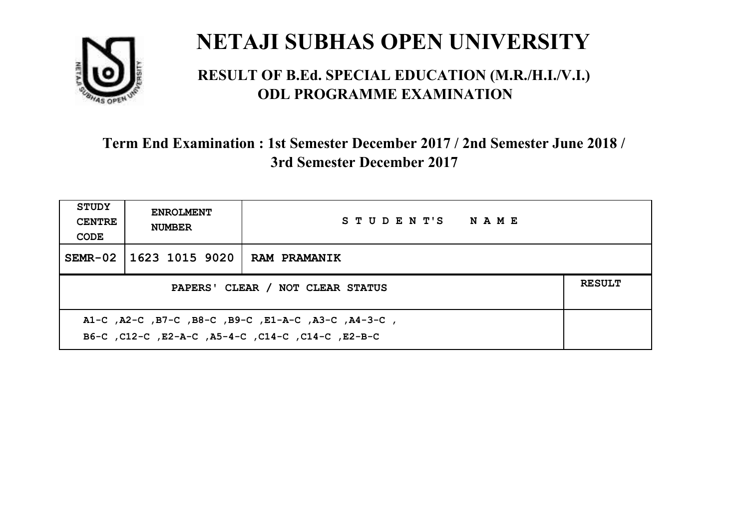

#### **RESULT OF B.Ed. SPECIAL EDUCATION (M.R./H.I./V.I.) ODL PROGRAMME EXAMINATION**

| <b>STUDY</b><br><b>CENTRE</b><br>CODE | <b>ENROLMENT</b><br><b>NUMBER</b>                                                                         | STUDENT'S NAME      |  |  |  |
|---------------------------------------|-----------------------------------------------------------------------------------------------------------|---------------------|--|--|--|
|                                       | SEMR-02   1623 1015 9020                                                                                  | <b>RAM PRAMANIK</b> |  |  |  |
|                                       | <b>RESULT</b><br>PAPERS' CLEAR / NOT CLEAR STATUS                                                         |                     |  |  |  |
|                                       | A1-C, A2-C, B7-C, B8-C, B9-C, E1-A-C, A3-C, A4-3-C,<br>B6-C, C12-C, E2-A-C, A5-4-C, C14-C, C14-C, C12-B-C |                     |  |  |  |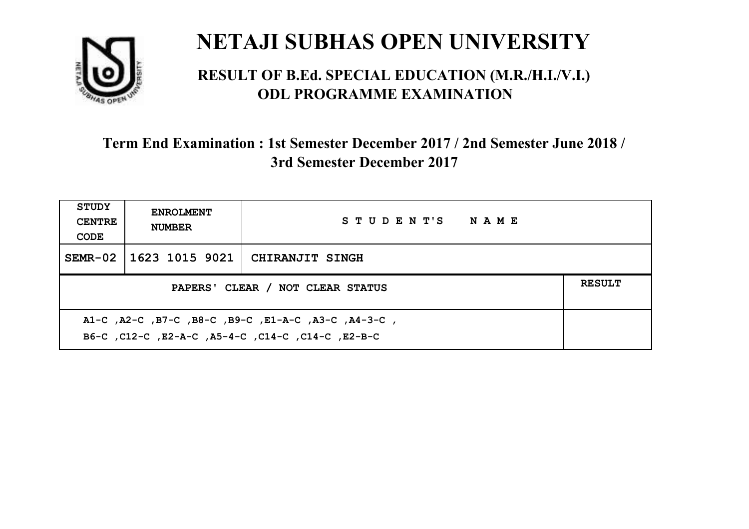

#### **RESULT OF B.Ed. SPECIAL EDUCATION (M.R./H.I./V.I.) ODL PROGRAMME EXAMINATION**

| <b>STUDY</b><br><b>CENTRE</b><br>CODE                                                                    | <b>ENROLMENT</b><br><b>NUMBER</b> | STUDENT'S NAME         |  |  |
|----------------------------------------------------------------------------------------------------------|-----------------------------------|------------------------|--|--|
|                                                                                                          | SEMR-02   1623 1015 9021          | <b>CHIRANJIT SINGH</b> |  |  |
| PAPERS' CLEAR / NOT CLEAR STATUS                                                                         |                                   |                        |  |  |
| A1-C, A2-C, B7-C, B8-C, B9-C, E1-A-C, A3-C, A4-3-C,<br>B6-C, C12-C, E2-A-C, A5-4-C, C14-C, C14-C, E2-B-C |                                   |                        |  |  |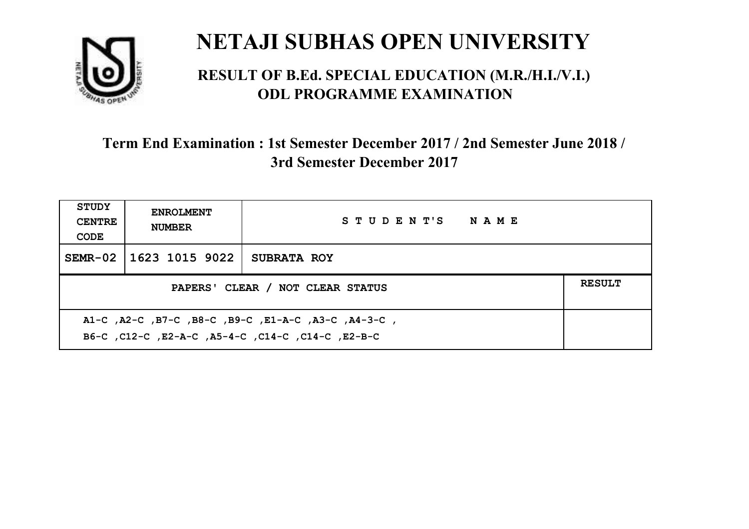

#### **RESULT OF B.Ed. SPECIAL EDUCATION (M.R./H.I./V.I.) ODL PROGRAMME EXAMINATION**

| <b>STUDY</b><br><b>CENTRE</b><br>CODE                                                                    | <b>ENROLMENT</b><br><b>NUMBER</b> | STUDENT'S NAME     |  |  |
|----------------------------------------------------------------------------------------------------------|-----------------------------------|--------------------|--|--|
|                                                                                                          | SEMR-02   1623 1015 9022          | <b>SUBRATA ROY</b> |  |  |
| PAPERS' CLEAR / NOT CLEAR STATUS                                                                         |                                   |                    |  |  |
| A1-C, A2-C, B7-C, B8-C, B9-C, E1-A-C, A3-C, A4-3-C,<br>B6-C, C12-C, E2-A-C, A5-4-C, C14-C, C14-C, E2-B-C |                                   |                    |  |  |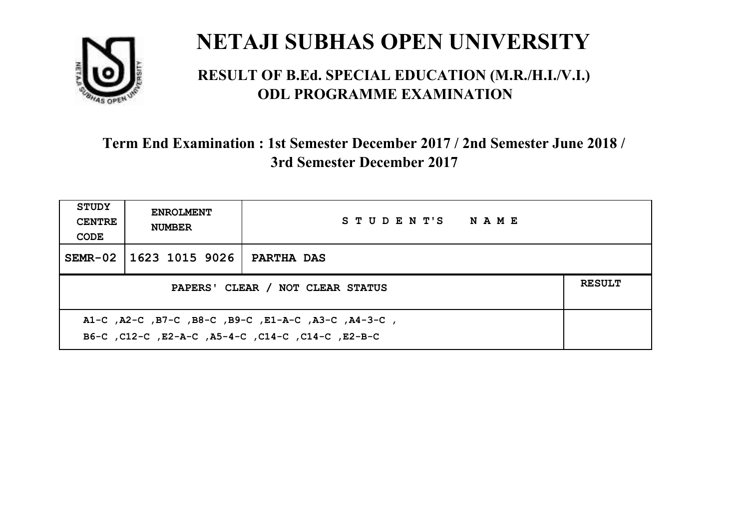

#### **RESULT OF B.Ed. SPECIAL EDUCATION (M.R./H.I./V.I.) ODL PROGRAMME EXAMINATION**

| <b>STUDY</b><br><b>CENTRE</b><br>CODE | <b>ENROLMENT</b><br><b>NUMBER</b> | STUDENT'S NAME |  |  |
|---------------------------------------|-----------------------------------|----------------|--|--|
|                                       | SEMR-02 1623 1015 9026            | PARTHA DAS     |  |  |
| PAPERS' CLEAR / NOT CLEAR STATUS      |                                   |                |  |  |
|                                       |                                   |                |  |  |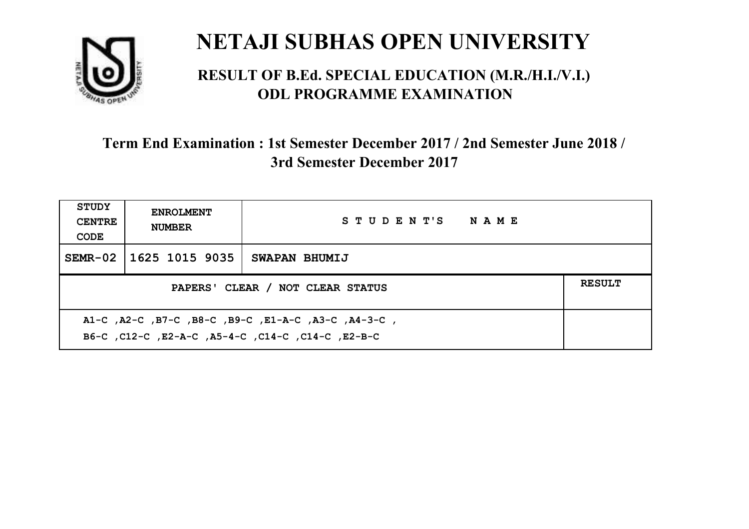

#### **RESULT OF B.Ed. SPECIAL EDUCATION (M.R./H.I./V.I.) ODL PROGRAMME EXAMINATION**

| STUDY<br><b>CENTRE</b><br>CODE                    | <b>ENROLMENT</b><br><b>NUMBER</b>                                                                         | STUDENT'S NAME |  |  |  |
|---------------------------------------------------|-----------------------------------------------------------------------------------------------------------|----------------|--|--|--|
|                                                   | SEMR-02   1625 1015 9035                                                                                  | SWAPAN BHUMIJ  |  |  |  |
| <b>RESULT</b><br>PAPERS' CLEAR / NOT CLEAR STATUS |                                                                                                           |                |  |  |  |
|                                                   | A1-C, A2-C, B7-C, B8-C, B9-C, E1-A-C, A3-C, A4-3-C,<br>B6-C, C12-C, E2-A-C, A5-4-C, C14-C, C14-C, C12-B-C |                |  |  |  |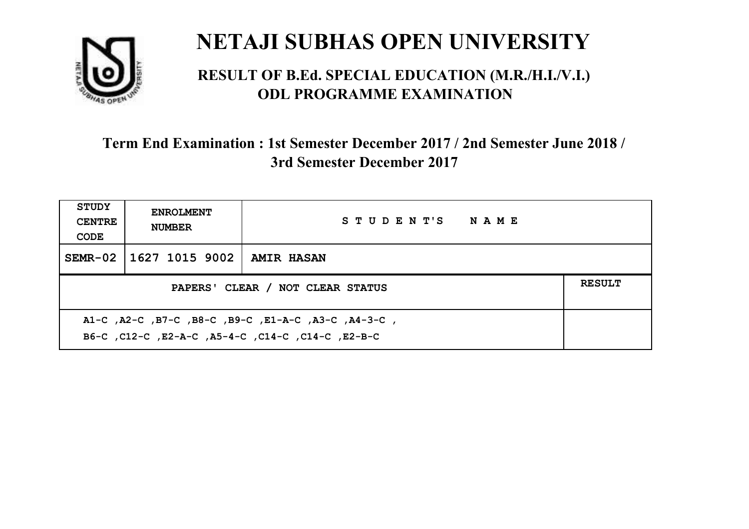

#### **RESULT OF B.Ed. SPECIAL EDUCATION (M.R./H.I./V.I.) ODL PROGRAMME EXAMINATION**

| <b>STUDY</b><br><b>CENTRE</b><br>CODE | <b>ENROLMENT</b><br><b>NUMBER</b> | STUDENT'S NAME    |  |  |
|---------------------------------------|-----------------------------------|-------------------|--|--|
|                                       | SEMR-02   1627 1015 9002          | <b>AMIR HASAN</b> |  |  |
| PAPERS' CLEAR / NOT CLEAR STATUS      |                                   |                   |  |  |
|                                       |                                   |                   |  |  |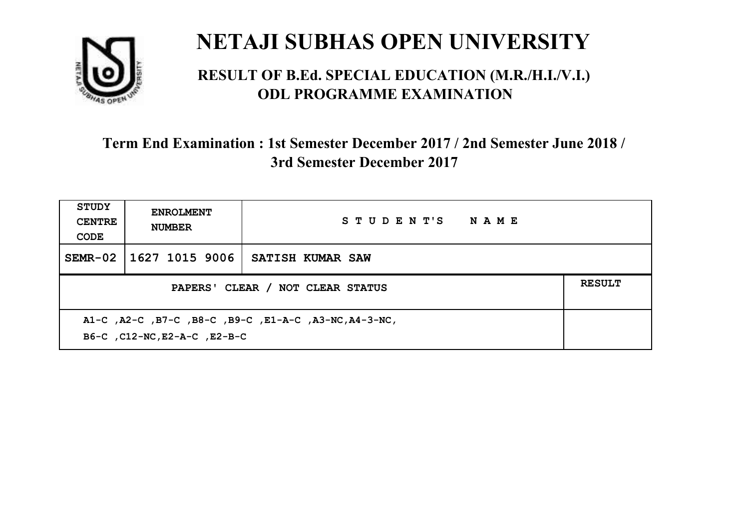

#### **RESULT OF B.Ed. SPECIAL EDUCATION (M.R./H.I./V.I.) ODL PROGRAMME EXAMINATION**

| <b>STUDY</b><br><b>CENTRE</b><br>CODE                                                 | <b>ENROLMENT</b><br><b>NUMBER</b> | STUDENT'S NAME          |  |  |
|---------------------------------------------------------------------------------------|-----------------------------------|-------------------------|--|--|
|                                                                                       | SEMR-02 1627 1015 9006            | <b>SATISH KUMAR SAW</b> |  |  |
| PAPERS' CLEAR / NOT CLEAR STATUS                                                      |                                   |                         |  |  |
| A1-C, A2-C, B7-C, B8-C, B9-C, E1-A-C, A3-NC, A4-3-NC,<br>B6-C, C12-NC, E2-A-C, E2-B-C |                                   |                         |  |  |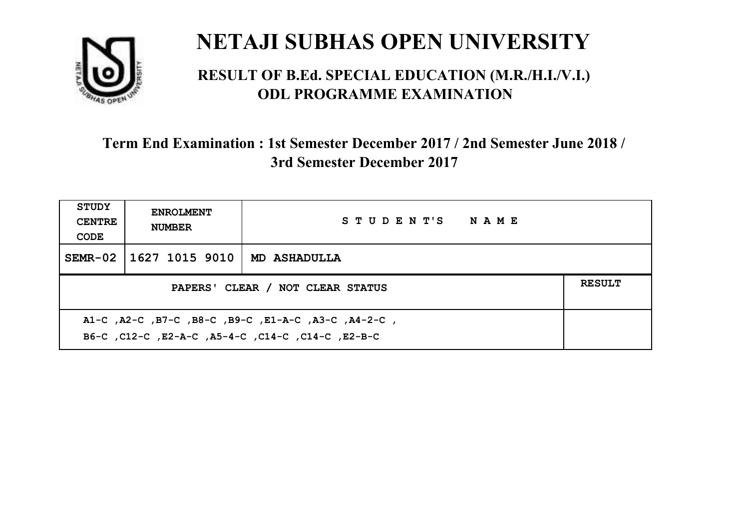

#### **RESULT OF B.Ed. SPECIAL EDUCATION (M.R./H.I./V.I.) ODL PROGRAMME EXAMINATION**

| <b>STUDY</b><br><b>CENTRE</b><br>CODE                                                                    | <b>ENROLMENT</b><br><b>NUMBER</b> | STUDENT'S NAME      |  |  |
|----------------------------------------------------------------------------------------------------------|-----------------------------------|---------------------|--|--|
|                                                                                                          | SEMR-02   1627 1015 9010          | <b>MD ASHADULLA</b> |  |  |
| PAPERS' CLEAR / NOT CLEAR STATUS                                                                         |                                   |                     |  |  |
| A1-C, A2-C, B7-C, B8-C, B9-C, E1-A-C, A3-C, A4-2-C,<br>B6-C, C12-C, E2-A-C, A5-4-C, C14-C, C14-C, E2-B-C |                                   |                     |  |  |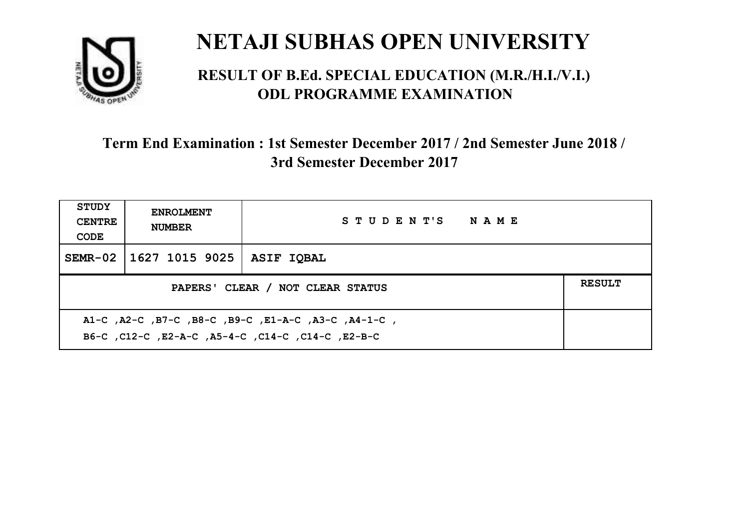

#### **RESULT OF B.Ed. SPECIAL EDUCATION (M.R./H.I./V.I.) ODL PROGRAMME EXAMINATION**

| <b>STUDY</b><br><b>CENTRE</b><br>CODE | <b>ENROLMENT</b><br><b>NUMBER</b>                                                                         | STUDENT'S NAME    |  |  |  |
|---------------------------------------|-----------------------------------------------------------------------------------------------------------|-------------------|--|--|--|
|                                       | SEMR-02   1627 1015 9025                                                                                  | <b>ASIF IOBAL</b> |  |  |  |
| PAPERS' CLEAR / NOT CLEAR STATUS      |                                                                                                           |                   |  |  |  |
|                                       | A1-C, A2-C, B7-C, B8-C, B9-C, E1-A-C, A3-C, A4-1-C,<br>B6-C, C12-C, E2-A-C, A5-4-C, C14-C, C14-C, C12-B-C |                   |  |  |  |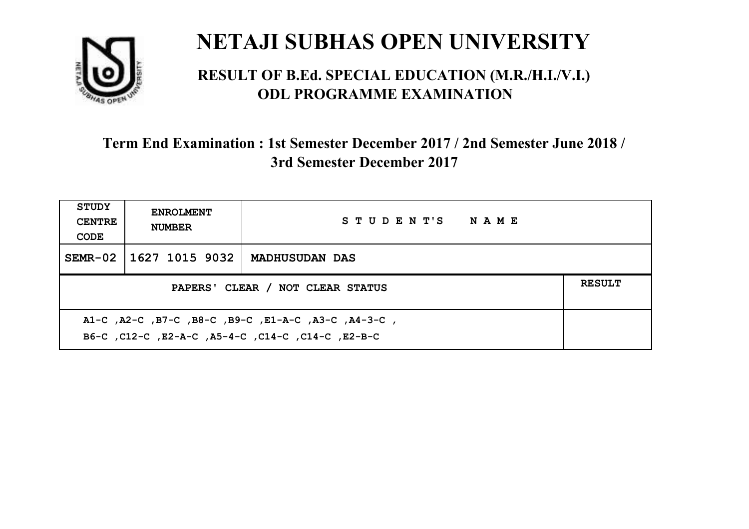

#### **RESULT OF B.Ed. SPECIAL EDUCATION (M.R./H.I./V.I.) ODL PROGRAMME EXAMINATION**

| <b>STUDY</b><br><b>CENTRE</b><br>CODE                                                                    | <b>ENROLMENT</b><br><b>NUMBER</b> | STUDENT'S NAME |  |  |
|----------------------------------------------------------------------------------------------------------|-----------------------------------|----------------|--|--|
|                                                                                                          | SEMR-02   1627 1015 9032          | MADHUSUDAN DAS |  |  |
| PAPERS' CLEAR / NOT CLEAR STATUS                                                                         |                                   |                |  |  |
| A1-C, A2-C, B7-C, B8-C, B9-C, E1-A-C, A3-C, A4-3-C,<br>B6-C, C12-C, E2-A-C, A5-4-C, C14-C, C14-C, E2-B-C |                                   |                |  |  |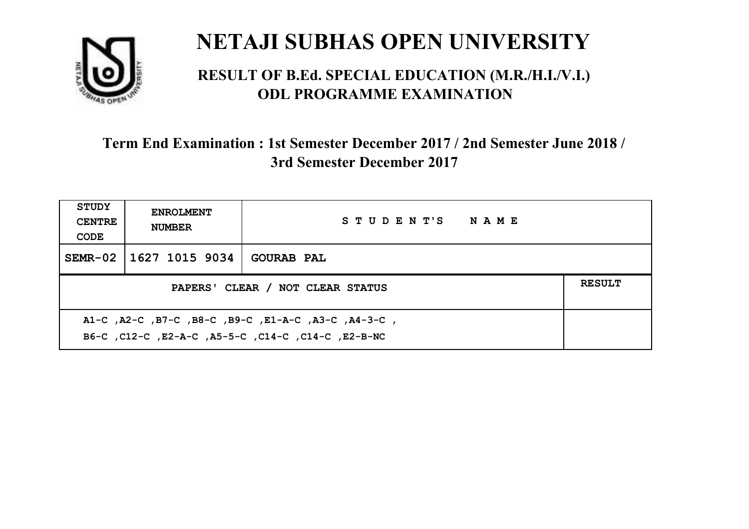

#### **RESULT OF B.Ed. SPECIAL EDUCATION (M.R./H.I./V.I.) ODL PROGRAMME EXAMINATION**

| <b>STUDY</b><br><b>CENTRE</b><br>CODE | <b>ENROLMENT</b><br><b>NUMBER</b> | STUDENT'S NAME    |  |
|---------------------------------------|-----------------------------------|-------------------|--|
|                                       | SEMR-02   1627 1015 9034          | <b>GOURAB PAL</b> |  |
| PAPERS' CLEAR / NOT CLEAR STATUS      |                                   |                   |  |
|                                       |                                   |                   |  |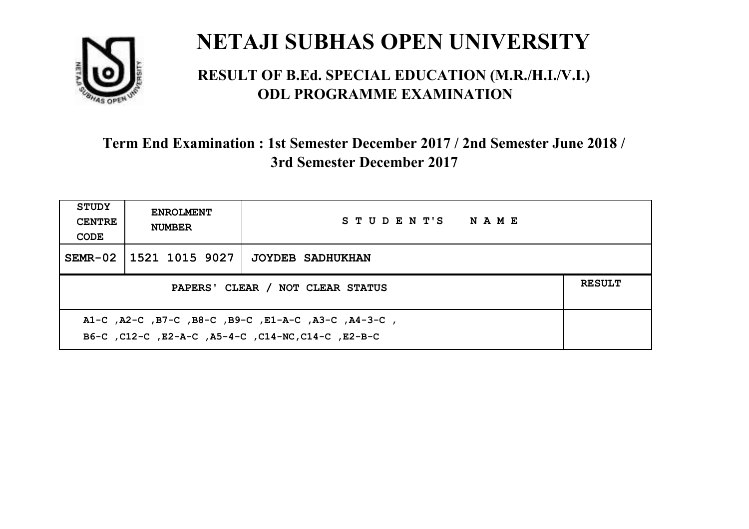

#### **RESULT OF B.Ed. SPECIAL EDUCATION (M.R./H.I./V.I.) ODL PROGRAMME EXAMINATION**

| <b>STUDY</b><br><b>CENTRE</b><br>CODE                                                                     | <b>ENROLMENT</b><br><b>NUMBER</b>                 | STUDENT'S NAME   |  |  |  |
|-----------------------------------------------------------------------------------------------------------|---------------------------------------------------|------------------|--|--|--|
|                                                                                                           | SEMR-02 1521 1015 9027                            | JOYDEB SADHUKHAN |  |  |  |
|                                                                                                           | <b>RESULT</b><br>PAPERS' CLEAR / NOT CLEAR STATUS |                  |  |  |  |
| A1-C, A2-C, B7-C, B8-C, B9-C, E1-A-C, A3-C, A4-3-C,<br>B6-C, C12-C, E2-A-C, A5-4-C, C14-NC, C14-C, E2-B-C |                                                   |                  |  |  |  |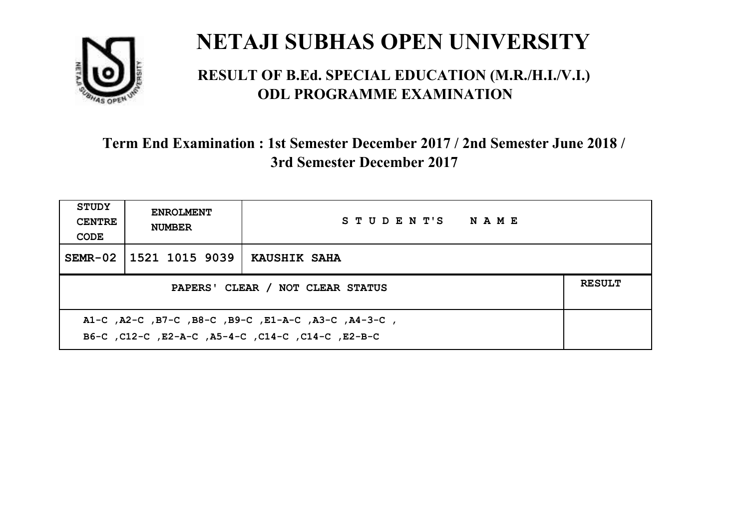

#### **RESULT OF B.Ed. SPECIAL EDUCATION (M.R./H.I./V.I.) ODL PROGRAMME EXAMINATION**

| <b>STUDY</b><br><b>CENTRE</b><br>CODE | <b>ENROLMENT</b><br><b>NUMBER</b>                 | STUDENT'S NAME |  |  |  |
|---------------------------------------|---------------------------------------------------|----------------|--|--|--|
|                                       | SEMR-02   1521 1015 9039                          | KAUSHIK SAHA   |  |  |  |
|                                       | <b>RESULT</b><br>PAPERS' CLEAR / NOT CLEAR STATUS |                |  |  |  |
|                                       |                                                   |                |  |  |  |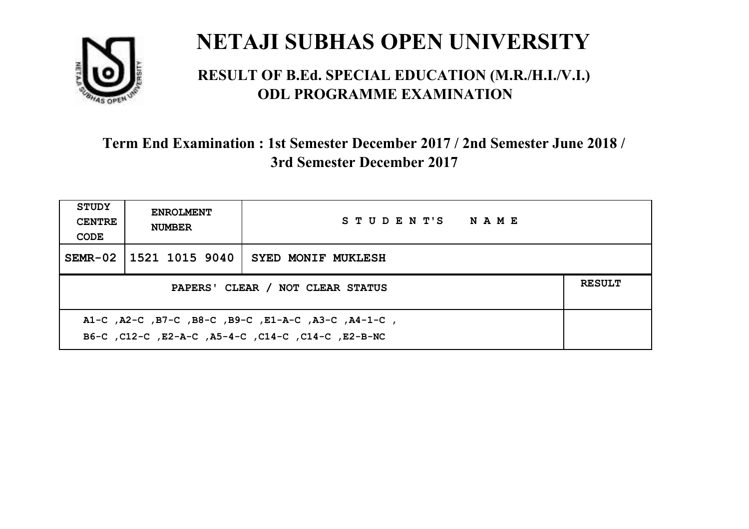

#### **RESULT OF B.Ed. SPECIAL EDUCATION (M.R./H.I./V.I.) ODL PROGRAMME EXAMINATION**

| <b>STUDY</b><br><b>CENTRE</b><br>CODE                                                                     | <b>ENROLMENT</b><br><b>NUMBER</b>                 | STUDENT'S NAME            |  |  |  |
|-----------------------------------------------------------------------------------------------------------|---------------------------------------------------|---------------------------|--|--|--|
|                                                                                                           | SEMR-02   1521 1015 9040                          | <b>SYED MONIF MUKLESH</b> |  |  |  |
|                                                                                                           | <b>RESULT</b><br>PAPERS' CLEAR / NOT CLEAR STATUS |                           |  |  |  |
| A1-C, A2-C, B7-C, B8-C, B9-C, E1-A-C, A3-C, A4-1-C,<br>B6-C, C12-C, E2-A-C, A5-4-C, C14-C, C14-C, E2-B-NC |                                                   |                           |  |  |  |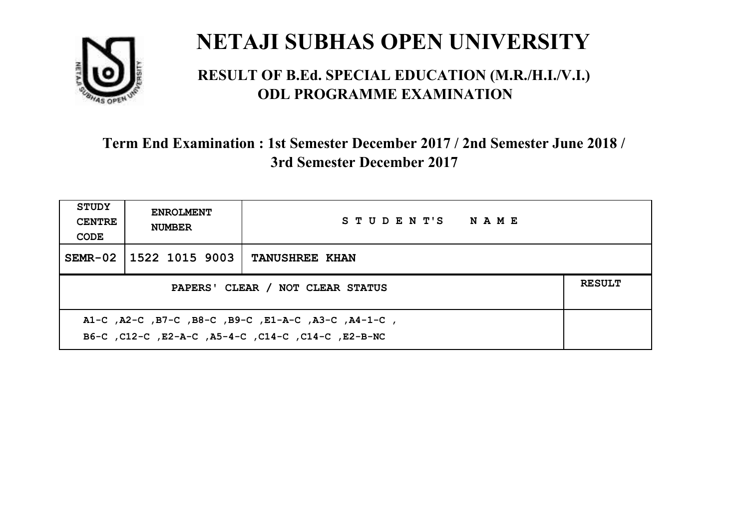

#### **RESULT OF B.Ed. SPECIAL EDUCATION (M.R./H.I./V.I.) ODL PROGRAMME EXAMINATION**

| <b>STUDY</b><br><b>CENTRE</b><br>CODE                                                                     | <b>ENROLMENT</b><br><b>NUMBER</b>                 | STUDENT'S NAME        |  |  |  |
|-----------------------------------------------------------------------------------------------------------|---------------------------------------------------|-----------------------|--|--|--|
|                                                                                                           | SEMR-02 1522 1015 9003                            | <b>TANUSHREE KHAN</b> |  |  |  |
|                                                                                                           | <b>RESULT</b><br>PAPERS' CLEAR / NOT CLEAR STATUS |                       |  |  |  |
| A1-C, A2-C, B7-C, B8-C, B9-C, E1-A-C, A3-C, A4-1-C,<br>B6-C, C12-C, E2-A-C, A5-4-C, C14-C, C14-C, E2-B-NC |                                                   |                       |  |  |  |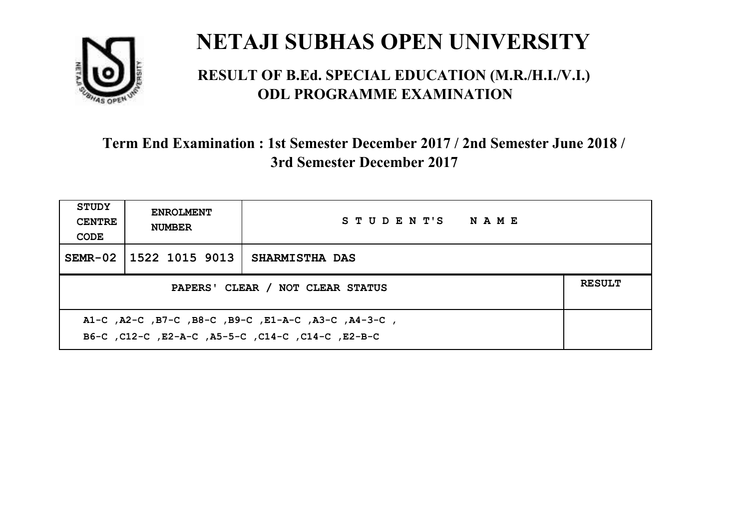

#### **RESULT OF B.Ed. SPECIAL EDUCATION (M.R./H.I./V.I.) ODL PROGRAMME EXAMINATION**

| STUDY<br><b>CENTRE</b><br>CODE                    | <b>ENROLMENT</b><br><b>NUMBER</b> | STUDENT'S NAME        |  |  |
|---------------------------------------------------|-----------------------------------|-----------------------|--|--|
|                                                   | SEMR-02   1522 1015 9013          | <b>SHARMISTHA DAS</b> |  |  |
| <b>RESULT</b><br>PAPERS' CLEAR / NOT CLEAR STATUS |                                   |                       |  |  |
|                                                   |                                   |                       |  |  |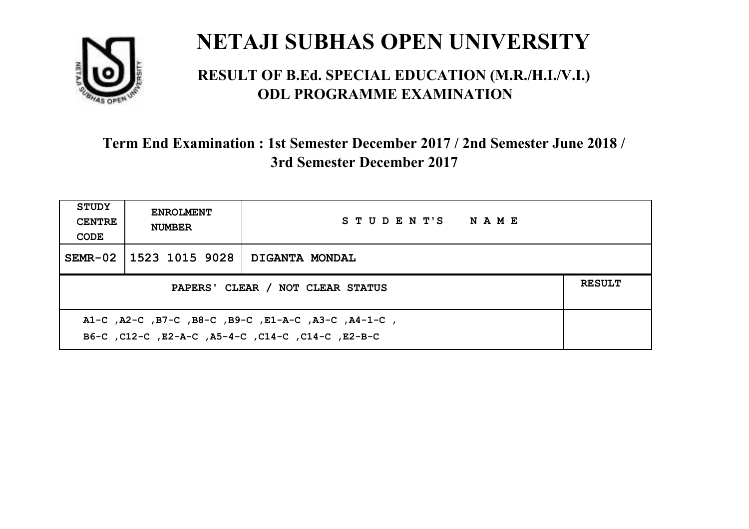

#### **RESULT OF B.Ed. SPECIAL EDUCATION (M.R./H.I./V.I.) ODL PROGRAMME EXAMINATION**

| <b>STUDY</b><br><b>CENTRE</b><br>CODE                                                                     | <b>ENROLMENT</b><br><b>NUMBER</b>                 | STUDENT'S NAME |  |  |  |
|-----------------------------------------------------------------------------------------------------------|---------------------------------------------------|----------------|--|--|--|
|                                                                                                           | SEMR-02   1523 1015 9028                          | DIGANTA MONDAL |  |  |  |
|                                                                                                           | <b>RESULT</b><br>PAPERS' CLEAR / NOT CLEAR STATUS |                |  |  |  |
| A1-C, A2-C, B7-C, B8-C, B9-C, E1-A-C, A3-C, A4-1-C,<br>B6-C, C12-C, E2-A-C, A5-4-C, C14-C, C14-C, C12-B-C |                                                   |                |  |  |  |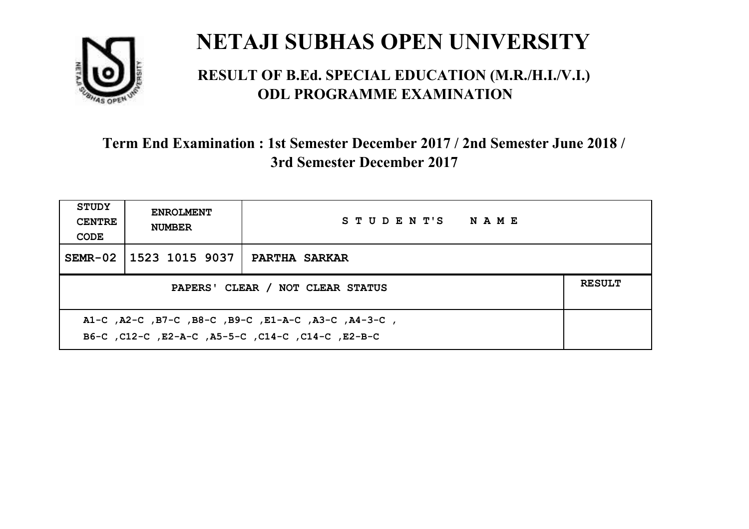

#### **RESULT OF B.Ed. SPECIAL EDUCATION (M.R./H.I./V.I.) ODL PROGRAMME EXAMINATION**

| STUDY<br><b>CENTRE</b><br>CODE                                                                            | <b>ENROLMENT</b><br><b>NUMBER</b>                 | STUDENT'S NAME       |  |  |  |
|-----------------------------------------------------------------------------------------------------------|---------------------------------------------------|----------------------|--|--|--|
|                                                                                                           | SEMR-02 1523 1015 9037                            | <b>PARTHA SARKAR</b> |  |  |  |
|                                                                                                           | <b>RESULT</b><br>PAPERS' CLEAR / NOT CLEAR STATUS |                      |  |  |  |
| A1-C, A2-C, B7-C, B8-C, B9-C, E1-A-C, A3-C, A4-3-C,<br>B6-C, C12-C, E2-A-C, A5-5-C, C14-C, C14-C, C12-B-C |                                                   |                      |  |  |  |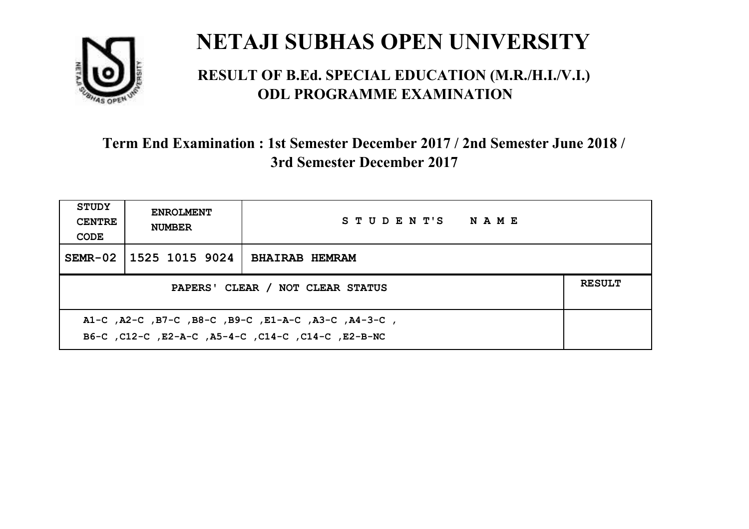

#### **RESULT OF B.Ed. SPECIAL EDUCATION (M.R./H.I./V.I.) ODL PROGRAMME EXAMINATION**

| <b>STUDY</b><br><b>CENTRE</b><br>CODE                                                                     | <b>ENROLMENT</b><br><b>NUMBER</b>                 | STUDENT'S NAME        |  |  |  |
|-----------------------------------------------------------------------------------------------------------|---------------------------------------------------|-----------------------|--|--|--|
|                                                                                                           | SEMR-02 1525 1015 9024                            | <b>BHAIRAB HEMRAM</b> |  |  |  |
|                                                                                                           | <b>RESULT</b><br>PAPERS' CLEAR / NOT CLEAR STATUS |                       |  |  |  |
| A1-C, A2-C, B7-C, B8-C, B9-C, E1-A-C, A3-C, A4-3-C,<br>B6-C, C12-C, E2-A-C, A5-4-C, C14-C, C14-C, E2-B-NC |                                                   |                       |  |  |  |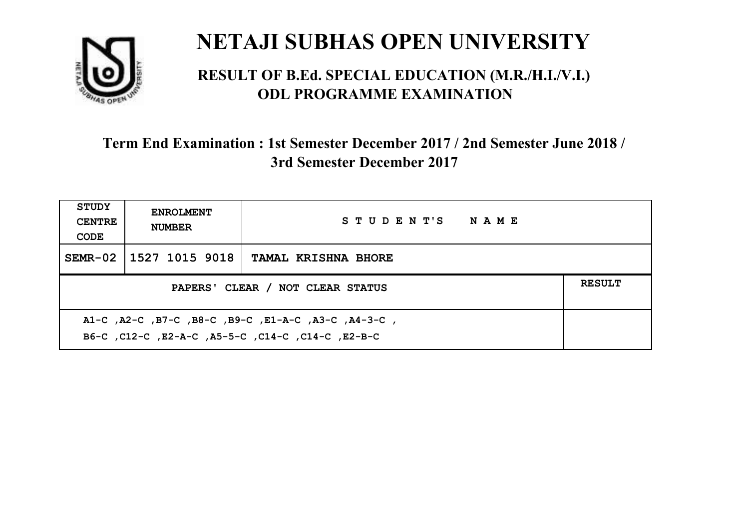

#### **RESULT OF B.Ed. SPECIAL EDUCATION (M.R./H.I./V.I.) ODL PROGRAMME EXAMINATION**

| <b>STUDY</b><br><b>CENTRE</b><br>CODE                                                                    | <b>ENROLMENT</b><br><b>NUMBER</b>                 | STUDENT'S NAME             |  |  |  |
|----------------------------------------------------------------------------------------------------------|---------------------------------------------------|----------------------------|--|--|--|
|                                                                                                          | SEMR-02 1527 1015 9018                            | <b>TAMAL KRISHNA BHORE</b> |  |  |  |
|                                                                                                          | <b>RESULT</b><br>PAPERS' CLEAR / NOT CLEAR STATUS |                            |  |  |  |
| A1-C, A2-C, B7-C, B8-C, B9-C, E1-A-C, A3-C, A4-3-C,<br>B6-C, C12-C, E2-A-C, A5-5-C, C14-C, C14-C, E2-B-C |                                                   |                            |  |  |  |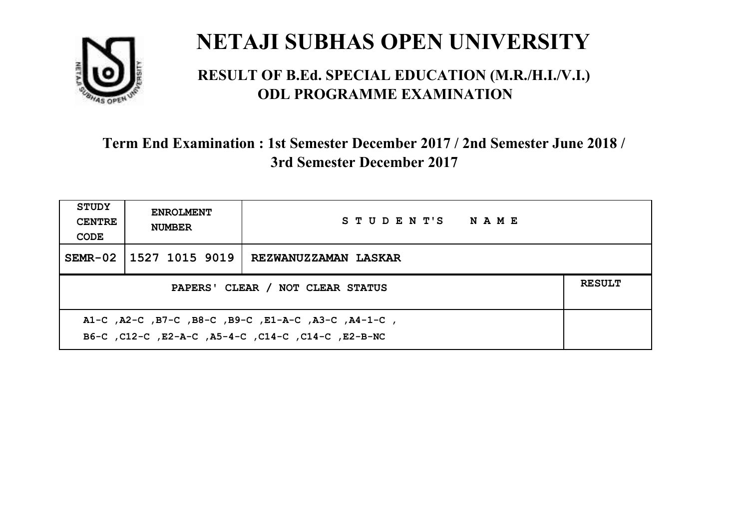

#### **RESULT OF B.Ed. SPECIAL EDUCATION (M.R./H.I./V.I.) ODL PROGRAMME EXAMINATION**

| <b>STUDY</b><br><b>CENTRE</b><br>CODE                                                                     | <b>ENROLMENT</b><br><b>NUMBER</b>                 | STUDENT'S NAME       |  |  |  |
|-----------------------------------------------------------------------------------------------------------|---------------------------------------------------|----------------------|--|--|--|
|                                                                                                           | SEMR-02 1527 1015 9019                            | REZWANUZZAMAN LASKAR |  |  |  |
|                                                                                                           | <b>RESULT</b><br>PAPERS' CLEAR / NOT CLEAR STATUS |                      |  |  |  |
| A1-C, A2-C, B7-C, B8-C, B9-C, E1-A-C, A3-C, A4-1-C,<br>B6-C, C12-C, E2-A-C, A5-4-C, C14-C, C14-C, E2-B-NC |                                                   |                      |  |  |  |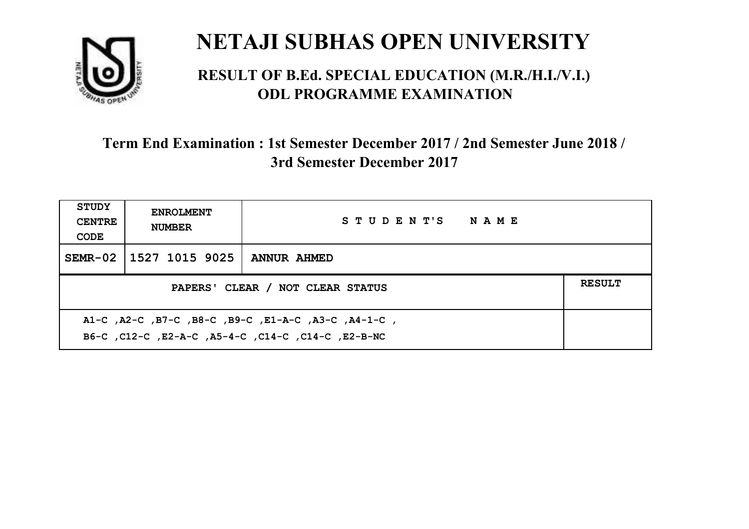

#### **RESULT OF B.Ed. SPECIAL EDUCATION (M.R./H.I./V.I.) ODL PROGRAMME EXAMINATION**

| <b>STUDY</b><br><b>CENTRE</b><br>CODE             | <b>ENROLMENT</b><br><b>NUMBER</b> | STUDENT'S NAME     |  |  |
|---------------------------------------------------|-----------------------------------|--------------------|--|--|
|                                                   | SEMR-02 1527 1015 9025            | <b>ANNUR AHMED</b> |  |  |
| <b>RESULT</b><br>PAPERS' CLEAR / NOT CLEAR STATUS |                                   |                    |  |  |
|                                                   |                                   |                    |  |  |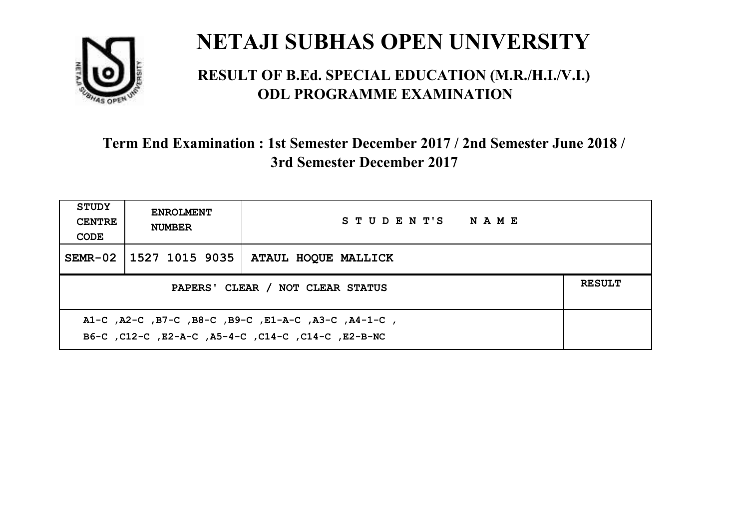

#### **RESULT OF B.Ed. SPECIAL EDUCATION (M.R./H.I./V.I.) ODL PROGRAMME EXAMINATION**

| <b>STUDY</b><br><b>CENTRE</b><br>CODE                                                                     | <b>ENROLMENT</b><br><b>NUMBER</b>                 | STUDENT'S NAME      |  |  |  |
|-----------------------------------------------------------------------------------------------------------|---------------------------------------------------|---------------------|--|--|--|
|                                                                                                           | SEMR-02   1527 1015 9035                          | ATAUL HOQUE MALLICK |  |  |  |
|                                                                                                           | <b>RESULT</b><br>PAPERS' CLEAR / NOT CLEAR STATUS |                     |  |  |  |
| A1-C, A2-C, B7-C, B8-C, B9-C, E1-A-C, A3-C, A4-1-C,<br>B6-C, C12-C, E2-A-C, A5-4-C, C14-C, C14-C, E2-B-NC |                                                   |                     |  |  |  |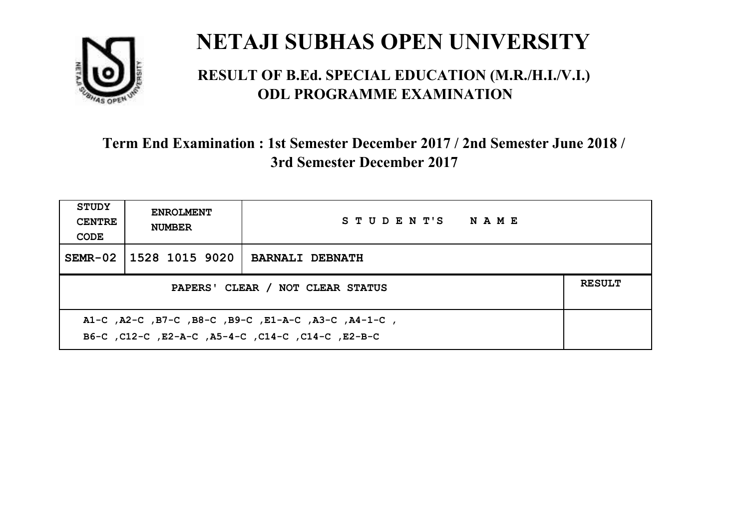

#### **RESULT OF B.Ed. SPECIAL EDUCATION (M.R./H.I./V.I.) ODL PROGRAMME EXAMINATION**

| <b>STUDY</b><br><b>CENTRE</b><br>CODE                                                                    | <b>ENROLMENT</b><br><b>NUMBER</b> | STUDENT'S NAME         |  |
|----------------------------------------------------------------------------------------------------------|-----------------------------------|------------------------|--|
|                                                                                                          | SEMR-02 1528 1015 9020            | <b>BARNALI DEBNATH</b> |  |
| <b>RESULT</b><br>PAPERS' CLEAR / NOT CLEAR STATUS                                                        |                                   |                        |  |
| A1-C, A2-C, B7-C, B8-C, B9-C, E1-A-C, A3-C, A4-1-C,<br>B6-C, C12-C, E2-A-C, A5-4-C, C14-C, C14-C, E2-B-C |                                   |                        |  |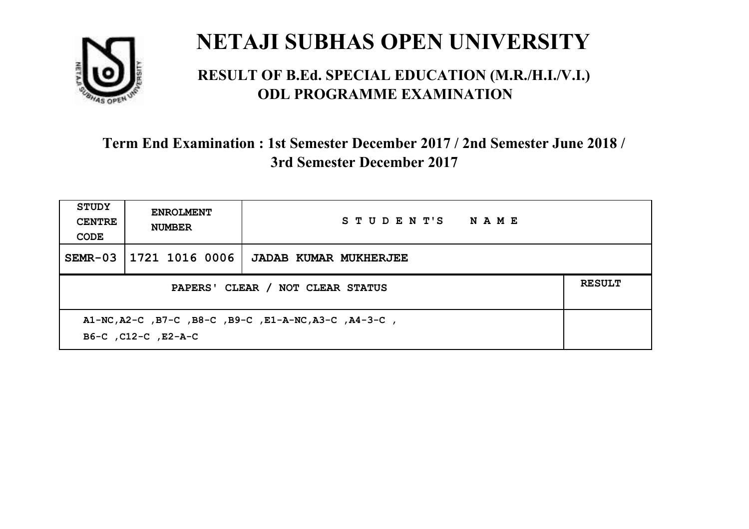

#### **RESULT OF B.Ed. SPECIAL EDUCATION (M.R./H.I./V.I.) ODL PROGRAMME EXAMINATION**

| <b>STUDY</b><br><b>CENTRE</b><br>CODE                                        | <b>ENROLMENT</b><br><b>NUMBER</b>                 | STUDENT'S NAME               |  |  |
|------------------------------------------------------------------------------|---------------------------------------------------|------------------------------|--|--|
| $SEMR-03$                                                                    | 1721 1016 0006                                    | <b>JADAB KUMAR MUKHERJEE</b> |  |  |
|                                                                              | <b>RESULT</b><br>PAPERS' CLEAR / NOT CLEAR STATUS |                              |  |  |
| A1-NC, A2-C, B7-C, B8-C, B9-C, E1-A-NC, A3-C, A4-3-C,<br>B6-C, C12-C, E2-A-C |                                                   |                              |  |  |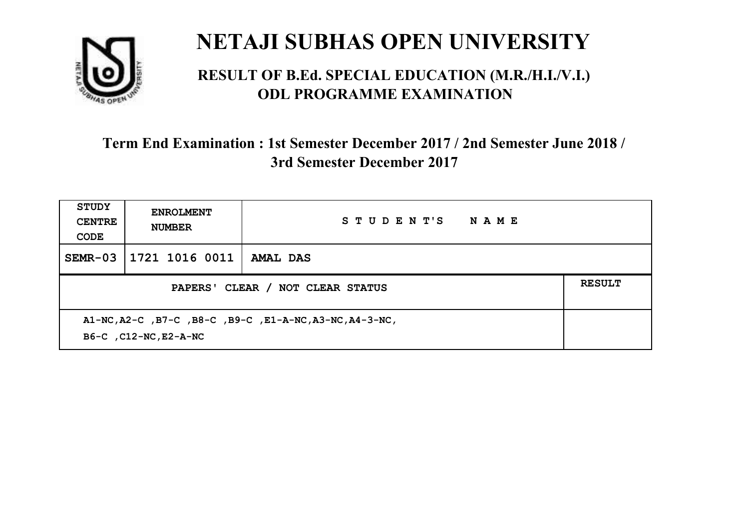

#### **RESULT OF B.Ed. SPECIAL EDUCATION (M.R./H.I./V.I.) ODL PROGRAMME EXAMINATION**

| <b>STUDY</b><br><b>CENTRE</b><br>CODE                                             | <b>ENROLMENT</b><br><b>NUMBER</b> | STUDENT'S<br><b>NAME</b> |  |
|-----------------------------------------------------------------------------------|-----------------------------------|--------------------------|--|
| $SEMR-03$                                                                         | 1721 1016 0011                    | AMAL DAS                 |  |
| <b>RESULT</b><br>PAPERS' CLEAR / NOT CLEAR STATUS                                 |                                   |                          |  |
| A1-NC, A2-C, B7-C, B8-C, B9-C, E1-A-NC, A3-NC, A4-3-NC,<br>B6-C , C12-NC, E2-A-NC |                                   |                          |  |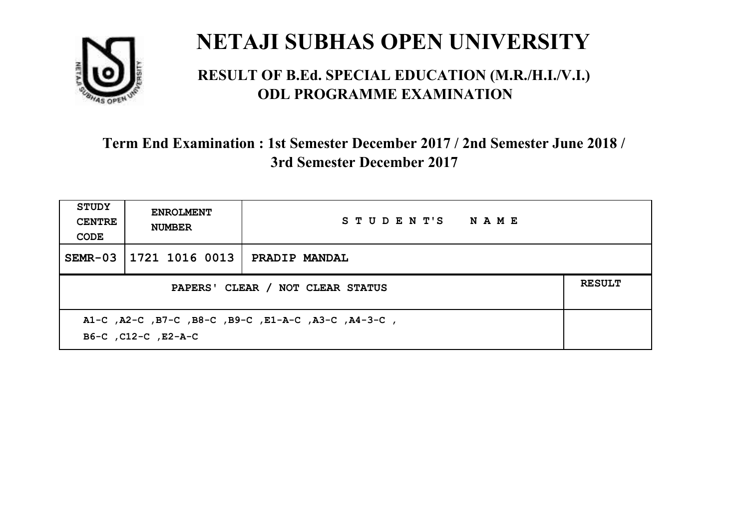

#### **RESULT OF B.Ed. SPECIAL EDUCATION (M.R./H.I./V.I.) ODL PROGRAMME EXAMINATION**

| <b>STUDY</b><br><b>CENTRE</b><br>CODE                                      | <b>ENROLMENT</b><br><b>NUMBER</b> | STUDENT'S NAME       |  |  |
|----------------------------------------------------------------------------|-----------------------------------|----------------------|--|--|
| $SEMR-03$                                                                  | 1721 1016 0013                    | <b>PRADIP MANDAL</b> |  |  |
| <b>RESULT</b><br>PAPERS' CLEAR / NOT CLEAR STATUS                          |                                   |                      |  |  |
| A1-C, A2-C, B7-C, B8-C, B9-C, E1-A-C, A3-C, A4-3-C,<br>B6-C, C12-C, E2-A-C |                                   |                      |  |  |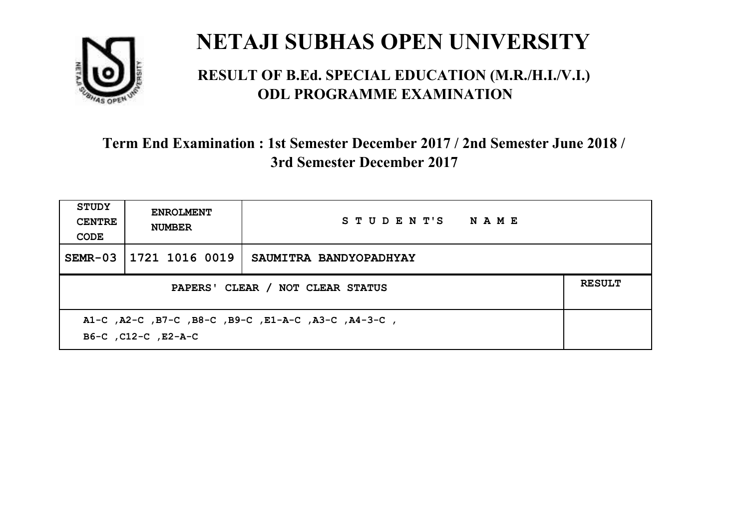

#### **RESULT OF B.Ed. SPECIAL EDUCATION (M.R./H.I./V.I.) ODL PROGRAMME EXAMINATION**

| <b>STUDY</b><br><b>CENTRE</b><br>CODE                                      | <b>ENROLMENT</b><br><b>NUMBER</b> | STUDENT'S NAME         |  |  |
|----------------------------------------------------------------------------|-----------------------------------|------------------------|--|--|
| SEMR-03                                                                    | 1721 1016 0019                    | SAUMITRA BANDYOPADHYAY |  |  |
| <b>RESULT</b><br>PAPERS' CLEAR / NOT CLEAR STATUS                          |                                   |                        |  |  |
| A1-C, A2-C, B7-C, B8-C, B9-C, E1-A-C, A3-C, A4-3-C,<br>B6-C, C12-C, E2-A-C |                                   |                        |  |  |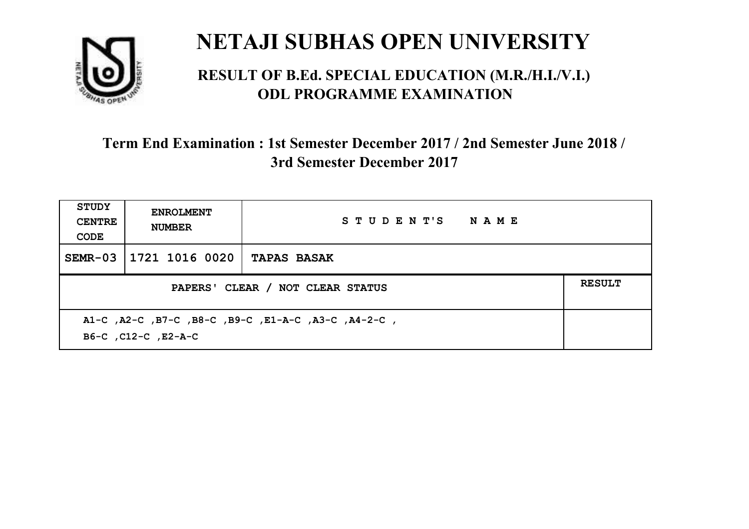

#### **RESULT OF B.Ed. SPECIAL EDUCATION (M.R./H.I./V.I.) ODL PROGRAMME EXAMINATION**

| <b>STUDY</b><br><b>CENTRE</b><br>CODE | <b>ENROLMENT</b><br><b>NUMBER</b>                                          | STUDENT'S NAME     |  |  |  |
|---------------------------------------|----------------------------------------------------------------------------|--------------------|--|--|--|
| $SEMR-03$                             | 1721 1016 0020                                                             | <b>TAPAS BASAK</b> |  |  |  |
|                                       | <b>RESULT</b><br>PAPERS' CLEAR / NOT CLEAR STATUS                          |                    |  |  |  |
|                                       | A1-C, A2-C, B7-C, B8-C, B9-C, E1-A-C, A3-C, A4-2-C,<br>B6-C, C12-C, E2-A-C |                    |  |  |  |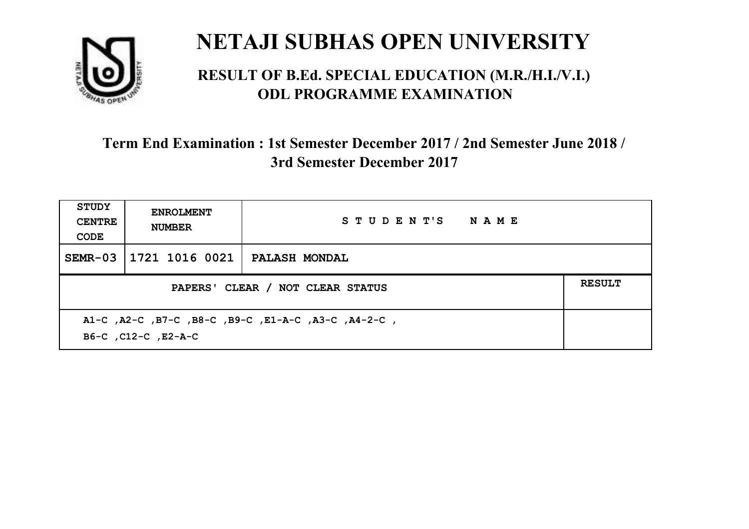

#### **RESULT OF B.Ed. SPECIAL EDUCATION (M.R./H.I./V.I.) ODL PROGRAMME EXAMINATION**

| <b>STUDY</b><br><b>CENTRE</b><br>CODE                                      | <b>ENROLMENT</b><br><b>NUMBER</b> | STUDENT'S NAME       |  |  |
|----------------------------------------------------------------------------|-----------------------------------|----------------------|--|--|
| $SEMR-03$                                                                  | 1721 1016 0021                    | <b>PALASH MONDAL</b> |  |  |
| <b>RESULT</b><br>PAPERS' CLEAR / NOT CLEAR STATUS                          |                                   |                      |  |  |
| A1-C, A2-C, B7-C, B8-C, B9-C, E1-A-C, A3-C, A4-2-C,<br>B6-C, C12-C, E2-A-C |                                   |                      |  |  |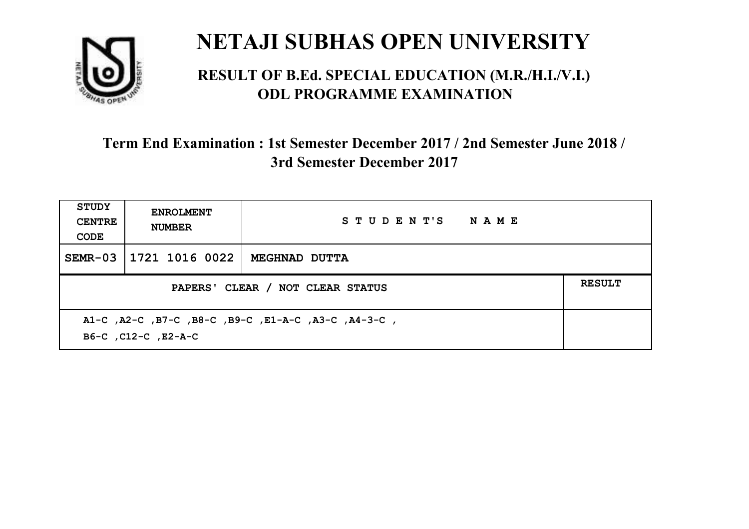

#### **RESULT OF B.Ed. SPECIAL EDUCATION (M.R./H.I./V.I.) ODL PROGRAMME EXAMINATION**

| <b>STUDY</b><br><b>CENTRE</b><br>CODE                                      | <b>ENROLMENT</b><br><b>NUMBER</b> | STUDENT'S NAME       |  |  |
|----------------------------------------------------------------------------|-----------------------------------|----------------------|--|--|
| $SEMR-03$                                                                  | 1721 1016 0022                    | <b>MEGHNAD DUTTA</b> |  |  |
| <b>RESULT</b><br>PAPERS' CLEAR / NOT CLEAR STATUS                          |                                   |                      |  |  |
| A1-C, A2-C, B7-C, B8-C, B9-C, E1-A-C, A3-C, A4-3-C,<br>B6-C, C12-C, E2-A-C |                                   |                      |  |  |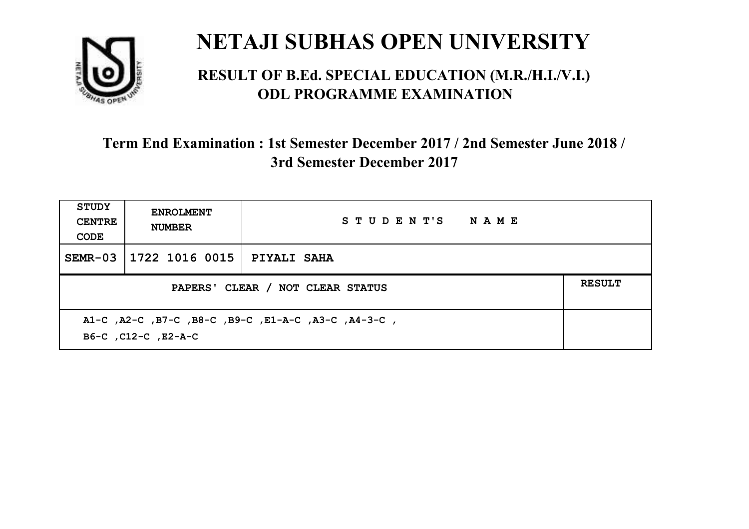

#### **RESULT OF B.Ed. SPECIAL EDUCATION (M.R./H.I./V.I.) ODL PROGRAMME EXAMINATION**

| <b>STUDY</b><br><b>CENTRE</b><br>CODE | <b>ENROLMENT</b><br><b>NUMBER</b>                                          | STUDENT'S NAME |  |  |  |
|---------------------------------------|----------------------------------------------------------------------------|----------------|--|--|--|
| $SEMR-03$                             | 1722 1016 0015                                                             | PIYALI SAHA    |  |  |  |
|                                       | <b>RESULT</b><br>PAPERS' CLEAR / NOT CLEAR STATUS                          |                |  |  |  |
|                                       | A1-C, A2-C, B7-C, B8-C, B9-C, E1-A-C, A3-C, A4-3-C,<br>B6-C, C12-C, E2-A-C |                |  |  |  |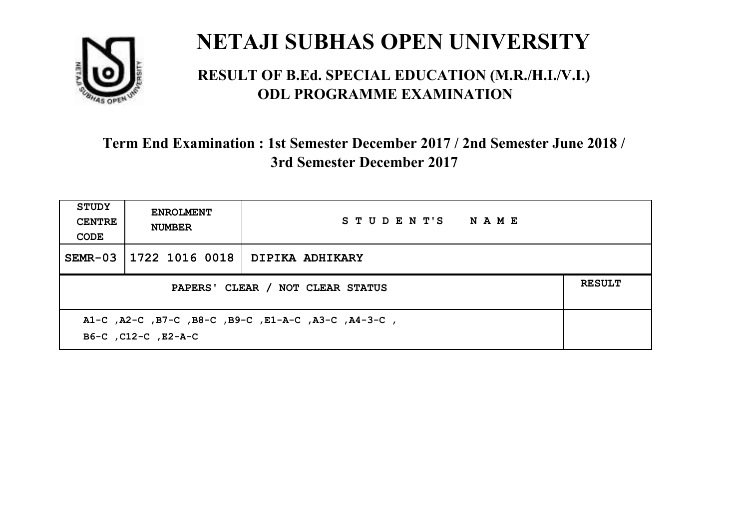

#### **RESULT OF B.Ed. SPECIAL EDUCATION (M.R./H.I./V.I.) ODL PROGRAMME EXAMINATION**

| <b>STUDY</b><br><b>CENTRE</b><br>CODE | <b>ENROLMENT</b><br><b>NUMBER</b>                                          | STUDENT'S NAME  |  |  |  |
|---------------------------------------|----------------------------------------------------------------------------|-----------------|--|--|--|
| SEMR-03                               | 1722 1016 0018                                                             | DIPIKA ADHIKARY |  |  |  |
|                                       | <b>RESULT</b><br>PAPERS' CLEAR / NOT CLEAR STATUS                          |                 |  |  |  |
|                                       | A1-C, A2-C, B7-C, B8-C, B9-C, E1-A-C, A3-C, A4-3-C,<br>B6-C, C12-C, E2-A-C |                 |  |  |  |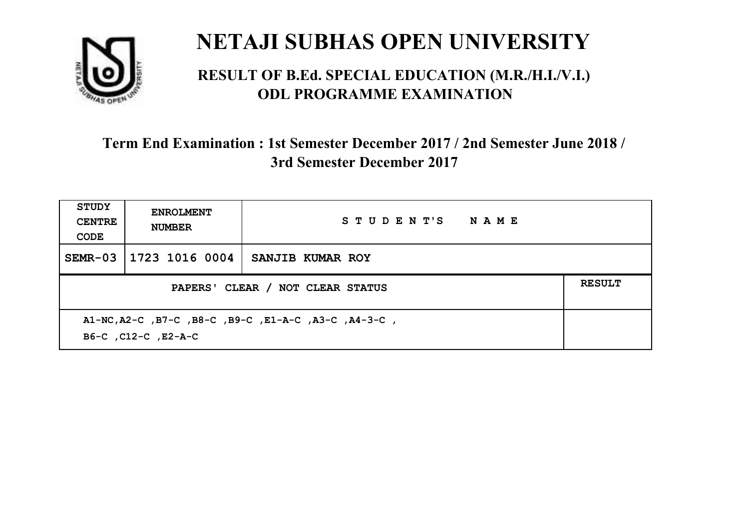

#### **RESULT OF B.Ed. SPECIAL EDUCATION (M.R./H.I./V.I.) ODL PROGRAMME EXAMINATION**

| <b>STUDY</b><br><b>CENTRE</b><br>CODE                                       | <b>ENROLMENT</b><br><b>NUMBER</b>                 | STUDENT'S NAME   |  |  |
|-----------------------------------------------------------------------------|---------------------------------------------------|------------------|--|--|
| $SEMR-03$                                                                   | 1723 1016 0004                                    | SANJIB KUMAR ROY |  |  |
|                                                                             | <b>RESULT</b><br>PAPERS' CLEAR / NOT CLEAR STATUS |                  |  |  |
| A1-NC, A2-C, B7-C, B8-C, B9-C, E1-A-C, A3-C, A4-3-C,<br>B6-C, C12-C, E2-A-C |                                                   |                  |  |  |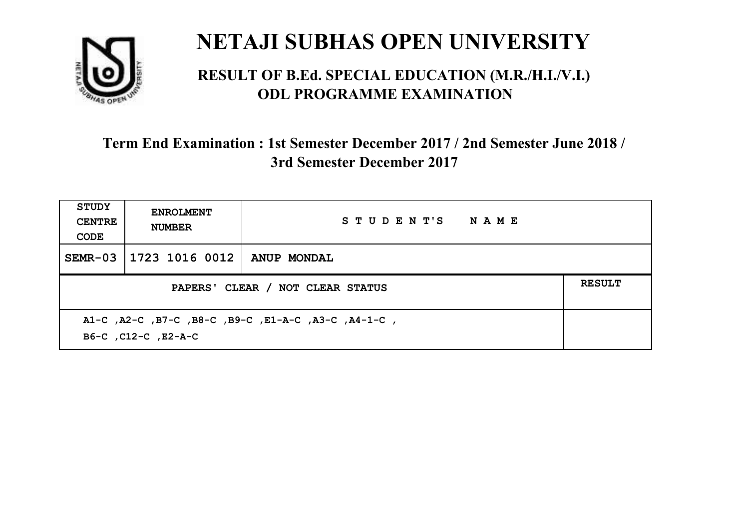

#### **RESULT OF B.Ed. SPECIAL EDUCATION (M.R./H.I./V.I.) ODL PROGRAMME EXAMINATION**

| <b>STUDY</b><br><b>CENTRE</b><br>CODE | <b>ENROLMENT</b><br><b>NUMBER</b>                                          | STUDENT'S NAME     |  |  |  |
|---------------------------------------|----------------------------------------------------------------------------|--------------------|--|--|--|
| $SEMR-03$                             | 1723 1016 0012                                                             | <b>ANUP MONDAL</b> |  |  |  |
|                                       | <b>RESULT</b><br>PAPERS' CLEAR / NOT CLEAR STATUS                          |                    |  |  |  |
|                                       | A1-C, A2-C, B7-C, B8-C, B9-C, E1-A-C, A3-C, A4-1-C,<br>B6-C, C12-C, E2-A-C |                    |  |  |  |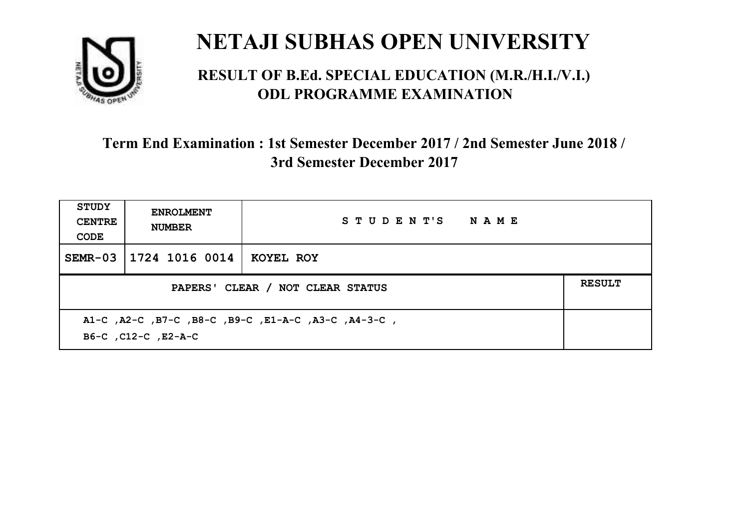

#### **RESULT OF B.Ed. SPECIAL EDUCATION (M.R./H.I./V.I.) ODL PROGRAMME EXAMINATION**

| <b>STUDY</b><br><b>CENTRE</b><br>CODE                                      | <b>ENROLMENT</b><br><b>NUMBER</b>                 | STUDENT'S NAME |  |  |  |
|----------------------------------------------------------------------------|---------------------------------------------------|----------------|--|--|--|
| $SEMR-03$                                                                  | 1724 1016 0014                                    | KOYEL ROY      |  |  |  |
|                                                                            | <b>RESULT</b><br>PAPERS' CLEAR / NOT CLEAR STATUS |                |  |  |  |
| A1-C, A2-C, B7-C, B8-C, B9-C, E1-A-C, A3-C, A4-3-C,<br>B6-C, C12-C, E2-A-C |                                                   |                |  |  |  |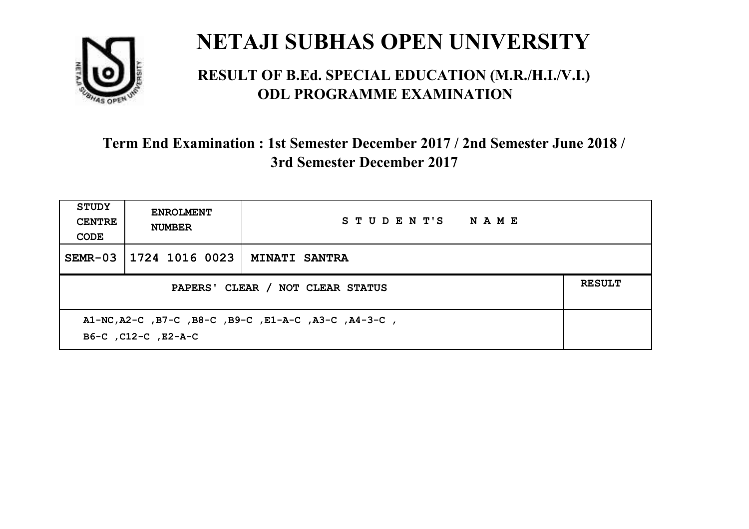

#### **RESULT OF B.Ed. SPECIAL EDUCATION (M.R./H.I./V.I.) ODL PROGRAMME EXAMINATION**

| <b>STUDY</b><br><b>CENTRE</b><br>CODE                                       | <b>ENROLMENT</b><br><b>NUMBER</b>                 | STUDENT'S NAME       |  |  |
|-----------------------------------------------------------------------------|---------------------------------------------------|----------------------|--|--|
| $SEMR-03$                                                                   | 1724 1016 0023                                    | <b>MINATI SANTRA</b> |  |  |
|                                                                             | <b>RESULT</b><br>PAPERS' CLEAR / NOT CLEAR STATUS |                      |  |  |
| A1-NC, A2-C, B7-C, B8-C, B9-C, E1-A-C, A3-C, A4-3-C,<br>B6-C, C12-C, E2-A-C |                                                   |                      |  |  |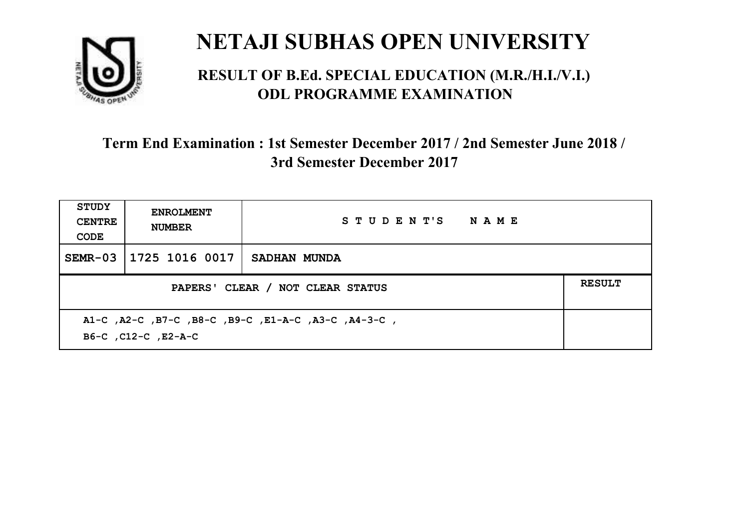

#### **RESULT OF B.Ed. SPECIAL EDUCATION (M.R./H.I./V.I.) ODL PROGRAMME EXAMINATION**

| STUDY<br><b>CENTRE</b><br>CODE                                             | <b>ENROLMENT</b><br><b>NUMBER</b>                 | STUDENT'S NAME |  |  |
|----------------------------------------------------------------------------|---------------------------------------------------|----------------|--|--|
| $SEMR-03$                                                                  | 1725 1016 0017                                    | SADHAN MUNDA   |  |  |
|                                                                            | <b>RESULT</b><br>PAPERS' CLEAR / NOT CLEAR STATUS |                |  |  |
| A1-C, A2-C, B7-C, B8-C, B9-C, E1-A-C, A3-C, A4-3-C,<br>B6-C, C12-C, E2-A-C |                                                   |                |  |  |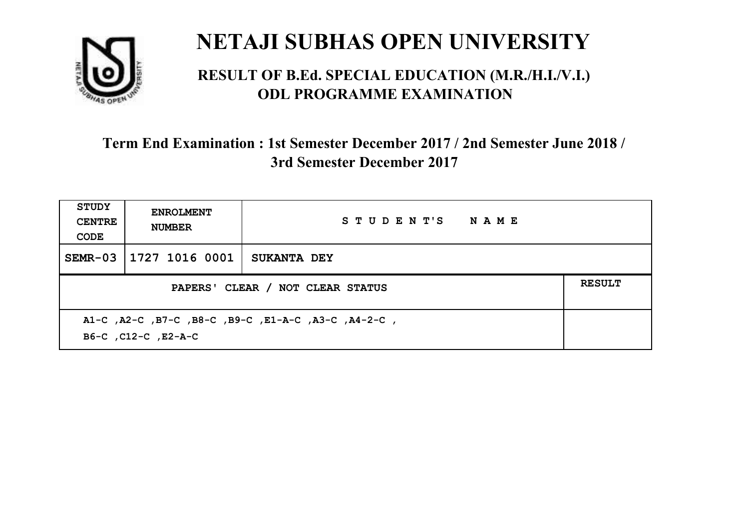

#### **RESULT OF B.Ed. SPECIAL EDUCATION (M.R./H.I./V.I.) ODL PROGRAMME EXAMINATION**

| <b>STUDY</b><br><b>CENTRE</b><br>CODE                                      | <b>ENROLMENT</b><br><b>NUMBER</b> | STUDENT'S NAME     |  |  |
|----------------------------------------------------------------------------|-----------------------------------|--------------------|--|--|
| $SEMR-03$                                                                  | 1727 1016 0001                    | <b>SUKANTA DEY</b> |  |  |
| <b>RESULT</b><br>PAPERS' CLEAR / NOT CLEAR STATUS                          |                                   |                    |  |  |
| A1-C, A2-C, B7-C, B8-C, B9-C, E1-A-C, A3-C, A4-2-C,<br>B6-C, C12-C, E2-A-C |                                   |                    |  |  |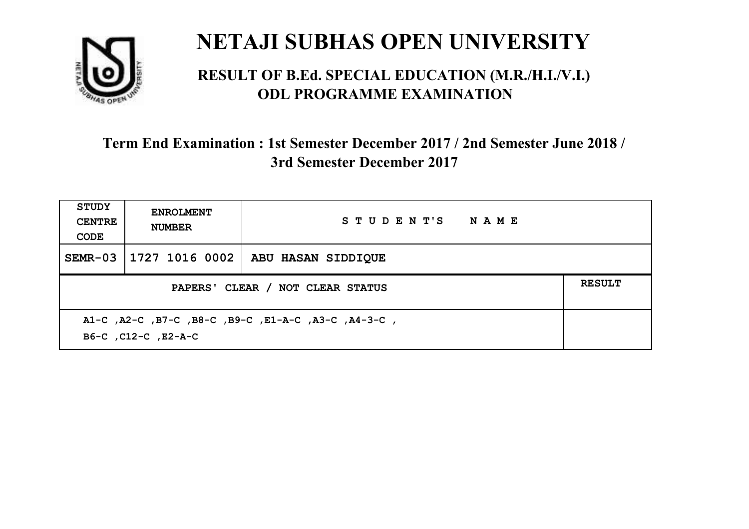

#### **RESULT OF B.Ed. SPECIAL EDUCATION (M.R./H.I./V.I.) ODL PROGRAMME EXAMINATION**

| <b>STUDY</b><br><b>CENTRE</b><br>CODE                                      | <b>ENROLMENT</b><br><b>NUMBER</b>                 | STUDENT'S NAME            |  |  |  |
|----------------------------------------------------------------------------|---------------------------------------------------|---------------------------|--|--|--|
| $SEMR-03$                                                                  | 1727 1016 0002                                    | <b>ABU HASAN SIDDIQUE</b> |  |  |  |
|                                                                            | <b>RESULT</b><br>PAPERS' CLEAR / NOT CLEAR STATUS |                           |  |  |  |
| A1-C, A2-C, B7-C, B8-C, B9-C, E1-A-C, A3-C, A4-3-C,<br>B6-C, C12-C, E2-A-C |                                                   |                           |  |  |  |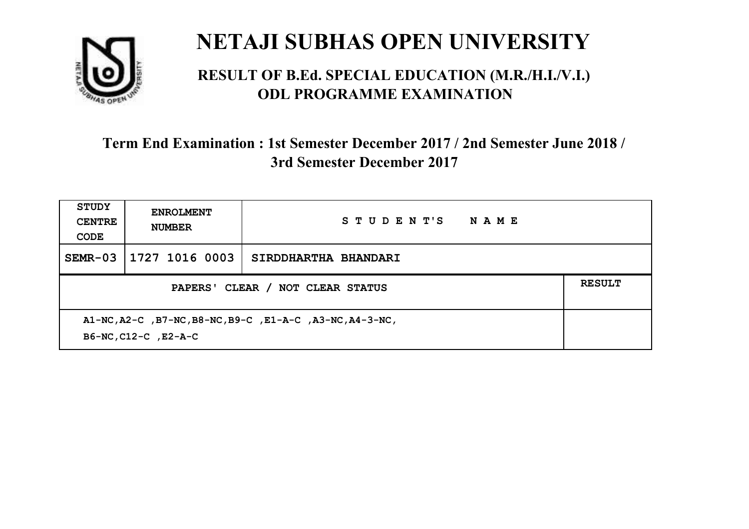

#### **RESULT OF B.Ed. SPECIAL EDUCATION (M.R./H.I./V.I.) ODL PROGRAMME EXAMINATION**

| <b>STUDY</b><br><b>CENTRE</b><br>CODE                                            | <b>ENROLMENT</b><br><b>NUMBER</b>                 | STUDENT'S<br><b>NAME</b> |  |  |
|----------------------------------------------------------------------------------|---------------------------------------------------|--------------------------|--|--|
| $SEMR-03$                                                                        | 1727 1016 0003                                    | SIRDDHARTHA BHANDARI     |  |  |
|                                                                                  | <b>RESULT</b><br>PAPERS' CLEAR / NOT CLEAR STATUS |                          |  |  |
| A1-NC, A2-C, B7-NC, B8-NC, B9-C, E1-A-C, A3-NC, A4-3-NC,<br>B6-NC, C12-C, E2-A-C |                                                   |                          |  |  |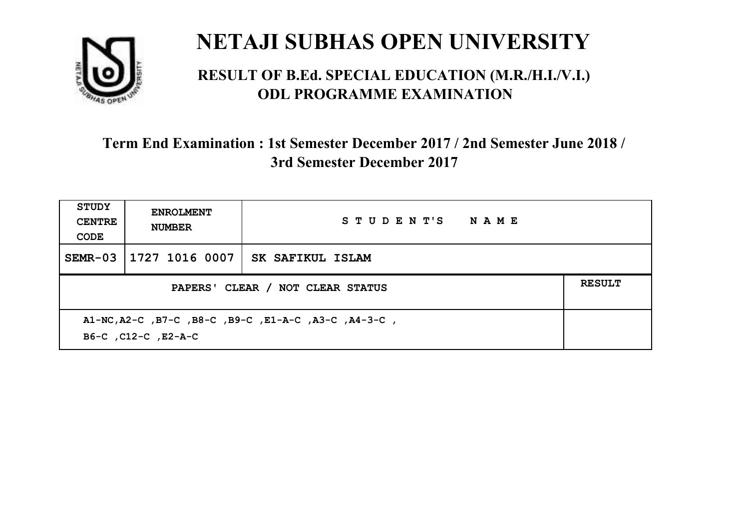

#### **RESULT OF B.Ed. SPECIAL EDUCATION (M.R./H.I./V.I.) ODL PROGRAMME EXAMINATION**

| <b>STUDY</b><br><b>CENTRE</b><br>CODE                                       | <b>ENROLMENT</b><br><b>NUMBER</b>                 | STUDENT'S NAME   |  |  |  |
|-----------------------------------------------------------------------------|---------------------------------------------------|------------------|--|--|--|
| $SEMR-03$                                                                   | 1727 1016 0007                                    | SK SAFIKUL ISLAM |  |  |  |
|                                                                             | <b>RESULT</b><br>PAPERS' CLEAR / NOT CLEAR STATUS |                  |  |  |  |
| A1-NC, A2-C, B7-C, B8-C, B9-C, E1-A-C, A3-C, A4-3-C,<br>B6-C, C12-C, E2-A-C |                                                   |                  |  |  |  |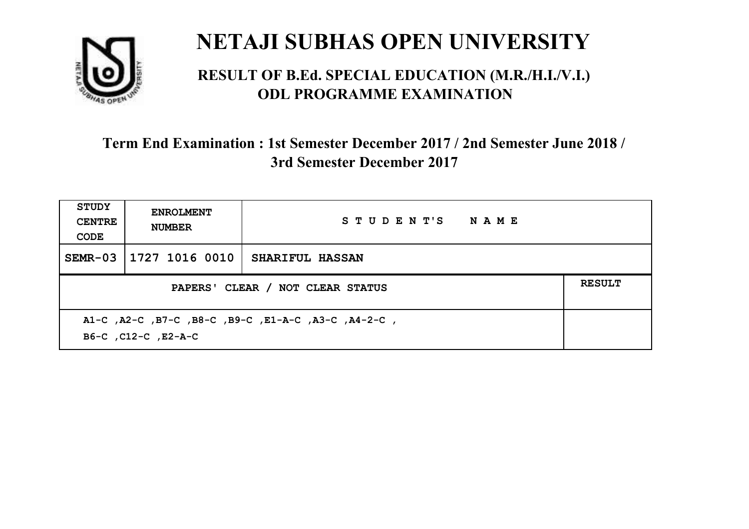

#### **RESULT OF B.Ed. SPECIAL EDUCATION (M.R./H.I./V.I.) ODL PROGRAMME EXAMINATION**

| <b>STUDY</b><br><b>CENTRE</b><br>CODE                                      | <b>ENROLMENT</b><br><b>NUMBER</b>                 | STUDENT'S NAME         |  |  |  |
|----------------------------------------------------------------------------|---------------------------------------------------|------------------------|--|--|--|
| $SEMR-03$                                                                  | 1727 1016 0010                                    | <b>SHARIFUL HASSAN</b> |  |  |  |
|                                                                            | <b>RESULT</b><br>PAPERS' CLEAR / NOT CLEAR STATUS |                        |  |  |  |
| A1-C, A2-C, B7-C, B8-C, B9-C, E1-A-C, A3-C, A4-2-C,<br>B6-C, C12-C, E2-A-C |                                                   |                        |  |  |  |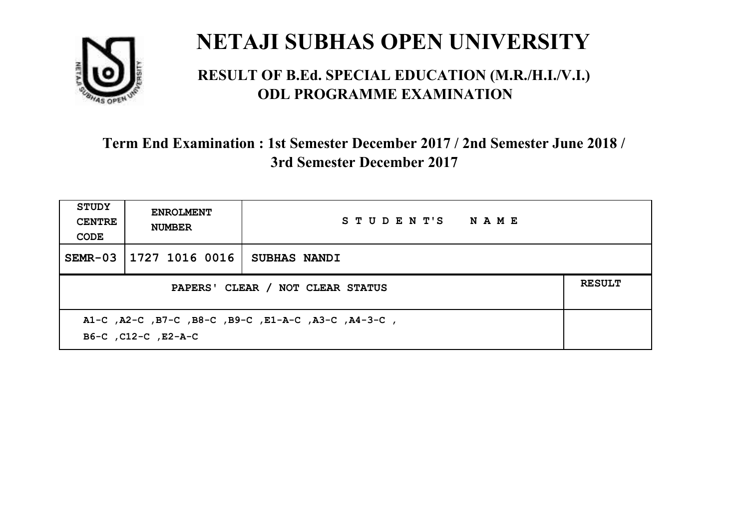

#### **RESULT OF B.Ed. SPECIAL EDUCATION (M.R./H.I./V.I.) ODL PROGRAMME EXAMINATION**

| <b>STUDY</b><br><b>CENTRE</b><br>CODE                                      | <b>ENROLMENT</b><br><b>NUMBER</b>                 | STUDENT'S NAME |  |  |
|----------------------------------------------------------------------------|---------------------------------------------------|----------------|--|--|
| $SEMR-03$                                                                  | 1727 1016 0016                                    | SUBHAS NANDI   |  |  |
|                                                                            | <b>RESULT</b><br>PAPERS' CLEAR / NOT CLEAR STATUS |                |  |  |
| A1-C, A2-C, B7-C, B8-C, B9-C, E1-A-C, A3-C, A4-3-C,<br>B6-C, C12-C, E2-A-C |                                                   |                |  |  |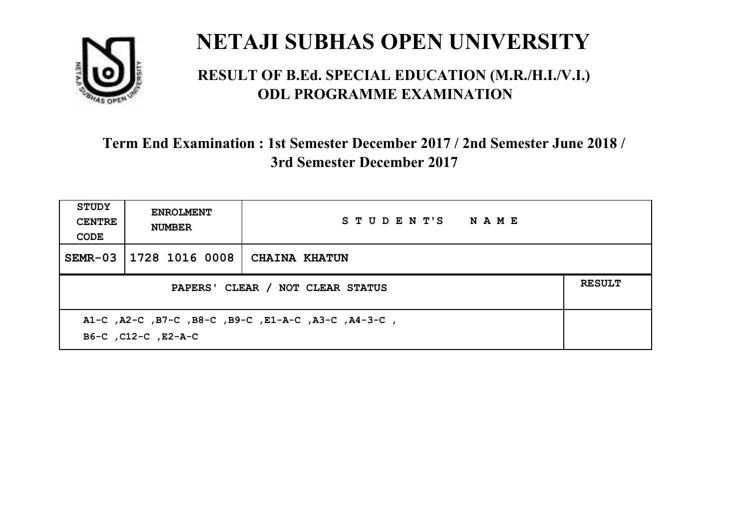

#### **RESULT OF B.Ed. SPECIAL EDUCATION (M.R./H.I./V.I.) ODL PROGRAMME EXAMINATION**

| <b>STUDY</b><br><b>CENTRE</b><br>CODE             | <b>ENROLMENT</b><br><b>NUMBER</b>                                          | STUDENT'S NAME       |  |  |  |
|---------------------------------------------------|----------------------------------------------------------------------------|----------------------|--|--|--|
| $SEMR-03$                                         | 1728 1016 0008                                                             | <b>CHAINA KHATUN</b> |  |  |  |
| <b>RESULT</b><br>PAPERS' CLEAR / NOT CLEAR STATUS |                                                                            |                      |  |  |  |
|                                                   | A1-C, A2-C, B7-C, B8-C, B9-C, E1-A-C, A3-C, A4-3-C,<br>B6-C, C12-C, E2-A-C |                      |  |  |  |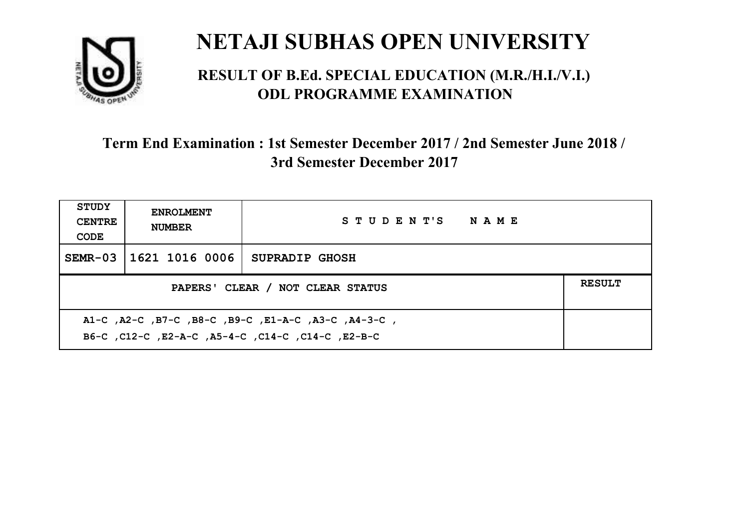

#### **RESULT OF B.Ed. SPECIAL EDUCATION (M.R./H.I./V.I.) ODL PROGRAMME EXAMINATION**

| <b>STUDY</b><br><b>CENTRE</b><br>CODE             | <b>ENROLMENT</b><br><b>NUMBER</b> | STUDENT'S NAME        |  |
|---------------------------------------------------|-----------------------------------|-----------------------|--|
|                                                   | SEMR-03 1621 1016 0006            | <b>SUPRADIP GHOSH</b> |  |
| <b>RESULT</b><br>PAPERS' CLEAR / NOT CLEAR STATUS |                                   |                       |  |
|                                                   |                                   |                       |  |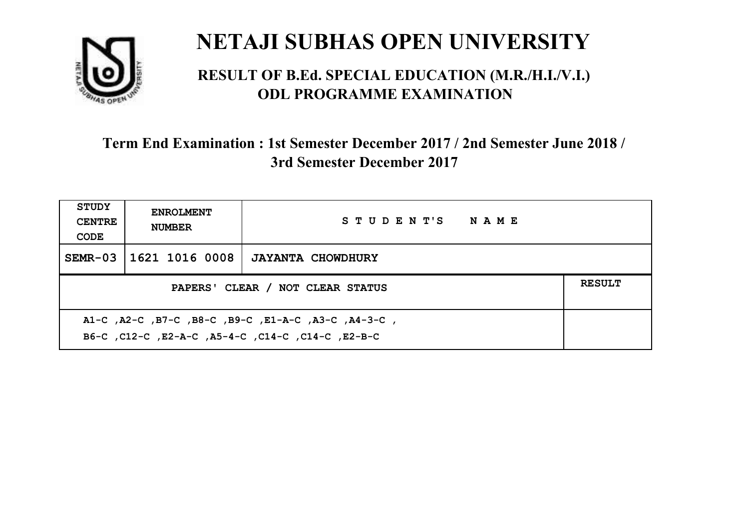

#### **RESULT OF B.Ed. SPECIAL EDUCATION (M.R./H.I./V.I.) ODL PROGRAMME EXAMINATION**

| <b>STUDY</b><br><b>CENTRE</b><br>CODE                                                                     | <b>ENROLMENT</b><br><b>NUMBER</b>                 | STUDENT'S NAME           |  |  |  |
|-----------------------------------------------------------------------------------------------------------|---------------------------------------------------|--------------------------|--|--|--|
| $SEMR-03$                                                                                                 | 1621 1016 0008                                    | <b>JAYANTA CHOWDHURY</b> |  |  |  |
|                                                                                                           | <b>RESULT</b><br>PAPERS' CLEAR / NOT CLEAR STATUS |                          |  |  |  |
| A1-C, A2-C, B7-C, B8-C, B9-C, E1-A-C, A3-C, A4-3-C,<br>B6-C, C12-C, E2-A-C, A5-4-C, C14-C, C14-C, C12-B-C |                                                   |                          |  |  |  |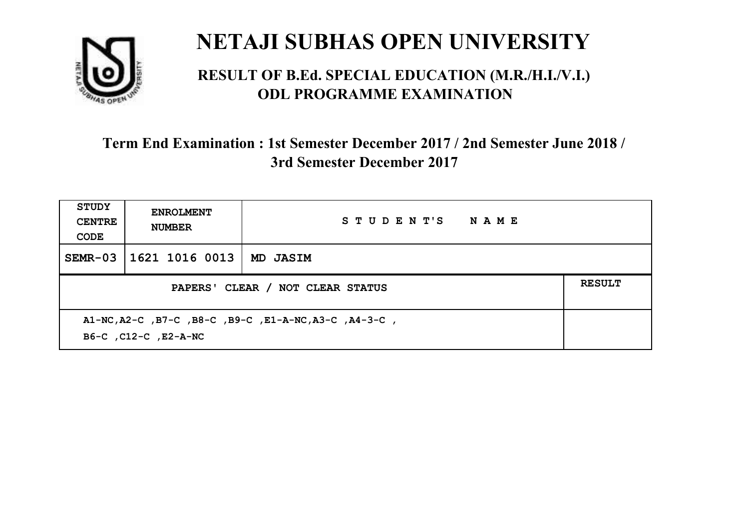

#### **RESULT OF B.Ed. SPECIAL EDUCATION (M.R./H.I./V.I.) ODL PROGRAMME EXAMINATION**

| <b>STUDY</b><br><b>CENTRE</b><br>CODE | <b>ENROLMENT</b><br><b>NUMBER</b>                                             | STUDENT'S NAME |  |  |  |
|---------------------------------------|-------------------------------------------------------------------------------|----------------|--|--|--|
| $SEMR-03$                             | 1621 1016 0013                                                                | MD JASIM       |  |  |  |
|                                       | <b>RESULT</b><br>PAPERS' CLEAR / NOT CLEAR STATUS                             |                |  |  |  |
|                                       | A1-NC, A2-C, B7-C, B8-C, B9-C, E1-A-NC, A3-C, A4-3-C,<br>B6-C, C12-C, E2-A-NC |                |  |  |  |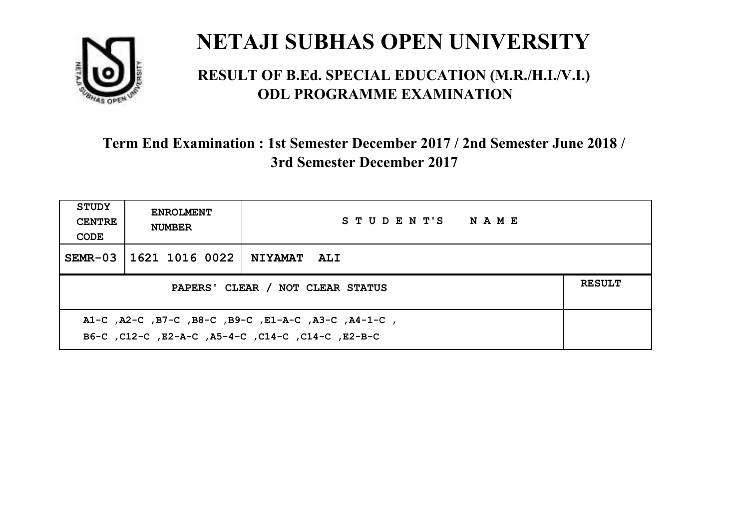

#### **RESULT OF B.Ed. SPECIAL EDUCATION (M.R./H.I./V.I.) ODL PROGRAMME EXAMINATION**

| <b>STUDY</b><br><b>CENTRE</b><br>CODE                                                                    | <b>ENROLMENT</b><br><b>NUMBER</b>                 | STUDENT'S NAME     |  |  |  |
|----------------------------------------------------------------------------------------------------------|---------------------------------------------------|--------------------|--|--|--|
|                                                                                                          | SEMR-03   1621 1016 0022                          | <b>NIYAMAT ALI</b> |  |  |  |
|                                                                                                          | <b>RESULT</b><br>PAPERS' CLEAR / NOT CLEAR STATUS |                    |  |  |  |
| A1-C, A2-C, B7-C, B8-C, B9-C, E1-A-C, A3-C, A4-1-C,<br>B6-C, C12-C, E2-A-C, A5-4-C, C14-C, C14-C, E2-B-C |                                                   |                    |  |  |  |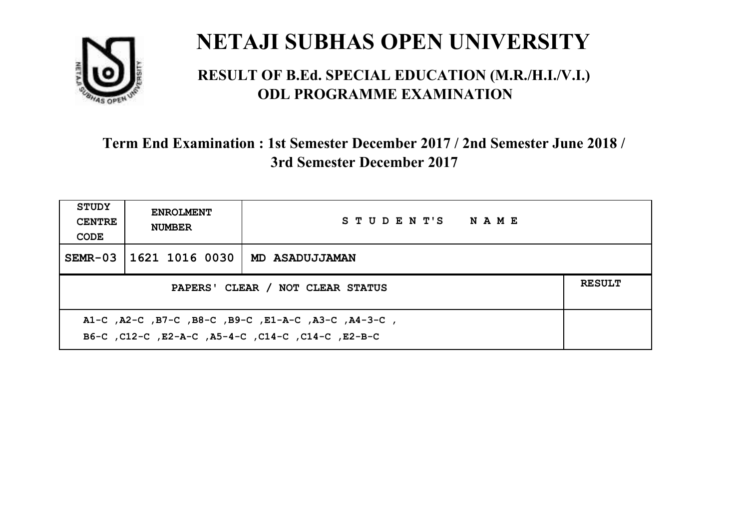

#### **RESULT OF B.Ed. SPECIAL EDUCATION (M.R./H.I./V.I.) ODL PROGRAMME EXAMINATION**

| <b>STUDY</b><br><b>CENTRE</b><br>CODE                                                                    | <b>ENROLMENT</b><br><b>NUMBER</b>                 | STUDENT'S NAME |  |  |  |
|----------------------------------------------------------------------------------------------------------|---------------------------------------------------|----------------|--|--|--|
|                                                                                                          | SEMR-03   1621 1016 0030                          | MD ASADUJJAMAN |  |  |  |
|                                                                                                          | <b>RESULT</b><br>PAPERS' CLEAR / NOT CLEAR STATUS |                |  |  |  |
| A1-C, A2-C, B7-C, B8-C, B9-C, E1-A-C, A3-C, A4-3-C,<br>B6-C, C12-C, E2-A-C, A5-4-C, C14-C, C14-C, E2-B-C |                                                   |                |  |  |  |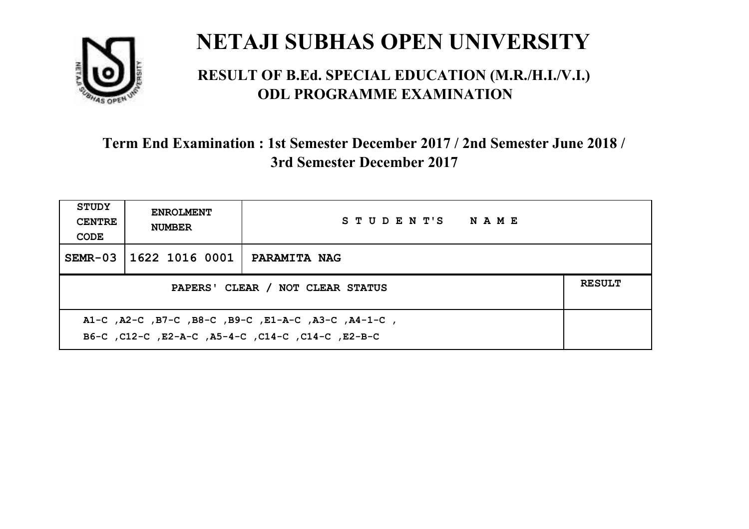

#### **RESULT OF B.Ed. SPECIAL EDUCATION (M.R./H.I./V.I.) ODL PROGRAMME EXAMINATION**

| <b>STUDY</b><br><b>CENTRE</b><br>CODE                                                                    | <b>ENROLMENT</b><br><b>NUMBER</b> | STUDENT'S NAME      |  |  |
|----------------------------------------------------------------------------------------------------------|-----------------------------------|---------------------|--|--|
|                                                                                                          | SEMR-03 1622 1016 0001            | <b>PARAMITA NAG</b> |  |  |
| <b>RESULT</b><br>PAPERS' CLEAR / NOT CLEAR STATUS                                                        |                                   |                     |  |  |
| A1-C, A2-C, B7-C, B8-C, B9-C, E1-A-C, A3-C, A4-1-C,<br>B6-C, C12-C, E2-A-C, A5-4-C, C14-C, C14-C, E2-B-C |                                   |                     |  |  |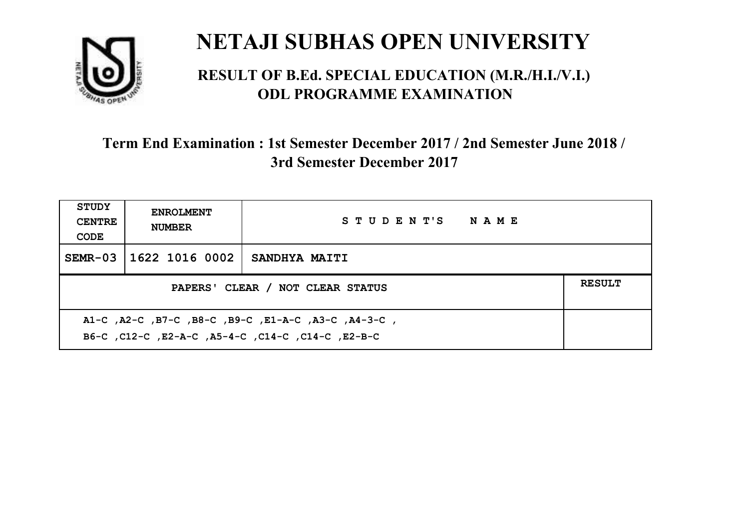

#### **RESULT OF B.Ed. SPECIAL EDUCATION (M.R./H.I./V.I.) ODL PROGRAMME EXAMINATION**

| <b>STUDY</b><br><b>CENTRE</b><br>CODE                                                                    | <b>ENROLMENT</b><br><b>NUMBER</b>                 | STUDENT'S NAME |  |  |  |
|----------------------------------------------------------------------------------------------------------|---------------------------------------------------|----------------|--|--|--|
|                                                                                                          | SEMR-03 11622 1016 0002                           | SANDHYA MAITI  |  |  |  |
|                                                                                                          | <b>RESULT</b><br>PAPERS' CLEAR / NOT CLEAR STATUS |                |  |  |  |
| A1-C, A2-C, B7-C, B8-C, B9-C, E1-A-C, A3-C, A4-3-C,<br>B6-C, C12-C, E2-A-C, A5-4-C, C14-C, C14-C, E2-B-C |                                                   |                |  |  |  |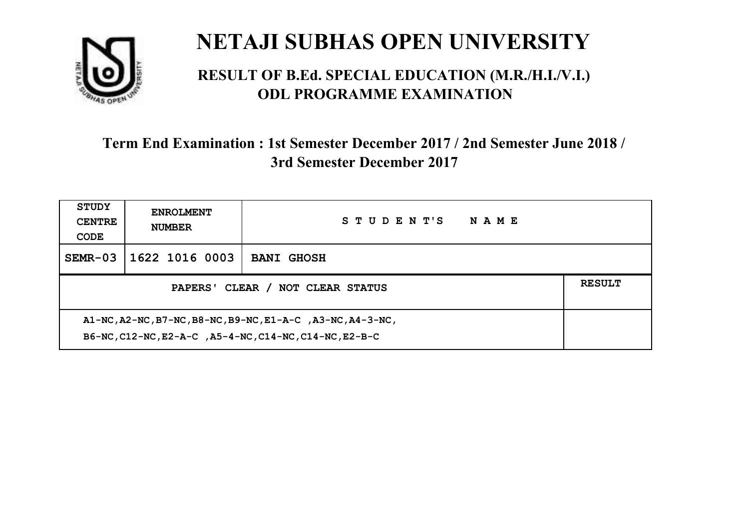

#### **RESULT OF B.Ed. SPECIAL EDUCATION (M.R./H.I./V.I.) ODL PROGRAMME EXAMINATION**

| <b>STUDY</b><br><b>CENTRE</b><br>CODE                                                                                | <b>ENROLMENT</b><br><b>NUMBER</b> | STUDENT'S<br><b>NAME</b> |  |  |
|----------------------------------------------------------------------------------------------------------------------|-----------------------------------|--------------------------|--|--|
| $SEMR-03$                                                                                                            | 1622 1016 0003                    | <b>BANI GHOSH</b>        |  |  |
| <b>RESULT</b><br>PAPERS' CLEAR / NOT CLEAR STATUS                                                                    |                                   |                          |  |  |
| A1-NC, A2-NC, B7-NC, B8-NC, B9-NC, E1-A-C, A3-NC, A4-3-NC,<br>B6-NC, C12-NC, E2-A-C, A5-4-NC, C14-NC, C14-NC, E2-B-C |                                   |                          |  |  |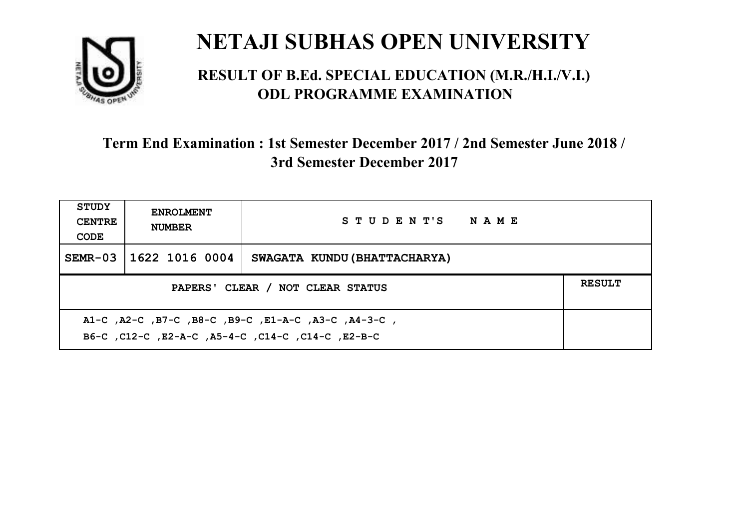

#### **RESULT OF B.Ed. SPECIAL EDUCATION (M.R./H.I./V.I.) ODL PROGRAMME EXAMINATION**

| <b>STUDY</b><br><b>CENTRE</b><br>CODE                                                                     | <b>ENROLMENT</b><br><b>NUMBER</b>                 | STUDENT'S NAME               |  |  |  |
|-----------------------------------------------------------------------------------------------------------|---------------------------------------------------|------------------------------|--|--|--|
| $SEMR-03$                                                                                                 | 1622 1016 0004                                    | SWAGATA KUNDU (BHATTACHARYA) |  |  |  |
|                                                                                                           | <b>RESULT</b><br>PAPERS' CLEAR / NOT CLEAR STATUS |                              |  |  |  |
| A1-C, A2-C, B7-C, B8-C, B9-C, E1-A-C, A3-C, A4-3-C,<br>B6-C, C12-C, E2-A-C, A5-4-C, C14-C, C14-C, C12-B-C |                                                   |                              |  |  |  |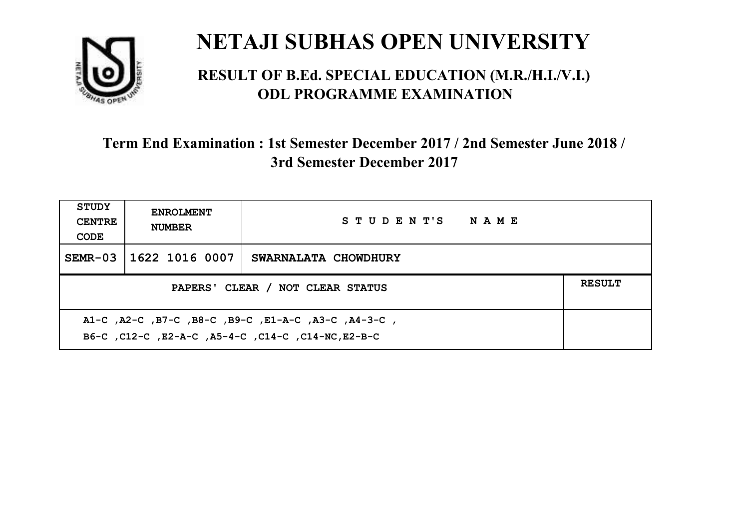

#### **RESULT OF B.Ed. SPECIAL EDUCATION (M.R./H.I./V.I.) ODL PROGRAMME EXAMINATION**

| <b>STUDY</b><br><b>CENTRE</b><br>CODE                                                                     | <b>ENROLMENT</b><br><b>NUMBER</b> | STUDENT'S NAME       |  |  |
|-----------------------------------------------------------------------------------------------------------|-----------------------------------|----------------------|--|--|
| $SEMR-03$                                                                                                 | 1622 1016 0007                    | SWARNALATA CHOWDHURY |  |  |
| <b>RESULT</b><br>PAPERS' CLEAR / NOT CLEAR STATUS                                                         |                                   |                      |  |  |
| A1-C, A2-C, B7-C, B8-C, B9-C, E1-A-C, A3-C, A4-3-C,<br>B6-C, C12-C, E2-A-C, A5-4-C, C14-C, C14-NC, E2-B-C |                                   |                      |  |  |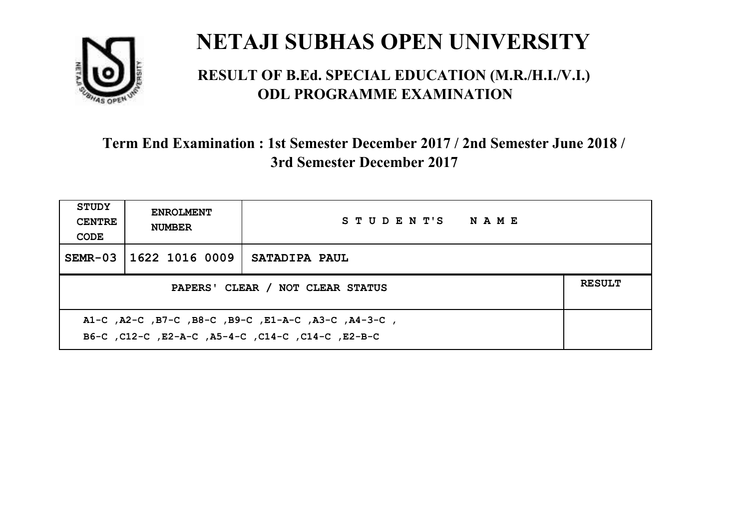

#### **RESULT OF B.Ed. SPECIAL EDUCATION (M.R./H.I./V.I.) ODL PROGRAMME EXAMINATION**

| <b>STUDY</b><br><b>CENTRE</b><br>CODE                                                                    | <b>ENROLMENT</b><br><b>NUMBER</b>                 | STUDENT'S NAME       |  |  |  |
|----------------------------------------------------------------------------------------------------------|---------------------------------------------------|----------------------|--|--|--|
|                                                                                                          | SEMR-03 11622 1016 0009                           | <b>SATADIPA PAUL</b> |  |  |  |
|                                                                                                          | <b>RESULT</b><br>PAPERS' CLEAR / NOT CLEAR STATUS |                      |  |  |  |
| A1-C, A2-C, B7-C, B8-C, B9-C, E1-A-C, A3-C, A4-3-C,<br>B6-C, C12-C, E2-A-C, A5-4-C, C14-C, C14-C, E2-B-C |                                                   |                      |  |  |  |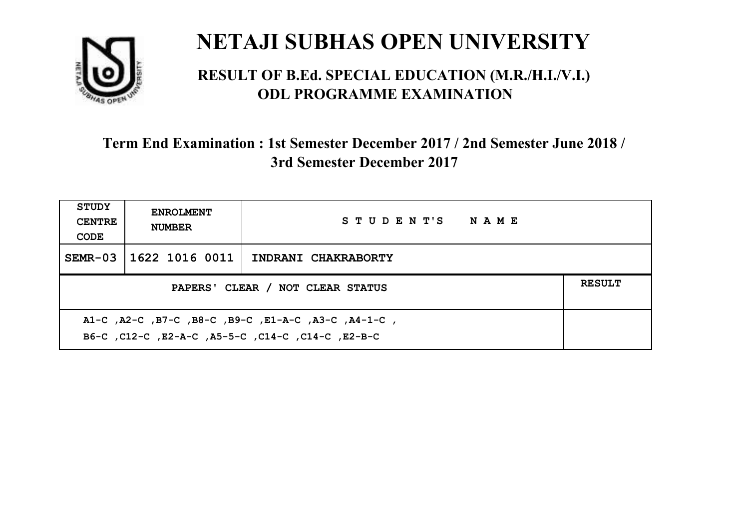

#### **RESULT OF B.Ed. SPECIAL EDUCATION (M.R./H.I./V.I.) ODL PROGRAMME EXAMINATION**

| <b>STUDY</b><br><b>CENTRE</b><br>CODE                                                                     | <b>ENROLMENT</b><br><b>NUMBER</b>                 | STUDENT'S NAME      |  |  |  |
|-----------------------------------------------------------------------------------------------------------|---------------------------------------------------|---------------------|--|--|--|
| $SEMR-03$                                                                                                 | 1622 1016 0011                                    | INDRANI CHAKRABORTY |  |  |  |
|                                                                                                           | <b>RESULT</b><br>PAPERS' CLEAR / NOT CLEAR STATUS |                     |  |  |  |
| A1-C, A2-C, B7-C, B8-C, B9-C, E1-A-C, A3-C, A4-1-C,<br>B6-C, C12-C, E2-A-C, A5-5-C, C14-C, C14-C, C12-B-C |                                                   |                     |  |  |  |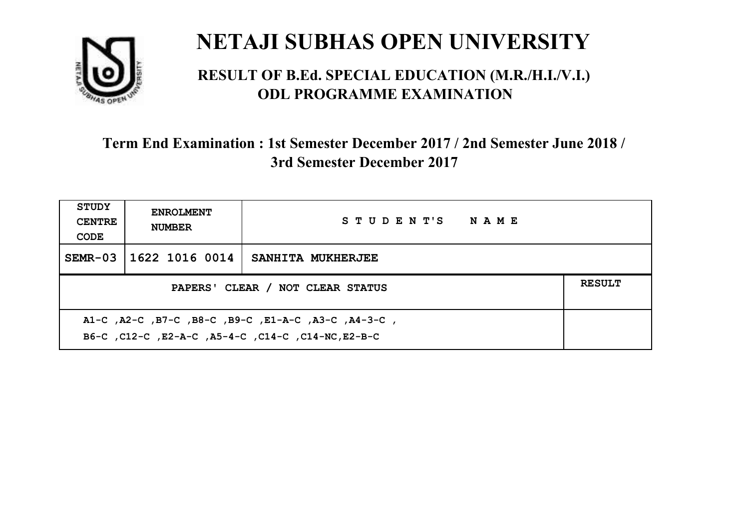

#### **RESULT OF B.Ed. SPECIAL EDUCATION (M.R./H.I./V.I.) ODL PROGRAMME EXAMINATION**

| <b>STUDY</b><br><b>CENTRE</b><br>CODE                                                                     | <b>ENROLMENT</b><br><b>NUMBER</b>                 | STUDENT'S NAME    |  |  |  |
|-----------------------------------------------------------------------------------------------------------|---------------------------------------------------|-------------------|--|--|--|
| $SEMR-03$                                                                                                 | 1622 1016 0014                                    | SANHITA MUKHERJEE |  |  |  |
|                                                                                                           | <b>RESULT</b><br>PAPERS' CLEAR / NOT CLEAR STATUS |                   |  |  |  |
| A1-C, A2-C, B7-C, B8-C, B9-C, E1-A-C, A3-C, A4-3-C,<br>B6-C, C12-C, E2-A-C, A5-4-C, C14-C, C14-NC, E2-B-C |                                                   |                   |  |  |  |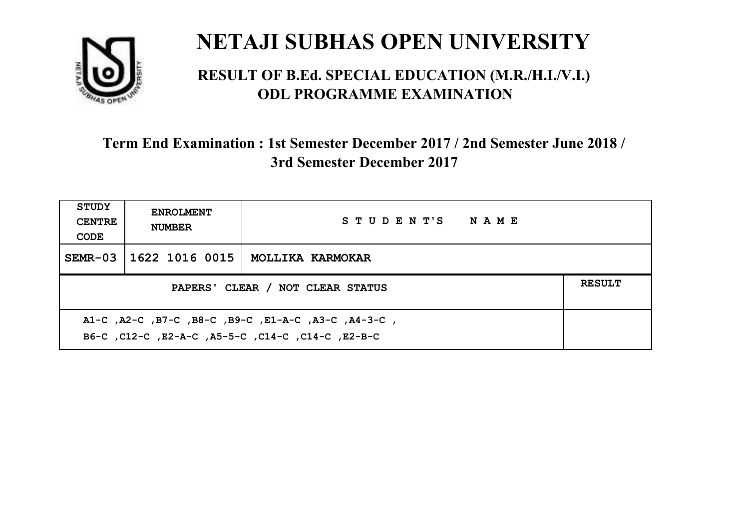

#### **RESULT OF B.Ed. SPECIAL EDUCATION (M.R./H.I./V.I.) ODL PROGRAMME EXAMINATION**

| <b>STUDY</b><br><b>CENTRE</b><br>CODE                                                                     | <b>ENROLMENT</b><br><b>NUMBER</b>                 | STUDENT'S NAME          |  |  |  |
|-----------------------------------------------------------------------------------------------------------|---------------------------------------------------|-------------------------|--|--|--|
| $SEMR-03$                                                                                                 | 1622 1016 0015                                    | <b>MOLLIKA KARMOKAR</b> |  |  |  |
|                                                                                                           | <b>RESULT</b><br>PAPERS' CLEAR / NOT CLEAR STATUS |                         |  |  |  |
| A1-C, A2-C, B7-C, B8-C, B9-C, E1-A-C, A3-C, A4-3-C,<br>B6-C, C12-C, E2-A-C, A5-5-C, C14-C, C14-C, C12-B-C |                                                   |                         |  |  |  |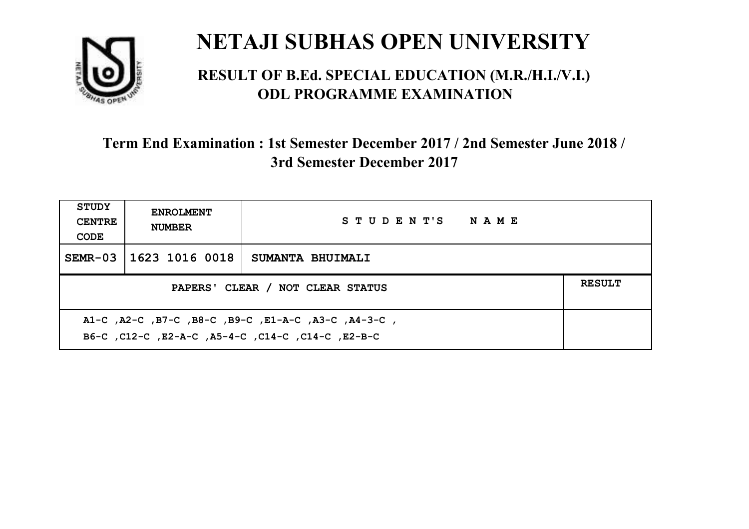

#### **RESULT OF B.Ed. SPECIAL EDUCATION (M.R./H.I./V.I.) ODL PROGRAMME EXAMINATION**

| <b>STUDY</b><br><b>CENTRE</b><br>CODE                                                                    | <b>ENROLMENT</b><br><b>NUMBER</b> | STUDENT'S NAME   |  |  |
|----------------------------------------------------------------------------------------------------------|-----------------------------------|------------------|--|--|
|                                                                                                          | SEMR-03 1623 1016 0018            | SUMANTA BHUIMALI |  |  |
| <b>RESULT</b><br>PAPERS' CLEAR / NOT CLEAR STATUS                                                        |                                   |                  |  |  |
| A1-C, A2-C, B7-C, B8-C, B9-C, E1-A-C, A3-C, A4-3-C,<br>B6-C, C12-C, E2-A-C, A5-4-C, C14-C, C14-C, E2-B-C |                                   |                  |  |  |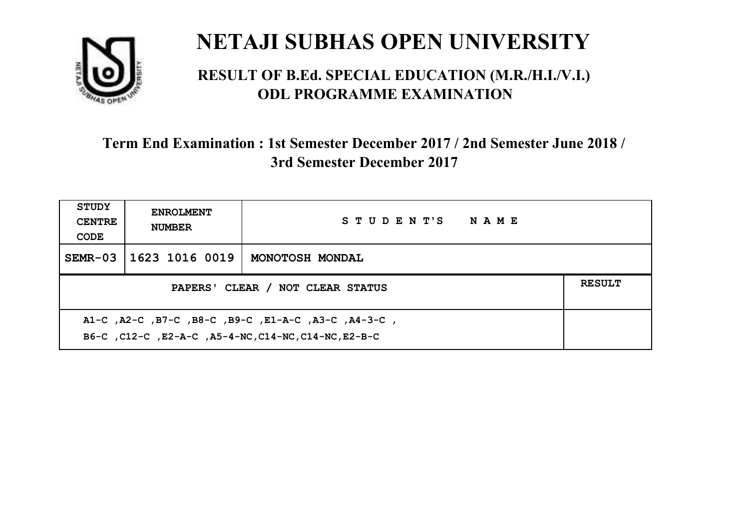

#### **RESULT OF B.Ed. SPECIAL EDUCATION (M.R./H.I./V.I.) ODL PROGRAMME EXAMINATION**

| <b>STUDY</b><br><b>CENTRE</b><br>CODE                                                                       | <b>ENROLMENT</b><br><b>NUMBER</b>                 | STUDENT'S NAME  |  |  |  |
|-------------------------------------------------------------------------------------------------------------|---------------------------------------------------|-----------------|--|--|--|
| $SEMR-03$                                                                                                   | 1623 1016 0019                                    | MONOTOSH MONDAL |  |  |  |
|                                                                                                             | <b>RESULT</b><br>PAPERS' CLEAR / NOT CLEAR STATUS |                 |  |  |  |
| A1-C, A2-C, B7-C, B8-C, B9-C, E1-A-C, A3-C, A4-3-C,<br>B6-C, C12-C, E2-A-C, A5-4-NC, C14-NC, C14-NC, E2-B-C |                                                   |                 |  |  |  |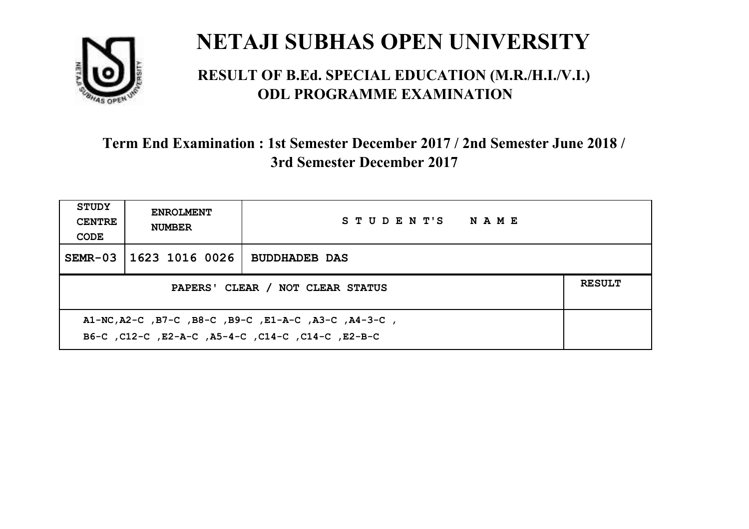

#### **RESULT OF B.Ed. SPECIAL EDUCATION (M.R./H.I./V.I.) ODL PROGRAMME EXAMINATION**

| <b>STUDY</b><br><b>CENTRE</b><br>CODE                                                                     | <b>ENROLMENT</b><br><b>NUMBER</b> | STUDENT'S NAME       |  |  |
|-----------------------------------------------------------------------------------------------------------|-----------------------------------|----------------------|--|--|
|                                                                                                           | SEMR-03 1623 1016 0026            | <b>BUDDHADEB DAS</b> |  |  |
| PAPERS' CLEAR / NOT CLEAR STATUS                                                                          |                                   |                      |  |  |
| A1-NC, A2-C, B7-C, B8-C, B9-C, E1-A-C, A3-C, A4-3-C,<br>B6-C, C12-C, E2-A-C, A5-4-C, C14-C, C14-C, E2-B-C |                                   |                      |  |  |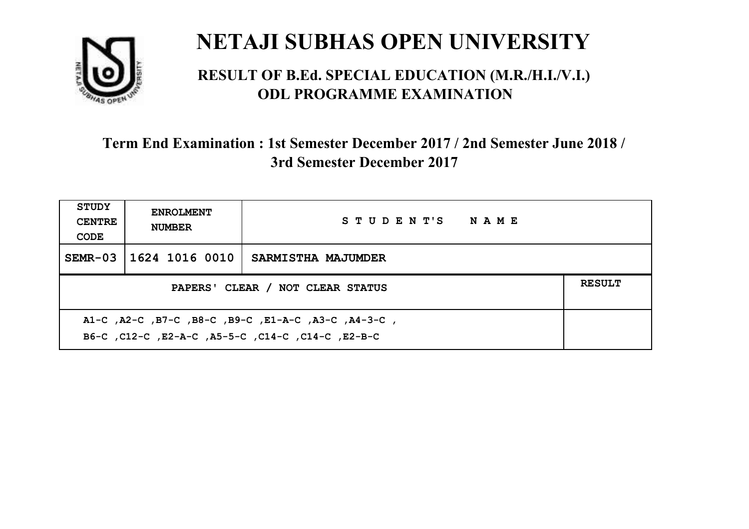

#### **RESULT OF B.Ed. SPECIAL EDUCATION (M.R./H.I./V.I.) ODL PROGRAMME EXAMINATION**

| <b>STUDY</b><br><b>CENTRE</b><br>CODE                                                                    | <b>ENROLMENT</b><br><b>NUMBER</b> | STUDENT'S NAME     |  |  |
|----------------------------------------------------------------------------------------------------------|-----------------------------------|--------------------|--|--|
|                                                                                                          | SEMR-03 11624 1016 0010           | SARMISTHA MAJUMDER |  |  |
| PAPERS' CLEAR / NOT CLEAR STATUS                                                                         |                                   |                    |  |  |
| A1-C, A2-C, B7-C, B8-C, B9-C, E1-A-C, A3-C, A4-3-C,<br>B6-C, C12-C, E2-A-C, A5-5-C, C14-C, C14-C, E2-B-C |                                   |                    |  |  |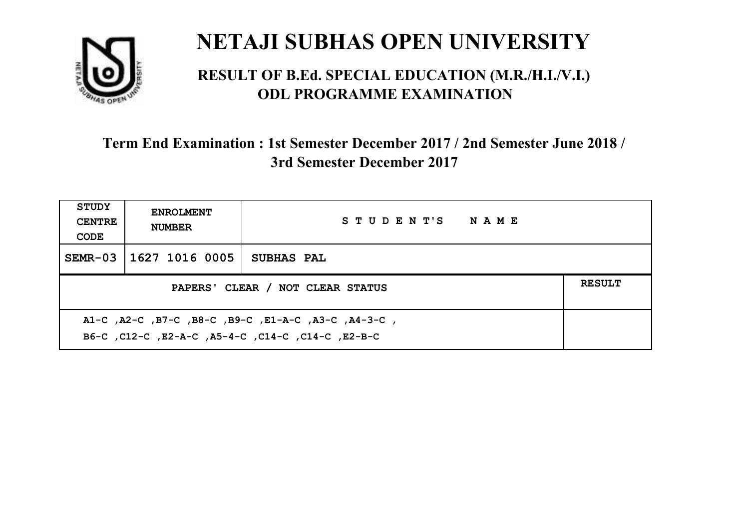

#### **RESULT OF B.Ed. SPECIAL EDUCATION (M.R./H.I./V.I.) ODL PROGRAMME EXAMINATION**

| <b>STUDY</b><br><b>CENTRE</b><br>CODE             | <b>ENROLMENT</b><br><b>NUMBER</b> | STUDENT'S NAME |  |  |
|---------------------------------------------------|-----------------------------------|----------------|--|--|
|                                                   | SEMR-03 11627 1016 0005           | SUBHAS PAL     |  |  |
| <b>RESULT</b><br>PAPERS' CLEAR / NOT CLEAR STATUS |                                   |                |  |  |
|                                                   |                                   |                |  |  |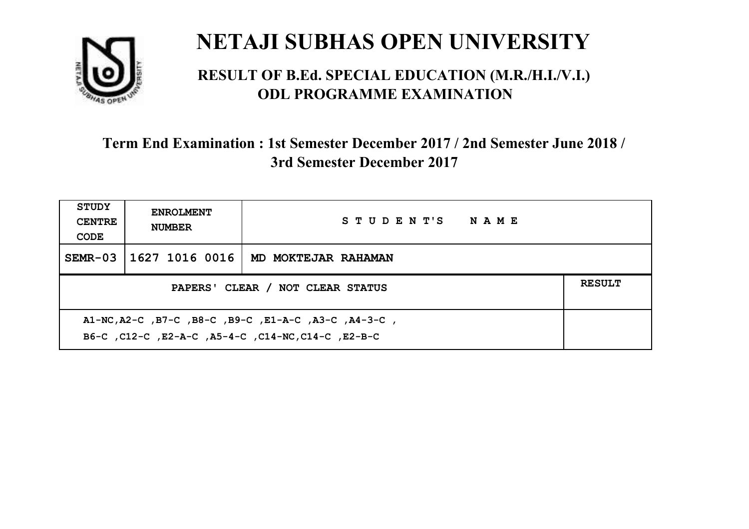

#### **RESULT OF B.Ed. SPECIAL EDUCATION (M.R./H.I./V.I.) ODL PROGRAMME EXAMINATION**

| <b>STUDY</b><br><b>CENTRE</b><br>CODE                                                                      | <b>ENROLMENT</b><br><b>NUMBER</b>                 | STUDENT'S NAME      |  |  |  |
|------------------------------------------------------------------------------------------------------------|---------------------------------------------------|---------------------|--|--|--|
| $SEMR-03$                                                                                                  | 1627 1016 0016                                    | MD MOKTEJAR RAHAMAN |  |  |  |
|                                                                                                            | <b>RESULT</b><br>PAPERS' CLEAR / NOT CLEAR STATUS |                     |  |  |  |
| A1-NC, A2-C, B7-C, B8-C, B9-C, E1-A-C, A3-C, A4-3-C,<br>B6-C, C12-C, E2-A-C, A5-4-C, C14-NC, C14-C, E2-B-C |                                                   |                     |  |  |  |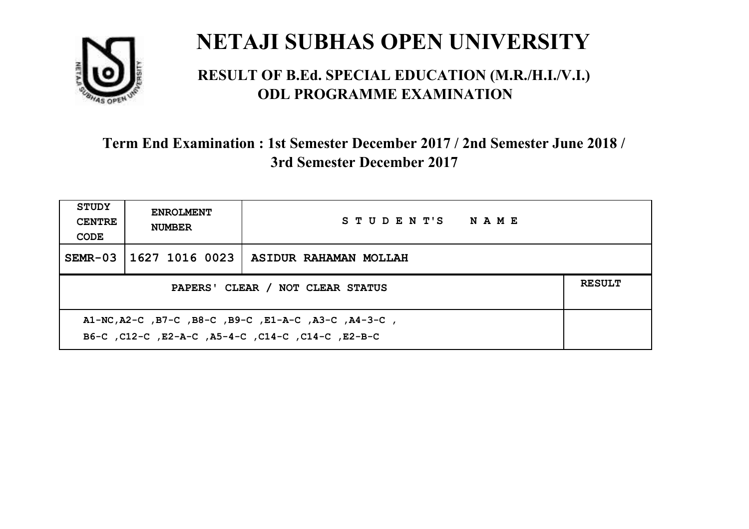

#### **RESULT OF B.Ed. SPECIAL EDUCATION (M.R./H.I./V.I.) ODL PROGRAMME EXAMINATION**

| <b>STUDY</b><br><b>CENTRE</b><br>CODE                                                                      | <b>ENROLMENT</b><br><b>NUMBER</b>                 | STUDENT'S NAME                         |  |  |  |
|------------------------------------------------------------------------------------------------------------|---------------------------------------------------|----------------------------------------|--|--|--|
| $SEMR-03$                                                                                                  |                                                   | 1627 1016 0023   ASIDUR RAHAMAN MOLLAH |  |  |  |
|                                                                                                            | <b>RESULT</b><br>PAPERS' CLEAR / NOT CLEAR STATUS |                                        |  |  |  |
| A1-NC, A2-C, B7-C, B8-C, B9-C, E1-A-C, A3-C, A4-3-C,<br>B6-C, C12-C, E2-A-C, A5-4-C, C14-C, C14-C, C12-B-C |                                                   |                                        |  |  |  |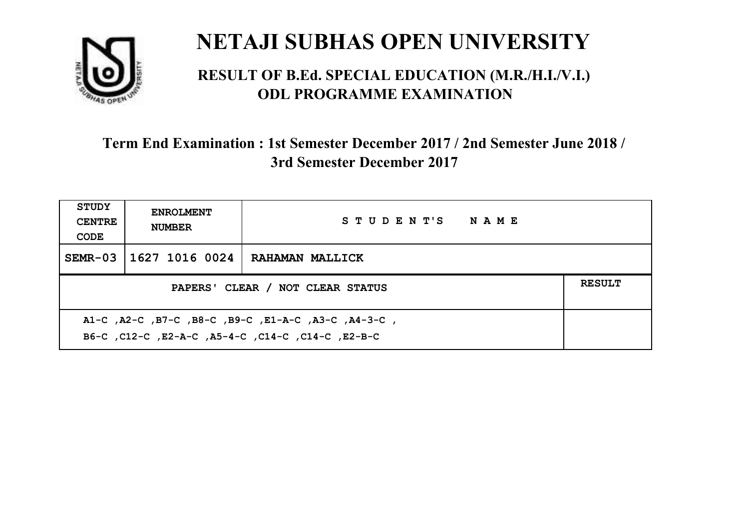

#### **RESULT OF B.Ed. SPECIAL EDUCATION (M.R./H.I./V.I.) ODL PROGRAMME EXAMINATION**

| <b>STUDY</b><br><b>CENTRE</b><br>CODE                                                                     | <b>ENROLMENT</b><br><b>NUMBER</b>                 | STUDENT'S NAME         |  |  |  |
|-----------------------------------------------------------------------------------------------------------|---------------------------------------------------|------------------------|--|--|--|
| $SEMR-03$                                                                                                 | 1627 1016 0024                                    | <b>RAHAMAN MALLICK</b> |  |  |  |
|                                                                                                           | <b>RESULT</b><br>PAPERS' CLEAR / NOT CLEAR STATUS |                        |  |  |  |
| A1-C, A2-C, B7-C, B8-C, B9-C, E1-A-C, A3-C, A4-3-C,<br>B6-C, C12-C, E2-A-C, A5-4-C, C14-C, C14-C, C12-B-C |                                                   |                        |  |  |  |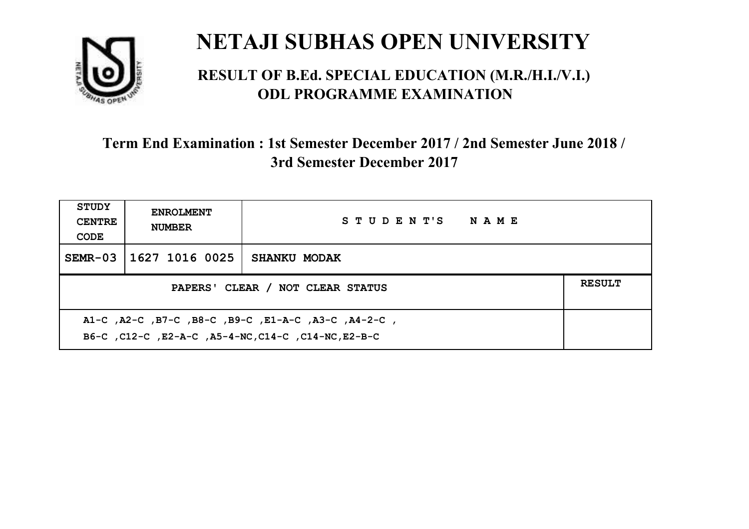

#### **RESULT OF B.Ed. SPECIAL EDUCATION (M.R./H.I./V.I.) ODL PROGRAMME EXAMINATION**

| <b>STUDY</b><br><b>CENTRE</b><br>CODE                                                                      | <b>ENROLMENT</b><br><b>NUMBER</b> | STUDENT'S NAME      |  |  |
|------------------------------------------------------------------------------------------------------------|-----------------------------------|---------------------|--|--|
| SEMR-03                                                                                                    | 1627 1016 0025                    | <b>SHANKU MODAK</b> |  |  |
| <b>RESULT</b><br>PAPERS' CLEAR / NOT CLEAR STATUS                                                          |                                   |                     |  |  |
| A1-C, A2-C, B7-C, B8-C, B9-C, E1-A-C, A3-C, A4-2-C,<br>B6-C, C12-C, E2-A-C, A5-4-NC, C14-C, C14-NC, E2-B-C |                                   |                     |  |  |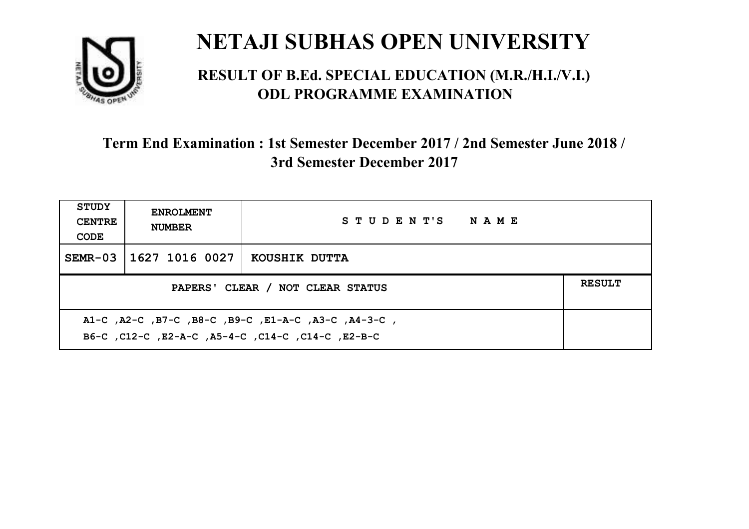

#### **RESULT OF B.Ed. SPECIAL EDUCATION (M.R./H.I./V.I.) ODL PROGRAMME EXAMINATION**

| <b>STUDY</b><br><b>CENTRE</b><br>CODE                                                                    | <b>ENROLMENT</b><br><b>NUMBER</b> | STUDENT'S NAME |  |  |
|----------------------------------------------------------------------------------------------------------|-----------------------------------|----------------|--|--|
| $SEMR-03$                                                                                                | 1627 1016 0027                    | KOUSHIK DUTTA  |  |  |
| <b>RESULT</b><br>PAPERS' CLEAR / NOT CLEAR STATUS                                                        |                                   |                |  |  |
| A1-C, A2-C, B7-C, B8-C, B9-C, E1-A-C, A3-C, A4-3-C,<br>B6-C, C12-C, E2-A-C, A5-4-C, C14-C, C14-C, E2-B-C |                                   |                |  |  |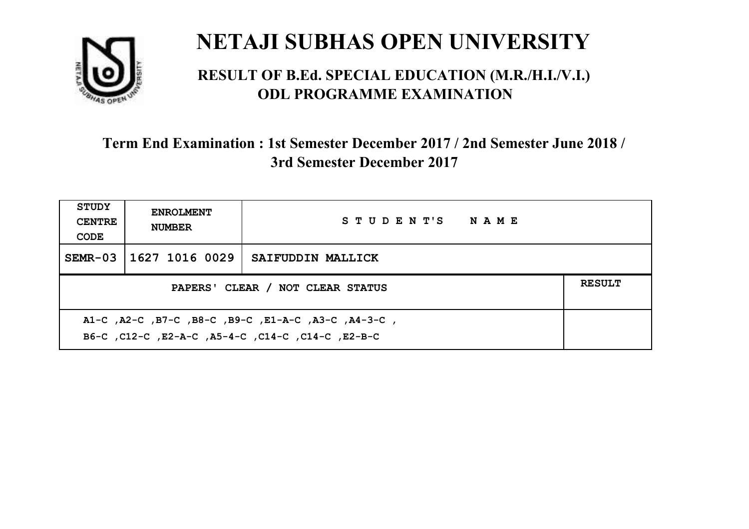

#### **RESULT OF B.Ed. SPECIAL EDUCATION (M.R./H.I./V.I.) ODL PROGRAMME EXAMINATION**

| <b>STUDY</b><br><b>CENTRE</b><br>CODE                                                                    | <b>ENROLMENT</b><br><b>NUMBER</b> | STUDENT'S NAME    |  |  |
|----------------------------------------------------------------------------------------------------------|-----------------------------------|-------------------|--|--|
|                                                                                                          | SEMR-03 11627 1016 0029           | SAIFUDDIN MALLICK |  |  |
| <b>RESULT</b><br>PAPERS' CLEAR / NOT CLEAR STATUS                                                        |                                   |                   |  |  |
| A1-C, A2-C, B7-C, B8-C, B9-C, E1-A-C, A3-C, A4-3-C,<br>B6-C, C12-C, E2-A-C, A5-4-C, C14-C, C14-C, E2-B-C |                                   |                   |  |  |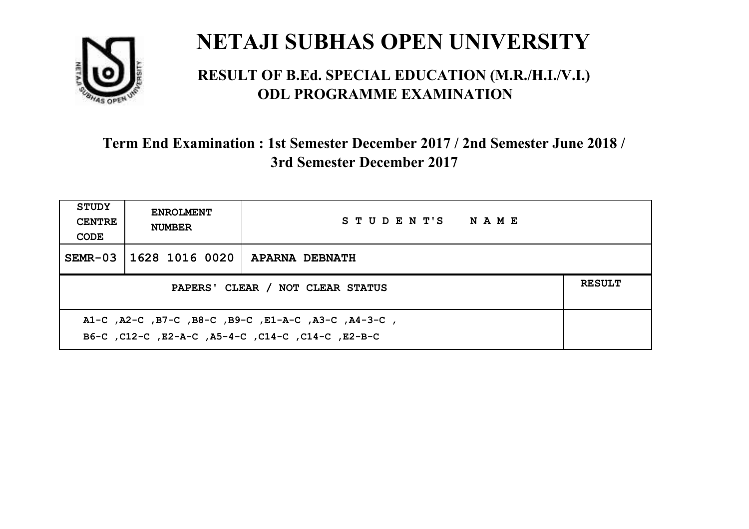

#### **RESULT OF B.Ed. SPECIAL EDUCATION (M.R./H.I./V.I.) ODL PROGRAMME EXAMINATION**

| <b>STUDY</b><br><b>CENTRE</b><br>CODE                                                                     | <b>ENROLMENT</b><br><b>NUMBER</b>                 | STUDENT'S NAME        |  |  |  |
|-----------------------------------------------------------------------------------------------------------|---------------------------------------------------|-----------------------|--|--|--|
| $SEMR-03$                                                                                                 | 1628 1016 0020                                    | <b>APARNA DEBNATH</b> |  |  |  |
|                                                                                                           | <b>RESULT</b><br>PAPERS' CLEAR / NOT CLEAR STATUS |                       |  |  |  |
| A1-C, A2-C, B7-C, B8-C, B9-C, E1-A-C, A3-C, A4-3-C,<br>B6-C, C12-C, E2-A-C, A5-4-C, C14-C, C14-C, C12-B-C |                                                   |                       |  |  |  |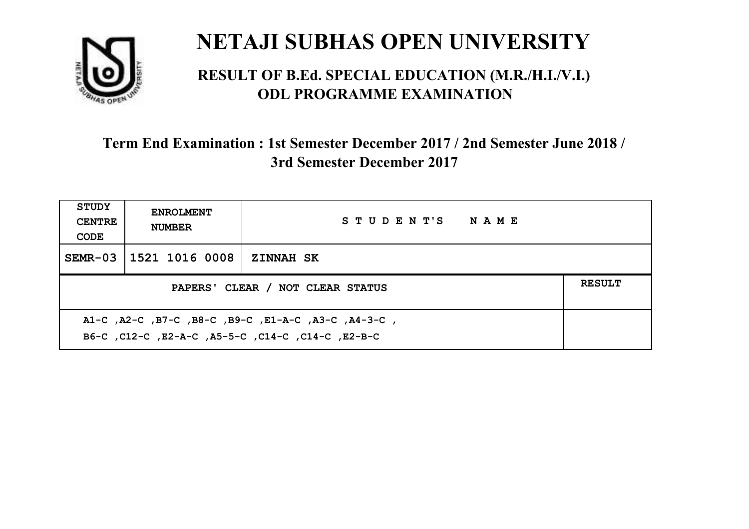

#### **RESULT OF B.Ed. SPECIAL EDUCATION (M.R./H.I./V.I.) ODL PROGRAMME EXAMINATION**

| <b>STUDY</b><br><b>CENTRE</b><br>CODE                                                                    | <b>ENROLMENT</b><br><b>NUMBER</b>                 | STUDENT'S NAME   |  |  |  |
|----------------------------------------------------------------------------------------------------------|---------------------------------------------------|------------------|--|--|--|
|                                                                                                          | SEMR-03 1521 1016 0008                            | <b>ZINNAH SK</b> |  |  |  |
|                                                                                                          | <b>RESULT</b><br>PAPERS' CLEAR / NOT CLEAR STATUS |                  |  |  |  |
| A1-C, A2-C, B7-C, B8-C, B9-C, E1-A-C, A3-C, A4-3-C,<br>B6-C, C12-C, E2-A-C, A5-5-C, C14-C, C14-C, E2-B-C |                                                   |                  |  |  |  |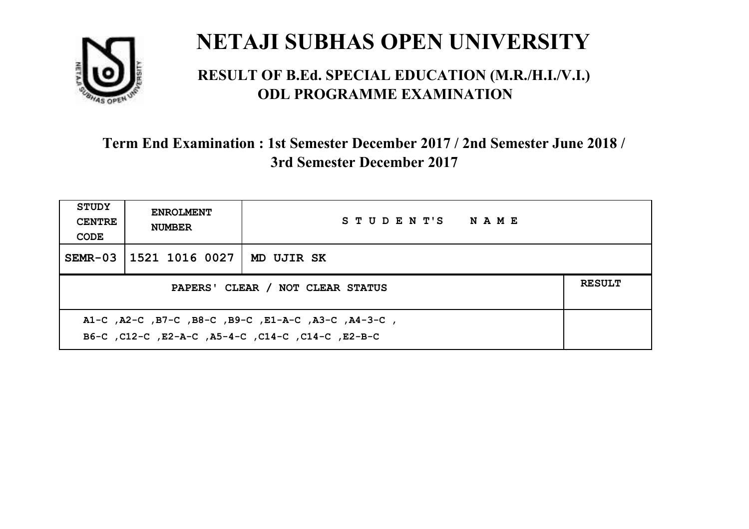

#### **RESULT OF B.Ed. SPECIAL EDUCATION (M.R./H.I./V.I.) ODL PROGRAMME EXAMINATION**

| <b>STUDY</b><br><b>CENTRE</b><br>CODE                                                                    | <b>ENROLMENT</b><br><b>NUMBER</b> | STUDENT'S NAME |  |  |
|----------------------------------------------------------------------------------------------------------|-----------------------------------|----------------|--|--|
|                                                                                                          | SEMR-03 1521 1016 0027            | MD UJIR SK     |  |  |
| <b>RESULT</b><br>PAPERS' CLEAR / NOT CLEAR STATUS                                                        |                                   |                |  |  |
| A1-C, A2-C, B7-C, B8-C, B9-C, E1-A-C, A3-C, A4-3-C,<br>B6-C, C12-C, E2-A-C, A5-4-C, C14-C, C14-C, E2-B-C |                                   |                |  |  |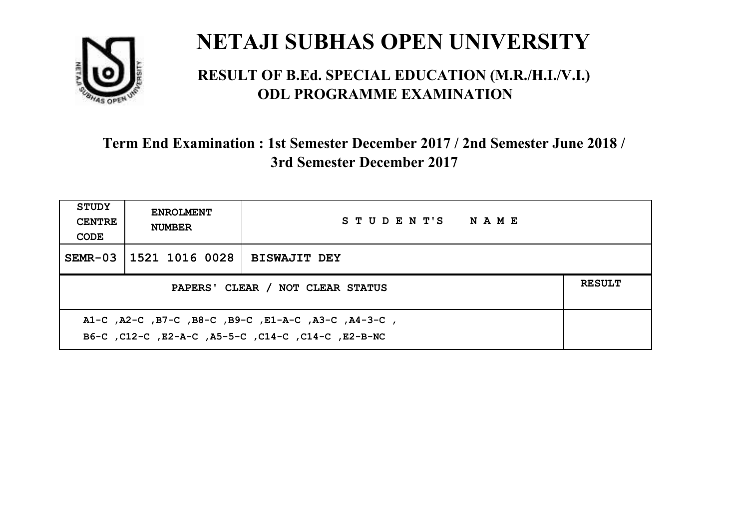

#### **RESULT OF B.Ed. SPECIAL EDUCATION (M.R./H.I./V.I.) ODL PROGRAMME EXAMINATION**

| STUDY<br><b>CENTRE</b><br>CODE                    | <b>ENROLMENT</b><br><b>NUMBER</b> | STUDENT'S NAME      |  |  |
|---------------------------------------------------|-----------------------------------|---------------------|--|--|
|                                                   | SEMR-03 1521 1016 0028            | <b>BISWAJIT DEY</b> |  |  |
| <b>RESULT</b><br>PAPERS' CLEAR / NOT CLEAR STATUS |                                   |                     |  |  |
|                                                   |                                   |                     |  |  |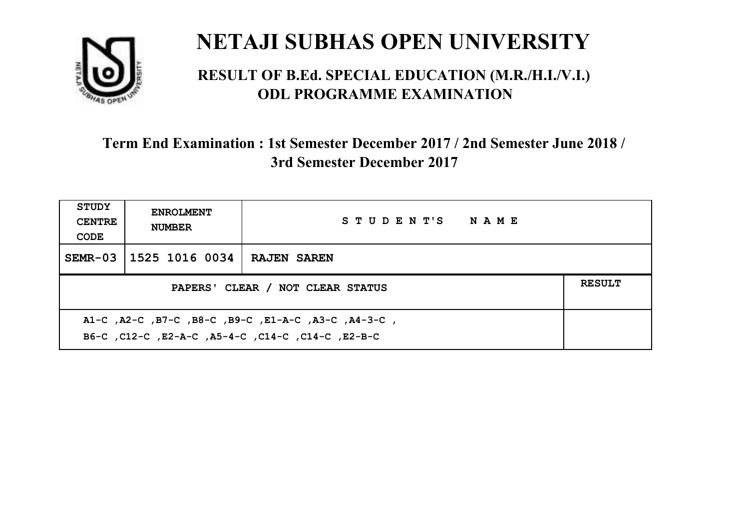

#### **RESULT OF B.Ed. SPECIAL EDUCATION (M.R./H.I./V.I.) ODL PROGRAMME EXAMINATION**

| <b>STUDY</b><br><b>CENTRE</b><br>CODE | <b>ENROLMENT</b><br><b>NUMBER</b>                                                                         | STUDENT'S NAME     |  |  |  |
|---------------------------------------|-----------------------------------------------------------------------------------------------------------|--------------------|--|--|--|
| $SEMR-03$                             | 1525 1016 0034                                                                                            | <b>RAJEN SAREN</b> |  |  |  |
|                                       | <b>RESULT</b><br>PAPERS' CLEAR / NOT CLEAR STATUS                                                         |                    |  |  |  |
|                                       | A1-C, A2-C, B7-C, B8-C, B9-C, E1-A-C, A3-C, A4-3-C,<br>B6-C, C12-C, E2-A-C, A5-4-C, C14-C, C14-C, C12-B-C |                    |  |  |  |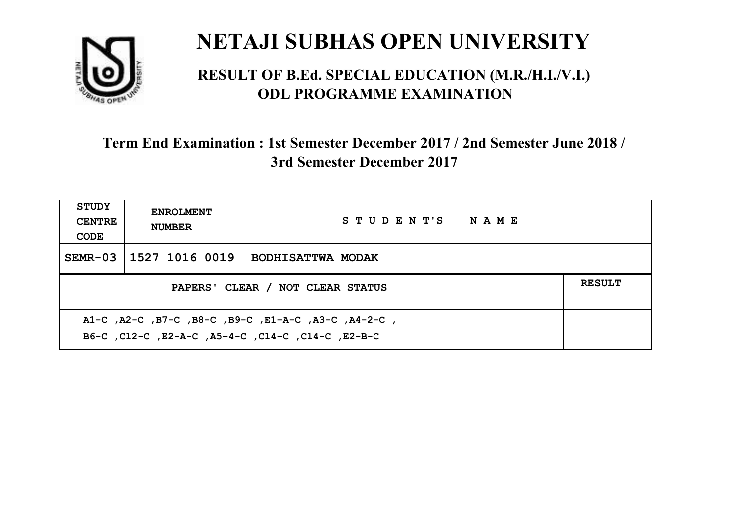

#### **RESULT OF B.Ed. SPECIAL EDUCATION (M.R./H.I./V.I.) ODL PROGRAMME EXAMINATION**

| <b>STUDY</b><br><b>CENTRE</b><br>CODE                                                                    | <b>ENROLMENT</b><br><b>NUMBER</b>                 | STUDENT'S NAME           |  |  |  |
|----------------------------------------------------------------------------------------------------------|---------------------------------------------------|--------------------------|--|--|--|
|                                                                                                          | SEMR-03 1527 1016 0019                            | <b>BODHISATTWA MODAK</b> |  |  |  |
|                                                                                                          | <b>RESULT</b><br>PAPERS' CLEAR / NOT CLEAR STATUS |                          |  |  |  |
| A1-C, A2-C, B7-C, B8-C, B9-C, E1-A-C, A3-C, A4-2-C,<br>B6-C, C12-C, E2-A-C, A5-4-C, C14-C, C14-C, E2-B-C |                                                   |                          |  |  |  |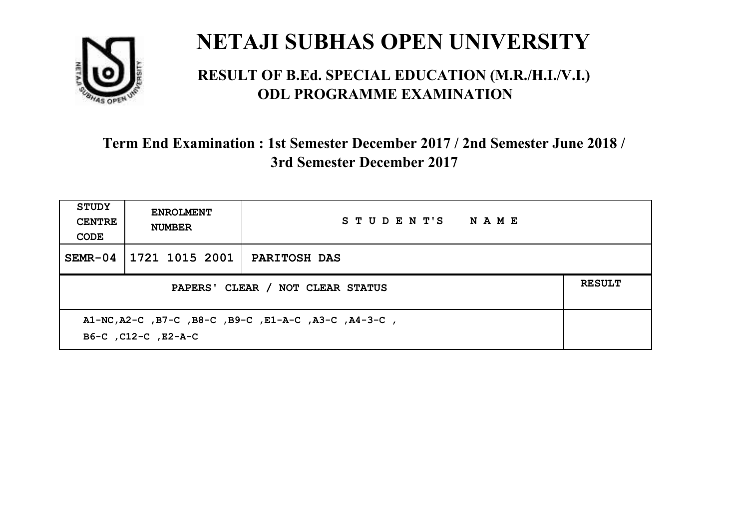

#### **RESULT OF B.Ed. SPECIAL EDUCATION (M.R./H.I./V.I.) ODL PROGRAMME EXAMINATION**

| <b>STUDY</b><br><b>CENTRE</b><br>CODE | <b>ENROLMENT</b><br><b>NUMBER</b>                                           | STUDENT'S NAME      |  |  |  |
|---------------------------------------|-----------------------------------------------------------------------------|---------------------|--|--|--|
| $SEMR-04$                             | 1721 1015 2001                                                              | <b>PARITOSH DAS</b> |  |  |  |
|                                       | <b>RESULT</b><br>PAPERS' CLEAR / NOT CLEAR STATUS                           |                     |  |  |  |
|                                       | A1-NC, A2-C, B7-C, B8-C, B9-C, E1-A-C, A3-C, A4-3-C,<br>B6-C, C12-C, E2-A-C |                     |  |  |  |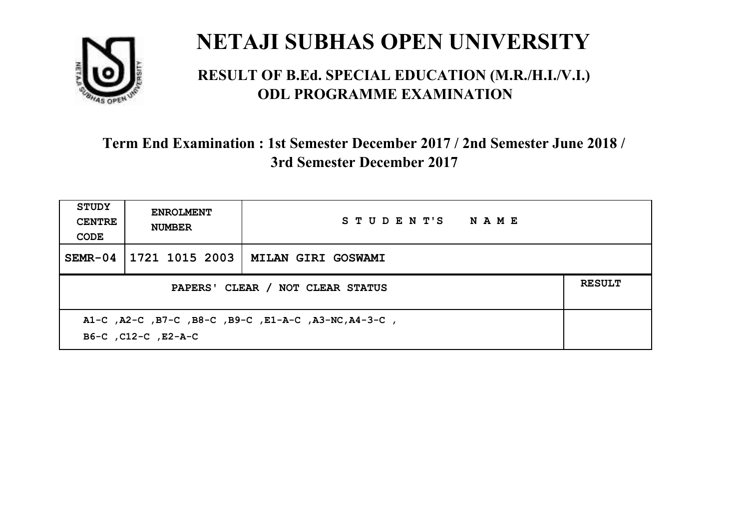

#### **RESULT OF B.Ed. SPECIAL EDUCATION (M.R./H.I./V.I.) ODL PROGRAMME EXAMINATION**

| <b>STUDY</b><br><b>CENTRE</b><br>CODE                                       | <b>ENROLMENT</b><br><b>NUMBER</b>                 | STUDENT'S NAME            |  |  |  |
|-----------------------------------------------------------------------------|---------------------------------------------------|---------------------------|--|--|--|
| $SEMR-04$                                                                   | 1721 1015 2003                                    | <b>MILAN GIRI GOSWAMI</b> |  |  |  |
|                                                                             | <b>RESULT</b><br>PAPERS' CLEAR / NOT CLEAR STATUS |                           |  |  |  |
| A1-C, A2-C, B7-C, B8-C, B9-C, E1-A-C, A3-NC, A4-3-C,<br>B6-C, C12-C, E2-A-C |                                                   |                           |  |  |  |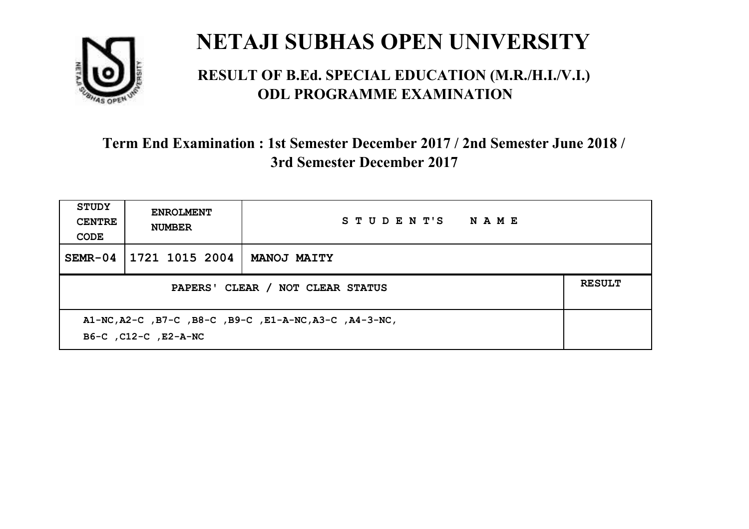

#### **RESULT OF B.Ed. SPECIAL EDUCATION (M.R./H.I./V.I.) ODL PROGRAMME EXAMINATION**

| <b>STUDY</b><br><b>CENTRE</b><br>CODE | <b>ENROLMENT</b><br><b>NUMBER</b>                                              | STUDENT'S NAME     |  |  |  |
|---------------------------------------|--------------------------------------------------------------------------------|--------------------|--|--|--|
| $SEMR-04$                             | 1721 1015 2004                                                                 | <b>MANOJ MAITY</b> |  |  |  |
|                                       | <b>RESULT</b><br>PAPERS' CLEAR / NOT CLEAR STATUS                              |                    |  |  |  |
|                                       | A1-NC, A2-C, B7-C, B8-C, B9-C, E1-A-NC, A3-C, A4-3-NC,<br>B6-C, C12-C, E2-A-NC |                    |  |  |  |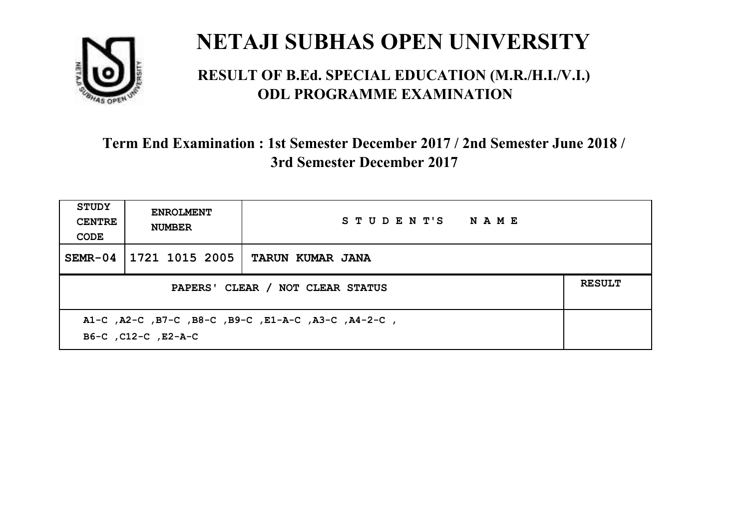

#### **RESULT OF B.Ed. SPECIAL EDUCATION (M.R./H.I./V.I.) ODL PROGRAMME EXAMINATION**

| <b>STUDY</b><br><b>CENTRE</b><br>CODE | <b>ENROLMENT</b><br><b>NUMBER</b>                                          | STUDENT'S NAME   |  |  |  |
|---------------------------------------|----------------------------------------------------------------------------|------------------|--|--|--|
| $SEMR-04$                             | 1721 1015 2005                                                             | TARUN KUMAR JANA |  |  |  |
|                                       | <b>RESULT</b><br>PAPERS' CLEAR / NOT CLEAR STATUS                          |                  |  |  |  |
|                                       | A1-C, A2-C, B7-C, B8-C, B9-C, E1-A-C, A3-C, A4-2-C,<br>B6-C, C12-C, E2-A-C |                  |  |  |  |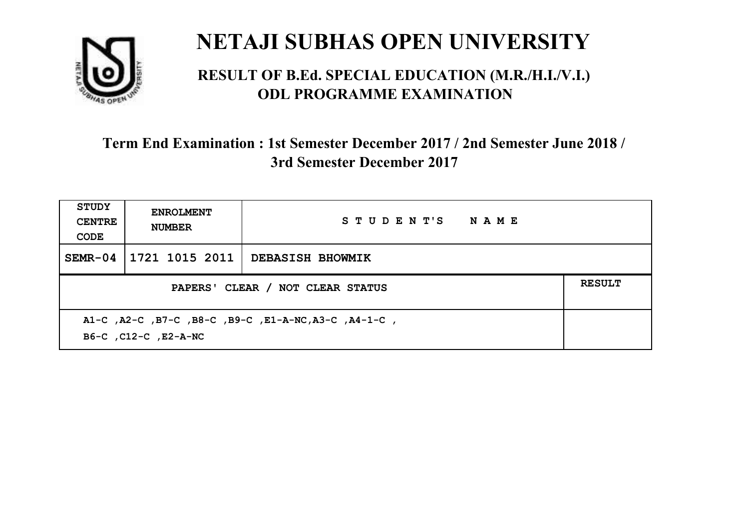

#### **RESULT OF B.Ed. SPECIAL EDUCATION (M.R./H.I./V.I.) ODL PROGRAMME EXAMINATION**

| <b>STUDY</b><br><b>CENTRE</b><br>CODE             | <b>ENROLMENT</b><br><b>NUMBER</b>                                            | STUDENT'S NAME          |  |  |  |
|---------------------------------------------------|------------------------------------------------------------------------------|-------------------------|--|--|--|
| $SEMR-04$                                         | 1721 1015 2011                                                               | <b>DEBASISH BHOWMIK</b> |  |  |  |
| <b>RESULT</b><br>PAPERS' CLEAR / NOT CLEAR STATUS |                                                                              |                         |  |  |  |
|                                                   | A1-C, A2-C, B7-C, B8-C, B9-C, E1-A-NC, A3-C, A4-1-C,<br>B6-C, C12-C, E2-A-NC |                         |  |  |  |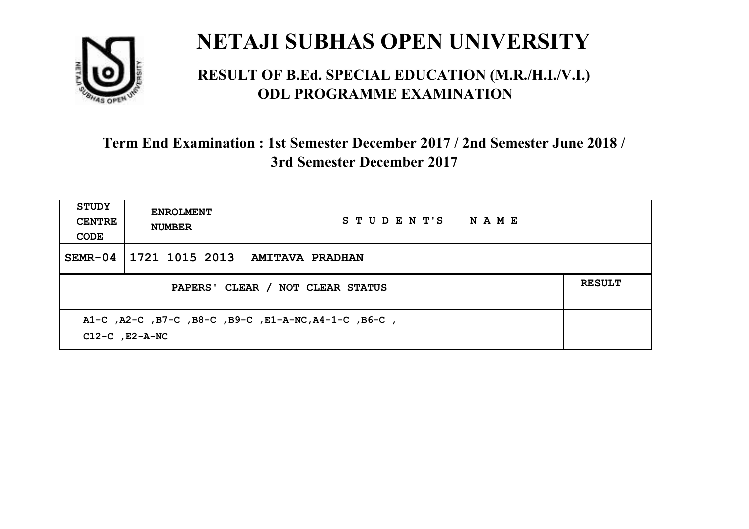

#### **RESULT OF B.Ed. SPECIAL EDUCATION (M.R./H.I./V.I.) ODL PROGRAMME EXAMINATION**

| <b>STUDY</b><br><b>CENTRE</b><br>CODE                                       | <b>ENROLMENT</b><br><b>NUMBER</b> | STUDENT'S NAME                   |  |  |
|-----------------------------------------------------------------------------|-----------------------------------|----------------------------------|--|--|
| $SEMR-04$                                                                   |                                   | 1721 1015 2013   AMITAVA PRADHAN |  |  |
| <b>RESULT</b><br>PAPERS' CLEAR / NOT CLEAR STATUS                           |                                   |                                  |  |  |
| A1-C, A2-C, B7-C, B8-C, B9-C, E1-A-NC, A4-1-C, B6-C,<br>$C12-C$ , $E2-A-NC$ |                                   |                                  |  |  |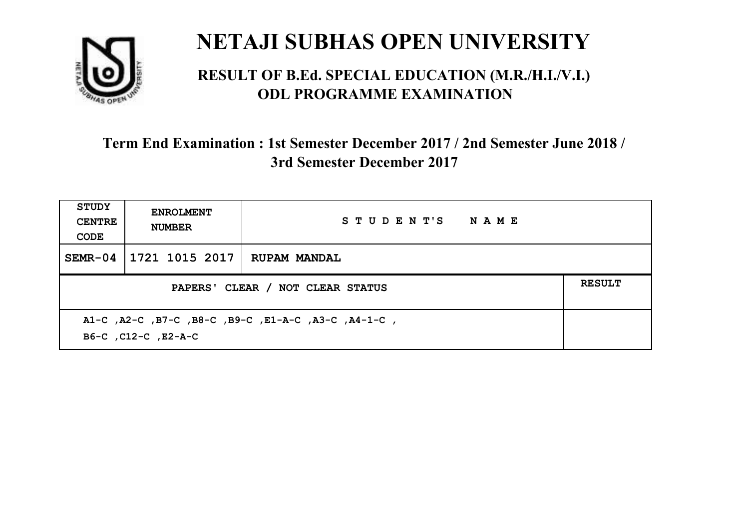

#### **RESULT OF B.Ed. SPECIAL EDUCATION (M.R./H.I./V.I.) ODL PROGRAMME EXAMINATION**

| <b>STUDY</b><br><b>CENTRE</b><br>CODE | <b>ENROLMENT</b><br><b>NUMBER</b>                                          | STUDENT'S NAME      |  |  |  |
|---------------------------------------|----------------------------------------------------------------------------|---------------------|--|--|--|
| $SEMR-04$                             | 1721 1015 2017                                                             | <b>RUPAM MANDAL</b> |  |  |  |
|                                       | <b>RESULT</b><br>PAPERS' CLEAR / NOT CLEAR STATUS                          |                     |  |  |  |
|                                       | A1-C, A2-C, B7-C, B8-C, B9-C, E1-A-C, A3-C, A4-1-C,<br>B6-C, C12-C, E2-A-C |                     |  |  |  |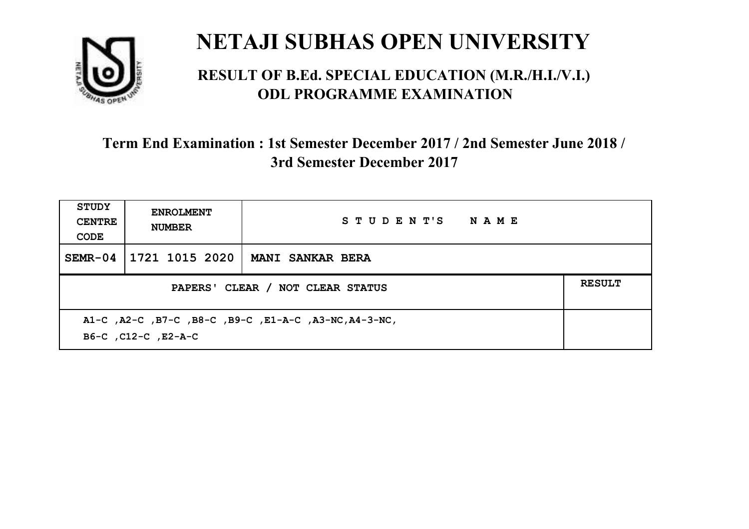

#### **RESULT OF B.Ed. SPECIAL EDUCATION (M.R./H.I./V.I.) ODL PROGRAMME EXAMINATION**

| <b>STUDY</b><br><b>CENTRE</b><br>CODE                                        | <b>ENROLMENT</b><br><b>NUMBER</b>                 | STUDENT'S NAME          |  |  |  |
|------------------------------------------------------------------------------|---------------------------------------------------|-------------------------|--|--|--|
| $SEMR-04$                                                                    | 1721 1015 2020                                    | <b>MANI SANKAR BERA</b> |  |  |  |
|                                                                              | <b>RESULT</b><br>PAPERS' CLEAR / NOT CLEAR STATUS |                         |  |  |  |
| A1-C, A2-C, B7-C, B8-C, B9-C, E1-A-C, A3-NC, A4-3-NC,<br>B6-C, C12-C, E2-A-C |                                                   |                         |  |  |  |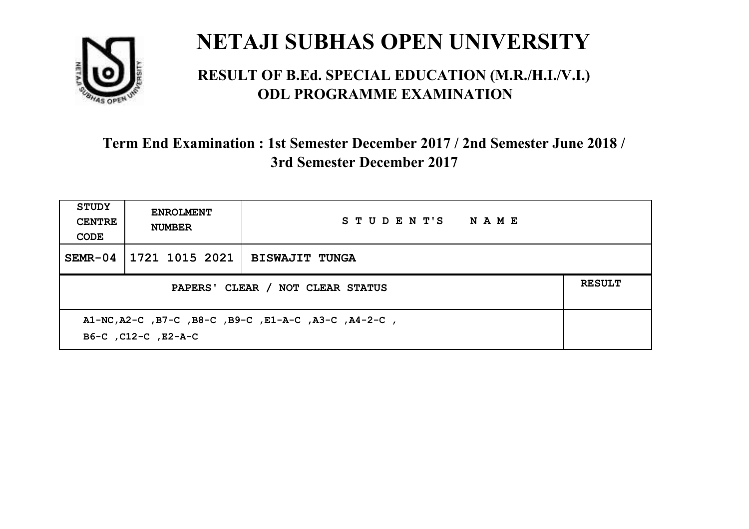

#### **RESULT OF B.Ed. SPECIAL EDUCATION (M.R./H.I./V.I.) ODL PROGRAMME EXAMINATION**

| <b>STUDY</b><br><b>CENTRE</b><br>CODE | <b>ENROLMENT</b><br><b>NUMBER</b>                                           | STUDENT'S NAME        |  |  |  |
|---------------------------------------|-----------------------------------------------------------------------------|-----------------------|--|--|--|
| $SEMR-04$                             | 1721 1015 2021                                                              | <b>BISWAJIT TUNGA</b> |  |  |  |
|                                       | <b>RESULT</b><br>PAPERS' CLEAR / NOT CLEAR STATUS                           |                       |  |  |  |
|                                       | A1-NC, A2-C, B7-C, B8-C, B9-C, E1-A-C, A3-C, A4-2-C,<br>B6-C, C12-C, E2-A-C |                       |  |  |  |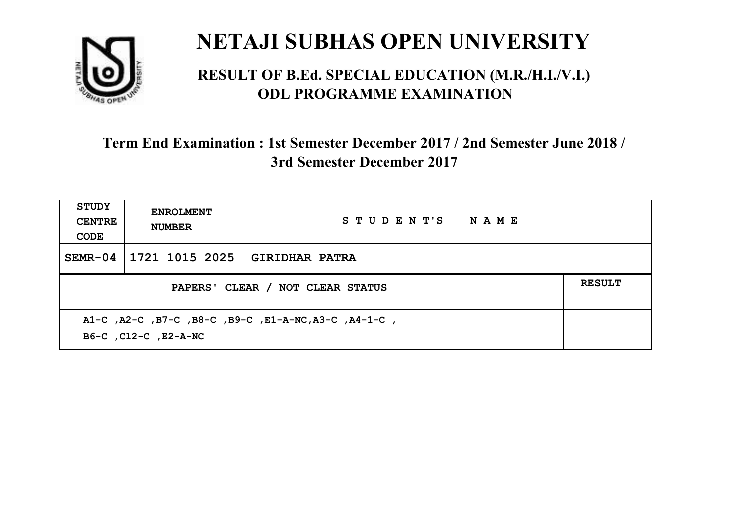

#### **RESULT OF B.Ed. SPECIAL EDUCATION (M.R./H.I./V.I.) ODL PROGRAMME EXAMINATION**

| <b>STUDY</b><br><b>CENTRE</b><br>CODE                                        | <b>ENROLMENT</b><br><b>NUMBER</b> | STUDENT'S NAME        |  |
|------------------------------------------------------------------------------|-----------------------------------|-----------------------|--|
| $SEMR-04$                                                                    | 1721 1015 2025                    | <b>GIRIDHAR PATRA</b> |  |
| <b>RESULT</b><br>PAPERS' CLEAR / NOT CLEAR STATUS                            |                                   |                       |  |
| A1-C, A2-C, B7-C, B8-C, B9-C, E1-A-NC, A3-C, A4-1-C,<br>B6-C, C12-C, E2-A-NC |                                   |                       |  |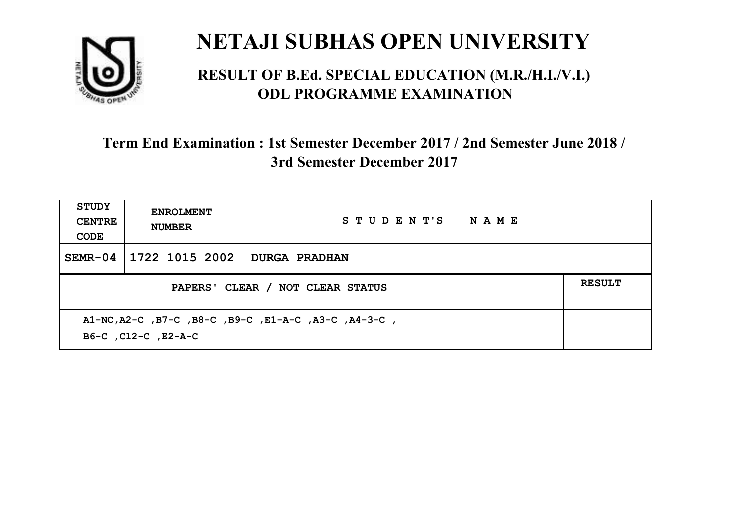

#### **RESULT OF B.Ed. SPECIAL EDUCATION (M.R./H.I./V.I.) ODL PROGRAMME EXAMINATION**

| <b>STUDY</b><br><b>CENTRE</b><br>CODE                                       | <b>ENROLMENT</b><br><b>NUMBER</b> | STUDENT'S NAME       |  |
|-----------------------------------------------------------------------------|-----------------------------------|----------------------|--|
| $SEMR-04$                                                                   | 1722 1015 2002                    | <b>DURGA PRADHAN</b> |  |
| <b>RESULT</b><br>PAPERS' CLEAR / NOT CLEAR STATUS                           |                                   |                      |  |
| A1-NC, A2-C, B7-C, B8-C, B9-C, E1-A-C, A3-C, A4-3-C,<br>B6-C, C12-C, E2-A-C |                                   |                      |  |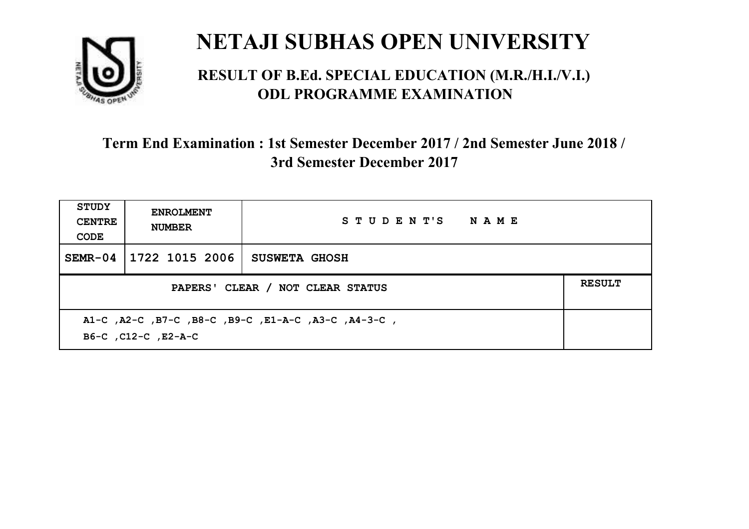

#### **RESULT OF B.Ed. SPECIAL EDUCATION (M.R./H.I./V.I.) ODL PROGRAMME EXAMINATION**

| <b>STUDY</b><br><b>CENTRE</b><br>CODE | <b>ENROLMENT</b><br><b>NUMBER</b>                                          | STUDENT'S NAME       |  |  |  |
|---------------------------------------|----------------------------------------------------------------------------|----------------------|--|--|--|
| $SEMR-04$                             | 1722 1015 2006                                                             | <b>SUSWETA GHOSH</b> |  |  |  |
|                                       | <b>RESULT</b><br>PAPERS' CLEAR / NOT CLEAR STATUS                          |                      |  |  |  |
|                                       | A1-C, A2-C, B7-C, B8-C, B9-C, E1-A-C, A3-C, A4-3-C,<br>B6-C, C12-C, E2-A-C |                      |  |  |  |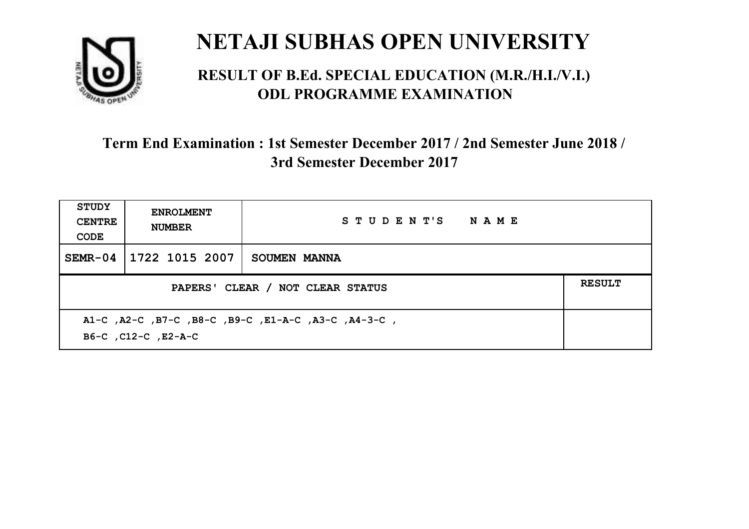

#### **RESULT OF B.Ed. SPECIAL EDUCATION (M.R./H.I./V.I.) ODL PROGRAMME EXAMINATION**

| <b>STUDY</b><br><b>CENTRE</b><br>CODE | <b>ENROLMENT</b><br><b>NUMBER</b>                                          | STUDENT'S NAME |  |  |  |
|---------------------------------------|----------------------------------------------------------------------------|----------------|--|--|--|
| $SEMR-04$                             | 1722 1015 2007                                                             | SOUMEN MANNA   |  |  |  |
|                                       | <b>RESULT</b><br>PAPERS' CLEAR / NOT CLEAR STATUS                          |                |  |  |  |
|                                       | A1-C, A2-C, B7-C, B8-C, B9-C, E1-A-C, A3-C, A4-3-C,<br>B6-C, C12-C, E2-A-C |                |  |  |  |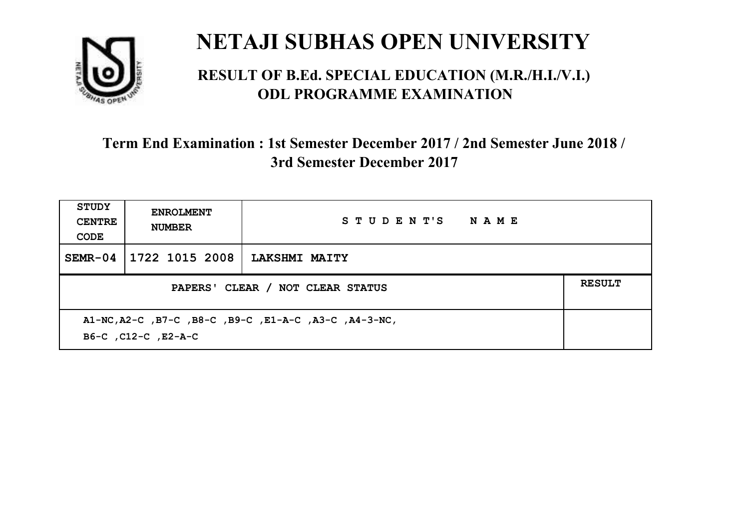

#### **RESULT OF B.Ed. SPECIAL EDUCATION (M.R./H.I./V.I.) ODL PROGRAMME EXAMINATION**

| <b>STUDY</b><br><b>CENTRE</b><br>CODE | <b>ENROLMENT</b><br><b>NUMBER</b>                                            | STUDENT'S NAME       |  |  |  |
|---------------------------------------|------------------------------------------------------------------------------|----------------------|--|--|--|
| $SEMR-04$                             | 1722 1015 2008                                                               | <b>LAKSHMI MAITY</b> |  |  |  |
|                                       | <b>RESULT</b><br>PAPERS' CLEAR / NOT CLEAR STATUS                            |                      |  |  |  |
|                                       | A1-NC, A2-C, B7-C, B8-C, B9-C, E1-A-C, A3-C, A4-3-NC,<br>B6-C, C12-C, E2-A-C |                      |  |  |  |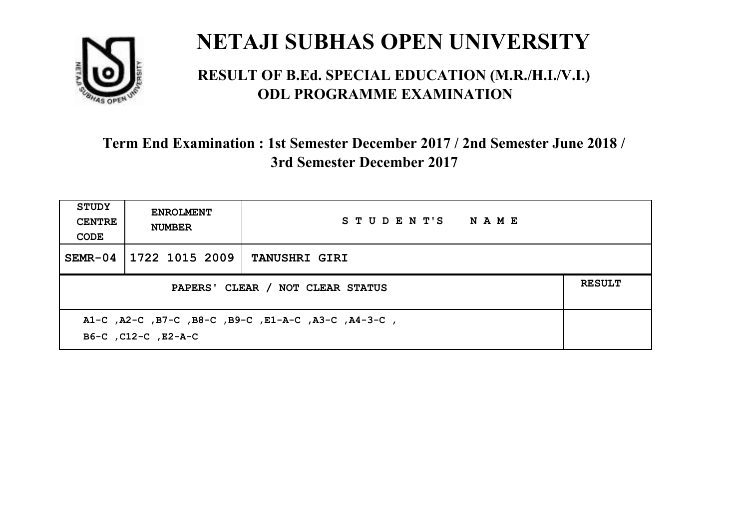

#### **RESULT OF B.Ed. SPECIAL EDUCATION (M.R./H.I./V.I.) ODL PROGRAMME EXAMINATION**

| <b>STUDY</b><br><b>CENTRE</b><br>CODE                                      | <b>ENROLMENT</b><br><b>NUMBER</b> | STUDENT'S NAME       |  |  |
|----------------------------------------------------------------------------|-----------------------------------|----------------------|--|--|
| $SEMR-04$                                                                  | 1722 1015 2009                    | <b>TANUSHRI GIRI</b> |  |  |
| <b>RESULT</b><br>PAPERS' CLEAR / NOT CLEAR STATUS                          |                                   |                      |  |  |
| A1-C, A2-C, B7-C, B8-C, B9-C, E1-A-C, A3-C, A4-3-C,<br>B6-C, C12-C, E2-A-C |                                   |                      |  |  |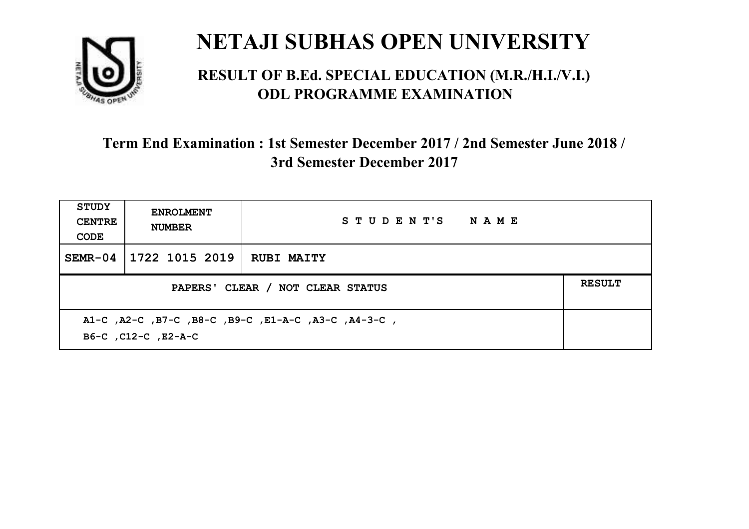

#### **RESULT OF B.Ed. SPECIAL EDUCATION (M.R./H.I./V.I.) ODL PROGRAMME EXAMINATION**

| <b>STUDY</b><br><b>CENTRE</b><br>CODE | <b>ENROLMENT</b><br><b>NUMBER</b>                                          | STUDENT'S NAME    |  |  |  |
|---------------------------------------|----------------------------------------------------------------------------|-------------------|--|--|--|
| $SEMR-04$                             | 1722 1015 2019                                                             | <b>RUBI MAITY</b> |  |  |  |
|                                       | <b>RESULT</b><br>PAPERS' CLEAR / NOT CLEAR STATUS                          |                   |  |  |  |
|                                       | A1-C, A2-C, B7-C, B8-C, B9-C, E1-A-C, A3-C, A4-3-C,<br>B6-C, C12-C, E2-A-C |                   |  |  |  |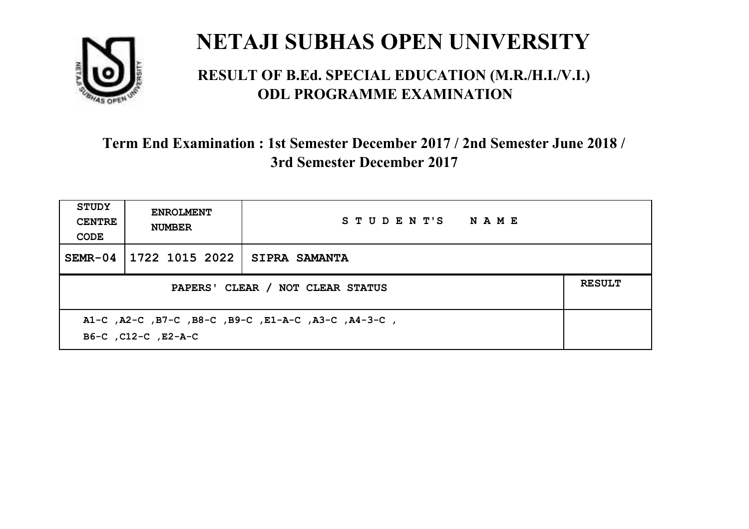

#### **RESULT OF B.Ed. SPECIAL EDUCATION (M.R./H.I./V.I.) ODL PROGRAMME EXAMINATION**

| <b>STUDY</b><br><b>CENTRE</b><br>CODE                                      | <b>ENROLMENT</b><br><b>NUMBER</b> | STUDENT'S NAME       |  |  |
|----------------------------------------------------------------------------|-----------------------------------|----------------------|--|--|
| $SEMR-04$                                                                  | 1722 1015 2022                    | <b>SIPRA SAMANTA</b> |  |  |
| <b>RESULT</b><br>PAPERS' CLEAR / NOT CLEAR STATUS                          |                                   |                      |  |  |
| A1-C, A2-C, B7-C, B8-C, B9-C, E1-A-C, A3-C, A4-3-C,<br>B6-C, C12-C, E2-A-C |                                   |                      |  |  |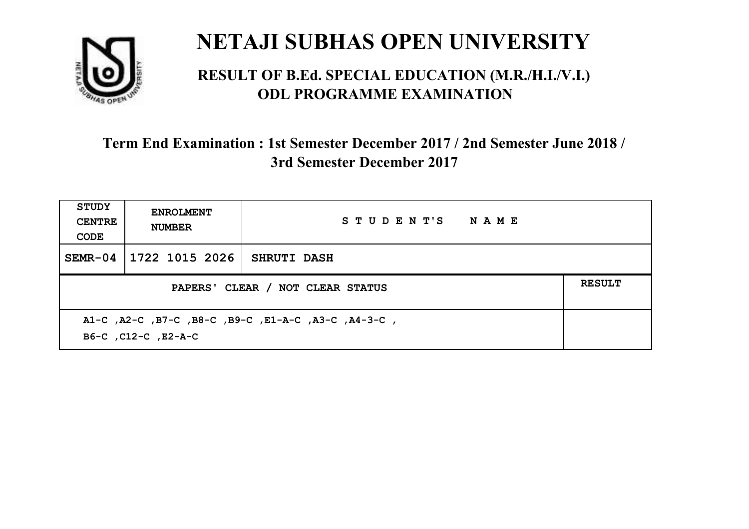

#### **RESULT OF B.Ed. SPECIAL EDUCATION (M.R./H.I./V.I.) ODL PROGRAMME EXAMINATION**

| <b>STUDY</b><br><b>CENTRE</b><br>CODE                                      | <b>ENROLMENT</b><br><b>NUMBER</b>                 | STUDENT'S NAME     |  |  |  |
|----------------------------------------------------------------------------|---------------------------------------------------|--------------------|--|--|--|
| $SEMR-04$                                                                  | 1722 1015 2026                                    | <b>SHRUTI DASH</b> |  |  |  |
|                                                                            | <b>RESULT</b><br>PAPERS' CLEAR / NOT CLEAR STATUS |                    |  |  |  |
| A1-C, A2-C, B7-C, B8-C, B9-C, E1-A-C, A3-C, A4-3-C,<br>B6-C, C12-C, E2-A-C |                                                   |                    |  |  |  |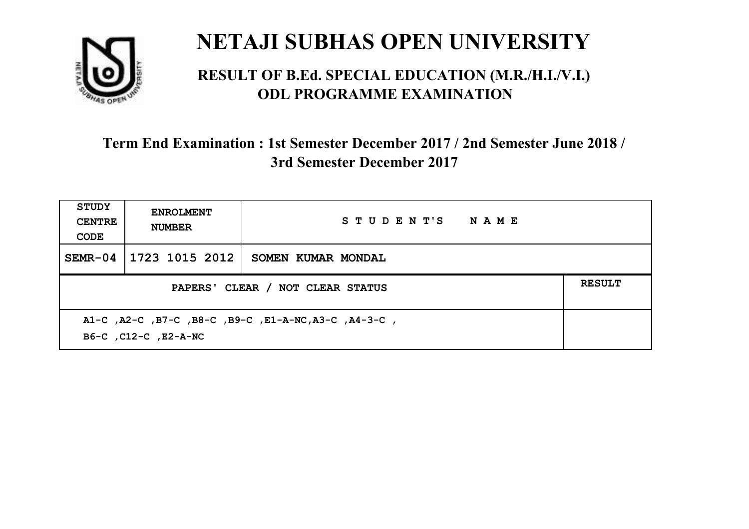

#### **RESULT OF B.Ed. SPECIAL EDUCATION (M.R./H.I./V.I.) ODL PROGRAMME EXAMINATION**

| <b>STUDY</b><br><b>CENTRE</b><br>CODE                                        | <b>ENROLMENT</b><br><b>NUMBER</b> | STUDENT'S NAME     |  |  |
|------------------------------------------------------------------------------|-----------------------------------|--------------------|--|--|
| $SEMR-04$                                                                    | 1723 1015 2012                    | SOMEN KUMAR MONDAL |  |  |
| <b>RESULT</b><br>PAPERS' CLEAR / NOT CLEAR STATUS                            |                                   |                    |  |  |
| A1-C, A2-C, B7-C, B8-C, B9-C, E1-A-NC, A3-C, A4-3-C,<br>B6-C, C12-C, E2-A-NC |                                   |                    |  |  |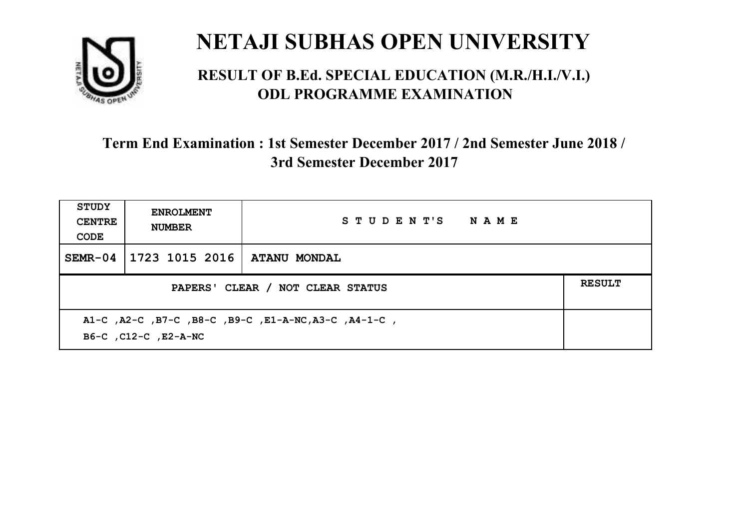

#### **RESULT OF B.Ed. SPECIAL EDUCATION (M.R./H.I./V.I.) ODL PROGRAMME EXAMINATION**

| <b>STUDY</b><br><b>CENTRE</b><br>CODE                                        | <b>ENROLMENT</b><br><b>NUMBER</b> | STUDENT'S NAME |               |
|------------------------------------------------------------------------------|-----------------------------------|----------------|---------------|
| $SEMR-04$                                                                    | 1723 1015 2016   ATANU MONDAL     |                |               |
| PAPERS' CLEAR / NOT CLEAR STATUS                                             |                                   |                | <b>RESULT</b> |
| A1-C, A2-C, B7-C, B8-C, B9-C, E1-A-NC, A3-C, A4-1-C,<br>B6-C, C12-C, E2-A-NC |                                   |                |               |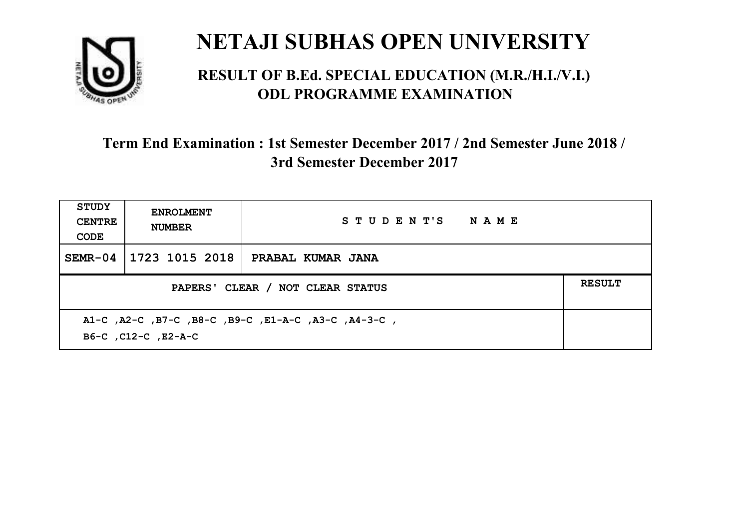

#### **RESULT OF B.Ed. SPECIAL EDUCATION (M.R./H.I./V.I.) ODL PROGRAMME EXAMINATION**

| <b>STUDY</b><br><b>CENTRE</b><br>CODE                                      | <b>ENROLMENT</b><br><b>NUMBER</b> | STUDENT'S NAME    |  |
|----------------------------------------------------------------------------|-----------------------------------|-------------------|--|
| $SEMR-04$                                                                  | 1723 1015 2018                    | PRABAL KUMAR JANA |  |
| <b>RESULT</b><br>PAPERS' CLEAR / NOT CLEAR STATUS                          |                                   |                   |  |
| A1-C, A2-C, B7-C, B8-C, B9-C, E1-A-C, A3-C, A4-3-C,<br>B6-C, C12-C, E2-A-C |                                   |                   |  |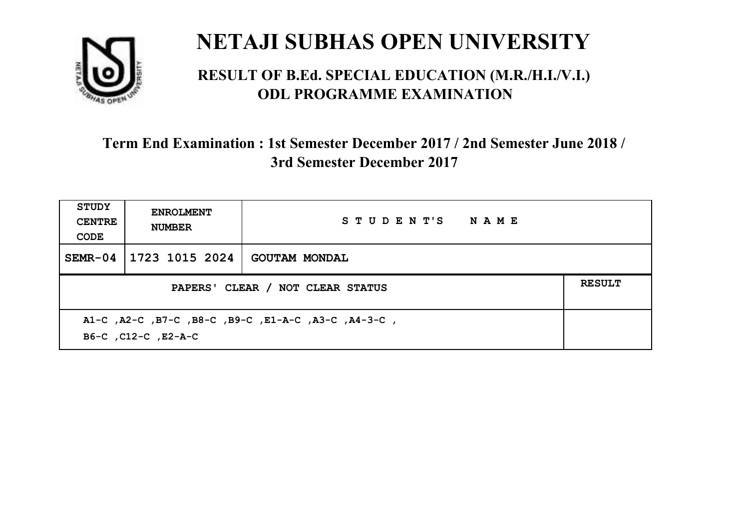

#### **RESULT OF B.Ed. SPECIAL EDUCATION (M.R./H.I./V.I.) ODL PROGRAMME EXAMINATION**

| <b>STUDY</b><br><b>CENTRE</b><br>CODE                                      | <b>ENROLMENT</b><br><b>NUMBER</b> | STUDENT'S NAME       |               |
|----------------------------------------------------------------------------|-----------------------------------|----------------------|---------------|
| $SEMR-04$                                                                  | 1723 1015 2024                    | <b>GOUTAM MONDAL</b> |               |
| PAPERS' CLEAR / NOT CLEAR STATUS                                           |                                   |                      | <b>RESULT</b> |
| A1-C, A2-C, B7-C, B8-C, B9-C, E1-A-C, A3-C, A4-3-C,<br>B6-C, C12-C, E2-A-C |                                   |                      |               |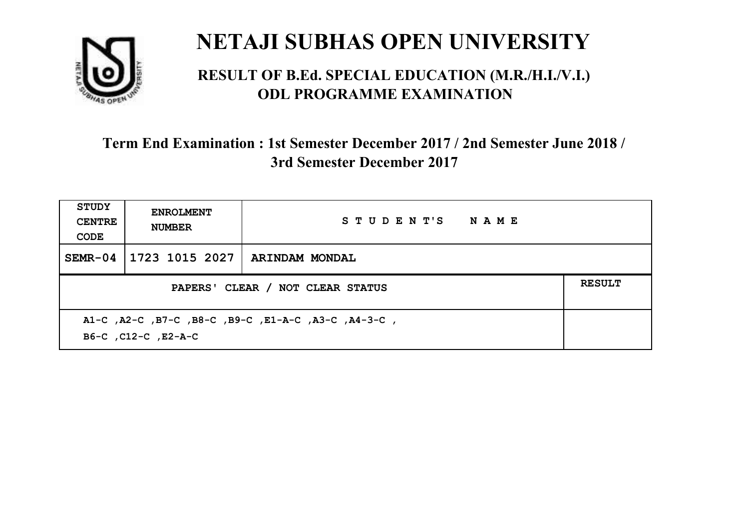

#### **RESULT OF B.Ed. SPECIAL EDUCATION (M.R./H.I./V.I.) ODL PROGRAMME EXAMINATION**

| STUDY<br><b>CENTRE</b><br>CODE                                             | <b>ENROLMENT</b><br><b>NUMBER</b> | STUDENT'S NAME |               |
|----------------------------------------------------------------------------|-----------------------------------|----------------|---------------|
| $SEMR-04$                                                                  | 1723 1015 2027                    | ARINDAM MONDAL |               |
| PAPERS' CLEAR / NOT CLEAR STATUS                                           |                                   |                | <b>RESULT</b> |
| A1-C, A2-C, B7-C, B8-C, B9-C, E1-A-C, A3-C, A4-3-C,<br>B6-C, C12-C, E2-A-C |                                   |                |               |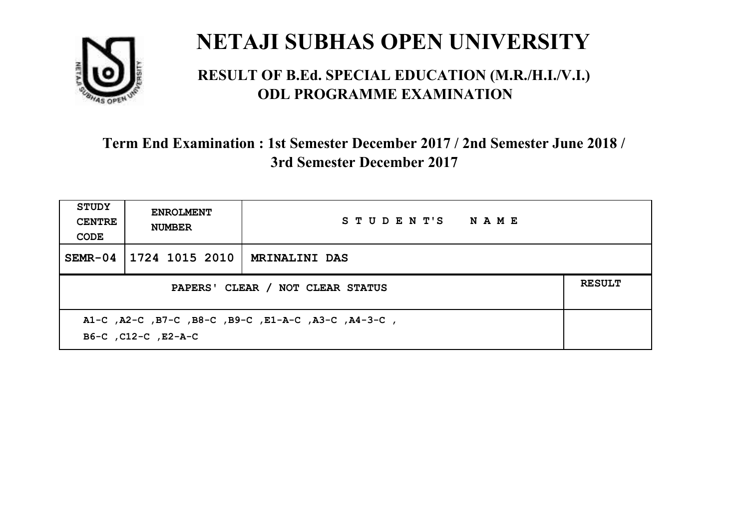

#### **RESULT OF B.Ed. SPECIAL EDUCATION (M.R./H.I./V.I.) ODL PROGRAMME EXAMINATION**

| <b>STUDY</b><br><b>CENTRE</b><br>CODE                                      | <b>ENROLMENT</b><br><b>NUMBER</b> | STUDENT'S NAME       |               |
|----------------------------------------------------------------------------|-----------------------------------|----------------------|---------------|
| $SEMR-04$                                                                  | 1724 1015 2010                    | <b>MRINALINI DAS</b> |               |
| PAPERS' CLEAR / NOT CLEAR STATUS                                           |                                   |                      | <b>RESULT</b> |
| A1-C, A2-C, B7-C, B8-C, B9-C, E1-A-C, A3-C, A4-3-C,<br>B6-C, C12-C, E2-A-C |                                   |                      |               |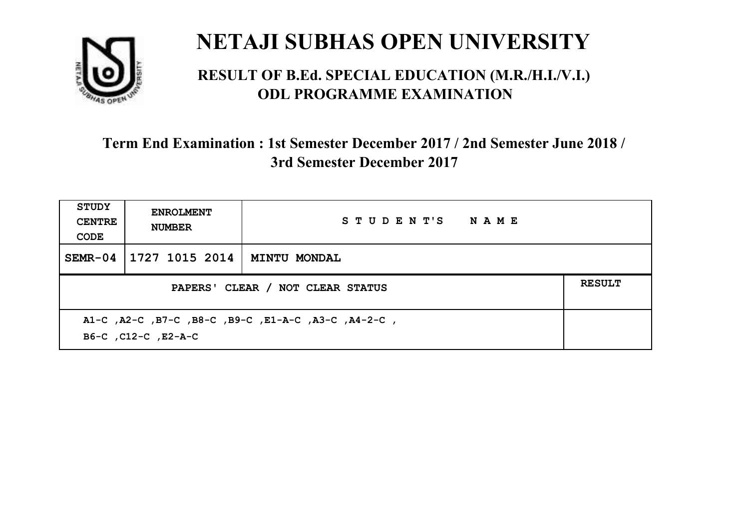

#### **RESULT OF B.Ed. SPECIAL EDUCATION (M.R./H.I./V.I.) ODL PROGRAMME EXAMINATION**

| <b>STUDY</b><br><b>CENTRE</b><br>CODE                                      | <b>ENROLMENT</b><br><b>NUMBER</b> | STUDENT'S NAME      |               |
|----------------------------------------------------------------------------|-----------------------------------|---------------------|---------------|
| $SEMR-04$                                                                  | 1727 1015 2014                    | <b>MINTU MONDAL</b> |               |
| PAPERS' CLEAR / NOT CLEAR STATUS                                           |                                   |                     | <b>RESULT</b> |
| A1-C, A2-C, B7-C, B8-C, B9-C, E1-A-C, A3-C, A4-2-C,<br>B6-C, C12-C, E2-A-C |                                   |                     |               |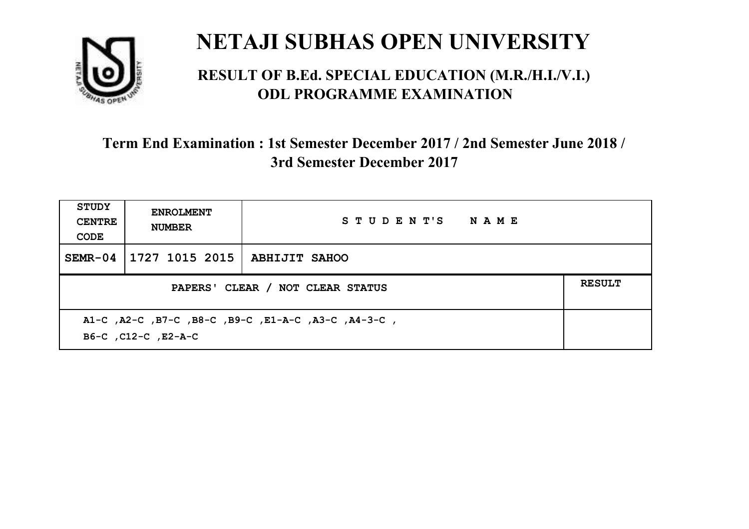

#### **RESULT OF B.Ed. SPECIAL EDUCATION (M.R./H.I./V.I.) ODL PROGRAMME EXAMINATION**

| <b>STUDY</b><br><b>CENTRE</b><br>CODE                                      | <b>ENROLMENT</b><br><b>NUMBER</b> | STUDENT'S NAME |               |
|----------------------------------------------------------------------------|-----------------------------------|----------------|---------------|
| $SEMR-04$                                                                  | 1727 1015 2015   ABHIJIT SAHOO    |                |               |
| PAPERS' CLEAR / NOT CLEAR STATUS                                           |                                   |                | <b>RESULT</b> |
| A1-C, A2-C, B7-C, B8-C, B9-C, E1-A-C, A3-C, A4-3-C,<br>B6-C, C12-C, E2-A-C |                                   |                |               |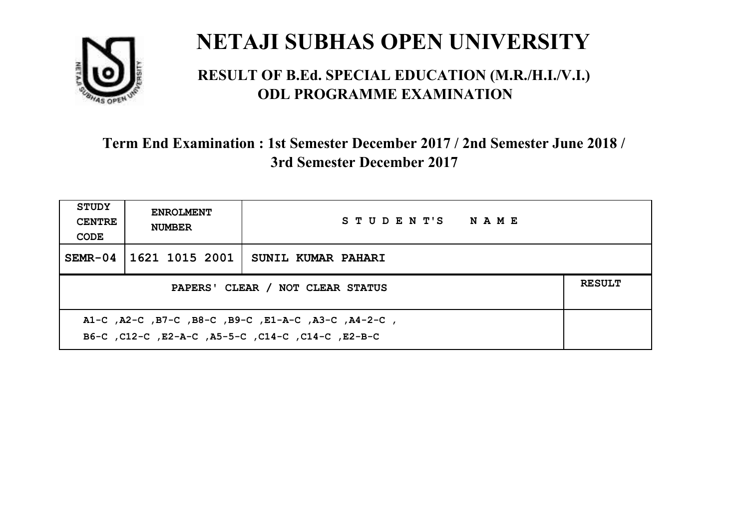

#### **RESULT OF B.Ed. SPECIAL EDUCATION (M.R./H.I./V.I.) ODL PROGRAMME EXAMINATION**

| <b>STUDY</b><br><b>CENTRE</b><br>CODE                                                                    | <b>ENROLMENT</b><br><b>NUMBER</b> | STUDENT'S NAME     |               |
|----------------------------------------------------------------------------------------------------------|-----------------------------------|--------------------|---------------|
| $SEMR-04$                                                                                                | 1621 1015 2001                    | SUNIL KUMAR PAHARI |               |
| PAPERS' CLEAR / NOT CLEAR STATUS                                                                         |                                   |                    | <b>RESULT</b> |
| A1-C, A2-C, B7-C, B8-C, B9-C, E1-A-C, A3-C, A4-2-C,<br>B6-C, C12-C, E2-A-C, A5-5-C, C14-C, C14-C, E2-B-C |                                   |                    |               |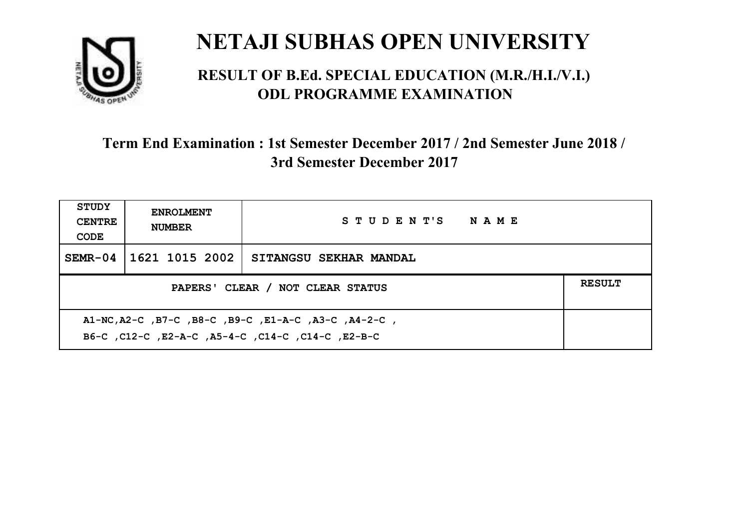

#### **RESULT OF B.Ed. SPECIAL EDUCATION (M.R./H.I./V.I.) ODL PROGRAMME EXAMINATION**

| <b>STUDY</b><br><b>CENTRE</b><br>CODE | <b>ENROLMENT</b><br><b>NUMBER</b> | STUDENT'S NAME         |  |
|---------------------------------------|-----------------------------------|------------------------|--|
| $SEMR-04$                             | 1621 1015 2002                    | SITANGSU SEKHAR MANDAL |  |
| PAPERS' CLEAR / NOT CLEAR STATUS      |                                   |                        |  |
|                                       |                                   |                        |  |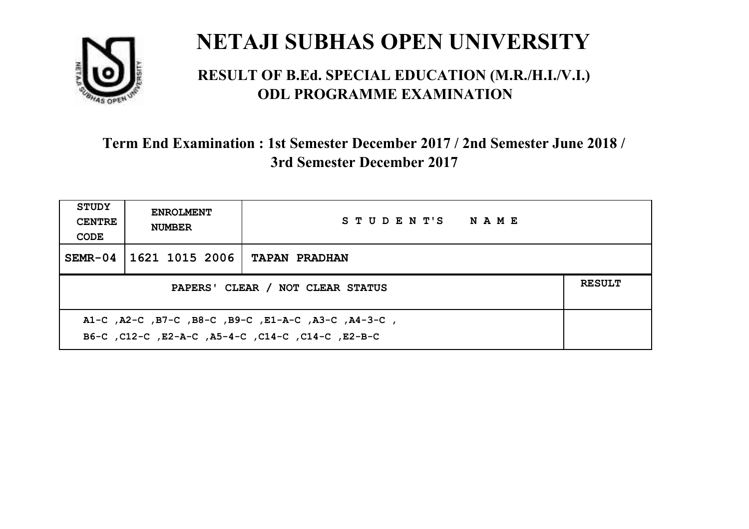

#### **RESULT OF B.Ed. SPECIAL EDUCATION (M.R./H.I./V.I.) ODL PROGRAMME EXAMINATION**

| <b>STUDY</b><br><b>CENTRE</b><br>CODE | <b>ENROLMENT</b><br><b>NUMBER</b> | STUDENT'S NAME       |               |
|---------------------------------------|-----------------------------------|----------------------|---------------|
| $SEMR-04$                             | 1621 1015 2006                    | <b>TAPAN PRADHAN</b> |               |
| PAPERS' CLEAR / NOT CLEAR STATUS      |                                   |                      | <b>RESULT</b> |
|                                       |                                   |                      |               |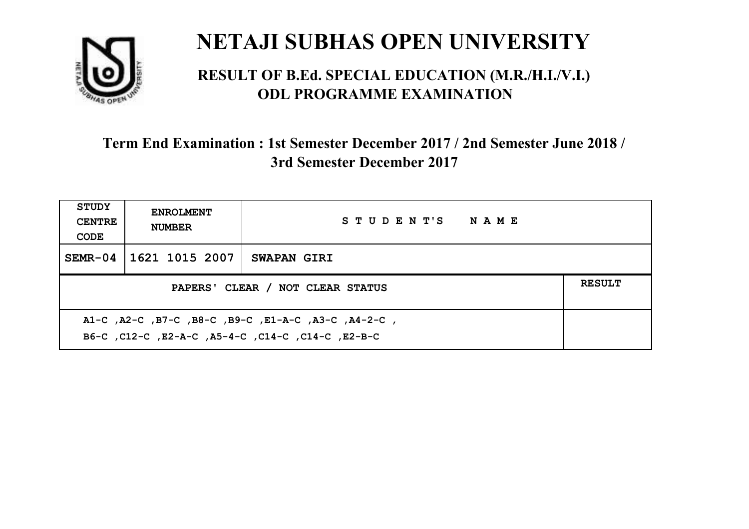

#### **RESULT OF B.Ed. SPECIAL EDUCATION (M.R./H.I./V.I.) ODL PROGRAMME EXAMINATION**

| <b>STUDY</b><br><b>CENTRE</b><br>CODE                                                                    | <b>ENROLMENT</b><br><b>NUMBER</b> | STUDENT'S NAME     |  |
|----------------------------------------------------------------------------------------------------------|-----------------------------------|--------------------|--|
| $SEMR-04$                                                                                                | 1621 1015 2007                    | <b>SWAPAN GIRI</b> |  |
| <b>RESULT</b><br>PAPERS' CLEAR / NOT CLEAR STATUS                                                        |                                   |                    |  |
| A1-C, A2-C, B7-C, B8-C, B9-C, E1-A-C, A3-C, A4-2-C,<br>B6-C, C12-C, E2-A-C, A5-4-C, C14-C, C14-C, E2-B-C |                                   |                    |  |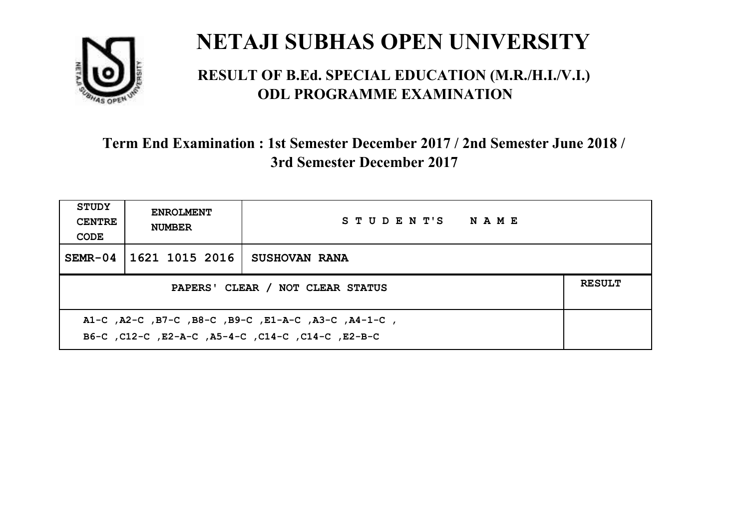

#### **RESULT OF B.Ed. SPECIAL EDUCATION (M.R./H.I./V.I.) ODL PROGRAMME EXAMINATION**

| <b>STUDY</b><br><b>CENTRE</b><br>CODE                                                                     | <b>ENROLMENT</b><br><b>NUMBER</b> | STUDENT'S NAME       |  |
|-----------------------------------------------------------------------------------------------------------|-----------------------------------|----------------------|--|
| $SEMR-04$                                                                                                 | 1621 1015 2016                    | <b>SUSHOVAN RANA</b> |  |
| PAPERS' CLEAR / NOT CLEAR STATUS                                                                          |                                   |                      |  |
| A1-C, A2-C, B7-C, B8-C, B9-C, E1-A-C, A3-C, A4-1-C,<br>B6-C, C12-C, E2-A-C, A5-4-C, C14-C, C14-C, C12-B-C |                                   |                      |  |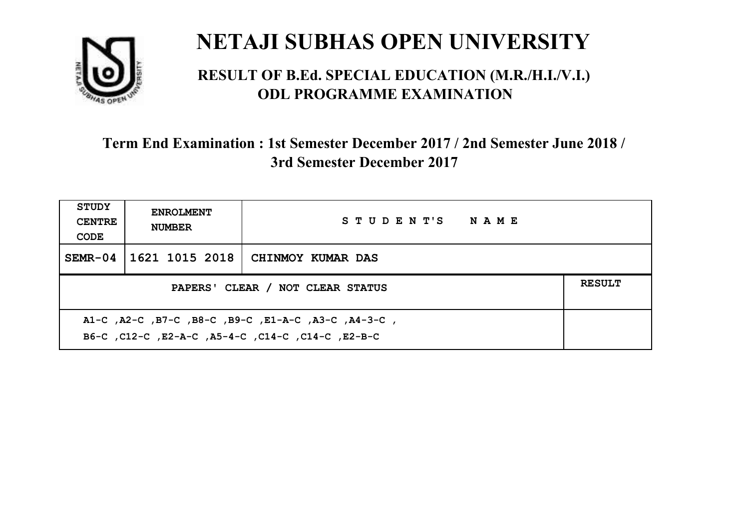

#### **RESULT OF B.Ed. SPECIAL EDUCATION (M.R./H.I./V.I.) ODL PROGRAMME EXAMINATION**

| <b>STUDY</b><br><b>CENTRE</b><br>CODE                                                                    | <b>ENROLMENT</b><br><b>NUMBER</b>                 | STUDENT'S NAME    |  |  |  |
|----------------------------------------------------------------------------------------------------------|---------------------------------------------------|-------------------|--|--|--|
| $SEMR-04$                                                                                                | 1621 1015 2018                                    | CHINMOY KUMAR DAS |  |  |  |
|                                                                                                          | <b>RESULT</b><br>PAPERS' CLEAR / NOT CLEAR STATUS |                   |  |  |  |
| A1-C, A2-C, B7-C, B8-C, B9-C, E1-A-C, A3-C, A4-3-C,<br>B6-C, C12-C, E2-A-C, A5-4-C, C14-C, C14-C, E2-B-C |                                                   |                   |  |  |  |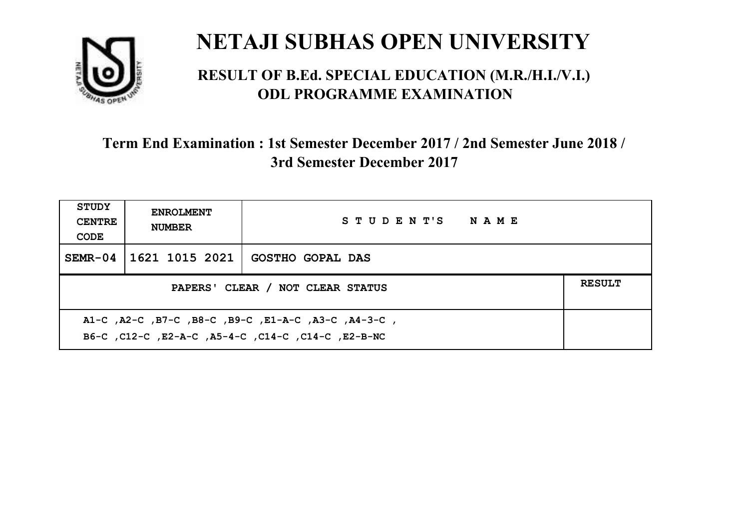

#### **RESULT OF B.Ed. SPECIAL EDUCATION (M.R./H.I./V.I.) ODL PROGRAMME EXAMINATION**

| <b>STUDY</b><br><b>CENTRE</b><br>CODE                                                                     | <b>ENROLMENT</b><br><b>NUMBER</b> | STUDENT'S NAME          |  |  |
|-----------------------------------------------------------------------------------------------------------|-----------------------------------|-------------------------|--|--|
| $SEMR-04$                                                                                                 | 1621 1015 2021                    | <b>GOSTHO GOPAL DAS</b> |  |  |
| <b>RESULT</b><br>PAPERS' CLEAR / NOT CLEAR STATUS                                                         |                                   |                         |  |  |
| A1-C, A2-C, B7-C, B8-C, B9-C, E1-A-C, A3-C, A4-3-C,<br>B6-C, C12-C, E2-A-C, A5-4-C, C14-C, C14-C, E2-B-NC |                                   |                         |  |  |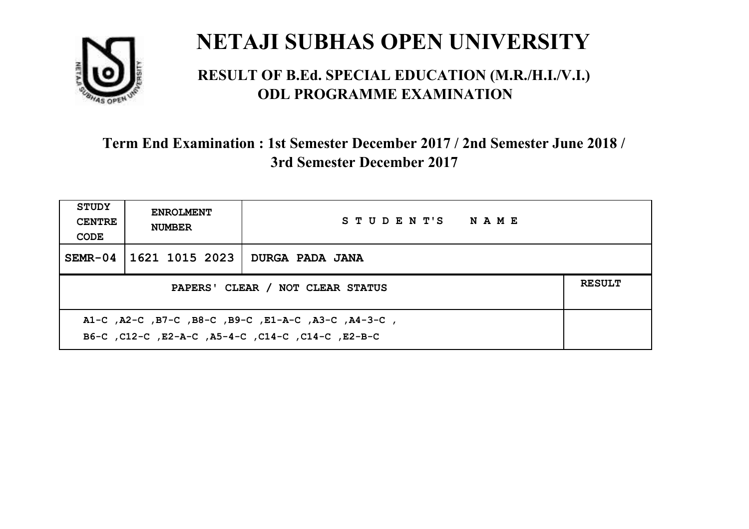

#### **RESULT OF B.Ed. SPECIAL EDUCATION (M.R./H.I./V.I.) ODL PROGRAMME EXAMINATION**

| <b>STUDY</b><br><b>CENTRE</b><br>CODE                                                                     | <b>ENROLMENT</b><br><b>NUMBER</b>                 | STUDENT'S NAME  |  |  |  |
|-----------------------------------------------------------------------------------------------------------|---------------------------------------------------|-----------------|--|--|--|
| $SEMR-04$                                                                                                 | 1621 1015 2023                                    | DURGA PADA JANA |  |  |  |
|                                                                                                           | <b>RESULT</b><br>PAPERS' CLEAR / NOT CLEAR STATUS |                 |  |  |  |
| A1-C, A2-C, B7-C, B8-C, B9-C, E1-A-C, A3-C, A4-3-C,<br>B6-C, C12-C, E2-A-C, A5-4-C, C14-C, C14-C, C12-B-C |                                                   |                 |  |  |  |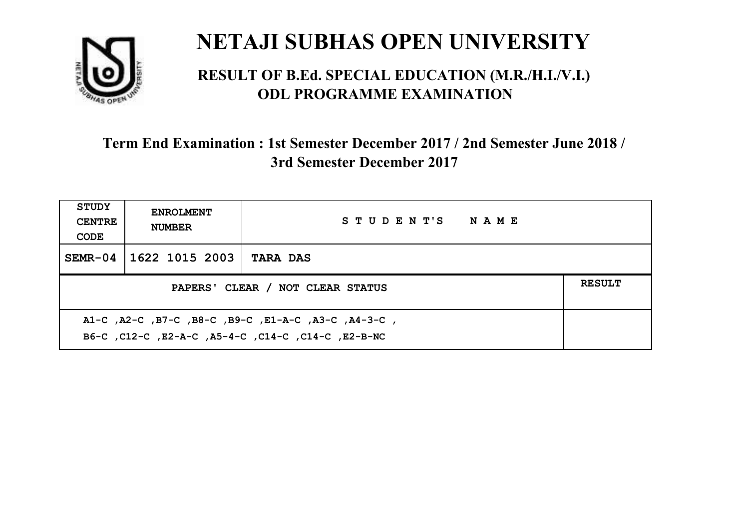

#### **RESULT OF B.Ed. SPECIAL EDUCATION (M.R./H.I./V.I.) ODL PROGRAMME EXAMINATION**

| <b>STUDY</b><br><b>CENTRE</b><br>CODE                                                                       | <b>ENROLMENT</b><br><b>NUMBER</b>                 | STUDENT'S NAME  |  |  |  |
|-------------------------------------------------------------------------------------------------------------|---------------------------------------------------|-----------------|--|--|--|
| $SEMR-04$                                                                                                   | 1622 1015 2003                                    | <b>TARA DAS</b> |  |  |  |
|                                                                                                             | <b>RESULT</b><br>PAPERS' CLEAR / NOT CLEAR STATUS |                 |  |  |  |
| , A1-C, A2-C, B7-C, B8-C, B9-C, E1-A-C, A3-C, A4-3-C,<br>B6-C, C12-C, E2-A-C, A5-4-C, C14-C, C14-C, E2-B-NC |                                                   |                 |  |  |  |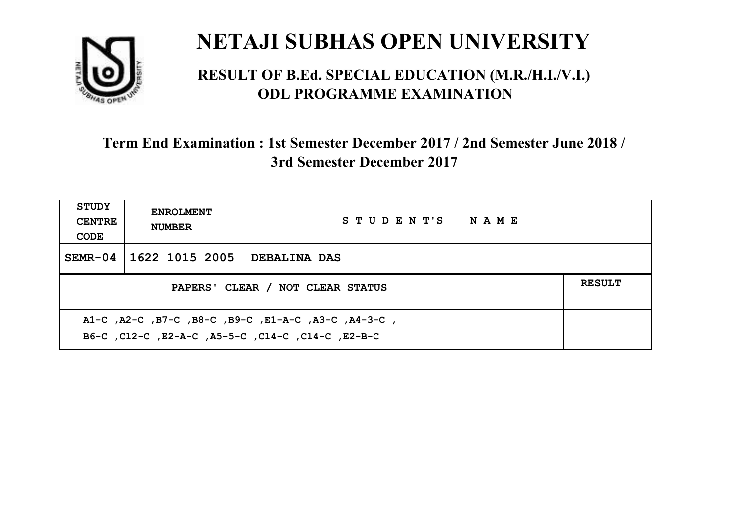

#### **RESULT OF B.Ed. SPECIAL EDUCATION (M.R./H.I./V.I.) ODL PROGRAMME EXAMINATION**

| <b>STUDY</b><br><b>CENTRE</b><br>CODE                                                                       | <b>ENROLMENT</b><br><b>NUMBER</b>                 | STUDENT'S NAME      |  |  |  |
|-------------------------------------------------------------------------------------------------------------|---------------------------------------------------|---------------------|--|--|--|
| $SEMR-04$                                                                                                   | 1622 1015 2005                                    | <b>DEBALINA DAS</b> |  |  |  |
|                                                                                                             | <b>RESULT</b><br>PAPERS' CLEAR / NOT CLEAR STATUS |                     |  |  |  |
| , A1-C, A2-C, B7-C, B8-C, B9-C, E1-A-C, A3-C, A4-3-C,<br>B6-C, C12-C, E2-A-C, A5-5-C, C14-C, C14-C, C12-B-C |                                                   |                     |  |  |  |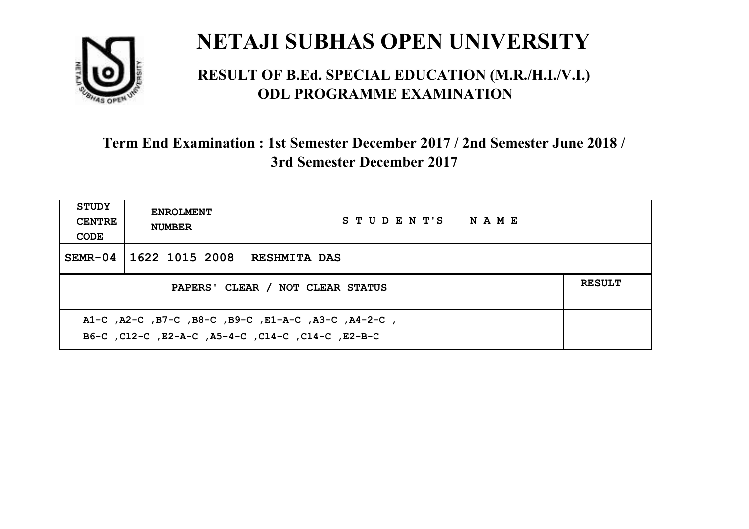

#### **RESULT OF B.Ed. SPECIAL EDUCATION (M.R./H.I./V.I.) ODL PROGRAMME EXAMINATION**

| <b>STUDY</b><br><b>CENTRE</b><br>CODE                                                                    | <b>ENROLMENT</b><br><b>NUMBER</b>                 | STUDENT'S NAME      |  |  |  |
|----------------------------------------------------------------------------------------------------------|---------------------------------------------------|---------------------|--|--|--|
| $SEMR-04$                                                                                                | 1622 1015 2008                                    | <b>RESHMITA DAS</b> |  |  |  |
|                                                                                                          | <b>RESULT</b><br>PAPERS' CLEAR / NOT CLEAR STATUS |                     |  |  |  |
| A1-C, A2-C, B7-C, B8-C, B9-C, E1-A-C, A3-C, A4-2-C,<br>B6-C, C12-C, E2-A-C, A5-4-C, C14-C, C14-C, E2-B-C |                                                   |                     |  |  |  |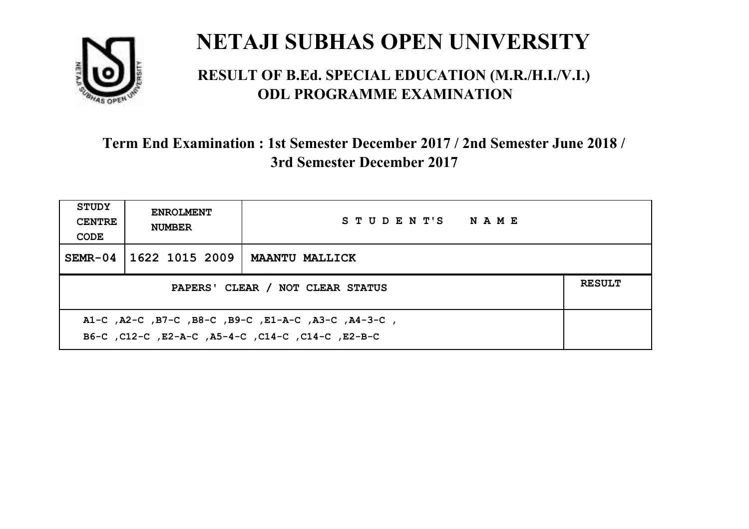

#### **RESULT OF B.Ed. SPECIAL EDUCATION (M.R./H.I./V.I.) ODL PROGRAMME EXAMINATION**

| <b>STUDY</b><br><b>CENTRE</b><br>CODE                                                                    | <b>ENROLMENT</b><br><b>NUMBER</b>                 | STUDENT'S NAME        |  |  |
|----------------------------------------------------------------------------------------------------------|---------------------------------------------------|-----------------------|--|--|
| $SEMR-04$                                                                                                | 1622 1015 2009                                    | <b>MAANTU MALLICK</b> |  |  |
|                                                                                                          | <b>RESULT</b><br>PAPERS' CLEAR / NOT CLEAR STATUS |                       |  |  |
| A1-C, A2-C, B7-C, B8-C, B9-C, E1-A-C, A3-C, A4-3-C,<br>B6-C, C12-C, E2-A-C, A5-4-C, C14-C, C14-C, E2-B-C |                                                   |                       |  |  |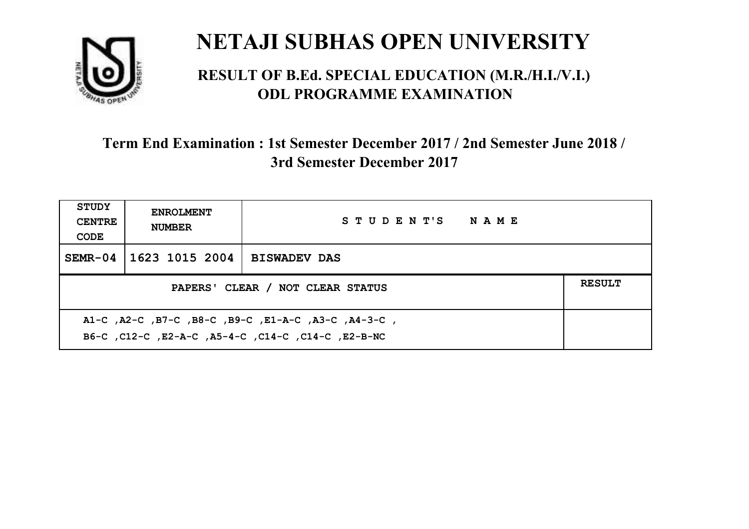

#### **RESULT OF B.Ed. SPECIAL EDUCATION (M.R./H.I./V.I.) ODL PROGRAMME EXAMINATION**

| <b>STUDY</b><br><b>CENTRE</b><br>CODE             | <b>ENROLMENT</b><br><b>NUMBER</b> | STUDENT'S NAME      |  |  |
|---------------------------------------------------|-----------------------------------|---------------------|--|--|
| $SEMR-04$                                         | 1623 1015 2004                    | <b>BISWADEV DAS</b> |  |  |
| <b>RESULT</b><br>PAPERS' CLEAR / NOT CLEAR STATUS |                                   |                     |  |  |
|                                                   |                                   |                     |  |  |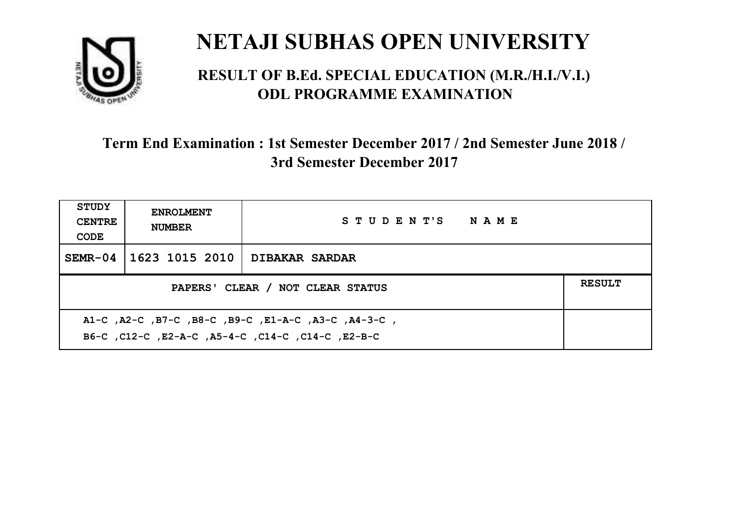

#### **RESULT OF B.Ed. SPECIAL EDUCATION (M.R./H.I./V.I.) ODL PROGRAMME EXAMINATION**

| <b>STUDY</b><br><b>CENTRE</b><br>CODE                                                                     | <b>ENROLMENT</b><br><b>NUMBER</b>                 | STUDENT'S NAME        |  |  |  |
|-----------------------------------------------------------------------------------------------------------|---------------------------------------------------|-----------------------|--|--|--|
| $SEMR-04$                                                                                                 | 1623 1015 2010                                    | <b>DIBAKAR SARDAR</b> |  |  |  |
|                                                                                                           | <b>RESULT</b><br>PAPERS' CLEAR / NOT CLEAR STATUS |                       |  |  |  |
| A1-C, A2-C, B7-C, B8-C, B9-C, E1-A-C, A3-C, A4-3-C,<br>B6-C, C12-C, E2-A-C, A5-4-C, C14-C, C14-C, C12-B-C |                                                   |                       |  |  |  |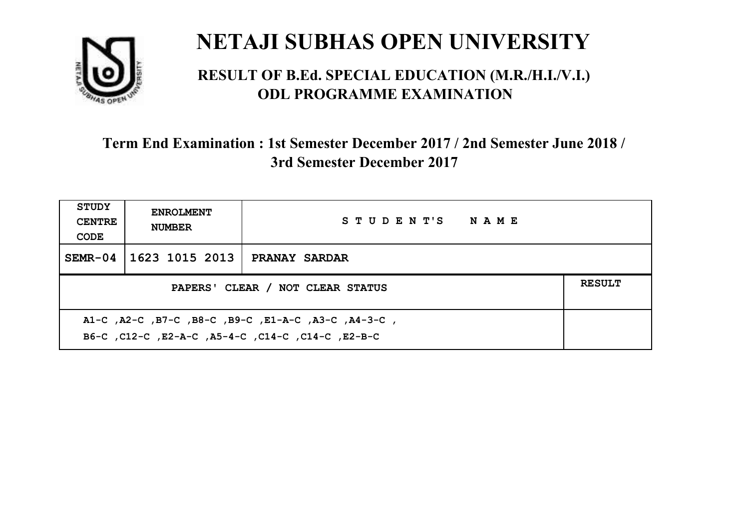

#### **RESULT OF B.Ed. SPECIAL EDUCATION (M.R./H.I./V.I.) ODL PROGRAMME EXAMINATION**

| <b>STUDY</b><br><b>CENTRE</b><br>CODE                                                                     | <b>ENROLMENT</b><br><b>NUMBER</b>                 | STUDENT'S NAME       |  |  |  |
|-----------------------------------------------------------------------------------------------------------|---------------------------------------------------|----------------------|--|--|--|
| $SEMR-04$                                                                                                 | 1623 1015 2013                                    | <b>PRANAY SARDAR</b> |  |  |  |
|                                                                                                           | <b>RESULT</b><br>PAPERS' CLEAR / NOT CLEAR STATUS |                      |  |  |  |
| A1-C, A2-C, B7-C, B8-C, B9-C, E1-A-C, A3-C, A4-3-C,<br>B6-C, C12-C, E2-A-C, A5-4-C, C14-C, C14-C, C12-B-C |                                                   |                      |  |  |  |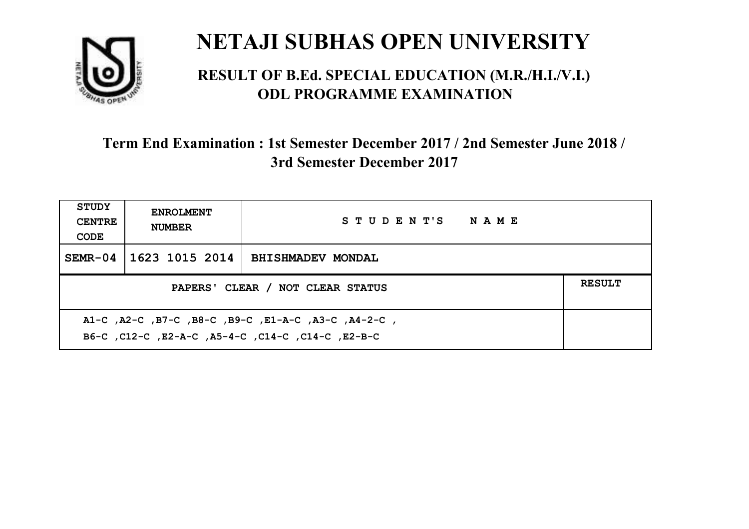

#### **RESULT OF B.Ed. SPECIAL EDUCATION (M.R./H.I./V.I.) ODL PROGRAMME EXAMINATION**

| <b>STUDY</b><br><b>CENTRE</b><br>CODE                                                                    | <b>ENROLMENT</b><br><b>NUMBER</b>                 | STUDENT'S NAME           |  |  |  |
|----------------------------------------------------------------------------------------------------------|---------------------------------------------------|--------------------------|--|--|--|
| $SEMR-04$                                                                                                | 1623 1015 2014                                    | <b>BHISHMADEV MONDAL</b> |  |  |  |
|                                                                                                          | <b>RESULT</b><br>PAPERS' CLEAR / NOT CLEAR STATUS |                          |  |  |  |
| A1-C, A2-C, B7-C, B8-C, B9-C, E1-A-C, A3-C, A4-2-C,<br>B6-C, C12-C, E2-A-C, A5-4-C, C14-C, C14-C, E2-B-C |                                                   |                          |  |  |  |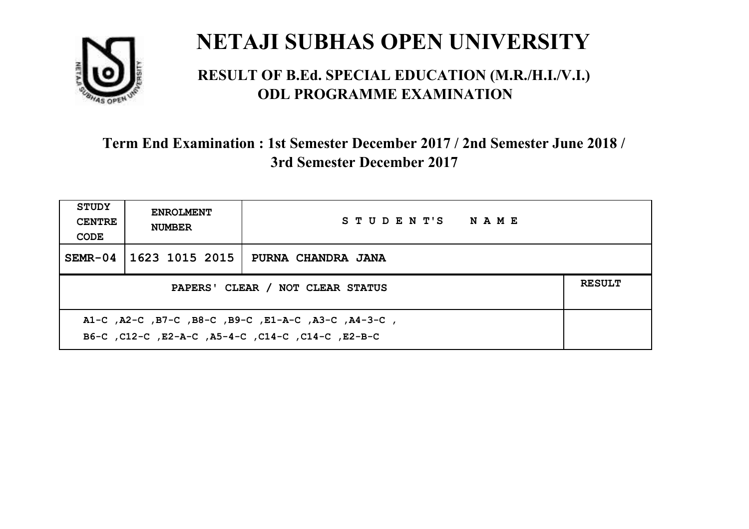

#### **RESULT OF B.Ed. SPECIAL EDUCATION (M.R./H.I./V.I.) ODL PROGRAMME EXAMINATION**

| <b>STUDY</b><br><b>CENTRE</b><br>CODE                                                                     | <b>ENROLMENT</b><br><b>NUMBER</b>                 | STUDENT'S NAME     |  |  |  |
|-----------------------------------------------------------------------------------------------------------|---------------------------------------------------|--------------------|--|--|--|
| $SEMR-04$                                                                                                 | 1623 1015 2015                                    | PURNA CHANDRA JANA |  |  |  |
|                                                                                                           | <b>RESULT</b><br>PAPERS' CLEAR / NOT CLEAR STATUS |                    |  |  |  |
| A1-C, A2-C, B7-C, B8-C, B9-C, E1-A-C, A3-C, A4-3-C,<br>B6-C, C12-C, E2-A-C, A5-4-C, C14-C, C14-C, C12-B-C |                                                   |                    |  |  |  |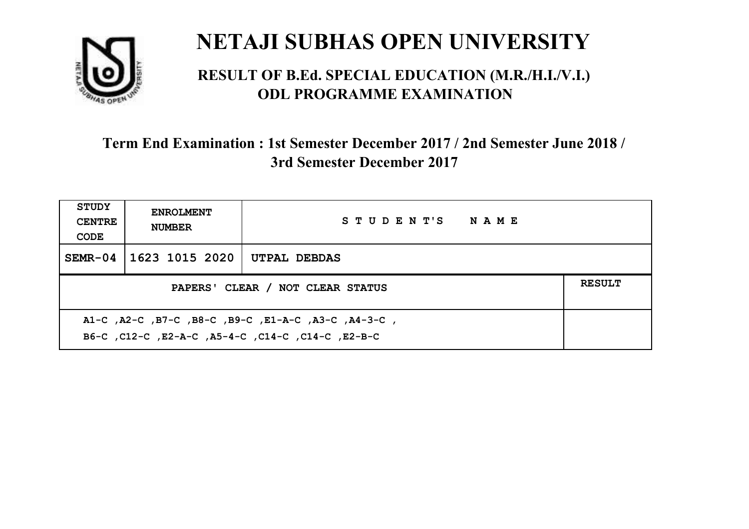

#### **RESULT OF B.Ed. SPECIAL EDUCATION (M.R./H.I./V.I.) ODL PROGRAMME EXAMINATION**

| <b>STUDY</b><br><b>CENTRE</b><br>CODE             | <b>ENROLMENT</b><br><b>NUMBER</b> | STUDENT'S NAME |  |  |
|---------------------------------------------------|-----------------------------------|----------------|--|--|
|                                                   | SEMR-04 1623 1015 2020            | UTPAL DEBDAS   |  |  |
| <b>RESULT</b><br>PAPERS' CLEAR / NOT CLEAR STATUS |                                   |                |  |  |
|                                                   |                                   |                |  |  |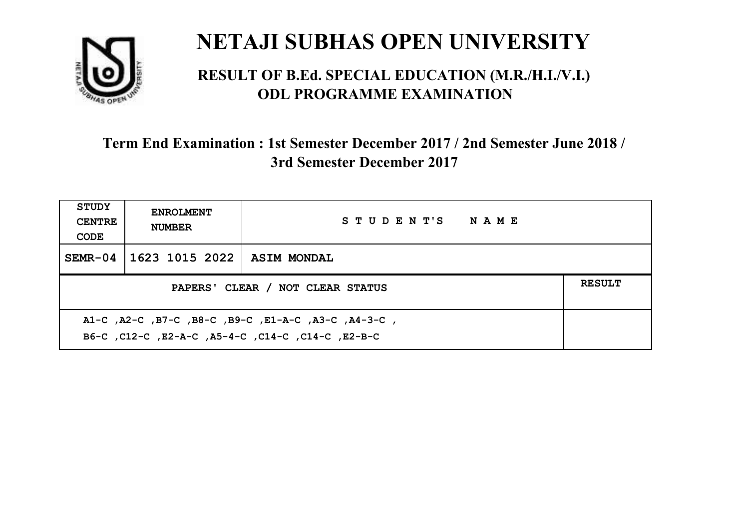

#### **RESULT OF B.Ed. SPECIAL EDUCATION (M.R./H.I./V.I.) ODL PROGRAMME EXAMINATION**

| <b>STUDY</b><br><b>CENTRE</b><br>CODE                                                                    | <b>ENROLMENT</b><br><b>NUMBER</b>                 | STUDENT'S NAME |  |  |  |
|----------------------------------------------------------------------------------------------------------|---------------------------------------------------|----------------|--|--|--|
|                                                                                                          | SEMR-04   1623 1015 2022   ASIM MONDAL            |                |  |  |  |
|                                                                                                          | <b>RESULT</b><br>PAPERS' CLEAR / NOT CLEAR STATUS |                |  |  |  |
| A1-C, A2-C, B7-C, B8-C, B9-C, E1-A-C, A3-C, A4-3-C,<br>B6-C, C12-C, E2-A-C, A5-4-C, C14-C, C14-C, E2-B-C |                                                   |                |  |  |  |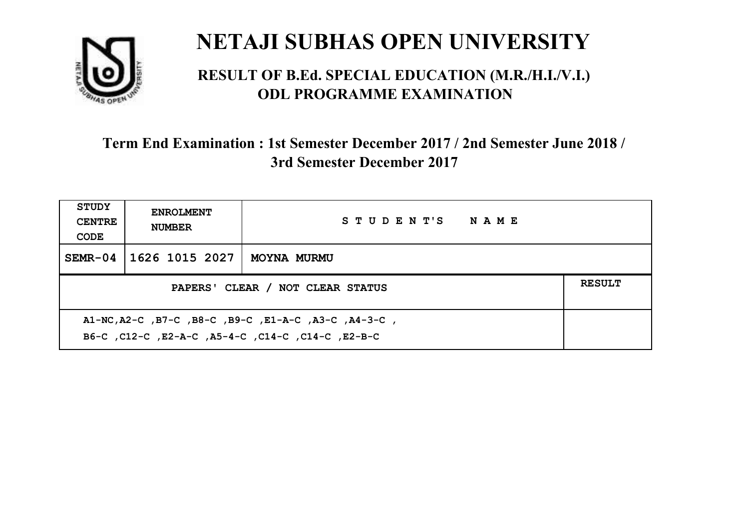

#### **RESULT OF B.Ed. SPECIAL EDUCATION (M.R./H.I./V.I.) ODL PROGRAMME EXAMINATION**

| <b>STUDY</b><br><b>CENTRE</b><br>CODE                                                                     | <b>ENROLMENT</b><br><b>NUMBER</b> | STUDENT'S NAME |  |
|-----------------------------------------------------------------------------------------------------------|-----------------------------------|----------------|--|
| $SEMR-04$                                                                                                 | 1626 1015 2027                    | MOYNA MURMU    |  |
| <b>RESULT</b><br>PAPERS' CLEAR / NOT CLEAR STATUS                                                         |                                   |                |  |
| A1-NC, A2-C, B7-C, B8-C, B9-C, E1-A-C, A3-C, A4-3-C,<br>B6-C, C12-C, E2-A-C, A5-4-C, C14-C, C14-C, E2-B-C |                                   |                |  |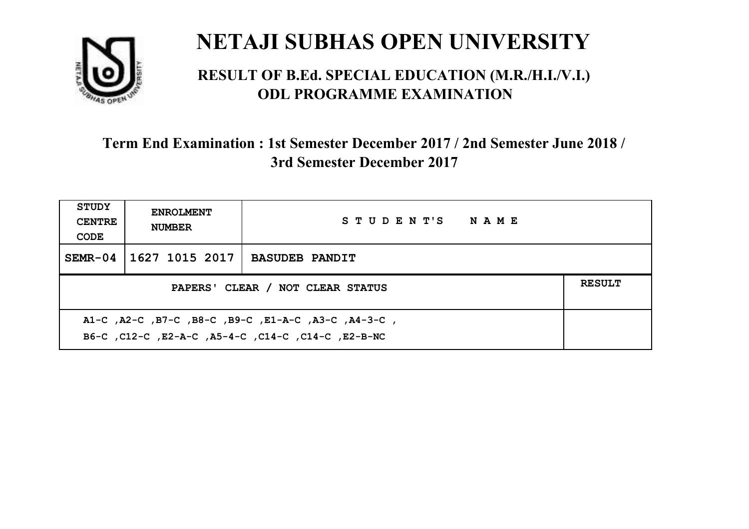

#### **RESULT OF B.Ed. SPECIAL EDUCATION (M.R./H.I./V.I.) ODL PROGRAMME EXAMINATION**

| <b>STUDY</b><br><b>CENTRE</b><br>CODE | <b>ENROLMENT</b><br><b>NUMBER</b>                                                                           | STUDENT'S NAME        |  |  |  |
|---------------------------------------|-------------------------------------------------------------------------------------------------------------|-----------------------|--|--|--|
| $SEMR-04$                             | 1627 1015 2017                                                                                              | <b>BASUDEB PANDIT</b> |  |  |  |
|                                       | <b>RESULT</b><br>PAPERS' CLEAR / NOT CLEAR STATUS                                                           |                       |  |  |  |
|                                       | , A1-C, A2-C, B7-C, B8-C, B9-C, E1-A-C, A3-C, A4-3-C,<br>B6-C, C12-C, E2-A-C, A5-4-C, C14-C, C14-C, E2-B-NC |                       |  |  |  |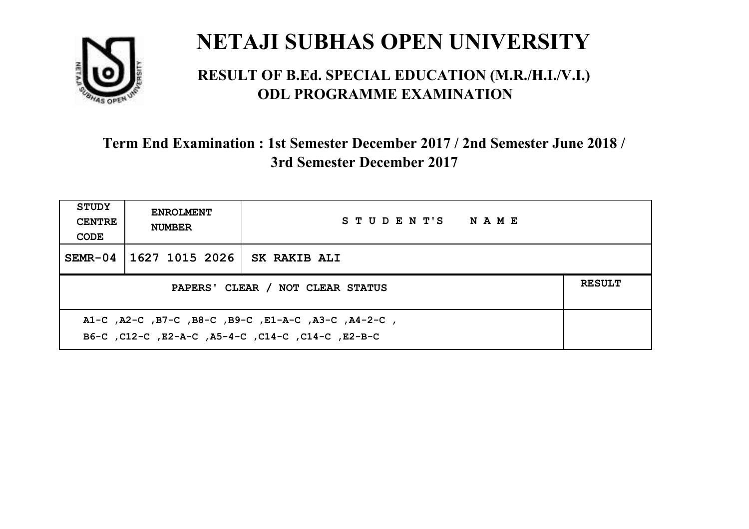

#### **RESULT OF B.Ed. SPECIAL EDUCATION (M.R./H.I./V.I.) ODL PROGRAMME EXAMINATION**

| <b>STUDY</b><br><b>CENTRE</b><br>CODE             | <b>ENROLMENT</b><br><b>NUMBER</b>                                                                         | STUDENT'S NAME      |  |  |  |
|---------------------------------------------------|-----------------------------------------------------------------------------------------------------------|---------------------|--|--|--|
| $SEMR-04$                                         | 1627 1015 2026                                                                                            | <b>SK RAKIB ALI</b> |  |  |  |
| <b>RESULT</b><br>PAPERS' CLEAR / NOT CLEAR STATUS |                                                                                                           |                     |  |  |  |
|                                                   | A1-C, A2-C, B7-C, B8-C, B9-C, E1-A-C, A3-C, A4-2-C,<br>B6-C, C12-C, E2-A-C, A5-4-C, C14-C, C14-C, C12-B-C |                     |  |  |  |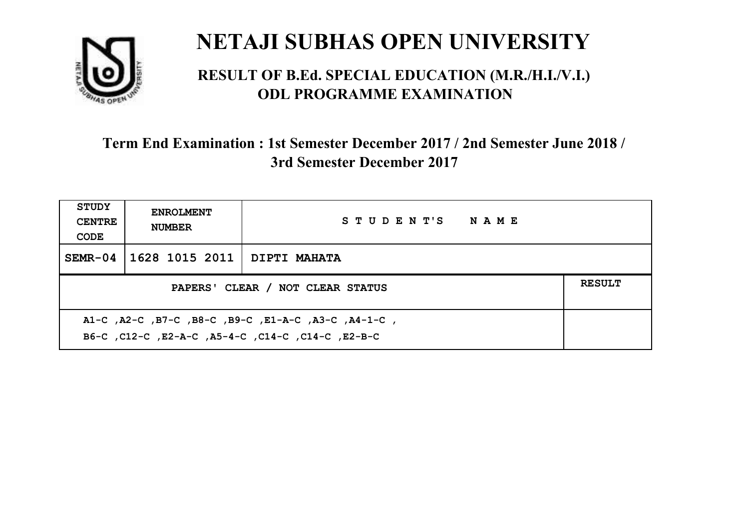

#### **RESULT OF B.Ed. SPECIAL EDUCATION (M.R./H.I./V.I.) ODL PROGRAMME EXAMINATION**

| <b>STUDY</b><br><b>CENTRE</b><br>CODE                                                                    | <b>ENROLMENT</b><br><b>NUMBER</b>                 | STUDENT'S NAME |  |  |  |
|----------------------------------------------------------------------------------------------------------|---------------------------------------------------|----------------|--|--|--|
| $SEMR-04$                                                                                                | 1628 1015 2011   DIPTI МАНАТА                     |                |  |  |  |
|                                                                                                          | <b>RESULT</b><br>PAPERS' CLEAR / NOT CLEAR STATUS |                |  |  |  |
| A1-C, A2-C, B7-C, B8-C, B9-C, E1-A-C, A3-C, A4-1-C,<br>B6-C, C12-C, E2-A-C, A5-4-C, C14-C, C14-C, E2-B-C |                                                   |                |  |  |  |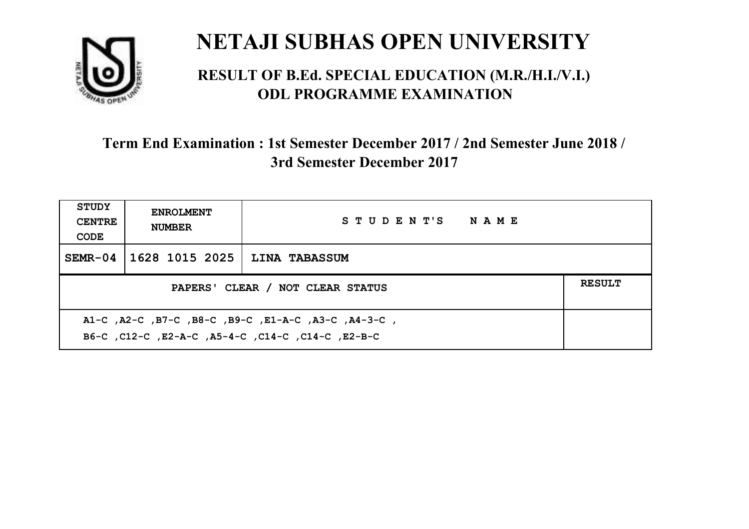

#### **RESULT OF B.Ed. SPECIAL EDUCATION (M.R./H.I./V.I.) ODL PROGRAMME EXAMINATION**

| <b>STUDY</b><br><b>CENTRE</b><br>CODE             | <b>ENROLMENT</b><br><b>NUMBER</b> | STUDENT'S NAME       |  |  |
|---------------------------------------------------|-----------------------------------|----------------------|--|--|
| $SEMR-04$                                         | 1628 1015 2025                    | <b>LINA TABASSUM</b> |  |  |
| <b>RESULT</b><br>PAPERS' CLEAR / NOT CLEAR STATUS |                                   |                      |  |  |
|                                                   |                                   |                      |  |  |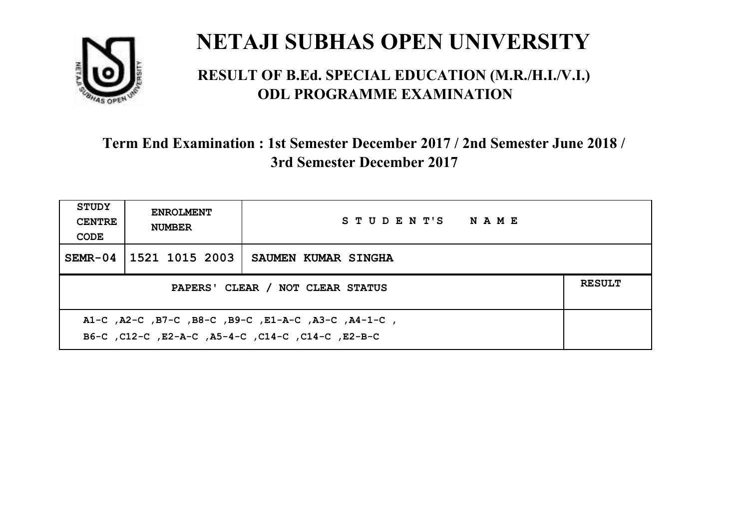

#### **RESULT OF B.Ed. SPECIAL EDUCATION (M.R./H.I./V.I.) ODL PROGRAMME EXAMINATION**

| <b>STUDY</b><br><b>CENTRE</b><br>CODE | <b>ENROLMENT</b><br><b>NUMBER</b>                                                                         | STUDENT'S NAME             |  |  |  |
|---------------------------------------|-----------------------------------------------------------------------------------------------------------|----------------------------|--|--|--|
| $SEMR-04$                             | 1521 1015 2003                                                                                            | <b>SAUMEN KUMAR SINGHA</b> |  |  |  |
|                                       | <b>RESULT</b><br>PAPERS' CLEAR / NOT CLEAR STATUS                                                         |                            |  |  |  |
|                                       | A1-C, A2-C, B7-C, B8-C, B9-C, E1-A-C, A3-C, A4-1-C,<br>B6-C, C12-C, E2-A-C, A5-4-C, C14-C, C14-C, C12-B-C |                            |  |  |  |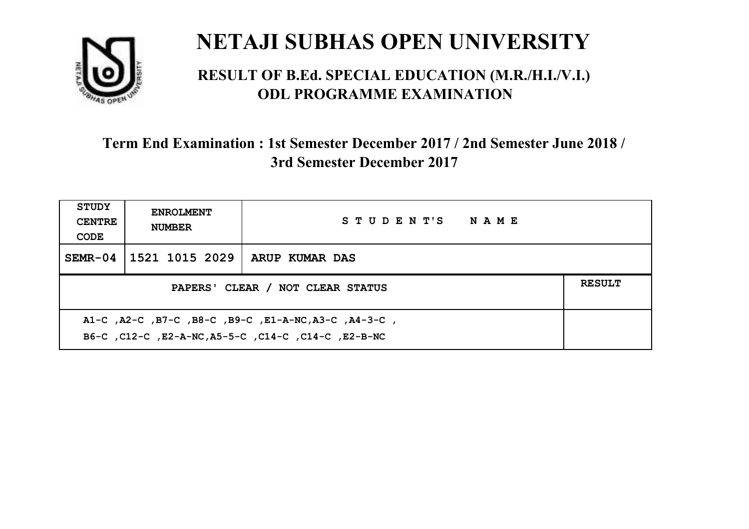

#### **RESULT OF B.Ed. SPECIAL EDUCATION (M.R./H.I./V.I.) ODL PROGRAMME EXAMINATION**

| <b>STUDY</b><br><b>CENTRE</b><br>CODE                                                                       | <b>ENROLMENT</b><br><b>NUMBER</b>                 | STUDENT'S NAME |  |  |  |
|-------------------------------------------------------------------------------------------------------------|---------------------------------------------------|----------------|--|--|--|
| $SEMR-04$                                                                                                   | 1521 1015 2029                                    | ARUP KUMAR DAS |  |  |  |
|                                                                                                             | <b>RESULT</b><br>PAPERS' CLEAR / NOT CLEAR STATUS |                |  |  |  |
| A1-C, A2-C, B7-C, B8-C, B9-C, E1-A-NC, A3-C, A4-3-C,<br>B6-C, C12-C, E2-A-NC, A5-5-C, C14-C, C14-C, E2-B-NC |                                                   |                |  |  |  |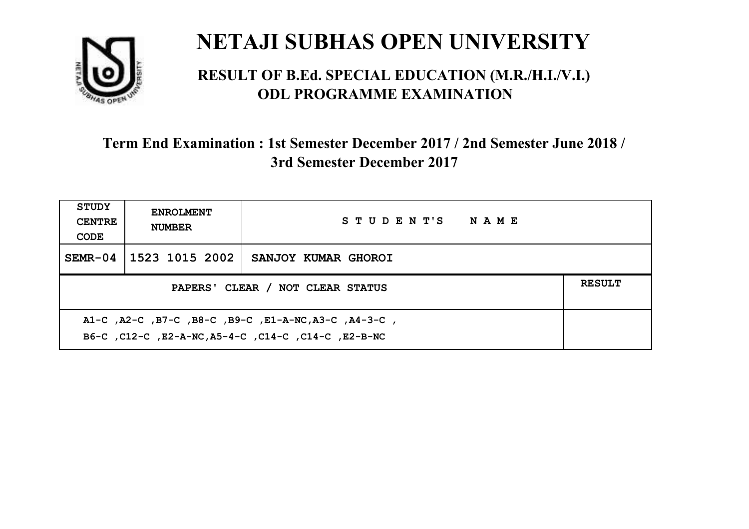

#### **RESULT OF B.Ed. SPECIAL EDUCATION (M.R./H.I./V.I.) ODL PROGRAMME EXAMINATION**

| <b>STUDY</b><br><b>CENTRE</b><br>CODE | <b>ENROLMENT</b><br><b>NUMBER</b>                                                                           | STUDENT'S NAME      |  |  |  |
|---------------------------------------|-------------------------------------------------------------------------------------------------------------|---------------------|--|--|--|
| $SEMR-04$                             | 1523 1015 2002                                                                                              | SANJOY KUMAR GHOROI |  |  |  |
|                                       | <b>RESULT</b><br>PAPERS' CLEAR / NOT CLEAR STATUS                                                           |                     |  |  |  |
|                                       | A1-C, A2-C, B7-C, B8-C, B9-C, E1-A-NC, A3-C, A4-3-C,<br>B6-C, C12-C, E2-A-NC, A5-4-C, C14-C, C14-C, E2-B-NC |                     |  |  |  |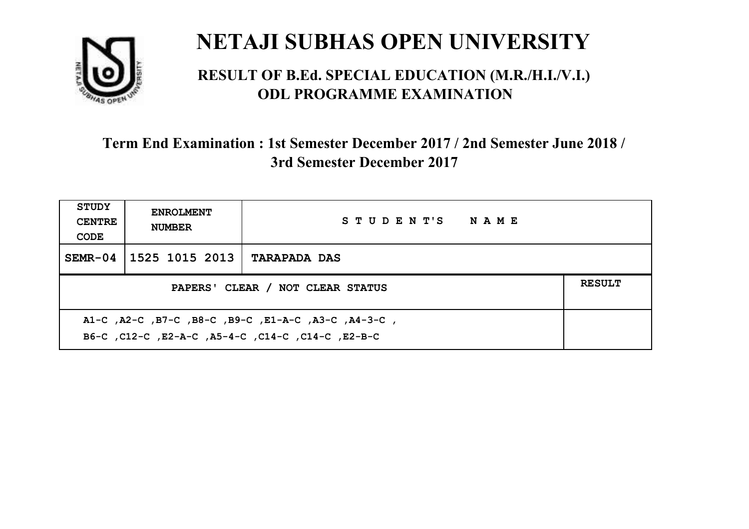

#### **RESULT OF B.Ed. SPECIAL EDUCATION (M.R./H.I./V.I.) ODL PROGRAMME EXAMINATION**

| <b>STUDY</b><br><b>CENTRE</b><br>CODE | <b>ENROLMENT</b><br><b>NUMBER</b>                                                                         | STUDENT'S NAME      |  |  |  |
|---------------------------------------|-----------------------------------------------------------------------------------------------------------|---------------------|--|--|--|
| $SEMR-04$                             | 1525 1015 2013                                                                                            | <b>TARAPADA DAS</b> |  |  |  |
|                                       | <b>RESULT</b><br>PAPERS' CLEAR / NOT CLEAR STATUS                                                         |                     |  |  |  |
|                                       | A1-C, A2-C, B7-C, B8-C, B9-C, E1-A-C, A3-C, A4-3-C,<br>B6-C, C12-C, E2-A-C, A5-4-C, C14-C, C14-C, C12-B-C |                     |  |  |  |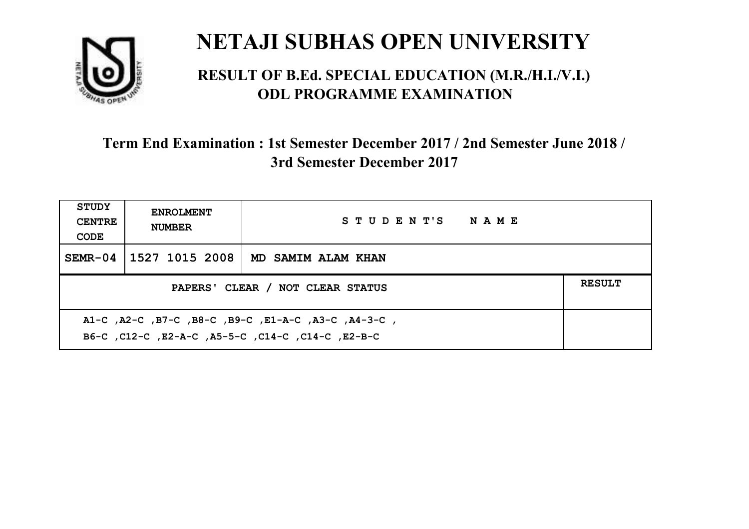

#### **RESULT OF B.Ed. SPECIAL EDUCATION (M.R./H.I./V.I.) ODL PROGRAMME EXAMINATION**

| <b>STUDY</b><br><b>CENTRE</b><br>CODE                                                                    | <b>ENROLMENT</b><br><b>NUMBER</b>                 | STUDENT'S NAME     |  |  |  |
|----------------------------------------------------------------------------------------------------------|---------------------------------------------------|--------------------|--|--|--|
| $SEMR-04$                                                                                                | 1527 1015 2008                                    | MD SAMIM ALAM KHAN |  |  |  |
|                                                                                                          | <b>RESULT</b><br>PAPERS' CLEAR / NOT CLEAR STATUS |                    |  |  |  |
| A1-C, A2-C, B7-C, B8-C, B9-C, E1-A-C, A3-C, A4-3-C,<br>B6-C, C12-C, E2-A-C, A5-5-C, C14-C, C14-C, E2-B-C |                                                   |                    |  |  |  |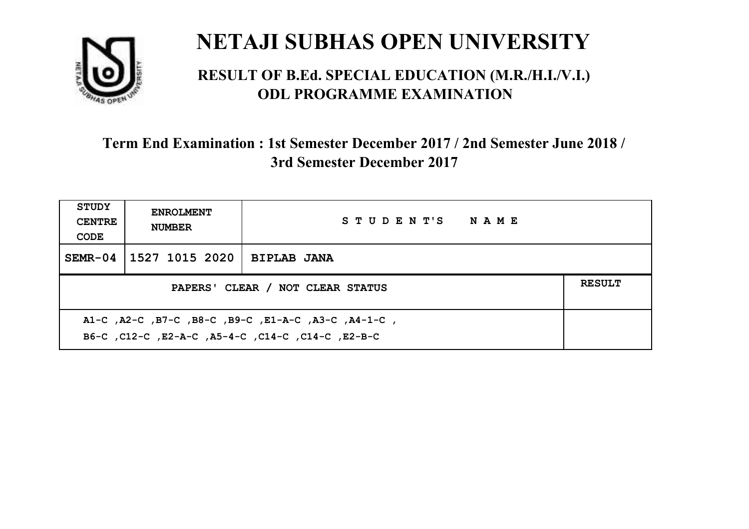

#### **RESULT OF B.Ed. SPECIAL EDUCATION (M.R./H.I./V.I.) ODL PROGRAMME EXAMINATION**

| <b>STUDY</b><br><b>CENTRE</b><br>CODE                                                                     | <b>ENROLMENT</b><br><b>NUMBER</b>                 | STUDENT'S NAME     |  |  |  |
|-----------------------------------------------------------------------------------------------------------|---------------------------------------------------|--------------------|--|--|--|
| $SEMR-04$                                                                                                 | 1527 1015 2020                                    | <b>BIPLAB JANA</b> |  |  |  |
|                                                                                                           | <b>RESULT</b><br>PAPERS' CLEAR / NOT CLEAR STATUS |                    |  |  |  |
| A1-C, A2-C, B7-C, B8-C, B9-C, E1-A-C, A3-C, A4-1-C,<br>B6-C, C12-C, E2-A-C, A5-4-C, C14-C, C14-C, C12-B-C |                                                   |                    |  |  |  |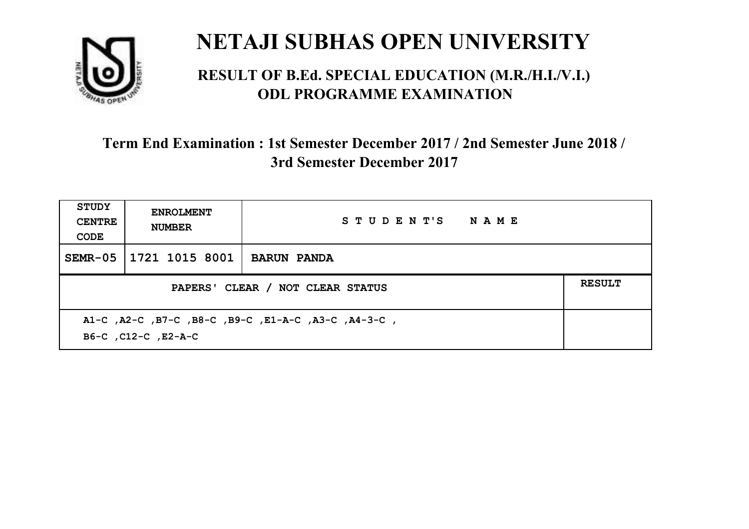

#### **RESULT OF B.Ed. SPECIAL EDUCATION (M.R./H.I./V.I.) ODL PROGRAMME EXAMINATION**

| <b>STUDY</b><br><b>CENTRE</b><br>CODE                                      | <b>ENROLMENT</b><br><b>NUMBER</b>                 | STUDENT'S NAME     |  |  |
|----------------------------------------------------------------------------|---------------------------------------------------|--------------------|--|--|
| $SEMR-05$                                                                  | 1721 1015 8001                                    | <b>BARUN PANDA</b> |  |  |
|                                                                            | <b>RESULT</b><br>PAPERS' CLEAR / NOT CLEAR STATUS |                    |  |  |
| A1-C, A2-C, B7-C, B8-C, B9-C, E1-A-C, A3-C, A4-3-C,<br>B6-C, C12-C, E2-A-C |                                                   |                    |  |  |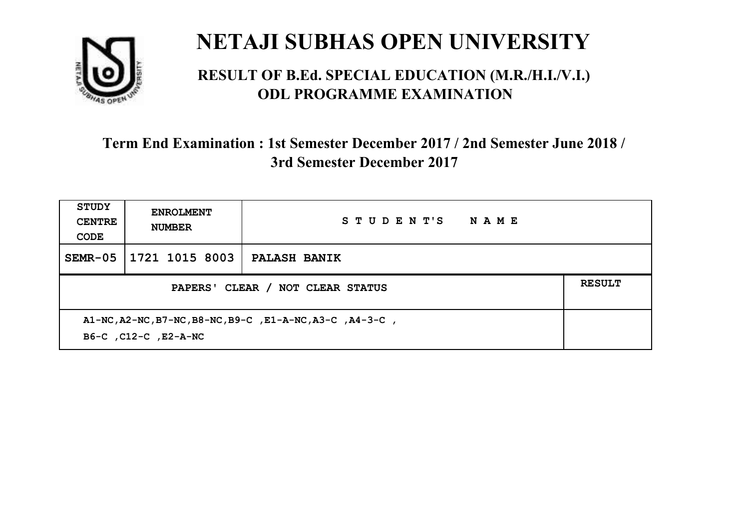

#### **RESULT OF B.Ed. SPECIAL EDUCATION (M.R./H.I./V.I.) ODL PROGRAMME EXAMINATION**

| <b>STUDY</b><br><b>CENTRE</b><br>CODE                                            | <b>ENROLMENT</b><br><b>NUMBER</b> | STUDENT'S<br><b>NAME</b> |  |
|----------------------------------------------------------------------------------|-----------------------------------|--------------------------|--|
|                                                                                  | SEMR-05 1721 1015 8003            | <b>PALASH BANIK</b>      |  |
| PAPERS' CLEAR / NOT CLEAR STATUS                                                 |                                   |                          |  |
| A1-NC, A2-NC, B7-NC, B8-NC, B9-C, E1-A-NC, A3-C, A4-3-C,<br>B6-C, C12-C, E2-A-NC |                                   |                          |  |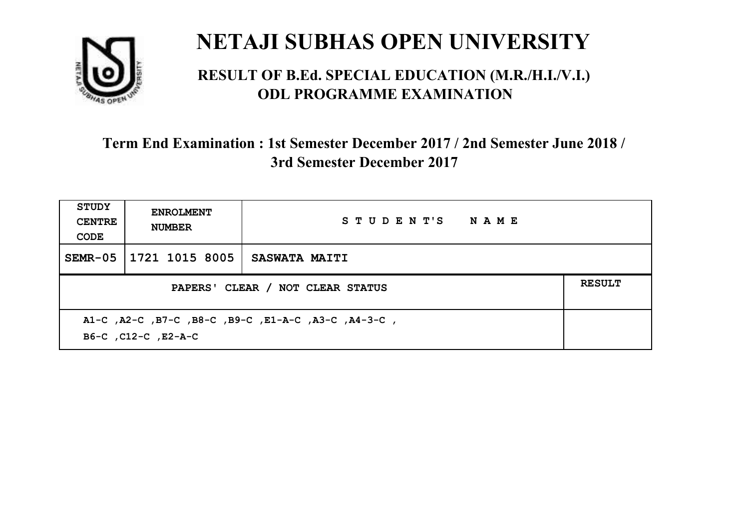

#### **RESULT OF B.Ed. SPECIAL EDUCATION (M.R./H.I./V.I.) ODL PROGRAMME EXAMINATION**

| <b>STUDY</b><br><b>CENTRE</b><br>CODE                                      | <b>ENROLMENT</b><br><b>NUMBER</b>                 | STUDENT'S NAME       |  |  |
|----------------------------------------------------------------------------|---------------------------------------------------|----------------------|--|--|
| $SEMR-05$                                                                  | 1721 1015 8005                                    | <b>SASWATA MAITI</b> |  |  |
|                                                                            | <b>RESULT</b><br>PAPERS' CLEAR / NOT CLEAR STATUS |                      |  |  |
| A1-C, A2-C, B7-C, B8-C, B9-C, E1-A-C, A3-C, A4-3-C,<br>B6-C, C12-C, E2-A-C |                                                   |                      |  |  |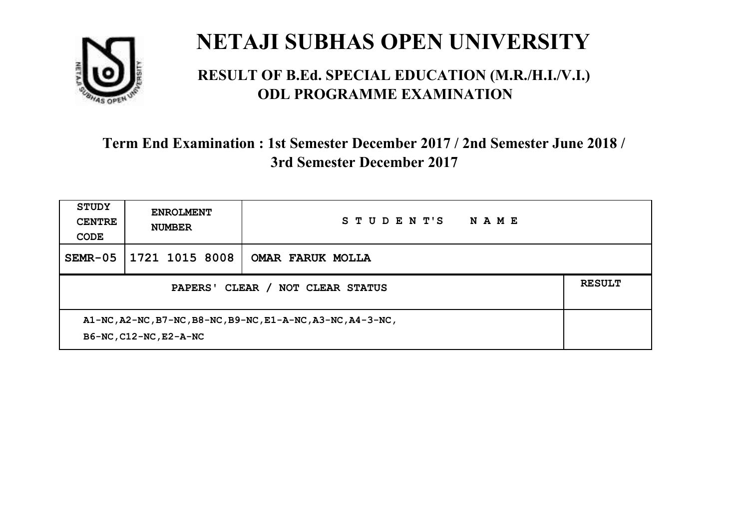

#### **RESULT OF B.Ed. SPECIAL EDUCATION (M.R./H.I./V.I.) ODL PROGRAMME EXAMINATION**

| <b>STUDY</b><br><b>CENTRE</b><br>CODE                                                 | <b>ENROLMENT</b><br><b>NUMBER</b> | STUDENT'S<br>NAME       |  |
|---------------------------------------------------------------------------------------|-----------------------------------|-------------------------|--|
| $SEMR-05$                                                                             | 1721 1015 8008                    | <b>OMAR FARUK MOLLA</b> |  |
| PAPERS' CLEAR / NOT CLEAR STATUS                                                      |                                   |                         |  |
| A1-NC, A2-NC, B7-NC, B8-NC, B9-NC, E1-A-NC, A3-NC, A4-3-NC,<br>B6-NC, C12-NC, E2-A-NC |                                   |                         |  |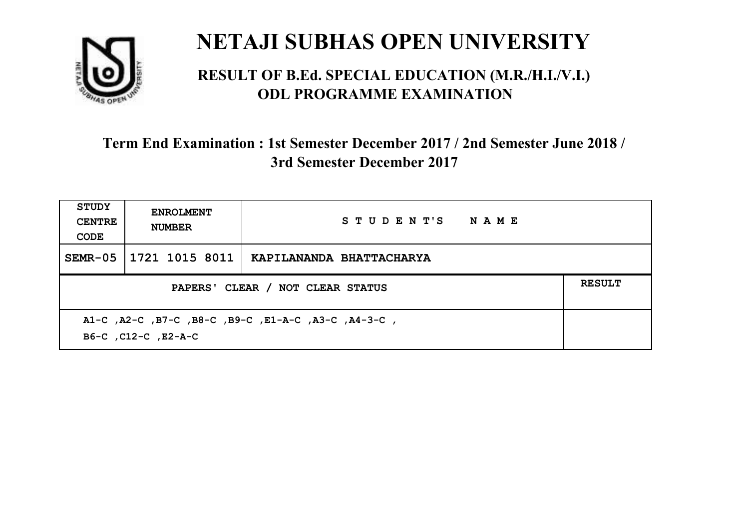

#### **RESULT OF B.Ed. SPECIAL EDUCATION (M.R./H.I./V.I.) ODL PROGRAMME EXAMINATION**

| <b>STUDY</b><br><b>CENTRE</b><br>CODE                                      | <b>ENROLMENT</b><br><b>NUMBER</b>                 | STUDENT'S NAME           |  |  |  |
|----------------------------------------------------------------------------|---------------------------------------------------|--------------------------|--|--|--|
| $SEMR-05$                                                                  | 1721 1015 8011                                    | KAPILANANDA BHATTACHARYA |  |  |  |
|                                                                            | <b>RESULT</b><br>PAPERS' CLEAR / NOT CLEAR STATUS |                          |  |  |  |
| A1-C, A2-C, B7-C, B8-C, B9-C, E1-A-C, A3-C, A4-3-C,<br>B6-C, C12-C, E2-A-C |                                                   |                          |  |  |  |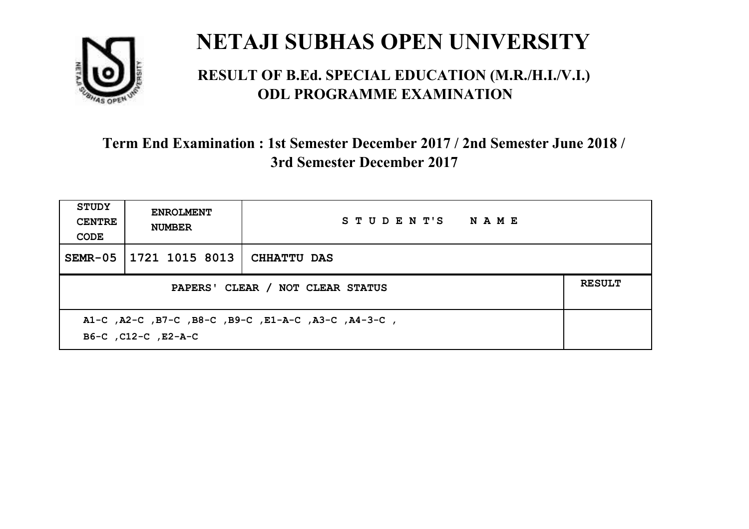

#### **RESULT OF B.Ed. SPECIAL EDUCATION (M.R./H.I./V.I.) ODL PROGRAMME EXAMINATION**

| <b>STUDY</b><br><b>CENTRE</b><br>CODE                                      | <b>ENROLMENT</b><br><b>NUMBER</b>                 | STUDENT'S NAME |  |  |  |
|----------------------------------------------------------------------------|---------------------------------------------------|----------------|--|--|--|
| SEMR-05                                                                    | 1721 1015 8013   CHHATTU DAS                      |                |  |  |  |
|                                                                            | <b>RESULT</b><br>PAPERS' CLEAR / NOT CLEAR STATUS |                |  |  |  |
| A1-C, A2-C, B7-C, B8-C, B9-C, E1-A-C, A3-C, A4-3-C,<br>B6-C, C12-C, E2-A-C |                                                   |                |  |  |  |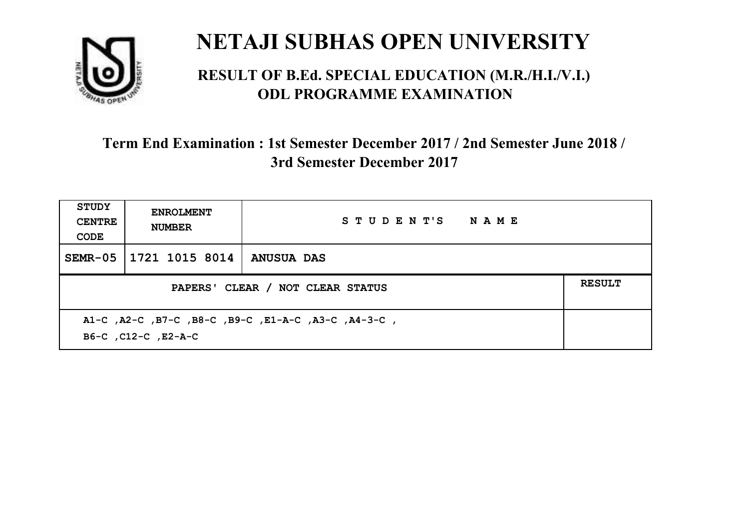

#### **RESULT OF B.Ed. SPECIAL EDUCATION (M.R./H.I./V.I.) ODL PROGRAMME EXAMINATION**

| <b>STUDY</b><br><b>CENTRE</b><br>CODE             | <b>ENROLMENT</b><br><b>NUMBER</b>                                          | STUDENT'S NAME |  |  |  |
|---------------------------------------------------|----------------------------------------------------------------------------|----------------|--|--|--|
| $SEMR-05$                                         | 1721 1015 8014                                                             | ANUSUA DAS     |  |  |  |
| <b>RESULT</b><br>PAPERS' CLEAR / NOT CLEAR STATUS |                                                                            |                |  |  |  |
|                                                   | A1-C, A2-C, B7-C, B8-C, B9-C, E1-A-C, A3-C, A4-3-C,<br>B6-C, C12-C, E2-A-C |                |  |  |  |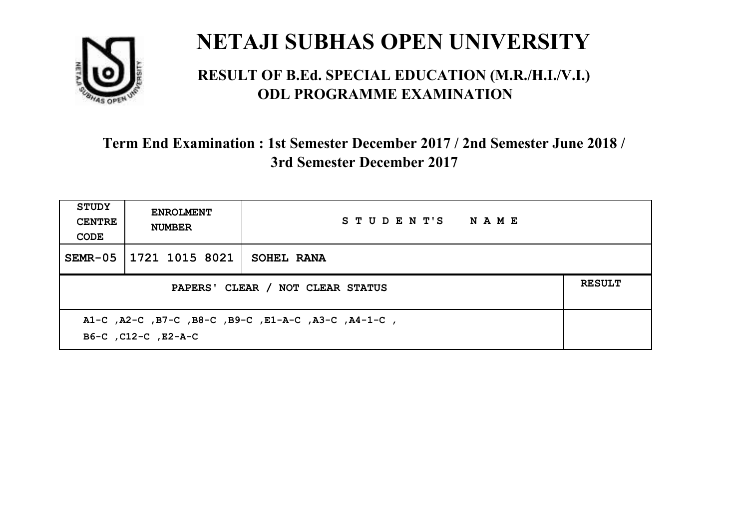

#### **RESULT OF B.Ed. SPECIAL EDUCATION (M.R./H.I./V.I.) ODL PROGRAMME EXAMINATION**

| <b>STUDY</b><br><b>CENTRE</b><br>CODE | <b>ENROLMENT</b><br><b>NUMBER</b>                                          | STUDENT'S NAME    |  |  |  |
|---------------------------------------|----------------------------------------------------------------------------|-------------------|--|--|--|
| $SEMR-05$                             | 1721 1015 8021                                                             | <b>SOHEL RANA</b> |  |  |  |
|                                       | <b>RESULT</b><br>PAPERS' CLEAR / NOT CLEAR STATUS                          |                   |  |  |  |
|                                       | A1-C, A2-C, B7-C, B8-C, B9-C, E1-A-C, A3-C, A4-1-C,<br>B6-C, C12-C, E2-A-C |                   |  |  |  |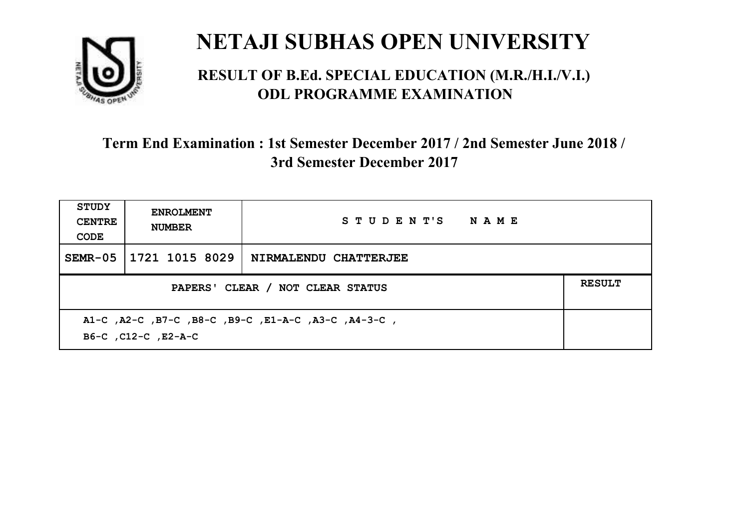

#### **RESULT OF B.Ed. SPECIAL EDUCATION (M.R./H.I./V.I.) ODL PROGRAMME EXAMINATION**

| <b>STUDY</b><br><b>CENTRE</b><br>CODE                                      | <b>ENROLMENT</b><br><b>NUMBER</b>                 | STUDENT'S NAME        |  |  |
|----------------------------------------------------------------------------|---------------------------------------------------|-----------------------|--|--|
| $SEMR-05$                                                                  | 1721 1015 8029                                    | NIRMALENDU CHATTERJEE |  |  |
|                                                                            | <b>RESULT</b><br>PAPERS' CLEAR / NOT CLEAR STATUS |                       |  |  |
| A1-C, A2-C, B7-C, B8-C, B9-C, E1-A-C, A3-C, A4-3-C,<br>B6-C, C12-C, E2-A-C |                                                   |                       |  |  |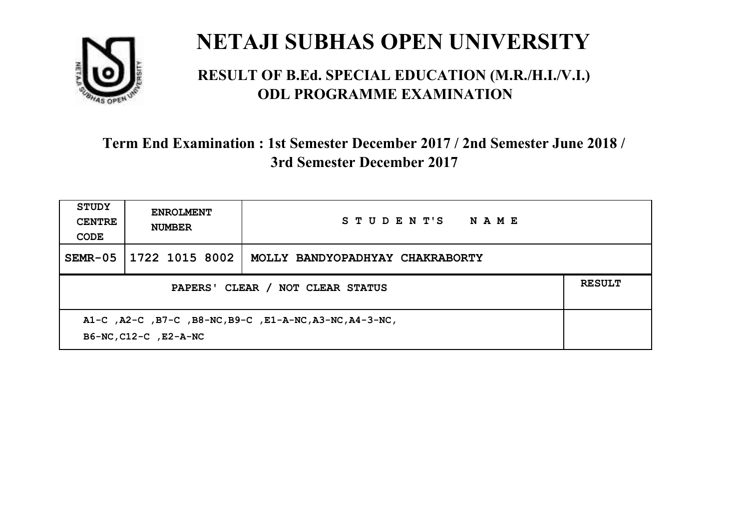

#### **RESULT OF B.Ed. SPECIAL EDUCATION (M.R./H.I./V.I.) ODL PROGRAMME EXAMINATION**

| STUDY<br><b>CENTRE</b><br>CODE                                                   | <b>ENROLMENT</b><br><b>NUMBER</b> | STUDENT'S NAME                  |  |
|----------------------------------------------------------------------------------|-----------------------------------|---------------------------------|--|
| $SEMR-05$                                                                        | 1722 1015 8002                    | MOLLY BANDYOPADHYAY CHAKRABORTY |  |
| PAPERS' CLEAR / NOT CLEAR STATUS                                                 |                                   |                                 |  |
| A1-C, A2-C, B7-C, B8-NC, B9-C, E1-A-NC, A3-NC, A4-3-NC,<br>B6-NC, C12-C, E2-A-NC |                                   |                                 |  |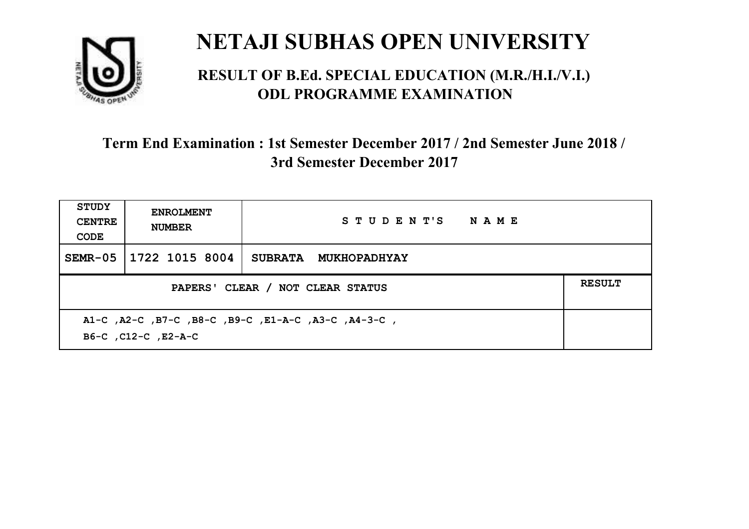

#### **RESULT OF B.Ed. SPECIAL EDUCATION (M.R./H.I./V.I.) ODL PROGRAMME EXAMINATION**

| <b>STUDY</b><br><b>CENTRE</b><br>CODE                                      | <b>ENROLMENT</b><br><b>NUMBER</b>                 | STUDENT'S NAME       |  |  |  |
|----------------------------------------------------------------------------|---------------------------------------------------|----------------------|--|--|--|
| $SEMR-05$                                                                  | 1722 1015 8004                                    | SUBRATA MUKHOPADHYAY |  |  |  |
|                                                                            | <b>RESULT</b><br>PAPERS' CLEAR / NOT CLEAR STATUS |                      |  |  |  |
| A1-C, A2-C, B7-C, B8-C, B9-C, E1-A-C, A3-C, A4-3-C,<br>B6-C, C12-C, E2-A-C |                                                   |                      |  |  |  |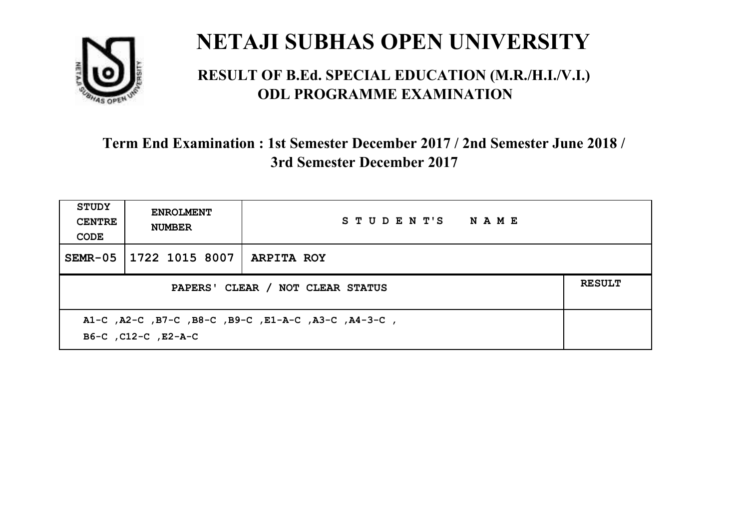

#### **RESULT OF B.Ed. SPECIAL EDUCATION (M.R./H.I./V.I.) ODL PROGRAMME EXAMINATION**

| <b>STUDY</b><br><b>CENTRE</b><br>CODE             | <b>ENROLMENT</b><br><b>NUMBER</b>                                          | STUDENT'S NAME    |  |  |  |
|---------------------------------------------------|----------------------------------------------------------------------------|-------------------|--|--|--|
| SEMR-05                                           | 1722 1015 8007                                                             | <b>ARPITA ROY</b> |  |  |  |
| <b>RESULT</b><br>PAPERS' CLEAR / NOT CLEAR STATUS |                                                                            |                   |  |  |  |
|                                                   | A1-C, A2-C, B7-C, B8-C, B9-C, E1-A-C, A3-C, A4-3-C,<br>B6-C, C12-C, E2-A-C |                   |  |  |  |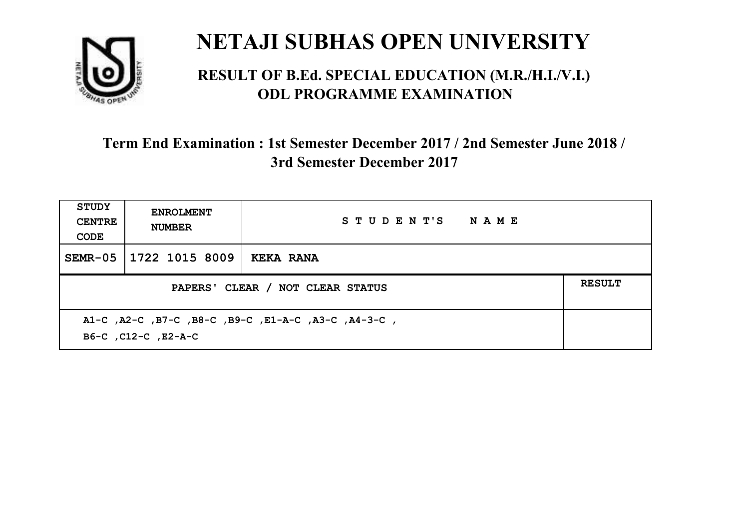

#### **RESULT OF B.Ed. SPECIAL EDUCATION (M.R./H.I./V.I.) ODL PROGRAMME EXAMINATION**

| <b>STUDY</b><br><b>CENTRE</b><br>CODE                                      | <b>ENROLMENT</b><br><b>NUMBER</b> | STUDENT'S NAME   |  |
|----------------------------------------------------------------------------|-----------------------------------|------------------|--|
| $SEMR-05$                                                                  | 1722 1015 8009                    | <b>KEKA RANA</b> |  |
| <b>RESULT</b><br>PAPERS' CLEAR / NOT CLEAR STATUS                          |                                   |                  |  |
| A1-C, A2-C, B7-C, B8-C, B9-C, E1-A-C, A3-C, A4-3-C,<br>B6-C, C12-C, E2-A-C |                                   |                  |  |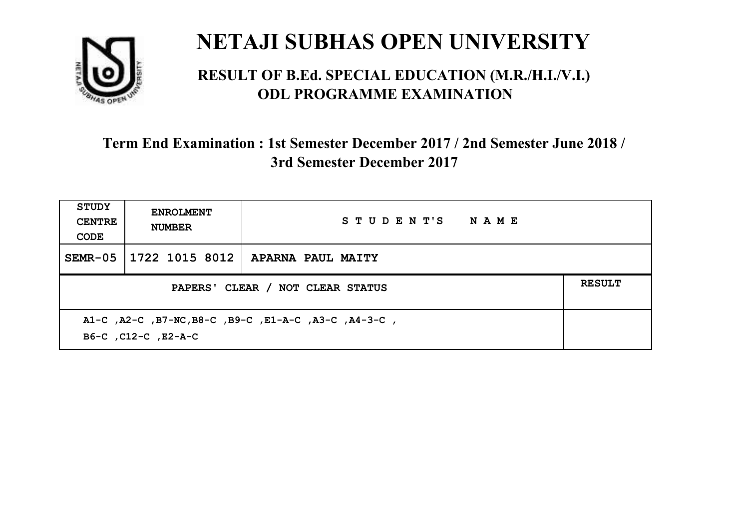

#### **RESULT OF B.Ed. SPECIAL EDUCATION (M.R./H.I./V.I.) ODL PROGRAMME EXAMINATION**

| STUDY<br><b>CENTRE</b><br>CODE                                              | <b>ENROLMENT</b><br><b>NUMBER</b> | STUDENT'S NAME                     |  |
|-----------------------------------------------------------------------------|-----------------------------------|------------------------------------|--|
| SEMR-05                                                                     |                                   | 1722 1015 8012   APARNA PAUL MAITY |  |
| <b>RESULT</b><br>PAPERS' CLEAR / NOT CLEAR STATUS                           |                                   |                                    |  |
| A1-C, A2-C, B7-NC, B8-C, B9-C, E1-A-C, A3-C, A4-3-C,<br>B6-C, C12-C, E2-A-C |                                   |                                    |  |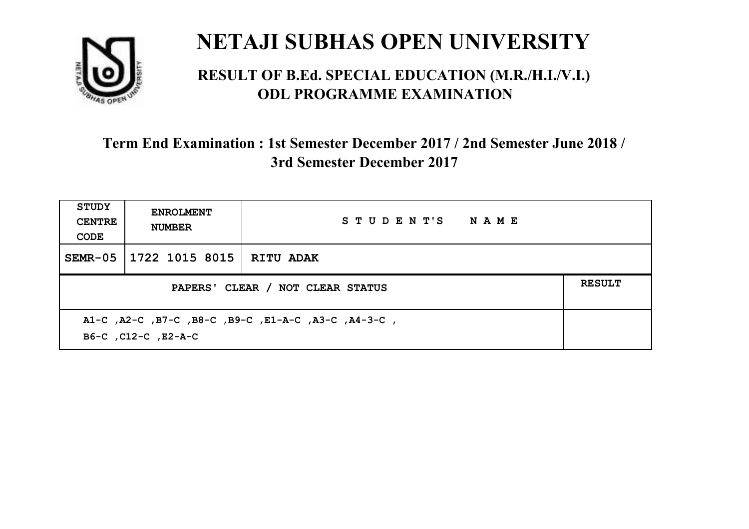

#### **RESULT OF B.Ed. SPECIAL EDUCATION (M.R./H.I./V.I.) ODL PROGRAMME EXAMINATION**

| <b>STUDY</b><br><b>CENTRE</b><br>CODE                                      | <b>ENROLMENT</b><br><b>NUMBER</b> | STUDENT'S NAME |  |
|----------------------------------------------------------------------------|-----------------------------------|----------------|--|
| SEMR-05                                                                    | 1722 1015 8015   RITU ADAK        |                |  |
| <b>RESULT</b><br>PAPERS' CLEAR / NOT CLEAR STATUS                          |                                   |                |  |
| A1-C, A2-C, B7-C, B8-C, B9-C, E1-A-C, A3-C, A4-3-C,<br>B6-C, C12-C, E2-A-C |                                   |                |  |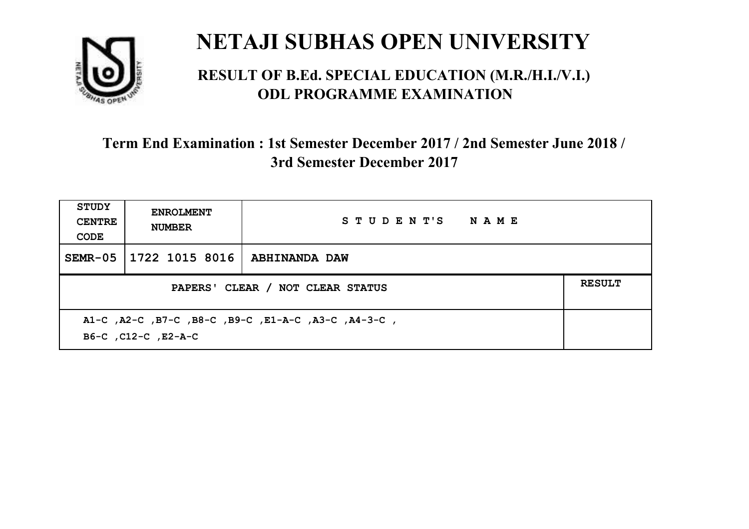

#### **RESULT OF B.Ed. SPECIAL EDUCATION (M.R./H.I./V.I.) ODL PROGRAMME EXAMINATION**

| <b>STUDY</b><br><b>CENTRE</b><br>CODE                                      | <b>ENROLMENT</b><br><b>NUMBER</b> | STUDENT'S NAME |  |
|----------------------------------------------------------------------------|-----------------------------------|----------------|--|
| SEMR-05                                                                    | 1722 1015 8016                    | ABHINANDA DAW  |  |
| PAPERS' CLEAR / NOT CLEAR STATUS                                           |                                   |                |  |
| A1-C, A2-C, B7-C, B8-C, B9-C, E1-A-C, A3-C, A4-3-C,<br>B6-C, C12-C, E2-A-C |                                   |                |  |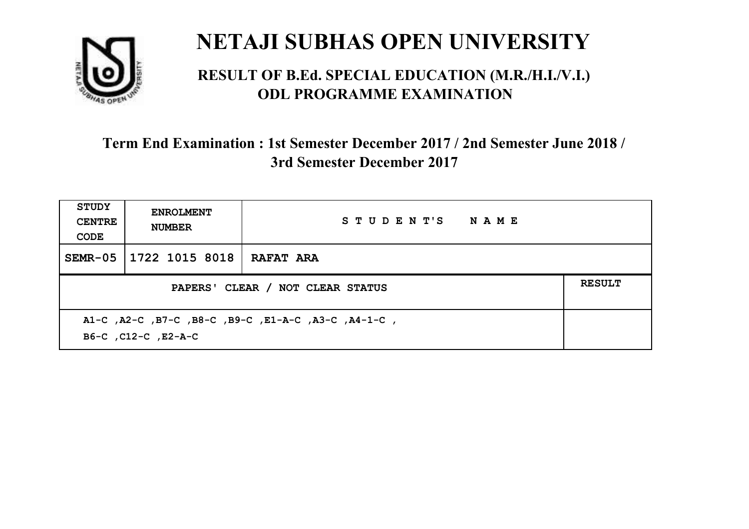

#### **RESULT OF B.Ed. SPECIAL EDUCATION (M.R./H.I./V.I.) ODL PROGRAMME EXAMINATION**

| <b>STUDY</b><br><b>CENTRE</b><br>CODE                                      | <b>ENROLMENT</b><br><b>NUMBER</b> | STUDENT'S NAME   |  |
|----------------------------------------------------------------------------|-----------------------------------|------------------|--|
| SEMR-05                                                                    | 1722 1015 8018                    | <b>RAFAT ARA</b> |  |
| PAPERS' CLEAR / NOT CLEAR STATUS                                           |                                   |                  |  |
| A1-C, A2-C, B7-C, B8-C, B9-C, E1-A-C, A3-C, A4-1-C,<br>B6-C, C12-C, E2-A-C |                                   |                  |  |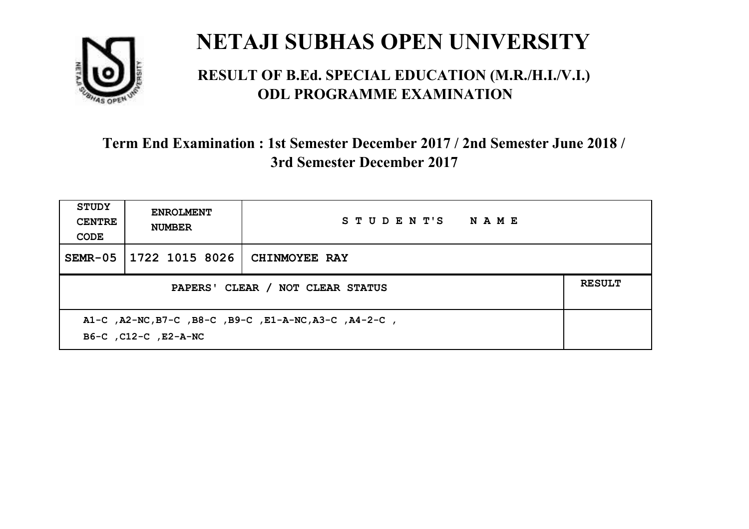

#### **RESULT OF B.Ed. SPECIAL EDUCATION (M.R./H.I./V.I.) ODL PROGRAMME EXAMINATION**

| <b>STUDY</b><br><b>CENTRE</b><br>CODE                                         | <b>ENROLMENT</b><br><b>NUMBER</b> | STUDENT'S NAME       |               |
|-------------------------------------------------------------------------------|-----------------------------------|----------------------|---------------|
| $SEMR-05$                                                                     | 1722 1015 8026                    | <b>CHINMOYEE RAY</b> |               |
| PAPERS' CLEAR / NOT CLEAR STATUS                                              |                                   |                      | <b>RESULT</b> |
| A1-C, A2-NC, B7-C, B8-C, B9-C, E1-A-NC, A3-C, A4-2-C,<br>B6-C, C12-C, E2-A-NC |                                   |                      |               |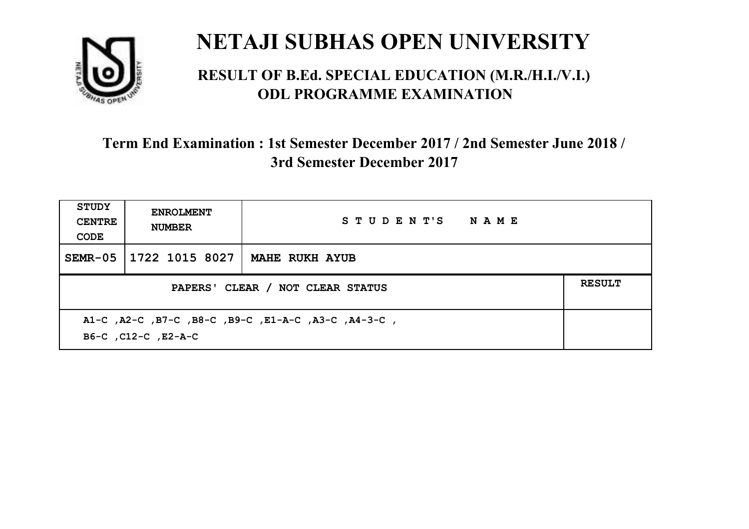

#### **RESULT OF B.Ed. SPECIAL EDUCATION (M.R./H.I./V.I.) ODL PROGRAMME EXAMINATION**

| STUDY<br><b>CENTRE</b><br>CODE                                             | <b>ENROLMENT</b><br><b>NUMBER</b> | STUDENT'S NAME        |               |
|----------------------------------------------------------------------------|-----------------------------------|-----------------------|---------------|
| $SEMR-05$                                                                  | 1722 1015 8027                    | <b>MAHE RUKH AYUB</b> |               |
| PAPERS' CLEAR / NOT CLEAR STATUS                                           |                                   |                       | <b>RESULT</b> |
| A1-C, A2-C, B7-C, B8-C, B9-C, E1-A-C, A3-C, A4-3-C,<br>B6-C, C12-C, E2-A-C |                                   |                       |               |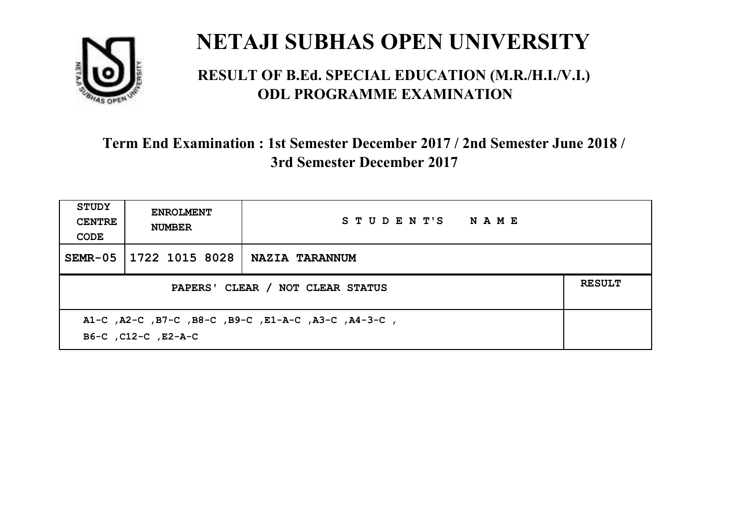

#### **RESULT OF B.Ed. SPECIAL EDUCATION (M.R./H.I./V.I.) ODL PROGRAMME EXAMINATION**

| STUDY<br><b>CENTRE</b><br>CODE                                             | <b>ENROLMENT</b><br><b>NUMBER</b> | STUDENT'S NAME |               |
|----------------------------------------------------------------------------|-----------------------------------|----------------|---------------|
| SEMR-05                                                                    | 1722 1015 8028                    | NAZIA TARANNUM |               |
| PAPERS' CLEAR / NOT CLEAR STATUS                                           |                                   |                | <b>RESULT</b> |
| A1-C, A2-C, B7-C, B8-C, B9-C, E1-A-C, A3-C, A4-3-C,<br>B6-C, C12-C, E2-A-C |                                   |                |               |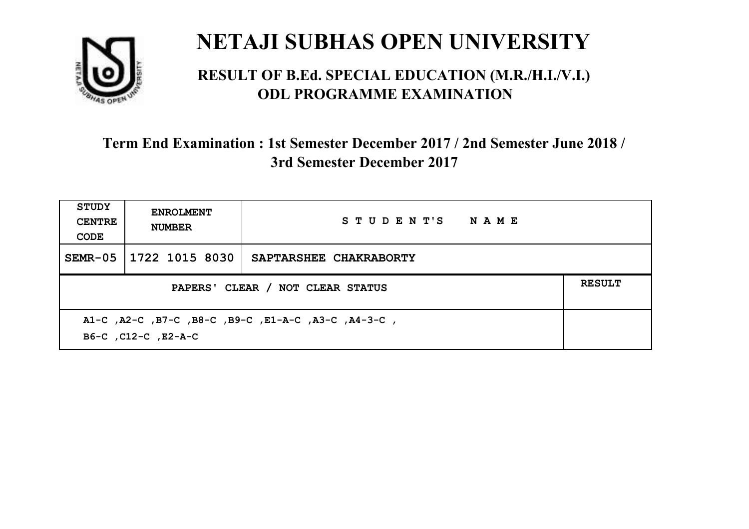

#### **RESULT OF B.Ed. SPECIAL EDUCATION (M.R./H.I./V.I.) ODL PROGRAMME EXAMINATION**

| <b>STUDY</b><br><b>CENTRE</b><br>CODE                                      | <b>ENROLMENT</b><br><b>NUMBER</b> | STUDENT'S NAME         |               |
|----------------------------------------------------------------------------|-----------------------------------|------------------------|---------------|
| $SEMR-05$                                                                  | 1722 1015 8030                    | SAPTARSHEE CHAKRABORTY |               |
| PAPERS' CLEAR / NOT CLEAR STATUS                                           |                                   |                        | <b>RESULT</b> |
| A1-C, A2-C, B7-C, B8-C, B9-C, E1-A-C, A3-C, A4-3-C,<br>B6-C, C12-C, E2-A-C |                                   |                        |               |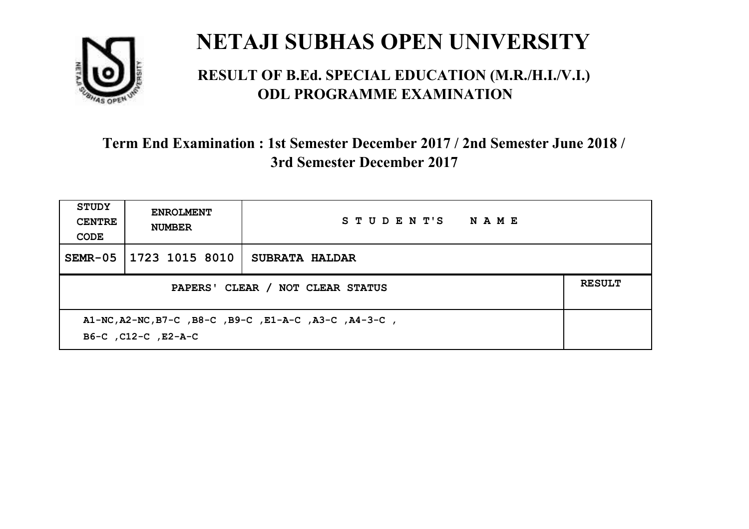

#### **RESULT OF B.Ed. SPECIAL EDUCATION (M.R./H.I./V.I.) ODL PROGRAMME EXAMINATION**

| <b>STUDY</b><br><b>CENTRE</b><br>CODE                                        | <b>ENROLMENT</b><br><b>NUMBER</b> | STUDENT'S NAME        |               |
|------------------------------------------------------------------------------|-----------------------------------|-----------------------|---------------|
| $SEMR-05$                                                                    | 1723 1015 8010                    | <b>SUBRATA HALDAR</b> |               |
| PAPERS' CLEAR / NOT CLEAR STATUS                                             |                                   |                       | <b>RESULT</b> |
| A1-NC, A2-NC, B7-C, B8-C, B9-C, E1-A-C, A3-C, A4-3-C,<br>B6-C, C12-C, E2-A-C |                                   |                       |               |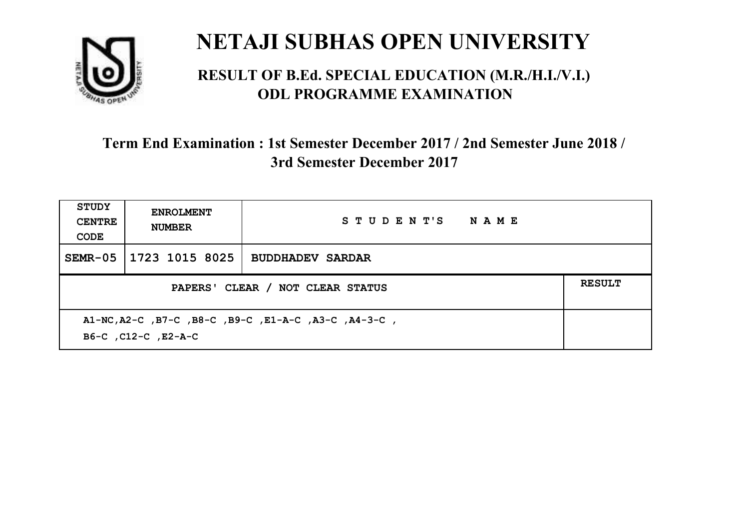

#### **RESULT OF B.Ed. SPECIAL EDUCATION (M.R./H.I./V.I.) ODL PROGRAMME EXAMINATION**

| STUDY<br><b>CENTRE</b><br>CODE                                              | <b>ENROLMENT</b><br><b>NUMBER</b> | STUDENT'S NAME          |  |
|-----------------------------------------------------------------------------|-----------------------------------|-------------------------|--|
| $SEMR-05$                                                                   | 1723 1015 8025                    | <b>BUDDHADEV SARDAR</b> |  |
| PAPERS' CLEAR / NOT CLEAR STATUS                                            |                                   |                         |  |
| A1-NC, A2-C, B7-C, B8-C, B9-C, E1-A-C, A3-C, A4-3-C,<br>B6-C, C12-C, E2-A-C |                                   |                         |  |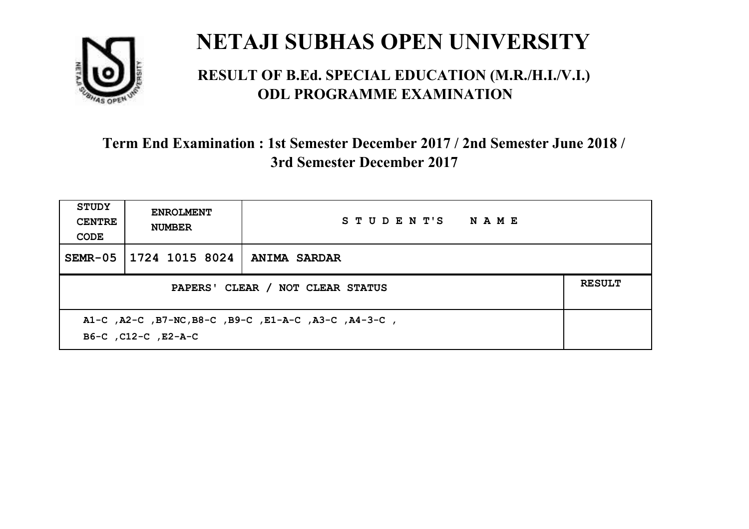

#### **RESULT OF B.Ed. SPECIAL EDUCATION (M.R./H.I./V.I.) ODL PROGRAMME EXAMINATION**

| STUDY<br><b>CENTRE</b><br>CODE                                              | <b>ENROLMENT</b><br><b>NUMBER</b>                 | STUDENT'S NAME |  |  |  |
|-----------------------------------------------------------------------------|---------------------------------------------------|----------------|--|--|--|
| SEMR-05                                                                     | 1724 1015 8024                                    | ANIMA SARDAR   |  |  |  |
|                                                                             | <b>RESULT</b><br>PAPERS' CLEAR / NOT CLEAR STATUS |                |  |  |  |
| A1-C, A2-C, B7-NC, B8-C, B9-C, E1-A-C, A3-C, A4-3-C,<br>B6-C, C12-C, E2-A-C |                                                   |                |  |  |  |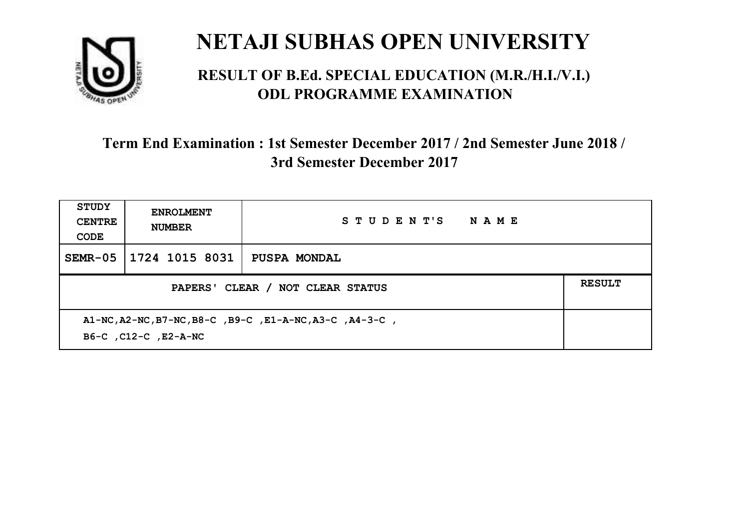

#### **RESULT OF B.Ed. SPECIAL EDUCATION (M.R./H.I./V.I.) ODL PROGRAMME EXAMINATION**

| <b>STUDY</b><br><b>CENTRE</b><br>CODE                                           | <b>ENROLMENT</b><br><b>NUMBER</b>                 | STUDENT'S<br><b>NAME</b> |  |  |
|---------------------------------------------------------------------------------|---------------------------------------------------|--------------------------|--|--|
| $SEMR-05$                                                                       | 1724 1015 8031                                    | <b>PUSPA MONDAL</b>      |  |  |
|                                                                                 | <b>RESULT</b><br>PAPERS' CLEAR / NOT CLEAR STATUS |                          |  |  |
| A1-NC, A2-NC, B7-NC, B8-C, B9-C, E1-A-NC, A3-C, A4-3-C,<br>B6-C, C12-C, E2-A-NC |                                                   |                          |  |  |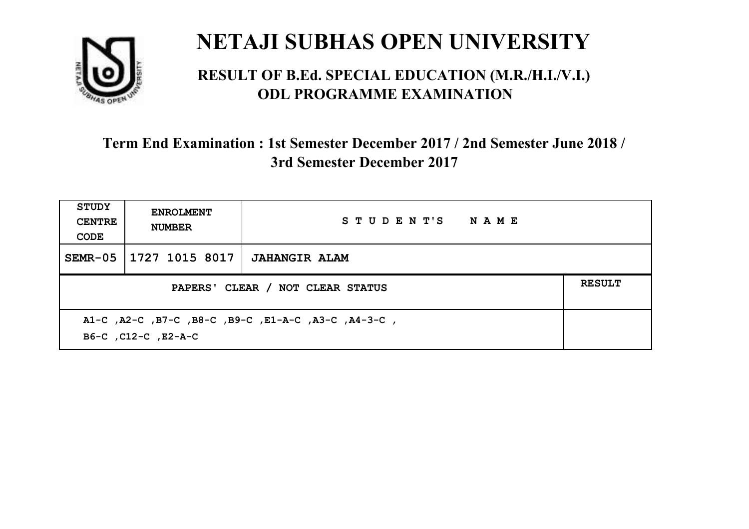

#### **RESULT OF B.Ed. SPECIAL EDUCATION (M.R./H.I./V.I.) ODL PROGRAMME EXAMINATION**

| <b>STUDY</b><br><b>CENTRE</b><br>CODE                                      | <b>ENROLMENT</b><br><b>NUMBER</b>                 | STUDENT'S NAME       |  |  |  |
|----------------------------------------------------------------------------|---------------------------------------------------|----------------------|--|--|--|
| $SEMR-05$                                                                  | 1727 1015 8017                                    | <b>JAHANGIR ALAM</b> |  |  |  |
|                                                                            | <b>RESULT</b><br>PAPERS' CLEAR / NOT CLEAR STATUS |                      |  |  |  |
| A1-C, A2-C, B7-C, B8-C, B9-C, E1-A-C, A3-C, A4-3-C,<br>B6-C, C12-C, E2-A-C |                                                   |                      |  |  |  |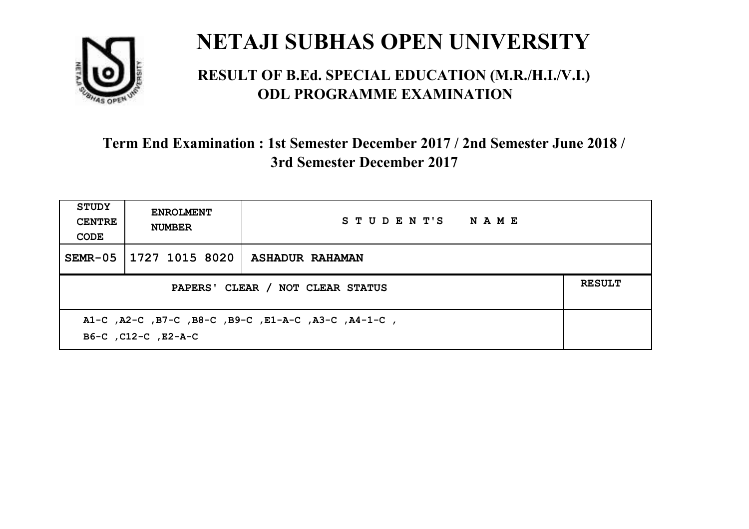

#### **RESULT OF B.Ed. SPECIAL EDUCATION (M.R./H.I./V.I.) ODL PROGRAMME EXAMINATION**

| <b>STUDY</b><br><b>CENTRE</b><br>CODE                                      | <b>ENROLMENT</b><br><b>NUMBER</b>                 | STUDENT'S NAME         |  |  |  |
|----------------------------------------------------------------------------|---------------------------------------------------|------------------------|--|--|--|
| $SEMR-05$                                                                  | 1727 1015 8020                                    | <b>ASHADUR RAHAMAN</b> |  |  |  |
|                                                                            | <b>RESULT</b><br>PAPERS' CLEAR / NOT CLEAR STATUS |                        |  |  |  |
| A1-C, A2-C, B7-C, B8-C, B9-C, E1-A-C, A3-C, A4-1-C,<br>B6-C, C12-C, E2-A-C |                                                   |                        |  |  |  |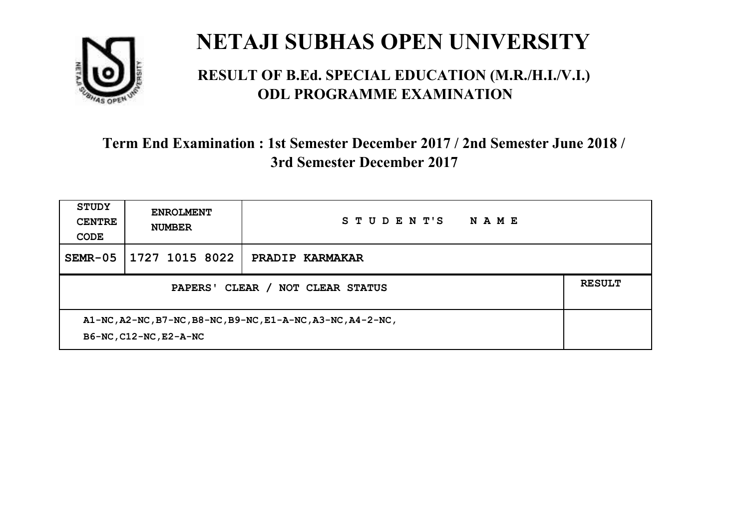

#### **RESULT OF B.Ed. SPECIAL EDUCATION (M.R./H.I./V.I.) ODL PROGRAMME EXAMINATION**

| <b>STUDY</b><br><b>CENTRE</b><br>CODE                                                 | <b>ENROLMENT</b><br><b>NUMBER</b> | STUDENT'S<br>NAME |  |
|---------------------------------------------------------------------------------------|-----------------------------------|-------------------|--|
| $SEMR-05$                                                                             | 1727 1015 8022                    | PRADIP KARMAKAR   |  |
| CLEAR /<br><b>NOT CLEAR STATUS</b><br>PAPERS'                                         |                                   |                   |  |
| A1-NC, A2-NC, B7-NC, B8-NC, B9-NC, E1-A-NC, A3-NC, A4-2-NC,<br>B6-NC, C12-NC, E2-A-NC |                                   |                   |  |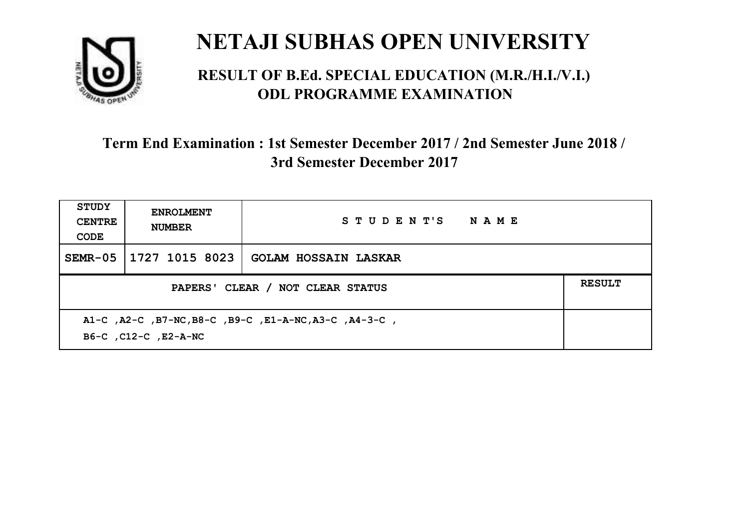

#### **RESULT OF B.Ed. SPECIAL EDUCATION (M.R./H.I./V.I.) ODL PROGRAMME EXAMINATION**

| <b>STUDY</b><br><b>CENTRE</b><br>CODE                                         | <b>ENROLMENT</b><br><b>NUMBER</b>                 | STUDENT'S NAME              |  |  |  |
|-------------------------------------------------------------------------------|---------------------------------------------------|-----------------------------|--|--|--|
| $SEMR-05$                                                                     | 1727 1015 8023                                    | <b>GOLAM HOSSAIN LASKAR</b> |  |  |  |
|                                                                               | <b>RESULT</b><br>PAPERS' CLEAR / NOT CLEAR STATUS |                             |  |  |  |
| A1-C, A2-C, B7-NC, B8-C, B9-C, E1-A-NC, A3-C, A4-3-C,<br>B6-C, C12-C, E2-A-NC |                                                   |                             |  |  |  |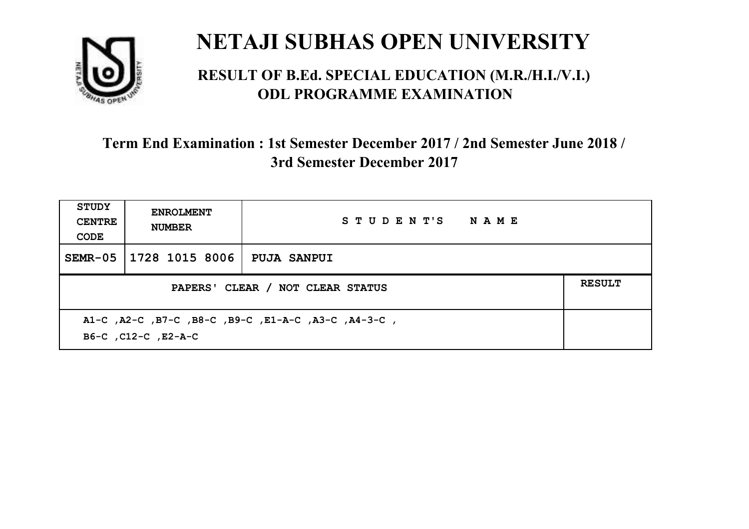

#### **RESULT OF B.Ed. SPECIAL EDUCATION (M.R./H.I./V.I.) ODL PROGRAMME EXAMINATION**

| STUDY<br><b>CENTRE</b><br>CODE                                             | <b>ENROLMENT</b><br><b>NUMBER</b>                 | STUDENT'S NAME     |  |  |  |
|----------------------------------------------------------------------------|---------------------------------------------------|--------------------|--|--|--|
| SEMR-05                                                                    | 1728 1015 8006                                    | <b>PUJA SANPUI</b> |  |  |  |
|                                                                            | <b>RESULT</b><br>PAPERS' CLEAR / NOT CLEAR STATUS |                    |  |  |  |
| A1-C, A2-C, B7-C, B8-C, B9-C, E1-A-C, A3-C, A4-3-C,<br>B6-C, C12-C, E2-A-C |                                                   |                    |  |  |  |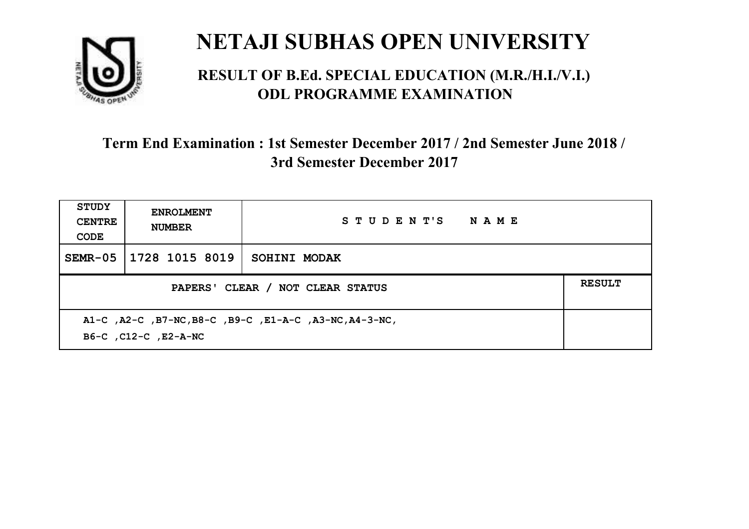

#### **RESULT OF B.Ed. SPECIAL EDUCATION (M.R./H.I./V.I.) ODL PROGRAMME EXAMINATION**

| <b>STUDY</b><br><b>CENTRE</b><br>CODE | <b>ENROLMENT</b><br><b>NUMBER</b>                 | STUDENT'S NAME                                         |  |  |  |
|---------------------------------------|---------------------------------------------------|--------------------------------------------------------|--|--|--|
| $SEMR-05$                             | 1728 1015 8019                                    | SOHINI MODAK                                           |  |  |  |
|                                       | <b>RESULT</b><br>PAPERS' CLEAR / NOT CLEAR STATUS |                                                        |  |  |  |
|                                       | B6-C, C12-C, E2-A-NC                              | A1-C, A2-C, B7-NC, B8-C, B9-C, E1-A-C, A3-NC, A4-3-NC, |  |  |  |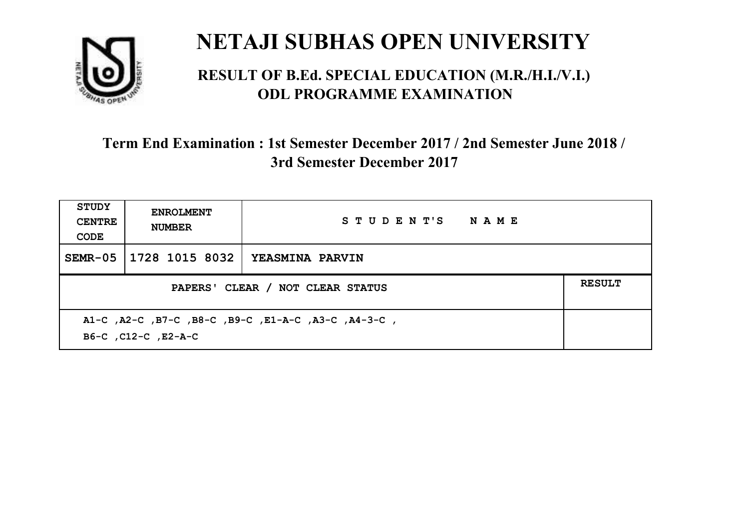

#### **RESULT OF B.Ed. SPECIAL EDUCATION (M.R./H.I./V.I.) ODL PROGRAMME EXAMINATION**

| STUDY<br><b>CENTRE</b><br>CODE                                             | <b>ENROLMENT</b><br><b>NUMBER</b>                 | STUDENT'S NAME         |  |  |  |
|----------------------------------------------------------------------------|---------------------------------------------------|------------------------|--|--|--|
| SEMR-05                                                                    | 1728 1015 8032                                    | <b>YEASMINA PARVIN</b> |  |  |  |
|                                                                            | <b>RESULT</b><br>PAPERS' CLEAR / NOT CLEAR STATUS |                        |  |  |  |
| A1-C, A2-C, B7-C, B8-C, B9-C, E1-A-C, A3-C, A4-3-C,<br>B6-C, C12-C, E2-A-C |                                                   |                        |  |  |  |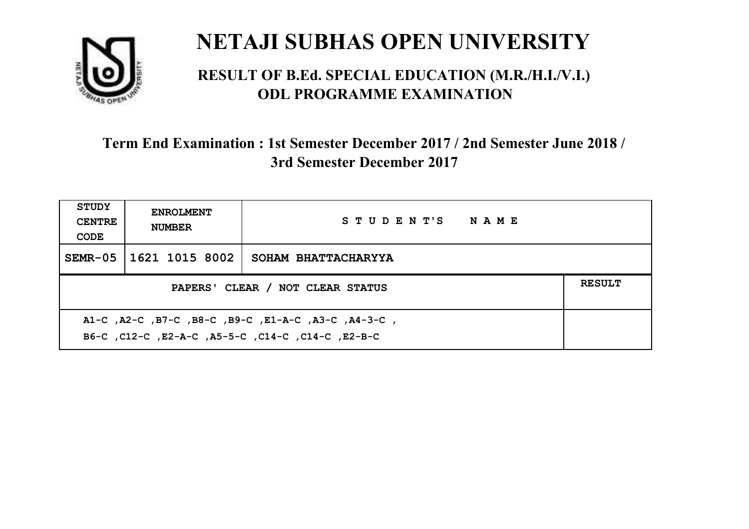

#### **RESULT OF B.Ed. SPECIAL EDUCATION (M.R./H.I./V.I.) ODL PROGRAMME EXAMINATION**

| <b>STUDY</b><br><b>CENTRE</b><br>CODE                                                                     | <b>ENROLMENT</b><br><b>NUMBER</b>                 | STUDENT'S NAME      |  |  |  |
|-----------------------------------------------------------------------------------------------------------|---------------------------------------------------|---------------------|--|--|--|
| $SEMR-05$                                                                                                 | 1621 1015 8002                                    | SOHAM BHATTACHARYYA |  |  |  |
|                                                                                                           | <b>RESULT</b><br>PAPERS' CLEAR / NOT CLEAR STATUS |                     |  |  |  |
| A1-C, A2-C, B7-C, B8-C, B9-C, E1-A-C, A3-C, A4-3-C,<br>B6-C, C12-C, E2-A-C, A5-5-C, C14-C, C14-C, C12-B-C |                                                   |                     |  |  |  |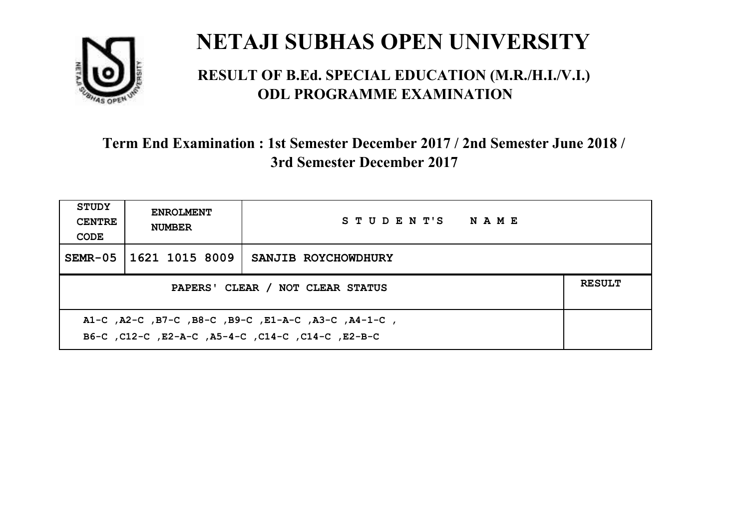

#### **RESULT OF B.Ed. SPECIAL EDUCATION (M.R./H.I./V.I.) ODL PROGRAMME EXAMINATION**

| <b>STUDY</b><br><b>CENTRE</b><br>CODE                                                                     | <b>ENROLMENT</b><br><b>NUMBER</b>                 | STUDENT'S NAME      |  |  |  |
|-----------------------------------------------------------------------------------------------------------|---------------------------------------------------|---------------------|--|--|--|
| SEMR-05                                                                                                   | 1621 1015 8009                                    | SANJIB ROYCHOWDHURY |  |  |  |
|                                                                                                           | <b>RESULT</b><br>PAPERS' CLEAR / NOT CLEAR STATUS |                     |  |  |  |
| A1-C, A2-C, B7-C, B8-C, B9-C, E1-A-C, A3-C, A4-1-C,<br>B6-C, C12-C, E2-A-C, A5-4-C, C14-C, C14-C, C12-B-C |                                                   |                     |  |  |  |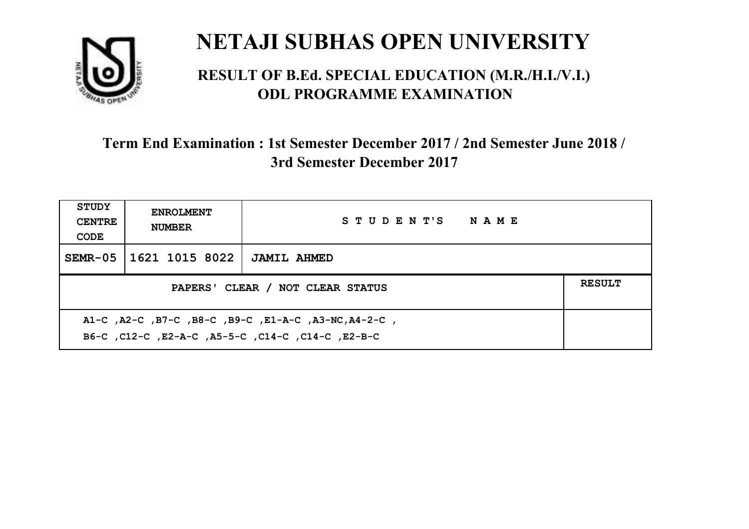

#### **RESULT OF B.Ed. SPECIAL EDUCATION (M.R./H.I./V.I.) ODL PROGRAMME EXAMINATION**

| <b>STUDY</b><br><b>CENTRE</b><br>CODE                                                                     | <b>ENROLMENT</b><br><b>NUMBER</b> | STUDENT'S NAME     |  |
|-----------------------------------------------------------------------------------------------------------|-----------------------------------|--------------------|--|
| $SEMR-05$                                                                                                 | 1621 1015 8022                    | <b>JAMIL AHMED</b> |  |
| <b>RESULT</b><br>PAPERS' CLEAR / NOT CLEAR STATUS                                                         |                                   |                    |  |
| A1-C, A2-C, B7-C, B8-C, B9-C, E1-A-C, A3-NC, A4-2-C,<br>B6-C, C12-C, E2-A-C, A5-5-C, C14-C, C14-C, E2-B-C |                                   |                    |  |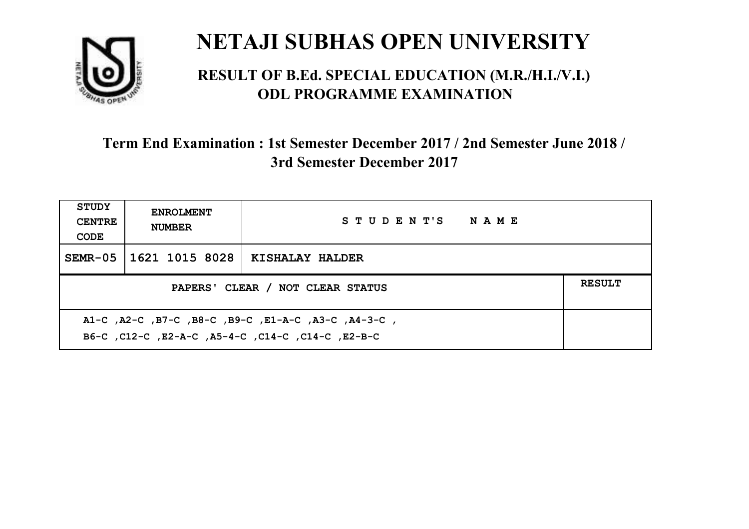

#### **RESULT OF B.Ed. SPECIAL EDUCATION (M.R./H.I./V.I.) ODL PROGRAMME EXAMINATION**

| <b>STUDY</b><br><b>CENTRE</b><br>CODE                                                                     | <b>ENROLMENT</b><br><b>NUMBER</b>                 | STUDENT'S NAME         |  |  |  |
|-----------------------------------------------------------------------------------------------------------|---------------------------------------------------|------------------------|--|--|--|
| SEMR-05                                                                                                   | 1621 1015 8028                                    | <b>KISHALAY HALDER</b> |  |  |  |
|                                                                                                           | <b>RESULT</b><br>PAPERS' CLEAR / NOT CLEAR STATUS |                        |  |  |  |
| A1-C, A2-C, B7-C, B8-C, B9-C, E1-A-C, A3-C, A4-3-C,<br>B6-C, C12-C, E2-A-C, A5-4-C, C14-C, C14-C, C12-B-C |                                                   |                        |  |  |  |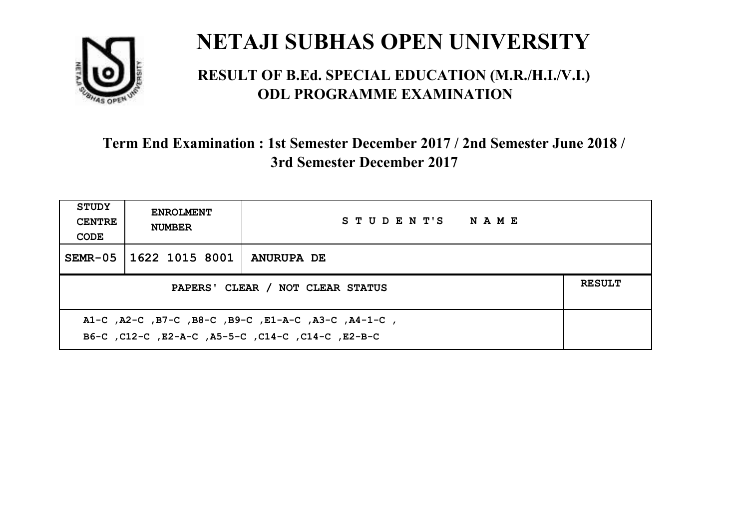

#### **RESULT OF B.Ed. SPECIAL EDUCATION (M.R./H.I./V.I.) ODL PROGRAMME EXAMINATION**

| <b>STUDY</b><br><b>CENTRE</b><br>CODE                                                                     | <b>ENROLMENT</b><br><b>NUMBER</b> | STUDENT'S NAME    |  |  |
|-----------------------------------------------------------------------------------------------------------|-----------------------------------|-------------------|--|--|
| SEMR-05                                                                                                   | 1622 1015 8001                    | <b>ANURUPA DE</b> |  |  |
| <b>RESULT</b><br>PAPERS' CLEAR / NOT CLEAR STATUS                                                         |                                   |                   |  |  |
| A1-C, A2-C, B7-C, B8-C, B9-C, E1-A-C, A3-C, A4-1-C,<br>B6-C, C12-C, E2-A-C, A5-5-C, C14-C, C14-C, C12-B-C |                                   |                   |  |  |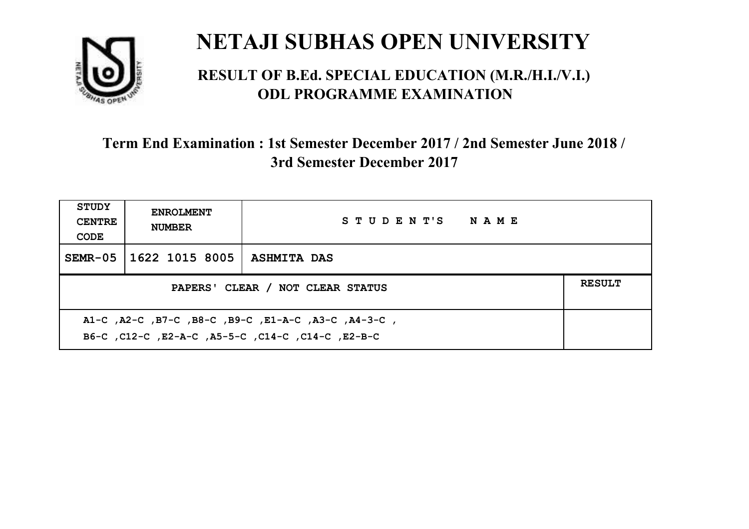

#### **RESULT OF B.Ed. SPECIAL EDUCATION (M.R./H.I./V.I.) ODL PROGRAMME EXAMINATION**

| <b>STUDY</b><br><b>CENTRE</b><br>CODE                                                                    | <b>ENROLMENT</b><br><b>NUMBER</b>                 | STUDENT'S NAME     |  |  |  |
|----------------------------------------------------------------------------------------------------------|---------------------------------------------------|--------------------|--|--|--|
| $SEMR-05$                                                                                                | 1622 1015 8005                                    | <b>ASHMITA DAS</b> |  |  |  |
|                                                                                                          | <b>RESULT</b><br>PAPERS' CLEAR / NOT CLEAR STATUS |                    |  |  |  |
| A1-C, A2-C, B7-C, B8-C, B9-C, E1-A-C, A3-C, A4-3-C,<br>B6-C, C12-C, E2-A-C, A5-5-C, C14-C, C14-C, E2-B-C |                                                   |                    |  |  |  |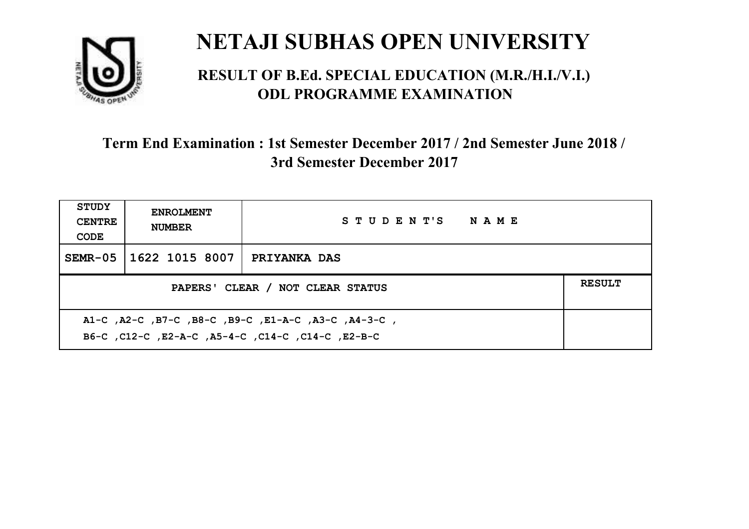

#### **RESULT OF B.Ed. SPECIAL EDUCATION (M.R./H.I./V.I.) ODL PROGRAMME EXAMINATION**

| <b>STUDY</b><br><b>CENTRE</b><br>CODE                                                                    | <b>ENROLMENT</b><br><b>NUMBER</b>                 | STUDENT'S NAME      |  |  |
|----------------------------------------------------------------------------------------------------------|---------------------------------------------------|---------------------|--|--|
| $SEMR-05$                                                                                                | 1622 1015 8007                                    | <b>PRIYANKA DAS</b> |  |  |
|                                                                                                          | <b>RESULT</b><br>PAPERS' CLEAR / NOT CLEAR STATUS |                     |  |  |
| A1-C, A2-C, B7-C, B8-C, B9-C, E1-A-C, A3-C, A4-3-C,<br>B6-C, C12-C, E2-A-C, A5-4-C, C14-C, C14-C, E2-B-C |                                                   |                     |  |  |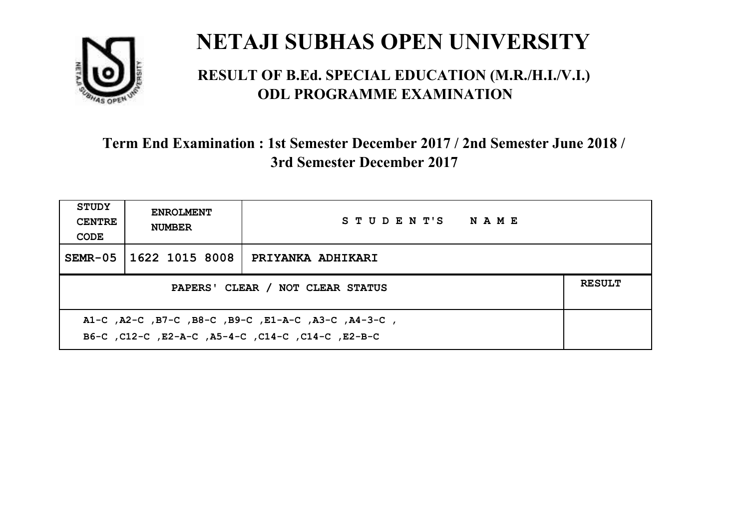

#### **RESULT OF B.Ed. SPECIAL EDUCATION (M.R./H.I./V.I.) ODL PROGRAMME EXAMINATION**

| <b>STUDY</b><br><b>CENTRE</b><br>CODE                                                                     | <b>ENROLMENT</b><br><b>NUMBER</b>                 | STUDENT'S NAME    |  |  |  |
|-----------------------------------------------------------------------------------------------------------|---------------------------------------------------|-------------------|--|--|--|
| $SEMR-05$                                                                                                 | 1622 1015 8008                                    | PRIYANKA ADHIKARI |  |  |  |
|                                                                                                           | <b>RESULT</b><br>PAPERS' CLEAR / NOT CLEAR STATUS |                   |  |  |  |
| A1-C, A2-C, B7-C, B8-C, B9-C, E1-A-C, A3-C, A4-3-C,<br>B6-C, C12-C, E2-A-C, A5-4-C, C14-C, C14-C, C12-B-C |                                                   |                   |  |  |  |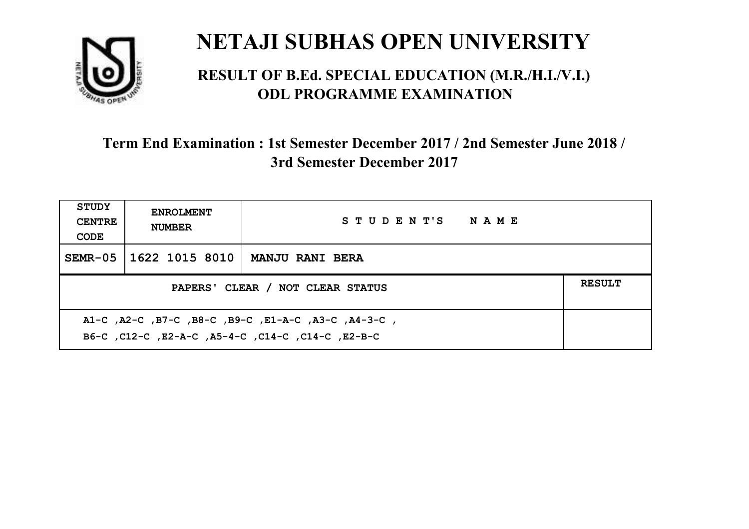

#### **RESULT OF B.Ed. SPECIAL EDUCATION (M.R./H.I./V.I.) ODL PROGRAMME EXAMINATION**

| <b>STUDY</b><br><b>CENTRE</b><br>CODE                                                                     | <b>ENROLMENT</b><br><b>NUMBER</b>                 | STUDENT'S NAME         |  |  |  |
|-----------------------------------------------------------------------------------------------------------|---------------------------------------------------|------------------------|--|--|--|
| SEMR-05                                                                                                   | 1622 1015 8010                                    | <b>MANJU RANI BERA</b> |  |  |  |
|                                                                                                           | <b>RESULT</b><br>PAPERS' CLEAR / NOT CLEAR STATUS |                        |  |  |  |
| A1-C, A2-C, B7-C, B8-C, B9-C, E1-A-C, A3-C, A4-3-C,<br>B6-C, C12-C, E2-A-C, A5-4-C, C14-C, C14-C, C12-B-C |                                                   |                        |  |  |  |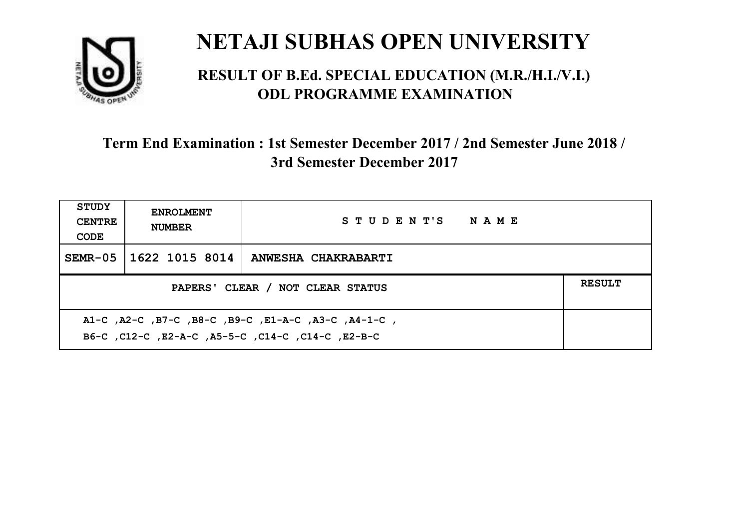

#### **RESULT OF B.Ed. SPECIAL EDUCATION (M.R./H.I./V.I.) ODL PROGRAMME EXAMINATION**

| <b>STUDY</b><br><b>CENTRE</b><br>CODE                                                                     | <b>ENROLMENT</b><br><b>NUMBER</b>                 | STUDENT'S NAME      |  |  |  |
|-----------------------------------------------------------------------------------------------------------|---------------------------------------------------|---------------------|--|--|--|
| $SEMR-05$                                                                                                 | 1622 1015 8014                                    | ANWESHA CHAKRABARTI |  |  |  |
|                                                                                                           | <b>RESULT</b><br>PAPERS' CLEAR / NOT CLEAR STATUS |                     |  |  |  |
| A1-C, A2-C, B7-C, B8-C, B9-C, E1-A-C, A3-C, A4-1-C,<br>B6-C, C12-C, E2-A-C, A5-5-C, C14-C, C14-C, C12-B-C |                                                   |                     |  |  |  |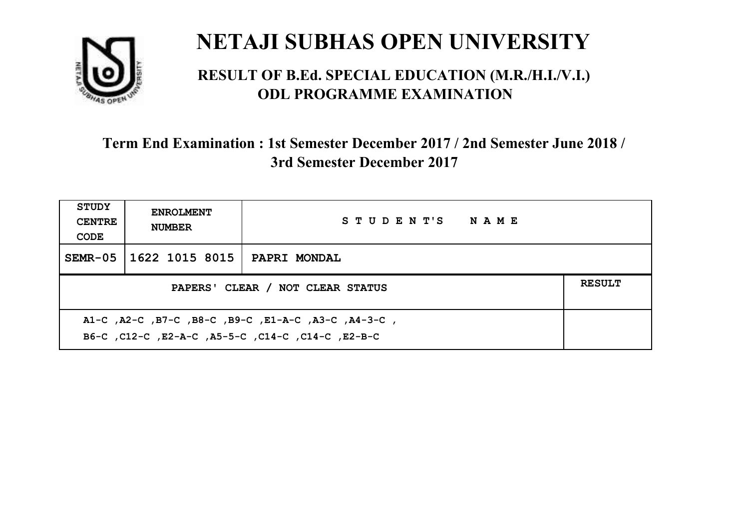

#### **RESULT OF B.Ed. SPECIAL EDUCATION (M.R./H.I./V.I.) ODL PROGRAMME EXAMINATION**

| <b>STUDY</b><br><b>CENTRE</b><br>CODE                                                                    | <b>ENROLMENT</b><br><b>NUMBER</b>                 | STUDENT'S NAME      |  |  |  |
|----------------------------------------------------------------------------------------------------------|---------------------------------------------------|---------------------|--|--|--|
| $SEMR-05$                                                                                                | 1622 1015 8015                                    | <b>PAPRI MONDAL</b> |  |  |  |
|                                                                                                          | <b>RESULT</b><br>PAPERS' CLEAR / NOT CLEAR STATUS |                     |  |  |  |
| A1-C, A2-C, B7-C, B8-C, B9-C, E1-A-C, A3-C, A4-3-C,<br>B6-C, C12-C, E2-A-C, A5-5-C, C14-C, C14-C, E2-B-C |                                                   |                     |  |  |  |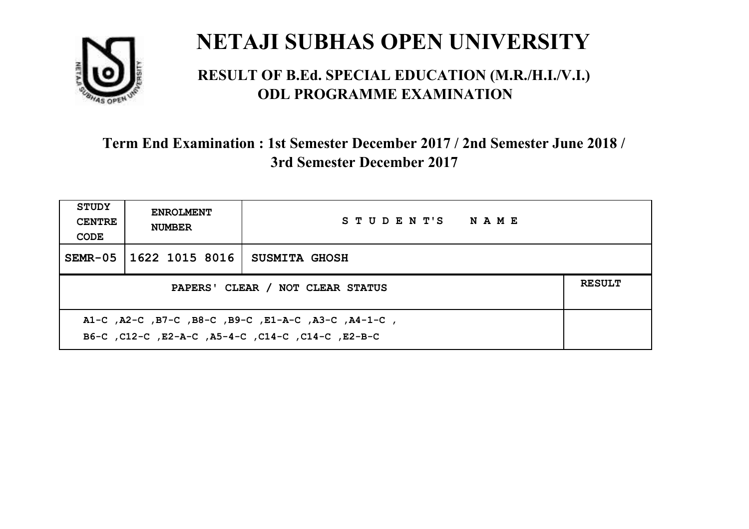

#### **RESULT OF B.Ed. SPECIAL EDUCATION (M.R./H.I./V.I.) ODL PROGRAMME EXAMINATION**

| <b>STUDY</b><br><b>CENTRE</b><br>CODE             | <b>ENROLMENT</b><br><b>NUMBER</b> | STUDENT'S NAME       |  |
|---------------------------------------------------|-----------------------------------|----------------------|--|
|                                                   | SEMR-05   1622 1015 8016          | <b>SUSMITA GHOSH</b> |  |
| <b>RESULT</b><br>PAPERS' CLEAR / NOT CLEAR STATUS |                                   |                      |  |
|                                                   |                                   |                      |  |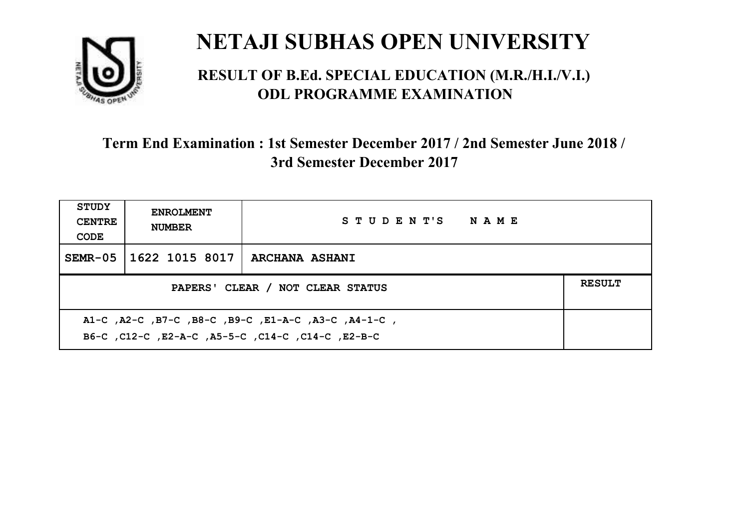

#### **RESULT OF B.Ed. SPECIAL EDUCATION (M.R./H.I./V.I.) ODL PROGRAMME EXAMINATION**

| <b>STUDY</b><br><b>CENTRE</b><br>CODE | <b>ENROLMENT</b><br><b>NUMBER</b> | STUDENT'S NAME        |  |
|---------------------------------------|-----------------------------------|-----------------------|--|
|                                       | SEMR-05   1622 1015 8017          | <b>ARCHANA ASHANI</b> |  |
| PAPERS' CLEAR / NOT CLEAR STATUS      |                                   |                       |  |
|                                       |                                   |                       |  |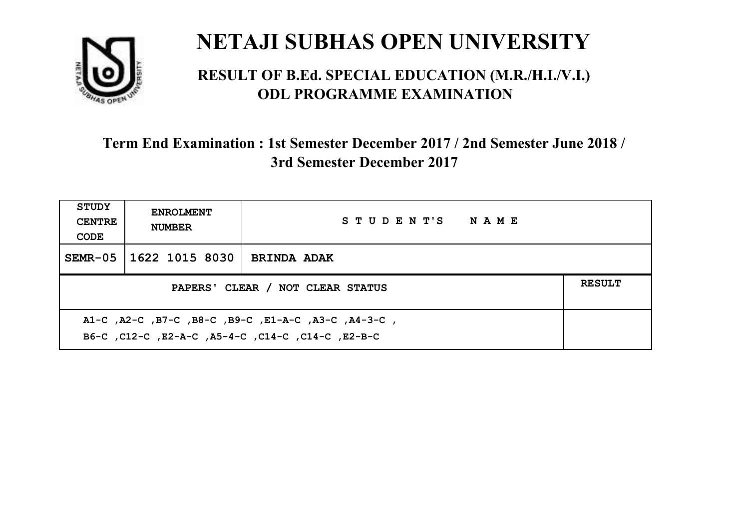

#### **RESULT OF B.Ed. SPECIAL EDUCATION (M.R./H.I./V.I.) ODL PROGRAMME EXAMINATION**

| <b>STUDY</b><br><b>CENTRE</b><br>CODE | <b>ENROLMENT</b><br><b>NUMBER</b>                                                                        | STUDENT'S NAME     |  |  |  |
|---------------------------------------|----------------------------------------------------------------------------------------------------------|--------------------|--|--|--|
| $SEMR-05$                             | 1622 1015 8030                                                                                           | <b>BRINDA ADAK</b> |  |  |  |
|                                       | <b>RESULT</b><br>PAPERS' CLEAR / NOT CLEAR STATUS                                                        |                    |  |  |  |
|                                       | A1-C, A2-C, B7-C, B8-C, B9-C, E1-A-C, A3-C, A4-3-C,<br>B6-C, C12-C, E2-A-C, A5-4-C, C14-C, C14-C, E2-B-C |                    |  |  |  |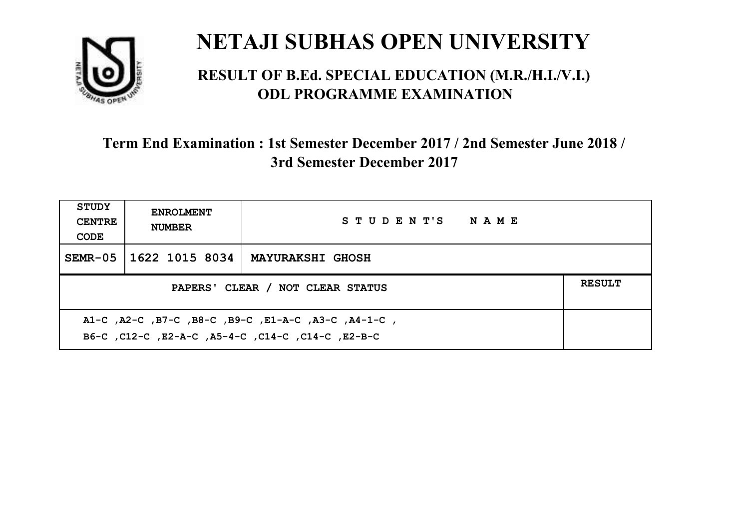

#### **RESULT OF B.Ed. SPECIAL EDUCATION (M.R./H.I./V.I.) ODL PROGRAMME EXAMINATION**

| <b>STUDY</b><br><b>CENTRE</b><br>CODE                                                                    | <b>ENROLMENT</b><br><b>NUMBER</b> | STUDENT'S NAME          |  |
|----------------------------------------------------------------------------------------------------------|-----------------------------------|-------------------------|--|
| $SEMR-05$                                                                                                | 1622 1015 8034                    | <b>MAYURAKSHI GHOSH</b> |  |
| PAPERS' CLEAR / NOT CLEAR STATUS                                                                         |                                   |                         |  |
| A1-C, A2-C, B7-C, B8-C, B9-C, E1-A-C, A3-C, A4-1-C,<br>B6-C, C12-C, E2-A-C, A5-4-C, C14-C, C14-C, E2-B-C |                                   |                         |  |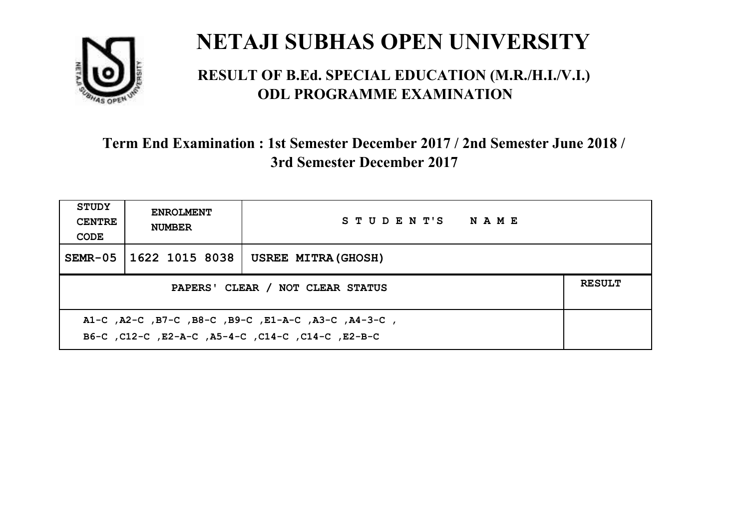

#### **RESULT OF B.Ed. SPECIAL EDUCATION (M.R./H.I./V.I.) ODL PROGRAMME EXAMINATION**

| <b>STUDY</b><br><b>CENTRE</b><br>CODE | <b>ENROLMENT</b><br><b>NUMBER</b>                                                                         | STUDENT'S NAME             |  |  |  |
|---------------------------------------|-----------------------------------------------------------------------------------------------------------|----------------------------|--|--|--|
| $SEMR-05$                             | 1622 1015 8038                                                                                            | <b>USREE MITRA (GHOSH)</b> |  |  |  |
|                                       | <b>RESULT</b><br>PAPERS' CLEAR / NOT CLEAR STATUS                                                         |                            |  |  |  |
|                                       | A1-C, A2-C, B7-C, B8-C, B9-C, E1-A-C, A3-C, A4-3-C,<br>B6-C, C12-C, E2-A-C, A5-4-C, C14-C, C14-C, C12-B-C |                            |  |  |  |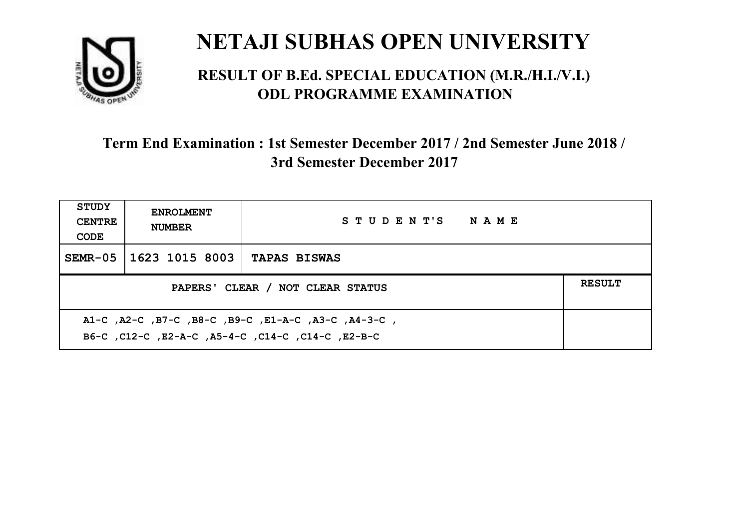

#### **RESULT OF B.Ed. SPECIAL EDUCATION (M.R./H.I./V.I.) ODL PROGRAMME EXAMINATION**

| STUDY<br><b>CENTRE</b><br>CODE                                                                           | <b>ENROLMENT</b><br><b>NUMBER</b>                 | STUDENT'S NAME      |  |  |  |
|----------------------------------------------------------------------------------------------------------|---------------------------------------------------|---------------------|--|--|--|
| $SEMR-05$                                                                                                | 1623 1015 8003                                    | <b>TAPAS BISWAS</b> |  |  |  |
|                                                                                                          | <b>RESULT</b><br>PAPERS' CLEAR / NOT CLEAR STATUS |                     |  |  |  |
| A1-C, A2-C, B7-C, B8-C, B9-C, E1-A-C, A3-C, A4-3-C,<br>B6-C, C12-C, E2-A-C, A5-4-C, C14-C, C14-C, E2-B-C |                                                   |                     |  |  |  |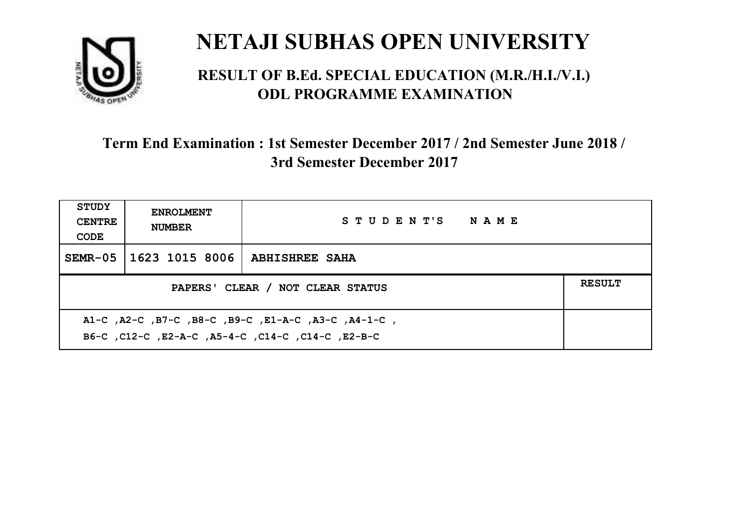

#### **RESULT OF B.Ed. SPECIAL EDUCATION (M.R./H.I./V.I.) ODL PROGRAMME EXAMINATION**

| <b>STUDY</b><br><b>CENTRE</b><br>CODE                                                                    | <b>ENROLMENT</b><br><b>NUMBER</b>                 | STUDENT'S NAME        |  |  |  |
|----------------------------------------------------------------------------------------------------------|---------------------------------------------------|-----------------------|--|--|--|
| $SEMR-05$                                                                                                | 1623 1015 8006                                    | <b>ABHISHREE SAHA</b> |  |  |  |
|                                                                                                          | <b>RESULT</b><br>PAPERS' CLEAR / NOT CLEAR STATUS |                       |  |  |  |
| A1-C, A2-C, B7-C, B8-C, B9-C, E1-A-C, A3-C, A4-1-C,<br>B6-C, C12-C, E2-A-C, A5-4-C, C14-C, C14-C, E2-B-C |                                                   |                       |  |  |  |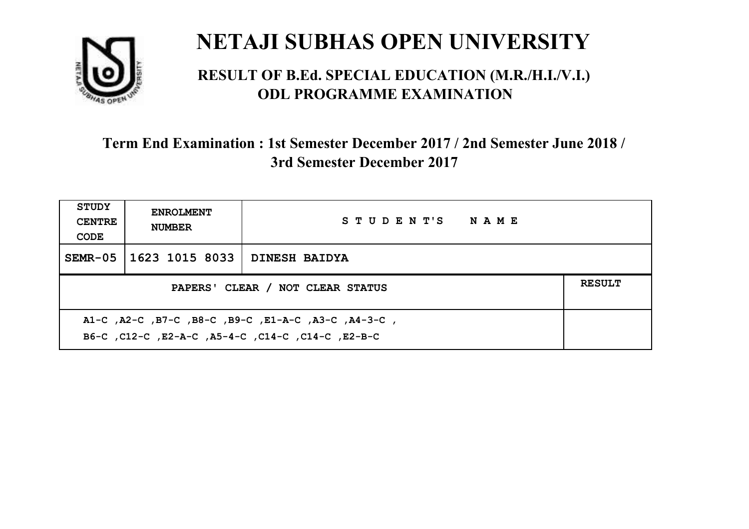

#### **RESULT OF B.Ed. SPECIAL EDUCATION (M.R./H.I./V.I.) ODL PROGRAMME EXAMINATION**

| <b>STUDY</b><br><b>CENTRE</b><br>CODE                                                                    | <b>ENROLMENT</b><br><b>NUMBER</b>                 | STUDENT'S NAME       |  |  |  |
|----------------------------------------------------------------------------------------------------------|---------------------------------------------------|----------------------|--|--|--|
| $SEMR-05$                                                                                                | 1623 1015 8033                                    | <b>DINESH BAIDYA</b> |  |  |  |
|                                                                                                          | <b>RESULT</b><br>PAPERS' CLEAR / NOT CLEAR STATUS |                      |  |  |  |
| A1-C, A2-C, B7-C, B8-C, B9-C, E1-A-C, A3-C, A4-3-C,<br>B6-C, C12-C, E2-A-C, A5-4-C, C14-C, C14-C, E2-B-C |                                                   |                      |  |  |  |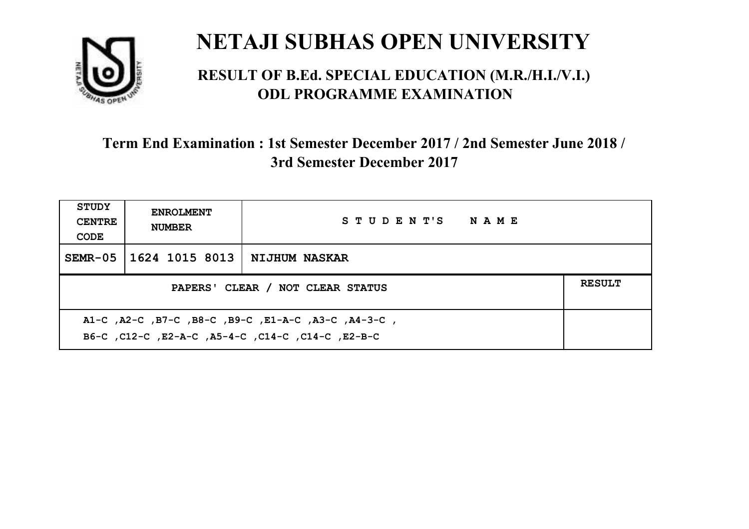

#### **RESULT OF B.Ed. SPECIAL EDUCATION (M.R./H.I./V.I.) ODL PROGRAMME EXAMINATION**

| <b>STUDY</b><br><b>CENTRE</b><br>CODE                                                                    | <b>ENROLMENT</b><br><b>NUMBER</b>                 | STUDENT'S NAME |  |  |  |
|----------------------------------------------------------------------------------------------------------|---------------------------------------------------|----------------|--|--|--|
| $SEMR-05$                                                                                                | 1624 1015 8013   NIJHUM NASKAR                    |                |  |  |  |
|                                                                                                          | <b>RESULT</b><br>PAPERS' CLEAR / NOT CLEAR STATUS |                |  |  |  |
| A1-C, A2-C, B7-C, B8-C, B9-C, E1-A-C, A3-C, A4-3-C,<br>B6-C, C12-C, E2-A-C, A5-4-C, C14-C, C14-C, E2-B-C |                                                   |                |  |  |  |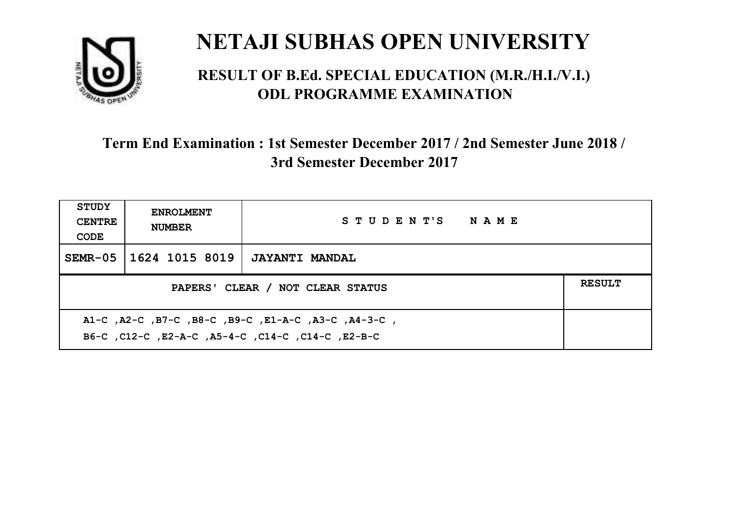

#### **RESULT OF B.Ed. SPECIAL EDUCATION (M.R./H.I./V.I.) ODL PROGRAMME EXAMINATION**

| <b>STUDY</b><br><b>CENTRE</b><br>CODE | <b>ENROLMENT</b><br><b>NUMBER</b>                                                                         | STUDENT'S NAME        |  |  |  |
|---------------------------------------|-----------------------------------------------------------------------------------------------------------|-----------------------|--|--|--|
| SEMR-05                               | 1624 1015 8019                                                                                            | <b>JAYANTI MANDAL</b> |  |  |  |
|                                       | <b>RESULT</b><br>PAPERS' CLEAR / NOT CLEAR STATUS                                                         |                       |  |  |  |
|                                       | A1-C, A2-C, B7-C, B8-C, B9-C, E1-A-C, A3-C, A4-3-C,<br>B6-C, C12-C, E2-A-C, A5-4-C, C14-C, C14-C, C12-B-C |                       |  |  |  |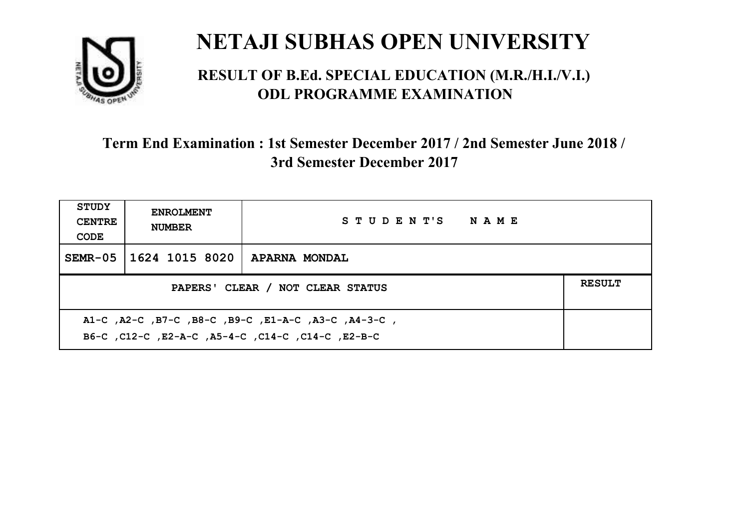

#### **RESULT OF B.Ed. SPECIAL EDUCATION (M.R./H.I./V.I.) ODL PROGRAMME EXAMINATION**

| <b>STUDY</b><br><b>CENTRE</b><br>CODE                                                                    | <b>ENROLMENT</b><br><b>NUMBER</b>                 | STUDENT'S NAME |  |  |  |
|----------------------------------------------------------------------------------------------------------|---------------------------------------------------|----------------|--|--|--|
|                                                                                                          | SEMR-05   1624 1015 8020                          | APARNA MONDAL  |  |  |  |
|                                                                                                          | <b>RESULT</b><br>PAPERS' CLEAR / NOT CLEAR STATUS |                |  |  |  |
| A1-C, A2-C, B7-C, B8-C, B9-C, E1-A-C, A3-C, A4-3-C,<br>B6-C, C12-C, E2-A-C, A5-4-C, C14-C, C14-C, E2-B-C |                                                   |                |  |  |  |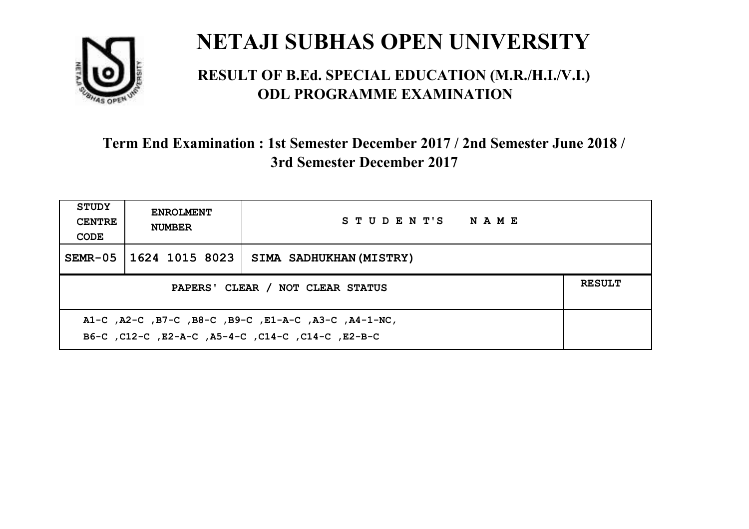

#### **RESULT OF B.Ed. SPECIAL EDUCATION (M.R./H.I./V.I.) ODL PROGRAMME EXAMINATION**

| <b>STUDY</b><br><b>CENTRE</b><br>CODE             | <b>ENROLMENT</b><br><b>NUMBER</b>                                                                          | STUDENT'S NAME          |  |  |  |
|---------------------------------------------------|------------------------------------------------------------------------------------------------------------|-------------------------|--|--|--|
| SEMR-05                                           | 1624 1015 8023                                                                                             | SIMA SADHUKHAN (MISTRY) |  |  |  |
| <b>RESULT</b><br>PAPERS' CLEAR / NOT CLEAR STATUS |                                                                                                            |                         |  |  |  |
|                                                   | A1-C, A2-C, B7-C, B8-C, B9-C, E1-A-C, A3-C, A4-1-NC,<br>B6-C, C12-C, E2-A-C, A5-4-C, C14-C, C14-C, C12-B-C |                         |  |  |  |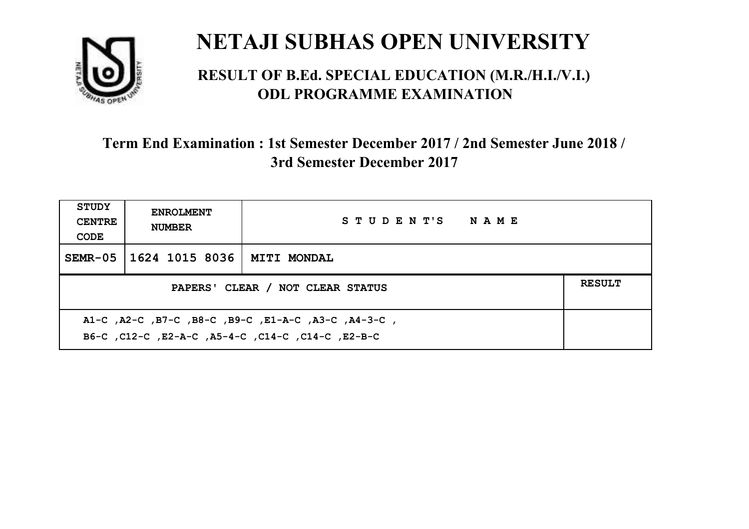

#### **RESULT OF B.Ed. SPECIAL EDUCATION (M.R./H.I./V.I.) ODL PROGRAMME EXAMINATION**

| <b>STUDY</b><br><b>CENTRE</b><br>CODE | <b>ENROLMENT</b><br><b>NUMBER</b>                                                                         | STUDENT'S NAME     |  |  |  |
|---------------------------------------|-----------------------------------------------------------------------------------------------------------|--------------------|--|--|--|
| $SEMR-05$                             | 1624 1015 8036                                                                                            | <b>MITI MONDAL</b> |  |  |  |
|                                       | <b>RESULT</b><br>PAPERS' CLEAR / NOT CLEAR STATUS                                                         |                    |  |  |  |
|                                       | A1-C, A2-C, B7-C, B8-C, B9-C, E1-A-C, A3-C, A4-3-C,<br>B6-C, C12-C, E2-A-C, A5-4-C, C14-C, C14-C, C12-B-C |                    |  |  |  |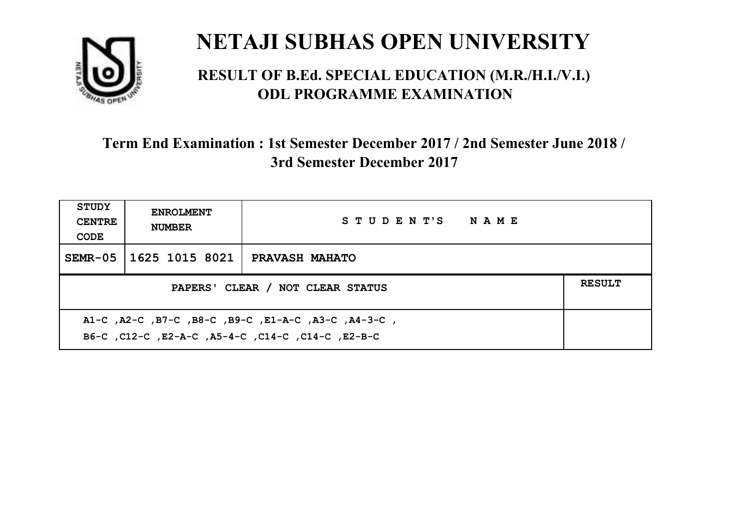

#### **RESULT OF B.Ed. SPECIAL EDUCATION (M.R./H.I./V.I.) ODL PROGRAMME EXAMINATION**

| <b>STUDY</b><br><b>CENTRE</b><br>CODE                                                                    | <b>ENROLMENT</b><br><b>NUMBER</b>                 | STUDENT'S NAME        |  |  |  |
|----------------------------------------------------------------------------------------------------------|---------------------------------------------------|-----------------------|--|--|--|
|                                                                                                          | SEMR-05   1625 1015 8021                          | <b>PRAVASH MAHATO</b> |  |  |  |
|                                                                                                          | <b>RESULT</b><br>PAPERS' CLEAR / NOT CLEAR STATUS |                       |  |  |  |
| A1-C, A2-C, B7-C, B8-C, B9-C, E1-A-C, A3-C, A4-3-C,<br>B6-C, C12-C, E2-A-C, A5-4-C, C14-C, C14-C, E2-B-C |                                                   |                       |  |  |  |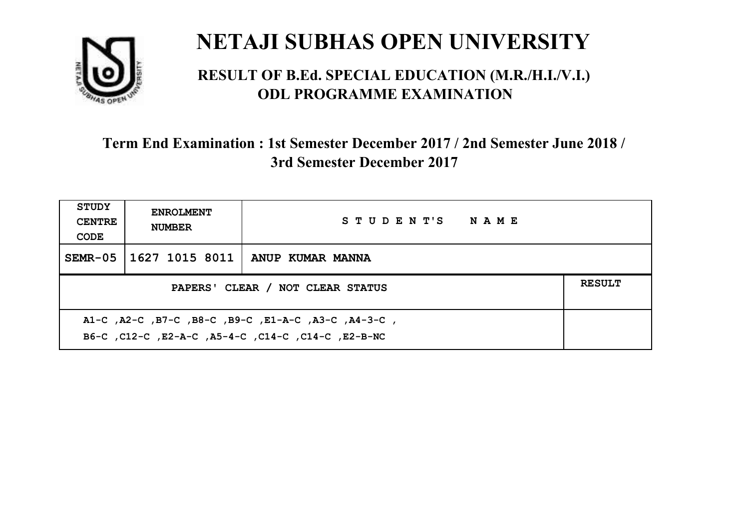

#### **RESULT OF B.Ed. SPECIAL EDUCATION (M.R./H.I./V.I.) ODL PROGRAMME EXAMINATION**

| <b>STUDY</b><br><b>CENTRE</b><br>CODE                                                                     | <b>ENROLMENT</b><br><b>NUMBER</b>                 | STUDENT'S NAME                    |  |  |  |
|-----------------------------------------------------------------------------------------------------------|---------------------------------------------------|-----------------------------------|--|--|--|
| $SEMR-05$                                                                                                 |                                                   | 1627 1015 8011   ANUP KUMAR MANNA |  |  |  |
|                                                                                                           | <b>RESULT</b><br>PAPERS' CLEAR / NOT CLEAR STATUS |                                   |  |  |  |
| A1-C, A2-C, B7-C, B8-C, B9-C, E1-A-C, A3-C, A4-3-C,<br>B6-C, C12-C, E2-A-C, A5-4-C, C14-C, C14-C, E2-B-NC |                                                   |                                   |  |  |  |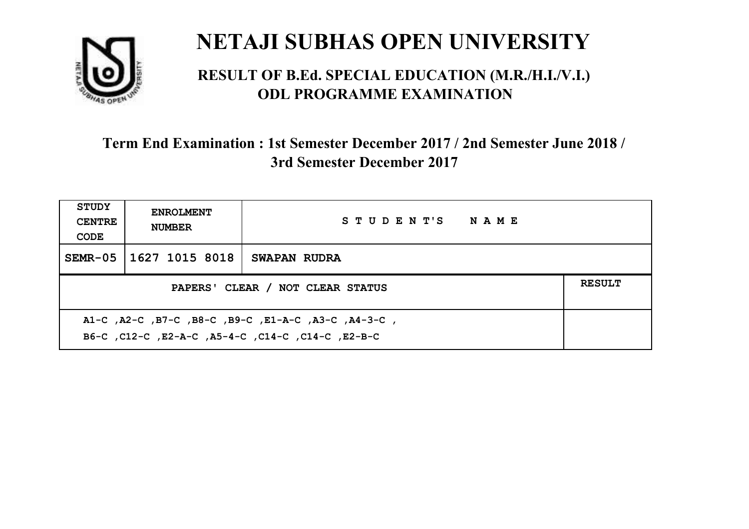

#### **RESULT OF B.Ed. SPECIAL EDUCATION (M.R./H.I./V.I.) ODL PROGRAMME EXAMINATION**

| <b>STUDY</b><br><b>CENTRE</b><br>CODE | <b>ENROLMENT</b><br><b>NUMBER</b>                                                                         | STUDENT'S NAME |  |  |  |
|---------------------------------------|-----------------------------------------------------------------------------------------------------------|----------------|--|--|--|
| SEMR-05                               | 1627 1015 8018                                                                                            | SWAPAN RUDRA   |  |  |  |
|                                       | <b>RESULT</b><br>PAPERS' CLEAR / NOT CLEAR STATUS                                                         |                |  |  |  |
|                                       | A1-C, A2-C, B7-C, B8-C, B9-C, E1-A-C, A3-C, A4-3-C,<br>B6-C, C12-C, E2-A-C, A5-4-C, C14-C, C14-C, C12-B-C |                |  |  |  |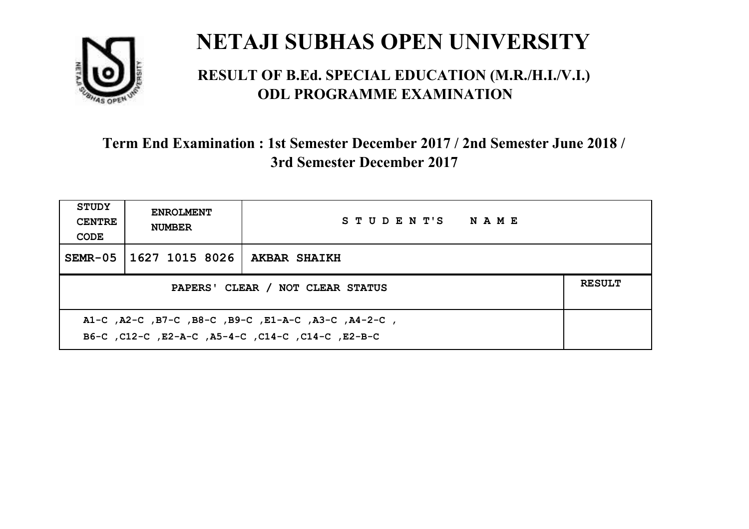

#### **RESULT OF B.Ed. SPECIAL EDUCATION (M.R./H.I./V.I.) ODL PROGRAMME EXAMINATION**

| <b>STUDY</b><br><b>CENTRE</b><br>CODE | <b>ENROLMENT</b><br><b>NUMBER</b>                                                                         | STUDENT'S NAME      |  |  |  |
|---------------------------------------|-----------------------------------------------------------------------------------------------------------|---------------------|--|--|--|
| SEMR-05                               | 1627 1015 8026                                                                                            | <b>AKBAR SHAIKH</b> |  |  |  |
|                                       | <b>RESULT</b><br>PAPERS' CLEAR / NOT CLEAR STATUS                                                         |                     |  |  |  |
|                                       | A1-C, A2-C, B7-C, B8-C, B9-C, E1-A-C, A3-C, A4-2-C,<br>B6-C, C12-C, E2-A-C, A5-4-C, C14-C, C14-C, C12-B-C |                     |  |  |  |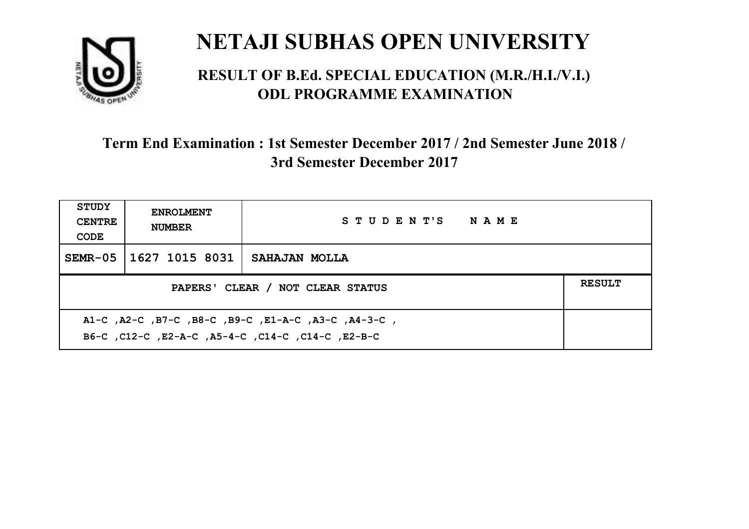

#### **RESULT OF B.Ed. SPECIAL EDUCATION (M.R./H.I./V.I.) ODL PROGRAMME EXAMINATION**

| <b>STUDY</b><br><b>CENTRE</b><br>CODE                                                                    | <b>ENROLMENT</b><br><b>NUMBER</b> | STUDENT'S NAME |  |  |
|----------------------------------------------------------------------------------------------------------|-----------------------------------|----------------|--|--|
|                                                                                                          | SEMR-05   1627 1015 8031          | SAHAJAN MOLLA  |  |  |
| <b>RESULT</b><br>PAPERS' CLEAR / NOT CLEAR STATUS                                                        |                                   |                |  |  |
| A1-C, A2-C, B7-C, B8-C, B9-C, E1-A-C, A3-C, A4-3-C,<br>B6-C, C12-C, E2-A-C, A5-4-C, C14-C, C14-C, E2-B-C |                                   |                |  |  |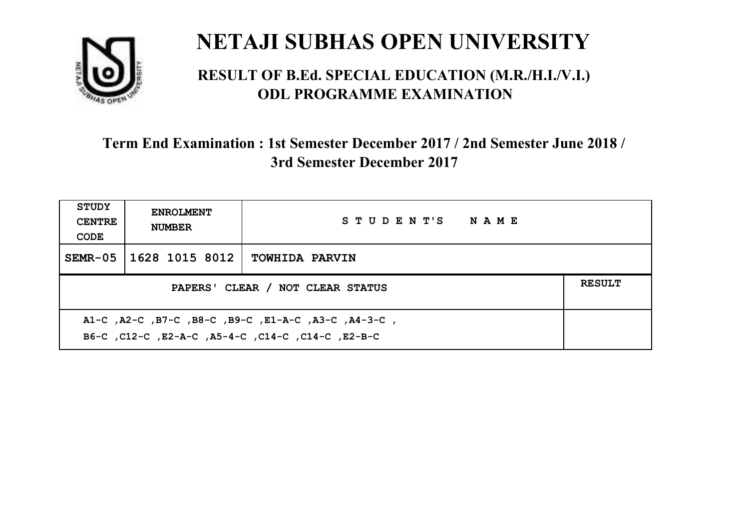

#### **RESULT OF B.Ed. SPECIAL EDUCATION (M.R./H.I./V.I.) ODL PROGRAMME EXAMINATION**

| <b>STUDY</b><br><b>CENTRE</b><br>CODE                                                                    | <b>ENROLMENT</b><br><b>NUMBER</b>                 | STUDENT'S NAME        |  |  |  |
|----------------------------------------------------------------------------------------------------------|---------------------------------------------------|-----------------------|--|--|--|
| $SEMR-05$                                                                                                | 1628 1015 8012                                    | <b>TOWHIDA PARVIN</b> |  |  |  |
|                                                                                                          | <b>RESULT</b><br>PAPERS' CLEAR / NOT CLEAR STATUS |                       |  |  |  |
| A1-C, A2-C, B7-C, B8-C, B9-C, E1-A-C, A3-C, A4-3-C,<br>B6-C, C12-C, E2-A-C, A5-4-C, C14-C, C14-C, E2-B-C |                                                   |                       |  |  |  |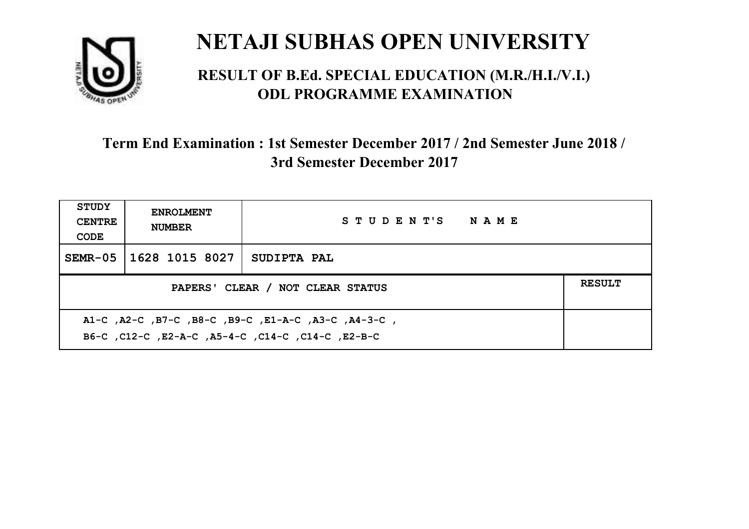

#### **RESULT OF B.Ed. SPECIAL EDUCATION (M.R./H.I./V.I.) ODL PROGRAMME EXAMINATION**

| <b>STUDY</b><br><b>CENTRE</b><br>CODE                                                                    | <b>ENROLMENT</b><br><b>NUMBER</b>                 | STUDENT'S NAME     |  |  |  |
|----------------------------------------------------------------------------------------------------------|---------------------------------------------------|--------------------|--|--|--|
| $SEMR-05$                                                                                                | 1628 1015 8027                                    | <b>SUDIPTA PAL</b> |  |  |  |
|                                                                                                          | <b>RESULT</b><br>PAPERS' CLEAR / NOT CLEAR STATUS |                    |  |  |  |
| A1-C, A2-C, B7-C, B8-C, B9-C, E1-A-C, A3-C, A4-3-C,<br>B6-C, C12-C, E2-A-C, A5-4-C, C14-C, C14-C, E2-B-C |                                                   |                    |  |  |  |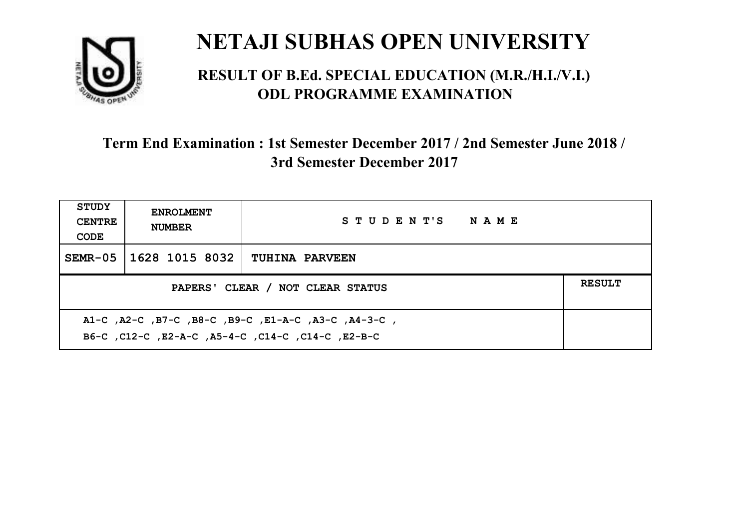

#### **RESULT OF B.Ed. SPECIAL EDUCATION (M.R./H.I./V.I.) ODL PROGRAMME EXAMINATION**

| <b>STUDY</b><br><b>CENTRE</b><br>CODE                                                                    | <b>ENROLMENT</b><br><b>NUMBER</b>                 | STUDENT'S NAME        |  |  |  |
|----------------------------------------------------------------------------------------------------------|---------------------------------------------------|-----------------------|--|--|--|
| $SEMR-05$                                                                                                | 1628 1015 8032                                    | <b>TUHINA PARVEEN</b> |  |  |  |
|                                                                                                          | <b>RESULT</b><br>PAPERS' CLEAR / NOT CLEAR STATUS |                       |  |  |  |
| A1-C, A2-C, B7-C, B8-C, B9-C, E1-A-C, A3-C, A4-3-C,<br>B6-C, C12-C, E2-A-C, A5-4-C, C14-C, C14-C, E2-B-C |                                                   |                       |  |  |  |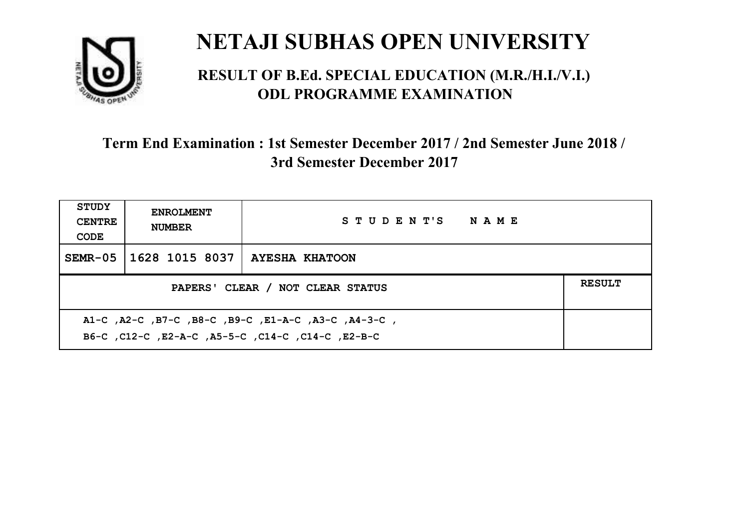

#### **RESULT OF B.Ed. SPECIAL EDUCATION (M.R./H.I./V.I.) ODL PROGRAMME EXAMINATION**

| STUDY<br><b>CENTRE</b><br>CODE                                                                           | <b>ENROLMENT</b><br><b>NUMBER</b>                 | STUDENT'S NAME        |  |  |  |
|----------------------------------------------------------------------------------------------------------|---------------------------------------------------|-----------------------|--|--|--|
| $SEMR-05$                                                                                                | 1628 1015 8037                                    | <b>AYESHA KHATOON</b> |  |  |  |
|                                                                                                          | <b>RESULT</b><br>PAPERS' CLEAR / NOT CLEAR STATUS |                       |  |  |  |
| A1-C, A2-C, B7-C, B8-C, B9-C, E1-A-C, A3-C, A4-3-C,<br>B6-C, C12-C, E2-A-C, A5-5-C, C14-C, C14-C, E2-B-C |                                                   |                       |  |  |  |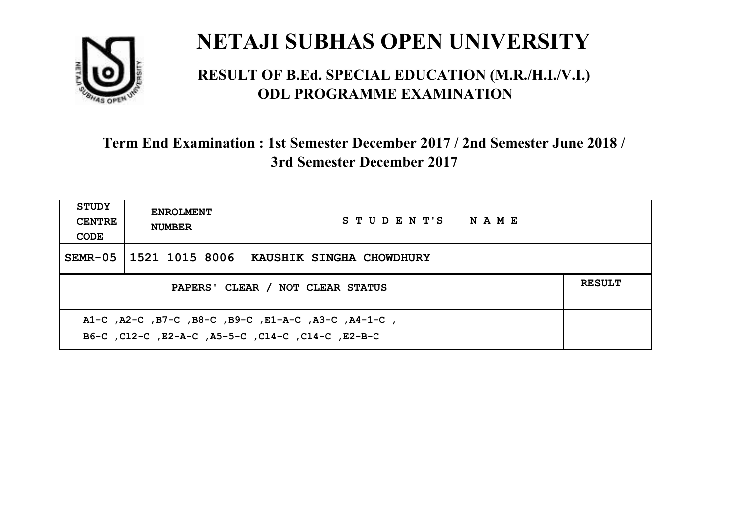

#### **RESULT OF B.Ed. SPECIAL EDUCATION (M.R./H.I./V.I.) ODL PROGRAMME EXAMINATION**

| <b>STUDY</b><br><b>CENTRE</b><br>CODE                                                                     | <b>ENROLMENT</b><br><b>NUMBER</b>                 | STUDENT'S NAME           |  |  |  |
|-----------------------------------------------------------------------------------------------------------|---------------------------------------------------|--------------------------|--|--|--|
| $SEMR-05$                                                                                                 | 1521 1015 8006                                    | KAUSHIK SINGHA CHOWDHURY |  |  |  |
|                                                                                                           | <b>RESULT</b><br>PAPERS' CLEAR / NOT CLEAR STATUS |                          |  |  |  |
| A1-C, A2-C, B7-C, B8-C, B9-C, E1-A-C, A3-C, A4-1-C,<br>B6-C, C12-C, E2-A-C, A5-5-C, C14-C, C14-C, C12-B-C |                                                   |                          |  |  |  |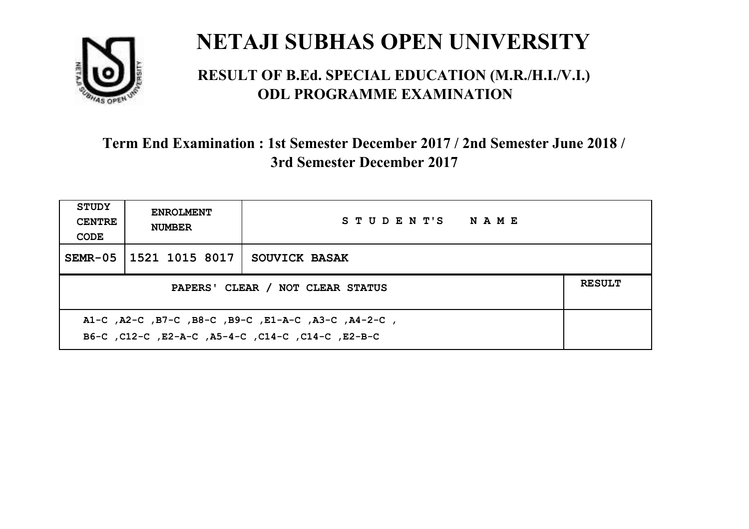

#### **RESULT OF B.Ed. SPECIAL EDUCATION (M.R./H.I./V.I.) ODL PROGRAMME EXAMINATION**

| <b>STUDY</b><br><b>CENTRE</b><br>CODE                                                                    | <b>ENROLMENT</b><br><b>NUMBER</b> | STUDENT'S NAME       |  |  |
|----------------------------------------------------------------------------------------------------------|-----------------------------------|----------------------|--|--|
| $SEMR-05$                                                                                                | 1521 1015 8017                    | <b>SOUVICK BASAK</b> |  |  |
| <b>RESULT</b><br>PAPERS' CLEAR / NOT CLEAR STATUS                                                        |                                   |                      |  |  |
| A1-C, A2-C, B7-C, B8-C, B9-C, E1-A-C, A3-C, A4-2-C,<br>B6-C, C12-C, E2-A-C, A5-4-C, C14-C, C14-C, E2-B-C |                                   |                      |  |  |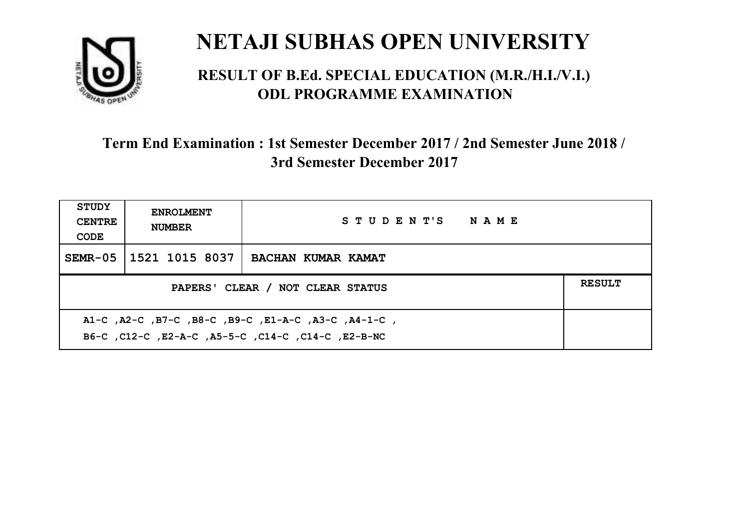

#### **RESULT OF B.Ed. SPECIAL EDUCATION (M.R./H.I./V.I.) ODL PROGRAMME EXAMINATION**

| <b>STUDY</b><br><b>CENTRE</b><br>CODE | <b>ENROLMENT</b><br><b>NUMBER</b>                                                                         | STUDENT'S NAME     |  |  |  |
|---------------------------------------|-----------------------------------------------------------------------------------------------------------|--------------------|--|--|--|
| SEMR-05                               | 1521 1015 8037                                                                                            | BACHAN KUMAR KAMAT |  |  |  |
|                                       | <b>RESULT</b><br>PAPERS' CLEAR / NOT CLEAR STATUS                                                         |                    |  |  |  |
|                                       | A1-C, A2-C, B7-C, B8-C, B9-C, E1-A-C, A3-C, A4-1-C,<br>B6-C, C12-C, E2-A-C, A5-5-C, C14-C, C14-C, E2-B-NC |                    |  |  |  |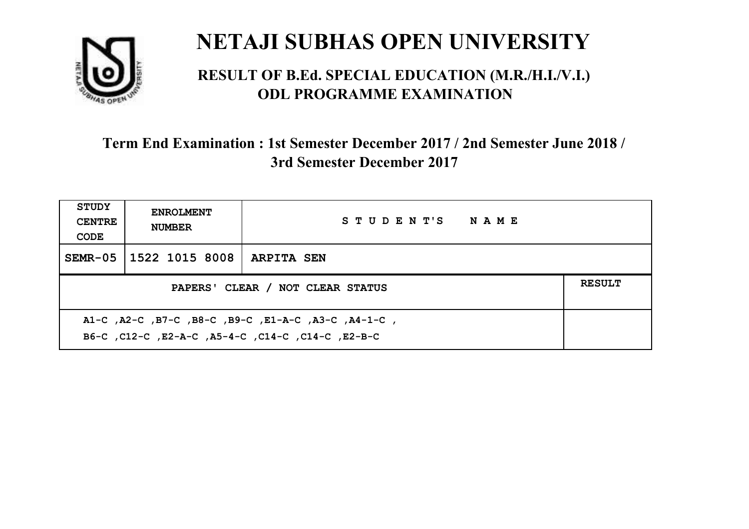

#### **RESULT OF B.Ed. SPECIAL EDUCATION (M.R./H.I./V.I.) ODL PROGRAMME EXAMINATION**

| <b>STUDY</b><br><b>CENTRE</b><br>CODE             | <b>ENROLMENT</b><br><b>NUMBER</b>                                                                         | STUDENT'S NAME    |  |  |  |
|---------------------------------------------------|-----------------------------------------------------------------------------------------------------------|-------------------|--|--|--|
| $SEMR-05$                                         | 1522 1015 8008                                                                                            | <b>ARPITA SEN</b> |  |  |  |
| <b>RESULT</b><br>PAPERS' CLEAR / NOT CLEAR STATUS |                                                                                                           |                   |  |  |  |
|                                                   | A1-C, A2-C, B7-C, B8-C, B9-C, E1-A-C, A3-C, A4-1-C,<br>B6-C, C12-C, E2-A-C, A5-4-C, C14-C, C14-C, C12-B-C |                   |  |  |  |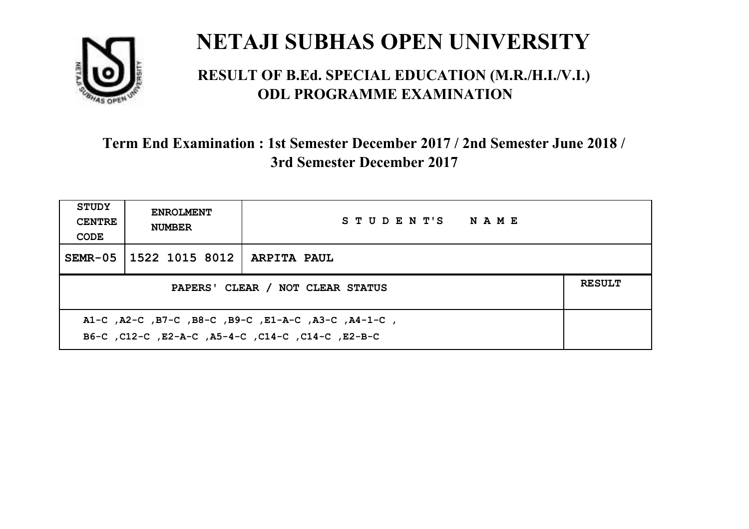

#### **RESULT OF B.Ed. SPECIAL EDUCATION (M.R./H.I./V.I.) ODL PROGRAMME EXAMINATION**

| <b>STUDY</b><br><b>CENTRE</b><br>CODE                                                                     | <b>ENROLMENT</b><br><b>NUMBER</b>                 | STUDENT'S NAME     |  |  |  |
|-----------------------------------------------------------------------------------------------------------|---------------------------------------------------|--------------------|--|--|--|
|                                                                                                           | SEMR-05   1522 1015 8012                          | <b>ARPITA PAUL</b> |  |  |  |
|                                                                                                           | <b>RESULT</b><br>PAPERS' CLEAR / NOT CLEAR STATUS |                    |  |  |  |
| A1-C, A2-C, B7-C, B8-C, B9-C, E1-A-C, A3-C, A4-1-C,<br>B6-C, C12-C, E2-A-C, A5-4-C, C14-C, C14-C, C12-B-C |                                                   |                    |  |  |  |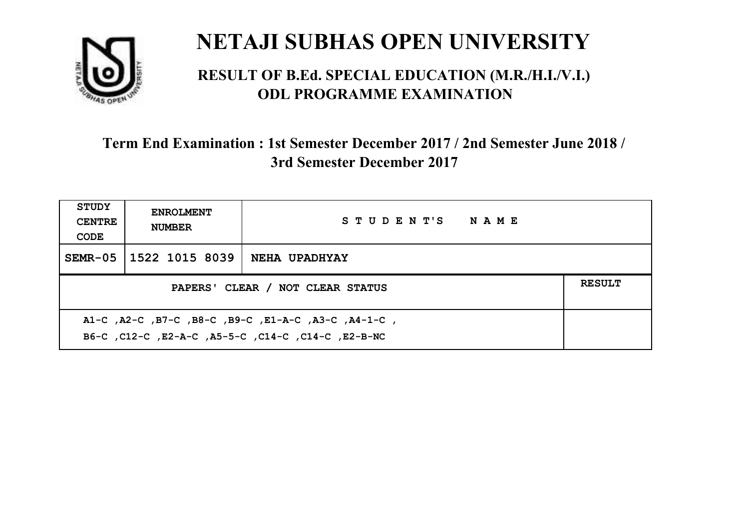

#### **RESULT OF B.Ed. SPECIAL EDUCATION (M.R./H.I./V.I.) ODL PROGRAMME EXAMINATION**

| <b>STUDY</b><br><b>CENTRE</b><br>CODE                                                                     | <b>ENROLMENT</b><br><b>NUMBER</b>                 | STUDENT'S NAME       |  |  |  |
|-----------------------------------------------------------------------------------------------------------|---------------------------------------------------|----------------------|--|--|--|
|                                                                                                           | SEMR-05 1522 1015 8039                            | <b>NEHA UPADHYAY</b> |  |  |  |
|                                                                                                           | <b>RESULT</b><br>PAPERS' CLEAR / NOT CLEAR STATUS |                      |  |  |  |
| A1-C, A2-C, B7-C, B8-C, B9-C, E1-A-C, A3-C, A4-1-C,<br>B6-C, C12-C, E2-A-C, A5-5-C, C14-C, C14-C, E2-B-NC |                                                   |                      |  |  |  |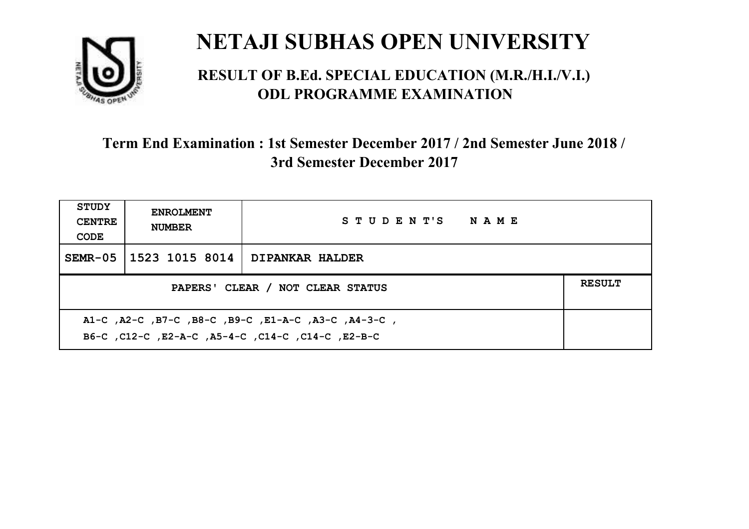

#### **RESULT OF B.Ed. SPECIAL EDUCATION (M.R./H.I./V.I.) ODL PROGRAMME EXAMINATION**

| <b>STUDY</b><br><b>CENTRE</b><br>CODE                                                                      | <b>ENROLMENT</b><br><b>NUMBER</b>                 | STUDENT'S NAME         |  |  |  |
|------------------------------------------------------------------------------------------------------------|---------------------------------------------------|------------------------|--|--|--|
| $SEMR-05$                                                                                                  | 1523 1015 8014                                    | <b>DIPANKAR HALDER</b> |  |  |  |
|                                                                                                            | <b>RESULT</b><br>PAPERS' CLEAR / NOT CLEAR STATUS |                        |  |  |  |
| , A1-C, A2-C, B7-C, B8-C, B9-C, E1-A-C, A3-C, A4-3-C,<br>B6-C, C12-C, E2-A-C, A5-4-C, C14-C, C14-C, E2-B-C |                                                   |                        |  |  |  |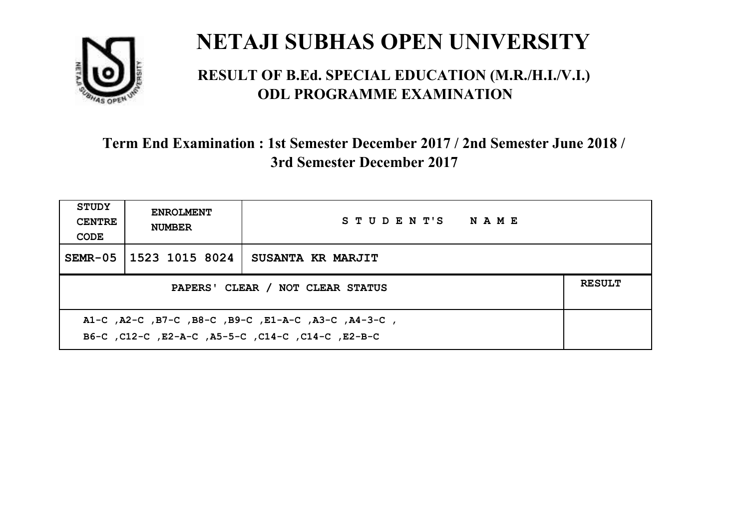

#### **RESULT OF B.Ed. SPECIAL EDUCATION (M.R./H.I./V.I.) ODL PROGRAMME EXAMINATION**

| <b>STUDY</b><br><b>CENTRE</b><br>CODE                                                                     | <b>ENROLMENT</b><br><b>NUMBER</b>                 | STUDENT'S NAME    |  |  |  |
|-----------------------------------------------------------------------------------------------------------|---------------------------------------------------|-------------------|--|--|--|
| $SEMR-05$                                                                                                 | 1523 1015 8024                                    | SUSANTA KR MARJIT |  |  |  |
|                                                                                                           | <b>RESULT</b><br>PAPERS' CLEAR / NOT CLEAR STATUS |                   |  |  |  |
| A1-C, A2-C, B7-C, B8-C, B9-C, E1-A-C, A3-C, A4-3-C,<br>B6-C, C12-C, E2-A-C, A5-5-C, C14-C, C14-C, C12-B-C |                                                   |                   |  |  |  |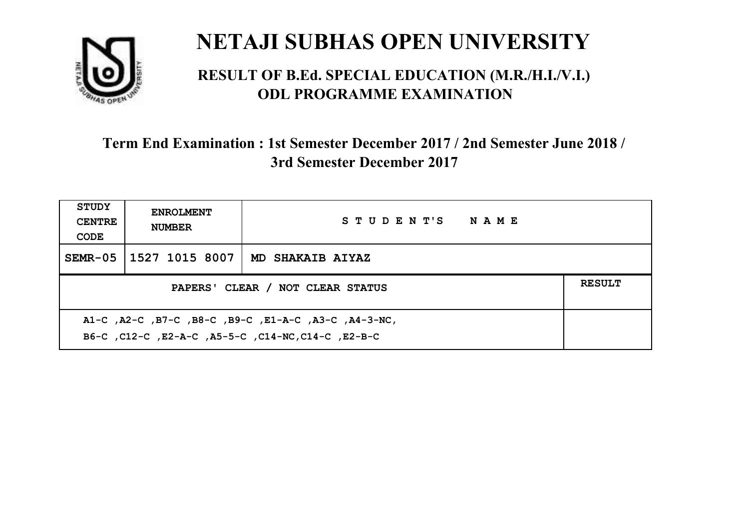

#### **RESULT OF B.Ed. SPECIAL EDUCATION (M.R./H.I./V.I.) ODL PROGRAMME EXAMINATION**

| <b>STUDY</b><br><b>CENTRE</b><br>CODE             | <b>ENROLMENT</b><br><b>NUMBER</b> | STUDENT'S NAME          |  |  |
|---------------------------------------------------|-----------------------------------|-------------------------|--|--|
|                                                   | SEMR-05   1527 1015 8007          | <b>MD SHAKAIB AIYAZ</b> |  |  |
| <b>RESULT</b><br>PAPERS' CLEAR / NOT CLEAR STATUS |                                   |                         |  |  |
|                                                   |                                   |                         |  |  |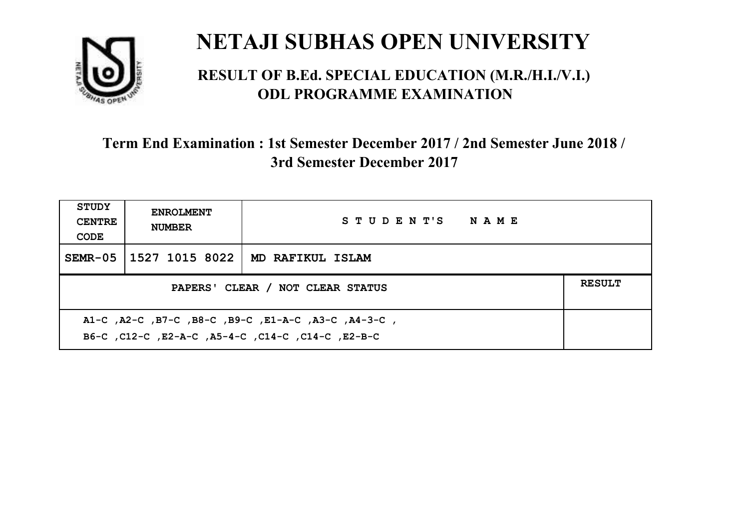

#### **RESULT OF B.Ed. SPECIAL EDUCATION (M.R./H.I./V.I.) ODL PROGRAMME EXAMINATION**

| <b>STUDY</b><br><b>CENTRE</b><br>CODE | <b>ENROLMENT</b><br><b>NUMBER</b>                                                                         | STUDENT'S NAME   |  |  |  |
|---------------------------------------|-----------------------------------------------------------------------------------------------------------|------------------|--|--|--|
| $SEMR-05$                             | 1527 1015 8022                                                                                            | MD RAFIKUL ISLAM |  |  |  |
|                                       | <b>RESULT</b><br>PAPERS' CLEAR / NOT CLEAR STATUS                                                         |                  |  |  |  |
|                                       | A1-C, A2-C, B7-C, B8-C, B9-C, E1-A-C, A3-C, A4-3-C,<br>B6-C, C12-C, E2-A-C, A5-4-C, C14-C, C14-C, C12-B-C |                  |  |  |  |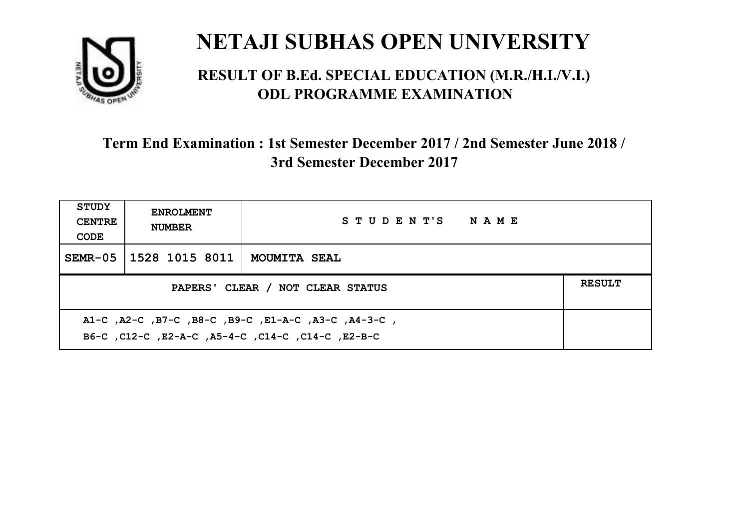

#### **RESULT OF B.Ed. SPECIAL EDUCATION (M.R./H.I./V.I.) ODL PROGRAMME EXAMINATION**

| <b>STUDY</b><br><b>CENTRE</b><br>CODE                                                                    | <b>ENROLMENT</b><br><b>NUMBER</b>                 | STUDENT'S NAME      |  |  |  |
|----------------------------------------------------------------------------------------------------------|---------------------------------------------------|---------------------|--|--|--|
| $SEMR-05$                                                                                                | 1528 1015 8011                                    | <b>MOUMITA SEAL</b> |  |  |  |
|                                                                                                          | <b>RESULT</b><br>PAPERS' CLEAR / NOT CLEAR STATUS |                     |  |  |  |
| A1-C, A2-C, B7-C, B8-C, B9-C, E1-A-C, A3-C, A4-3-C,<br>B6-C, C12-C, E2-A-C, A5-4-C, C14-C, C14-C, E2-B-C |                                                   |                     |  |  |  |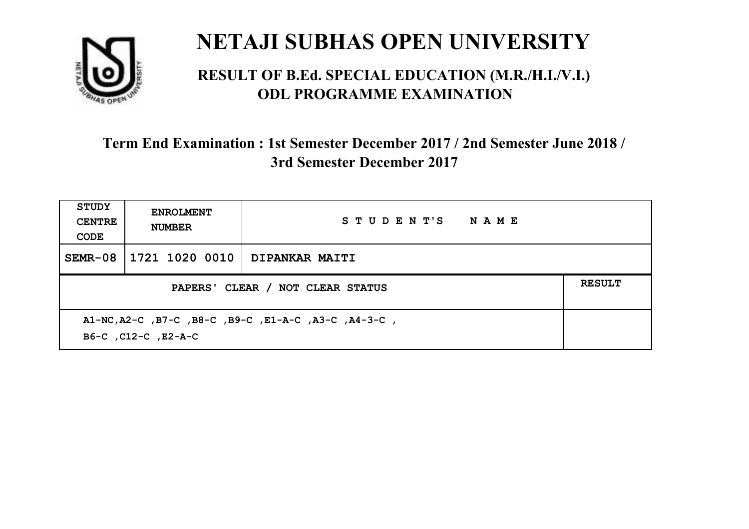

#### **RESULT OF B.Ed. SPECIAL EDUCATION (M.R./H.I./V.I.) ODL PROGRAMME EXAMINATION**

| STUDY<br><b>CENTRE</b><br>CODE | <b>ENROLMENT</b><br><b>NUMBER</b>                                           | STUDENT'S NAME |  |  |  |
|--------------------------------|-----------------------------------------------------------------------------|----------------|--|--|--|
| SEMR-08                        | 1721 1020 0010                                                              | DIPANKAR MAITI |  |  |  |
|                                | <b>RESULT</b><br>PAPERS' CLEAR / NOT CLEAR STATUS                           |                |  |  |  |
|                                | A1-NC, A2-C, B7-C, B8-C, B9-C, E1-A-C, A3-C, A4-3-C,<br>B6-C, C12-C, E2-A-C |                |  |  |  |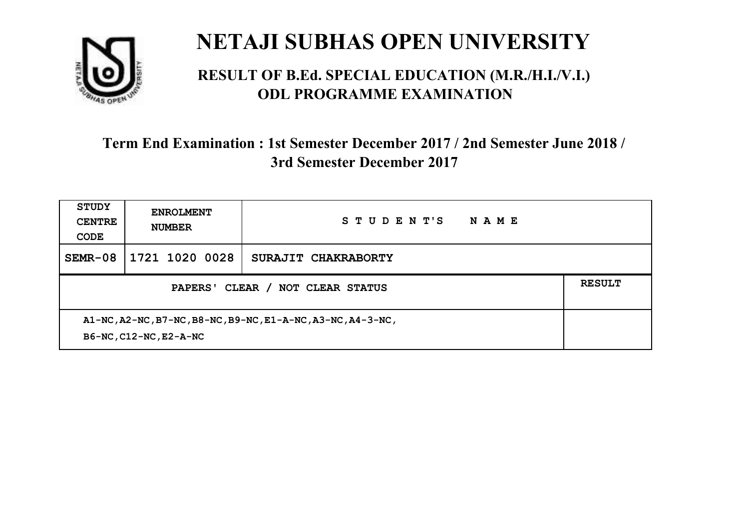

#### **RESULT OF B.Ed. SPECIAL EDUCATION (M.R./H.I./V.I.) ODL PROGRAMME EXAMINATION**

| <b>STUDY</b><br><b>CENTRE</b><br>CODE                                                 | <b>ENROLMENT</b><br><b>NUMBER</b> | STUDENT'S<br>NAME   |  |
|---------------------------------------------------------------------------------------|-----------------------------------|---------------------|--|
| $SEMR-08$                                                                             | 1721 1020 0028                    | SURAJIT CHAKRABORTY |  |
| PAPERS' CLEAR /<br>NOT CLEAR STATUS                                                   |                                   |                     |  |
| A1-NC, A2-NC, B7-NC, B8-NC, B9-NC, E1-A-NC, A3-NC, A4-3-NC,<br>B6-NC, C12-NC, E2-A-NC |                                   |                     |  |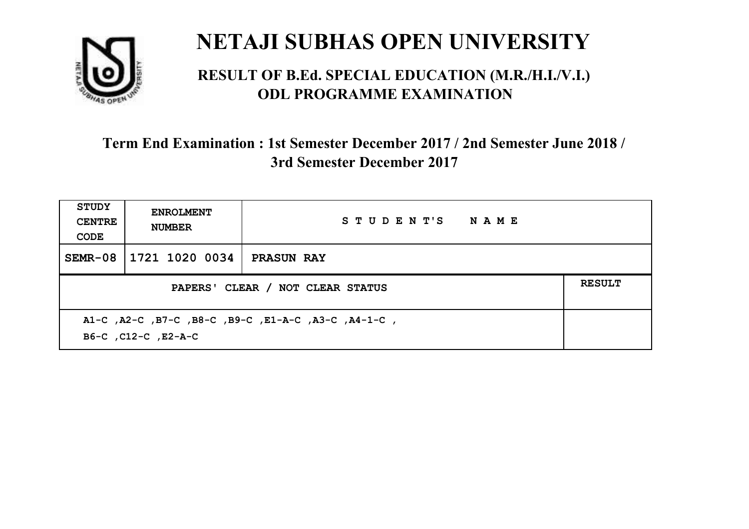

#### **RESULT OF B.Ed. SPECIAL EDUCATION (M.R./H.I./V.I.) ODL PROGRAMME EXAMINATION**

| <b>STUDY</b><br><b>CENTRE</b><br>CODE | <b>ENROLMENT</b><br><b>NUMBER</b>                                          | STUDENT'S NAME    |  |  |  |
|---------------------------------------|----------------------------------------------------------------------------|-------------------|--|--|--|
| SEMR-08                               | 1721 1020 0034                                                             | <b>PRASUN RAY</b> |  |  |  |
|                                       | <b>RESULT</b><br>PAPERS' CLEAR / NOT CLEAR STATUS                          |                   |  |  |  |
|                                       | A1-C, A2-C, B7-C, B8-C, B9-C, E1-A-C, A3-C, A4-1-C,<br>B6-C, C12-C, E2-A-C |                   |  |  |  |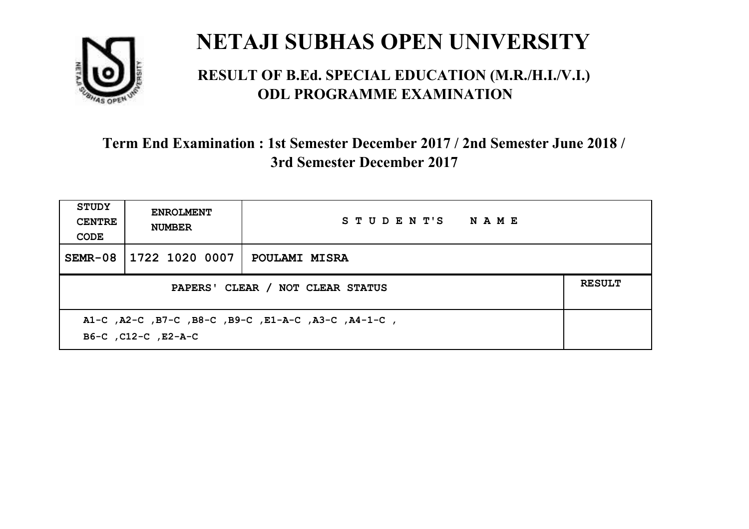

#### **RESULT OF B.Ed. SPECIAL EDUCATION (M.R./H.I./V.I.) ODL PROGRAMME EXAMINATION**

| <b>STUDY</b><br><b>CENTRE</b><br>CODE | <b>ENROLMENT</b><br><b>NUMBER</b>                                          | STUDENT'S NAME       |  |  |  |
|---------------------------------------|----------------------------------------------------------------------------|----------------------|--|--|--|
| $SEMR-08$                             | 1722 1020 0007                                                             | <b>POULAMI MISRA</b> |  |  |  |
|                                       | <b>RESULT</b><br>PAPERS' CLEAR / NOT CLEAR STATUS                          |                      |  |  |  |
|                                       | A1-C, A2-C, B7-C, B8-C, B9-C, E1-A-C, A3-C, A4-1-C,<br>B6-C, C12-C, E2-A-C |                      |  |  |  |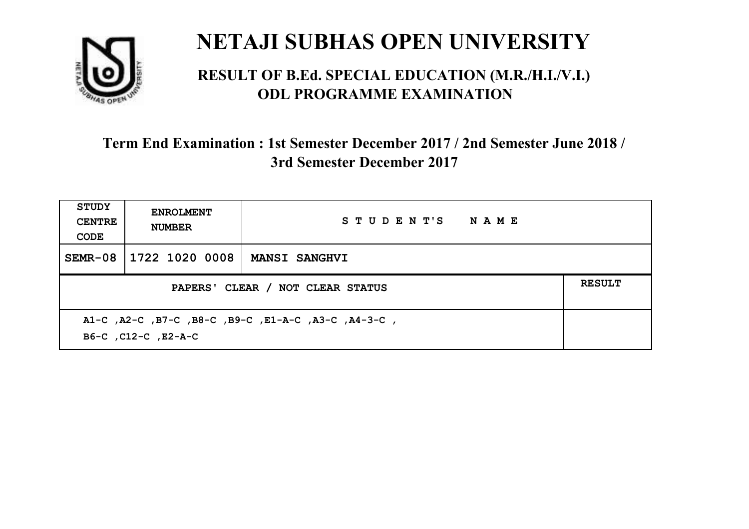

#### **RESULT OF B.Ed. SPECIAL EDUCATION (M.R./H.I./V.I.) ODL PROGRAMME EXAMINATION**

| STUDY<br><b>CENTRE</b><br>CODE | <b>ENROLMENT</b><br><b>NUMBER</b>                                          | STUDENT'S NAME       |  |  |  |
|--------------------------------|----------------------------------------------------------------------------|----------------------|--|--|--|
| SEMR-08                        | 1722 1020 0008                                                             | <b>MANSI SANGHVI</b> |  |  |  |
|                                | <b>RESULT</b><br>PAPERS' CLEAR / NOT CLEAR STATUS                          |                      |  |  |  |
|                                | A1-C, A2-C, B7-C, B8-C, B9-C, E1-A-C, A3-C, A4-3-C,<br>B6-C, C12-C, E2-A-C |                      |  |  |  |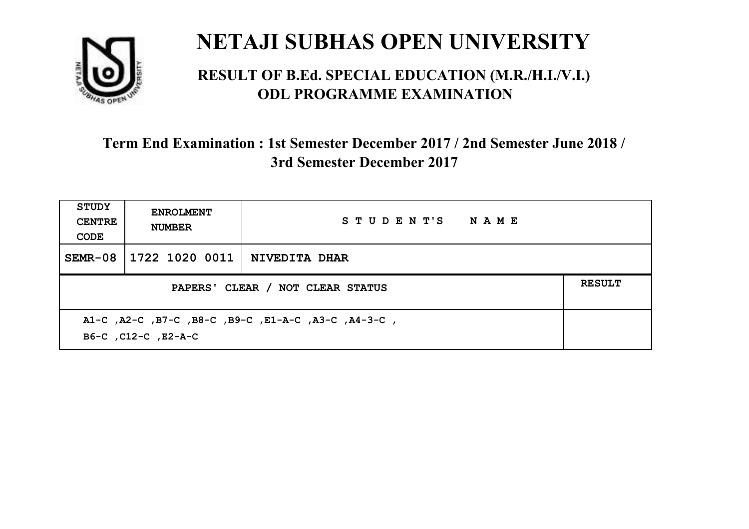

#### **RESULT OF B.Ed. SPECIAL EDUCATION (M.R./H.I./V.I.) ODL PROGRAMME EXAMINATION**

| <b>STUDY</b><br><b>CENTRE</b><br>CODE | <b>ENROLMENT</b><br><b>NUMBER</b>                                          | STUDENT'S NAME |  |  |  |
|---------------------------------------|----------------------------------------------------------------------------|----------------|--|--|--|
| SEMR-08                               | 1722 1020 0011                                                             | NIVEDITA DHAR  |  |  |  |
|                                       | <b>RESULT</b><br>PAPERS' CLEAR / NOT CLEAR STATUS                          |                |  |  |  |
|                                       | A1-C, A2-C, B7-C, B8-C, B9-C, E1-A-C, A3-C, A4-3-C,<br>B6-C, C12-C, E2-A-C |                |  |  |  |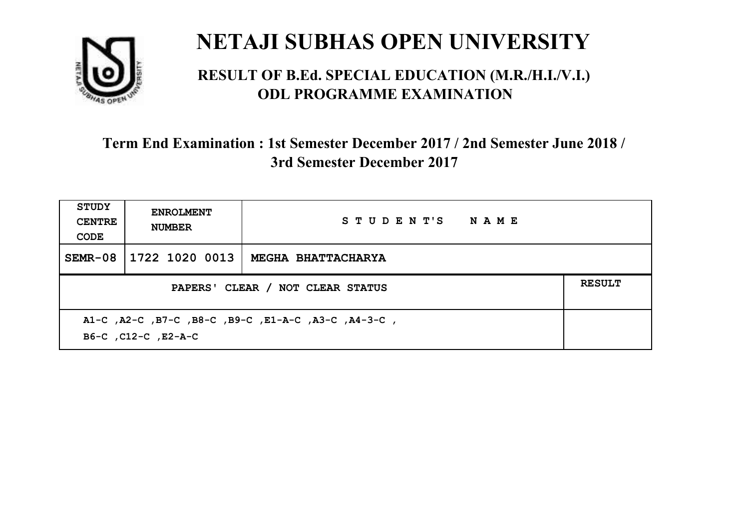

#### **RESULT OF B.Ed. SPECIAL EDUCATION (M.R./H.I./V.I.) ODL PROGRAMME EXAMINATION**

| <b>STUDY</b><br><b>CENTRE</b><br>CODE                                      | <b>ENROLMENT</b><br><b>NUMBER</b>                 | STUDENT'S NAME            |  |  |  |
|----------------------------------------------------------------------------|---------------------------------------------------|---------------------------|--|--|--|
| $SEMR-08$                                                                  | 1722 1020 0013                                    | <b>MEGHA BHATTACHARYA</b> |  |  |  |
|                                                                            | <b>RESULT</b><br>PAPERS' CLEAR / NOT CLEAR STATUS |                           |  |  |  |
| A1-C, A2-C, B7-C, B8-C, B9-C, E1-A-C, A3-C, A4-3-C,<br>B6-C, C12-C, E2-A-C |                                                   |                           |  |  |  |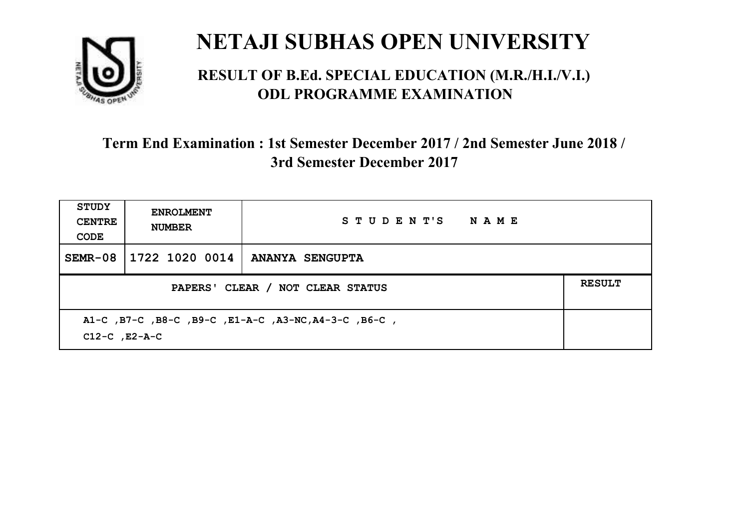

#### **RESULT OF B.Ed. SPECIAL EDUCATION (M.R./H.I./V.I.) ODL PROGRAMME EXAMINATION**

| <b>STUDY</b><br><b>CENTRE</b><br>CODE                                      | <b>ENROLMENT</b><br><b>NUMBER</b>                 | STUDENT'S NAME         |  |  |
|----------------------------------------------------------------------------|---------------------------------------------------|------------------------|--|--|
| SEMR-08                                                                    | 1722 1020 0014                                    | <b>ANANYA SENGUPTA</b> |  |  |
|                                                                            | <b>RESULT</b><br>PAPERS' CLEAR / NOT CLEAR STATUS |                        |  |  |
| A1-C, B7-C, B8-C, B9-C, E1-A-C, A3-NC, A4-3-C, B6-C,<br>$C12-C$ , $E2-A-C$ |                                                   |                        |  |  |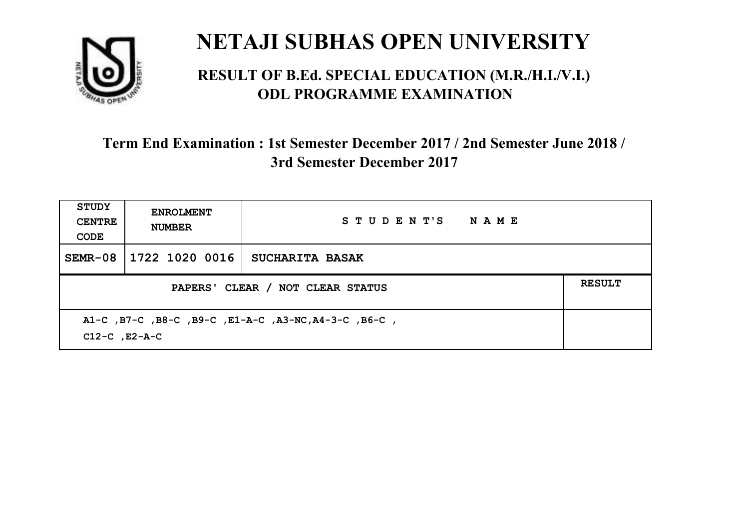

#### **RESULT OF B.Ed. SPECIAL EDUCATION (M.R./H.I./V.I.) ODL PROGRAMME EXAMINATION**

| <b>STUDY</b><br><b>CENTRE</b><br>CODE                                      | <b>ENROLMENT</b><br><b>NUMBER</b> | STUDENT'S NAME         |  |  |
|----------------------------------------------------------------------------|-----------------------------------|------------------------|--|--|
| SEMR-08                                                                    | 1722 1020 0016                    | <b>SUCHARITA BASAK</b> |  |  |
| <b>RESULT</b><br>PAPERS' CLEAR / NOT CLEAR STATUS                          |                                   |                        |  |  |
| A1-C, B7-C, B8-C, B9-C, E1-A-C, A3-NC, A4-3-C, B6-C,<br>$C12-C$ , $E2-A-C$ |                                   |                        |  |  |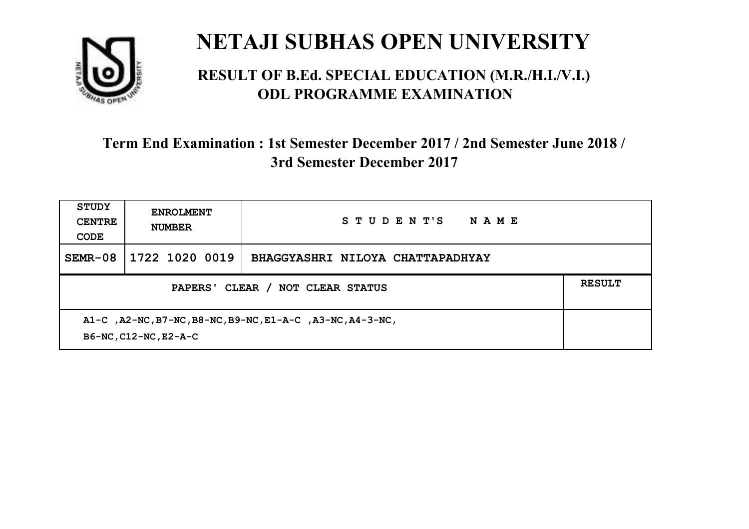

#### **RESULT OF B.Ed. SPECIAL EDUCATION (M.R./H.I./V.I.) ODL PROGRAMME EXAMINATION**

| <b>STUDY</b><br><b>CENTRE</b><br>CODE                                              | <b>ENROLMENT</b><br><b>NUMBER</b> | STUDENT'S<br><b>NAME</b>         |  |
|------------------------------------------------------------------------------------|-----------------------------------|----------------------------------|--|
| $SEMR-08$                                                                          | 1722 1020 0019                    | BHAGGYASHRI NILOYA CHATTAPADHYAY |  |
| PAPERS' CLEAR / NOT CLEAR STATUS                                                   |                                   |                                  |  |
| A1-C, A2-NC, B7-NC, B8-NC, B9-NC, E1-A-C, A3-NC, A4-3-NC,<br>B6-NC, C12-NC, E2-A-C |                                   |                                  |  |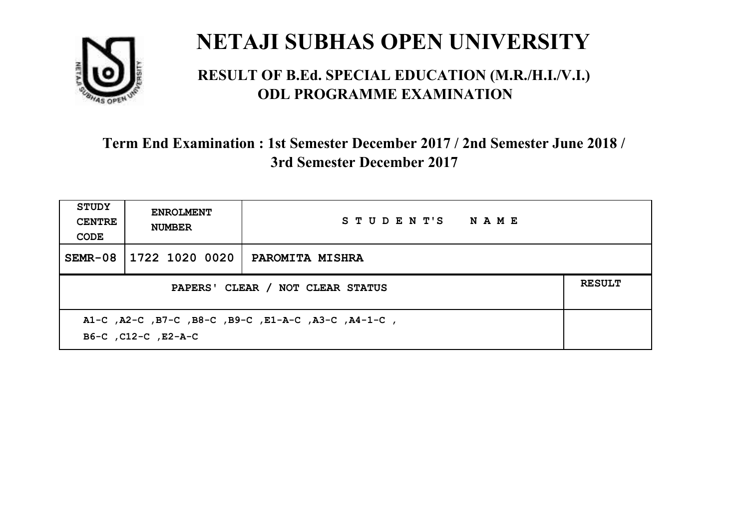

#### **RESULT OF B.Ed. SPECIAL EDUCATION (M.R./H.I./V.I.) ODL PROGRAMME EXAMINATION**

| STUDY<br><b>CENTRE</b><br>CODE                                             | <b>ENROLMENT</b><br><b>NUMBER</b>                 | STUDENT'S NAME         |  |  |  |
|----------------------------------------------------------------------------|---------------------------------------------------|------------------------|--|--|--|
| SEMR-08                                                                    | 1722 1020 0020                                    | <b>PAROMITA MISHRA</b> |  |  |  |
|                                                                            | <b>RESULT</b><br>PAPERS' CLEAR / NOT CLEAR STATUS |                        |  |  |  |
| A1-C, A2-C, B7-C, B8-C, B9-C, E1-A-C, A3-C, A4-1-C,<br>B6-C, C12-C, E2-A-C |                                                   |                        |  |  |  |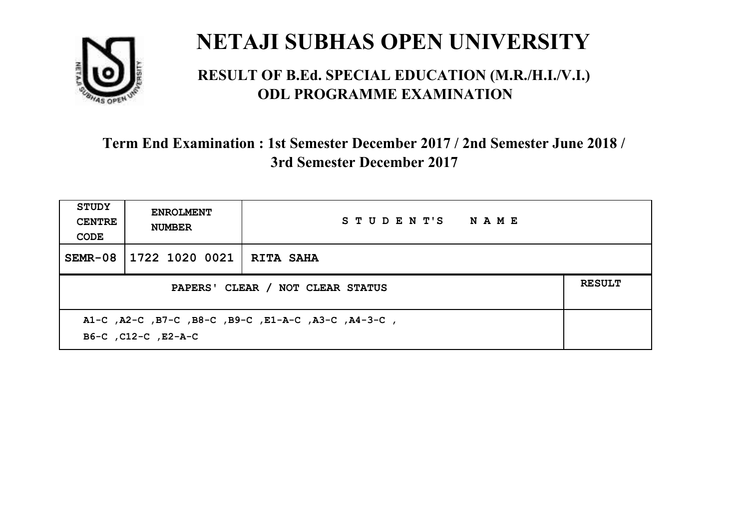

#### **RESULT OF B.Ed. SPECIAL EDUCATION (M.R./H.I./V.I.) ODL PROGRAMME EXAMINATION**

| <b>STUDY</b><br><b>CENTRE</b><br>CODE | <b>ENROLMENT</b><br><b>NUMBER</b>                                          | STUDENT'S NAME |  |  |  |
|---------------------------------------|----------------------------------------------------------------------------|----------------|--|--|--|
| SEMR-08                               | 1722 1020 0021   RITA SAHA                                                 |                |  |  |  |
|                                       | <b>RESULT</b><br>PAPERS' CLEAR / NOT CLEAR STATUS                          |                |  |  |  |
|                                       | A1-C, A2-C, B7-C, B8-C, B9-C, E1-A-C, A3-C, A4-3-C,<br>B6-C, C12-C, E2-A-C |                |  |  |  |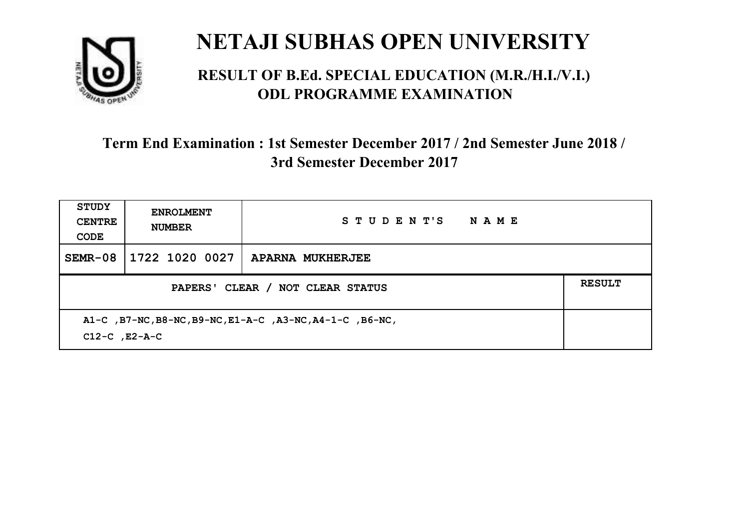

#### **RESULT OF B.Ed. SPECIAL EDUCATION (M.R./H.I./V.I.) ODL PROGRAMME EXAMINATION**

| <b>STUDY</b><br><b>CENTRE</b><br>CODE                                          | <b>ENROLMENT</b><br><b>NUMBER</b> | STUDENT'S<br><b>NAME</b> |  |
|--------------------------------------------------------------------------------|-----------------------------------|--------------------------|--|
| $SEMR-08$                                                                      | 1722 1020 0027                    | APARNA MUKHERJEE         |  |
| PAPERS' CLEAR / NOT CLEAR STATUS                                               |                                   |                          |  |
| A1-C, B7-NC, B8-NC, B9-NC, E1-A-C, A3-NC, A4-1-C, B6-NC,<br>$C12-C$ , $E2-A-C$ |                                   |                          |  |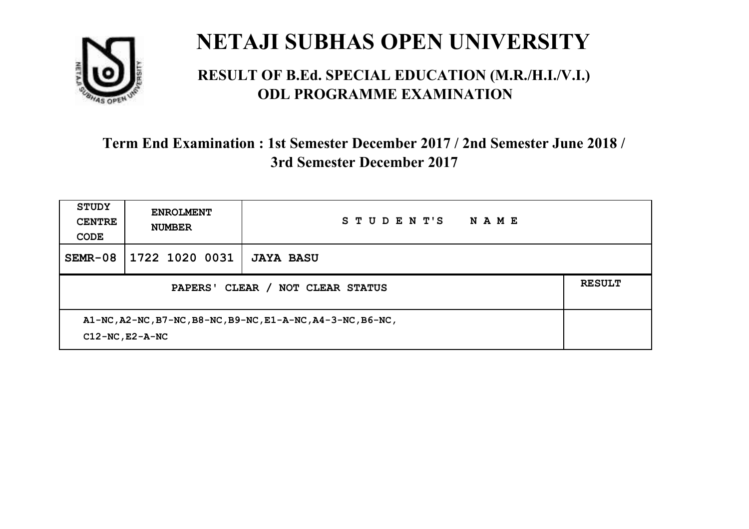

#### **RESULT OF B.Ed. SPECIAL EDUCATION (M.R./H.I./V.I.) ODL PROGRAMME EXAMINATION**

| <b>STUDY</b><br><b>CENTRE</b><br>CODE                                               | <b>ENROLMENT</b><br><b>NUMBER</b> | STUDENT'S<br>NAME |  |
|-------------------------------------------------------------------------------------|-----------------------------------|-------------------|--|
| $SEMR-08$                                                                           | 1722 1020 0031                    | <b>JAYA BASU</b>  |  |
| CLEAR /<br><b>PAPERS'</b><br>NOT CLEAR STATUS                                       |                                   |                   |  |
| A1-NC, A2-NC, B7-NC, B8-NC, B9-NC, E1-A-NC, A4-3-NC, B6-NC,<br>$C12-NC$ , $E2-A-NC$ |                                   |                   |  |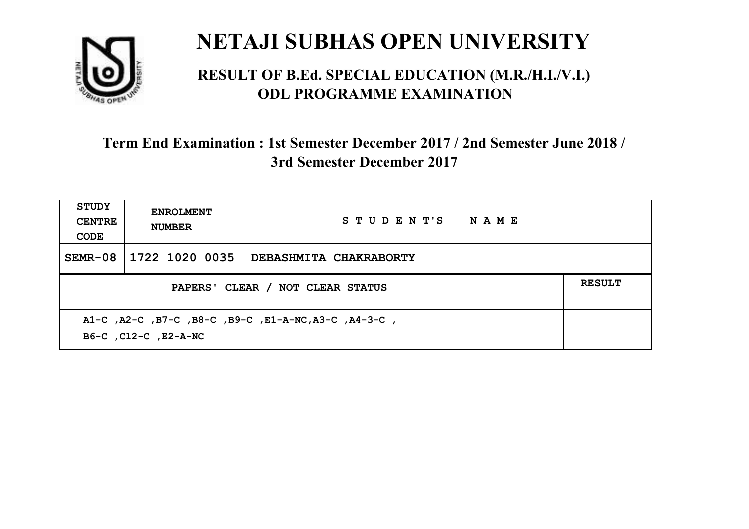

#### **RESULT OF B.Ed. SPECIAL EDUCATION (M.R./H.I./V.I.) ODL PROGRAMME EXAMINATION**

| <b>STUDY</b><br><b>CENTRE</b><br>CODE                                        | <b>ENROLMENT</b><br><b>NUMBER</b>                 | STUDENT'S NAME         |  |  |  |
|------------------------------------------------------------------------------|---------------------------------------------------|------------------------|--|--|--|
| $SEMR-08$                                                                    | 1722 1020 0035                                    | DEBASHMITA CHAKRABORTY |  |  |  |
|                                                                              | <b>RESULT</b><br>PAPERS' CLEAR / NOT CLEAR STATUS |                        |  |  |  |
| A1-C, A2-C, B7-C, B8-C, B9-C, E1-A-NC, A3-C, A4-3-C,<br>B6-C, C12-C, E2-A-NC |                                                   |                        |  |  |  |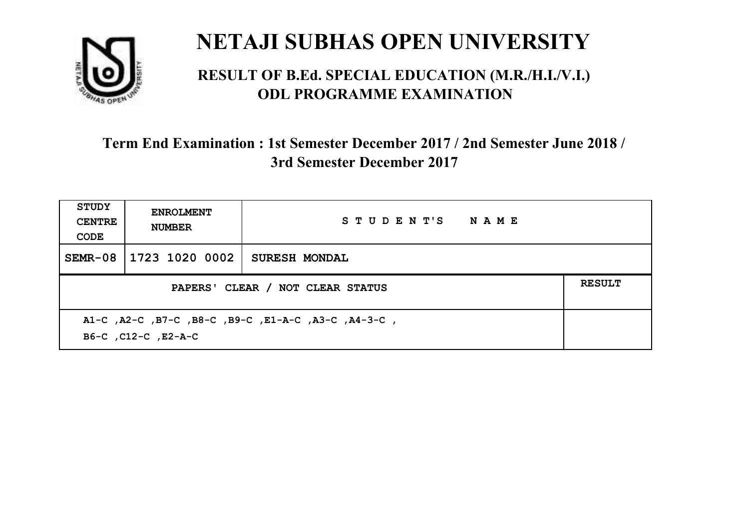

#### **RESULT OF B.Ed. SPECIAL EDUCATION (M.R./H.I./V.I.) ODL PROGRAMME EXAMINATION**

| <b>STUDY</b><br><b>CENTRE</b><br>CODE                                      | <b>ENROLMENT</b><br><b>NUMBER</b>                 | STUDENT'S NAME       |  |  |  |
|----------------------------------------------------------------------------|---------------------------------------------------|----------------------|--|--|--|
| $SEMR-08$                                                                  | 1723 1020 0002                                    | <b>SURESH MONDAL</b> |  |  |  |
|                                                                            | <b>RESULT</b><br>PAPERS' CLEAR / NOT CLEAR STATUS |                      |  |  |  |
| A1-C, A2-C, B7-C, B8-C, B9-C, E1-A-C, A3-C, A4-3-C,<br>B6-C, C12-C, E2-A-C |                                                   |                      |  |  |  |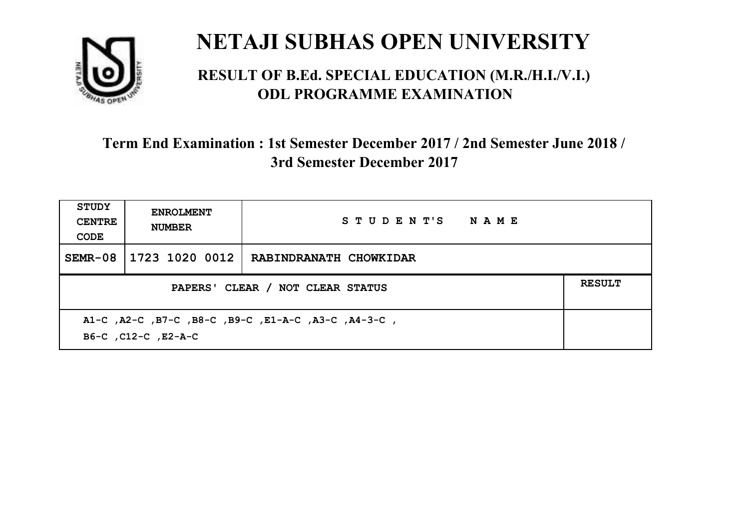

#### **RESULT OF B.Ed. SPECIAL EDUCATION (M.R./H.I./V.I.) ODL PROGRAMME EXAMINATION**

| <b>STUDY</b><br><b>CENTRE</b><br>CODE                                      | <b>ENROLMENT</b><br><b>NUMBER</b>                 | STUDENT'S NAME         |  |  |  |
|----------------------------------------------------------------------------|---------------------------------------------------|------------------------|--|--|--|
| $SEMR-08$                                                                  | 1723 1020 0012                                    | RABINDRANATH CHOWKIDAR |  |  |  |
|                                                                            | <b>RESULT</b><br>PAPERS' CLEAR / NOT CLEAR STATUS |                        |  |  |  |
| A1-C, A2-C, B7-C, B8-C, B9-C, E1-A-C, A3-C, A4-3-C,<br>B6-C, C12-C, E2-A-C |                                                   |                        |  |  |  |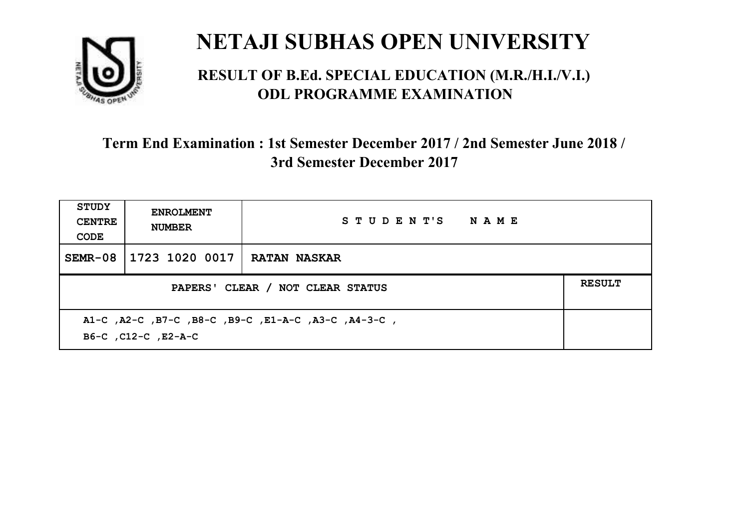

#### **RESULT OF B.Ed. SPECIAL EDUCATION (M.R./H.I./V.I.) ODL PROGRAMME EXAMINATION**

| <b>STUDY</b><br><b>CENTRE</b><br>CODE | <b>ENROLMENT</b><br><b>NUMBER</b>                                          | STUDENT'S NAME      |  |  |  |
|---------------------------------------|----------------------------------------------------------------------------|---------------------|--|--|--|
| SEMR-08                               | 1723 1020 0017                                                             | <b>RATAN NASKAR</b> |  |  |  |
|                                       | <b>RESULT</b><br>PAPERS' CLEAR / NOT CLEAR STATUS                          |                     |  |  |  |
|                                       | A1-C, A2-C, B7-C, B8-C, B9-C, E1-A-C, A3-C, A4-3-C,<br>B6-C, C12-C, E2-A-C |                     |  |  |  |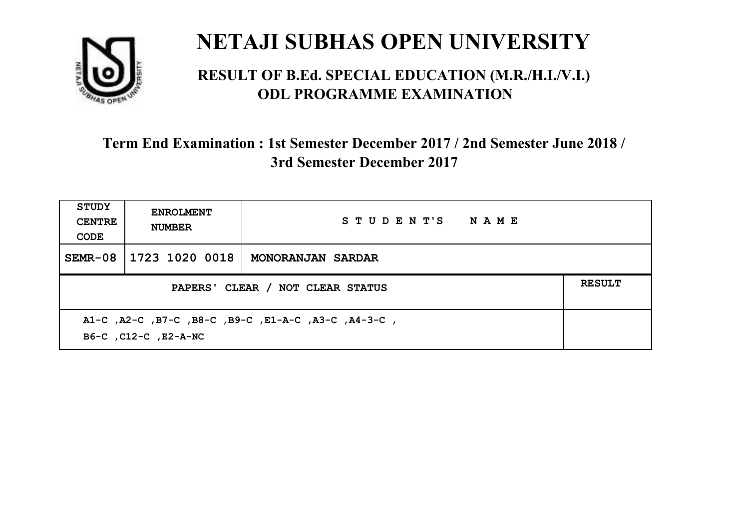

#### **RESULT OF B.Ed. SPECIAL EDUCATION (M.R./H.I./V.I.) ODL PROGRAMME EXAMINATION**

| <b>STUDY</b><br><b>CENTRE</b><br>CODE                                       | <b>ENROLMENT</b><br><b>NUMBER</b>                 | STUDENT'S NAME    |  |  |  |
|-----------------------------------------------------------------------------|---------------------------------------------------|-------------------|--|--|--|
| $SEMR-08$                                                                   | 1723 1020 0018                                    | MONORANJAN SARDAR |  |  |  |
|                                                                             | <b>RESULT</b><br>PAPERS' CLEAR / NOT CLEAR STATUS |                   |  |  |  |
| A1-C, A2-C, B7-C, B8-C, B9-C, E1-A-C, A3-C, A4-3-C,<br>B6-C, C12-C, E2-A-NC |                                                   |                   |  |  |  |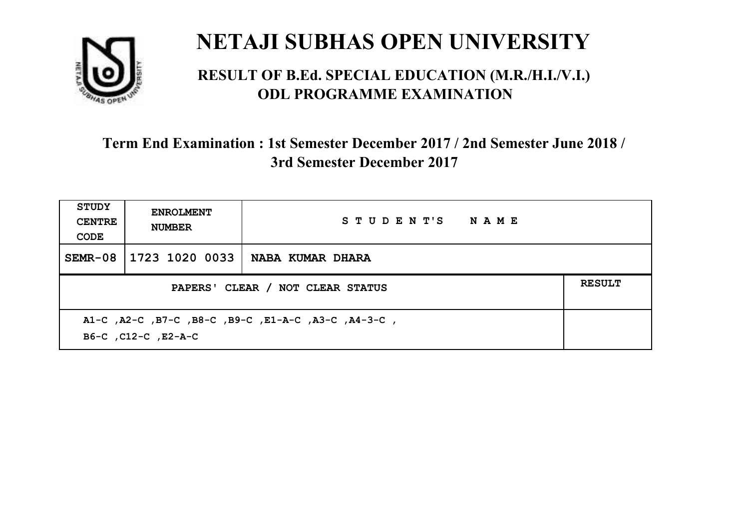

#### **RESULT OF B.Ed. SPECIAL EDUCATION (M.R./H.I./V.I.) ODL PROGRAMME EXAMINATION**

| <b>STUDY</b><br><b>CENTRE</b><br>CODE                                      | <b>ENROLMENT</b><br><b>NUMBER</b>                 | STUDENT'S NAME   |  |  |  |
|----------------------------------------------------------------------------|---------------------------------------------------|------------------|--|--|--|
| $SEMR-08$                                                                  | 1723 1020 0033                                    | NABA KUMAR DHARA |  |  |  |
|                                                                            | <b>RESULT</b><br>PAPERS' CLEAR / NOT CLEAR STATUS |                  |  |  |  |
| A1-C, A2-C, B7-C, B8-C, B9-C, E1-A-C, A3-C, A4-3-C,<br>B6-C, C12-C, E2-A-C |                                                   |                  |  |  |  |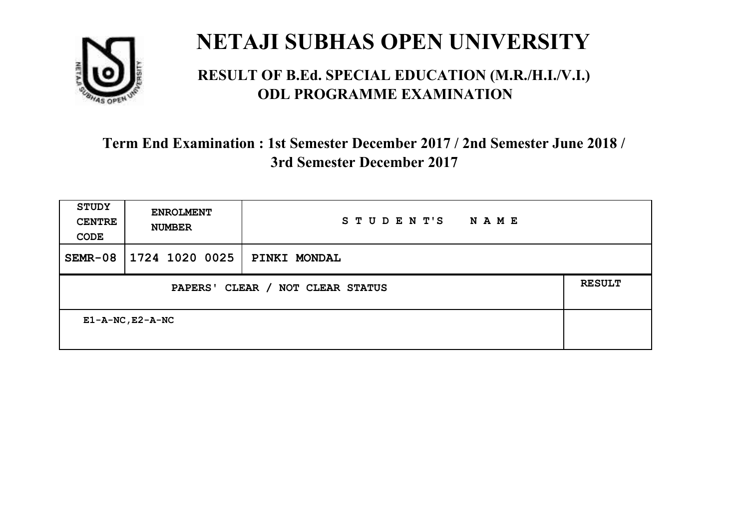

#### **RESULT OF B.Ed. SPECIAL EDUCATION (M.R./H.I./V.I.) ODL PROGRAMME EXAMINATION**

| <b>STUDY</b><br><b>CENTRE</b><br>CODE      | <b>ENROLMENT</b><br><b>NUMBER</b> | STUDENT'S<br>NAME |  |
|--------------------------------------------|-----------------------------------|-------------------|--|
| $SEMR-08$                                  | 1724 1020 0025                    | PINKI MONDAL      |  |
| CLEAR / NOT CLEAR STATUS<br><b>PAPERS'</b> |                                   |                   |  |
| $E1 - A - NC$ , $E2 - A - NC$              |                                   |                   |  |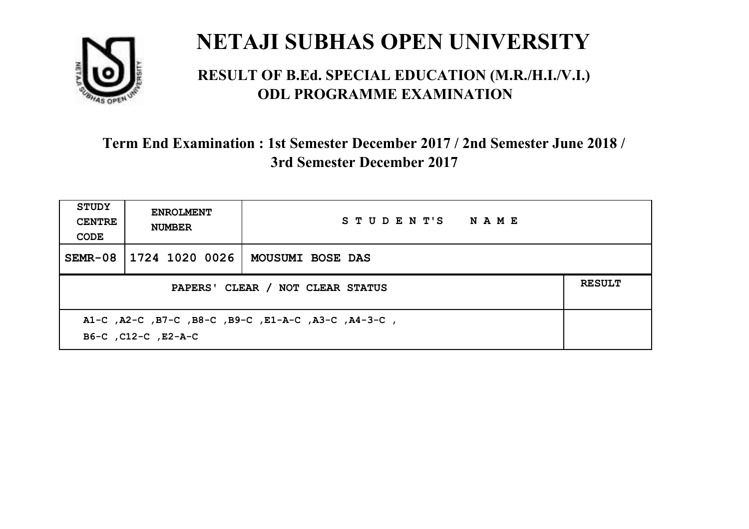

#### **RESULT OF B.Ed. SPECIAL EDUCATION (M.R./H.I./V.I.) ODL PROGRAMME EXAMINATION**

| STUDY<br><b>CENTRE</b><br>CODE                                             | <b>ENROLMENT</b><br><b>NUMBER</b>                 | STUDENT'S NAME   |  |  |  |
|----------------------------------------------------------------------------|---------------------------------------------------|------------------|--|--|--|
| SEMR-08                                                                    | 1724 1020 0026                                    | MOUSUMI BOSE DAS |  |  |  |
|                                                                            | <b>RESULT</b><br>PAPERS' CLEAR / NOT CLEAR STATUS |                  |  |  |  |
| A1-C, A2-C, B7-C, B8-C, B9-C, E1-A-C, A3-C, A4-3-C,<br>B6-C, C12-C, E2-A-C |                                                   |                  |  |  |  |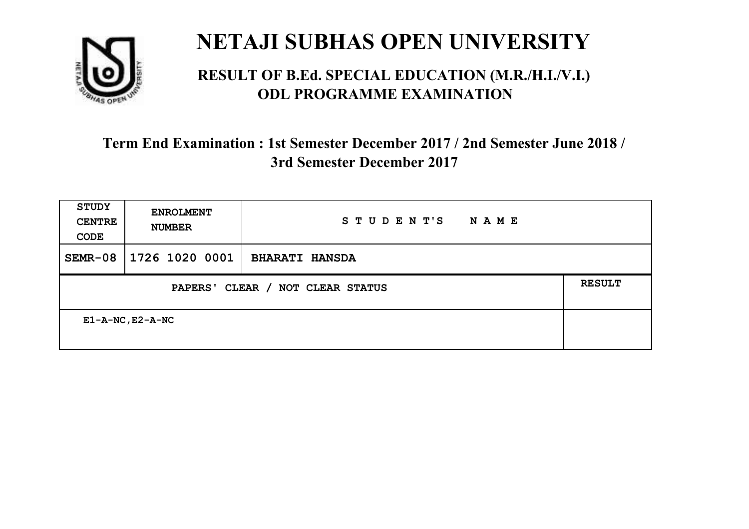

#### **RESULT OF B.Ed. SPECIAL EDUCATION (M.R./H.I./V.I.) ODL PROGRAMME EXAMINATION**

| <b>STUDY</b><br><b>CENTRE</b><br>CODE | <b>ENROLMENT</b><br><b>NUMBER</b>                           | STUDENT'S<br>NAME     |  |  |  |
|---------------------------------------|-------------------------------------------------------------|-----------------------|--|--|--|
| $SEMR-08$                             | 1726 1020 0001                                              | <b>BHARATI HANSDA</b> |  |  |  |
|                                       | <b>RESULT</b><br>CLEAR / NOT CLEAR STATUS<br><b>PAPERS'</b> |                       |  |  |  |
| $E1 - A - NC$ , $E2 - A - NC$         |                                                             |                       |  |  |  |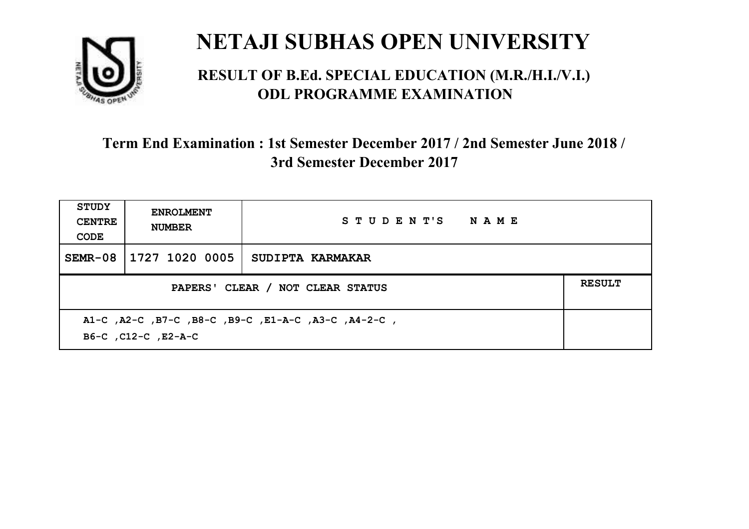

#### **RESULT OF B.Ed. SPECIAL EDUCATION (M.R./H.I./V.I.) ODL PROGRAMME EXAMINATION**

| <b>STUDY</b><br><b>CENTRE</b><br>CODE                                      | <b>ENROLMENT</b><br><b>NUMBER</b>                 | STUDENT'S NAME   |  |  |  |
|----------------------------------------------------------------------------|---------------------------------------------------|------------------|--|--|--|
| $SEMR-08$                                                                  | 1727 1020 0005                                    | SUDIPTA KARMAKAR |  |  |  |
|                                                                            | <b>RESULT</b><br>PAPERS' CLEAR / NOT CLEAR STATUS |                  |  |  |  |
| A1-C, A2-C, B7-C, B8-C, B9-C, E1-A-C, A3-C, A4-2-C,<br>B6-C, C12-C, E2-A-C |                                                   |                  |  |  |  |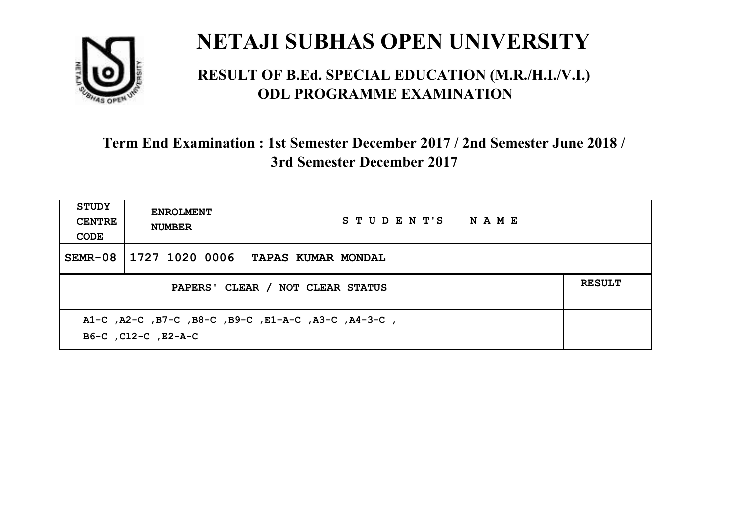

#### **RESULT OF B.Ed. SPECIAL EDUCATION (M.R./H.I./V.I.) ODL PROGRAMME EXAMINATION**

| <b>STUDY</b><br><b>CENTRE</b><br>CODE                                      | <b>ENROLMENT</b><br><b>NUMBER</b>                 | STUDENT'S NAME            |  |  |  |
|----------------------------------------------------------------------------|---------------------------------------------------|---------------------------|--|--|--|
| $SEMR-08$                                                                  | 1727 1020 0006                                    | <b>TAPAS KUMAR MONDAL</b> |  |  |  |
|                                                                            | <b>RESULT</b><br>PAPERS' CLEAR / NOT CLEAR STATUS |                           |  |  |  |
| A1-C, A2-C, B7-C, B8-C, B9-C, E1-A-C, A3-C, A4-3-C,<br>B6-C, C12-C, E2-A-C |                                                   |                           |  |  |  |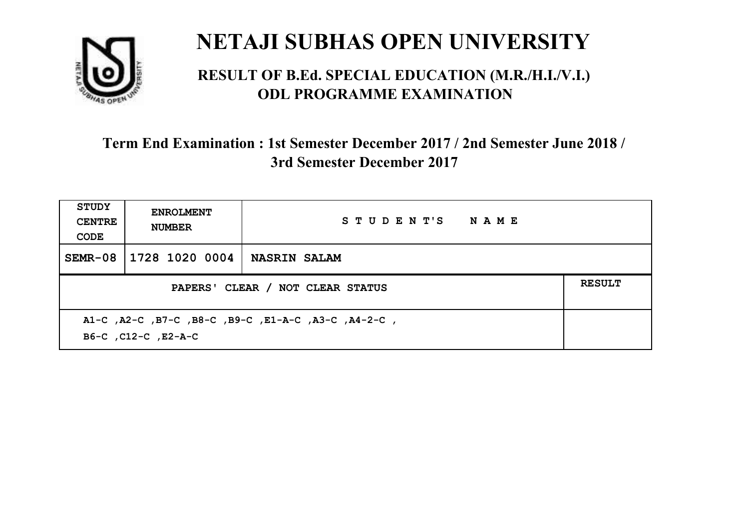

#### **RESULT OF B.Ed. SPECIAL EDUCATION (M.R./H.I./V.I.) ODL PROGRAMME EXAMINATION**

| <b>STUDY</b><br><b>CENTRE</b><br>CODE | <b>ENROLMENT</b><br><b>NUMBER</b>                                          | STUDENT'S NAME      |  |  |  |
|---------------------------------------|----------------------------------------------------------------------------|---------------------|--|--|--|
| SEMR-08                               | 1728 1020 0004                                                             | <b>NASRIN SALAM</b> |  |  |  |
|                                       | <b>RESULT</b><br>PAPERS' CLEAR / NOT CLEAR STATUS                          |                     |  |  |  |
|                                       | A1-C, A2-C, B7-C, B8-C, B9-C, E1-A-C, A3-C, A4-2-C,<br>B6-C, C12-C, E2-A-C |                     |  |  |  |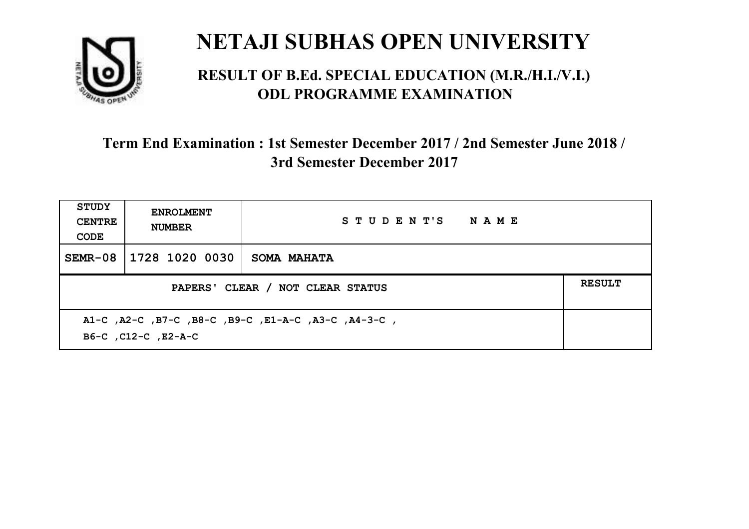

#### **RESULT OF B.Ed. SPECIAL EDUCATION (M.R./H.I./V.I.) ODL PROGRAMME EXAMINATION**

| <b>STUDY</b><br><b>CENTRE</b><br>CODE                                      | <b>ENROLMENT</b><br><b>NUMBER</b> | STUDENT'S NAME     |  |  |
|----------------------------------------------------------------------------|-----------------------------------|--------------------|--|--|
| $SEMR-08$                                                                  | 1728 1020 0030                    | <b>SOMA MAHATA</b> |  |  |
| <b>RESULT</b><br>PAPERS' CLEAR / NOT CLEAR STATUS                          |                                   |                    |  |  |
| A1-C, A2-C, B7-C, B8-C, B9-C, E1-A-C, A3-C, A4-3-C,<br>B6-C, C12-C, E2-A-C |                                   |                    |  |  |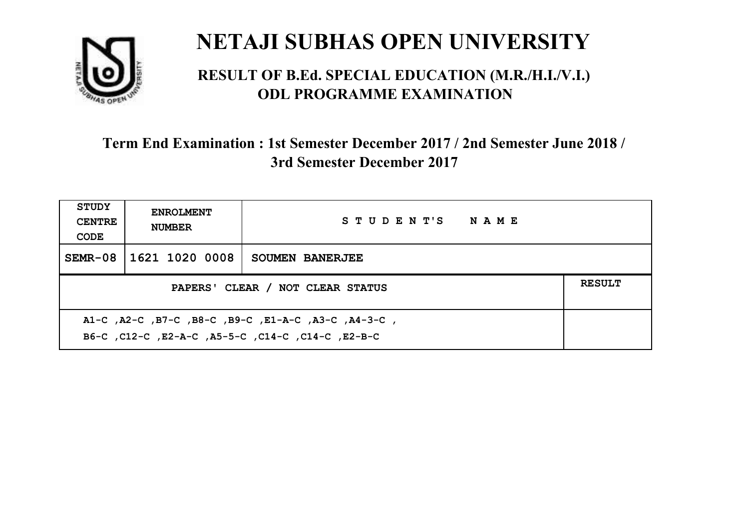

#### **RESULT OF B.Ed. SPECIAL EDUCATION (M.R./H.I./V.I.) ODL PROGRAMME EXAMINATION**

| <b>STUDY</b><br><b>CENTRE</b><br>CODE                                                                     | <b>ENROLMENT</b><br><b>NUMBER</b>                 | STUDENT'S NAME  |  |  |  |
|-----------------------------------------------------------------------------------------------------------|---------------------------------------------------|-----------------|--|--|--|
| SEMR-08                                                                                                   | 1621 1020 0008                                    | SOUMEN BANERJEE |  |  |  |
|                                                                                                           | <b>RESULT</b><br>PAPERS' CLEAR / NOT CLEAR STATUS |                 |  |  |  |
| A1-C, A2-C, B7-C, B8-C, B9-C, E1-A-C, A3-C, A4-3-C,<br>B6-C, C12-C, E2-A-C, A5-5-C, C14-C, C14-C, C12-B-C |                                                   |                 |  |  |  |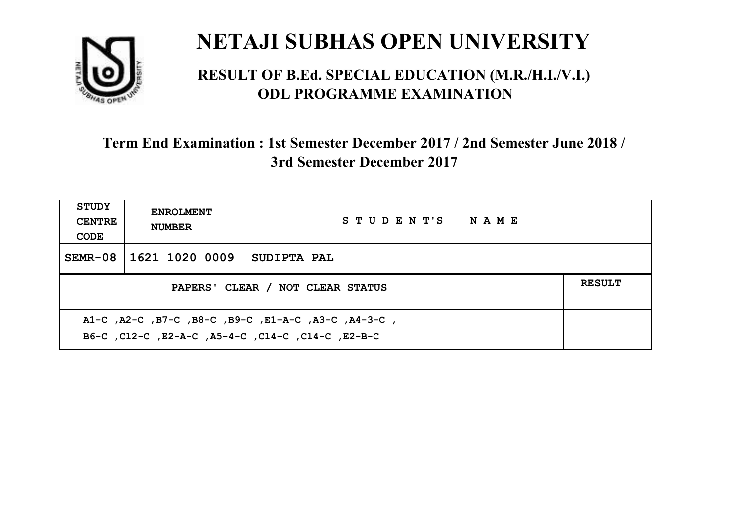

#### **RESULT OF B.Ed. SPECIAL EDUCATION (M.R./H.I./V.I.) ODL PROGRAMME EXAMINATION**

| <b>STUDY</b><br><b>CENTRE</b><br>CODE                                                                    | <b>ENROLMENT</b><br><b>NUMBER</b>                 | STUDENT'S NAME |  |  |  |
|----------------------------------------------------------------------------------------------------------|---------------------------------------------------|----------------|--|--|--|
| $SEMR-08$                                                                                                | 1621 1020 0009                                    | SUDIPTA PAL    |  |  |  |
|                                                                                                          | <b>RESULT</b><br>PAPERS' CLEAR / NOT CLEAR STATUS |                |  |  |  |
| A1-C, A2-C, B7-C, B8-C, B9-C, E1-A-C, A3-C, A4-3-C,<br>B6-C, C12-C, E2-A-C, A5-4-C, C14-C, C14-C, E2-B-C |                                                   |                |  |  |  |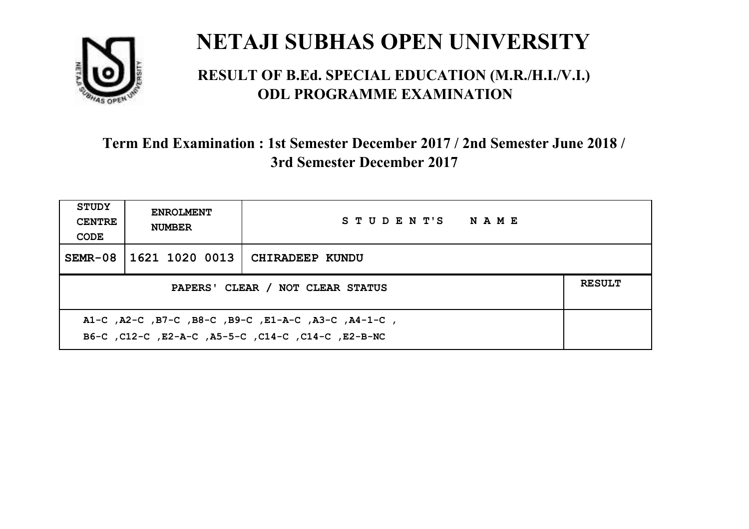

#### **RESULT OF B.Ed. SPECIAL EDUCATION (M.R./H.I./V.I.) ODL PROGRAMME EXAMINATION**

| STUDY<br><b>CENTRE</b><br>CODE                                                                            | <b>ENROLMENT</b><br><b>NUMBER</b>                 | STUDENT'S NAME         |  |  |  |
|-----------------------------------------------------------------------------------------------------------|---------------------------------------------------|------------------------|--|--|--|
| SEMR-08                                                                                                   | 1621 1020 0013                                    | <b>CHIRADEEP KUNDU</b> |  |  |  |
|                                                                                                           | <b>RESULT</b><br>PAPERS' CLEAR / NOT CLEAR STATUS |                        |  |  |  |
| A1-C, A2-C, B7-C, B8-C, B9-C, E1-A-C, A3-C, A4-1-C,<br>B6-C, C12-C, E2-A-C, A5-5-C, C14-C, C14-C, E2-B-NC |                                                   |                        |  |  |  |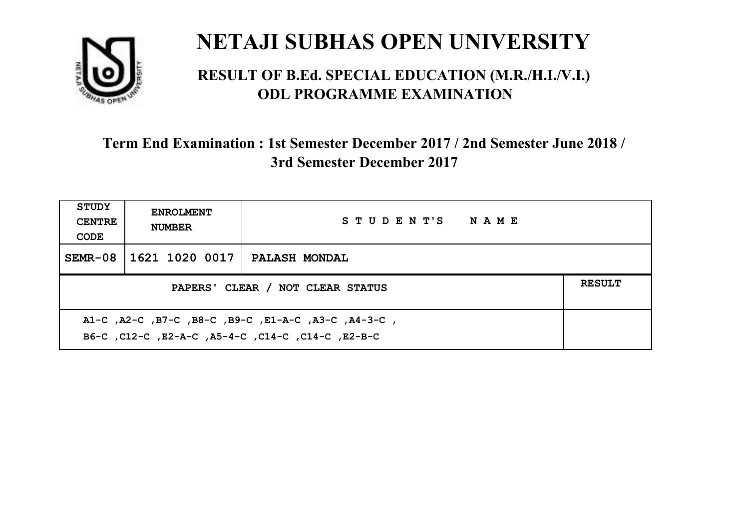

#### **RESULT OF B.Ed. SPECIAL EDUCATION (M.R./H.I./V.I.) ODL PROGRAMME EXAMINATION**

| <b>STUDY</b><br><b>CENTRE</b><br>CODE                                                                     | <b>ENROLMENT</b><br><b>NUMBER</b>                 | STUDENT'S NAME       |  |  |  |
|-----------------------------------------------------------------------------------------------------------|---------------------------------------------------|----------------------|--|--|--|
| SEMR-08                                                                                                   | 1621 1020 0017                                    | <b>PALASH MONDAL</b> |  |  |  |
|                                                                                                           | <b>RESULT</b><br>PAPERS' CLEAR / NOT CLEAR STATUS |                      |  |  |  |
| A1-C, A2-C, B7-C, B8-C, B9-C, E1-A-C, A3-C, A4-3-C,<br>B6-C, C12-C, E2-A-C, A5-4-C, C14-C, C14-C, C12-B-C |                                                   |                      |  |  |  |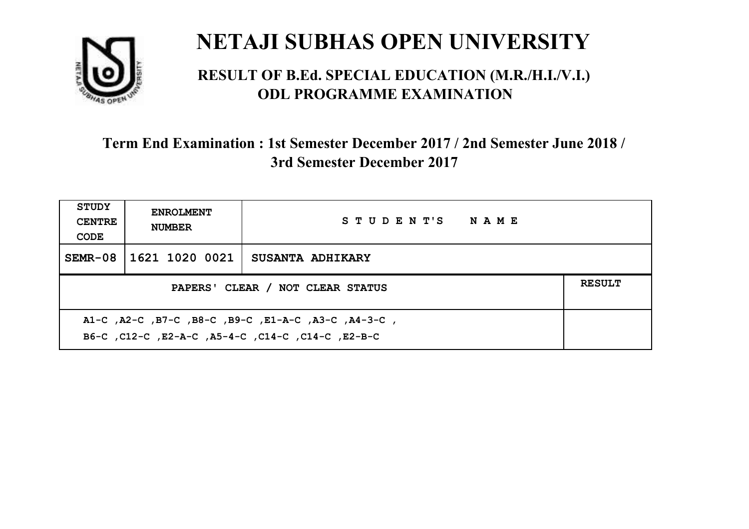

#### **RESULT OF B.Ed. SPECIAL EDUCATION (M.R./H.I./V.I.) ODL PROGRAMME EXAMINATION**

| <b>STUDY</b><br><b>CENTRE</b><br>CODE                                                                    | <b>ENROLMENT</b><br><b>NUMBER</b>                 | STUDENT'S NAME          |  |  |  |
|----------------------------------------------------------------------------------------------------------|---------------------------------------------------|-------------------------|--|--|--|
| $SEMR-08$                                                                                                | 1621 1020 0021                                    | <b>SUSANTA ADHIKARY</b> |  |  |  |
|                                                                                                          | <b>RESULT</b><br>PAPERS' CLEAR / NOT CLEAR STATUS |                         |  |  |  |
| A1-C, A2-C, B7-C, B8-C, B9-C, E1-A-C, A3-C, A4-3-C,<br>B6-C, C12-C, E2-A-C, A5-4-C, C14-C, C14-C, E2-B-C |                                                   |                         |  |  |  |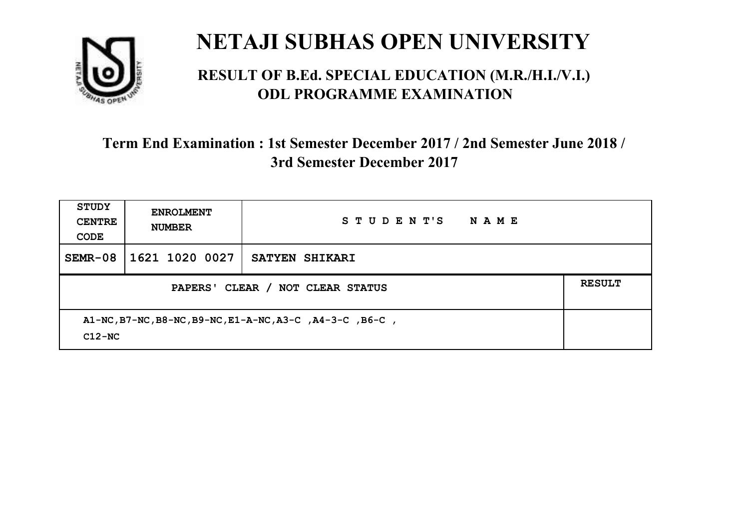

#### **RESULT OF B.Ed. SPECIAL EDUCATION (M.R./H.I./V.I.) ODL PROGRAMME EXAMINATION**

| <b>STUDY</b><br><b>CENTRE</b><br>CODE                                | <b>ENROLMENT</b><br><b>NUMBER</b>                           | STUDENT'S<br>NAME |  |  |  |
|----------------------------------------------------------------------|-------------------------------------------------------------|-------------------|--|--|--|
| $SEMR-08$                                                            | $1621$ 1020 0027                                            | SATYEN SHIKARI    |  |  |  |
|                                                                      | <b>RESULT</b><br>PAPERS' CLEAR /<br><b>NOT CLEAR STATUS</b> |                   |  |  |  |
| A1-NC, B7-NC, B8-NC, B9-NC, E1-A-NC, A3-C, A4-3-C, B6-C,<br>$C12-NC$ |                                                             |                   |  |  |  |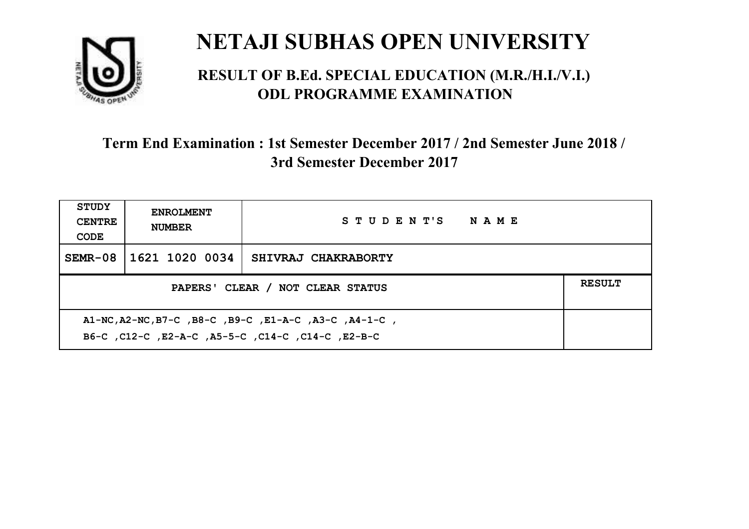

#### **RESULT OF B.Ed. SPECIAL EDUCATION (M.R./H.I./V.I.) ODL PROGRAMME EXAMINATION**

| <b>STUDY</b><br><b>CENTRE</b><br>CODE                                                                       | <b>ENROLMENT</b><br><b>NUMBER</b>                 | STUDENT'S NAME      |  |  |  |
|-------------------------------------------------------------------------------------------------------------|---------------------------------------------------|---------------------|--|--|--|
| SEMR-08                                                                                                     | 1621 1020 0034                                    | SHIVRAJ CHAKRABORTY |  |  |  |
|                                                                                                             | <b>RESULT</b><br>PAPERS' CLEAR / NOT CLEAR STATUS |                     |  |  |  |
| A1-NC, A2-NC, B7-C, B8-C, B9-C, E1-A-C, A3-C, A4-1-C,<br>B6-C, C12-C, E2-A-C, A5-5-C, C14-C, C14-C, C12-B-C |                                                   |                     |  |  |  |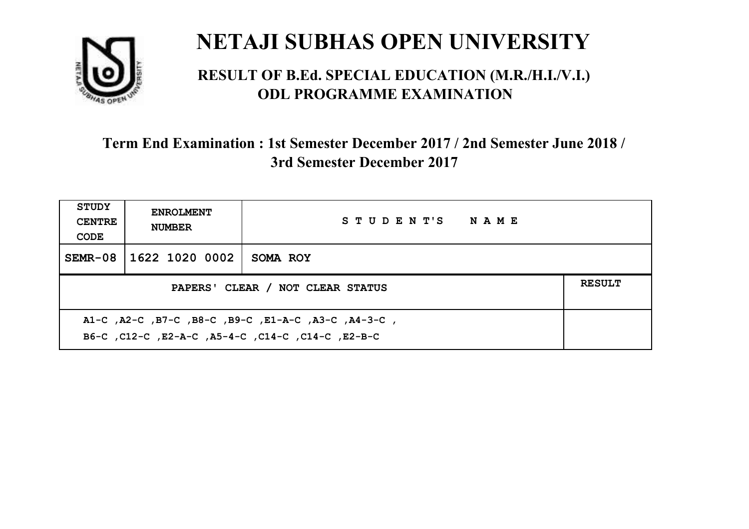

#### **RESULT OF B.Ed. SPECIAL EDUCATION (M.R./H.I./V.I.) ODL PROGRAMME EXAMINATION**

| <b>STUDY</b><br><b>CENTRE</b><br>CODE                                                                    | <b>ENROLMENT</b><br><b>NUMBER</b> | STUDENT'S NAME |  |  |
|----------------------------------------------------------------------------------------------------------|-----------------------------------|----------------|--|--|
|                                                                                                          | SEMR-08 1622 1020 0002            | SOMA ROY       |  |  |
| <b>RESULT</b><br>PAPERS' CLEAR / NOT CLEAR STATUS                                                        |                                   |                |  |  |
| A1-C, A2-C, B7-C, B8-C, B9-C, E1-A-C, A3-C, A4-3-C,<br>B6-C, C12-C, E2-A-C, A5-4-C, C14-C, C14-C, E2-B-C |                                   |                |  |  |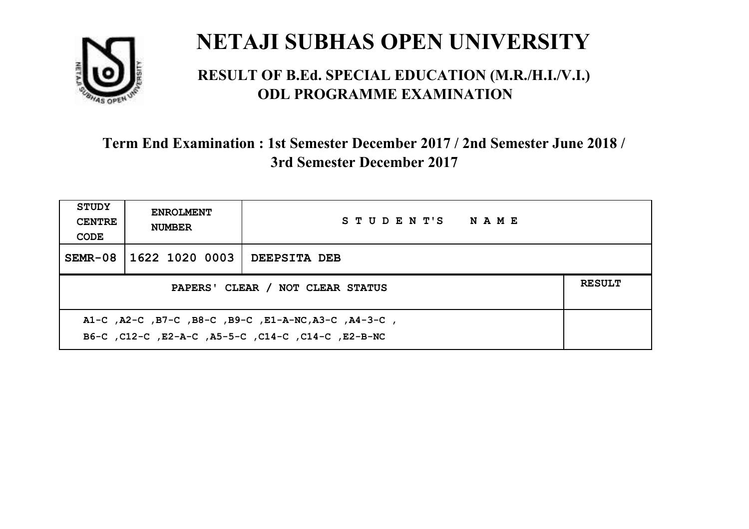

#### **RESULT OF B.Ed. SPECIAL EDUCATION (M.R./H.I./V.I.) ODL PROGRAMME EXAMINATION**

| <b>STUDY</b><br><b>CENTRE</b><br>CODE                                                                      | <b>ENROLMENT</b><br><b>NUMBER</b>                 | STUDENT'S NAME |  |  |  |
|------------------------------------------------------------------------------------------------------------|---------------------------------------------------|----------------|--|--|--|
| $SEMR-08$                                                                                                  | 1622 1020 0003                                    | DEEPSITA DEB   |  |  |  |
|                                                                                                            | <b>RESULT</b><br>PAPERS' CLEAR / NOT CLEAR STATUS |                |  |  |  |
| A1-C, A2-C, B7-C, B8-C, B9-C, E1-A-NC, A3-C, A4-3-C,<br>B6-C, C12-C, E2-A-C, A5-5-C, C14-C, C14-C, E2-B-NC |                                                   |                |  |  |  |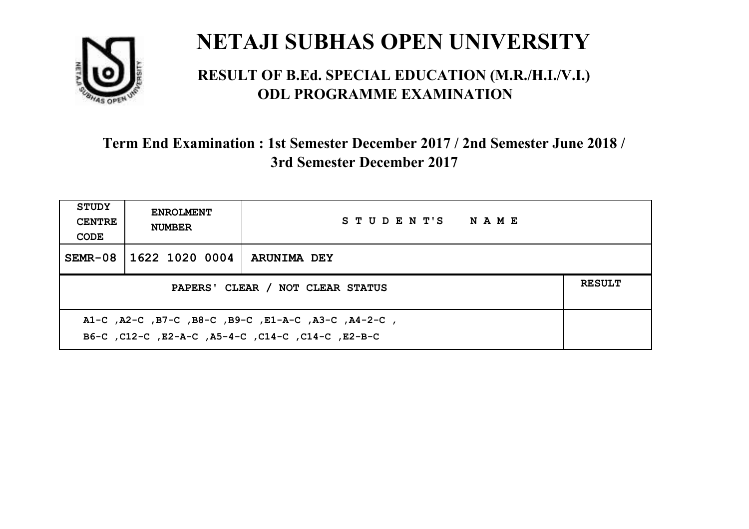

#### **RESULT OF B.Ed. SPECIAL EDUCATION (M.R./H.I./V.I.) ODL PROGRAMME EXAMINATION**

| <b>STUDY</b><br><b>CENTRE</b><br>CODE                                                                     | <b>ENROLMENT</b><br><b>NUMBER</b>                 | STUDENT'S NAME     |  |  |  |
|-----------------------------------------------------------------------------------------------------------|---------------------------------------------------|--------------------|--|--|--|
| SEMR-08                                                                                                   | 1622 1020 0004                                    | <b>ARUNIMA DEY</b> |  |  |  |
|                                                                                                           | <b>RESULT</b><br>PAPERS' CLEAR / NOT CLEAR STATUS |                    |  |  |  |
| A1-C, A2-C, B7-C, B8-C, B9-C, E1-A-C, A3-C, A4-2-C,<br>B6-C, C12-C, E2-A-C, A5-4-C, C14-C, C14-C, C12-B-C |                                                   |                    |  |  |  |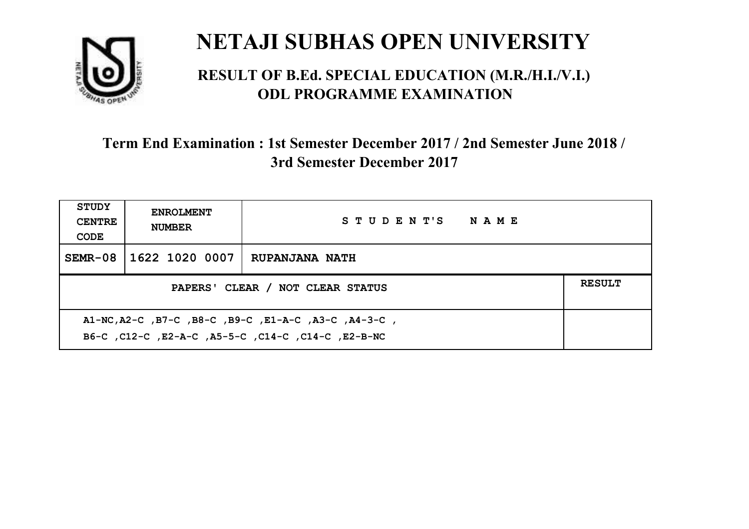

#### **RESULT OF B.Ed. SPECIAL EDUCATION (M.R./H.I./V.I.) ODL PROGRAMME EXAMINATION**

| <b>STUDY</b><br><b>CENTRE</b><br>CODE                                                                      | <b>ENROLMENT</b><br><b>NUMBER</b> | STUDENT'S NAME        |  |  |
|------------------------------------------------------------------------------------------------------------|-----------------------------------|-----------------------|--|--|
| $SEMR-08$                                                                                                  | 1622 1020 0007                    | <b>RUPANJANA NATH</b> |  |  |
| <b>RESULT</b><br>PAPERS' CLEAR / NOT CLEAR STATUS                                                          |                                   |                       |  |  |
| A1-NC, A2-C, B7-C, B8-C, B9-C, E1-A-C, A3-C, A4-3-C,<br>B6-C, C12-C, E2-A-C, A5-5-C, C14-C, C14-C, E2-B-NC |                                   |                       |  |  |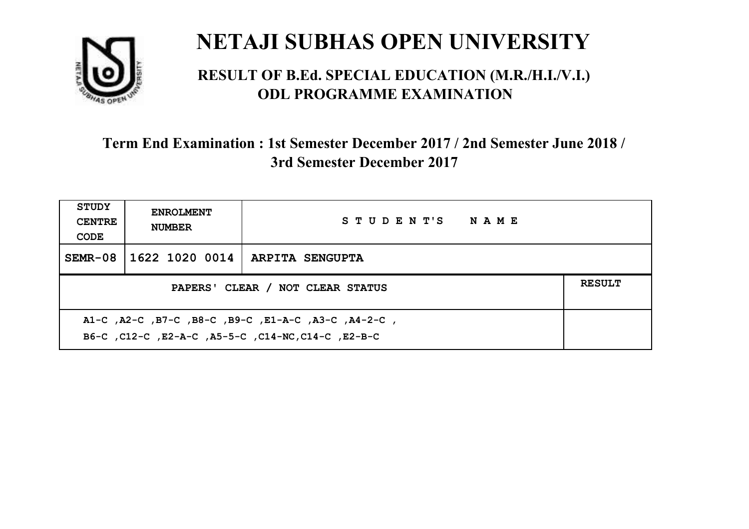

#### **RESULT OF B.Ed. SPECIAL EDUCATION (M.R./H.I./V.I.) ODL PROGRAMME EXAMINATION**

| <b>STUDY</b><br><b>CENTRE</b><br>CODE | <b>ENROLMENT</b><br><b>NUMBER</b>                                                                         | STUDENT'S NAME  |  |  |  |
|---------------------------------------|-----------------------------------------------------------------------------------------------------------|-----------------|--|--|--|
| SEMR-08                               | 1622 1020 0014                                                                                            | ARPITA SENGUPTA |  |  |  |
|                                       | <b>RESULT</b><br>PAPERS' CLEAR / NOT CLEAR STATUS                                                         |                 |  |  |  |
|                                       | A1-C, A2-C, B7-C, B8-C, B9-C, E1-A-C, A3-C, A4-2-C,<br>B6-C, C12-C, E2-A-C, A5-5-C, C14-NC, C14-C, E2-B-C |                 |  |  |  |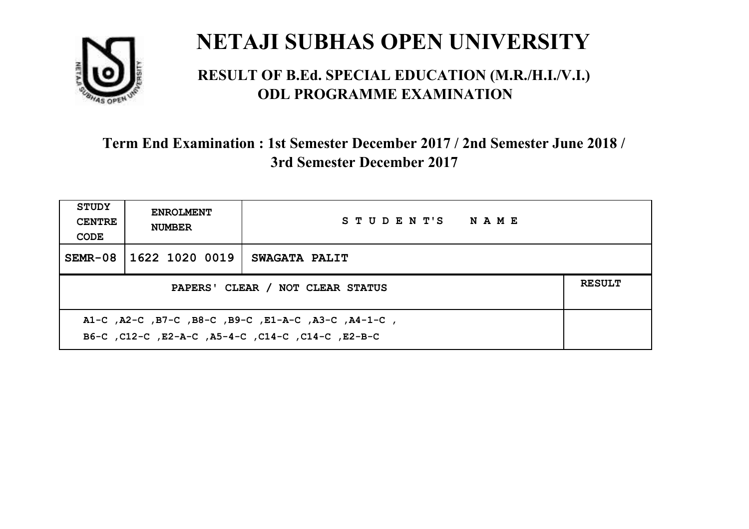

#### **RESULT OF B.Ed. SPECIAL EDUCATION (M.R./H.I./V.I.) ODL PROGRAMME EXAMINATION**

| <b>STUDY</b><br><b>CENTRE</b><br>CODE | <b>ENROLMENT</b><br><b>NUMBER</b>                                                                         | STUDENT'S NAME |  |  |  |
|---------------------------------------|-----------------------------------------------------------------------------------------------------------|----------------|--|--|--|
| SEMR-08                               | 1622 1020 0019                                                                                            | SWAGATA PALIT  |  |  |  |
|                                       | <b>RESULT</b><br>PAPERS' CLEAR / NOT CLEAR STATUS                                                         |                |  |  |  |
|                                       | A1-C, A2-C, B7-C, B8-C, B9-C, E1-A-C, A3-C, A4-1-C,<br>B6-C, C12-C, E2-A-C, A5-4-C, C14-C, C14-C, C12-B-C |                |  |  |  |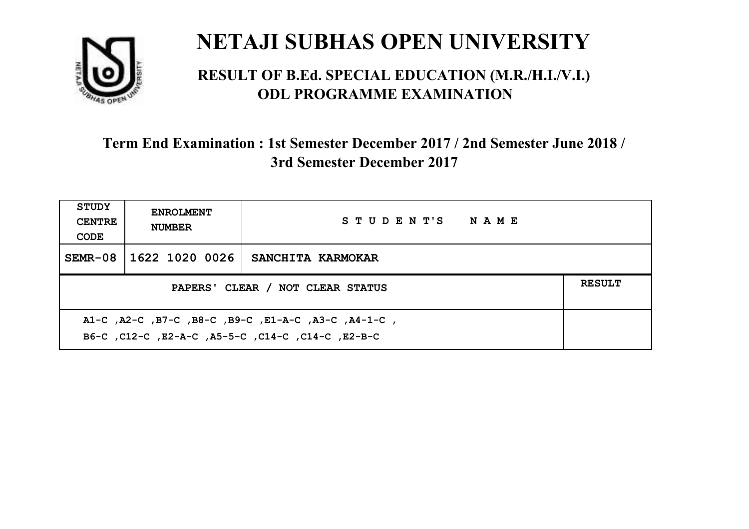

#### **RESULT OF B.Ed. SPECIAL EDUCATION (M.R./H.I./V.I.) ODL PROGRAMME EXAMINATION**

| <b>STUDY</b><br><b>CENTRE</b><br>CODE                                                                     | <b>ENROLMENT</b><br><b>NUMBER</b>                 | STUDENT'S NAME    |  |  |  |
|-----------------------------------------------------------------------------------------------------------|---------------------------------------------------|-------------------|--|--|--|
| SEMR-08                                                                                                   | 1622 1020 0026                                    | SANCHITA KARMOKAR |  |  |  |
|                                                                                                           | <b>RESULT</b><br>PAPERS' CLEAR / NOT CLEAR STATUS |                   |  |  |  |
| A1-C, A2-C, B7-C, B8-C, B9-C, E1-A-C, A3-C, A4-1-C,<br>B6-C, C12-C, E2-A-C, A5-5-C, C14-C, C14-C, C12-B-C |                                                   |                   |  |  |  |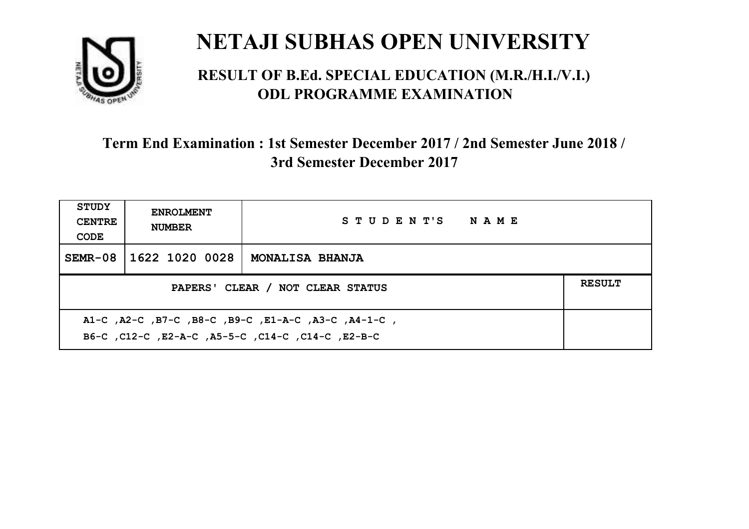

#### **RESULT OF B.Ed. SPECIAL EDUCATION (M.R./H.I./V.I.) ODL PROGRAMME EXAMINATION**

| <b>STUDY</b><br><b>CENTRE</b><br>CODE                                                                    | <b>ENROLMENT</b><br><b>NUMBER</b> | STUDENT'S NAME         |  |  |
|----------------------------------------------------------------------------------------------------------|-----------------------------------|------------------------|--|--|
|                                                                                                          | SEMR-08 1622 1020 0028            | <b>MONALISA BHANJA</b> |  |  |
| <b>RESULT</b><br>PAPERS' CLEAR / NOT CLEAR STATUS                                                        |                                   |                        |  |  |
| A1-C, A2-C, B7-C, B8-C, B9-C, E1-A-C, A3-C, A4-1-C,<br>B6-C, C12-C, E2-A-C, A5-5-C, C14-C, C14-C, E2-B-C |                                   |                        |  |  |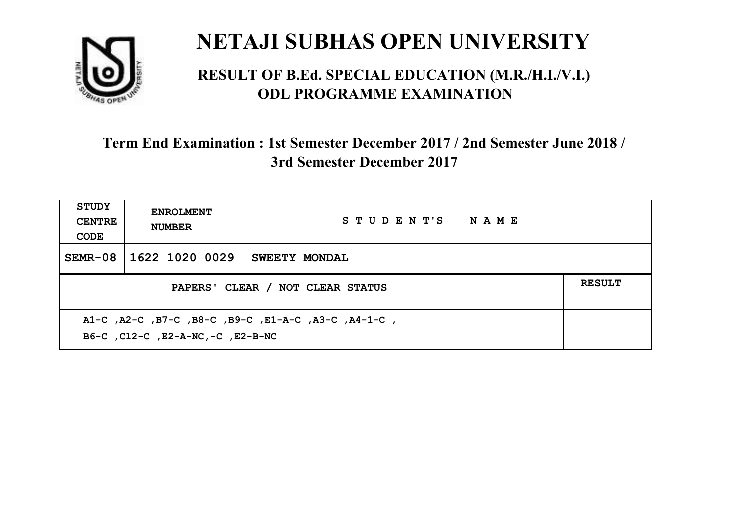

#### **RESULT OF B.Ed. SPECIAL EDUCATION (M.R./H.I./V.I.) ODL PROGRAMME EXAMINATION**

| <b>STUDY</b><br><b>CENTRE</b><br>CODE | <b>ENROLMENT</b><br><b>NUMBER</b>                                                        | STUDENT'S NAME       |  |  |  |
|---------------------------------------|------------------------------------------------------------------------------------------|----------------------|--|--|--|
| SEMR-08                               | 1622 1020 0029                                                                           | <b>SWEETY MONDAL</b> |  |  |  |
|                                       | <b>RESULT</b><br>PAPERS' CLEAR / NOT CLEAR STATUS                                        |                      |  |  |  |
|                                       | A1-C, A2-C, B7-C, B8-C, B9-C, E1-A-C, A3-C, A4-1-C,<br>B6-C, C12-C, E2-A-NC, -C, E2-B-NC |                      |  |  |  |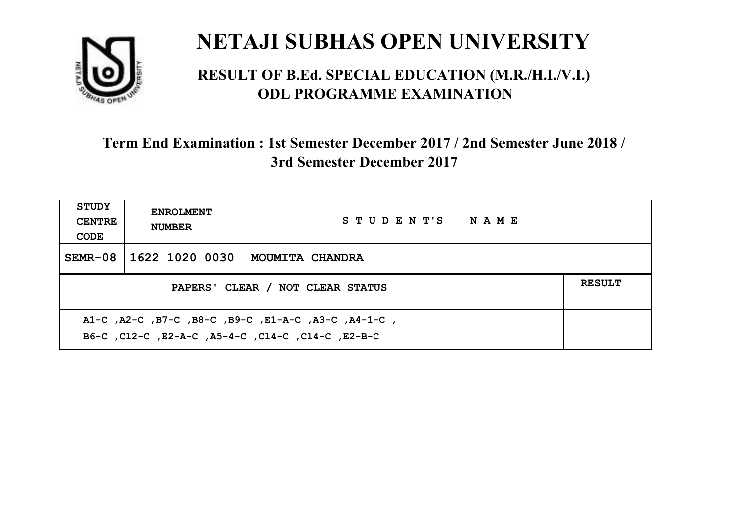

#### **RESULT OF B.Ed. SPECIAL EDUCATION (M.R./H.I./V.I.) ODL PROGRAMME EXAMINATION**

| <b>STUDY</b><br><b>CENTRE</b><br>CODE                                                                    | <b>ENROLMENT</b><br><b>NUMBER</b> | STUDENT'S NAME         |  |
|----------------------------------------------------------------------------------------------------------|-----------------------------------|------------------------|--|
| $SEMR-08$                                                                                                | 1622 1020 0030                    | <b>MOUMITA CHANDRA</b> |  |
| <b>RESULT</b><br>PAPERS' CLEAR / NOT CLEAR STATUS                                                        |                                   |                        |  |
| A1-C, A2-C, B7-C, B8-C, B9-C, E1-A-C, A3-C, A4-1-C,<br>B6-C, C12-C, E2-A-C, A5-4-C, C14-C, C14-C, E2-B-C |                                   |                        |  |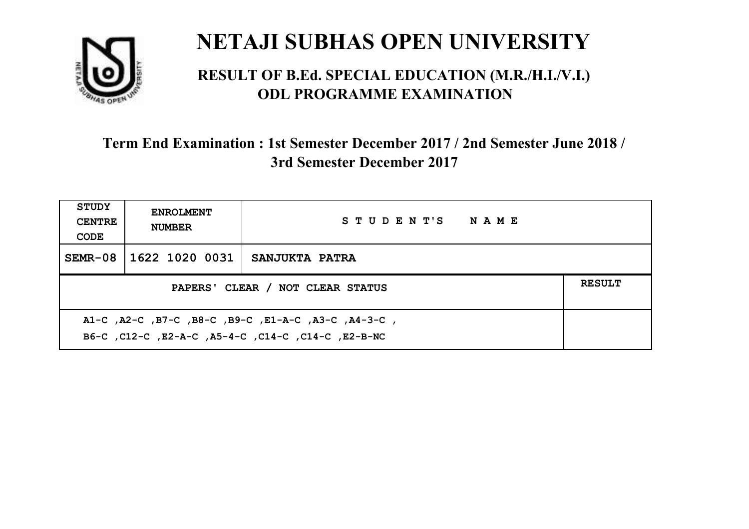

#### **RESULT OF B.Ed. SPECIAL EDUCATION (M.R./H.I./V.I.) ODL PROGRAMME EXAMINATION**

| <b>STUDY</b><br><b>CENTRE</b><br>CODE                                                                     | <b>ENROLMENT</b><br><b>NUMBER</b> | STUDENT'S NAME        |  |
|-----------------------------------------------------------------------------------------------------------|-----------------------------------|-----------------------|--|
| $SEMR-08$                                                                                                 | 1622 1020 0031                    | <b>SANJUKTA PATRA</b> |  |
| <b>RESULT</b><br>PAPERS' CLEAR / NOT CLEAR STATUS                                                         |                                   |                       |  |
| A1-C, A2-C, B7-C, B8-C, B9-C, E1-A-C, A3-C, A4-3-C,<br>B6-C, C12-C, E2-A-C, A5-4-C, C14-C, C14-C, E2-B-NC |                                   |                       |  |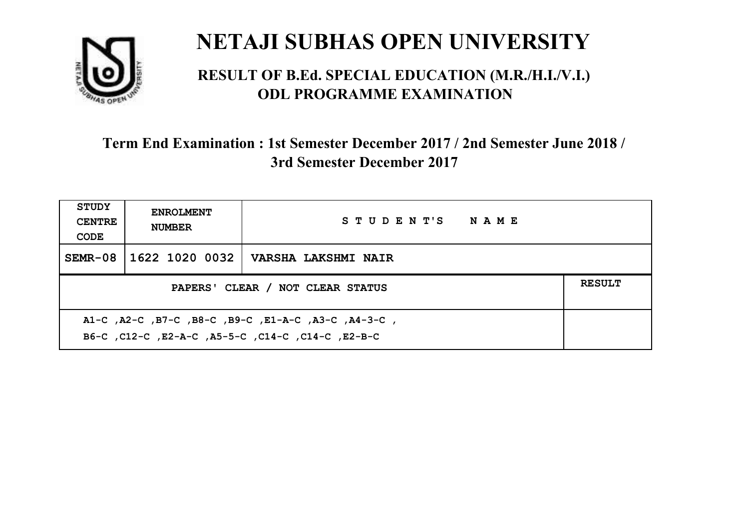

#### **RESULT OF B.Ed. SPECIAL EDUCATION (M.R./H.I./V.I.) ODL PROGRAMME EXAMINATION**

| <b>STUDY</b><br><b>CENTRE</b><br>CODE                                                                    | <b>ENROLMENT</b><br><b>NUMBER</b>                 | STUDENT'S NAME      |  |  |  |
|----------------------------------------------------------------------------------------------------------|---------------------------------------------------|---------------------|--|--|--|
| SEMR-08                                                                                                  | 1622 1020 0032                                    | VARSHA LAKSHMI NAIR |  |  |  |
|                                                                                                          | <b>RESULT</b><br>PAPERS' CLEAR / NOT CLEAR STATUS |                     |  |  |  |
| A1-C, A2-C, B7-C, B8-C, B9-C, E1-A-C, A3-C, A4-3-C,<br>B6-C, C12-C, E2-A-C, A5-5-C, C14-C, C14-C, E2-B-C |                                                   |                     |  |  |  |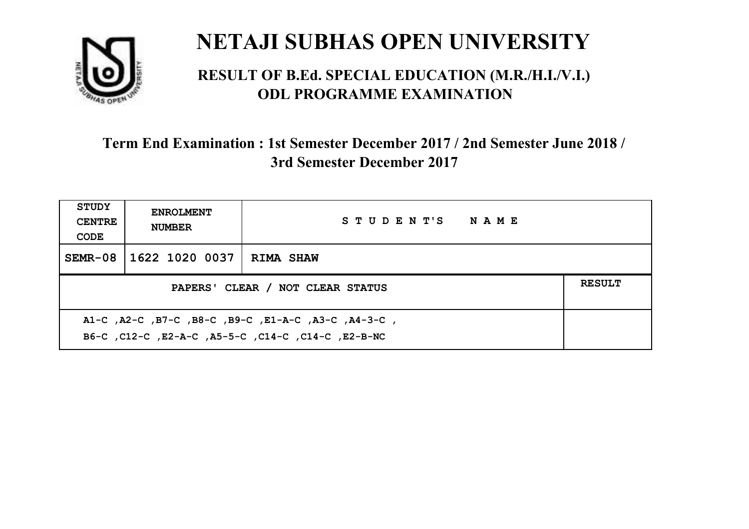

#### **RESULT OF B.Ed. SPECIAL EDUCATION (M.R./H.I./V.I.) ODL PROGRAMME EXAMINATION**

| <b>STUDY</b><br><b>CENTRE</b><br>CODE | <b>ENROLMENT</b><br><b>NUMBER</b>                                                                           | STUDENT'S NAME   |  |  |  |
|---------------------------------------|-------------------------------------------------------------------------------------------------------------|------------------|--|--|--|
| $SEMR-08$                             | 1622 1020 0037                                                                                              | <b>RIMA SHAW</b> |  |  |  |
|                                       | <b>RESULT</b><br>PAPERS' CLEAR / NOT CLEAR STATUS                                                           |                  |  |  |  |
|                                       | , A1-C, A2-C, B7-C, B8-C, B9-C, E1-A-C, A3-C, A4-3-C,<br>B6-C, C12-C, E2-A-C, A5-5-C, C14-C, C14-C, E2-B-NC |                  |  |  |  |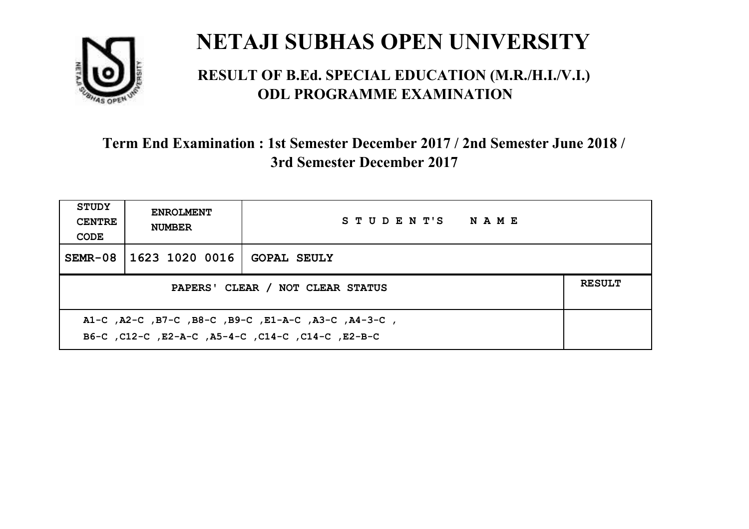

#### **RESULT OF B.Ed. SPECIAL EDUCATION (M.R./H.I./V.I.) ODL PROGRAMME EXAMINATION**

| <b>STUDY</b><br><b>CENTRE</b><br>CODE                                                                     | <b>ENROLMENT</b><br><b>NUMBER</b>                 | STUDENT'S NAME     |  |  |  |
|-----------------------------------------------------------------------------------------------------------|---------------------------------------------------|--------------------|--|--|--|
| SEMR-08                                                                                                   | 1623 1020 0016                                    | <b>GOPAL SEULY</b> |  |  |  |
|                                                                                                           | <b>RESULT</b><br>PAPERS' CLEAR / NOT CLEAR STATUS |                    |  |  |  |
| A1-C, A2-C, B7-C, B8-C, B9-C, E1-A-C, A3-C, A4-3-C,<br>B6-C, C12-C, E2-A-C, A5-4-C, C14-C, C14-C, C12-B-C |                                                   |                    |  |  |  |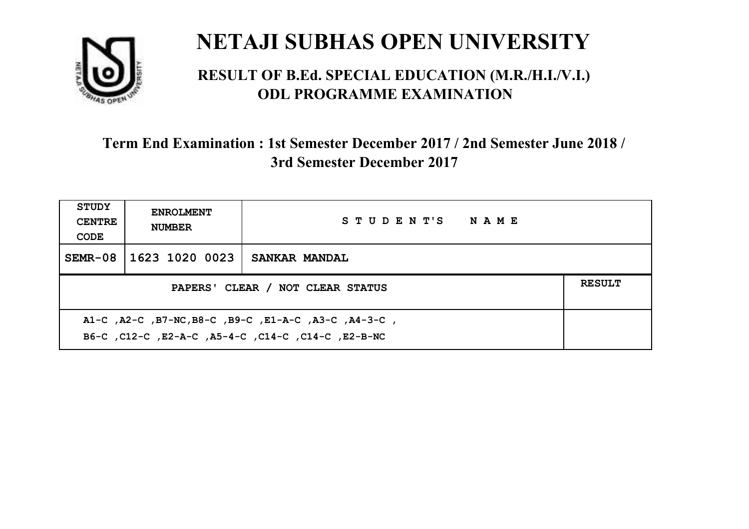

#### **RESULT OF B.Ed. SPECIAL EDUCATION (M.R./H.I./V.I.) ODL PROGRAMME EXAMINATION**

| <b>STUDY</b><br><b>CENTRE</b><br>CODE                                                                      | <b>ENROLMENT</b><br><b>NUMBER</b> | STUDENT'S NAME       |  |  |
|------------------------------------------------------------------------------------------------------------|-----------------------------------|----------------------|--|--|
|                                                                                                            | SEMR-08   1623 1020 0023          | <b>SANKAR MANDAL</b> |  |  |
| <b>RESULT</b><br>PAPERS' CLEAR / NOT CLEAR STATUS                                                          |                                   |                      |  |  |
| A1-C, A2-C, B7-NC, B8-C, B9-C, E1-A-C, A3-C, A4-3-C,<br>B6-C, C12-C, E2-A-C, A5-4-C, C14-C, C14-C, E2-B-NC |                                   |                      |  |  |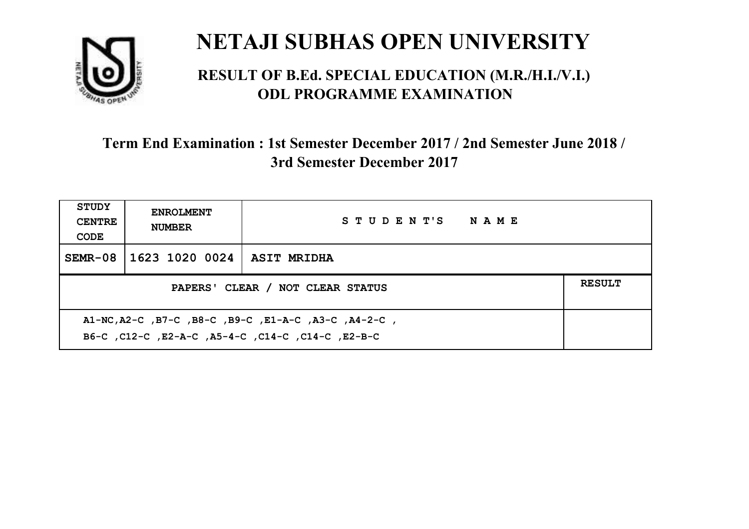

#### **RESULT OF B.Ed. SPECIAL EDUCATION (M.R./H.I./V.I.) ODL PROGRAMME EXAMINATION**

| <b>STUDY</b><br><b>CENTRE</b><br>CODE                                                                      | <b>ENROLMENT</b><br><b>NUMBER</b>                 | STUDENT'S NAME |  |  |  |
|------------------------------------------------------------------------------------------------------------|---------------------------------------------------|----------------|--|--|--|
| SEMR-08                                                                                                    | 1623 1020 0024                                    | ASIT MRIDHA    |  |  |  |
|                                                                                                            | <b>RESULT</b><br>PAPERS' CLEAR / NOT CLEAR STATUS |                |  |  |  |
| A1-NC, A2-C, B7-C, B8-C, B9-C, E1-A-C, A3-C, A4-2-C,<br>B6-C, C12-C, E2-A-C, A5-4-C, C14-C, C14-C, C12-B-C |                                                   |                |  |  |  |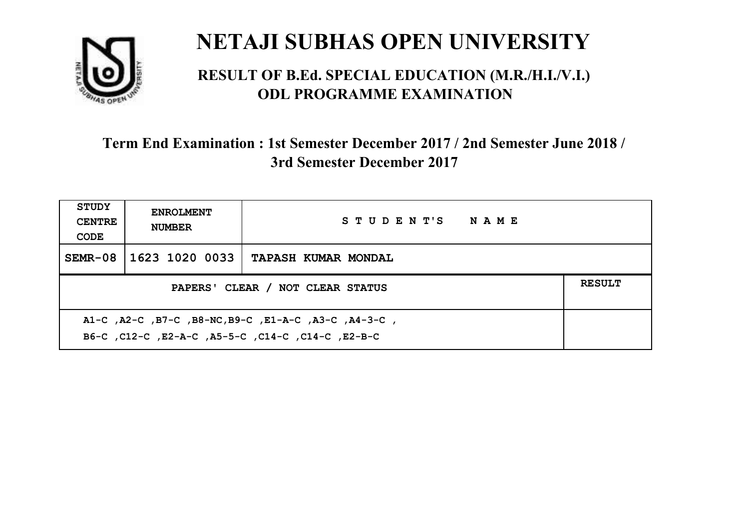

#### **RESULT OF B.Ed. SPECIAL EDUCATION (M.R./H.I./V.I.) ODL PROGRAMME EXAMINATION**

| <b>STUDY</b><br><b>CENTRE</b><br>CODE                                                                      | <b>ENROLMENT</b><br><b>NUMBER</b>                 | STUDENT'S NAME             |  |  |  |
|------------------------------------------------------------------------------------------------------------|---------------------------------------------------|----------------------------|--|--|--|
| SEMR-08                                                                                                    | 1623 1020 0033                                    | <b>TAPASH KUMAR MONDAL</b> |  |  |  |
|                                                                                                            | <b>RESULT</b><br>PAPERS' CLEAR / NOT CLEAR STATUS |                            |  |  |  |
| A1-C, A2-C, B7-C, B8-NC, B9-C, E1-A-C, A3-C, A4-3-C,<br>B6-C, C12-C, E2-A-C, A5-5-C, C14-C, C14-C, C12-B-C |                                                   |                            |  |  |  |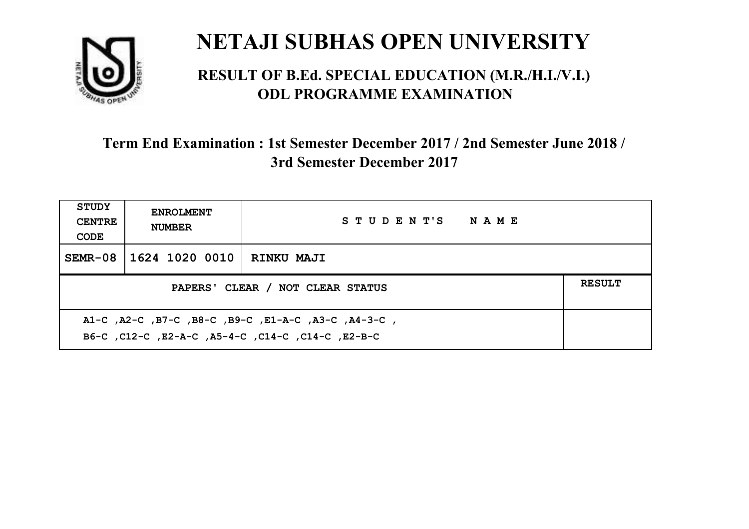

#### **RESULT OF B.Ed. SPECIAL EDUCATION (M.R./H.I./V.I.) ODL PROGRAMME EXAMINATION**

| <b>STUDY</b><br><b>CENTRE</b><br>CODE                                                                    | <b>ENROLMENT</b><br><b>NUMBER</b>                 | STUDENT'S NAME    |  |  |
|----------------------------------------------------------------------------------------------------------|---------------------------------------------------|-------------------|--|--|
| SEMR-08                                                                                                  | 1624 1020 0010                                    | <b>RINKU MAJI</b> |  |  |
|                                                                                                          | <b>RESULT</b><br>PAPERS' CLEAR / NOT CLEAR STATUS |                   |  |  |
| A1-C, A2-C, B7-C, B8-C, B9-C, E1-A-C, A3-C, A4-3-C,<br>B6-C, C12-C, E2-A-C, A5-4-C, C14-C, C14-C, E2-B-C |                                                   |                   |  |  |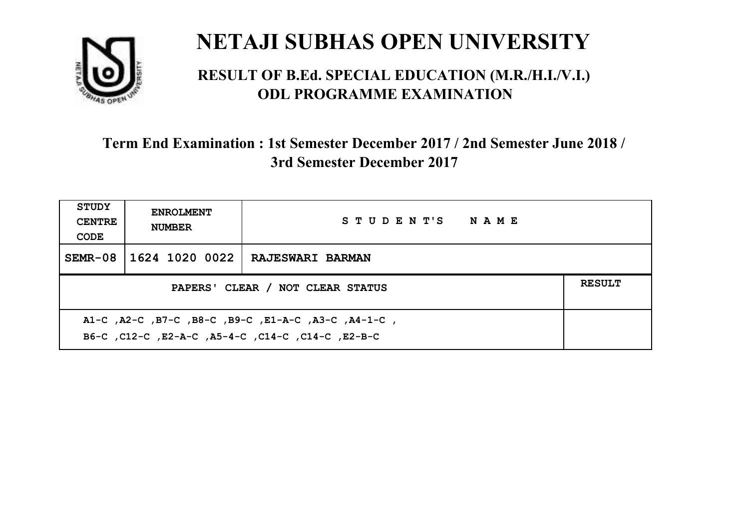

#### **RESULT OF B.Ed. SPECIAL EDUCATION (M.R./H.I./V.I.) ODL PROGRAMME EXAMINATION**

| <b>STUDY</b><br><b>CENTRE</b><br>CODE                                                                    | <b>ENROLMENT</b><br><b>NUMBER</b>                 | STUDENT'S NAME          |  |  |  |
|----------------------------------------------------------------------------------------------------------|---------------------------------------------------|-------------------------|--|--|--|
| $SEMR-08$                                                                                                | 1624 1020 0022                                    | <b>RAJESWARI BARMAN</b> |  |  |  |
|                                                                                                          | <b>RESULT</b><br>PAPERS' CLEAR / NOT CLEAR STATUS |                         |  |  |  |
| A1-C, A2-C, B7-C, B8-C, B9-C, E1-A-C, A3-C, A4-1-C,<br>B6-C, C12-C, E2-A-C, A5-4-C, C14-C, C14-C, E2-B-C |                                                   |                         |  |  |  |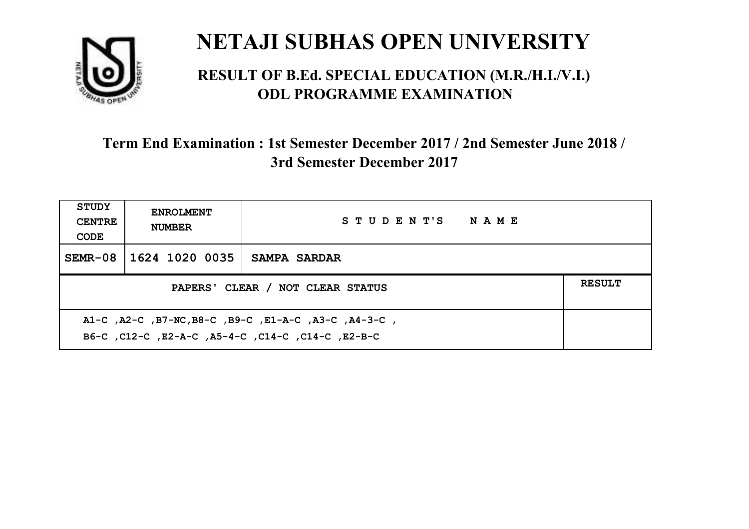

#### **RESULT OF B.Ed. SPECIAL EDUCATION (M.R./H.I./V.I.) ODL PROGRAMME EXAMINATION**

| <b>STUDY</b><br><b>CENTRE</b><br>CODE                                                                     | <b>ENROLMENT</b><br><b>NUMBER</b>                 | STUDENT'S NAME |  |  |
|-----------------------------------------------------------------------------------------------------------|---------------------------------------------------|----------------|--|--|
| SEMR-08                                                                                                   | 1624 1020 0035                                    | SAMPA SARDAR   |  |  |
|                                                                                                           | <b>RESULT</b><br>PAPERS' CLEAR / NOT CLEAR STATUS |                |  |  |
| A1-C, A2-C, B7-NC, B8-C, B9-C, E1-A-C, A3-C, A4-3-C,<br>B6-C, C12-C, E2-A-C, A5-4-C, C14-C, C14-C, E2-B-C |                                                   |                |  |  |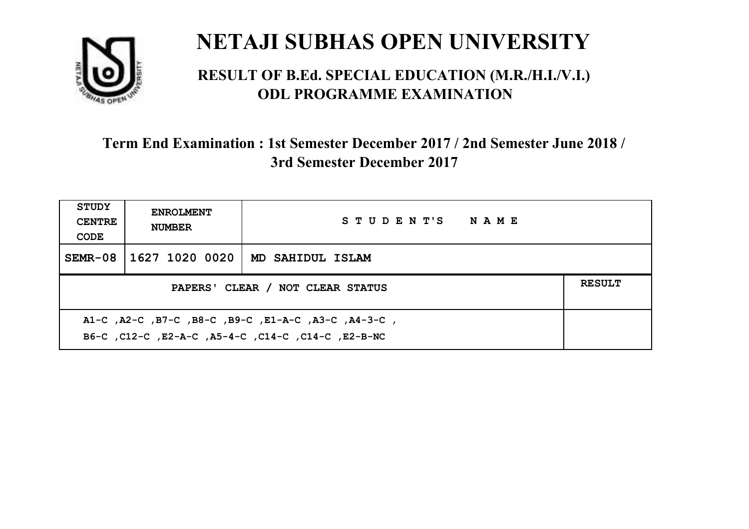

#### **RESULT OF B.Ed. SPECIAL EDUCATION (M.R./H.I./V.I.) ODL PROGRAMME EXAMINATION**

| <b>STUDY</b><br><b>CENTRE</b><br>CODE                                                                     | <b>ENROLMENT</b><br><b>NUMBER</b> | STUDENT'S NAME   |  |  |
|-----------------------------------------------------------------------------------------------------------|-----------------------------------|------------------|--|--|
| $SEMR-08$                                                                                                 | 1627 1020 0020                    | MD SAHIDUL ISLAM |  |  |
| <b>RESULT</b><br>PAPERS' CLEAR / NOT CLEAR STATUS                                                         |                                   |                  |  |  |
| A1-C, A2-C, B7-C, B8-C, B9-C, E1-A-C, A3-C, A4-3-C,<br>B6-C, C12-C, E2-A-C, A5-4-C, C14-C, C14-C, E2-B-NC |                                   |                  |  |  |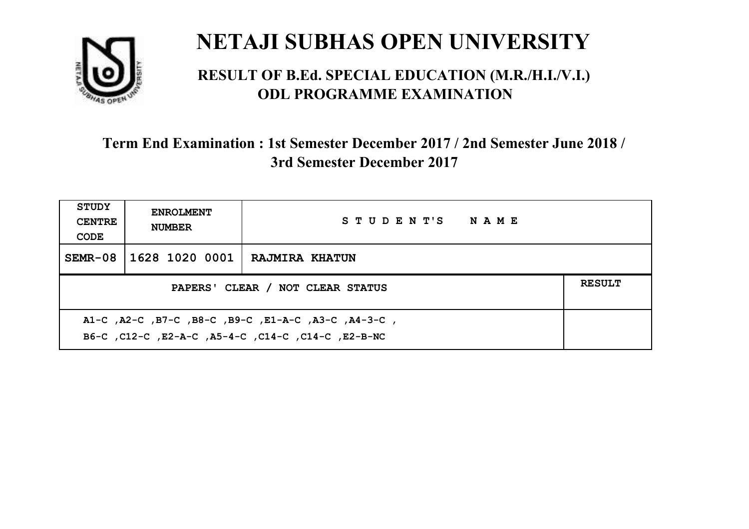

#### **RESULT OF B.Ed. SPECIAL EDUCATION (M.R./H.I./V.I.) ODL PROGRAMME EXAMINATION**

| STUDY<br><b>CENTRE</b><br>CODE                                                                            | <b>ENROLMENT</b><br><b>NUMBER</b>                 | STUDENT'S NAME        |  |  |  |
|-----------------------------------------------------------------------------------------------------------|---------------------------------------------------|-----------------------|--|--|--|
| SEMR-08                                                                                                   | 1628 1020 0001                                    | <b>RAJMIRA KHATUN</b> |  |  |  |
|                                                                                                           | <b>RESULT</b><br>PAPERS' CLEAR / NOT CLEAR STATUS |                       |  |  |  |
| A1-C, A2-C, B7-C, B8-C, B9-C, E1-A-C, A3-C, A4-3-C,<br>B6-C, C12-C, E2-A-C, A5-4-C, C14-C, C14-C, E2-B-NC |                                                   |                       |  |  |  |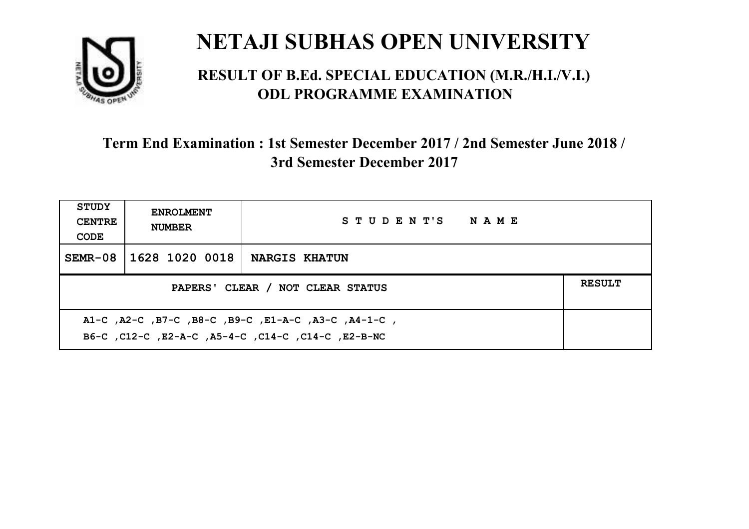

#### **RESULT OF B.Ed. SPECIAL EDUCATION (M.R./H.I./V.I.) ODL PROGRAMME EXAMINATION**

| <b>STUDY</b><br><b>CENTRE</b><br>CODE                                                                     | <b>ENROLMENT</b><br><b>NUMBER</b> | STUDENT'S NAME       |  |
|-----------------------------------------------------------------------------------------------------------|-----------------------------------|----------------------|--|
| $SEMR-08$                                                                                                 | 1628 1020 0018                    | <b>NARGIS KHATUN</b> |  |
| PAPERS' CLEAR / NOT CLEAR STATUS                                                                          |                                   |                      |  |
| A1-C, A2-C, B7-C, B8-C, B9-C, E1-A-C, A3-C, A4-1-C,<br>B6-C, C12-C, E2-A-C, A5-4-C, C14-C, C14-C, E2-B-NC |                                   |                      |  |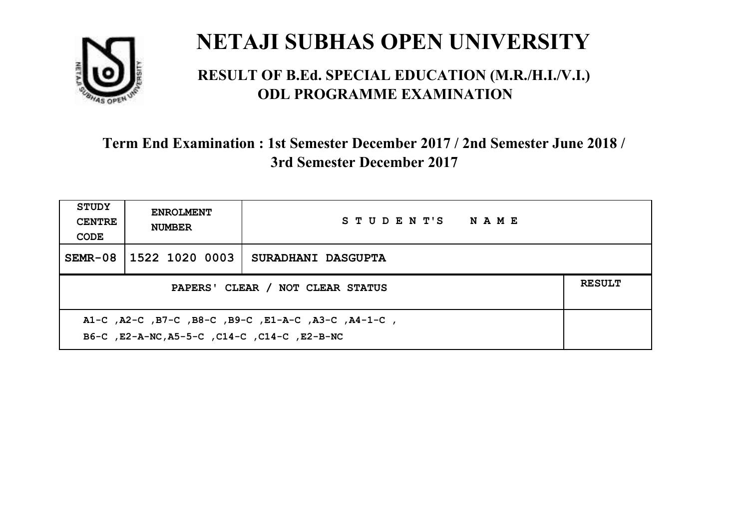

#### **RESULT OF B.Ed. SPECIAL EDUCATION (M.R./H.I./V.I.) ODL PROGRAMME EXAMINATION**

| <b>STUDY</b><br><b>CENTRE</b><br>CODE                                                               | <b>ENROLMENT</b><br><b>NUMBER</b> | STUDENT'S NAME     |  |
|-----------------------------------------------------------------------------------------------------|-----------------------------------|--------------------|--|
| $SEMR-08$                                                                                           | 1522 1020 0003                    | SURADHANI DASGUPTA |  |
| PAPERS' CLEAR / NOT CLEAR STATUS                                                                    |                                   |                    |  |
| A1-C, A2-C, B7-C, B8-C, B9-C, E1-A-C, A3-C, A4-1-C,<br>B6-C, E2-A-NC, A5-5-C, C14-C, C14-C, E2-B-NC |                                   |                    |  |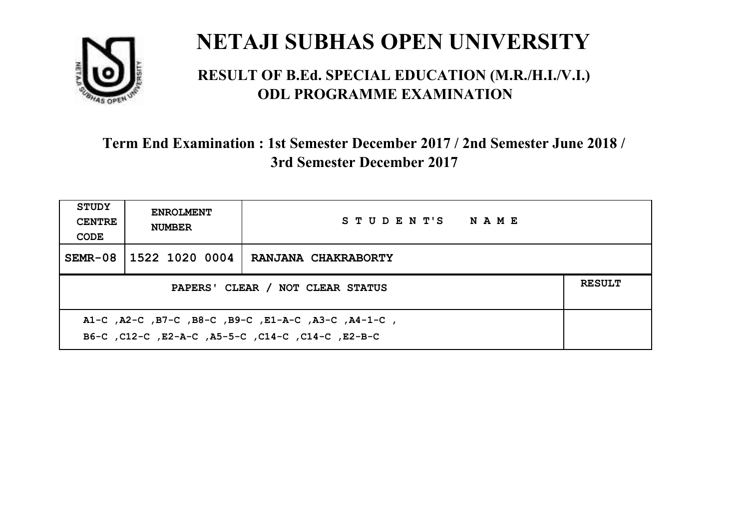

#### **RESULT OF B.Ed. SPECIAL EDUCATION (M.R./H.I./V.I.) ODL PROGRAMME EXAMINATION**

| <b>STUDY</b><br><b>CENTRE</b><br>CODE                                                                     | <b>ENROLMENT</b><br><b>NUMBER</b> | STUDENT'S NAME      |  |
|-----------------------------------------------------------------------------------------------------------|-----------------------------------|---------------------|--|
| $SEMR-08$                                                                                                 | 1522 1020 0004                    | RANJANA CHAKRABORTY |  |
| <b>RESULT</b><br>PAPERS' CLEAR / NOT CLEAR STATUS                                                         |                                   |                     |  |
| A1-C, A2-C, B7-C, B8-C, B9-C, E1-A-C, A3-C, A4-1-C,<br>B6-C, C12-C, E2-A-C, A5-5-C, C14-C, C14-C, C12-B-C |                                   |                     |  |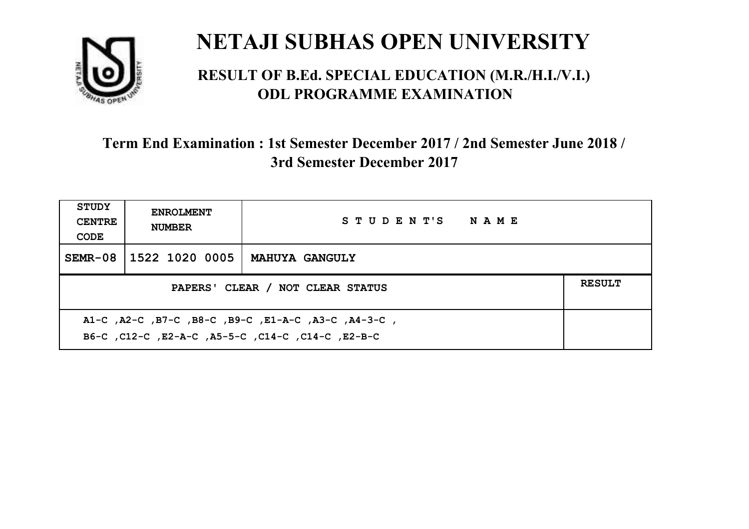

#### **RESULT OF B.Ed. SPECIAL EDUCATION (M.R./H.I./V.I.) ODL PROGRAMME EXAMINATION**

| <b>STUDY</b><br><b>CENTRE</b><br>CODE                                                                    | <b>ENROLMENT</b><br><b>NUMBER</b> | STUDENT'S NAME        |  |
|----------------------------------------------------------------------------------------------------------|-----------------------------------|-----------------------|--|
|                                                                                                          | SEMR-08 1522 1020 0005            | <b>MAHUYA GANGULY</b> |  |
| PAPERS' CLEAR / NOT CLEAR STATUS                                                                         |                                   |                       |  |
| A1-C, A2-C, B7-C, B8-C, B9-C, E1-A-C, A3-C, A4-3-C,<br>B6-C, C12-C, E2-A-C, A5-5-C, C14-C, C14-C, E2-B-C |                                   |                       |  |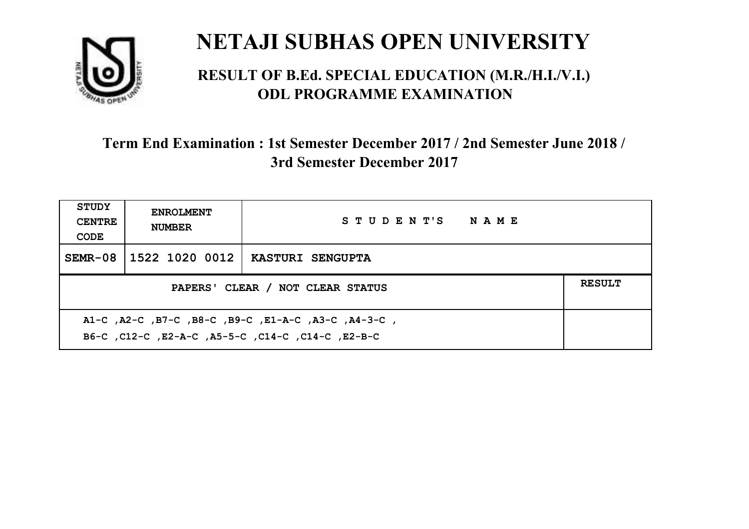

#### **RESULT OF B.Ed. SPECIAL EDUCATION (M.R./H.I./V.I.) ODL PROGRAMME EXAMINATION**

| <b>STUDY</b><br><b>CENTRE</b><br>CODE                                                                     | <b>ENROLMENT</b><br><b>NUMBER</b>                 | STUDENT'S NAME          |  |  |  |
|-----------------------------------------------------------------------------------------------------------|---------------------------------------------------|-------------------------|--|--|--|
| $SEMR-08$                                                                                                 | 1522 1020 0012                                    | <b>KASTURI SENGUPTA</b> |  |  |  |
|                                                                                                           | <b>RESULT</b><br>PAPERS' CLEAR / NOT CLEAR STATUS |                         |  |  |  |
| A1-C, A2-C, B7-C, B8-C, B9-C, E1-A-C, A3-C, A4-3-C,<br>B6-C, C12-C, E2-A-C, A5-5-C, C14-C, C14-C, C12-B-C |                                                   |                         |  |  |  |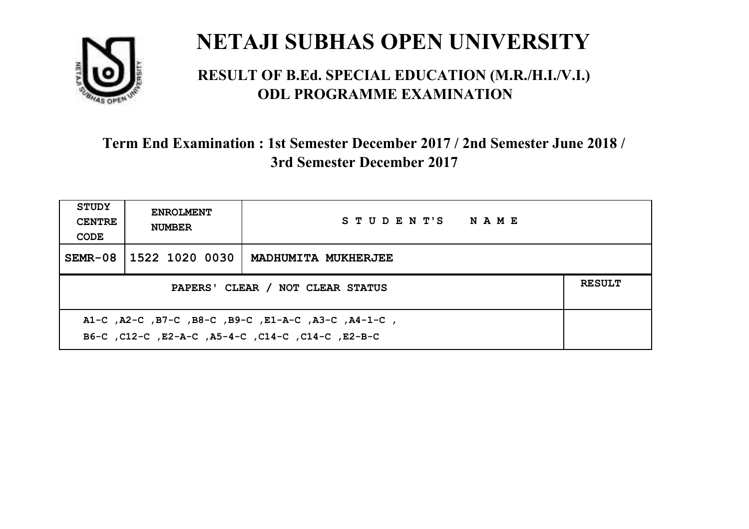

#### **RESULT OF B.Ed. SPECIAL EDUCATION (M.R./H.I./V.I.) ODL PROGRAMME EXAMINATION**

| <b>STUDY</b><br><b>CENTRE</b><br>CODE                                                                     | <b>ENROLMENT</b><br><b>NUMBER</b> | STUDENT'S NAME      |  |
|-----------------------------------------------------------------------------------------------------------|-----------------------------------|---------------------|--|
| $SEMR-08$                                                                                                 | 1522 1020 0030                    | MADHUMITA MUKHERJEE |  |
| PAPERS' CLEAR / NOT CLEAR STATUS                                                                          |                                   |                     |  |
| A1-C, A2-C, B7-C, B8-C, B9-C, E1-A-C, A3-C, A4-1-C,<br>B6-C, C12-C, E2-A-C, A5-4-C, C14-C, C14-C, C12-B-C |                                   |                     |  |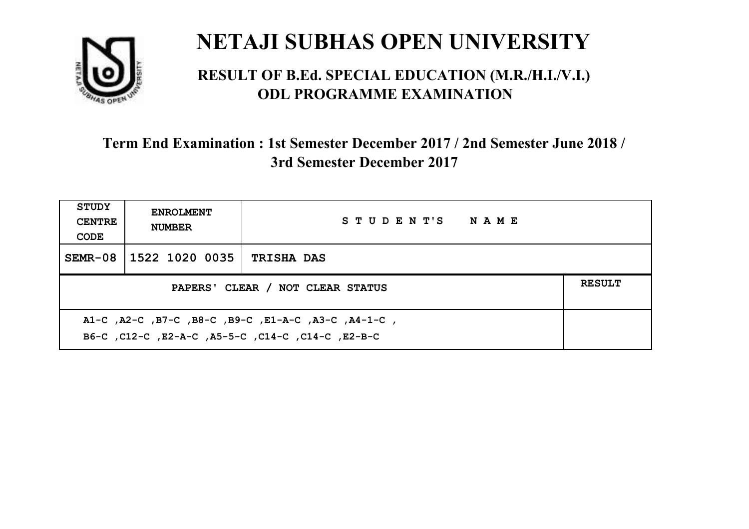

#### **RESULT OF B.Ed. SPECIAL EDUCATION (M.R./H.I./V.I.) ODL PROGRAMME EXAMINATION**

| <b>STUDY</b><br><b>CENTRE</b><br>CODE | <b>ENROLMENT</b><br><b>NUMBER</b> | STUDENT'S NAME    |  |
|---------------------------------------|-----------------------------------|-------------------|--|
|                                       | SEMR-08 1522 1020 0035            | <b>TRISHA DAS</b> |  |
| PAPERS' CLEAR / NOT CLEAR STATUS      |                                   |                   |  |
|                                       |                                   |                   |  |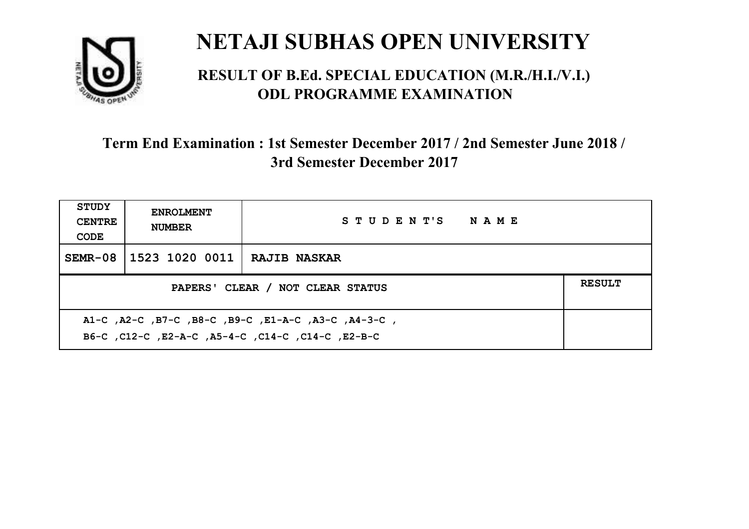

#### **RESULT OF B.Ed. SPECIAL EDUCATION (M.R./H.I./V.I.) ODL PROGRAMME EXAMINATION**

| <b>STUDY</b><br><b>CENTRE</b><br>CODE                                                                     | <b>ENROLMENT</b><br><b>NUMBER</b>                 | STUDENT'S NAME      |  |  |  |
|-----------------------------------------------------------------------------------------------------------|---------------------------------------------------|---------------------|--|--|--|
| $SEMR-08$                                                                                                 | 1523 1020 0011                                    | <b>RAJIB NASKAR</b> |  |  |  |
|                                                                                                           | <b>RESULT</b><br>PAPERS' CLEAR / NOT CLEAR STATUS |                     |  |  |  |
| A1-C, A2-C, B7-C, B8-C, B9-C, E1-A-C, A3-C, A4-3-C,<br>B6-C, C12-C, E2-A-C, A5-4-C, C14-C, C14-C, C12-B-C |                                                   |                     |  |  |  |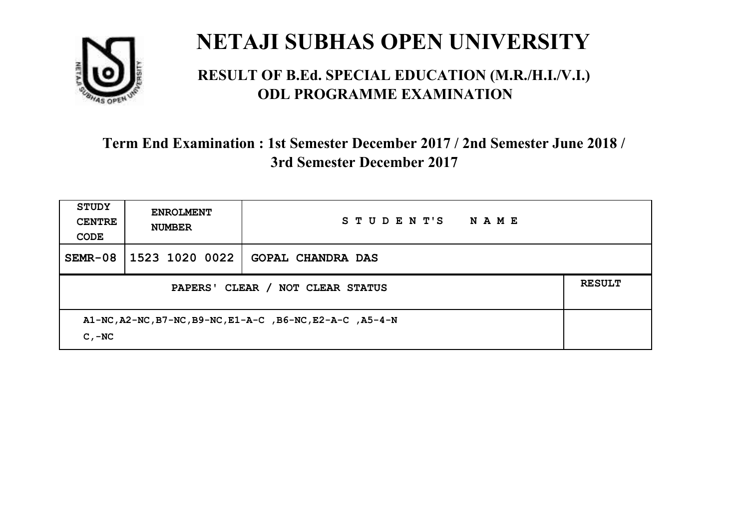

#### **RESULT OF B.Ed. SPECIAL EDUCATION (M.R./H.I./V.I.) ODL PROGRAMME EXAMINATION**

| <b>STUDY</b><br><b>CENTRE</b><br>CODE                                 | <b>ENROLMENT</b><br><b>NUMBER</b> | STUDENT'S<br>NAME        |  |
|-----------------------------------------------------------------------|-----------------------------------|--------------------------|--|
|                                                                       | SEMR-08 1523 1020 0022            | <b>GOPAL CHANDRA DAS</b> |  |
| PAPERS' CLEAR /<br><b>NOT CLEAR STATUS</b>                            |                                   |                          |  |
| A1-NC, A2-NC, B7-NC, B9-NC, E1-A-C, B6-NC, E2-A-C, A5-4-N<br>$C - NC$ |                                   |                          |  |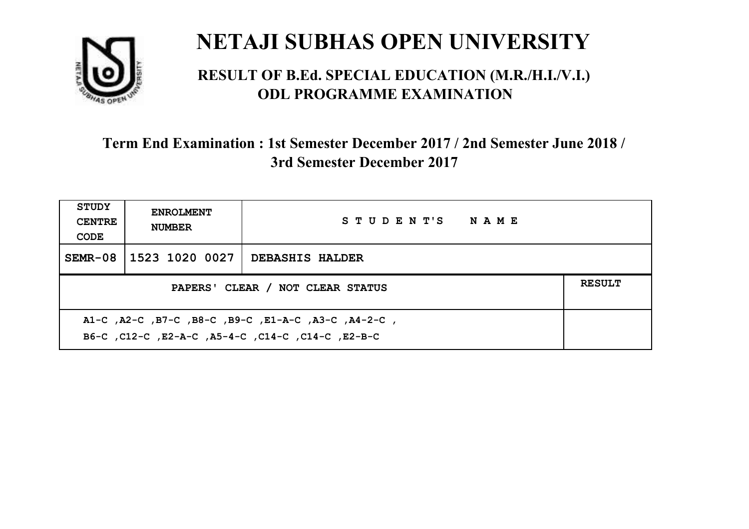

#### **RESULT OF B.Ed. SPECIAL EDUCATION (M.R./H.I./V.I.) ODL PROGRAMME EXAMINATION**

| <b>STUDY</b><br><b>CENTRE</b><br>CODE | <b>ENROLMENT</b><br><b>NUMBER</b> | STUDENT'S NAME         |  |
|---------------------------------------|-----------------------------------|------------------------|--|
|                                       | SEMR-08 1523 1020 0027            | <b>DEBASHIS HALDER</b> |  |
| PAPERS' CLEAR / NOT CLEAR STATUS      |                                   |                        |  |
|                                       |                                   |                        |  |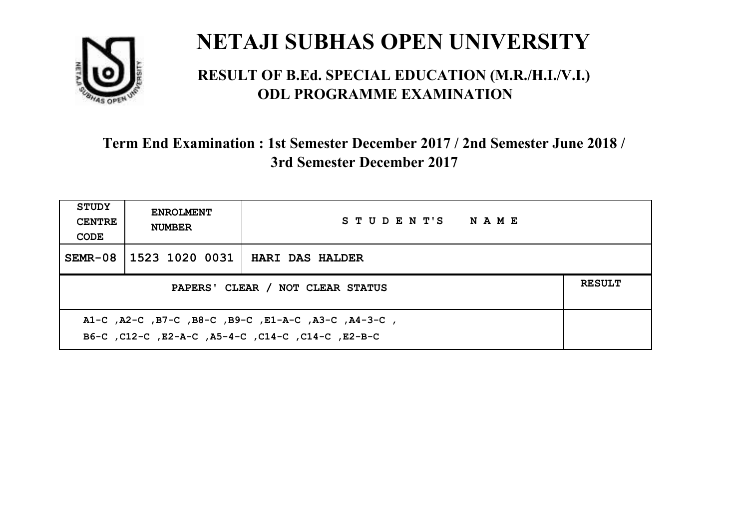

#### **RESULT OF B.Ed. SPECIAL EDUCATION (M.R./H.I./V.I.) ODL PROGRAMME EXAMINATION**

| <b>STUDY</b><br><b>CENTRE</b><br>CODE | <b>ENROLMENT</b><br><b>NUMBER</b> | STUDENT'S NAME         |  |
|---------------------------------------|-----------------------------------|------------------------|--|
|                                       | SEMR-08   1523 1020 0031          | <b>HARI DAS HALDER</b> |  |
| PAPERS' CLEAR / NOT CLEAR STATUS      |                                   |                        |  |
|                                       |                                   |                        |  |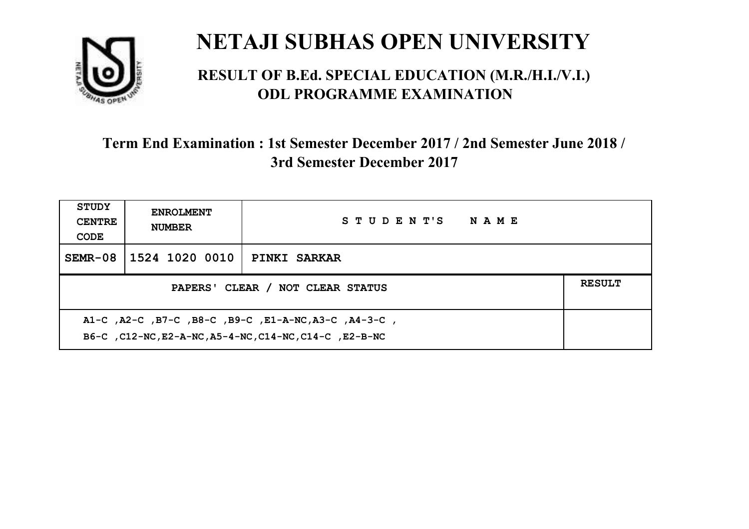

#### **RESULT OF B.Ed. SPECIAL EDUCATION (M.R./H.I./V.I.) ODL PROGRAMME EXAMINATION**

| <b>STUDY</b><br><b>CENTRE</b><br>CODE                                                                          | <b>ENROLMENT</b><br><b>NUMBER</b> | STUDENT'S NAME      |               |
|----------------------------------------------------------------------------------------------------------------|-----------------------------------|---------------------|---------------|
| $SEMR-08$                                                                                                      | 1524 1020 0010                    | <b>PINKI SARKAR</b> |               |
| PAPERS' CLEAR / NOT CLEAR STATUS                                                                               |                                   |                     | <b>RESULT</b> |
| A1-C, A2-C, B7-C, B8-C, B9-C, E1-A-NC, A3-C, A4-3-C,<br>B6-C, C12-NC, E2-A-NC, A5-4-NC, C14-NC, C14-C, E2-B-NC |                                   |                     |               |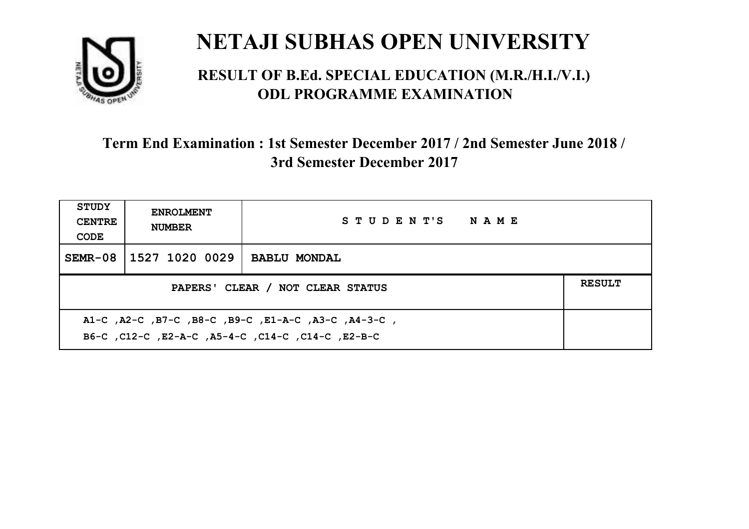

#### **RESULT OF B.Ed. SPECIAL EDUCATION (M.R./H.I./V.I.) ODL PROGRAMME EXAMINATION**

| <b>STUDY</b><br><b>CENTRE</b><br>CODE | <b>ENROLMENT</b><br><b>NUMBER</b>                                                                         | STUDENT'S NAME      |  |  |  |
|---------------------------------------|-----------------------------------------------------------------------------------------------------------|---------------------|--|--|--|
| SEMR-08                               | 1527 1020 0029                                                                                            | <b>BABLU MONDAL</b> |  |  |  |
|                                       | <b>RESULT</b><br>PAPERS' CLEAR / NOT CLEAR STATUS                                                         |                     |  |  |  |
|                                       | A1-C, A2-C, B7-C, B8-C, B9-C, E1-A-C, A3-C, A4-3-C,<br>B6-C, C12-C, E2-A-C, A5-4-C, C14-C, C14-C, C12-B-C |                     |  |  |  |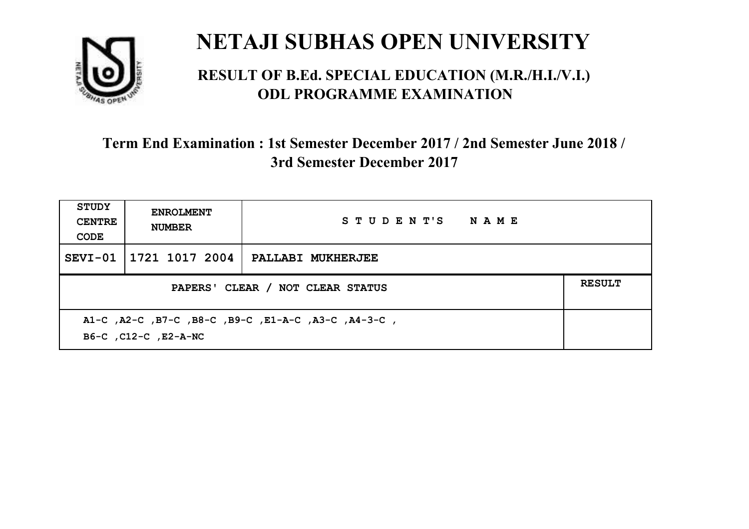

#### **RESULT OF B.Ed. SPECIAL EDUCATION (M.R./H.I./V.I.) ODL PROGRAMME EXAMINATION**

| <b>STUDY</b><br><b>CENTRE</b><br>CODE                                       | <b>ENROLMENT</b><br><b>NUMBER</b> | STUDENT'S NAME    |  |  |
|-----------------------------------------------------------------------------|-----------------------------------|-------------------|--|--|
| SEVI-01                                                                     | 1721 1017 2004                    | PALLABI MUKHERJEE |  |  |
| PAPERS' CLEAR / NOT CLEAR STATUS                                            |                                   |                   |  |  |
| A1-C, A2-C, B7-C, B8-C, B9-C, E1-A-C, A3-C, A4-3-C,<br>B6-C, C12-C, E2-A-NC |                                   |                   |  |  |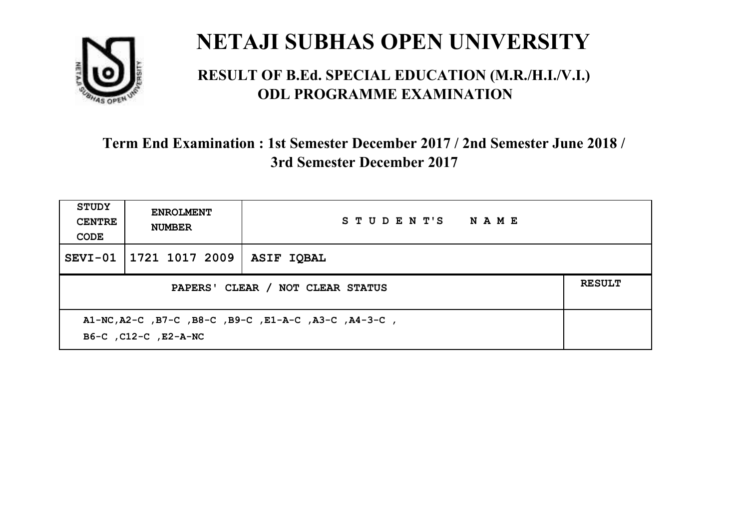

#### **RESULT OF B.Ed. SPECIAL EDUCATION (M.R./H.I./V.I.) ODL PROGRAMME EXAMINATION**

| <b>STUDY</b><br><b>CENTRE</b><br>CODE                                        | <b>ENROLMENT</b><br><b>NUMBER</b> | STUDENT'S NAME    |  |
|------------------------------------------------------------------------------|-----------------------------------|-------------------|--|
| $SEVI-01$                                                                    | 1721 1017 2009                    | <b>ASIF IOBAL</b> |  |
| PAPERS' CLEAR / NOT CLEAR STATUS                                             |                                   |                   |  |
| A1-NC, A2-C, B7-C, B8-C, B9-C, E1-A-C, A3-C, A4-3-C,<br>B6-C, C12-C, E2-A-NC |                                   |                   |  |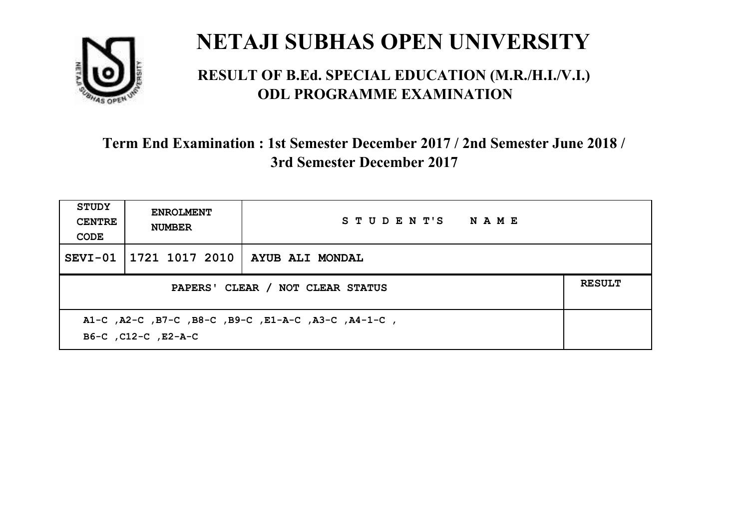

#### **RESULT OF B.Ed. SPECIAL EDUCATION (M.R./H.I./V.I.) ODL PROGRAMME EXAMINATION**

| STUDY<br><b>CENTRE</b><br>CODE                                             | <b>ENROLMENT</b><br><b>NUMBER</b> | STUDENT'S NAME                   |  |
|----------------------------------------------------------------------------|-----------------------------------|----------------------------------|--|
| $SEVI-01$                                                                  |                                   | 1721 1017 2010   AYUB ALI MONDAL |  |
| PAPERS' CLEAR / NOT CLEAR STATUS                                           |                                   |                                  |  |
| A1-C, A2-C, B7-C, B8-C, B9-C, E1-A-C, A3-C, A4-1-C,<br>B6-C, C12-C, E2-A-C |                                   |                                  |  |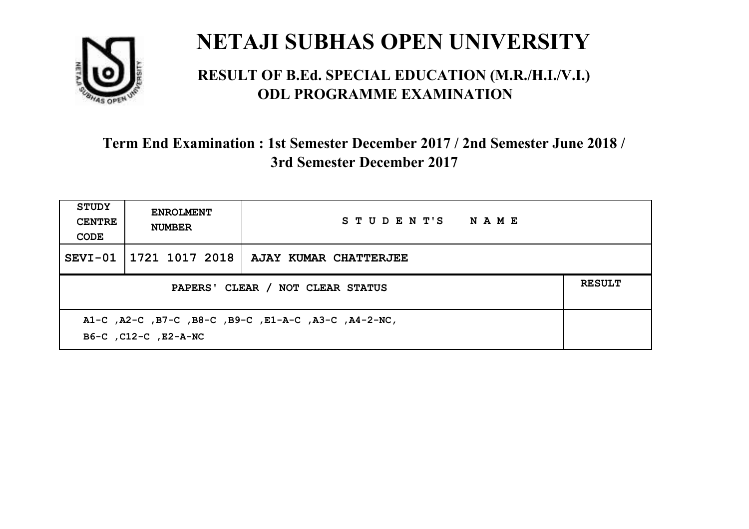

#### **RESULT OF B.Ed. SPECIAL EDUCATION (M.R./H.I./V.I.) ODL PROGRAMME EXAMINATION**

| <b>STUDY</b><br><b>CENTRE</b><br>CODE                                        | <b>ENROLMENT</b><br><b>NUMBER</b> | STUDENT'S NAME                           |  |
|------------------------------------------------------------------------------|-----------------------------------|------------------------------------------|--|
| SEVI-01                                                                      |                                   | $1721$ 1017 2018   AJAY KUMAR CHATTERJEE |  |
| PAPERS' CLEAR / NOT CLEAR STATUS                                             |                                   |                                          |  |
| A1-C, A2-C, B7-C, B8-C, B9-C, E1-A-C, A3-C, A4-2-NC,<br>B6-C, C12-C, E2-A-NC |                                   |                                          |  |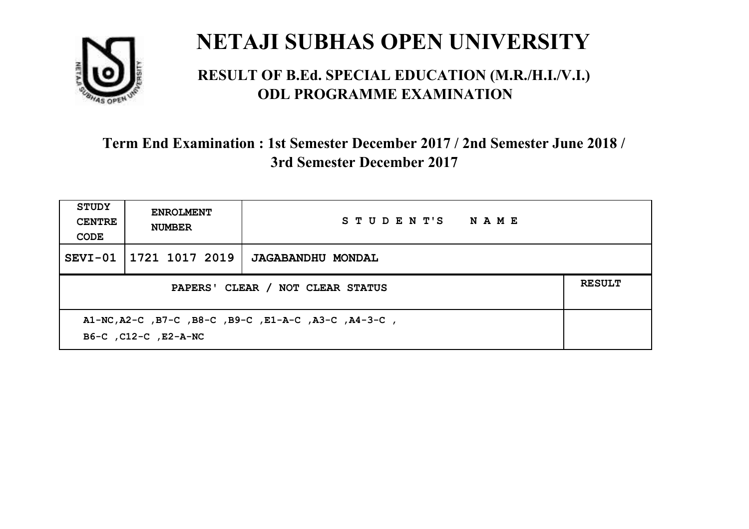

#### **RESULT OF B.Ed. SPECIAL EDUCATION (M.R./H.I./V.I.) ODL PROGRAMME EXAMINATION**

| <b>STUDY</b><br><b>CENTRE</b><br>CODE                                        | <b>ENROLMENT</b><br><b>NUMBER</b> | STUDENT'S NAME           |  |
|------------------------------------------------------------------------------|-----------------------------------|--------------------------|--|
| SEVI-01                                                                      | 1721 1017 2019                    | <b>JAGABANDHU MONDAL</b> |  |
| PAPERS' CLEAR / NOT CLEAR STATUS                                             |                                   |                          |  |
| A1-NC, A2-C, B7-C, B8-C, B9-C, E1-A-C, A3-C, A4-3-C,<br>B6-C, C12-C, E2-A-NC |                                   |                          |  |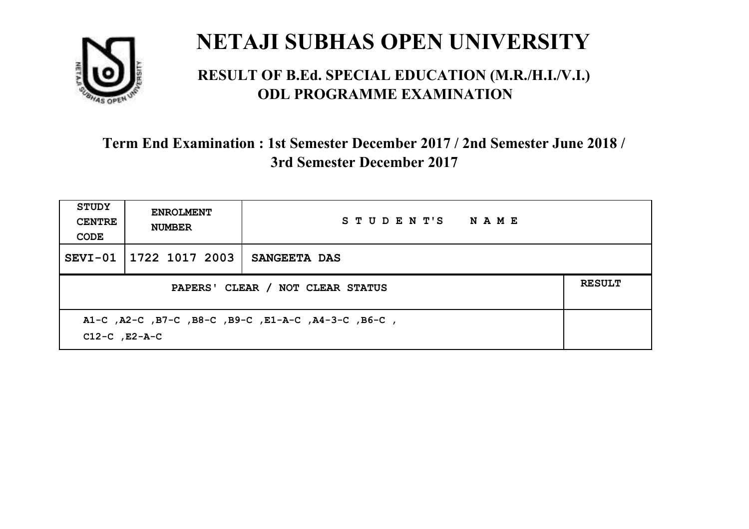

#### **RESULT OF B.Ed. SPECIAL EDUCATION (M.R./H.I./V.I.) ODL PROGRAMME EXAMINATION**

| <b>STUDY</b><br><b>CENTRE</b><br>CODE                                     | <b>ENROLMENT</b><br><b>NUMBER</b> | STUDENT'S NAME |  |
|---------------------------------------------------------------------------|-----------------------------------|----------------|--|
|                                                                           | SEVI-01 1722 1017 2003            | SANGEETA DAS   |  |
| PAPERS' CLEAR / NOT CLEAR STATUS                                          |                                   |                |  |
| A1-C, A2-C, B7-C, B8-C, B9-C, E1-A-C, A4-3-C, B6-C,<br>$C12-C$ , $E2-A-C$ |                                   |                |  |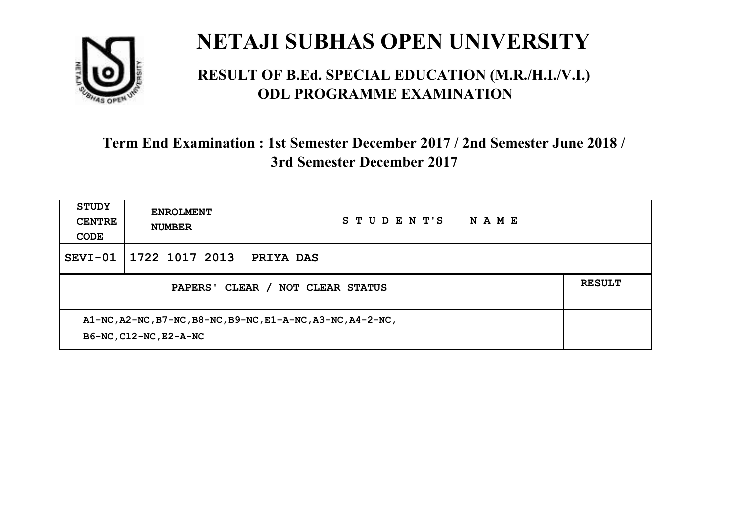

#### **RESULT OF B.Ed. SPECIAL EDUCATION (M.R./H.I./V.I.) ODL PROGRAMME EXAMINATION**

| <b>STUDY</b><br><b>CENTRE</b><br>CODE                                                 | <b>ENROLMENT</b><br><b>NUMBER</b> | STUDENT'S<br>NAME |  |
|---------------------------------------------------------------------------------------|-----------------------------------|-------------------|--|
| SEVI-01                                                                               | 1722 1017 2013                    | PRIYA DAS         |  |
| CLEAR /<br><b>PAPERS'</b><br>NOT CLEAR STATUS                                         |                                   |                   |  |
| A1-NC, A2-NC, B7-NC, B8-NC, B9-NC, E1-A-NC, A3-NC, A4-2-NC,<br>B6-NC, C12-NC, E2-A-NC |                                   |                   |  |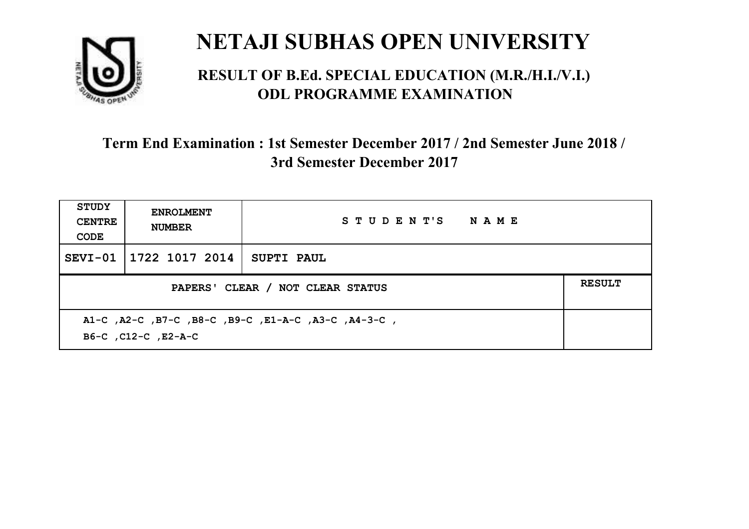

#### **RESULT OF B.Ed. SPECIAL EDUCATION (M.R./H.I./V.I.) ODL PROGRAMME EXAMINATION**

| <b>STUDY</b><br><b>CENTRE</b><br>CODE | <b>ENROLMENT</b><br><b>NUMBER</b>                                          | STUDENT'S NAME    |  |  |  |
|---------------------------------------|----------------------------------------------------------------------------|-------------------|--|--|--|
| SEVI-01                               | 1722 1017 2014                                                             | <b>SUPTI PAUL</b> |  |  |  |
|                                       | <b>RESULT</b><br>PAPERS' CLEAR / NOT CLEAR STATUS                          |                   |  |  |  |
|                                       | A1-C, A2-C, B7-C, B8-C, B9-C, E1-A-C, A3-C, A4-3-C,<br>B6-C, C12-C, E2-A-C |                   |  |  |  |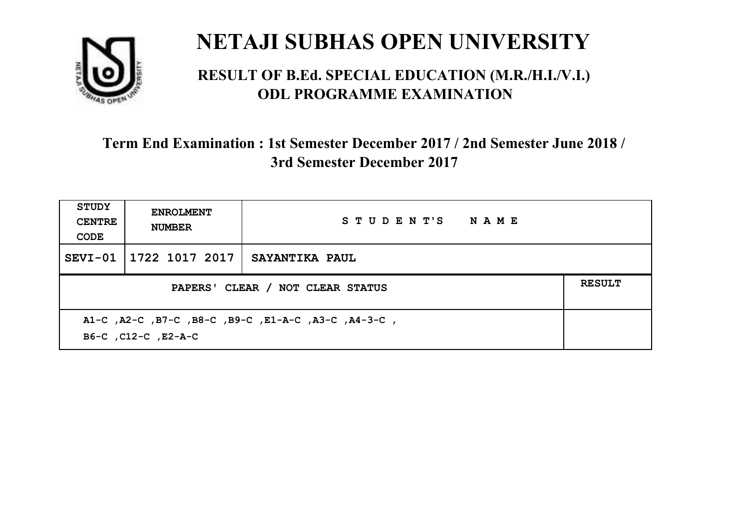

#### **RESULT OF B.Ed. SPECIAL EDUCATION (M.R./H.I./V.I.) ODL PROGRAMME EXAMINATION**

| <b>STUDY</b><br><b>CENTRE</b><br>CODE                                      | <b>ENROLMENT</b><br><b>NUMBER</b> | STUDENT'S NAME        |  |
|----------------------------------------------------------------------------|-----------------------------------|-----------------------|--|
| $SEVI-01$                                                                  | 1722 1017 2017                    | <b>SAYANTIKA PAUL</b> |  |
| PAPERS' CLEAR / NOT CLEAR STATUS                                           |                                   |                       |  |
| A1-C, A2-C, B7-C, B8-C, B9-C, E1-A-C, A3-C, A4-3-C,<br>B6-C, C12-C, E2-A-C |                                   |                       |  |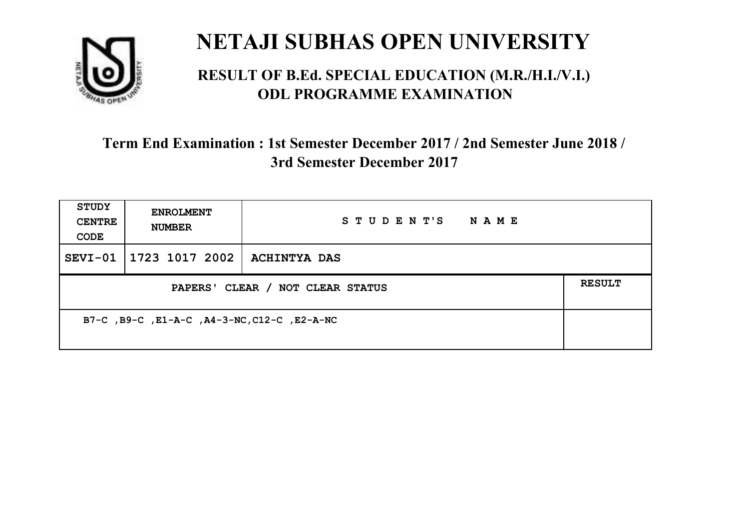

#### **RESULT OF B.Ed. SPECIAL EDUCATION (M.R./H.I./V.I.) ODL PROGRAMME EXAMINATION**

| <b>STUDY</b><br><b>CENTRE</b><br>CODE       | <b>ENROLMENT</b><br><b>NUMBER</b> | STUDENT'S<br>N A M E |               |
|---------------------------------------------|-----------------------------------|----------------------|---------------|
|                                             | SEVI-01   1723 1017 2002          | ACHINTYA DAS         |               |
| PAPERS' CLEAR / NOT CLEAR STATUS            |                                   |                      | <b>RESULT</b> |
| B7-C, B9-C, E1-A-C, A4-3-NC, C12-C, E2-A-NC |                                   |                      |               |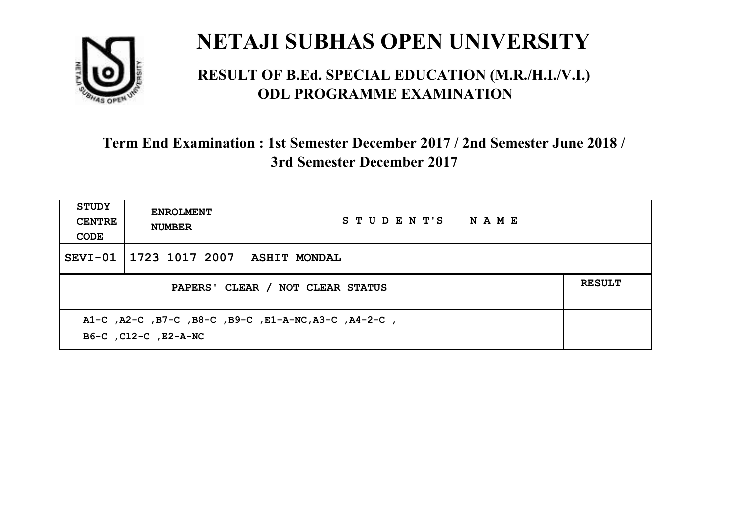

#### **RESULT OF B.Ed. SPECIAL EDUCATION (M.R./H.I./V.I.) ODL PROGRAMME EXAMINATION**

| STUDY<br><b>CENTRE</b><br>CODE                                               | <b>ENROLMENT</b><br><b>NUMBER</b>                 | STUDENT'S NAME |  |  |  |
|------------------------------------------------------------------------------|---------------------------------------------------|----------------|--|--|--|
| SEVI-01                                                                      | 1723 1017 2007                                    | ASHIT MONDAL   |  |  |  |
|                                                                              | <b>RESULT</b><br>PAPERS' CLEAR / NOT CLEAR STATUS |                |  |  |  |
| A1-C, A2-C, B7-C, B8-C, B9-C, E1-A-NC, A3-C, A4-2-C,<br>B6-C, C12-C, E2-A-NC |                                                   |                |  |  |  |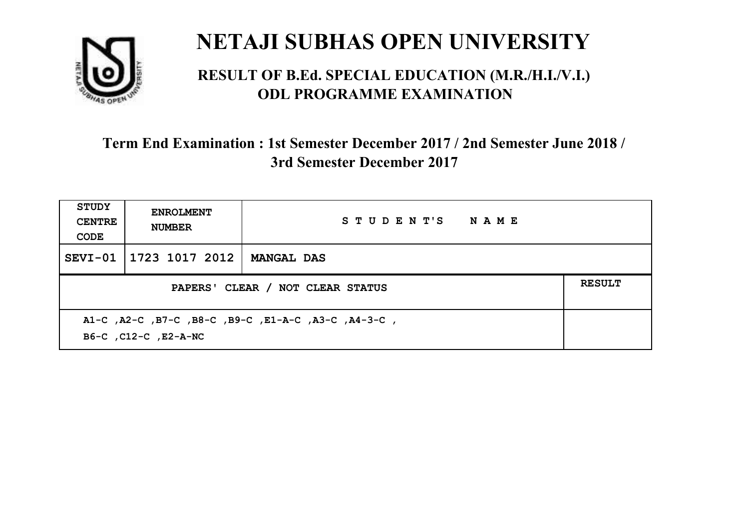

#### **RESULT OF B.Ed. SPECIAL EDUCATION (M.R./H.I./V.I.) ODL PROGRAMME EXAMINATION**

| <b>STUDY</b><br><b>CENTRE</b><br>CODE | <b>ENROLMENT</b><br><b>NUMBER</b>                                           | STUDENT'S NAME    |  |  |  |
|---------------------------------------|-----------------------------------------------------------------------------|-------------------|--|--|--|
| SEVI-01                               | 1723 1017 2012                                                              | <b>MANGAL DAS</b> |  |  |  |
|                                       | <b>RESULT</b><br>PAPERS' CLEAR / NOT CLEAR STATUS                           |                   |  |  |  |
|                                       | A1-C, A2-C, B7-C, B8-C, B9-C, E1-A-C, A3-C, A4-3-C,<br>B6-C, C12-C, E2-A-NC |                   |  |  |  |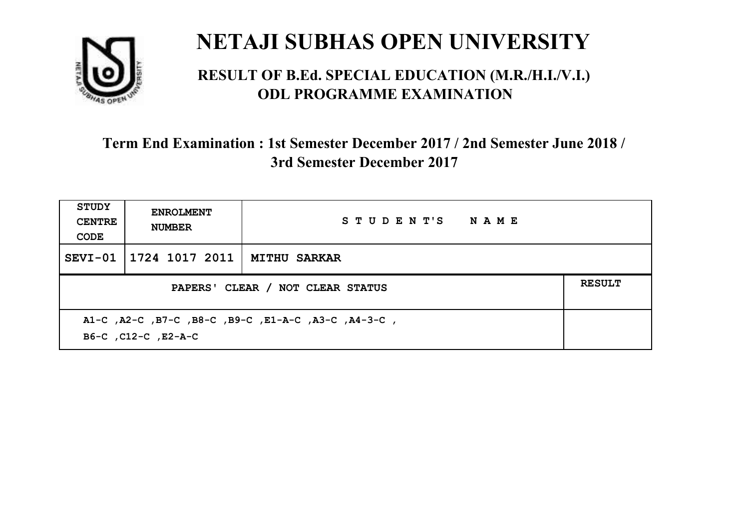

#### **RESULT OF B.Ed. SPECIAL EDUCATION (M.R./H.I./V.I.) ODL PROGRAMME EXAMINATION**

| <b>STUDY</b><br><b>CENTRE</b><br>CODE                                      | <b>ENROLMENT</b><br><b>NUMBER</b>                 | STUDENT'S NAME |  |  |  |
|----------------------------------------------------------------------------|---------------------------------------------------|----------------|--|--|--|
| $SEVI-01$                                                                  | 1724 1017 2011   MITHU SARKAR                     |                |  |  |  |
|                                                                            | <b>RESULT</b><br>PAPERS' CLEAR / NOT CLEAR STATUS |                |  |  |  |
| A1-C, A2-C, B7-C, B8-C, B9-C, E1-A-C, A3-C, A4-3-C,<br>B6-C, C12-C, E2-A-C |                                                   |                |  |  |  |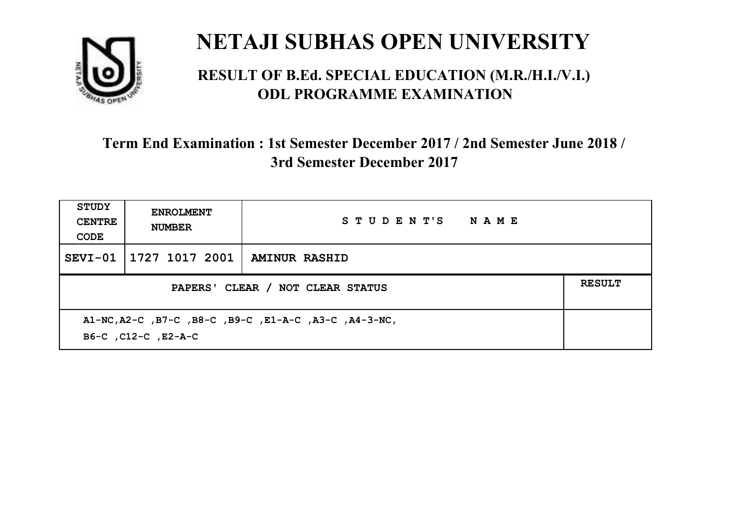

#### **RESULT OF B.Ed. SPECIAL EDUCATION (M.R./H.I./V.I.) ODL PROGRAMME EXAMINATION**

| <b>STUDY</b><br><b>CENTRE</b><br>CODE                                        | <b>ENROLMENT</b><br><b>NUMBER</b>                 | STUDENT'S NAME |  |  |  |
|------------------------------------------------------------------------------|---------------------------------------------------|----------------|--|--|--|
| SEVI-01                                                                      | 1727 1017 2001                                    | AMINUR RASHID  |  |  |  |
|                                                                              | <b>RESULT</b><br>PAPERS' CLEAR / NOT CLEAR STATUS |                |  |  |  |
| A1-NC, A2-C, B7-C, B8-C, B9-C, E1-A-C, A3-C, A4-3-NC,<br>B6-C, C12-C, E2-A-C |                                                   |                |  |  |  |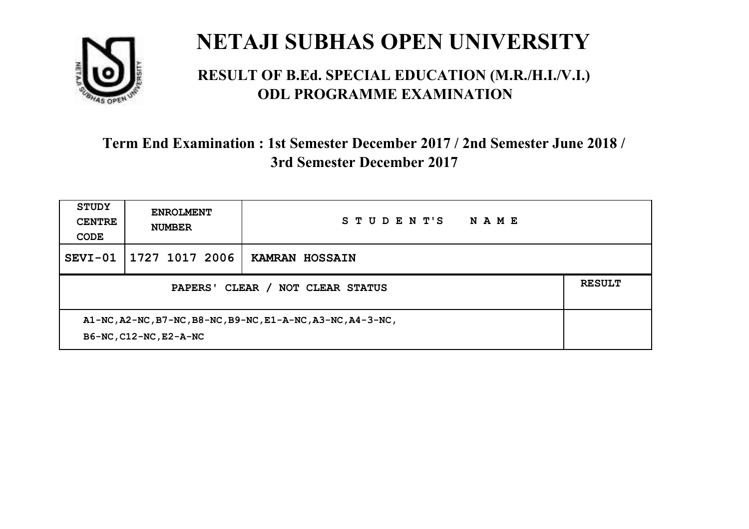

#### **RESULT OF B.Ed. SPECIAL EDUCATION (M.R./H.I./V.I.) ODL PROGRAMME EXAMINATION**

| <b>STUDY</b><br><b>CENTRE</b><br>CODE                                                 | <b>ENROLMENT</b><br><b>NUMBER</b> | STUDENT'S<br>NAME     |  |
|---------------------------------------------------------------------------------------|-----------------------------------|-----------------------|--|
| SEVI-01                                                                               | 1727 1017 2006                    | <b>KAMRAN HOSSAIN</b> |  |
| PAPERS' CLEAR /<br><b>NOT CLEAR STATUS</b>                                            |                                   |                       |  |
| A1-NC, A2-NC, B7-NC, B8-NC, B9-NC, E1-A-NC, A3-NC, A4-3-NC,<br>B6-NC, C12-NC, E2-A-NC |                                   |                       |  |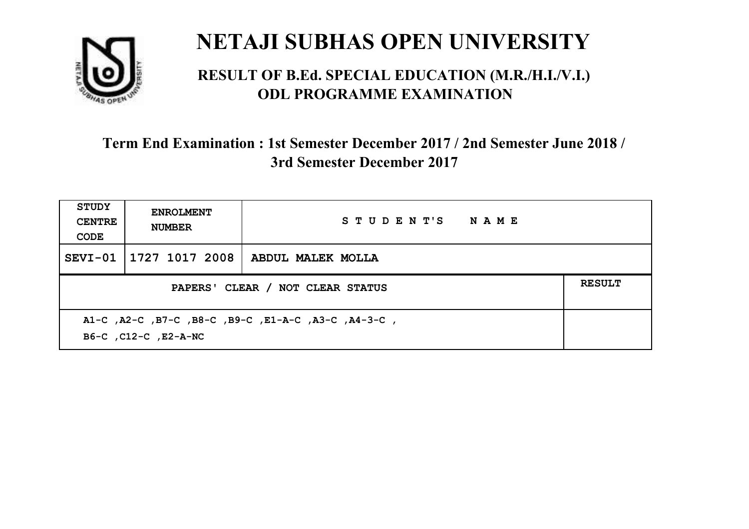

#### **RESULT OF B.Ed. SPECIAL EDUCATION (M.R./H.I./V.I.) ODL PROGRAMME EXAMINATION**

| STUDY<br><b>CENTRE</b><br>CODE                                              | <b>ENROLMENT</b><br><b>NUMBER</b>                 | STUDENT'S NAME    |  |  |  |
|-----------------------------------------------------------------------------|---------------------------------------------------|-------------------|--|--|--|
| $SEVI-01$                                                                   | 1727 1017 2008                                    | ABDUL MALEK MOLLA |  |  |  |
|                                                                             | <b>RESULT</b><br>PAPERS' CLEAR / NOT CLEAR STATUS |                   |  |  |  |
| A1-C, A2-C, B7-C, B8-C, B9-C, E1-A-C, A3-C, A4-3-C,<br>B6-C, C12-C, E2-A-NC |                                                   |                   |  |  |  |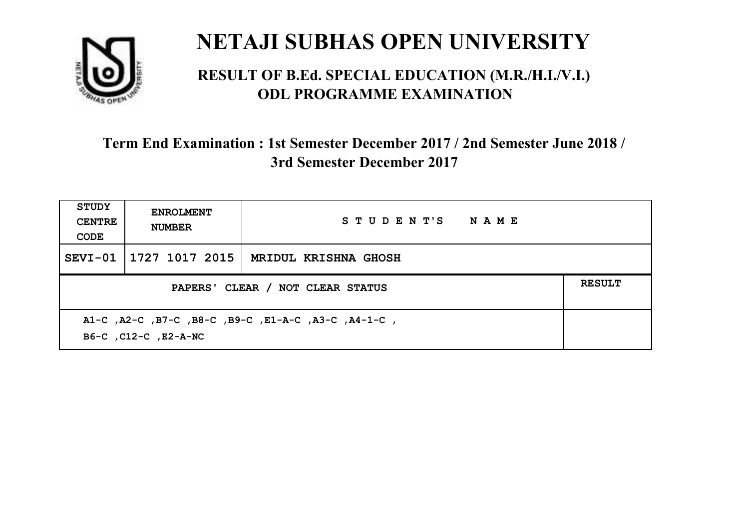

#### **RESULT OF B.Ed. SPECIAL EDUCATION (M.R./H.I./V.I.) ODL PROGRAMME EXAMINATION**

| <b>STUDY</b><br><b>CENTRE</b><br>CODE                                       | <b>ENROLMENT</b><br><b>NUMBER</b>                 | STUDENT'S NAME       |  |  |  |
|-----------------------------------------------------------------------------|---------------------------------------------------|----------------------|--|--|--|
|                                                                             | SEVI-01   1727 1017 2015                          | MRIDUL KRISHNA GHOSH |  |  |  |
|                                                                             | <b>RESULT</b><br>PAPERS' CLEAR / NOT CLEAR STATUS |                      |  |  |  |
| A1-C, A2-C, B7-C, B8-C, B9-C, E1-A-C, A3-C, A4-1-C,<br>B6-C, C12-C, E2-A-NC |                                                   |                      |  |  |  |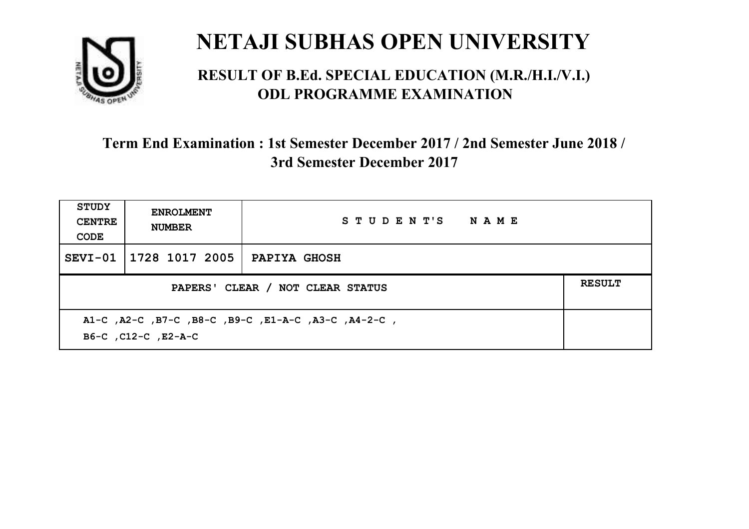

#### **RESULT OF B.Ed. SPECIAL EDUCATION (M.R./H.I./V.I.) ODL PROGRAMME EXAMINATION**

| <b>STUDY</b><br><b>CENTRE</b><br>CODE                                      | <b>ENROLMENT</b><br><b>NUMBER</b>                 | STUDENT'S NAME      |  |  |  |
|----------------------------------------------------------------------------|---------------------------------------------------|---------------------|--|--|--|
| $SEVI-01$                                                                  | 1728 1017 2005                                    | <b>PAPIYA GHOSH</b> |  |  |  |
|                                                                            | <b>RESULT</b><br>PAPERS' CLEAR / NOT CLEAR STATUS |                     |  |  |  |
| A1-C, A2-C, B7-C, B8-C, B9-C, E1-A-C, A3-C, A4-2-C,<br>B6-C, C12-C, E2-A-C |                                                   |                     |  |  |  |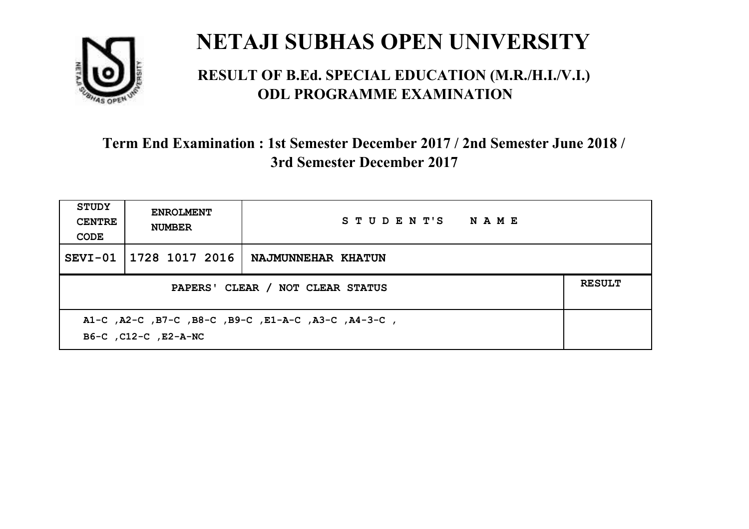

#### **RESULT OF B.Ed. SPECIAL EDUCATION (M.R./H.I./V.I.) ODL PROGRAMME EXAMINATION**

| <b>STUDY</b><br><b>CENTRE</b><br>CODE                                       | <b>ENROLMENT</b><br><b>NUMBER</b>                 | STUDENT'S NAME     |  |  |  |
|-----------------------------------------------------------------------------|---------------------------------------------------|--------------------|--|--|--|
| SEVI-01                                                                     | 1728 1017 2016                                    | NAJMUNNEHAR KHATUN |  |  |  |
|                                                                             | <b>RESULT</b><br>PAPERS' CLEAR / NOT CLEAR STATUS |                    |  |  |  |
| A1-C, A2-C, B7-C, B8-C, B9-C, E1-A-C, A3-C, A4-3-C,<br>B6-C, C12-C, E2-A-NC |                                                   |                    |  |  |  |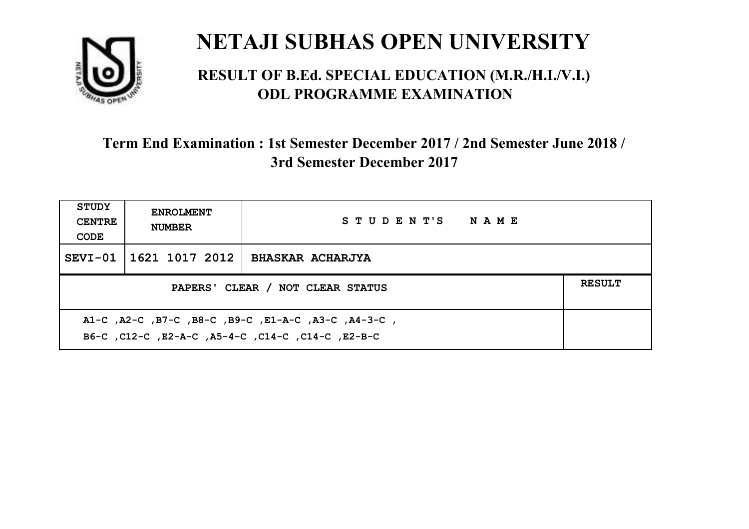

#### **RESULT OF B.Ed. SPECIAL EDUCATION (M.R./H.I./V.I.) ODL PROGRAMME EXAMINATION**

| <b>STUDY</b><br><b>CENTRE</b><br>CODE                                                                     | <b>ENROLMENT</b><br><b>NUMBER</b>                 | STUDENT'S NAME          |  |  |  |
|-----------------------------------------------------------------------------------------------------------|---------------------------------------------------|-------------------------|--|--|--|
|                                                                                                           | SEVI-01   1621 1017 2012                          | <b>BHASKAR ACHARJYA</b> |  |  |  |
|                                                                                                           | <b>RESULT</b><br>PAPERS' CLEAR / NOT CLEAR STATUS |                         |  |  |  |
| A1-C, A2-C, B7-C, B8-C, B9-C, E1-A-C, A3-C, A4-3-C,<br>B6-C, C12-C, E2-A-C, A5-4-C, C14-C, C14-C, C12-B-C |                                                   |                         |  |  |  |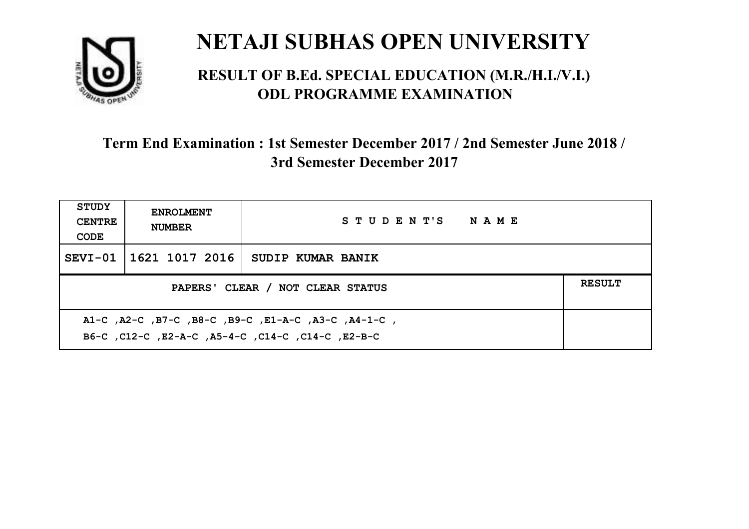

#### **RESULT OF B.Ed. SPECIAL EDUCATION (M.R./H.I./V.I.) ODL PROGRAMME EXAMINATION**

| <b>STUDY</b><br><b>CENTRE</b><br>CODE                                                                     | <b>ENROLMENT</b><br><b>NUMBER</b>                 | STUDENT'S NAME    |  |  |  |
|-----------------------------------------------------------------------------------------------------------|---------------------------------------------------|-------------------|--|--|--|
|                                                                                                           | SEVI-01   1621 1017 2016                          | SUDIP KUMAR BANIK |  |  |  |
|                                                                                                           | <b>RESULT</b><br>PAPERS' CLEAR / NOT CLEAR STATUS |                   |  |  |  |
| A1-C, A2-C, B7-C, B8-C, B9-C, E1-A-C, A3-C, A4-1-C,<br>B6-C, C12-C, E2-A-C, A5-4-C, C14-C, C14-C, C12-B-C |                                                   |                   |  |  |  |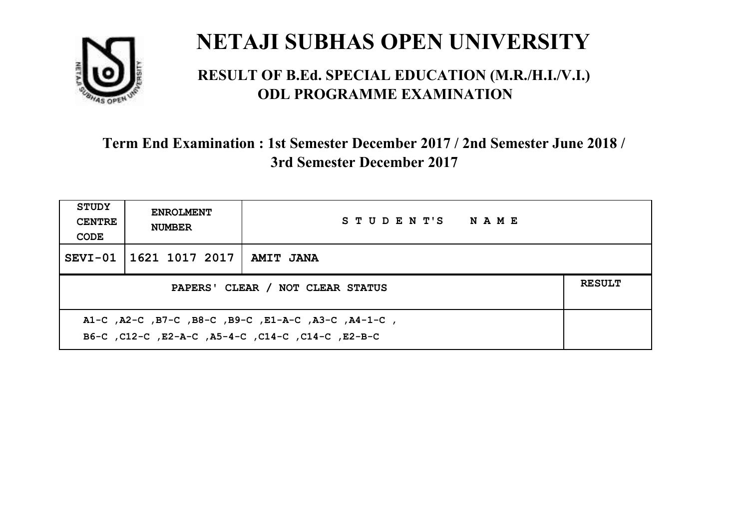

#### **RESULT OF B.Ed. SPECIAL EDUCATION (M.R./H.I./V.I.) ODL PROGRAMME EXAMINATION**

| <b>STUDY</b><br><b>CENTRE</b><br>CODE                                                                    | <b>ENROLMENT</b><br><b>NUMBER</b>                 | STUDENT'S NAME   |  |  |
|----------------------------------------------------------------------------------------------------------|---------------------------------------------------|------------------|--|--|
|                                                                                                          | SEVI-01   1621 1017 2017                          | <b>AMIT JANA</b> |  |  |
|                                                                                                          | <b>RESULT</b><br>PAPERS' CLEAR / NOT CLEAR STATUS |                  |  |  |
| A1-C, A2-C, B7-C, B8-C, B9-C, E1-A-C, A3-C, A4-1-C,<br>B6-C, C12-C, E2-A-C, A5-4-C, C14-C, C14-C, E2-B-C |                                                   |                  |  |  |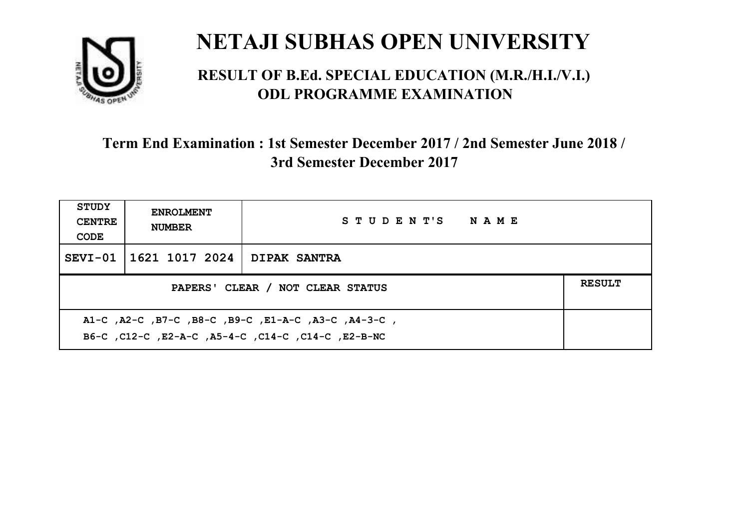

#### **RESULT OF B.Ed. SPECIAL EDUCATION (M.R./H.I./V.I.) ODL PROGRAMME EXAMINATION**

| <b>STUDY</b><br><b>CENTRE</b><br>CODE                                                                     | <b>ENROLMENT</b><br><b>NUMBER</b>                 | STUDENT'S NAME      |  |  |  |
|-----------------------------------------------------------------------------------------------------------|---------------------------------------------------|---------------------|--|--|--|
|                                                                                                           | SEVI-01   1621 1017 2024                          | <b>DIPAK SANTRA</b> |  |  |  |
|                                                                                                           | <b>RESULT</b><br>PAPERS' CLEAR / NOT CLEAR STATUS |                     |  |  |  |
| A1-C, A2-C, B7-C, B8-C, B9-C, E1-A-C, A3-C, A4-3-C,<br>B6-C, C12-C, E2-A-C, A5-4-C, C14-C, C14-C, E2-B-NC |                                                   |                     |  |  |  |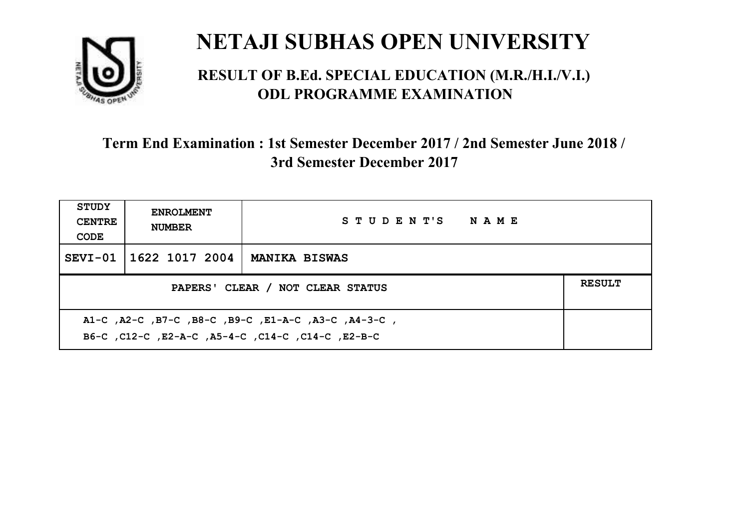

#### **RESULT OF B.Ed. SPECIAL EDUCATION (M.R./H.I./V.I.) ODL PROGRAMME EXAMINATION**

| <b>STUDY</b><br><b>CENTRE</b><br>CODE             | <b>ENROLMENT</b><br><b>NUMBER</b> | STUDENT'S NAME       |  |  |
|---------------------------------------------------|-----------------------------------|----------------------|--|--|
|                                                   | SEVI-01 1622 1017 2004            | <b>MANIKA BISWAS</b> |  |  |
| <b>RESULT</b><br>PAPERS' CLEAR / NOT CLEAR STATUS |                                   |                      |  |  |
|                                                   |                                   |                      |  |  |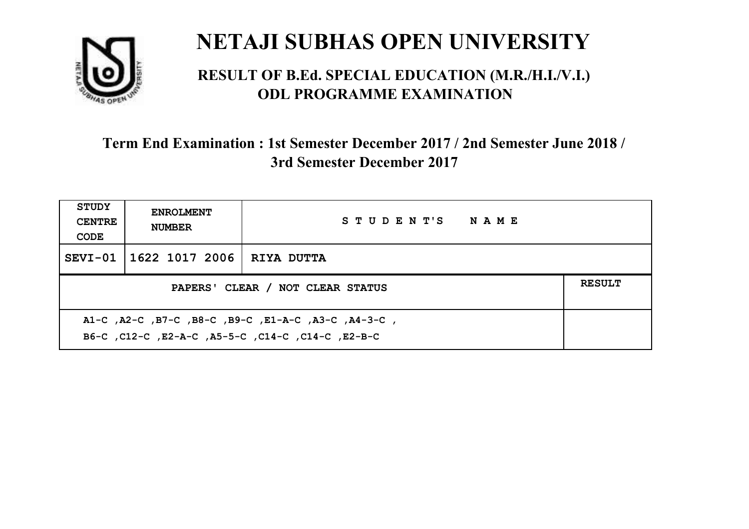

#### **RESULT OF B.Ed. SPECIAL EDUCATION (M.R./H.I./V.I.) ODL PROGRAMME EXAMINATION**

| <b>STUDY</b><br><b>CENTRE</b><br>CODE                                                                    | <b>ENROLMENT</b><br><b>NUMBER</b> | STUDENT'S NAME |  |  |
|----------------------------------------------------------------------------------------------------------|-----------------------------------|----------------|--|--|
|                                                                                                          | SEVI-01   1622 1017 2006          | RIYA DUTTA     |  |  |
| PAPERS' CLEAR / NOT CLEAR STATUS                                                                         |                                   |                |  |  |
| A1-C, A2-C, B7-C, B8-C, B9-C, E1-A-C, A3-C, A4-3-C,<br>B6-C, C12-C, E2-A-C, A5-5-C, C14-C, C14-C, E2-B-C |                                   |                |  |  |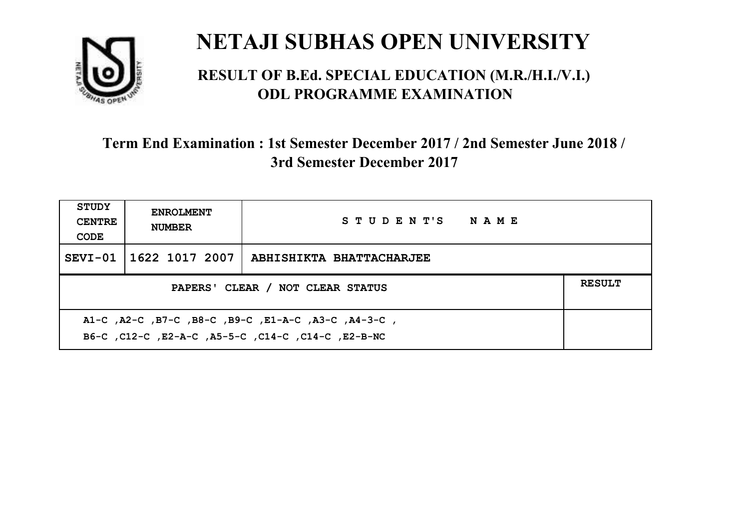

#### **RESULT OF B.Ed. SPECIAL EDUCATION (M.R./H.I./V.I.) ODL PROGRAMME EXAMINATION**

| <b>STUDY</b><br><b>CENTRE</b><br>CODE                                                                       | <b>ENROLMENT</b><br><b>NUMBER</b>                 | STUDENT'S NAME           |  |  |  |
|-------------------------------------------------------------------------------------------------------------|---------------------------------------------------|--------------------------|--|--|--|
|                                                                                                             | SEVI-01   1622 1017 2007                          | ABHISHIKTA BHATTACHARJEE |  |  |  |
|                                                                                                             | <b>RESULT</b><br>PAPERS' CLEAR / NOT CLEAR STATUS |                          |  |  |  |
| , A1-C, A2-C, B7-C, B8-C, B9-C, E1-A-C, A3-C, A4-3-C,<br>B6-C, C12-C, E2-A-C, A5-5-C, C14-C, C14-C, E2-B-NC |                                                   |                          |  |  |  |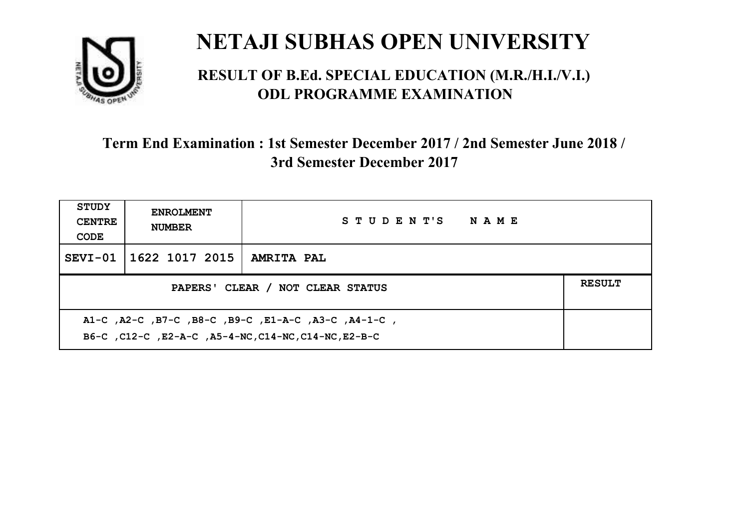

#### **RESULT OF B.Ed. SPECIAL EDUCATION (M.R./H.I./V.I.) ODL PROGRAMME EXAMINATION**

| <b>STUDY</b><br><b>CENTRE</b><br>CODE                                                                       | <b>ENROLMENT</b><br><b>NUMBER</b>                 | STUDENT'S NAME    |  |  |  |
|-------------------------------------------------------------------------------------------------------------|---------------------------------------------------|-------------------|--|--|--|
|                                                                                                             | SEVI-01   1622 1017 2015                          | <b>AMRITA PAL</b> |  |  |  |
|                                                                                                             | <b>RESULT</b><br>PAPERS' CLEAR / NOT CLEAR STATUS |                   |  |  |  |
| A1-C, A2-C, B7-C, B8-C, B9-C, E1-A-C, A3-C, A4-1-C,<br>B6-C, C12-C, E2-A-C, A5-4-NC, C14-NC, C14-NC, E2-B-C |                                                   |                   |  |  |  |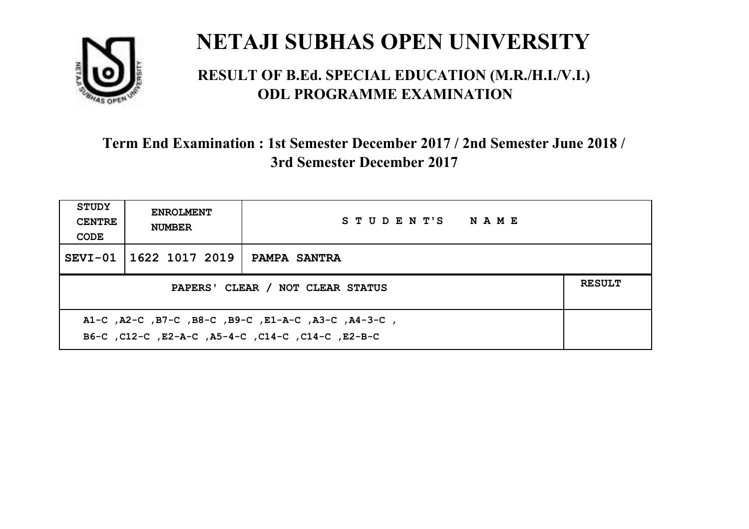

#### **RESULT OF B.Ed. SPECIAL EDUCATION (M.R./H.I./V.I.) ODL PROGRAMME EXAMINATION**

| <b>STUDY</b><br><b>CENTRE</b><br>CODE                                                                      | <b>ENROLMENT</b><br><b>NUMBER</b>                 | STUDENT'S NAME |  |  |  |
|------------------------------------------------------------------------------------------------------------|---------------------------------------------------|----------------|--|--|--|
|                                                                                                            | SEVI-01 1622 1017 2019                            | PAMPA SANTRA   |  |  |  |
|                                                                                                            | <b>RESULT</b><br>PAPERS' CLEAR / NOT CLEAR STATUS |                |  |  |  |
| , A1-C, A2-C, B7-C, B8-C, B9-C, E1-A-C, A3-C, A4-3-C,<br>B6-C, C12-C, E2-A-C, A5-4-C, C14-C, C14-C, E2-B-C |                                                   |                |  |  |  |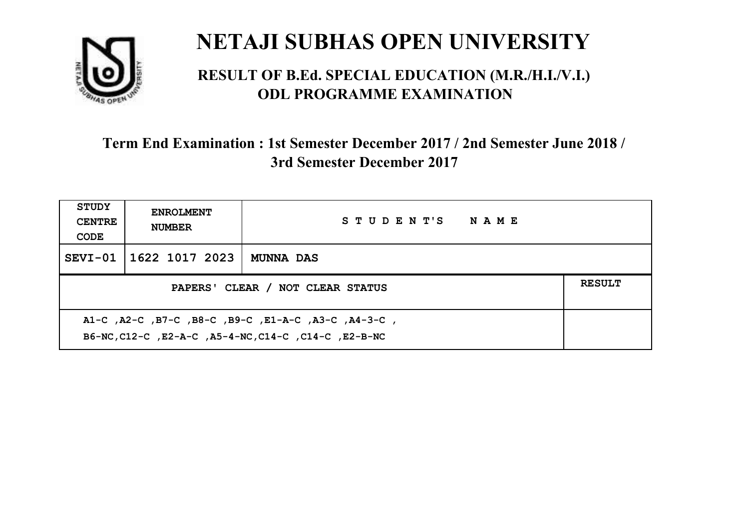

#### **RESULT OF B.Ed. SPECIAL EDUCATION (M.R./H.I./V.I.) ODL PROGRAMME EXAMINATION**

| <b>STUDY</b><br><b>CENTRE</b><br>CODE                                                                       | <b>ENROLMENT</b><br><b>NUMBER</b> | STUDENT'S NAME   |  |  |
|-------------------------------------------------------------------------------------------------------------|-----------------------------------|------------------|--|--|
|                                                                                                             | SEVI-01 1622 1017 2023            | <b>MUNNA DAS</b> |  |  |
| <b>RESULT</b><br>PAPERS' CLEAR / NOT CLEAR STATUS                                                           |                                   |                  |  |  |
| A1-C, A2-C, B7-C, B8-C, B9-C, E1-A-C, A3-C, A4-3-C,<br>B6-NC, C12-C, E2-A-C, A5-4-NC, C14-C, C14-C, E2-B-NC |                                   |                  |  |  |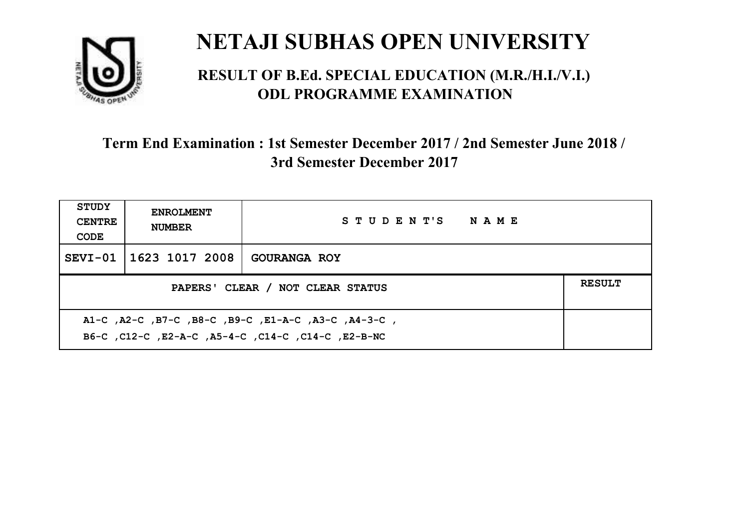

#### **RESULT OF B.Ed. SPECIAL EDUCATION (M.R./H.I./V.I.) ODL PROGRAMME EXAMINATION**

| <b>STUDY</b><br><b>CENTRE</b><br>CODE                                                                       | <b>ENROLMENT</b><br><b>NUMBER</b>                 | STUDENT'S NAME      |  |  |  |
|-------------------------------------------------------------------------------------------------------------|---------------------------------------------------|---------------------|--|--|--|
|                                                                                                             | SEVI-01   1623 1017 2008                          | <b>GOURANGA ROY</b> |  |  |  |
|                                                                                                             | <b>RESULT</b><br>PAPERS' CLEAR / NOT CLEAR STATUS |                     |  |  |  |
| , A1-C, A2-C, B7-C, B8-C, B9-C, E1-A-C, A3-C, A4-3-C,<br>B6-C, C12-C, E2-A-C, A5-4-C, C14-C, C14-C, E2-B-NC |                                                   |                     |  |  |  |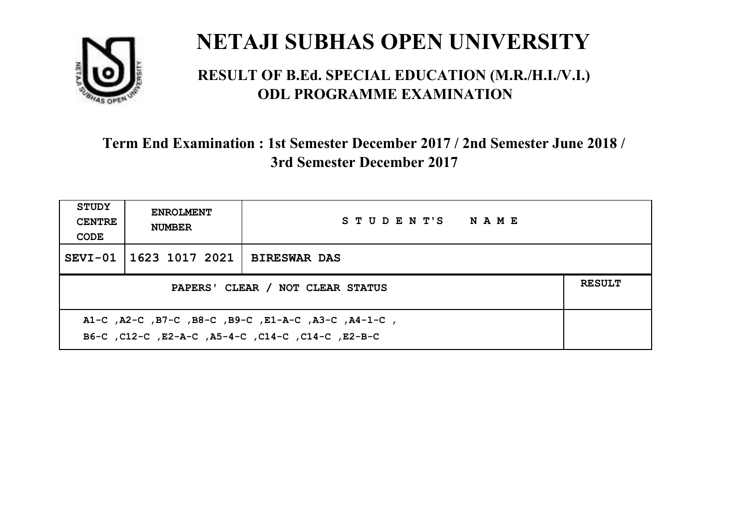

#### **RESULT OF B.Ed. SPECIAL EDUCATION (M.R./H.I./V.I.) ODL PROGRAMME EXAMINATION**

| <b>STUDY</b><br><b>CENTRE</b><br>CODE                                                                     | <b>ENROLMENT</b><br><b>NUMBER</b>                 | STUDENT'S NAME      |  |  |  |
|-----------------------------------------------------------------------------------------------------------|---------------------------------------------------|---------------------|--|--|--|
|                                                                                                           | SEVI-01   1623 1017 2021                          | <b>BIRESWAR DAS</b> |  |  |  |
|                                                                                                           | <b>RESULT</b><br>PAPERS' CLEAR / NOT CLEAR STATUS |                     |  |  |  |
| A1-C, A2-C, B7-C, B8-C, B9-C, E1-A-C, A3-C, A4-1-C,<br>B6-C, C12-C, E2-A-C, A5-4-C, C14-C, C14-C, C12-B-C |                                                   |                     |  |  |  |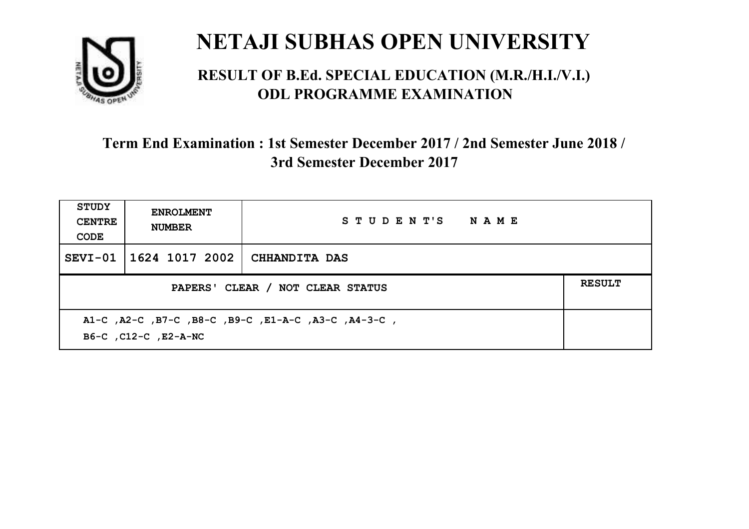

#### **RESULT OF B.Ed. SPECIAL EDUCATION (M.R./H.I./V.I.) ODL PROGRAMME EXAMINATION**

| <b>STUDY</b><br><b>CENTRE</b><br>CODE                                       | <b>ENROLMENT</b><br><b>NUMBER</b>                 | STUDENT'S NAME       |  |  |  |
|-----------------------------------------------------------------------------|---------------------------------------------------|----------------------|--|--|--|
| $SEVI-01$                                                                   | 1624 1017 2002                                    | <b>CHHANDITA DAS</b> |  |  |  |
|                                                                             | <b>RESULT</b><br>PAPERS' CLEAR / NOT CLEAR STATUS |                      |  |  |  |
| A1-C, A2-C, B7-C, B8-C, B9-C, E1-A-C, A3-C, A4-3-C,<br>B6-C, C12-C, E2-A-NC |                                                   |                      |  |  |  |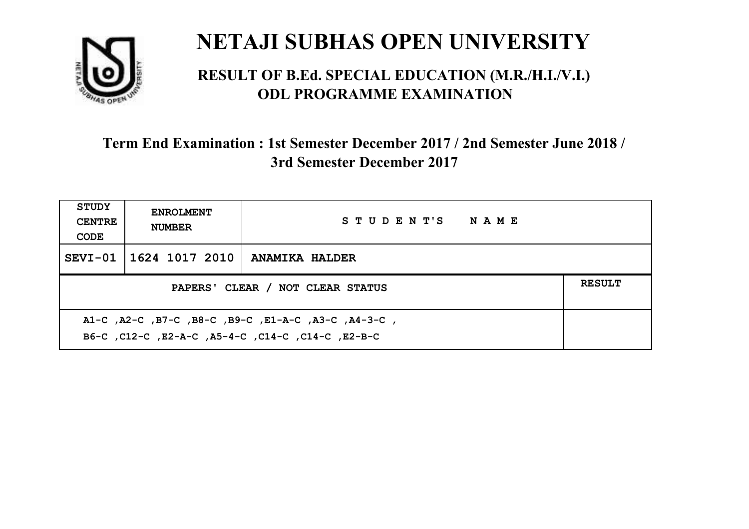

#### **RESULT OF B.Ed. SPECIAL EDUCATION (M.R./H.I./V.I.) ODL PROGRAMME EXAMINATION**

| <b>STUDY</b><br><b>CENTRE</b><br>CODE                                                                    | <b>ENROLMENT</b><br><b>NUMBER</b> | STUDENT'S NAME        |  |  |
|----------------------------------------------------------------------------------------------------------|-----------------------------------|-----------------------|--|--|
|                                                                                                          | SEVI-01   1624 1017 2010          | <b>ANAMIKA HALDER</b> |  |  |
| <b>RESULT</b><br>PAPERS' CLEAR / NOT CLEAR STATUS                                                        |                                   |                       |  |  |
| A1-C, A2-C, B7-C, B8-C, B9-C, E1-A-C, A3-C, A4-3-C,<br>B6-C, C12-C, E2-A-C, A5-4-C, C14-C, C14-C, E2-B-C |                                   |                       |  |  |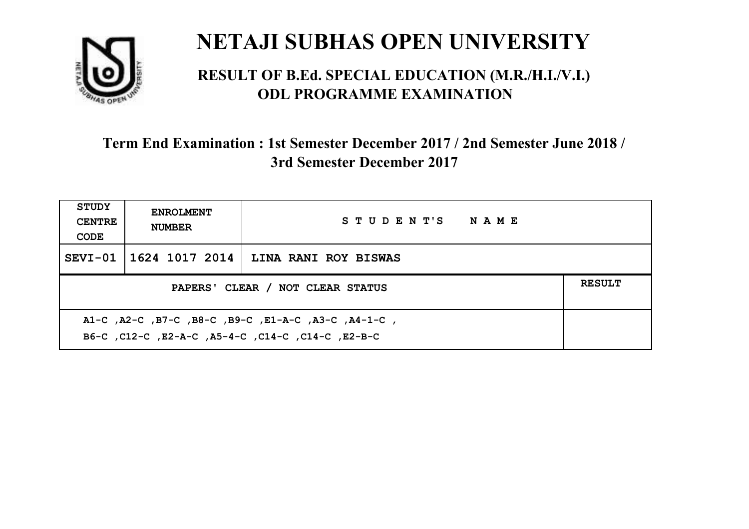

#### **RESULT OF B.Ed. SPECIAL EDUCATION (M.R./H.I./V.I.) ODL PROGRAMME EXAMINATION**

| <b>STUDY</b><br><b>CENTRE</b><br>CODE                                                                    | <b>ENROLMENT</b><br><b>NUMBER</b>                 | STUDENT'S NAME       |  |  |  |
|----------------------------------------------------------------------------------------------------------|---------------------------------------------------|----------------------|--|--|--|
|                                                                                                          | SEVI-01   1624 1017 2014                          | LINA RANI ROY BISWAS |  |  |  |
|                                                                                                          | <b>RESULT</b><br>PAPERS' CLEAR / NOT CLEAR STATUS |                      |  |  |  |
| A1-C, A2-C, B7-C, B8-C, B9-C, E1-A-C, A3-C, A4-1-C,<br>B6-C, C12-C, E2-A-C, A5-4-C, C14-C, C14-C, E2-B-C |                                                   |                      |  |  |  |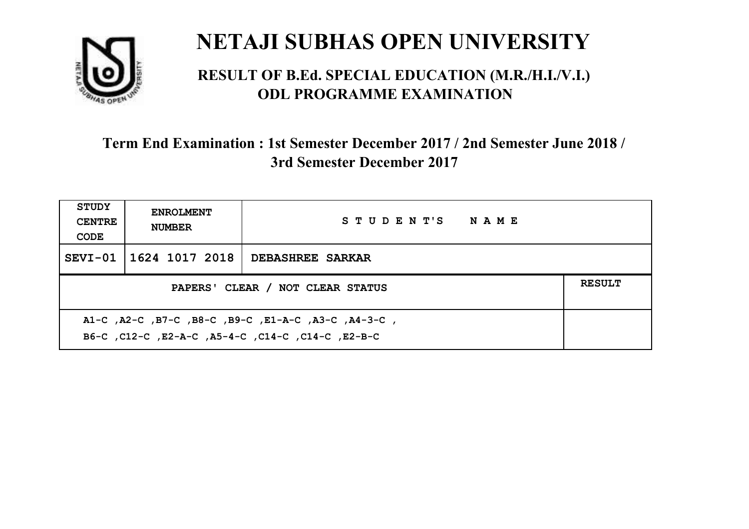

#### **RESULT OF B.Ed. SPECIAL EDUCATION (M.R./H.I./V.I.) ODL PROGRAMME EXAMINATION**

| <b>STUDY</b><br><b>CENTRE</b><br>CODE                                                                     | <b>ENROLMENT</b><br><b>NUMBER</b>                 | STUDENT'S NAME          |  |  |  |
|-----------------------------------------------------------------------------------------------------------|---------------------------------------------------|-------------------------|--|--|--|
|                                                                                                           | SEVI-01 1624 1017 2018                            | <b>DEBASHREE SARKAR</b> |  |  |  |
|                                                                                                           | <b>RESULT</b><br>PAPERS' CLEAR / NOT CLEAR STATUS |                         |  |  |  |
| A1-C, A2-C, B7-C, B8-C, B9-C, E1-A-C, A3-C, A4-3-C,<br>B6-C, C12-C, E2-A-C, A5-4-C, C14-C, C14-C, C12-B-C |                                                   |                         |  |  |  |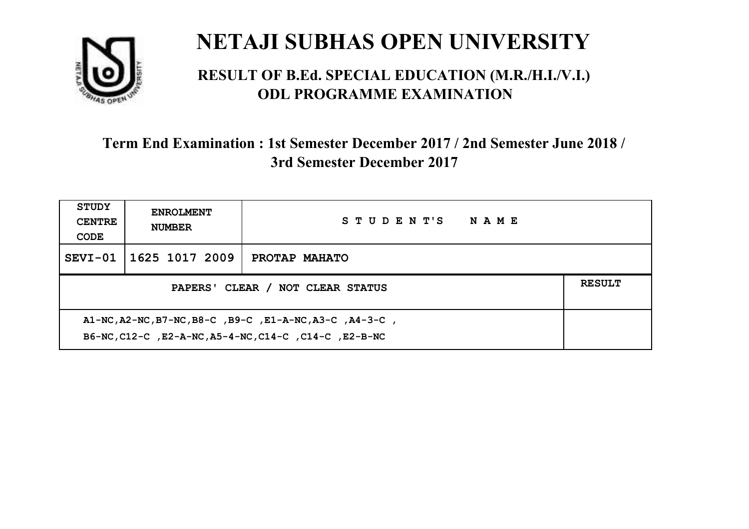

#### **RESULT OF B.Ed. SPECIAL EDUCATION (M.R./H.I./V.I.) ODL PROGRAMME EXAMINATION**

| <b>STUDY</b><br><b>CENTRE</b><br>CODE                                                                            | <b>ENROLMENT</b><br><b>NUMBER</b> | STUDENT'S NAME |  |  |
|------------------------------------------------------------------------------------------------------------------|-----------------------------------|----------------|--|--|
|                                                                                                                  | SEVI-01   1625 1017 2009          | PROTAP MAHATO  |  |  |
| <b>RESULT</b><br>PAPERS' CLEAR / NOT CLEAR STATUS                                                                |                                   |                |  |  |
| A1-NC, A2-NC, B7-NC, B8-C, B9-C, E1-A-NC, A3-C, A4-3-C,<br>B6-NC, C12-C, E2-A-NC, A5-4-NC, C14-C, C14-C, E2-B-NC |                                   |                |  |  |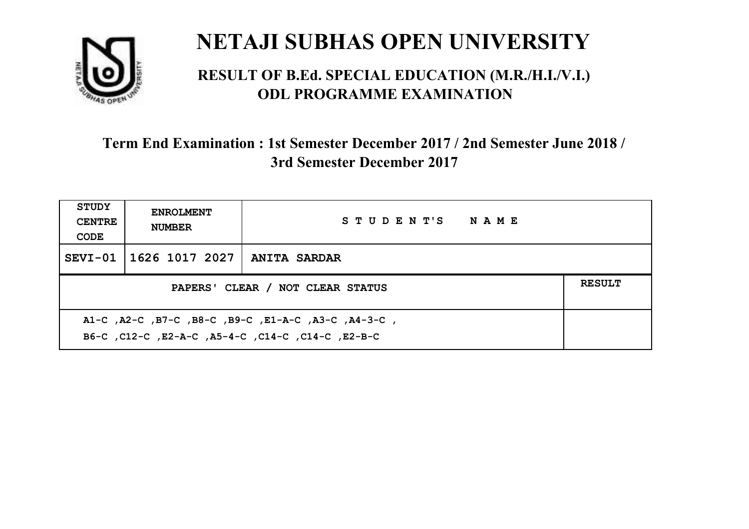

#### **RESULT OF B.Ed. SPECIAL EDUCATION (M.R./H.I./V.I.) ODL PROGRAMME EXAMINATION**

| <b>STUDY</b><br><b>CENTRE</b><br>CODE                                                                      | <b>ENROLMENT</b><br><b>NUMBER</b>                 | STUDENT'S NAME      |  |  |  |
|------------------------------------------------------------------------------------------------------------|---------------------------------------------------|---------------------|--|--|--|
|                                                                                                            | SEVI-01   1626 1017 2027                          | <b>ANITA SARDAR</b> |  |  |  |
|                                                                                                            | <b>RESULT</b><br>PAPERS' CLEAR / NOT CLEAR STATUS |                     |  |  |  |
| , A1-C, A2-C, B7-C, B8-C, B9-C, E1-A-C, A3-C, A4-3-C,<br>B6-C, C12-C, E2-A-C, A5-4-C, C14-C, C14-C, E2-B-C |                                                   |                     |  |  |  |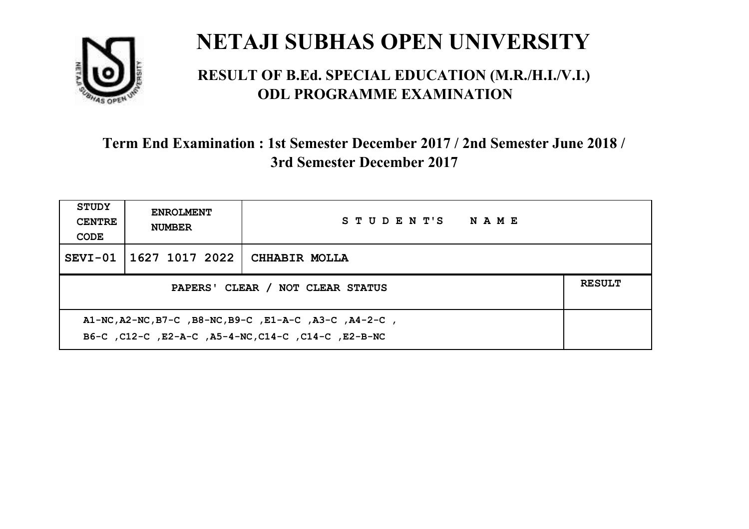

#### **RESULT OF B.Ed. SPECIAL EDUCATION (M.R./H.I./V.I.) ODL PROGRAMME EXAMINATION**

| <b>STUDY</b><br><b>CENTRE</b><br>CODE                                                                         | <b>ENROLMENT</b><br><b>NUMBER</b> | STUDENT'S NAME |  |  |
|---------------------------------------------------------------------------------------------------------------|-----------------------------------|----------------|--|--|
|                                                                                                               | SEVI-01 1627 1017 2022            | CHHABIR MOLLA  |  |  |
| <b>RESULT</b><br>PAPERS' CLEAR / NOT CLEAR STATUS                                                             |                                   |                |  |  |
| A1-NC, A2-NC, B7-C, B8-NC, B9-C, E1-A-C, A3-C, A4-2-C,<br>B6-C, C12-C, E2-A-C, A5-4-NC, C14-C, C14-C, E2-B-NC |                                   |                |  |  |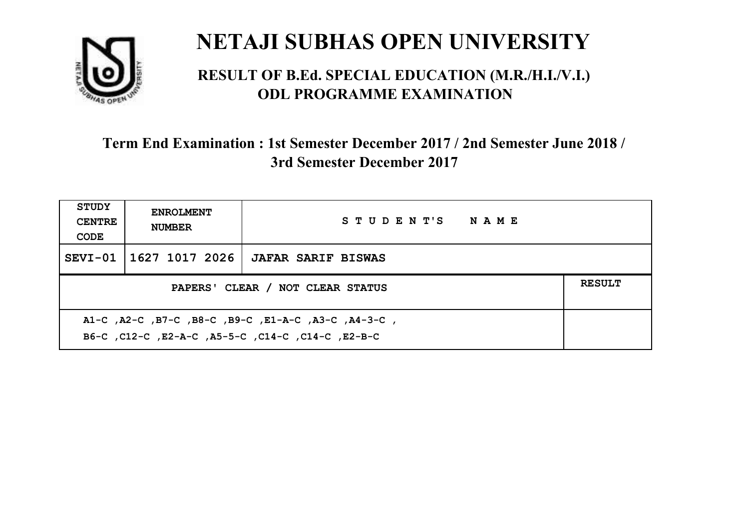

#### **RESULT OF B.Ed. SPECIAL EDUCATION (M.R./H.I./V.I.) ODL PROGRAMME EXAMINATION**

| <b>STUDY</b><br><b>CENTRE</b><br>CODE                                                                     | <b>ENROLMENT</b><br><b>NUMBER</b> | STUDENT'S NAME            |  |  |
|-----------------------------------------------------------------------------------------------------------|-----------------------------------|---------------------------|--|--|
|                                                                                                           | SEVI-01   1627 1017 2026          | <b>JAFAR SARIF BISWAS</b> |  |  |
| <b>RESULT</b><br>PAPERS' CLEAR / NOT CLEAR STATUS                                                         |                                   |                           |  |  |
| A1-C, A2-C, B7-C, B8-C, B9-C, E1-A-C, A3-C, A4-3-C,<br>B6-C, C12-C, E2-A-C, A5-5-C, C14-C, C14-C, C12-B-C |                                   |                           |  |  |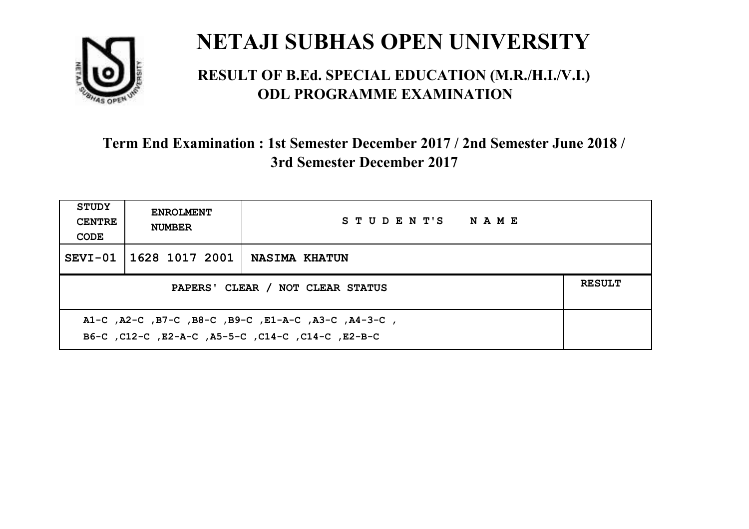

#### **RESULT OF B.Ed. SPECIAL EDUCATION (M.R./H.I./V.I.) ODL PROGRAMME EXAMINATION**

| STUDY<br><b>CENTRE</b><br>CODE                                                                            | <b>ENROLMENT</b><br><b>NUMBER</b>                 | STUDENT'S NAME       |  |  |  |
|-----------------------------------------------------------------------------------------------------------|---------------------------------------------------|----------------------|--|--|--|
|                                                                                                           | SEVI-01   1628 1017 2001                          | <b>NASIMA KHATUN</b> |  |  |  |
|                                                                                                           | <b>RESULT</b><br>PAPERS' CLEAR / NOT CLEAR STATUS |                      |  |  |  |
| A1-C, A2-C, B7-C, B8-C, B9-C, E1-A-C, A3-C, A4-3-C,<br>B6-C, C12-C, E2-A-C, A5-5-C, C14-C, C14-C, C12-B-C |                                                   |                      |  |  |  |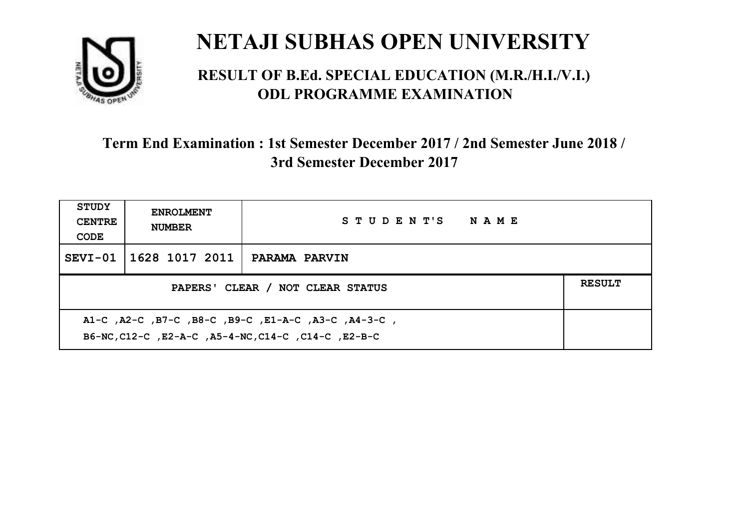

#### **RESULT OF B.Ed. SPECIAL EDUCATION (M.R./H.I./V.I.) ODL PROGRAMME EXAMINATION**

| <b>STUDY</b><br><b>CENTRE</b><br>CODE                                                                      | <b>ENROLMENT</b><br><b>NUMBER</b> | STUDENT'S NAME       |  |  |
|------------------------------------------------------------------------------------------------------------|-----------------------------------|----------------------|--|--|
|                                                                                                            | SEVI-01   1628 1017 2011          | <b>PARAMA PARVIN</b> |  |  |
| <b>RESULT</b><br>PAPERS' CLEAR / NOT CLEAR STATUS                                                          |                                   |                      |  |  |
| A1-C, A2-C, B7-C, B8-C, B9-C, E1-A-C, A3-C, A4-3-C,<br>B6-NC, C12-C, E2-A-C, A5-4-NC, C14-C, C14-C, E2-B-C |                                   |                      |  |  |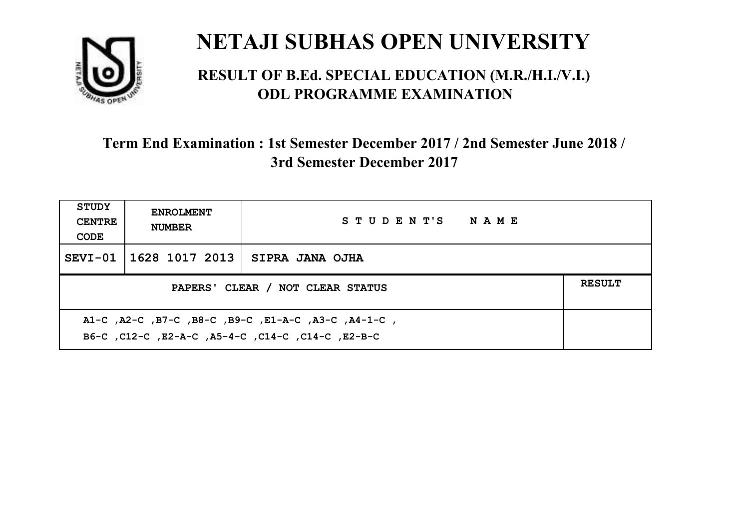

#### **RESULT OF B.Ed. SPECIAL EDUCATION (M.R./H.I./V.I.) ODL PROGRAMME EXAMINATION**

| <b>STUDY</b><br><b>CENTRE</b><br>CODE                                                                     | <b>ENROLMENT</b><br><b>NUMBER</b>                 | STUDENT'S NAME  |  |  |  |
|-----------------------------------------------------------------------------------------------------------|---------------------------------------------------|-----------------|--|--|--|
|                                                                                                           | SEVI-01   1628 1017 2013                          | SIPRA JANA OJHA |  |  |  |
|                                                                                                           | <b>RESULT</b><br>PAPERS' CLEAR / NOT CLEAR STATUS |                 |  |  |  |
| A1-C, A2-C, B7-C, B8-C, B9-C, E1-A-C, A3-C, A4-1-C,<br>B6-C, C12-C, E2-A-C, A5-4-C, C14-C, C14-C, C12-B-C |                                                   |                 |  |  |  |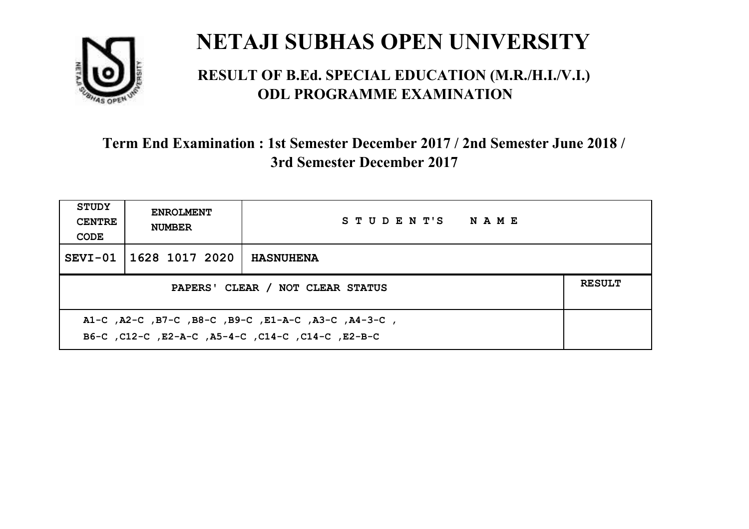

#### **RESULT OF B.Ed. SPECIAL EDUCATION (M.R./H.I./V.I.) ODL PROGRAMME EXAMINATION**

| <b>STUDY</b><br><b>CENTRE</b><br>CODE                                                                    | <b>ENROLMENT</b><br><b>NUMBER</b> | STUDENT'S NAME   |  |  |
|----------------------------------------------------------------------------------------------------------|-----------------------------------|------------------|--|--|
|                                                                                                          | SEVI-01   1628 1017 2020          | <b>HASNUHENA</b> |  |  |
| <b>RESULT</b><br>PAPERS' CLEAR / NOT CLEAR STATUS                                                        |                                   |                  |  |  |
| A1-C, A2-C, B7-C, B8-C, B9-C, E1-A-C, A3-C, A4-3-C,<br>B6-C, C12-C, E2-A-C, A5-4-C, C14-C, C14-C, E2-B-C |                                   |                  |  |  |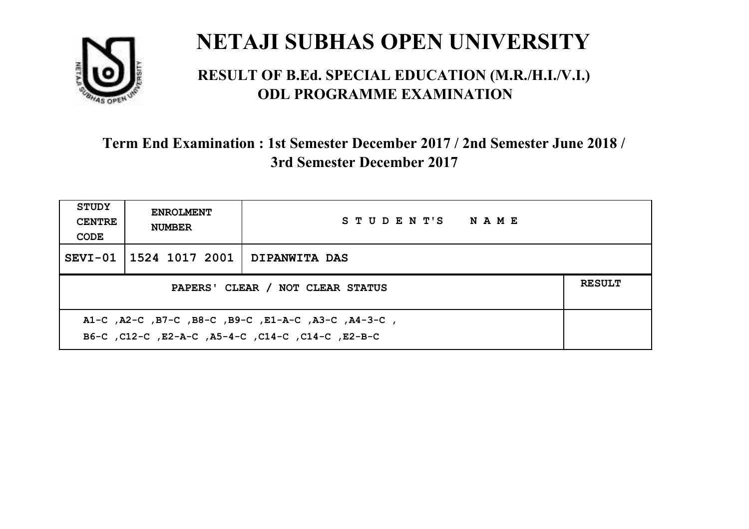

#### **RESULT OF B.Ed. SPECIAL EDUCATION (M.R./H.I./V.I.) ODL PROGRAMME EXAMINATION**

| STUDY<br><b>CENTRE</b><br>CODE                                                                            | <b>ENROLMENT</b><br><b>NUMBER</b>                 | STUDENT'S NAME |  |  |  |
|-----------------------------------------------------------------------------------------------------------|---------------------------------------------------|----------------|--|--|--|
|                                                                                                           | SEVI-01   1524 1017 2001                          | DIPANWITA DAS  |  |  |  |
|                                                                                                           | <b>RESULT</b><br>PAPERS' CLEAR / NOT CLEAR STATUS |                |  |  |  |
| A1-C, A2-C, B7-C, B8-C, B9-C, E1-A-C, A3-C, A4-3-C,<br>B6-C, C12-C, E2-A-C, A5-4-C, C14-C, C14-C, C12-B-C |                                                   |                |  |  |  |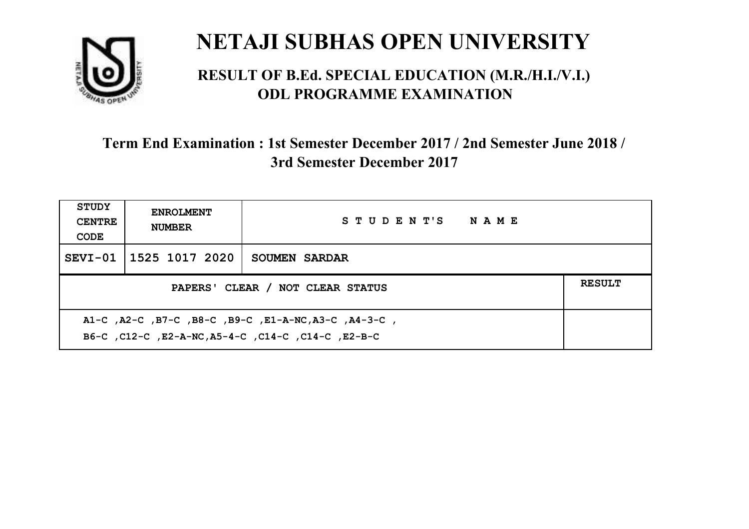

#### **RESULT OF B.Ed. SPECIAL EDUCATION (M.R./H.I./V.I.) ODL PROGRAMME EXAMINATION**

| <b>STUDY</b><br><b>CENTRE</b><br>CODE             | <b>ENROLMENT</b><br><b>NUMBER</b> | STUDENT'S NAME       |  |  |
|---------------------------------------------------|-----------------------------------|----------------------|--|--|
|                                                   | SEVI-01 1525 1017 2020            | <b>SOUMEN SARDAR</b> |  |  |
| <b>RESULT</b><br>PAPERS' CLEAR / NOT CLEAR STATUS |                                   |                      |  |  |
|                                                   |                                   |                      |  |  |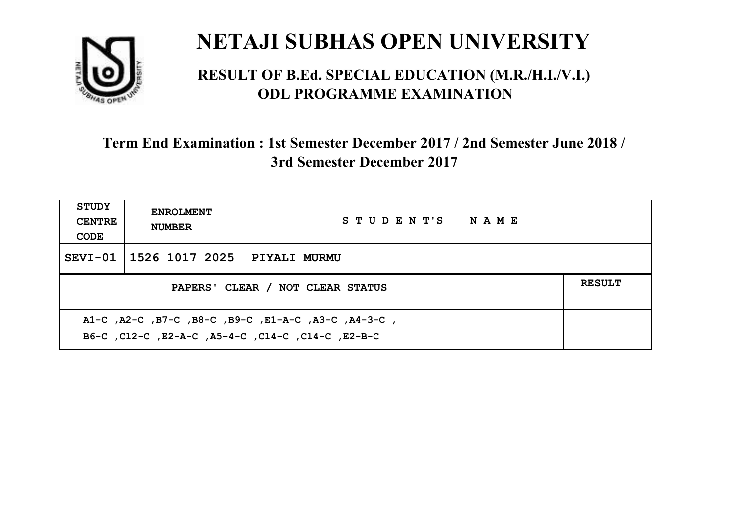

#### **RESULT OF B.Ed. SPECIAL EDUCATION (M.R./H.I./V.I.) ODL PROGRAMME EXAMINATION**

| <b>STUDY</b><br><b>CENTRE</b><br>CODE | <b>ENROLMENT</b><br><b>NUMBER</b>                 | STUDENT'S NAME                                      |  |  |  |
|---------------------------------------|---------------------------------------------------|-----------------------------------------------------|--|--|--|
|                                       | SEVI-01   1526 1017 2025                          | <b>PIYALI MURMU</b>                                 |  |  |  |
|                                       | <b>RESULT</b><br>PAPERS' CLEAR / NOT CLEAR STATUS |                                                     |  |  |  |
|                                       |                                                   | A1-C, A2-C, B7-C, B8-C, B9-C, E1-A-C, A3-C, A4-3-C, |  |  |  |